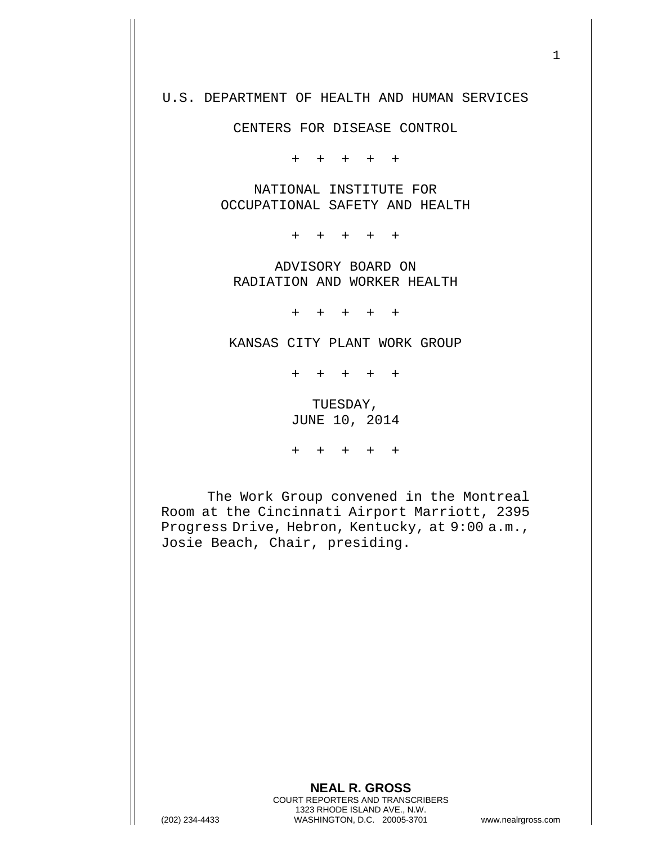## U.S. DEPARTMENT OF HEALTH AND HUMAN SERVICES

CENTERS FOR DISEASE CONTROL

+ + + + +

NATIONAL INSTITUTE FOR OCCUPATIONAL SAFETY AND HEALTH

+ + + + +

ADVISORY BOARD ON RADIATION AND WORKER HEALTH

+ + + + +

KANSAS CITY PLANT WORK GROUP

+ + + + +

TUESDAY, JUNE 10, 2014

+ + + + +

The Work Group convened in the Montreal Room at the Cincinnati Airport Marriott, 2395 Progress Drive, Hebron, Kentucky, at 9:00 a.m., Josie Beach, Chair, presiding.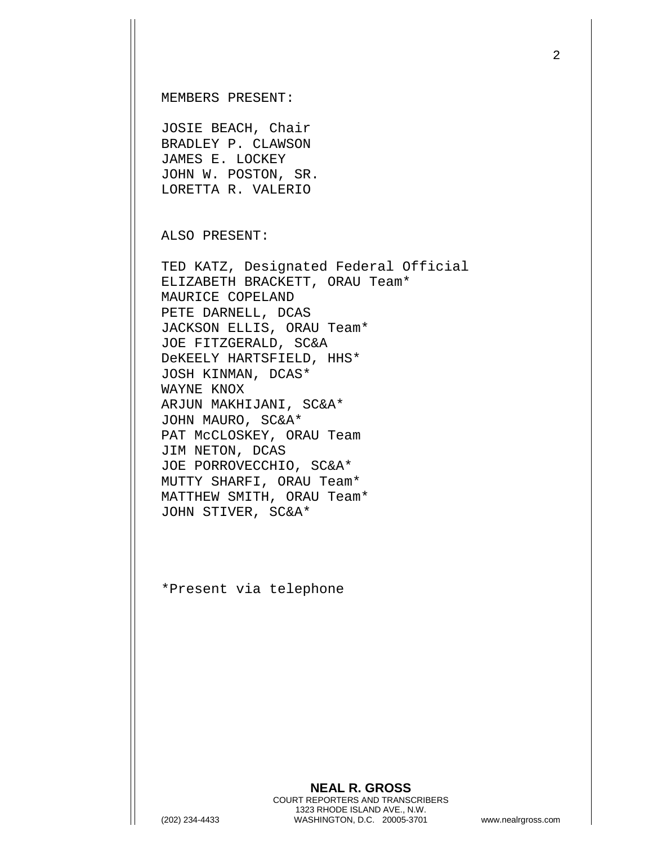MEMBERS PRESENT:

JOSIE BEACH, Chair BRADLEY P. CLAWSON JAMES E. LOCKEY JOHN W. POSTON, SR. LORETTA R. VALERIO

ALSO PRESENT:

TED KATZ, Designated Federal Official ELIZABETH BRACKETT, ORAU Team\* MAURICE COPELAND PETE DARNELL, DCAS JACKSON ELLIS, ORAU Team\* JOE FITZGERALD, SC&A DeKEELY HARTSFIELD, HHS\* JOSH KINMAN, DCAS\* WAYNE KNOX ARJUN MAKHIJANI, SC&A\* JOHN MAURO, SC&A\* PAT McCLOSKEY, ORAU Team JIM NETON, DCAS JOE PORROVECCHIO, SC&A\* MUTTY SHARFI, ORAU Team\* MATTHEW SMITH, ORAU Team\* JOHN STIVER, SC&A\*

\*Present via telephone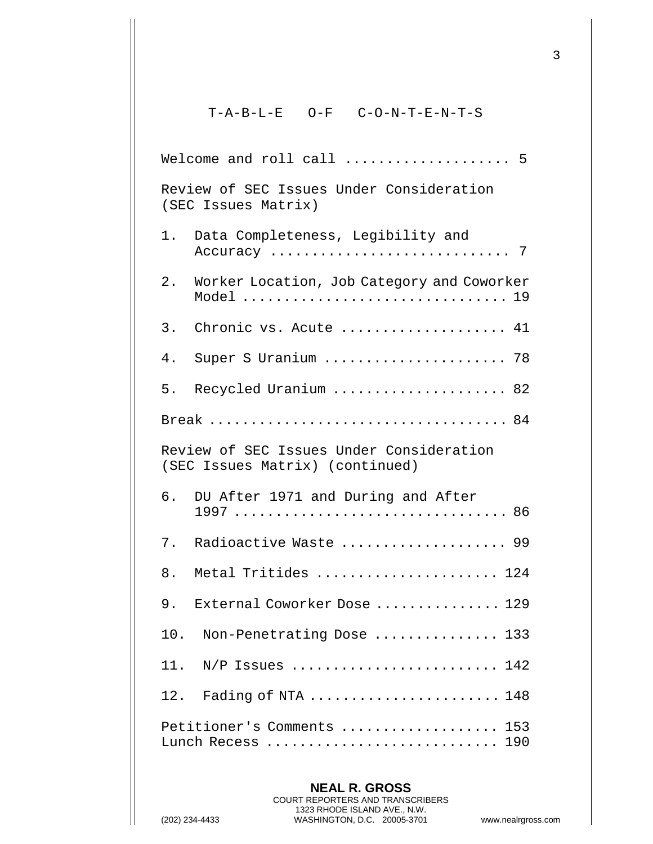## $T-A-B-L-E \qquad O-F \qquad C-O-N-T-E-N-T-S$

| Welcome and roll call  5                                                    |  |  |  |  |
|-----------------------------------------------------------------------------|--|--|--|--|
| Review of SEC Issues Under Consideration<br>(SEC Issues Matrix)             |  |  |  |  |
| Data Completeness, Legibility and<br>1.                                     |  |  |  |  |
| 2.<br>Worker Location, Job Category and Coworker<br>Model  19               |  |  |  |  |
| 3.<br>Chronic vs. Acute  41                                                 |  |  |  |  |
| Super S Uranium  78<br>4.                                                   |  |  |  |  |
| 5.<br>Recycled Uranium  82                                                  |  |  |  |  |
|                                                                             |  |  |  |  |
| Review of SEC Issues Under Consideration<br>(SEC Issues Matrix) (continued) |  |  |  |  |
| 6. DU After 1971 and During and After                                       |  |  |  |  |
| 7.<br>Radioactive Waste  99                                                 |  |  |  |  |
| 8.<br>Metal Tritides  124                                                   |  |  |  |  |
| 9.<br>External Coworker Dose  129                                           |  |  |  |  |
| 10. Non-Penetrating Dose  133                                               |  |  |  |  |
| $N/P$ Issues  142<br>11.                                                    |  |  |  |  |
| 12. Fading of NTA  148                                                      |  |  |  |  |
| Petitioner's Comments  153<br>Lunch Recess  190                             |  |  |  |  |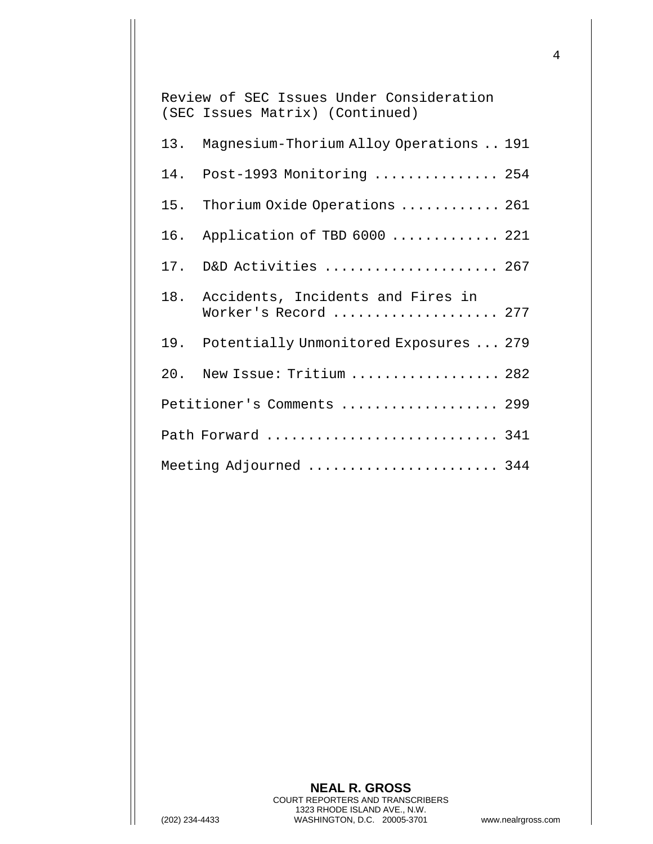Review of SEC Issues Under Consideration (SEC Issues Matrix) (Continued) 13. Magnesium-Thorium Alloy Operations .. 191 14. Post-1993 Monitoring ............... 254 15. Thorium Oxide Operations ............ 261 16. Application of TBD 6000 ............. 221 17. D&D Activities ..................... 267 18. Accidents, Incidents and Fires in Worker's Record .................... 277 19. Potentially Unmonitored Exposures ... 279 20. New Issue: Tritium .................. 282 Petitioner's Comments ................... 299 Path Forward ............................ 341 Meeting Adjourned ......................... 344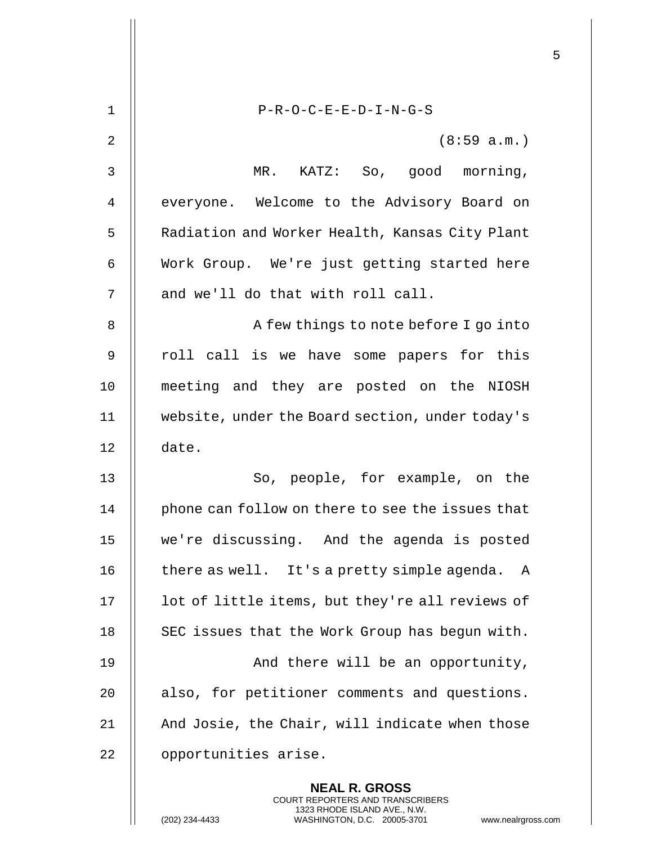| $\mathbf 1$ | $P-R-O-C-E-E-D-I-N-G-S$                                                                                                                                              |
|-------------|----------------------------------------------------------------------------------------------------------------------------------------------------------------------|
| 2           | (8:59 a.m.)                                                                                                                                                          |
| 3           |                                                                                                                                                                      |
|             | KATZ: So, good morning,<br>MR.                                                                                                                                       |
| 4           | everyone. Welcome to the Advisory Board on                                                                                                                           |
| 5           | Radiation and Worker Health, Kansas City Plant                                                                                                                       |
| 6           | Work Group. We're just getting started here                                                                                                                          |
| 7           | and we'll do that with roll call.                                                                                                                                    |
| 8           | A few things to note before I go into                                                                                                                                |
| 9           | roll call is we have some papers for this                                                                                                                            |
| 10          | meeting and they are posted on the NIOSH                                                                                                                             |
| 11          | website, under the Board section, under today's                                                                                                                      |
| 12          | date.                                                                                                                                                                |
| 13          | So, people, for example, on the                                                                                                                                      |
| 14          | phone can follow on there to see the issues that                                                                                                                     |
| 15          | we're discussing. And the agenda is posted                                                                                                                           |
| 16          | there as well. It's a pretty simple agenda.<br>A                                                                                                                     |
| 17          | lot of little items, but they're all reviews of                                                                                                                      |
| 18          | SEC issues that the Work Group has begun with.                                                                                                                       |
| 19          | And there will be an opportunity,                                                                                                                                    |
| 20          | also, for petitioner comments and questions.                                                                                                                         |
| 21          | And Josie, the Chair, will indicate when those                                                                                                                       |
| 22          | opportunities arise.                                                                                                                                                 |
|             | <b>NEAL R. GROSS</b><br><b>COURT REPORTERS AND TRANSCRIBERS</b><br>1323 RHODE ISLAND AVE., N.W.<br>(202) 234-4433<br>WASHINGTON, D.C. 20005-3701<br>www.nealrgross.o |

 $\mathbf{1}$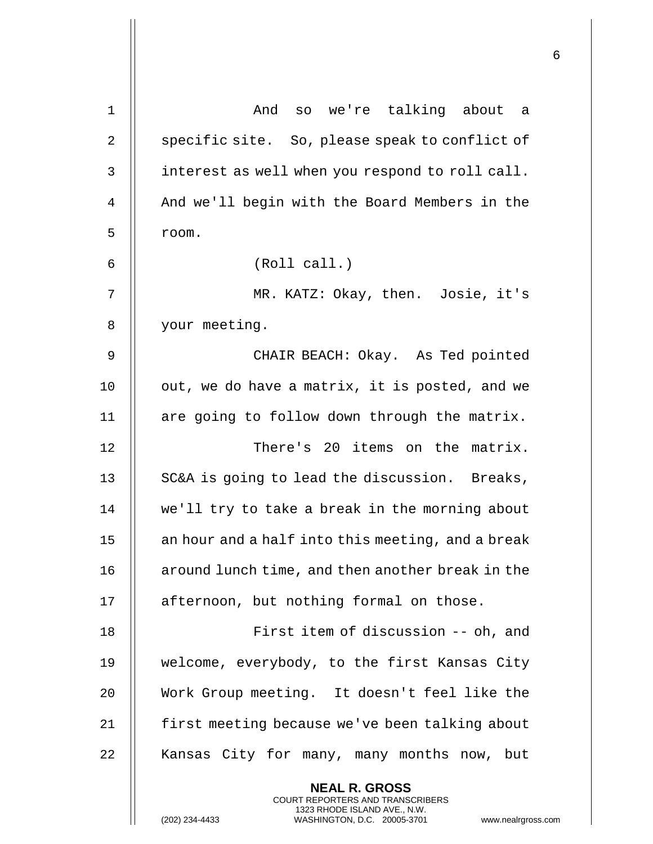| $\mathbf 1$    | And so we're talking about<br>a a                                                                                                                                  |
|----------------|--------------------------------------------------------------------------------------------------------------------------------------------------------------------|
| $\overline{2}$ | specific site. So, please speak to conflict of                                                                                                                     |
| 3              | interest as well when you respond to roll call.                                                                                                                    |
| 4              | And we'll begin with the Board Members in the                                                                                                                      |
| 5              | room.                                                                                                                                                              |
| 6              | (Roll call.)                                                                                                                                                       |
| 7              | MR. KATZ: Okay, then. Josie, it's                                                                                                                                  |
| 8              | your meeting.                                                                                                                                                      |
| 9              | CHAIR BEACH: Okay. As Ted pointed                                                                                                                                  |
| 10             | out, we do have a matrix, it is posted, and we                                                                                                                     |
| 11             | are going to follow down through the matrix.                                                                                                                       |
| 12             | There's 20 items on the matrix.                                                                                                                                    |
| 13             | SC&A is going to lead the discussion. Breaks,                                                                                                                      |
| 14             | we'll try to take a break in the morning about                                                                                                                     |
| 15             | an hour and a half into this meeting, and a break                                                                                                                  |
| 16             | around lunch time, and then another break in the                                                                                                                   |
| 17             | afternoon, but nothing formal on those.                                                                                                                            |
| 18             | First item of discussion -- oh, and                                                                                                                                |
| 19             | welcome, everybody, to the first Kansas City                                                                                                                       |
| 20             | Work Group meeting. It doesn't feel like the                                                                                                                       |
| 21             | first meeting because we've been talking about                                                                                                                     |
| 22             | Kansas City for many, many months now, but                                                                                                                         |
|                | <b>NEAL R. GROSS</b><br><b>COURT REPORTERS AND TRANSCRIBERS</b><br>1323 RHODE ISLAND AVE., N.W.<br>(202) 234-4433<br>WASHINGTON, D.C. 20005-3701<br>www.nealrgross |

 $\mathsf{l}\mathsf{l}$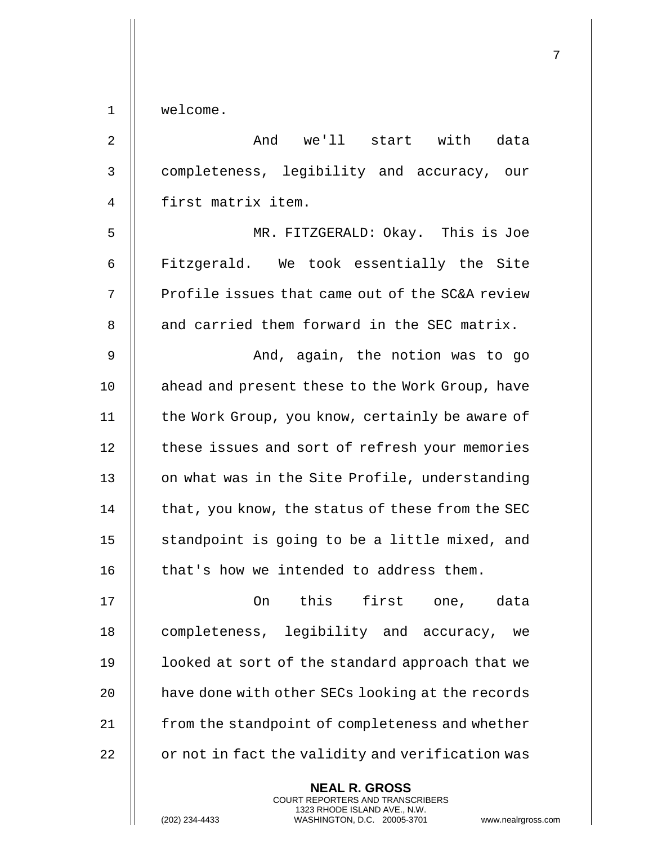1 | welcome.

| $\overline{2}$ | And we'll start with data                        |
|----------------|--------------------------------------------------|
| 3              | completeness, legibility and accuracy, our       |
| 4              | first matrix item.                               |
| 5              | MR. FITZGERALD: Okay. This is Joe                |
| 6              | Fitzgerald. We took essentially the Site         |
| 7              | Profile issues that came out of the SC&A review  |
| 8              | and carried them forward in the SEC matrix.      |
| $\mathsf 9$    | And, again, the notion was to go                 |
| 10             | ahead and present these to the Work Group, have  |
| 11             | the Work Group, you know, certainly be aware of  |
| 12             | these issues and sort of refresh your memories   |
| 13             | on what was in the Site Profile, understanding   |
| 14             | that, you know, the status of these from the SEC |
| 15             | standpoint is going to be a little mixed, and    |
| 16             | that's how we intended to address them.          |
| 17             | On this first one, data                          |
| 18             | completeness, legibility and accuracy,<br>we     |
| 19             | looked at sort of the standard approach that we  |
| 20             | have done with other SECs looking at the records |
| 21             | from the standpoint of completeness and whether  |
| 22             | or not in fact the validity and verification was |
|                | <b>NEAL R. GROSS</b>                             |

COURT REPORTERS AND TRANSCRIBERS 1323 RHODE ISLAND AVE., N.W.

 $\mathsf{II}$ 

(202) 234-4433 WASHINGTON, D.C. 20005-3701 www.nealrgross.com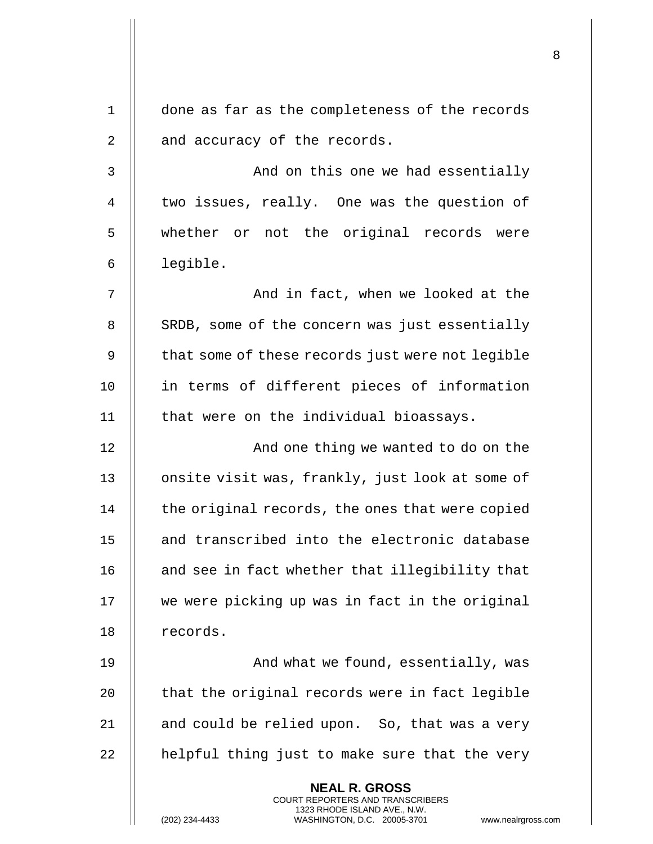| $\mathbf 1$ | done as far as the completeness of the records                                                                                                                  |  |
|-------------|-----------------------------------------------------------------------------------------------------------------------------------------------------------------|--|
| 2           | and accuracy of the records.                                                                                                                                    |  |
| 3           | And on this one we had essentially                                                                                                                              |  |
| 4           | two issues, really. One was the question of                                                                                                                     |  |
| 5           | whether or not the original records were                                                                                                                        |  |
| 6           | legible.                                                                                                                                                        |  |
| 7           | And in fact, when we looked at the                                                                                                                              |  |
| 8           | SRDB, some of the concern was just essentially                                                                                                                  |  |
| 9           | that some of these records just were not legible                                                                                                                |  |
| 10          | in terms of different pieces of information                                                                                                                     |  |
| 11          | that were on the individual bioassays.                                                                                                                          |  |
| 12          | And one thing we wanted to do on the                                                                                                                            |  |
| 13          | onsite visit was, frankly, just look at some of                                                                                                                 |  |
| 14          | the original records, the ones that were copied                                                                                                                 |  |
| 15          | and transcribed into the electronic database                                                                                                                    |  |
| 16          | and see in fact whether that illegibility that                                                                                                                  |  |
| 17          | we were picking up was in fact in the original                                                                                                                  |  |
| 18          | records.                                                                                                                                                        |  |
| 19          | And what we found, essentially, was                                                                                                                             |  |
| 20          | that the original records were in fact legible                                                                                                                  |  |
| 21          | and could be relied upon. So, that was a very                                                                                                                   |  |
| 22          | helpful thing just to make sure that the very                                                                                                                   |  |
|             | <b>NEAL R. GROSS</b><br>COURT REPORTERS AND TRANSCRIBERS<br>1323 RHODE ISLAND AVE., N.W.<br>(202) 234-4433<br>WASHINGTON, D.C. 20005-3701<br>www.nealrgross.com |  |

 $\mathsf{I}$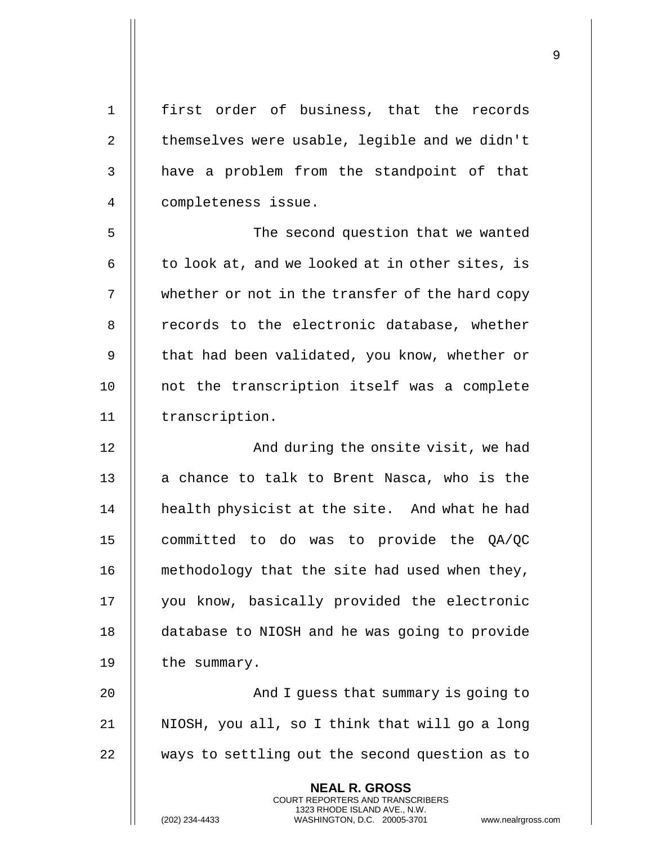| $\mathbf 1$    | first order of business, that the records                                                       |
|----------------|-------------------------------------------------------------------------------------------------|
| $\overline{2}$ | themselves were usable, legible and we didn't                                                   |
| 3              | have a problem from the standpoint of that                                                      |
| 4              | completeness issue.                                                                             |
| 5              | The second question that we wanted                                                              |
| 6              | to look at, and we looked at in other sites, is                                                 |
| 7              | whether or not in the transfer of the hard copy                                                 |
| 8              | records to the electronic database, whether                                                     |
| 9              | that had been validated, you know, whether or                                                   |
| 10             | not the transcription itself was a complete                                                     |
| 11             | transcription.                                                                                  |
| 12             | And during the onsite visit, we had                                                             |
| 13             | a chance to talk to Brent Nasca, who is the                                                     |
| 14             | health physicist at the site. And what he had                                                   |
| 15             | committed to do was to provide the QA/QC                                                        |
| 16             | methodology that the site had used when they,                                                   |
| 17             | you know, basically provided the electronic                                                     |
| 18             | database to NIOSH and he was going to provide                                                   |
| 19             | the summary.                                                                                    |
| 20             | And I guess that summary is going to                                                            |
| 21             | NIOSH, you all, so I think that will go a long                                                  |
| 22             | ways to settling out the second question as to                                                  |
|                | <b>NEAL R. GROSS</b><br><b>COURT REPORTERS AND TRANSCRIBERS</b><br>1323 RHODE ISLAND AVE., N.W. |
|                | (202) 234-4433<br>WASHINGTON, D.C. 20005-3701<br>www.nealrgross                                 |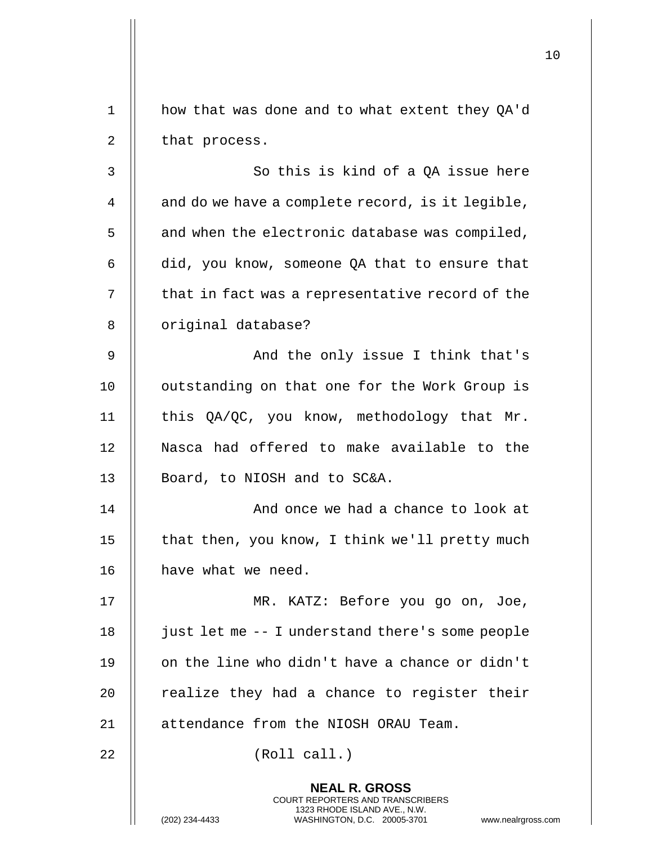|             |                                                                                                                                                                        | 10 |
|-------------|------------------------------------------------------------------------------------------------------------------------------------------------------------------------|----|
| $\mathbf 1$ | how that was done and to what extent they QA'd                                                                                                                         |    |
| 2           | that process.                                                                                                                                                          |    |
| 3           | So this is kind of a QA issue here                                                                                                                                     |    |
| 4           | and do we have a complete record, is it legible,                                                                                                                       |    |
| 5           | and when the electronic database was compiled,                                                                                                                         |    |
| 6           | did, you know, someone QA that to ensure that                                                                                                                          |    |
| 7           | that in fact was a representative record of the                                                                                                                        |    |
| 8           | original database?                                                                                                                                                     |    |
| 9           | And the only issue I think that's                                                                                                                                      |    |
| 10          | outstanding on that one for the Work Group is                                                                                                                          |    |
| 11          | this QA/QC, you know, methodology that Mr.                                                                                                                             |    |
| 12          | Nasca had offered to make available to the                                                                                                                             |    |
| 13          | Board, to NIOSH and to SC&A.                                                                                                                                           |    |
| 14          | And once we had a chance to look at                                                                                                                                    |    |
| 15          | that then, you know, I think we'll pretty much                                                                                                                         |    |
| 16          | have what we need.                                                                                                                                                     |    |
| 17          | MR. KATZ: Before you go on, Joe,                                                                                                                                       |    |
| 18          | just let me -- I understand there's some people                                                                                                                        |    |
| 19          | on the line who didn't have a chance or didn't                                                                                                                         |    |
| 20          | realize they had a chance to register their                                                                                                                            |    |
| 21          | attendance from the NIOSH ORAU Team.                                                                                                                                   |    |
| 22          | (Roll call.)                                                                                                                                                           |    |
|             | <b>NEAL R. GROSS</b><br><b>COURT REPORTERS AND TRANSCRIBERS</b><br>1323 RHODE ISLAND AVE., N.W.<br>(202) 234-4433<br>WASHINGTON, D.C. 20005-3701<br>www.nealrgross.com |    |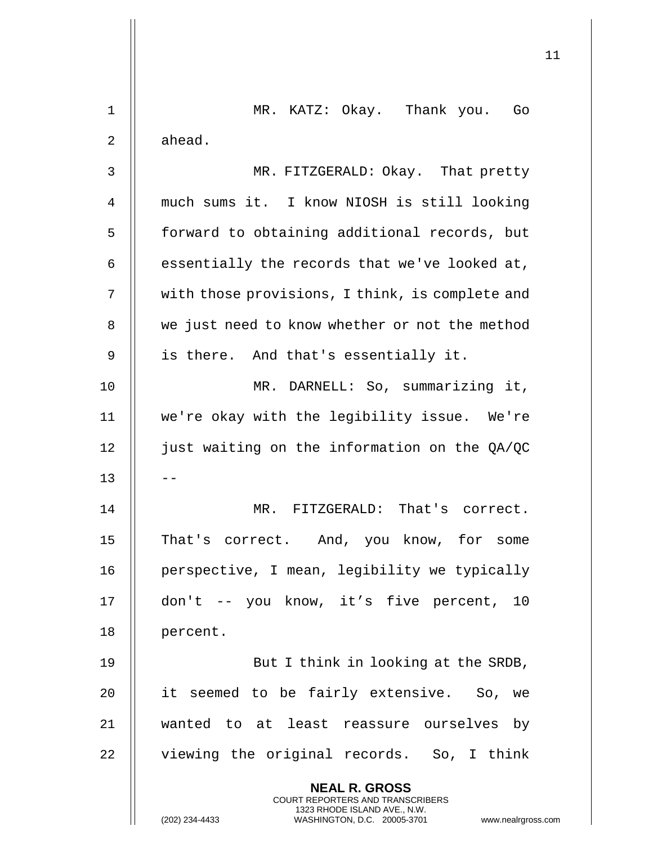|    |                                                                                                                                                                 | 11 |
|----|-----------------------------------------------------------------------------------------------------------------------------------------------------------------|----|
|    |                                                                                                                                                                 |    |
| 1  | MR. KATZ: Okay. Thank you. Go                                                                                                                                   |    |
| 2  | ahead.                                                                                                                                                          |    |
| 3  | MR. FITZGERALD: Okay. That pretty                                                                                                                               |    |
| 4  | much sums it. I know NIOSH is still looking                                                                                                                     |    |
| 5  | forward to obtaining additional records, but                                                                                                                    |    |
| 6  | essentially the records that we've looked at,                                                                                                                   |    |
| 7  | with those provisions, I think, is complete and                                                                                                                 |    |
| 8  | we just need to know whether or not the method                                                                                                                  |    |
| 9  | is there. And that's essentially it.                                                                                                                            |    |
| 10 | MR. DARNELL: So, summarizing it,                                                                                                                                |    |
| 11 | we're okay with the legibility issue. We're                                                                                                                     |    |
| 12 | just waiting on the information on the QA/QC                                                                                                                    |    |
| 13 |                                                                                                                                                                 |    |
| 14 | MR. FITZGERALD: That's correct.                                                                                                                                 |    |
| 15 | That's correct. And, you know, for some                                                                                                                         |    |
| 16 | perspective, I mean, legibility we typically                                                                                                                    |    |
| 17 | don't -- you know, it's five percent, 10                                                                                                                        |    |
| 18 | percent.                                                                                                                                                        |    |
| 19 | But I think in looking at the SRDB,                                                                                                                             |    |
| 20 | it seemed to be fairly extensive. So, we                                                                                                                        |    |
| 21 | wanted to at least reassure ourselves by                                                                                                                        |    |
| 22 | viewing the original records. So, I think                                                                                                                       |    |
|    | <b>NEAL R. GROSS</b><br>COURT REPORTERS AND TRANSCRIBERS<br>1323 RHODE ISLAND AVE., N.W.<br>WASHINGTON, D.C. 20005-3701<br>(202) 234-4433<br>www.nealrgross.com |    |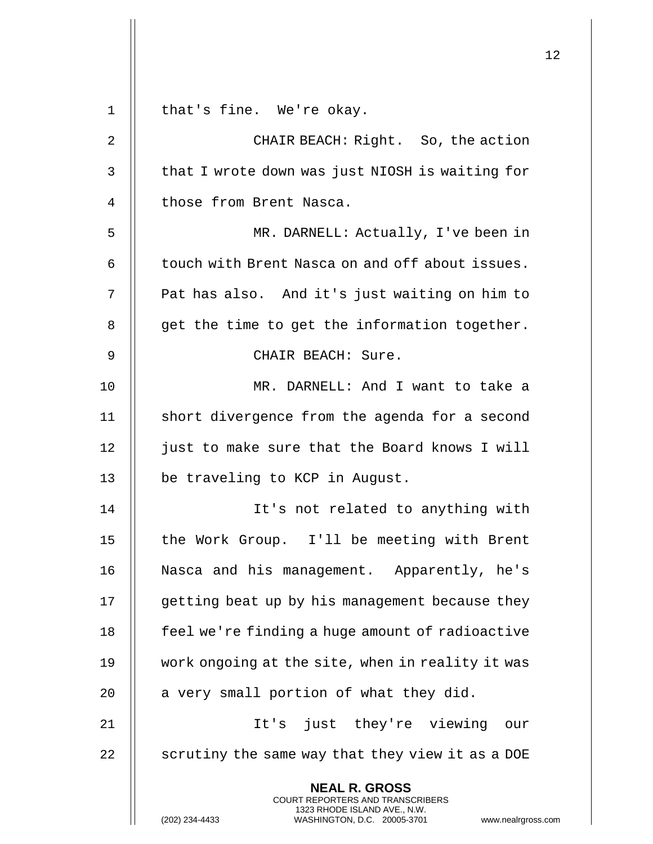|    |                                                                                                                                                                 | 12 |
|----|-----------------------------------------------------------------------------------------------------------------------------------------------------------------|----|
| 1  | that's fine. We're okay.                                                                                                                                        |    |
| 2  | CHAIR BEACH: Right. So, the action                                                                                                                              |    |
| 3  | that I wrote down was just NIOSH is waiting for                                                                                                                 |    |
| 4  | those from Brent Nasca.                                                                                                                                         |    |
| 5  | MR. DARNELL: Actually, I've been in                                                                                                                             |    |
| 6  | touch with Brent Nasca on and off about issues.                                                                                                                 |    |
| 7  | Pat has also. And it's just waiting on him to                                                                                                                   |    |
| 8  | get the time to get the information together.                                                                                                                   |    |
| 9  | CHAIR BEACH: Sure.                                                                                                                                              |    |
| 10 | MR. DARNELL: And I want to take a                                                                                                                               |    |
| 11 | short divergence from the agenda for a second                                                                                                                   |    |
| 12 | just to make sure that the Board knows I will                                                                                                                   |    |
| 13 | be traveling to KCP in August.                                                                                                                                  |    |
| 14 | It's not related to anything with                                                                                                                               |    |
| 15 | the Work Group. I'll be meeting with Brent                                                                                                                      |    |
| 16 | Nasca and his management. Apparently, he's                                                                                                                      |    |
| 17 | getting beat up by his management because they                                                                                                                  |    |
| 18 | feel we're finding a huge amount of radioactive                                                                                                                 |    |
| 19 | work ongoing at the site, when in reality it was                                                                                                                |    |
| 20 | a very small portion of what they did.                                                                                                                          |    |
| 21 | It's just they're viewing our                                                                                                                                   |    |
| 22 | scrutiny the same way that they view it as a DOE                                                                                                                |    |
|    | <b>NEAL R. GROSS</b><br>COURT REPORTERS AND TRANSCRIBERS<br>1323 RHODE ISLAND AVE., N.W.<br>(202) 234-4433<br>WASHINGTON, D.C. 20005-3701<br>www.nealrgross.com |    |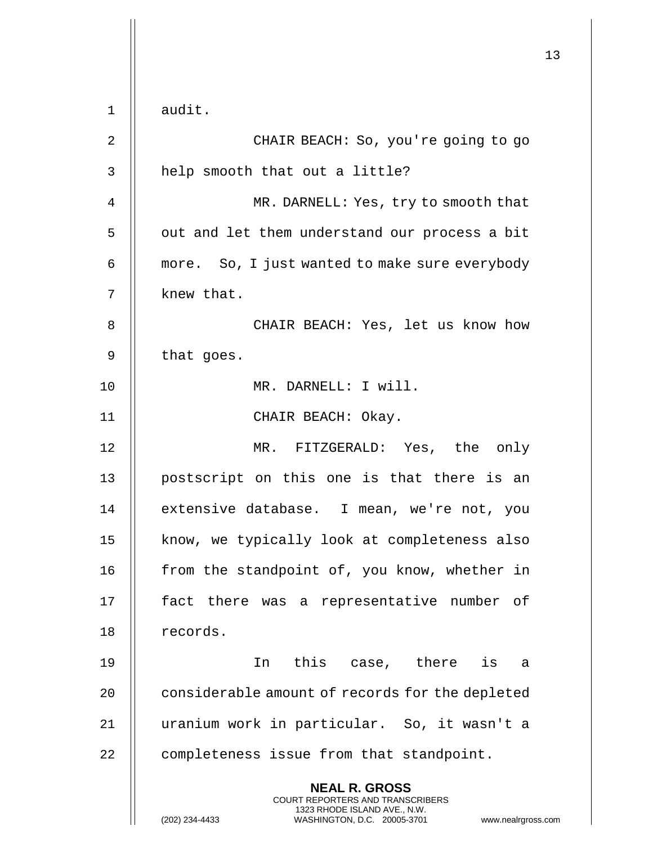|    |                                                                                                                                                                        | 13 |
|----|------------------------------------------------------------------------------------------------------------------------------------------------------------------------|----|
|    |                                                                                                                                                                        |    |
| 1  | audit.                                                                                                                                                                 |    |
| 2  | CHAIR BEACH: So, you're going to go                                                                                                                                    |    |
| 3  | help smooth that out a little?                                                                                                                                         |    |
| 4  | MR. DARNELL: Yes, try to smooth that                                                                                                                                   |    |
| 5  | out and let them understand our process a bit                                                                                                                          |    |
| 6  | more. So, I just wanted to make sure everybody                                                                                                                         |    |
| 7  | knew that.                                                                                                                                                             |    |
| 8  | CHAIR BEACH: Yes, let us know how                                                                                                                                      |    |
| 9  | that goes.                                                                                                                                                             |    |
| 10 | MR. DARNELL: I will.                                                                                                                                                   |    |
| 11 | CHAIR BEACH: Okay.                                                                                                                                                     |    |
| 12 | MR. FITZGERALD: Yes, the only                                                                                                                                          |    |
| 13 | postscript on this one is that there is an                                                                                                                             |    |
| 14 | extensive database. I mean, we're not, you                                                                                                                             |    |
| 15 | know, we typically look at completeness also                                                                                                                           |    |
| 16 | from the standpoint of, you know, whether in                                                                                                                           |    |
| 17 | fact there was a representative number of                                                                                                                              |    |
| 18 | records.                                                                                                                                                               |    |
| 19 | In this case, there<br>is<br>a                                                                                                                                         |    |
| 20 | considerable amount of records for the depleted                                                                                                                        |    |
| 21 | uranium work in particular. So, it wasn't a                                                                                                                            |    |
| 22 | completeness issue from that standpoint.                                                                                                                               |    |
|    | <b>NEAL R. GROSS</b><br><b>COURT REPORTERS AND TRANSCRIBERS</b><br>1323 RHODE ISLAND AVE., N.W.<br>WASHINGTON, D.C. 20005-3701<br>(202) 234-4433<br>www.nealrgross.com |    |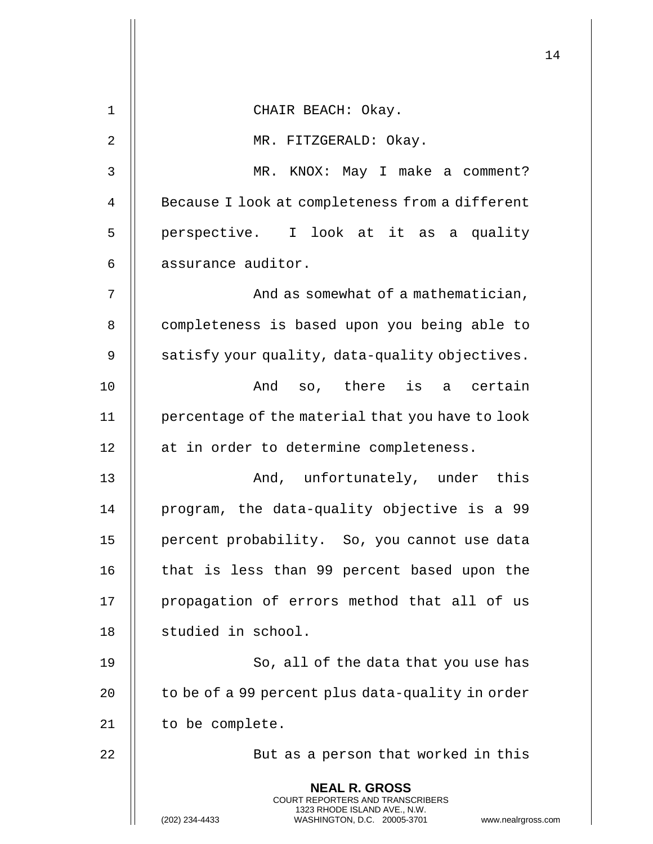|    |                                                                                                                                                                 | 14 |
|----|-----------------------------------------------------------------------------------------------------------------------------------------------------------------|----|
| 1  | CHAIR BEACH: Okay.                                                                                                                                              |    |
| 2  | MR. FITZGERALD: Okay.                                                                                                                                           |    |
| 3  | KNOX: May I make a comment?<br>MR.                                                                                                                              |    |
| 4  | Because I look at completeness from a different                                                                                                                 |    |
| 5  | perspective. I look at it as a quality                                                                                                                          |    |
| 6  | assurance auditor.                                                                                                                                              |    |
| 7  | And as somewhat of a mathematician,                                                                                                                             |    |
| 8  | completeness is based upon you being able to                                                                                                                    |    |
| 9  | satisfy your quality, data-quality objectives.                                                                                                                  |    |
| 10 | so, there is a certain<br>And                                                                                                                                   |    |
| 11 | percentage of the material that you have to look                                                                                                                |    |
| 12 | at in order to determine completeness.                                                                                                                          |    |
| 13 | And, unfortunately, under this                                                                                                                                  |    |
| 14 | program, the data-quality objective is a 99                                                                                                                     |    |
| 15 | percent probability. So, you cannot use data                                                                                                                    |    |
| 16 | that is less than 99 percent based upon the                                                                                                                     |    |
| 17 | propagation of errors method that all of us                                                                                                                     |    |
| 18 | studied in school.                                                                                                                                              |    |
| 19 | So, all of the data that you use has                                                                                                                            |    |
| 20 | to be of a 99 percent plus data-quality in order                                                                                                                |    |
| 21 | to be complete.                                                                                                                                                 |    |
| 22 | But as a person that worked in this                                                                                                                             |    |
|    | <b>NEAL R. GROSS</b><br>COURT REPORTERS AND TRANSCRIBERS<br>1323 RHODE ISLAND AVE., N.W.<br>(202) 234-4433<br>WASHINGTON, D.C. 20005-3701<br>www.nealrgross.com |    |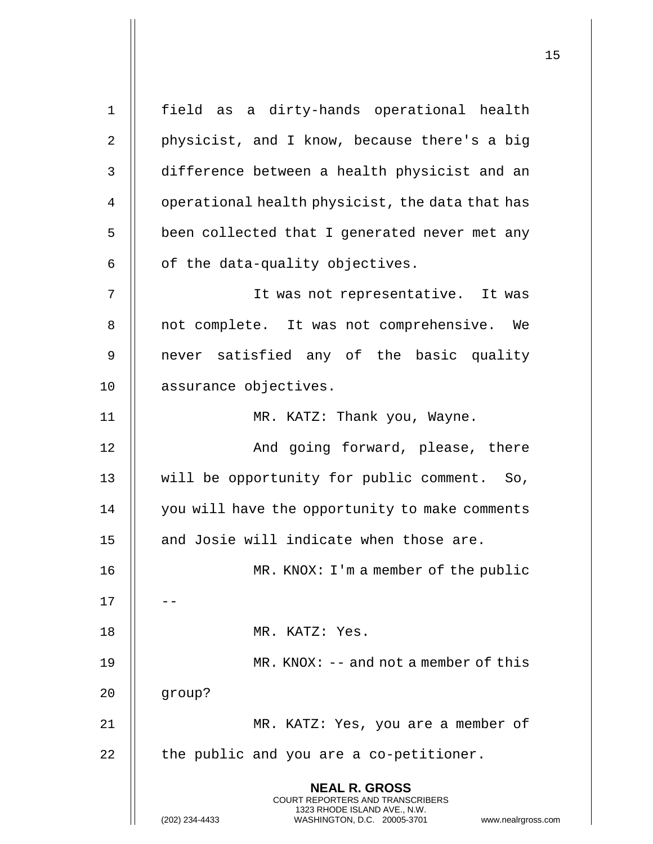**NEAL R. GROSS** COURT REPORTERS AND TRANSCRIBERS 1323 RHODE ISLAND AVE., N.W. (202) 234-4433 WASHINGTON, D.C. 20005-3701 www.nealrgross.com 1 field as a dirty-hands operational health 2  $\parallel$  physicist, and I know, because there's a big 3 difference between a health physicist and an 4 | operational health physicist, the data that has 5 | been collected that I generated never met any  $6$  | of the data-quality objectives. 7 It was not representative. It was 8 || not complete. It was not comprehensive. We 9 || never satisfied any of the basic quality 10 | assurance objectives. 11 || MR. KATZ: Thank you, Wayne. 12 || And going forward, please, there 13 || will be opportunity for public comment. So, 14 | you will have the opportunity to make comments 15 || and Josie will indicate when those are. 16 MR. KNOX: I'm a member of the public 17 18 MR. KATZ: Yes. 19 MR. KNOX: -- and not a member of this 20 group? 21 || MR. KATZ: Yes, you are a member of  $22$  || the public and you are a co-petitioner.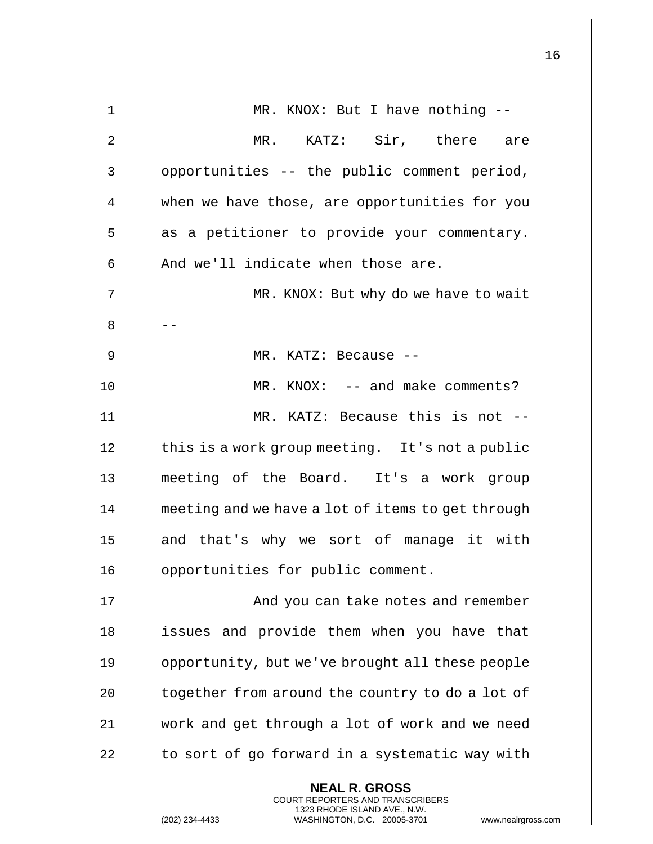|                |                                                                                                                                                                        | 16 |
|----------------|------------------------------------------------------------------------------------------------------------------------------------------------------------------------|----|
| $\mathbf 1$    | MR. KNOX: But I have nothing --                                                                                                                                        |    |
| $\overline{2}$ | MR. KATZ: Sir, there are                                                                                                                                               |    |
| 3              | opportunities -- the public comment period,                                                                                                                            |    |
| 4              | when we have those, are opportunities for you                                                                                                                          |    |
| 5              | as a petitioner to provide your commentary.                                                                                                                            |    |
| 6              | And we'll indicate when those are.                                                                                                                                     |    |
| 7              | MR. KNOX: But why do we have to wait                                                                                                                                   |    |
| 8              |                                                                                                                                                                        |    |
| 9              | MR. KATZ: Because --                                                                                                                                                   |    |
| 10             | $MR. KNOX: -- and make comments?$                                                                                                                                      |    |
|                |                                                                                                                                                                        |    |
| 11             | MR. KATZ: Because this is not --                                                                                                                                       |    |
| 12             | this is a work group meeting. It's not a public                                                                                                                        |    |
| 13             | meeting of the Board. It's a work group                                                                                                                                |    |
| 14             | meeting and we have a lot of items to get through                                                                                                                      |    |
| 15             | and that's why we sort of manage it with                                                                                                                               |    |
| 16             | opportunities for public comment.                                                                                                                                      |    |
| 17             | And you can take notes and remember                                                                                                                                    |    |
| 18             | issues and provide them when you have that                                                                                                                             |    |
| 19             | opportunity, but we've brought all these people                                                                                                                        |    |
| 20             | together from around the country to do a lot of                                                                                                                        |    |
| 21             | work and get through a lot of work and we need                                                                                                                         |    |
| 22             | to sort of go forward in a systematic way with                                                                                                                         |    |
|                | <b>NEAL R. GROSS</b><br><b>COURT REPORTERS AND TRANSCRIBERS</b><br>1323 RHODE ISLAND AVE., N.W.<br>(202) 234-4433<br>WASHINGTON, D.C. 20005-3701<br>www.nealrgross.com |    |

 $\mathop{||}$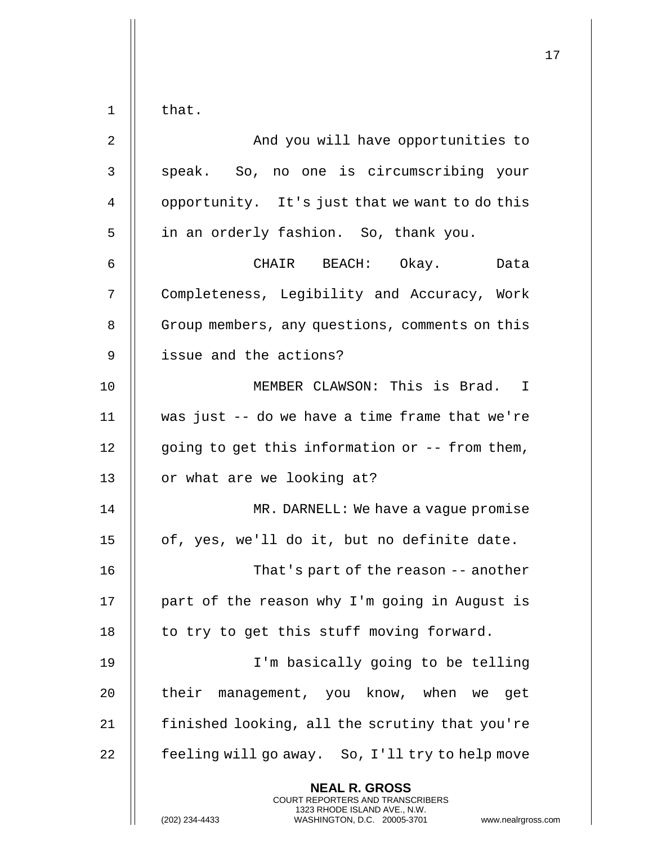|                |                                                                                                                                                                 | 17 |
|----------------|-----------------------------------------------------------------------------------------------------------------------------------------------------------------|----|
| $\mathbf 1$    | that.                                                                                                                                                           |    |
| $\overline{2}$ | And you will have opportunities to                                                                                                                              |    |
| 3              | speak. So, no one is circumscribing your                                                                                                                        |    |
| 4              | opportunity. It's just that we want to do this                                                                                                                  |    |
| 5              | in an orderly fashion. So, thank you.                                                                                                                           |    |
| 6              | CHAIR BEACH: Okay.<br>Data                                                                                                                                      |    |
| 7              | Completeness, Legibility and Accuracy, Work                                                                                                                     |    |
| 8              | Group members, any questions, comments on this                                                                                                                  |    |
| 9              | issue and the actions?                                                                                                                                          |    |
| 10             | MEMBER CLAWSON: This is Brad. I                                                                                                                                 |    |
| 11             | was just -- do we have a time frame that we're                                                                                                                  |    |
| 12             | going to get this information or -- from them,                                                                                                                  |    |
| 13             | or what are we looking at?                                                                                                                                      |    |
| 14             | MR. DARNELL: We have a vague promise                                                                                                                            |    |
| 15             | of, yes, we'll do it, but no definite date.                                                                                                                     |    |
| 16             | That's part of the reason -- another                                                                                                                            |    |
| 17             | part of the reason why I'm going in August is                                                                                                                   |    |
| 18             | to try to get this stuff moving forward.                                                                                                                        |    |
| 19             | I'm basically going to be telling                                                                                                                               |    |
| 20             | their management, you know, when we get                                                                                                                         |    |
| 21             | finished looking, all the scrutiny that you're                                                                                                                  |    |
| 22             | feeling will go away. So, I'll try to help move                                                                                                                 |    |
|                | <b>NEAL R. GROSS</b><br>COURT REPORTERS AND TRANSCRIBERS<br>1323 RHODE ISLAND AVE., N.W.<br>(202) 234-4433<br>WASHINGTON, D.C. 20005-3701<br>www.nealrgross.com |    |

 $\mathbf{I}$  $\mathsf{l}$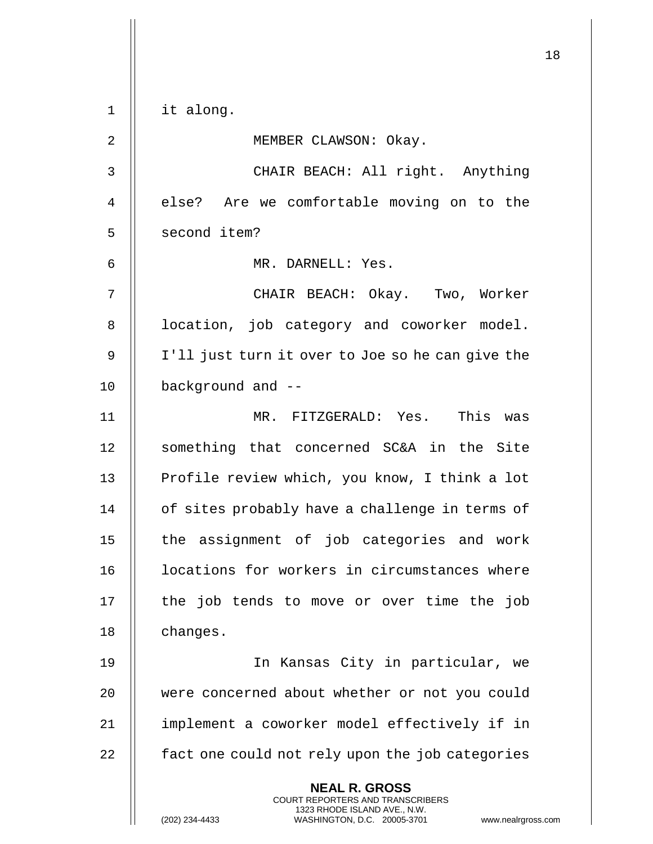|                |                                                                                                 | 18 |
|----------------|-------------------------------------------------------------------------------------------------|----|
| $\mathbf 1$    | it along.                                                                                       |    |
| 2              | MEMBER CLAWSON: Okay.                                                                           |    |
| 3              | CHAIR BEACH: All right. Anything                                                                |    |
| $\overline{4}$ | else? Are we comfortable moving on to the                                                       |    |
| 5              | second item?                                                                                    |    |
| 6              | MR. DARNELL: Yes.                                                                               |    |
| 7              | CHAIR BEACH: Okay. Two, Worker                                                                  |    |
| 8              | location, job category and coworker model.                                                      |    |
| 9              | I'll just turn it over to Joe so he can give the                                                |    |
| 10             | background and --                                                                               |    |
| 11             | MR. FITZGERALD: Yes. This was                                                                   |    |
| 12             | something that concerned SC&A in the Site                                                       |    |
| 13             | Profile review which, you know, I think a lot                                                   |    |
| 14             | of sites probably have a challenge in terms of                                                  |    |
| 15             | the assignment of job categories and work                                                       |    |
| 16             | locations for workers in circumstances where                                                    |    |
| 17             | the job tends to move or over time the job                                                      |    |
| 18             | changes.                                                                                        |    |
| 19             | In Kansas City in particular, we                                                                |    |
| 20             | were concerned about whether or not you could                                                   |    |
| 21             | implement a coworker model effectively if in                                                    |    |
| 22             | fact one could not rely upon the job categories                                                 |    |
|                | <b>NEAL R. GROSS</b><br><b>COURT REPORTERS AND TRANSCRIBERS</b><br>1323 RHODE ISLAND AVE., N.W. |    |
|                | WASHINGTON, D.C. 20005-3701<br>(202) 234-4433<br>www.nealrgross.com                             |    |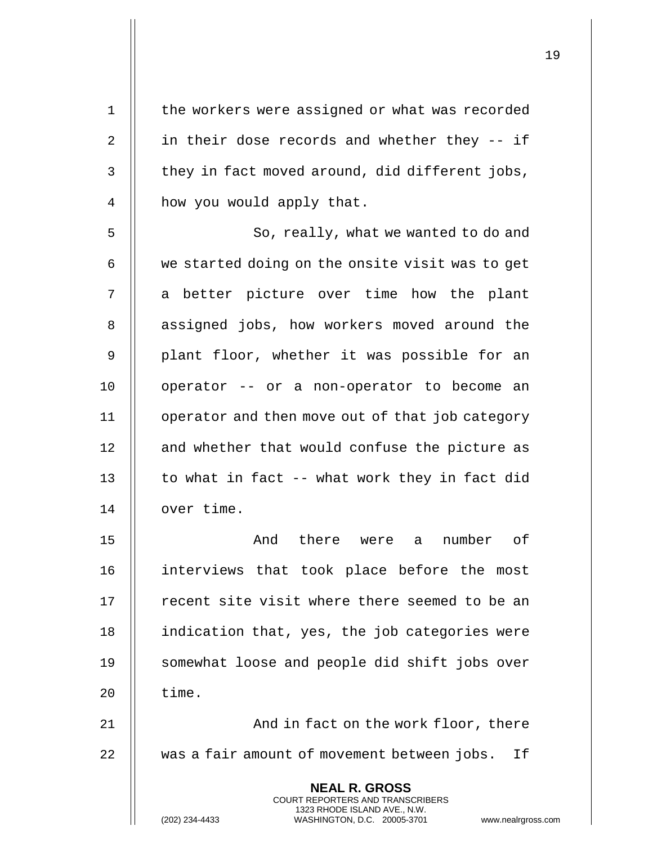| $\mathbf 1$ | the workers were assigned or what was recorded                                                                                                                         |
|-------------|------------------------------------------------------------------------------------------------------------------------------------------------------------------------|
| 2           | in their dose records and whether they -- if                                                                                                                           |
| $\mathsf 3$ | they in fact moved around, did different jobs,                                                                                                                         |
| 4           | how you would apply that.                                                                                                                                              |
| 5           | So, really, what we wanted to do and                                                                                                                                   |
| 6           | we started doing on the onsite visit was to get                                                                                                                        |
| 7           | a better picture over time how the plant                                                                                                                               |
| $\, 8$      | assigned jobs, how workers moved around the                                                                                                                            |
| 9           | plant floor, whether it was possible for an                                                                                                                            |
| 10          | operator -- or a non-operator to become an                                                                                                                             |
| 11          | operator and then move out of that job category                                                                                                                        |
| 12          | and whether that would confuse the picture as                                                                                                                          |
| 13          | to what in fact -- what work they in fact did                                                                                                                          |
| 14          | over time.                                                                                                                                                             |
| 15          | number<br>And<br>there were a<br>оf                                                                                                                                    |
| 16          | interviews that took place before the most                                                                                                                             |
| 17          | recent site visit where there seemed to be an                                                                                                                          |
| 18          | indication that, yes, the job categories were                                                                                                                          |
| 19          | somewhat loose and people did shift jobs over                                                                                                                          |
| 20          | time.                                                                                                                                                                  |
| 21          | And in fact on the work floor, there                                                                                                                                   |
| 22          | was a fair amount of movement between jobs.<br>If                                                                                                                      |
|             | <b>NEAL R. GROSS</b><br><b>COURT REPORTERS AND TRANSCRIBERS</b><br>1323 RHODE ISLAND AVE., N.W.<br>(202) 234-4433<br>WASHINGTON, D.C. 20005-3701<br>www.nealrgross.com |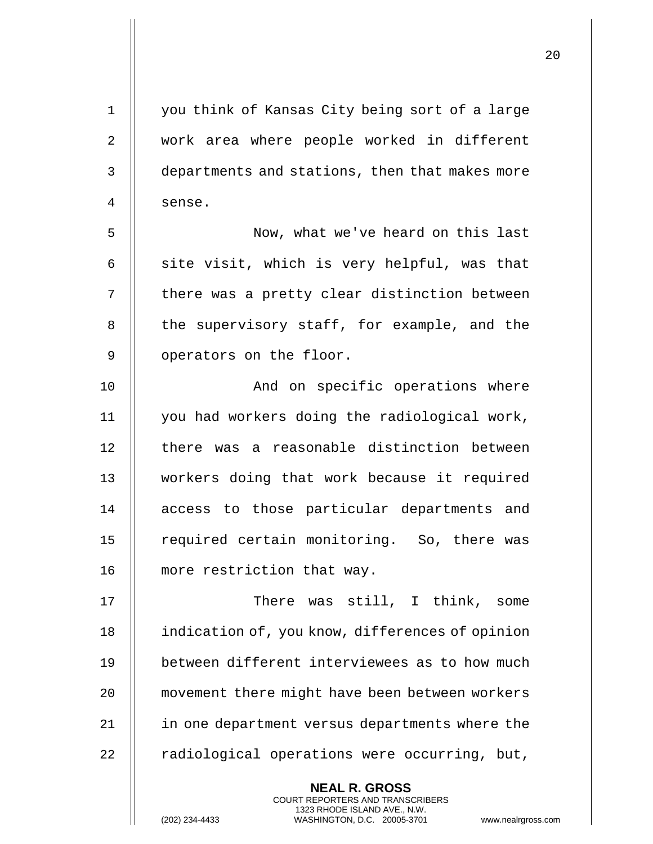1 || you think of Kansas City being sort of a large 2 || work area where people worked in different 3 departments and stations, then that makes more 4 Il sense. 5 Now, what we've heard on this last  $6$  || site visit, which is very helpful, was that 7 | there was a pretty clear distinction between 8 || the supervisory staff, for example, and the 9 | operators on the floor. 10 || And on specific operations where 11 you had workers doing the radiological work, 12 || there was a reasonable distinction between 13 workers doing that work because it required 14 || access to those particular departments and 15 || required certain monitoring. So, there was 16 || more restriction that way. 17 There was still, I think, some 18 | indication of, you know, differences of opinion 19 || between different interviewees as to how much 20 **movement there might have been between workers** 21 in one department versus departments where the

> **NEAL R. GROSS** COURT REPORTERS AND TRANSCRIBERS 1323 RHODE ISLAND AVE., N.W.

 $22$  || radiological operations were occurring, but,

20

(202) 234-4433 WASHINGTON, D.C. 20005-3701 www.nealrgross.com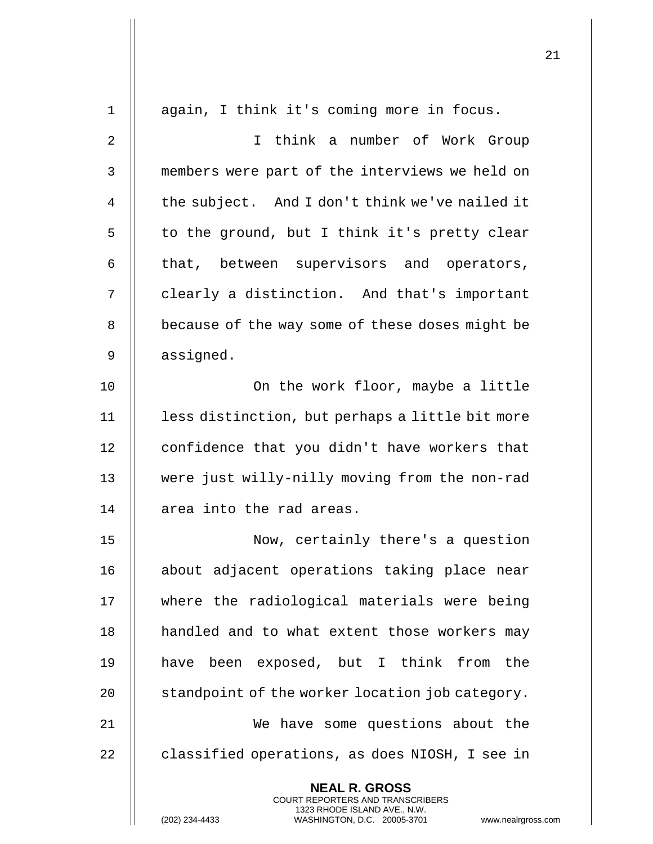| $\mathbf 1$    | again, I think it's coming more in focus.                                                                                                                       |
|----------------|-----------------------------------------------------------------------------------------------------------------------------------------------------------------|
| $\overline{2}$ | I think a number of Work Group                                                                                                                                  |
| 3              | members were part of the interviews we held on                                                                                                                  |
| 4              | the subject. And I don't think we've nailed it                                                                                                                  |
| 5              | to the ground, but I think it's pretty clear                                                                                                                    |
| 6              | that, between supervisors and operators,                                                                                                                        |
| 7              | clearly a distinction. And that's important                                                                                                                     |
| 8              | because of the way some of these doses might be                                                                                                                 |
| 9              | assigned.                                                                                                                                                       |
| 10             | On the work floor, maybe a little                                                                                                                               |
| 11             | less distinction, but perhaps a little bit more                                                                                                                 |
| 12             | confidence that you didn't have workers that                                                                                                                    |
| 13             | were just willy-nilly moving from the non-rad                                                                                                                   |
| 14             | area into the rad areas.                                                                                                                                        |
| 15             | Now, certainly there's a question                                                                                                                               |
| 16             | about adjacent operations taking place near                                                                                                                     |
| 17             | where the radiological materials were being                                                                                                                     |
| 18             | handled and to what extent those workers may                                                                                                                    |
| 19             | have been exposed, but I think from the                                                                                                                         |
| 20             | standpoint of the worker location job category.                                                                                                                 |
| 21             | We have some questions about the                                                                                                                                |
| 22             | classified operations, as does NIOSH, I see in                                                                                                                  |
|                | <b>NEAL R. GROSS</b><br>COURT REPORTERS AND TRANSCRIBERS<br>1323 RHODE ISLAND AVE., N.W.<br>(202) 234-4433<br>WASHINGTON, D.C. 20005-3701<br>www.nealrgross.com |

 $\mathsf{I}$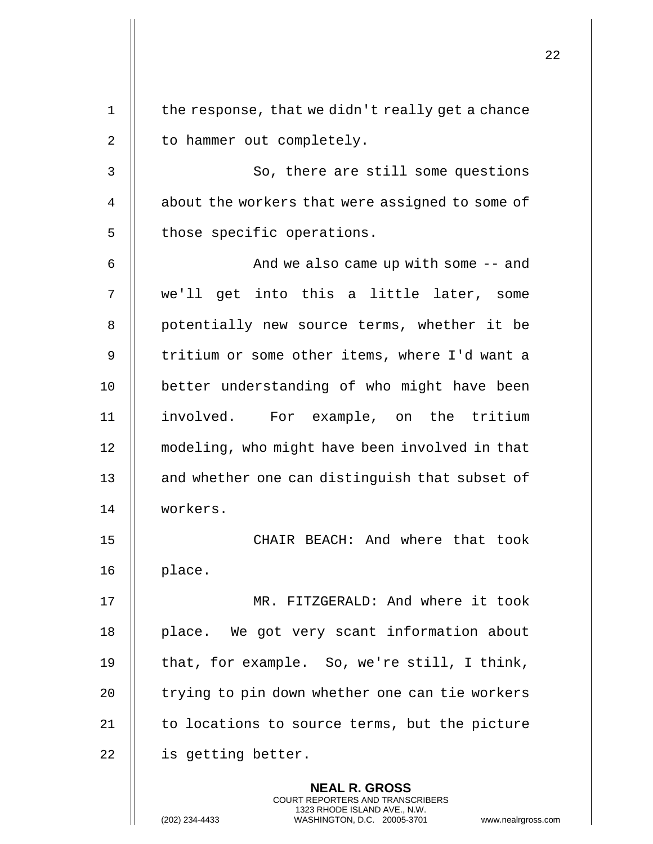| $\mathbf 1$ | the response, that we didn't really get a chance                                                                                                                   |
|-------------|--------------------------------------------------------------------------------------------------------------------------------------------------------------------|
| 2           | to hammer out completely.                                                                                                                                          |
| 3           | So, there are still some questions                                                                                                                                 |
| 4           | about the workers that were assigned to some of                                                                                                                    |
| 5           | those specific operations.                                                                                                                                         |
| 6           | And we also came up with some $-$ and                                                                                                                              |
| 7           | we'll get into this a little later, some                                                                                                                           |
| 8           | potentially new source terms, whether it be                                                                                                                        |
| 9           | tritium or some other items, where I'd want a                                                                                                                      |
| 10          | better understanding of who might have been                                                                                                                        |
| 11          | involved. For example, on the tritium                                                                                                                              |
| 12          | modeling, who might have been involved in that                                                                                                                     |
| 13          | and whether one can distinguish that subset of                                                                                                                     |
| 14          | workers.                                                                                                                                                           |
| 15          | CHAIR BEACH: And where that took                                                                                                                                   |
| 16          | place.                                                                                                                                                             |
| 17          | MR. FITZGERALD: And where it took                                                                                                                                  |
| 18          | place. We got very scant information about                                                                                                                         |
| 19          | that, for example. So, we're still, I think,                                                                                                                       |
| 20          | trying to pin down whether one can tie workers                                                                                                                     |
| 21          | to locations to source terms, but the picture                                                                                                                      |
| 22          | is getting better.                                                                                                                                                 |
|             | <b>NEAL R. GROSS</b><br><b>COURT REPORTERS AND TRANSCRIBERS</b><br>1323 RHODE ISLAND AVE., N.W.<br>(202) 234-4433<br>WASHINGTON, D.C. 20005-3701<br>www.nealrgross |

(202) 234-4433 WASHINGTON, D.C. 20005-3701 www.nealrgross.com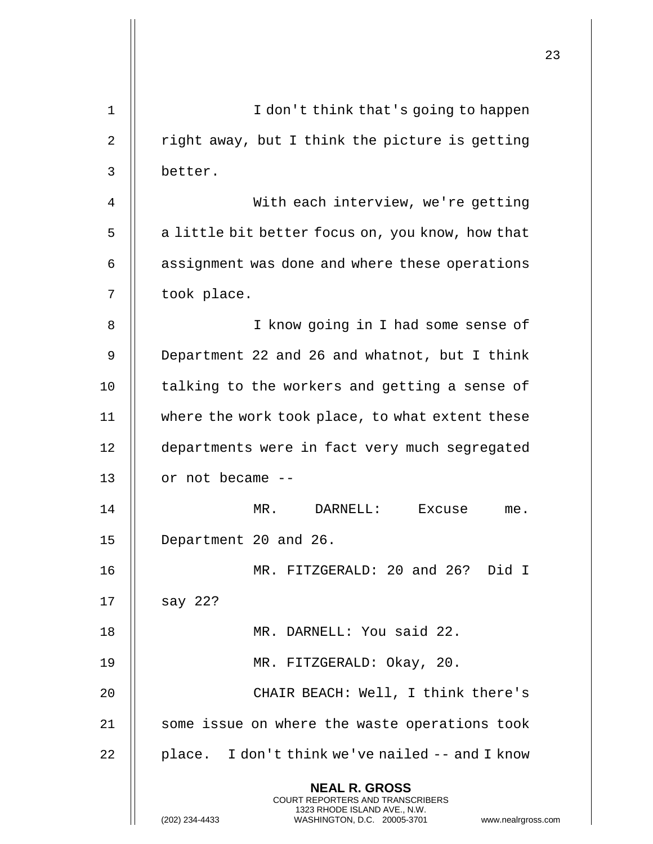|             |                                                                                                                                                                        | 23 |
|-------------|------------------------------------------------------------------------------------------------------------------------------------------------------------------------|----|
| $\mathbf 1$ | I don't think that's going to happen                                                                                                                                   |    |
| 2           | right away, but I think the picture is getting                                                                                                                         |    |
| 3           | better.                                                                                                                                                                |    |
| 4           | With each interview, we're getting                                                                                                                                     |    |
| 5           | a little bit better focus on, you know, how that                                                                                                                       |    |
| 6           | assignment was done and where these operations                                                                                                                         |    |
| 7           | took place.                                                                                                                                                            |    |
| 8           | I know going in I had some sense of                                                                                                                                    |    |
| 9           | Department 22 and 26 and whatnot, but I think                                                                                                                          |    |
| 10          | talking to the workers and getting a sense of                                                                                                                          |    |
| 11          | where the work took place, to what extent these                                                                                                                        |    |
| 12          | departments were in fact very much segregated                                                                                                                          |    |
| 13          | or not became --                                                                                                                                                       |    |
| 14          | MR. DARNELL: Excuse<br>me.                                                                                                                                             |    |
| 15          | Department 20 and 26.                                                                                                                                                  |    |
| 16          | MR. FITZGERALD: 20 and 26? Did I                                                                                                                                       |    |
| 17          | say $22?$                                                                                                                                                              |    |
| 18          | MR. DARNELL: You said 22.                                                                                                                                              |    |
| 19          | MR. FITZGERALD: Okay, 20.                                                                                                                                              |    |
| 20          | CHAIR BEACH: Well, I think there's                                                                                                                                     |    |
| 21          | some issue on where the waste operations took                                                                                                                          |    |
| 22          | place. I don't think we've nailed -- and I know                                                                                                                        |    |
|             | <b>NEAL R. GROSS</b><br><b>COURT REPORTERS AND TRANSCRIBERS</b><br>1323 RHODE ISLAND AVE., N.W.<br>(202) 234-4433<br>WASHINGTON, D.C. 20005-3701<br>www.nealrgross.com |    |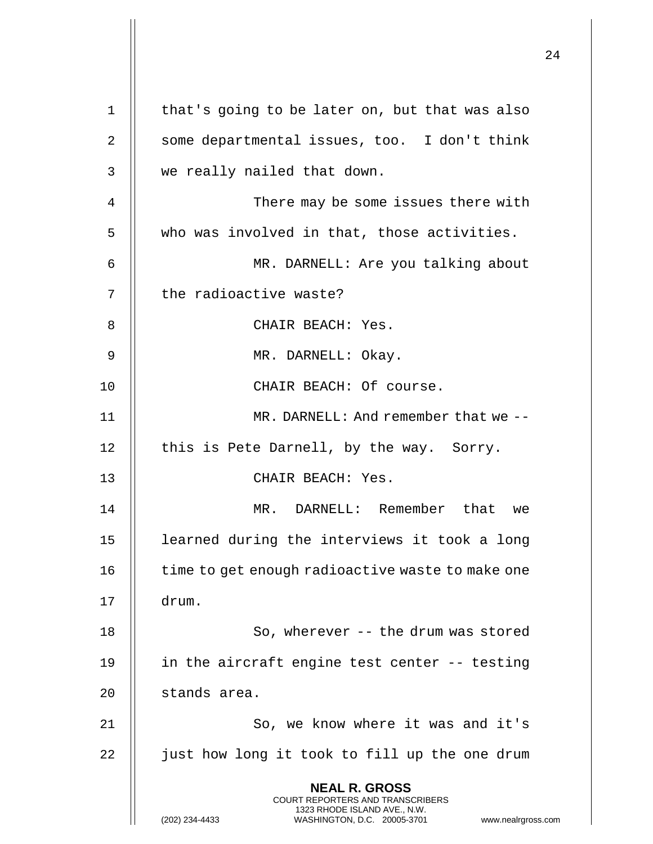|             |                                                                                                                                                                        | 24 |
|-------------|------------------------------------------------------------------------------------------------------------------------------------------------------------------------|----|
| $\mathbf 1$ | that's going to be later on, but that was also                                                                                                                         |    |
| 2           | some departmental issues, too. I don't think                                                                                                                           |    |
| 3           | we really nailed that down.                                                                                                                                            |    |
| 4           | There may be some issues there with                                                                                                                                    |    |
| 5           | who was involved in that, those activities.                                                                                                                            |    |
| 6           | MR. DARNELL: Are you talking about                                                                                                                                     |    |
| 7           | the radioactive waste?                                                                                                                                                 |    |
| 8           | CHAIR BEACH: Yes.                                                                                                                                                      |    |
| 9           | MR. DARNELL: Okay.                                                                                                                                                     |    |
| 10          | CHAIR BEACH: Of course.                                                                                                                                                |    |
| 11          | MR. DARNELL: And remember that we --                                                                                                                                   |    |
| 12          | this is Pete Darnell, by the way. Sorry.                                                                                                                               |    |
| 13          | CHAIR BEACH: Yes.                                                                                                                                                      |    |
| 14          | DARNELL: Remember that<br>MR.<br>we                                                                                                                                    |    |
| 15          | learned during the interviews it took a long                                                                                                                           |    |
| 16          | time to get enough radioactive waste to make one                                                                                                                       |    |
| 17          | drum.                                                                                                                                                                  |    |
| 18          | So, wherever -- the drum was stored                                                                                                                                    |    |
| 19          | in the aircraft engine test center -- testing                                                                                                                          |    |
| 20          | stands area.                                                                                                                                                           |    |
| 21          | So, we know where it was and it's                                                                                                                                      |    |
| 22          | just how long it took to fill up the one drum                                                                                                                          |    |
|             | <b>NEAL R. GROSS</b><br><b>COURT REPORTERS AND TRANSCRIBERS</b><br>1323 RHODE ISLAND AVE., N.W.<br>(202) 234-4433<br>WASHINGTON, D.C. 20005-3701<br>www.nealrgross.com |    |

 $\overline{1}$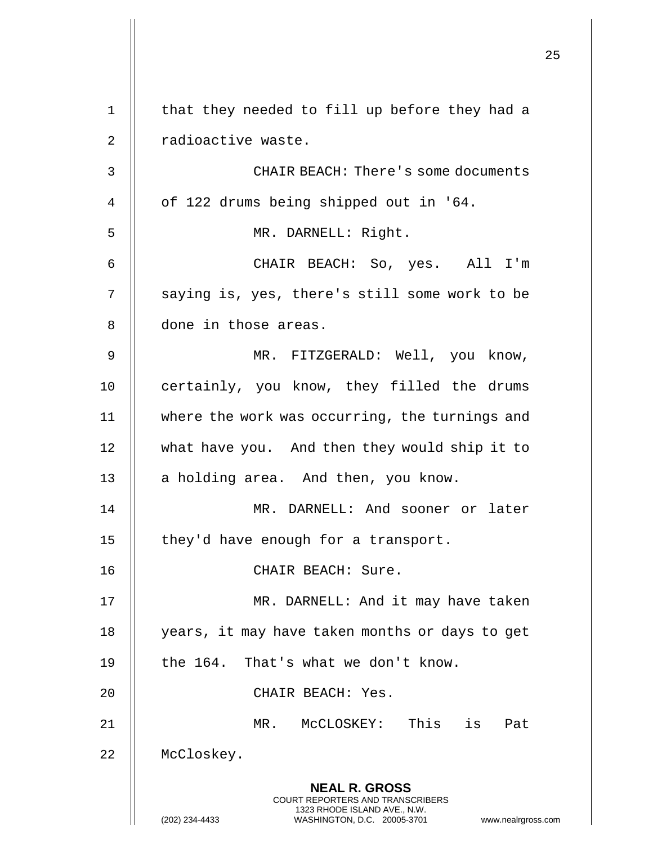|       |                                                                                                                                                                        | 25 |
|-------|------------------------------------------------------------------------------------------------------------------------------------------------------------------------|----|
|       |                                                                                                                                                                        |    |
| $1\,$ | that they needed to fill up before they had a                                                                                                                          |    |
| 2     | radioactive waste.                                                                                                                                                     |    |
| 3     | CHAIR BEACH: There's some documents                                                                                                                                    |    |
| 4     | of 122 drums being shipped out in '64.                                                                                                                                 |    |
| 5     | MR. DARNELL: Right.                                                                                                                                                    |    |
| 6     | CHAIR BEACH: So, yes. All I'm                                                                                                                                          |    |
| 7     | saying is, yes, there's still some work to be                                                                                                                          |    |
| 8     | done in those areas.                                                                                                                                                   |    |
| 9     | MR. FITZGERALD: Well, you know,                                                                                                                                        |    |
| 10    | certainly, you know, they filled the drums                                                                                                                             |    |
| 11    | where the work was occurring, the turnings and                                                                                                                         |    |
| 12    | what have you. And then they would ship it to                                                                                                                          |    |
| 13    | a holding area. And then, you know.                                                                                                                                    |    |
| 14    | MR. DARNELL: And sooner or later                                                                                                                                       |    |
| 15    | they'd have enough for a transport.                                                                                                                                    |    |
| 16    | CHAIR BEACH: Sure.                                                                                                                                                     |    |
| 17    | MR. DARNELL: And it may have taken                                                                                                                                     |    |
| 18    | years, it may have taken months or days to get                                                                                                                         |    |
| 19    | the 164. That's what we don't know.                                                                                                                                    |    |
| 20    | CHAIR BEACH: Yes.                                                                                                                                                      |    |
| 21    | This is<br>MR. MCCLOSKEY:<br>Pat                                                                                                                                       |    |
| 22    | McCloskey.                                                                                                                                                             |    |
|       | <b>NEAL R. GROSS</b><br><b>COURT REPORTERS AND TRANSCRIBERS</b><br>1323 RHODE ISLAND AVE., N.W.<br>(202) 234-4433<br>WASHINGTON, D.C. 20005-3701<br>www.nealrgross.com |    |
|       |                                                                                                                                                                        |    |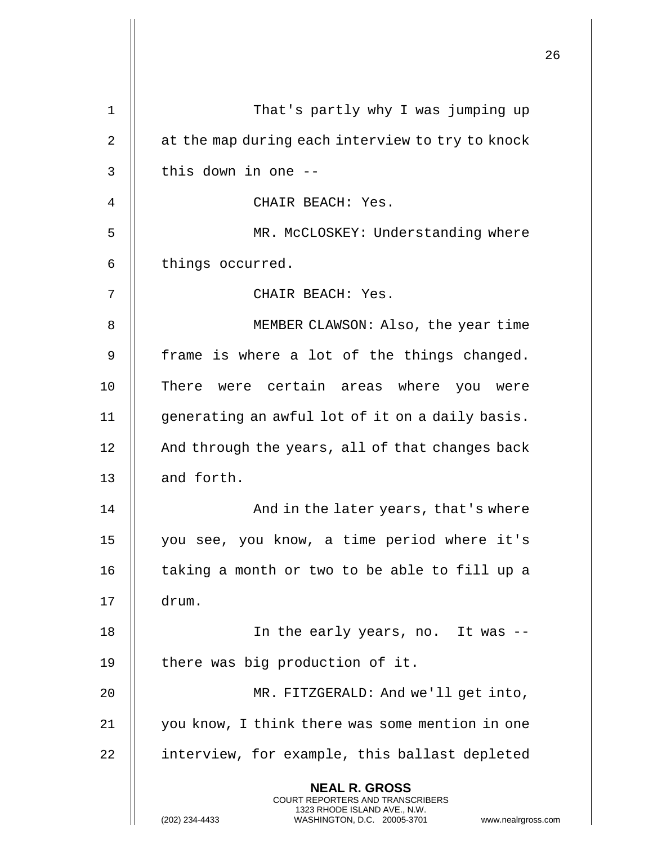|    |                                                                                                                                                                        | 26 |
|----|------------------------------------------------------------------------------------------------------------------------------------------------------------------------|----|
| 1  | That's partly why I was jumping up                                                                                                                                     |    |
| 2  | at the map during each interview to try to knock                                                                                                                       |    |
| 3  | this down in one --                                                                                                                                                    |    |
| 4  | CHAIR BEACH: Yes.                                                                                                                                                      |    |
| 5  | MR. McCLOSKEY: Understanding where                                                                                                                                     |    |
| 6  | things occurred.                                                                                                                                                       |    |
| 7  | CHAIR BEACH: Yes.                                                                                                                                                      |    |
| 8  | MEMBER CLAWSON: Also, the year time                                                                                                                                    |    |
| 9  | frame is where a lot of the things changed.                                                                                                                            |    |
| 10 | There were certain areas where you were                                                                                                                                |    |
| 11 | generating an awful lot of it on a daily basis.                                                                                                                        |    |
| 12 | And through the years, all of that changes back                                                                                                                        |    |
| 13 | and forth.                                                                                                                                                             |    |
| 14 | And in the later years, that's where                                                                                                                                   |    |
| 15 | you see, you know, a time period where it's                                                                                                                            |    |
| 16 | taking a month or two to be able to fill up a                                                                                                                          |    |
| 17 | drum.                                                                                                                                                                  |    |
| 18 | In the early years, no. It was --                                                                                                                                      |    |
| 19 | there was big production of it.                                                                                                                                        |    |
| 20 | MR. FITZGERALD: And we'll get into,                                                                                                                                    |    |
| 21 | you know, I think there was some mention in one                                                                                                                        |    |
| 22 | interview, for example, this ballast depleted                                                                                                                          |    |
|    | <b>NEAL R. GROSS</b><br><b>COURT REPORTERS AND TRANSCRIBERS</b><br>1323 RHODE ISLAND AVE., N.W.<br>(202) 234-4433<br>WASHINGTON, D.C. 20005-3701<br>www.nealrgross.com |    |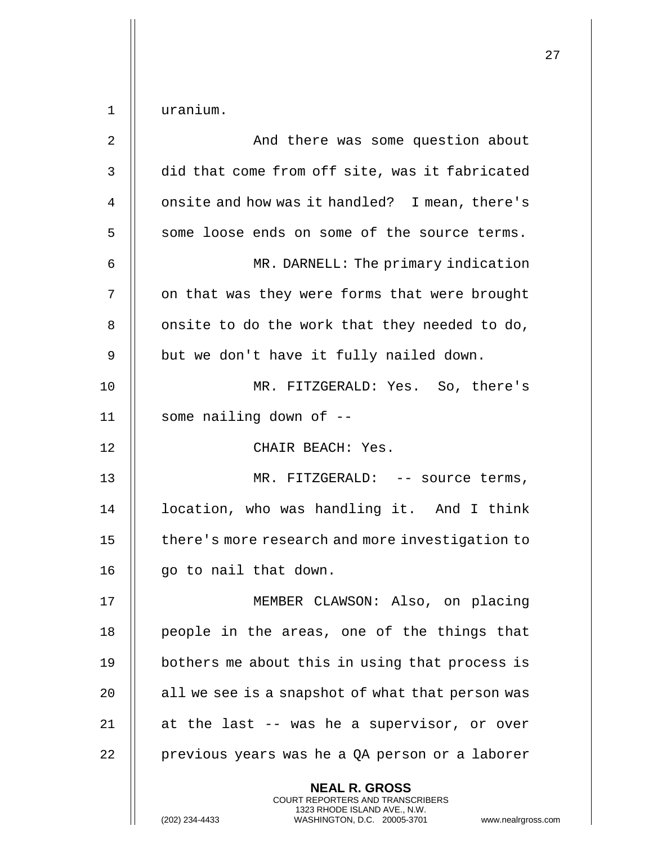| $\mathbf 1$    | uranium.                                                                                                                                                           |
|----------------|--------------------------------------------------------------------------------------------------------------------------------------------------------------------|
| $\overline{2}$ | And there was some question about                                                                                                                                  |
| 3              | did that come from off site, was it fabricated                                                                                                                     |
| 4              | onsite and how was it handled? I mean, there's                                                                                                                     |
| 5              | some loose ends on some of the source terms.                                                                                                                       |
| 6              | MR. DARNELL: The primary indication                                                                                                                                |
| 7              | on that was they were forms that were brought                                                                                                                      |
| 8              | onsite to do the work that they needed to do,                                                                                                                      |
| 9              | but we don't have it fully nailed down.                                                                                                                            |
| 10             | MR. FITZGERALD: Yes. So, there's                                                                                                                                   |
| 11             | some nailing down of --                                                                                                                                            |
| 12             | CHAIR BEACH: Yes.                                                                                                                                                  |
| 13             | MR. FITZGERALD: -- source terms,                                                                                                                                   |
| 14             | location, who was handling it. And I think                                                                                                                         |
| 15             | there's more research and more investigation to                                                                                                                    |
| 16             | go to nail that down.                                                                                                                                              |
| 17             | MEMBER CLAWSON: Also, on placing                                                                                                                                   |
| 18             | people in the areas, one of the things that                                                                                                                        |
| 19             | bothers me about this in using that process is                                                                                                                     |
| 20             | all we see is a snapshot of what that person was                                                                                                                   |
| 21             | at the last -- was he a supervisor, or over                                                                                                                        |
| 22             | previous years was he a QA person or a laborer                                                                                                                     |
|                | <b>NEAL R. GROSS</b><br><b>COURT REPORTERS AND TRANSCRIBERS</b><br>1323 RHODE ISLAND AVE., N.W.<br>(202) 234-4433<br>WASHINGTON, D.C. 20005-3701<br>www.nealrgross |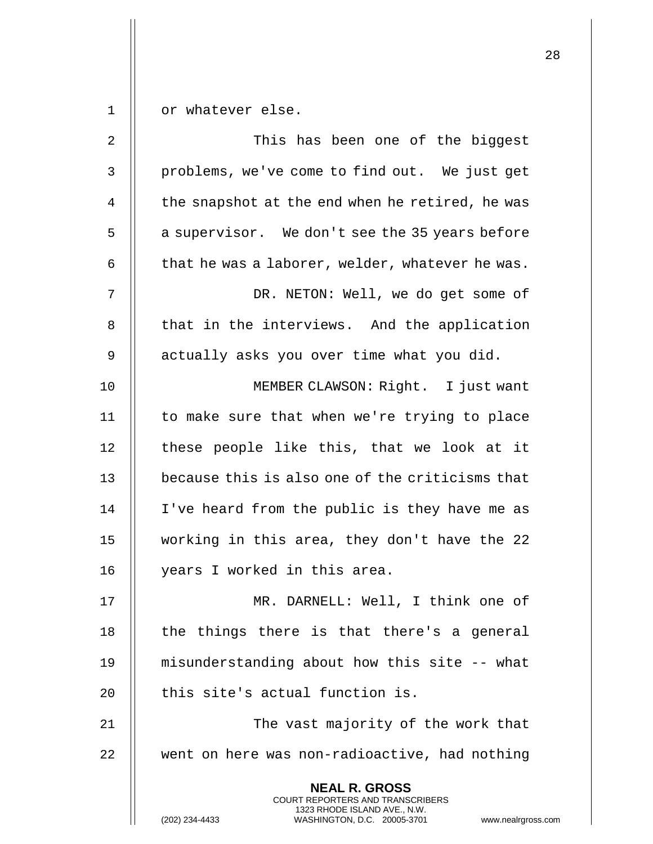1 | or whatever else.

| 2  | This has been one of the biggest                                                                                                                                       |
|----|------------------------------------------------------------------------------------------------------------------------------------------------------------------------|
| 3  | problems, we've come to find out. We just get                                                                                                                          |
| 4  | the snapshot at the end when he retired, he was                                                                                                                        |
| 5  | a supervisor. We don't see the 35 years before                                                                                                                         |
| 6  | that he was a laborer, welder, whatever he was.                                                                                                                        |
| 7  | DR. NETON: Well, we do get some of                                                                                                                                     |
| 8  | that in the interviews. And the application                                                                                                                            |
| 9  | actually asks you over time what you did.                                                                                                                              |
| 10 | MEMBER CLAWSON: Right. I just want                                                                                                                                     |
| 11 | to make sure that when we're trying to place                                                                                                                           |
| 12 | these people like this, that we look at it                                                                                                                             |
| 13 | because this is also one of the criticisms that                                                                                                                        |
| 14 | I've heard from the public is they have me as                                                                                                                          |
| 15 | working in this area, they don't have the 22                                                                                                                           |
| 16 | years I worked in this area.                                                                                                                                           |
| 17 | MR. DARNELL: Well, I think one of                                                                                                                                      |
| 18 | the things there is that there's a general                                                                                                                             |
| 19 | misunderstanding about how this site -- what                                                                                                                           |
| 20 | this site's actual function is.                                                                                                                                        |
| 21 | The vast majority of the work that                                                                                                                                     |
| 22 | went on here was non-radioactive, had nothing                                                                                                                          |
|    | <b>NEAL R. GROSS</b><br><b>COURT REPORTERS AND TRANSCRIBERS</b><br>1323 RHODE ISLAND AVE., N.W.<br>(202) 234-4433<br>WASHINGTON, D.C. 20005-3701<br>www.nealrgross.com |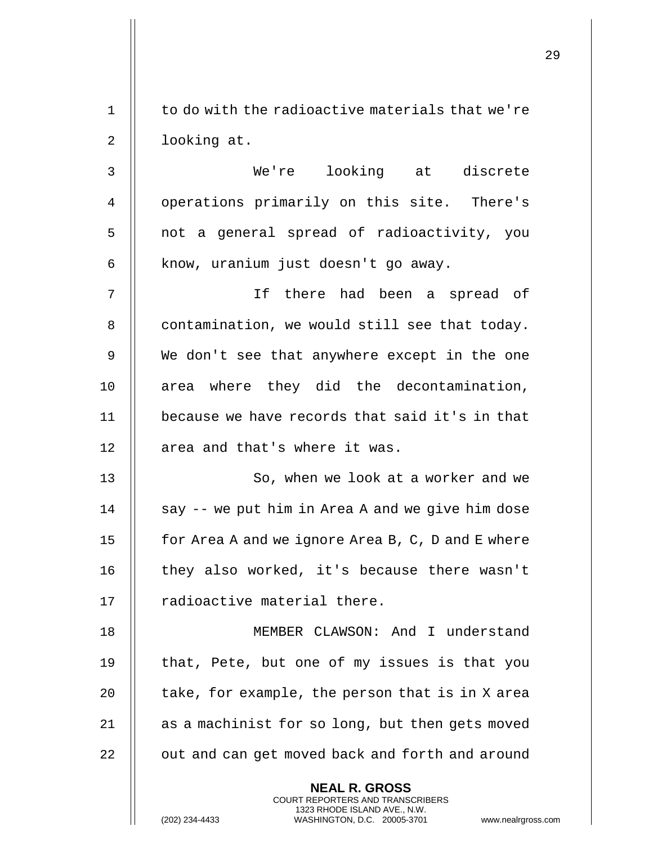|             |                                                                                                                                                                 | 29 |
|-------------|-----------------------------------------------------------------------------------------------------------------------------------------------------------------|----|
| $\mathbf 1$ | to do with the radioactive materials that we're                                                                                                                 |    |
| 2           | looking at.                                                                                                                                                     |    |
| 3           | We're looking at discrete                                                                                                                                       |    |
| 4           | operations primarily on this site. There's                                                                                                                      |    |
| 5           | not a general spread of radioactivity, you                                                                                                                      |    |
| 6           | know, uranium just doesn't go away.                                                                                                                             |    |
| 7           | If there had been a spread of                                                                                                                                   |    |
| 8           | contamination, we would still see that today.                                                                                                                   |    |
| 9           | We don't see that anywhere except in the one                                                                                                                    |    |
| 10          | area where they did the decontamination,                                                                                                                        |    |
| 11          | because we have records that said it's in that                                                                                                                  |    |
| 12          | area and that's where it was.                                                                                                                                   |    |
| 13          | So, when we look at a worker and we                                                                                                                             |    |
| 14          | say -- we put him in Area A and we give him dose                                                                                                                |    |
| 15          | for Area A and we ignore Area B, C, D and E where                                                                                                               |    |
| 16          | they also worked, it's because there wasn't                                                                                                                     |    |
| 17          | radioactive material there.                                                                                                                                     |    |
| 18          | MEMBER CLAWSON: And I understand                                                                                                                                |    |
| 19          | that, Pete, but one of my issues is that you                                                                                                                    |    |
| 20          | take, for example, the person that is in X area                                                                                                                 |    |
| 21          | as a machinist for so long, but then gets moved                                                                                                                 |    |
| 22          | out and can get moved back and forth and around                                                                                                                 |    |
|             | <b>NEAL R. GROSS</b><br>COURT REPORTERS AND TRANSCRIBERS<br>1323 RHODE ISLAND AVE., N.W.<br>(202) 234-4433<br>WASHINGTON, D.C. 20005-3701<br>www.nealrgross.com |    |

 $\mathop{||}$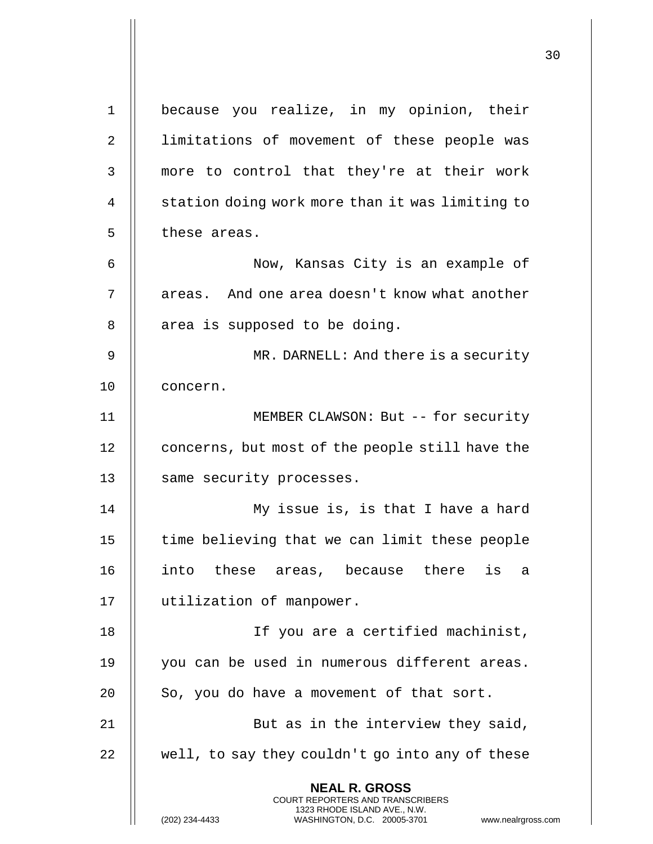**NEAL R. GROSS** COURT REPORTERS AND TRANSCRIBERS 1323 RHODE ISLAND AVE., N.W. (202) 234-4433 WASHINGTON, D.C. 20005-3701 www.nealrgross.com 1 || because you realize, in my opinion, their 2 || limitations of movement of these people was 3 || more to control that they're at their work 4 | station doing work more than it was limiting to 5 | these areas. 6 Now, Kansas City is an example of 7 || areas. And one area doesn't know what another 8 | area is supposed to be doing. 9 || MR. DARNELL: And there is a security 10 | concern. 11 MEMBER CLAWSON: But -- for security 12 | concerns, but most of the people still have the 13 | same security processes. 14 || My issue is, is that I have a hard  $15$   $\parallel$  time believing that we can limit these people 16 into these areas, because there is a 17 utilization of manpower. 18 If you are a certified machinist, 19 || you can be used in numerous different areas.  $20$  | So, you do have a movement of that sort. 21 || But as in the interview they said,  $22$   $\parallel$  well, to say they couldn't go into any of these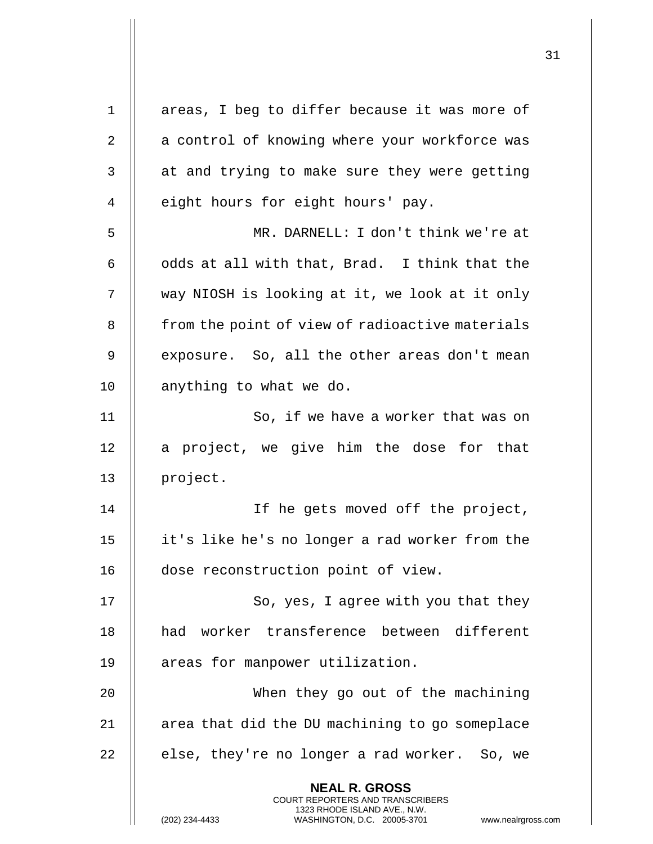| $\mathbf 1$ | areas, I beg to differ because it was more of                                                                                                                      |
|-------------|--------------------------------------------------------------------------------------------------------------------------------------------------------------------|
| 2           | a control of knowing where your workforce was                                                                                                                      |
| 3           | at and trying to make sure they were getting                                                                                                                       |
| 4           | eight hours for eight hours' pay.                                                                                                                                  |
| 5           | MR. DARNELL: I don't think we're at                                                                                                                                |
| 6           | odds at all with that, Brad. I think that the                                                                                                                      |
| 7           | way NIOSH is looking at it, we look at it only                                                                                                                     |
| 8           | from the point of view of radioactive materials                                                                                                                    |
| 9           | exposure. So, all the other areas don't mean                                                                                                                       |
| 10          | anything to what we do.                                                                                                                                            |
| 11          | So, if we have a worker that was on                                                                                                                                |
| 12          | a project, we give him the dose for that                                                                                                                           |
| 13          | project.                                                                                                                                                           |
| 14          | If he gets moved off the project,                                                                                                                                  |
| 15          | it's like he's no longer a rad worker from the                                                                                                                     |
| 16          | dose reconstruction point of view.                                                                                                                                 |
| 17          | So, yes, I agree with you that they                                                                                                                                |
| 18          | had worker transference between different                                                                                                                          |
| 19          | areas for manpower utilization.                                                                                                                                    |
| 20          | When they go out of the machining                                                                                                                                  |
| 21          | area that did the DU machining to go someplace                                                                                                                     |
| 22          | else, they're no longer a rad worker. So, we                                                                                                                       |
|             | <b>NEAL R. GROSS</b><br><b>COURT REPORTERS AND TRANSCRIBERS</b><br>1323 RHODE ISLAND AVE., N.W.<br>(202) 234-4433<br>WASHINGTON, D.C. 20005-3701<br>www.nealrgross |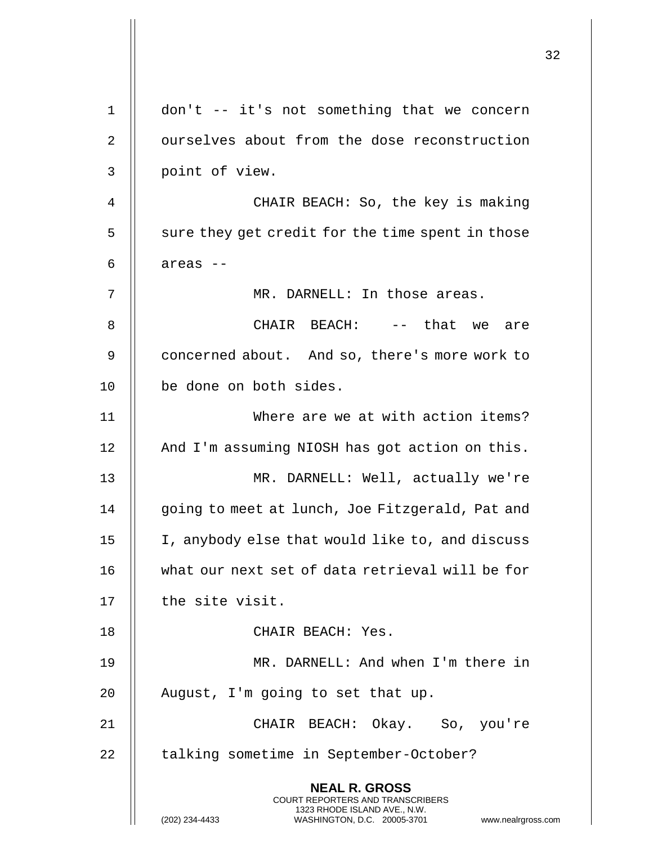|    |                                                                                                                                                                 | 32 |
|----|-----------------------------------------------------------------------------------------------------------------------------------------------------------------|----|
| 1  | don't -- it's not something that we concern                                                                                                                     |    |
| 2  | ourselves about from the dose reconstruction                                                                                                                    |    |
| 3  | point of view.                                                                                                                                                  |    |
| 4  | CHAIR BEACH: So, the key is making                                                                                                                              |    |
| 5  | sure they get credit for the time spent in those                                                                                                                |    |
| 6  | areas --                                                                                                                                                        |    |
| 7  | MR. DARNELL: In those areas.                                                                                                                                    |    |
| 8  | CHAIR BEACH: -- that we are                                                                                                                                     |    |
| 9  | concerned about. And so, there's more work to                                                                                                                   |    |
| 10 | be done on both sides.                                                                                                                                          |    |
| 11 | Where are we at with action items?                                                                                                                              |    |
| 12 | And I'm assuming NIOSH has got action on this.                                                                                                                  |    |
| 13 | MR. DARNELL: Well, actually we're                                                                                                                               |    |
| 14 | going to meet at lunch, Joe Fitzgerald, Pat and                                                                                                                 |    |
| 15 | I, anybody else that would like to, and discuss                                                                                                                 |    |
| 16 | what our next set of data retrieval will be for                                                                                                                 |    |
| 17 | the site visit.                                                                                                                                                 |    |
| 18 | CHAIR BEACH: Yes.                                                                                                                                               |    |
| 19 | MR. DARNELL: And when I'm there in                                                                                                                              |    |
| 20 | August, I'm going to set that up.                                                                                                                               |    |
| 21 | CHAIR BEACH: Okay. So, you're                                                                                                                                   |    |
| 22 | talking sometime in September-October?                                                                                                                          |    |
|    | <b>NEAL R. GROSS</b><br>COURT REPORTERS AND TRANSCRIBERS<br>1323 RHODE ISLAND AVE., N.W.<br>(202) 234-4433<br>WASHINGTON, D.C. 20005-3701<br>www.nealrgross.com |    |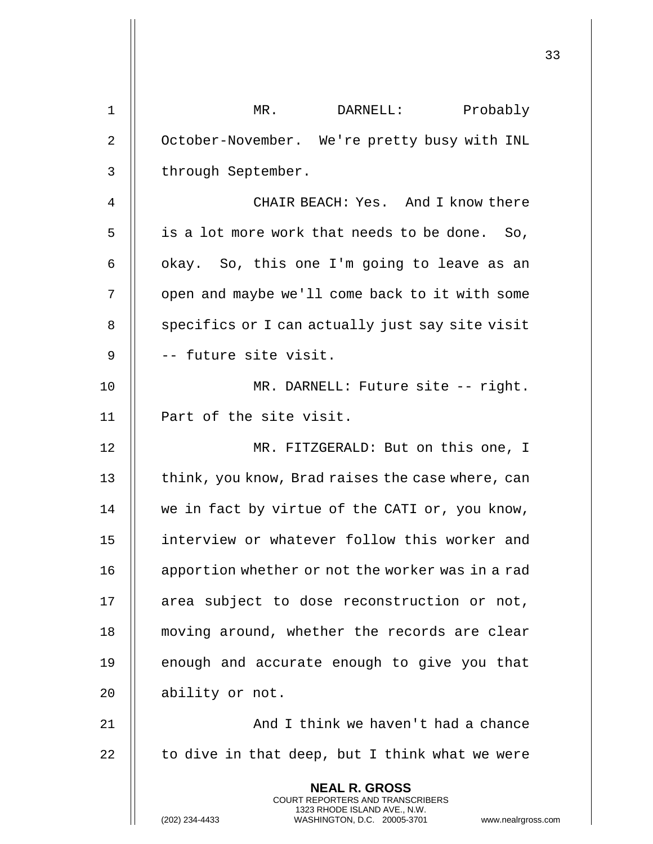| 1  | DARNELL:<br>Probably<br>$MR$ .                                                                                                                                         |
|----|------------------------------------------------------------------------------------------------------------------------------------------------------------------------|
| 2  | October-November. We're pretty busy with INL                                                                                                                           |
| 3  | through September.                                                                                                                                                     |
| 4  | CHAIR BEACH: Yes. And I know there                                                                                                                                     |
| 5  | is a lot more work that needs to be done. So,                                                                                                                          |
| 6  | okay. So, this one I'm going to leave as an                                                                                                                            |
| 7  | open and maybe we'll come back to it with some                                                                                                                         |
| 8  | specifics or I can actually just say site visit                                                                                                                        |
| 9  | -- future site visit.                                                                                                                                                  |
| 10 | MR. DARNELL: Future site -- right.                                                                                                                                     |
| 11 | Part of the site visit.                                                                                                                                                |
| 12 | MR. FITZGERALD: But on this one, I                                                                                                                                     |
| 13 | think, you know, Brad raises the case where, can                                                                                                                       |
| 14 | we in fact by virtue of the CATI or, you know,                                                                                                                         |
| 15 | interview or whatever follow this worker and                                                                                                                           |
| 16 | apportion whether or not the worker was in a rad                                                                                                                       |
| 17 | area subject to dose reconstruction or not,                                                                                                                            |
| 18 | moving around, whether the records are clear                                                                                                                           |
| 19 | enough and accurate enough to give you that                                                                                                                            |
| 20 | ability or not.                                                                                                                                                        |
| 21 | And I think we haven't had a chance                                                                                                                                    |
| 22 | to dive in that deep, but I think what we were                                                                                                                         |
|    | <b>NEAL R. GROSS</b><br><b>COURT REPORTERS AND TRANSCRIBERS</b><br>1323 RHODE ISLAND AVE., N.W.<br>(202) 234-4433<br>WASHINGTON, D.C. 20005-3701<br>www.nealrgross.com |

 $\mathbf{L}$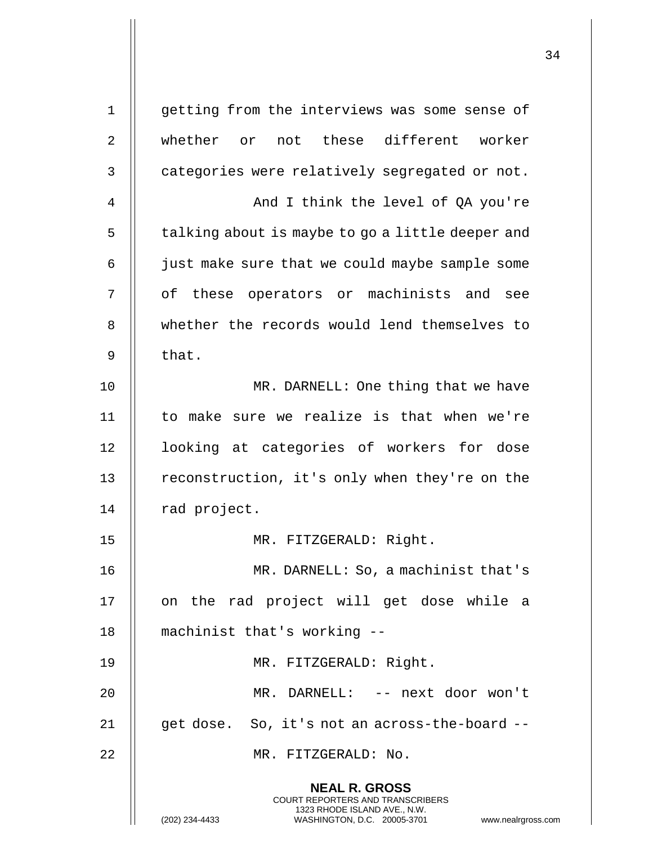**NEAL R. GROSS** COURT REPORTERS AND TRANSCRIBERS 1323 RHODE ISLAND AVE., N.W. (202) 234-4433 WASHINGTON, D.C. 20005-3701 www.nealrgross.com 1 || getting from the interviews was some sense of 2 whether or not these different worker  $3$   $\parallel$  categories were relatively segregated or not. 4 And I think the level of QA you're  $5 \parallel$  talking about is maybe to go a little deeper and 6 | just make sure that we could maybe sample some 7 || of these operators or machinists and see 8 || whether the records would lend themselves to  $9$   $\parallel$  that. 10 || MR. DARNELL: One thing that we have 11 to make sure we realize is that when we're 12 || looking at categories of workers for dose 13 | reconstruction, it's only when they're on the 14 | rad project. 15 MR. FITZGERALD: Right. 16 || MR. DARNELL: So, a machinist that's 17 || on the rad project will get dose while a 18 machinist that's working -- 19 MR. FITZGERALD: Right. 20 MR. DARNELL: -- next door won't 21 || get dose. So, it's not an across-the-board --22 || MR. FITZGERALD: No.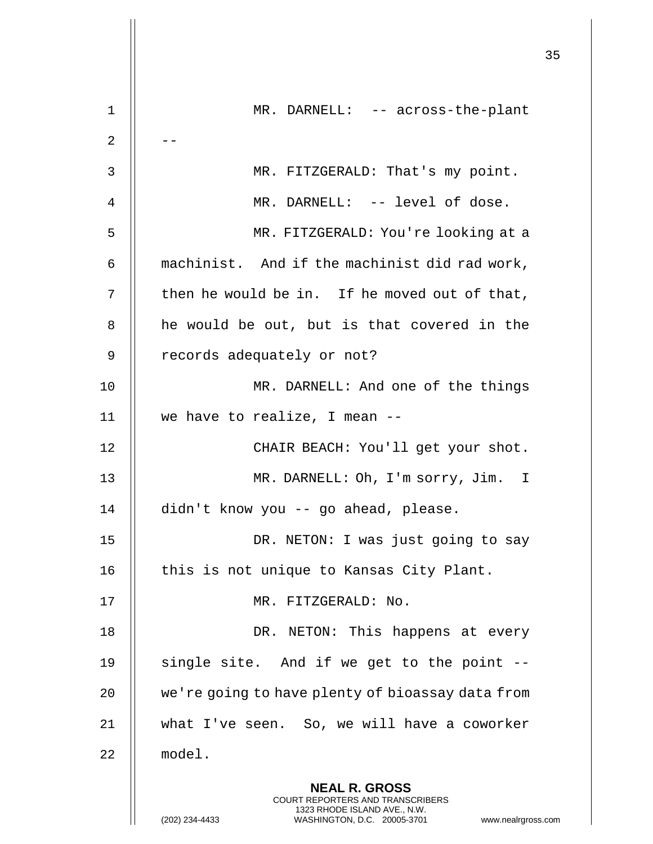|    |                                                                                                                                                                        | 35 |
|----|------------------------------------------------------------------------------------------------------------------------------------------------------------------------|----|
| 1  | MR. DARNELL: -- across-the-plant                                                                                                                                       |    |
| 2  |                                                                                                                                                                        |    |
| 3  | MR. FITZGERALD: That's my point.                                                                                                                                       |    |
| 4  | MR. DARNELL: -- level of dose.                                                                                                                                         |    |
| 5  | MR. FITZGERALD: You're looking at a                                                                                                                                    |    |
| 6  | machinist. And if the machinist did rad work,                                                                                                                          |    |
| 7  | then he would be in. If he moved out of that,                                                                                                                          |    |
| 8  | he would be out, but is that covered in the                                                                                                                            |    |
| 9  | records adequately or not?                                                                                                                                             |    |
| 10 | MR. DARNELL: And one of the things                                                                                                                                     |    |
| 11 | we have to realize, I mean --                                                                                                                                          |    |
| 12 | CHAIR BEACH: You'll get your shot.                                                                                                                                     |    |
| 13 | MR. DARNELL: Oh, I'm sorry, Jim. I                                                                                                                                     |    |
| 14 | didn't know you -- go ahead, please.                                                                                                                                   |    |
| 15 | DR. NETON: I was just going to say                                                                                                                                     |    |
| 16 | this is not unique to Kansas City Plant.                                                                                                                               |    |
| 17 | MR. FITZGERALD: No.                                                                                                                                                    |    |
| 18 | DR. NETON: This happens at every                                                                                                                                       |    |
| 19 | single site. And if we get to the point --                                                                                                                             |    |
| 20 | we're going to have plenty of bioassay data from                                                                                                                       |    |
| 21 | what I've seen. So, we will have a coworker                                                                                                                            |    |
| 22 | model.                                                                                                                                                                 |    |
|    | <b>NEAL R. GROSS</b><br><b>COURT REPORTERS AND TRANSCRIBERS</b><br>1323 RHODE ISLAND AVE., N.W.<br>(202) 234-4433<br>WASHINGTON, D.C. 20005-3701<br>www.nealrgross.com |    |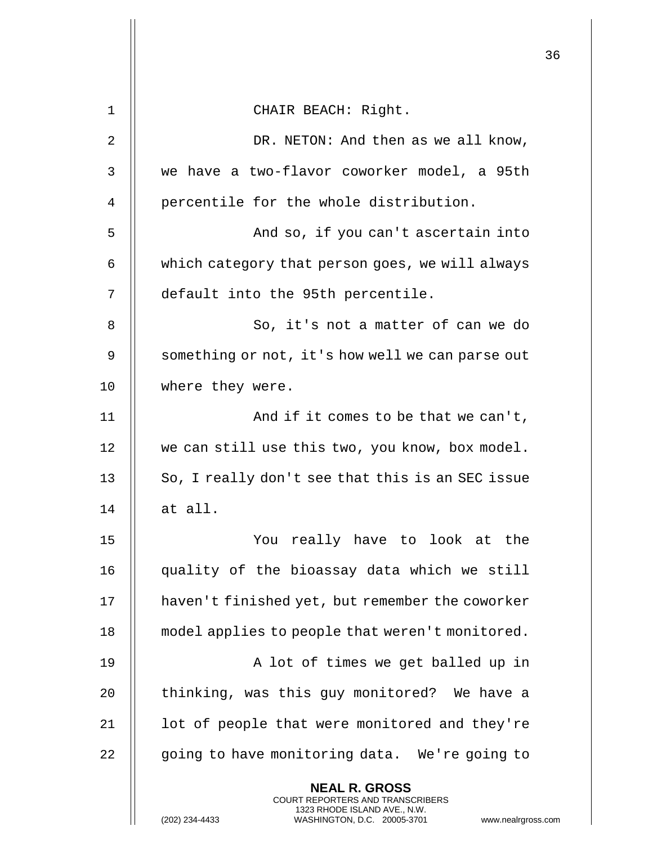|             |                                                                                                                                                                        | 36 |
|-------------|------------------------------------------------------------------------------------------------------------------------------------------------------------------------|----|
| $\mathbf 1$ | CHAIR BEACH: Right.                                                                                                                                                    |    |
| 2           | DR. NETON: And then as we all know,                                                                                                                                    |    |
| 3           | we have a two-flavor coworker model, a 95th                                                                                                                            |    |
| 4           | percentile for the whole distribution.                                                                                                                                 |    |
| 5           | And so, if you can't ascertain into                                                                                                                                    |    |
| 6           | which category that person goes, we will always                                                                                                                        |    |
| 7           | default into the 95th percentile.                                                                                                                                      |    |
| 8           | So, it's not a matter of can we do                                                                                                                                     |    |
| 9           |                                                                                                                                                                        |    |
|             | something or not, it's how well we can parse out                                                                                                                       |    |
| 10          | where they were.                                                                                                                                                       |    |
| 11          | And if it comes to be that we can't,                                                                                                                                   |    |
| 12          | we can still use this two, you know, box model.                                                                                                                        |    |
| 13          | So, I really don't see that this is an SEC issue                                                                                                                       |    |
| 14          | at all.                                                                                                                                                                |    |
| 15          | You really have to look at the                                                                                                                                         |    |
| 16          | quality of the bioassay data which we still                                                                                                                            |    |
| 17          | haven't finished yet, but remember the coworker                                                                                                                        |    |
| 18          | model applies to people that weren't monitored.                                                                                                                        |    |
| 19          | A lot of times we get balled up in                                                                                                                                     |    |
| 20          | thinking, was this guy monitored? We have a                                                                                                                            |    |
| 21          | lot of people that were monitored and they're                                                                                                                          |    |
| 22          | going to have monitoring data. We're going to                                                                                                                          |    |
|             | <b>NEAL R. GROSS</b><br><b>COURT REPORTERS AND TRANSCRIBERS</b><br>1323 RHODE ISLAND AVE., N.W.<br>(202) 234-4433<br>WASHINGTON, D.C. 20005-3701<br>www.nealrgross.com |    |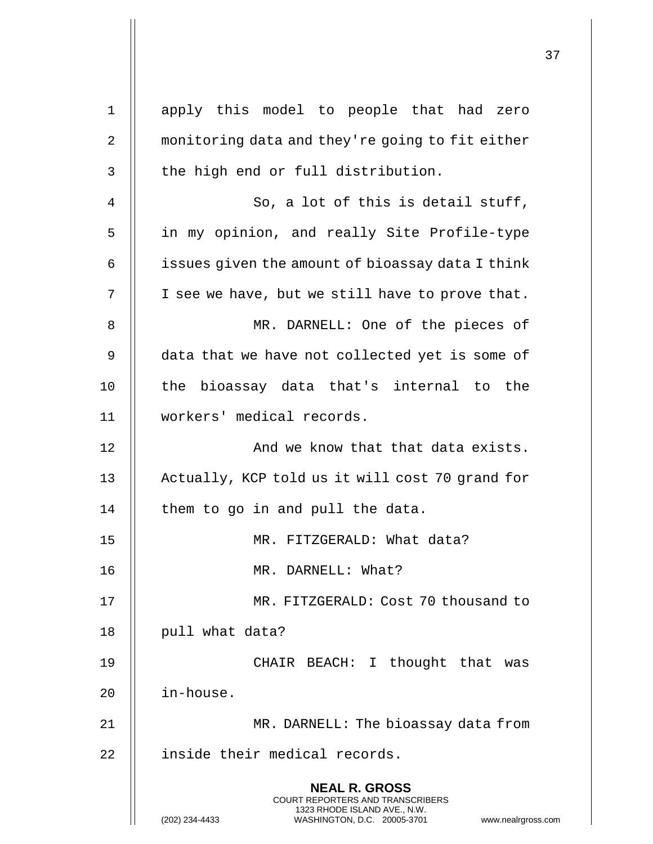| $\mathbf 1$ | apply this model to people that had zero                                                                                                                        |
|-------------|-----------------------------------------------------------------------------------------------------------------------------------------------------------------|
| 2           | monitoring data and they're going to fit either                                                                                                                 |
| 3           | the high end or full distribution.                                                                                                                              |
| 4           | So, a lot of this is detail stuff,                                                                                                                              |
| 5           | in my opinion, and really Site Profile-type                                                                                                                     |
| 6           | issues given the amount of bioassay data I think                                                                                                                |
| 7           | I see we have, but we still have to prove that.                                                                                                                 |
| 8           | MR. DARNELL: One of the pieces of                                                                                                                               |
| 9           | data that we have not collected yet is some of                                                                                                                  |
| 10          | the bioassay data that's internal to the                                                                                                                        |
| 11          | workers' medical records.                                                                                                                                       |
| 12          | And we know that that data exists.                                                                                                                              |
| 13          | Actually, KCP told us it will cost 70 grand for                                                                                                                 |
| 14          | them to go in and pull the data.                                                                                                                                |
| 15          | FITZGERALD: What data?<br>MR.                                                                                                                                   |
| 16          | MR. DARNELL: What?                                                                                                                                              |
| 17          | MR. FITZGERALD: Cost 70 thousand to                                                                                                                             |
| 18          | pull what data?                                                                                                                                                 |
| 19          | CHAIR BEACH: I thought that<br>was                                                                                                                              |
| 20          | in-house.                                                                                                                                                       |
| 21          | MR. DARNELL: The bioassay data from                                                                                                                             |
| 22          | inside their medical records.                                                                                                                                   |
|             | <b>NEAL R. GROSS</b><br>COURT REPORTERS AND TRANSCRIBERS<br>1323 RHODE ISLAND AVE., N.W.<br>(202) 234-4433<br>WASHINGTON, D.C. 20005-3701<br>www.nealrgross.com |

 $\mathsf{I}$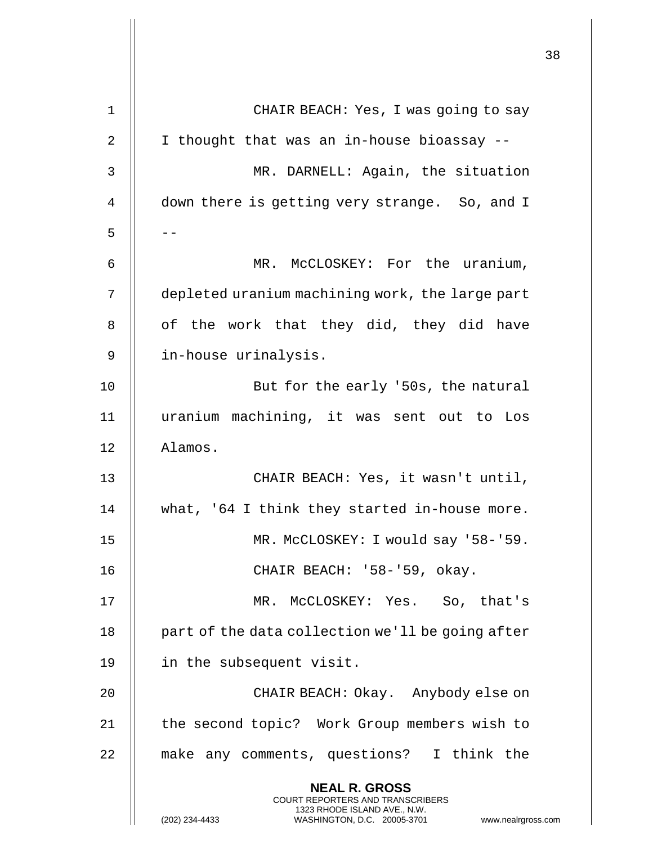|    |                                                                                                                                                                     | 38 |
|----|---------------------------------------------------------------------------------------------------------------------------------------------------------------------|----|
| 1  | CHAIR BEACH: Yes, I was going to say                                                                                                                                |    |
| 2  | I thought that was an in-house bioassay --                                                                                                                          |    |
| 3  | MR. DARNELL: Again, the situation                                                                                                                                   |    |
| 4  | down there is getting very strange. So, and I                                                                                                                       |    |
| 5  |                                                                                                                                                                     |    |
| 6  | MR. MCCLOSKEY: For the uranium,                                                                                                                                     |    |
| 7  | depleted uranium machining work, the large part                                                                                                                     |    |
| 8  | of the work that they did, they did have                                                                                                                            |    |
| 9  | in-house urinalysis.                                                                                                                                                |    |
| 10 | But for the early '50s, the natural                                                                                                                                 |    |
| 11 | uranium machining, it was sent out to Los                                                                                                                           |    |
| 12 | Alamos.                                                                                                                                                             |    |
| 13 | CHAIR BEACH: Yes, it wasn't until,                                                                                                                                  |    |
| 14 | what, '64 I think they started in-house more.                                                                                                                       |    |
| 15 | MR. McCLOSKEY: I would say '58-'59.                                                                                                                                 |    |
| 16 | CHAIR BEACH: '58-'59, okay.                                                                                                                                         |    |
| 17 | MR. McCLOSKEY: Yes. So, that's                                                                                                                                      |    |
| 18 | part of the data collection we'll be going after                                                                                                                    |    |
| 19 | in the subsequent visit.                                                                                                                                            |    |
| 20 | CHAIR BEACH: Okay. Anybody else on                                                                                                                                  |    |
| 21 | the second topic? Work Group members wish to                                                                                                                        |    |
| 22 | make any comments, questions? I think the                                                                                                                           |    |
|    | <b>NEAL R. GROSS</b><br><b>COURT REPORTERS AND TRANSCRIBERS</b><br>1323 RHODE ISLAND AVE., N.W.<br>WASHINGTON, D.C. 20005-3701 www.nealrgross.com<br>(202) 234-4433 |    |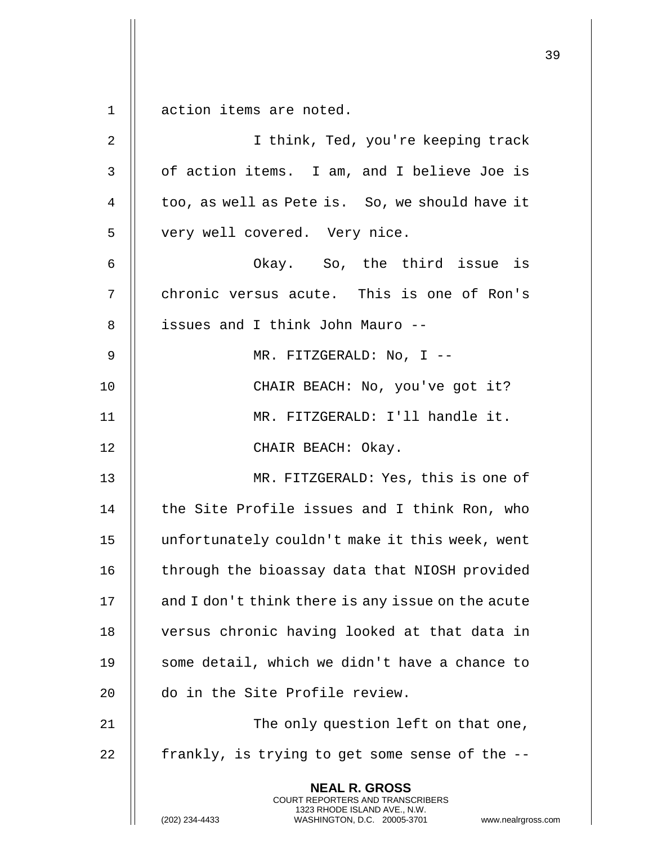**NEAL R. GROSS** COURT REPORTERS AND TRANSCRIBERS 1323 RHODE ISLAND AVE., N.W. 1 || action items are noted. 2 I think, Ted, you're keeping track 3 || of action items. I am, and I believe Joe is 4  $\parallel$  too, as well as Pete is. So, we should have it 5 || very well covered. Very nice. 6 Okay. So, the third issue is 7 || chronic versus acute. This is one of Ron's 8 || issues and I think John Mauro --9 MR. FITZGERALD: No, I -- 10 || CHAIR BEACH: No, you've got it? 11 MR. FITZGERALD: I'll handle it. 12 || CHAIR BEACH: Okay. 13 || MR. FITZGERALD: Yes, this is one of  $14$   $\parallel$  the Site Profile issues and I think Ron, who 15 unfortunately couldn't make it this week, went 16 | through the bioassay data that NIOSH provided  $17$  | and I don't think there is any issue on the acute 18 || versus chronic having looked at that data in 19 || some detail, which we didn't have a chance to 20  $\parallel$  do in the Site Profile review. 21 || The only question left on that one, 22  $\parallel$  frankly, is trying to get some sense of the  $-$ -

(202) 234-4433 WASHINGTON, D.C. 20005-3701 www.nealrgross.com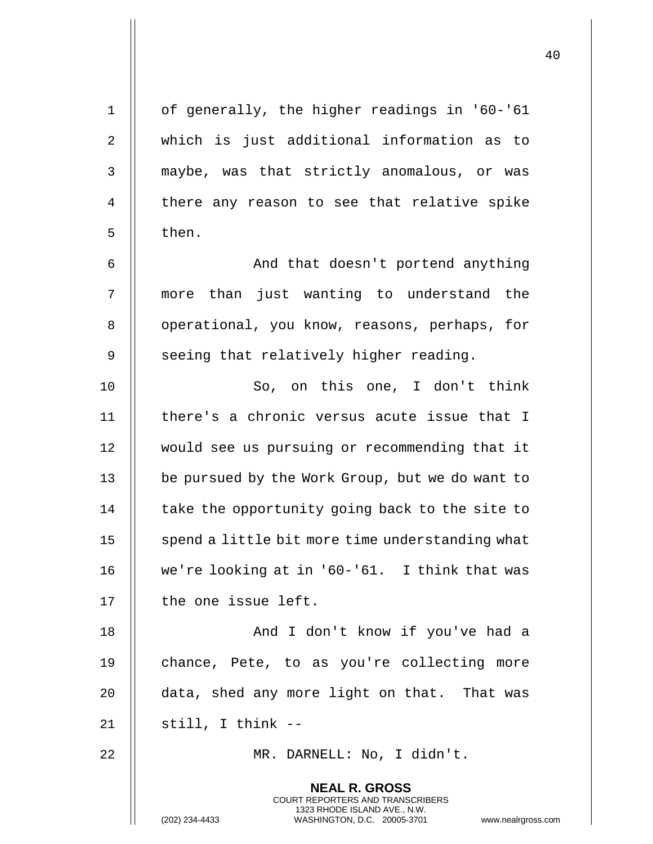| $\mathbf 1$ | of generally, the higher readings in '60-'61                                                                                                                        |
|-------------|---------------------------------------------------------------------------------------------------------------------------------------------------------------------|
| 2           | which is just additional information as to                                                                                                                          |
| 3           | maybe, was that strictly anomalous, or was                                                                                                                          |
| 4           | there any reason to see that relative spike                                                                                                                         |
| 5           | then.                                                                                                                                                               |
| 6           | And that doesn't portend anything                                                                                                                                   |
| 7           | more than just wanting to understand the                                                                                                                            |
| 8           | operational, you know, reasons, perhaps, for                                                                                                                        |
| 9           | seeing that relatively higher reading.                                                                                                                              |
| 10          | So, on this one, I don't think                                                                                                                                      |
| 11          | there's a chronic versus acute issue that I                                                                                                                         |
| 12          | would see us pursuing or recommending that it                                                                                                                       |
| 13          | be pursued by the Work Group, but we do want to                                                                                                                     |
| 14          | take the opportunity going back to the site to                                                                                                                      |
| 15          | spend a little bit more time understanding what                                                                                                                     |
| 16          | we're looking at in '60-'61. I think that was                                                                                                                       |
| 17          | the one issue left.                                                                                                                                                 |
| 18          | And I don't know if you've had a                                                                                                                                    |
| 19          | chance, Pete, to as you're collecting more                                                                                                                          |
| 20          | data, shed any more light on that. That was                                                                                                                         |
| 21          | still, I think --                                                                                                                                                   |
| 22          | MR. DARNELL: No, I didn't.                                                                                                                                          |
|             | <b>NEAL R. GROSS</b><br><b>COURT REPORTERS AND TRANSCRIBERS</b><br>1323 RHODE ISLAND AVE., N.W.<br>(202) 234-4433<br>WASHINGTON, D.C. 20005-3701 www.nealrgross.com |

 $\mathbf{L}$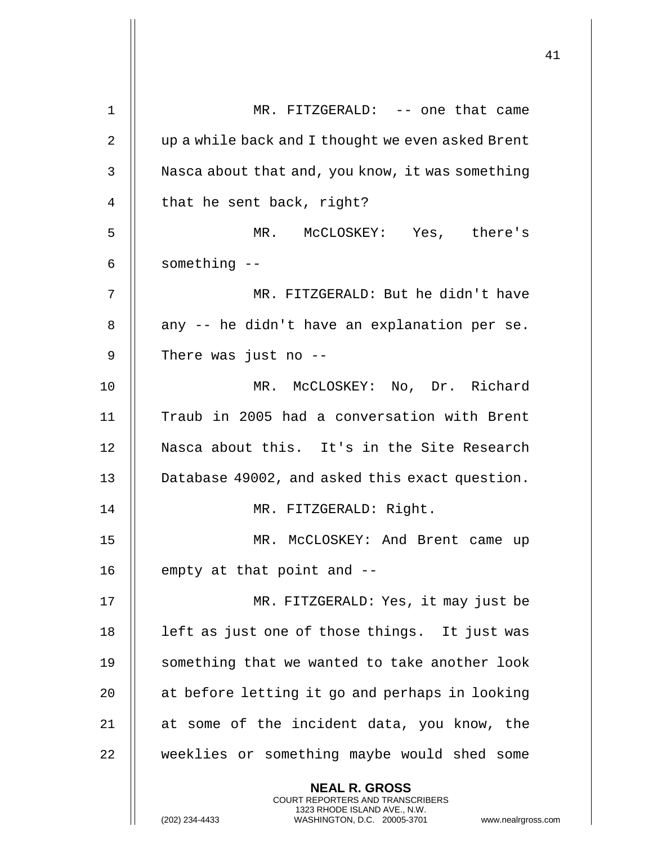| 1  | MR. FITZGERALD: -- one that came                                                                                                                             |
|----|--------------------------------------------------------------------------------------------------------------------------------------------------------------|
| 2  | up a while back and I thought we even asked Brent                                                                                                            |
| 3  | Nasca about that and, you know, it was something                                                                                                             |
| 4  | that he sent back, right?                                                                                                                                    |
| 5  | MR. MCCLOSKEY: Yes, there's                                                                                                                                  |
| 6  | something --                                                                                                                                                 |
| 7  | MR. FITZGERALD: But he didn't have                                                                                                                           |
| 8  | any -- he didn't have an explanation per se.                                                                                                                 |
| 9  | There was just no $-$ -                                                                                                                                      |
| 10 | MR. MCCLOSKEY: No, Dr. Richard                                                                                                                               |
| 11 | Traub in 2005 had a conversation with Brent                                                                                                                  |
| 12 | Nasca about this. It's in the Site Research                                                                                                                  |
| 13 | Database 49002, and asked this exact question.                                                                                                               |
| 14 | MR. FITZGERALD: Right.                                                                                                                                       |
| 15 | MR. McCLOSKEY: And Brent came up                                                                                                                             |
| 16 | empty at that point and --                                                                                                                                   |
| 17 | MR. FITZGERALD: Yes, it may just be                                                                                                                          |
| 18 | left as just one of those things. It just was                                                                                                                |
| 19 | something that we wanted to take another look                                                                                                                |
| 20 | at before letting it go and perhaps in looking                                                                                                               |
| 21 | at some of the incident data, you know, the                                                                                                                  |
| 22 | weeklies or something maybe would shed some                                                                                                                  |
|    | <b>NEAL R. GROSS</b><br>COURT REPORTERS AND TRANSCRIBERS<br>1323 RHODE ISLAND AVE., N.W.<br>(202) 234-4433<br>WASHINGTON, D.C. 20005-3701<br>www.nealrgross. |

 $\mathop{||}$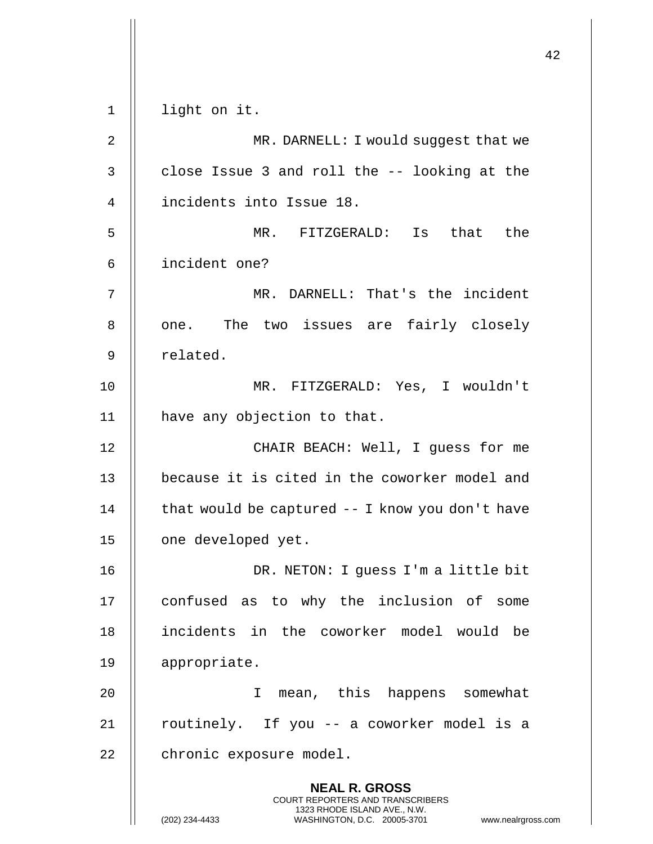**NEAL R. GROSS** COURT REPORTERS AND TRANSCRIBERS 1323 RHODE ISLAND AVE., N.W. (202) 234-4433 WASHINGTON, D.C. 20005-3701 www.nealrgross.com 1 light on it. 2 | MR. DARNELL: I would suggest that we  $3 \parallel$  close Issue 3 and roll the -- looking at the 4 incidents into Issue 18. 5 MR. FITZGERALD: Is that the 6 incident one? 7 MR. DARNELL: That's the incident 8 || one. The two issues are fairly closely 9 || related. 10 MR. FITZGERALD: Yes, I wouldn't 11 || have any objection to that. 12 || CHAIR BEACH: Well, I guess for me 13 || because it is cited in the coworker model and 14  $\parallel$  that would be captured -- I know you don't have 15 | one developed yet. 16 DR. NETON: I guess I'm a little bit 17 || confused as to why the inclusion of some 18 incidents in the coworker model would be 19 appropriate. 20 I mean, this happens somewhat  $21$  || routinely. If you -- a coworker model is a 22 | chronic exposure model.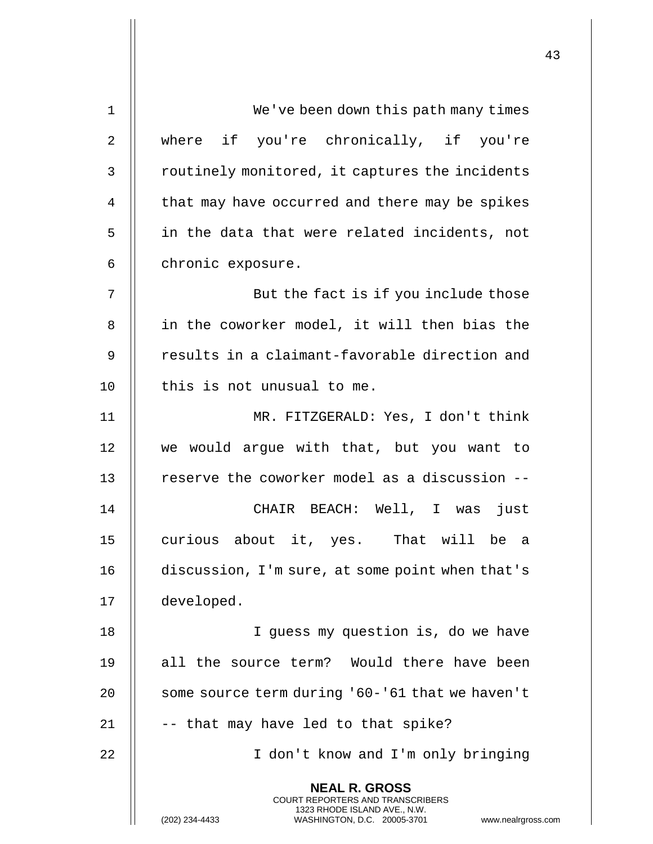| 1  | We've been down this path many times                                                                                                                                   |
|----|------------------------------------------------------------------------------------------------------------------------------------------------------------------------|
| 2  | where if you're chronically, if you're                                                                                                                                 |
| 3  | routinely monitored, it captures the incidents                                                                                                                         |
| 4  | that may have occurred and there may be spikes                                                                                                                         |
| 5  | in the data that were related incidents, not                                                                                                                           |
| 6  | chronic exposure.                                                                                                                                                      |
| 7  | But the fact is if you include those                                                                                                                                   |
| 8  | in the coworker model, it will then bias the                                                                                                                           |
| 9  | results in a claimant-favorable direction and                                                                                                                          |
| 10 | this is not unusual to me.                                                                                                                                             |
| 11 | MR. FITZGERALD: Yes, I don't think                                                                                                                                     |
| 12 | we would argue with that, but you want to                                                                                                                              |
| 13 | reserve the coworker model as a discussion --                                                                                                                          |
| 14 | CHAIR BEACH: Well, I was just                                                                                                                                          |
| 15 | curious about it, yes. That will be a                                                                                                                                  |
| 16 | discussion, I'm sure, at some point when that's                                                                                                                        |
| 17 | developed.                                                                                                                                                             |
| 18 | I quess my question is, do we have                                                                                                                                     |
| 19 | all the source term? Would there have been                                                                                                                             |
| 20 | some source term during '60-'61 that we haven't                                                                                                                        |
| 21 | -- that may have led to that spike?                                                                                                                                    |
| 22 | I don't know and I'm only bringing                                                                                                                                     |
|    | <b>NEAL R. GROSS</b><br><b>COURT REPORTERS AND TRANSCRIBERS</b><br>1323 RHODE ISLAND AVE., N.W.<br>(202) 234-4433<br>WASHINGTON, D.C. 20005-3701<br>www.nealrgross.com |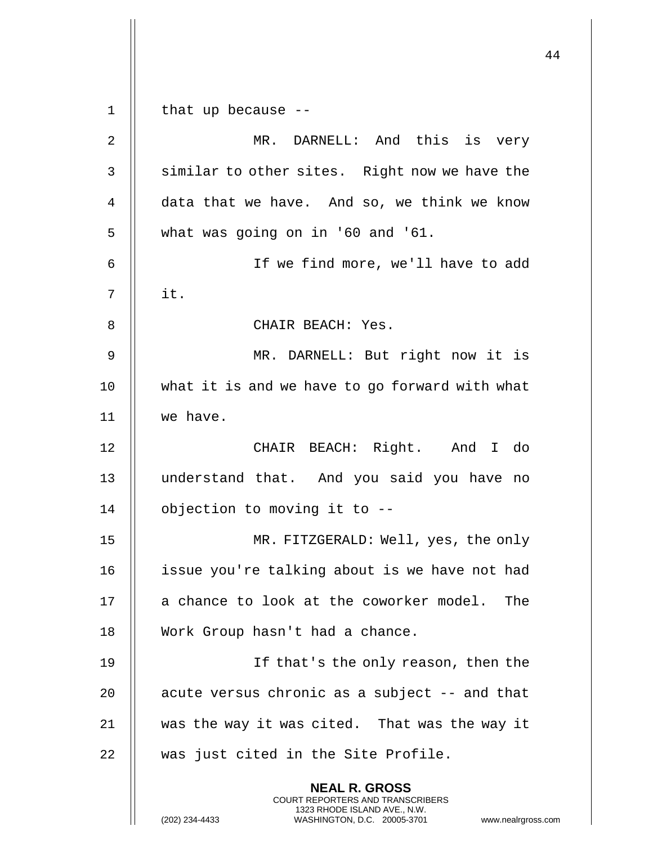**NEAL R. GROSS** COURT REPORTERS AND TRANSCRIBERS 1323 RHODE ISLAND AVE., N.W. (202) 234-4433 WASHINGTON, D.C. 20005-3701 www.nealrgross.com 1 || that up because --2 MR. DARNELL: And this is very 3 || similar to other sites. Right now we have the 4 data that we have. And so, we think we know  $5 \parallel$  what was going on in '60 and '61. 6 If we find more, we'll have to add  $7 \parallel$  it. 8 || CHAIR BEACH: Yes. 9 MR. DARNELL: But right now it is 10 || what it is and we have to go forward with what 11 we have. 12 || CHAIR BEACH: Right. And I do 13 understand that. And you said you have no 14 | objection to moving it to --15 MR. FITZGERALD: Well, yes, the only 16 | issue you're talking about is we have not had 17 || a chance to look at the coworker model. The 18 | Work Group hasn't had a chance. 19 || If that's the only reason, then the 20  $\parallel$  acute versus chronic as a subject  $-$  and that 21 || was the way it was cited. That was the way it  $22$   $\parallel$  was just cited in the Site Profile.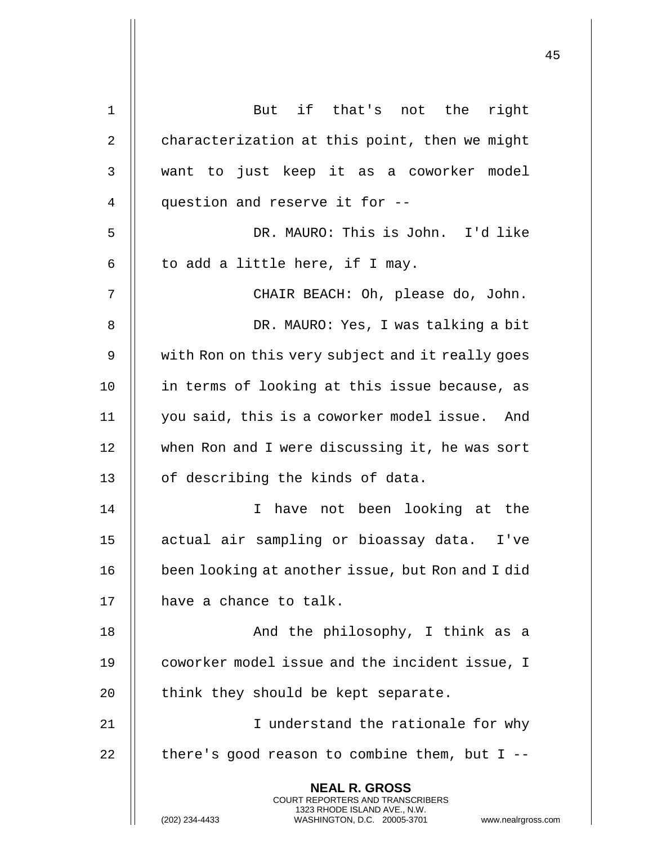| $\mathbf 1$    | But if that's not the right                                                                                                                                            |
|----------------|------------------------------------------------------------------------------------------------------------------------------------------------------------------------|
| $\overline{2}$ | characterization at this point, then we might                                                                                                                          |
| 3              | want to just keep it as a coworker model                                                                                                                               |
| 4              | question and reserve it for --                                                                                                                                         |
| 5              | DR. MAURO: This is John. I'd like                                                                                                                                      |
| 6              | to add a little here, if I may.                                                                                                                                        |
| 7              | CHAIR BEACH: Oh, please do, John.                                                                                                                                      |
| 8              | DR. MAURO: Yes, I was talking a bit                                                                                                                                    |
| 9              | with Ron on this very subject and it really goes                                                                                                                       |
| 10             | in terms of looking at this issue because, as                                                                                                                          |
| 11             | you said, this is a coworker model issue. And                                                                                                                          |
| 12             | when Ron and I were discussing it, he was sort                                                                                                                         |
| 13             | of describing the kinds of data.                                                                                                                                       |
| 14             | I have not been looking at the                                                                                                                                         |
| 15             | actual air sampling or bioassay data.<br>I've                                                                                                                          |
| 16             | been looking at another issue, but Ron and I did                                                                                                                       |
| 17             | have a chance to talk.                                                                                                                                                 |
| 18             | And the philosophy, I think as a                                                                                                                                       |
| 19             | coworker model issue and the incident issue, I                                                                                                                         |
| 20             | think they should be kept separate.                                                                                                                                    |
| 21             | I understand the rationale for why                                                                                                                                     |
| 22             | there's good reason to combine them, but $I$ --                                                                                                                        |
|                | <b>NEAL R. GROSS</b><br><b>COURT REPORTERS AND TRANSCRIBERS</b><br>1323 RHODE ISLAND AVE., N.W.<br>(202) 234-4433<br>WASHINGTON, D.C. 20005-3701<br>www.nealrgross.com |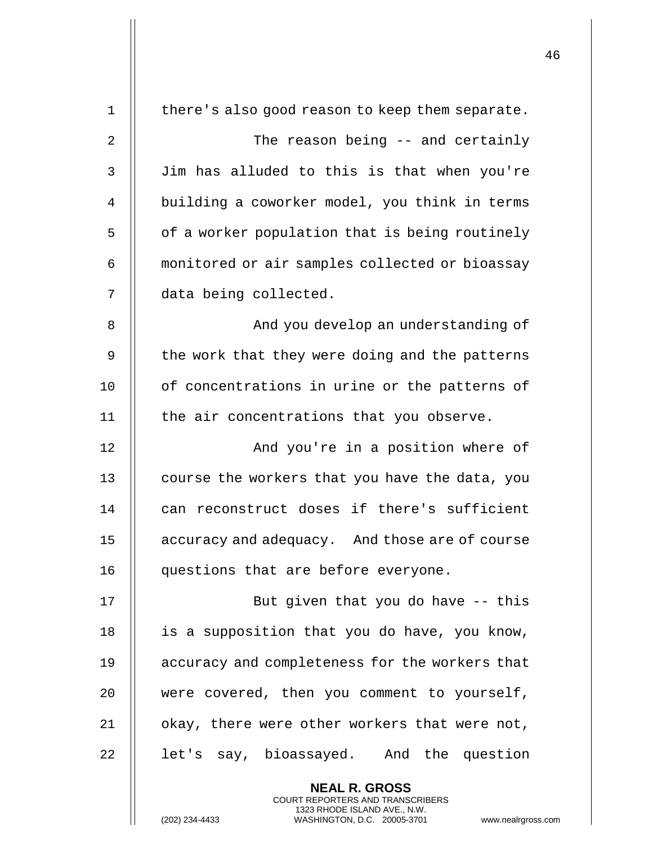| $\mathbf 1$    | there's also good reason to keep them separate.                                                                                                                    |
|----------------|--------------------------------------------------------------------------------------------------------------------------------------------------------------------|
| $\overline{2}$ | The reason being -- and certainly                                                                                                                                  |
| 3              | Jim has alluded to this is that when you're                                                                                                                        |
| 4              | building a coworker model, you think in terms                                                                                                                      |
| 5              | of a worker population that is being routinely                                                                                                                     |
| 6              | monitored or air samples collected or bioassay                                                                                                                     |
| 7              | data being collected.                                                                                                                                              |
| 8              | And you develop an understanding of                                                                                                                                |
| 9              | the work that they were doing and the patterns                                                                                                                     |
| 10             | of concentrations in urine or the patterns of                                                                                                                      |
| 11             | the air concentrations that you observe.                                                                                                                           |
| 12             | And you're in a position where of                                                                                                                                  |
| 13             | course the workers that you have the data, you                                                                                                                     |
| 14             | can reconstruct doses if there's sufficient                                                                                                                        |
| 15             | accuracy and adequacy. And those are of course                                                                                                                     |
| 16             | questions that are before everyone.                                                                                                                                |
| 17             | But given that you do have -- this                                                                                                                                 |
| 18             | is a supposition that you do have, you know,                                                                                                                       |
| 19             | accuracy and completeness for the workers that                                                                                                                     |
| 20             | were covered, then you comment to yourself,                                                                                                                        |
| 21             | okay, there were other workers that were not,                                                                                                                      |
| 22             | let's say, bioassayed. And the question                                                                                                                            |
|                | <b>NEAL R. GROSS</b><br><b>COURT REPORTERS AND TRANSCRIBERS</b><br>1323 RHODE ISLAND AVE., N.W.<br>(202) 234-4433<br>WASHINGTON, D.C. 20005-3701<br>www.nealrgross |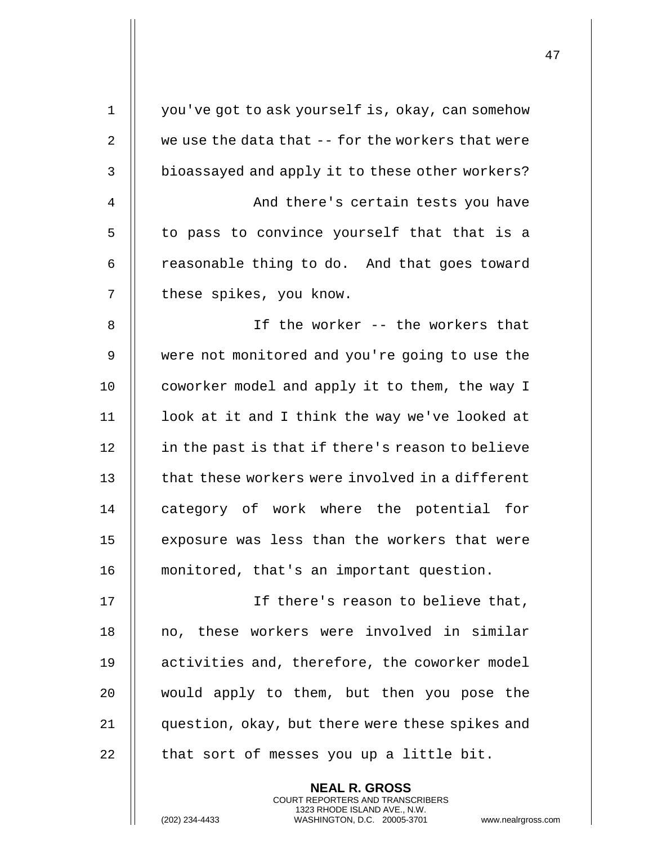| $\mathbf 1$    | you've got to ask yourself is, okay, can somehow  |
|----------------|---------------------------------------------------|
| $\overline{2}$ | we use the data that -- for the workers that were |
| 3              | bioassayed and apply it to these other workers?   |
| 4              | And there's certain tests you have                |
| 5              | to pass to convince yourself that that is a       |
| 6              | reasonable thing to do. And that goes toward      |
| 7              | these spikes, you know.                           |
| 8              | If the worker -- the workers that                 |
| 9              | were not monitored and you're going to use the    |
| 10             | coworker model and apply it to them, the way I    |
| 11             | look at it and I think the way we've looked at    |
| 12             | in the past is that if there's reason to believe  |
| 13             | that these workers were involved in a different   |
| 14             | category of work where the potential for          |
| 15             | exposure was less than the workers that were      |
| 16             | monitored, that's an important question.          |
| 17             | If there's reason to believe that,                |
| 18             | no, these workers were involved in similar        |
| 19             | activities and, therefore, the coworker model     |
| 20             | would apply to them, but then you pose the        |
| 21             | question, okay, but there were these spikes and   |
| 22             | that sort of messes you up a little bit.          |
|                | <b>NEAL R. GROSS</b>                              |

COURT REPORTERS AND TRANSCRIBERS 1323 RHODE ISLAND AVE., N.W.

(202) 234-4433 WASHINGTON, D.C. 20005-3701 www.nealrgross.com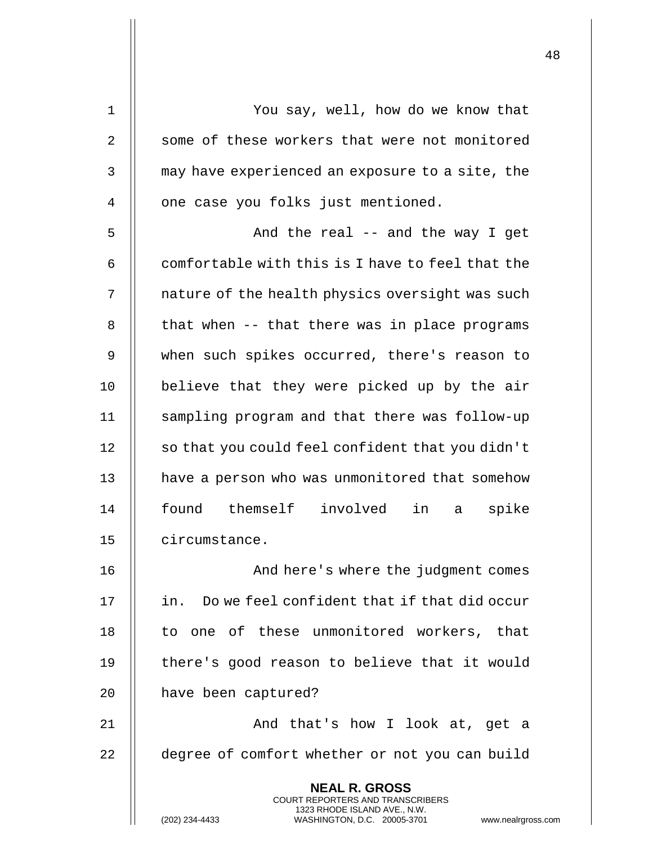| $\mathbf 1$    | You say, well, how do we know that                                                                                                                                     |
|----------------|------------------------------------------------------------------------------------------------------------------------------------------------------------------------|
| $\overline{2}$ | some of these workers that were not monitored                                                                                                                          |
| 3              | may have experienced an exposure to a site, the                                                                                                                        |
| 4              | one case you folks just mentioned.                                                                                                                                     |
| 5              | And the real -- and the way I get                                                                                                                                      |
| 6              | comfortable with this is I have to feel that the                                                                                                                       |
| 7              | nature of the health physics oversight was such                                                                                                                        |
| 8              | that when -- that there was in place programs                                                                                                                          |
| 9              | when such spikes occurred, there's reason to                                                                                                                           |
| 10             | believe that they were picked up by the air                                                                                                                            |
| 11             | sampling program and that there was follow-up                                                                                                                          |
| 12             | so that you could feel confident that you didn't                                                                                                                       |
| 13             | have a person who was unmonitored that somehow                                                                                                                         |
| 14             | found themself involved<br>in a<br>spike                                                                                                                               |
| 15             | circumstance.                                                                                                                                                          |
| 16             | And here's where the judgment comes                                                                                                                                    |
| 17             | in. Do we feel confident that if that did occur                                                                                                                        |
| 18             | to one of these unmonitored workers, that                                                                                                                              |
| 19             | there's good reason to believe that it would                                                                                                                           |
| 20             | have been captured?                                                                                                                                                    |
| 21             | And that's how I look at, get a                                                                                                                                        |
| 22             | degree of comfort whether or not you can build                                                                                                                         |
|                | <b>NEAL R. GROSS</b><br><b>COURT REPORTERS AND TRANSCRIBERS</b><br>1323 RHODE ISLAND AVE., N.W.<br>WASHINGTON, D.C. 20005-3701<br>(202) 234-4433<br>www.nealrgross.com |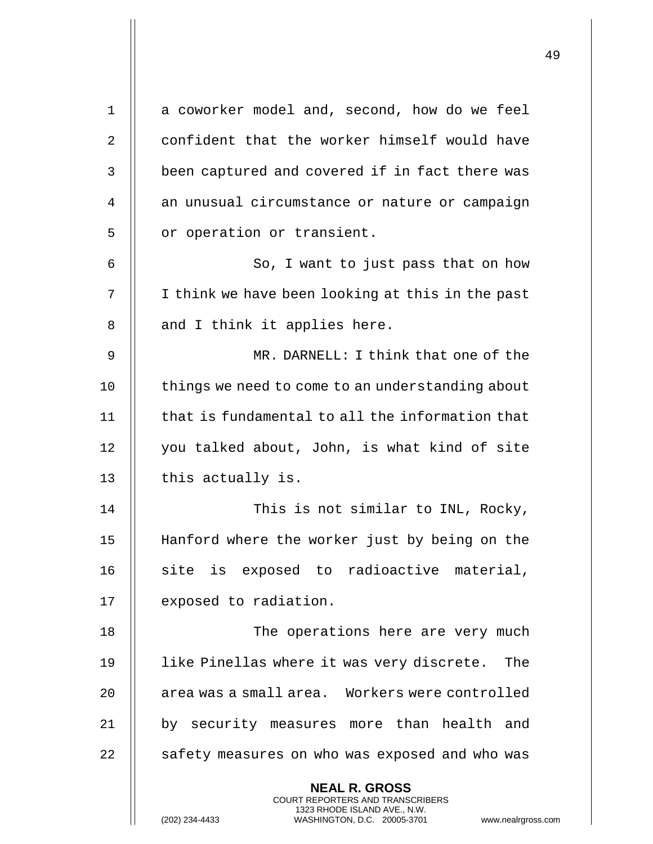| $\mathbf 1$ | a coworker model and, second, how do we feel                                                        |
|-------------|-----------------------------------------------------------------------------------------------------|
| 2           | confident that the worker himself would have                                                        |
| 3           | been captured and covered if in fact there was                                                      |
| 4           | an unusual circumstance or nature or campaign                                                       |
| 5           | or operation or transient.                                                                          |
| 6           | So, I want to just pass that on how                                                                 |
| 7           | I think we have been looking at this in the past                                                    |
| 8           | and I think it applies here.                                                                        |
| 9           | MR. DARNELL: I think that one of the                                                                |
| 10          | things we need to come to an understanding about                                                    |
| 11          | that is fundamental to all the information that                                                     |
| 12          | you talked about, John, is what kind of site                                                        |
| 13          | this actually is.                                                                                   |
| 14          | This is not similar to INL, Rocky,                                                                  |
| 15          | Hanford where the worker just by being on the                                                       |
| 16          | site is exposed to radioactive material,                                                            |
| 17          | exposed to radiation.                                                                               |
| 18          | The operations here are very much                                                                   |
| 19          | like Pinellas where it was very discrete. The                                                       |
| 20          | area was a small area. Workers were controlled                                                      |
| 21          | by security measures more than health and                                                           |
| 22          | safety measures on who was exposed and who was                                                      |
|             | <b>NEAL R. GROSS</b><br>COURT REPORTERS AND TRANSCRIBERS                                            |
|             | 1323 RHODE ISLAND AVE., N.W.<br>(202) 234-4433<br>WASHINGTON, D.C. 20005-3701<br>www.nealrgross.com |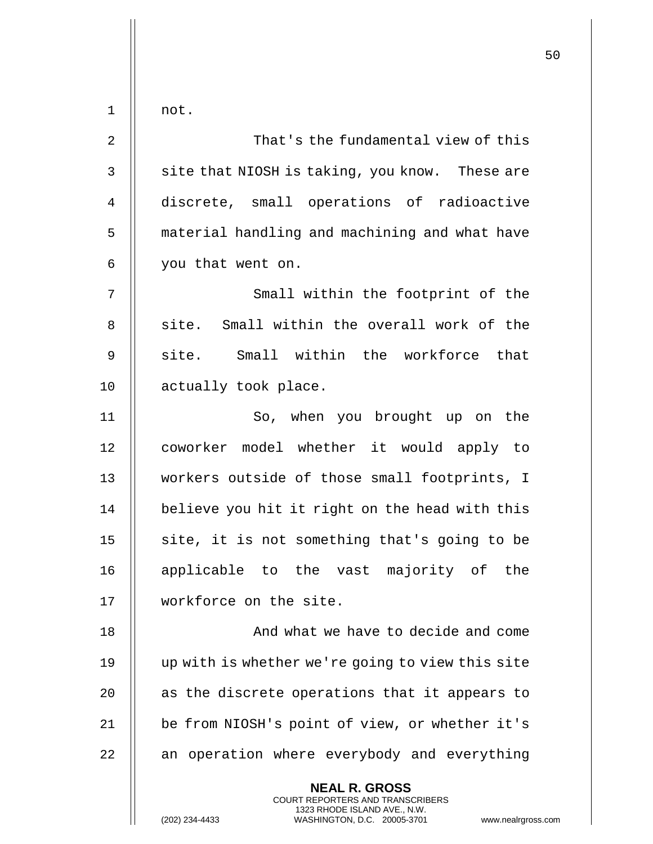|             |                                                                                                                                                                        | 50 |
|-------------|------------------------------------------------------------------------------------------------------------------------------------------------------------------------|----|
| 1           | not.                                                                                                                                                                   |    |
| 2           | That's the fundamental view of this                                                                                                                                    |    |
| 3           | site that NIOSH is taking, you know. These are                                                                                                                         |    |
| 4           | discrete, small operations of radioactive                                                                                                                              |    |
| 5           | material handling and machining and what have                                                                                                                          |    |
| 6           | you that went on.                                                                                                                                                      |    |
| 7           | Small within the footprint of the                                                                                                                                      |    |
| 8           | site. Small within the overall work of the                                                                                                                             |    |
| $\mathsf 9$ | site. Small within the workforce that                                                                                                                                  |    |
| 10          | actually took place.                                                                                                                                                   |    |
| 11          | So, when you brought up on the                                                                                                                                         |    |
| 12          | coworker model whether it would apply to                                                                                                                               |    |
| 13          | workers outside of those small footprints, I                                                                                                                           |    |
| 14          | believe you hit it right on the head with this                                                                                                                         |    |
| 15          | site, it is not something that's going to be                                                                                                                           |    |
| 16          | applicable to the vast majority of the                                                                                                                                 |    |
| 17          | workforce on the site.                                                                                                                                                 |    |
| 18          | And what we have to decide and come                                                                                                                                    |    |
| 19          | up with is whether we're going to view this site                                                                                                                       |    |
| 20          | as the discrete operations that it appears to                                                                                                                          |    |
| 21          | be from NIOSH's point of view, or whether it's                                                                                                                         |    |
| 22          | an operation where everybody and everything                                                                                                                            |    |
|             | <b>NEAL R. GROSS</b><br><b>COURT REPORTERS AND TRANSCRIBERS</b><br>1323 RHODE ISLAND AVE., N.W.<br>(202) 234-4433<br>WASHINGTON, D.C. 20005-3701<br>www.nealrgross.com |    |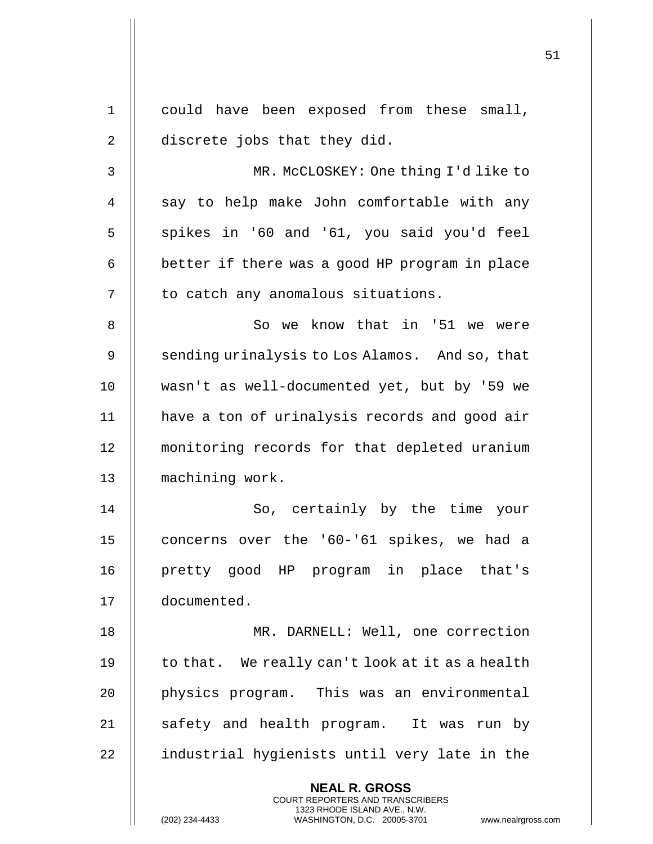|              |                                                                                                                                                                     | 51 |
|--------------|---------------------------------------------------------------------------------------------------------------------------------------------------------------------|----|
| $\mathbf{1}$ | could have been exposed from these small,                                                                                                                           |    |
| 2            | discrete jobs that they did.                                                                                                                                        |    |
| 3            | MR. McCLOSKEY: One thing I'd like to                                                                                                                                |    |
| 4            | say to help make John comfortable with any                                                                                                                          |    |
| 5            | spikes in '60 and '61, you said you'd feel                                                                                                                          |    |
| 6            | better if there was a good HP program in place                                                                                                                      |    |
| 7            | to catch any anomalous situations.                                                                                                                                  |    |
| 8            | So we know that in '51 we were                                                                                                                                      |    |
| 9            | sending urinalysis to Los Alamos. And so, that                                                                                                                      |    |
| 10           | wasn't as well-documented yet, but by '59 we                                                                                                                        |    |
| 11           | have a ton of urinalysis records and good air                                                                                                                       |    |
| 12           | monitoring records for that depleted uranium                                                                                                                        |    |
| 13           | machining work.                                                                                                                                                     |    |
| 14           | So, certainly by the time<br>your                                                                                                                                   |    |
| 15           | concerns over the '60-'61 spikes, we had a                                                                                                                          |    |
| 16           | pretty good HP program in place that's                                                                                                                              |    |
| 17           | documented.                                                                                                                                                         |    |
| 18           | MR. DARNELL: Well, one correction                                                                                                                                   |    |
| 19           | to that. We really can't look at it as a health                                                                                                                     |    |
| 20           | physics program. This was an environmental                                                                                                                          |    |
| 21           | safety and health program. It was run by                                                                                                                            |    |
| 22           | industrial hygienists until very late in the                                                                                                                        |    |
|              | <b>NEAL R. GROSS</b><br><b>COURT REPORTERS AND TRANSCRIBERS</b><br>1323 RHODE ISLAND AVE., N.W.<br>(202) 234-4433<br>WASHINGTON, D.C. 20005-3701 www.nealrgross.com |    |

 $\mathbf{\mathsf{H}}$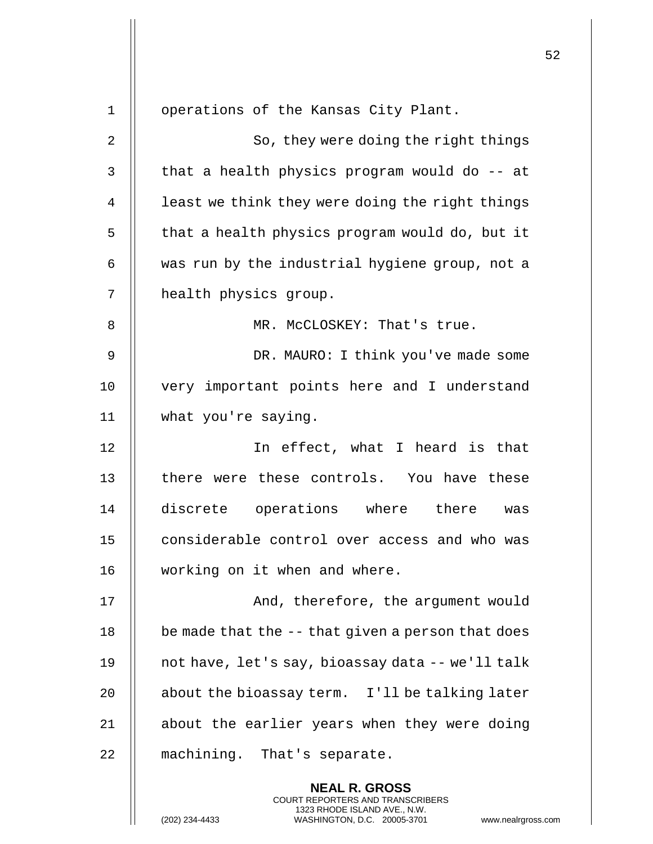|              |                                                                                                                                                                        | 52 |
|--------------|------------------------------------------------------------------------------------------------------------------------------------------------------------------------|----|
| $\mathbf{1}$ | operations of the Kansas City Plant.                                                                                                                                   |    |
| 2            | So, they were doing the right things                                                                                                                                   |    |
| 3            | that a health physics program would do -- at                                                                                                                           |    |
| 4            | least we think they were doing the right things                                                                                                                        |    |
| 5            | that a health physics program would do, but it                                                                                                                         |    |
| 6            | was run by the industrial hygiene group, not a                                                                                                                         |    |
| 7            | health physics group.                                                                                                                                                  |    |
| 8            | MR. McCLOSKEY: That's true.                                                                                                                                            |    |
| 9            | DR. MAURO: I think you've made some                                                                                                                                    |    |
|              |                                                                                                                                                                        |    |
| 10           | very important points here and I understand                                                                                                                            |    |
| 11           | what you're saying.                                                                                                                                                    |    |
| 12           | In effect, what I heard is that                                                                                                                                        |    |
| 13           | there were these controls. You have these                                                                                                                              |    |
| 14           | discrete operations where there<br>was                                                                                                                                 |    |
| 15           | considerable control over access and who was                                                                                                                           |    |
| 16           | working on it when and where.                                                                                                                                          |    |
| 17           | And, therefore, the argument would                                                                                                                                     |    |
| 18           | be made that the -- that given a person that does                                                                                                                      |    |
| 19           | not have, let's say, bioassay data -- we'll talk                                                                                                                       |    |
| 20           | about the bioassay term. I'll be talking later                                                                                                                         |    |
| 21           | about the earlier years when they were doing                                                                                                                           |    |
| 22           | machining. That's separate.                                                                                                                                            |    |
|              | <b>NEAL R. GROSS</b><br><b>COURT REPORTERS AND TRANSCRIBERS</b><br>1323 RHODE ISLAND AVE., N.W.<br>(202) 234-4433<br>WASHINGTON, D.C. 20005-3701<br>www.nealrgross.com |    |

 $\begin{array}{c} \hline \end{array}$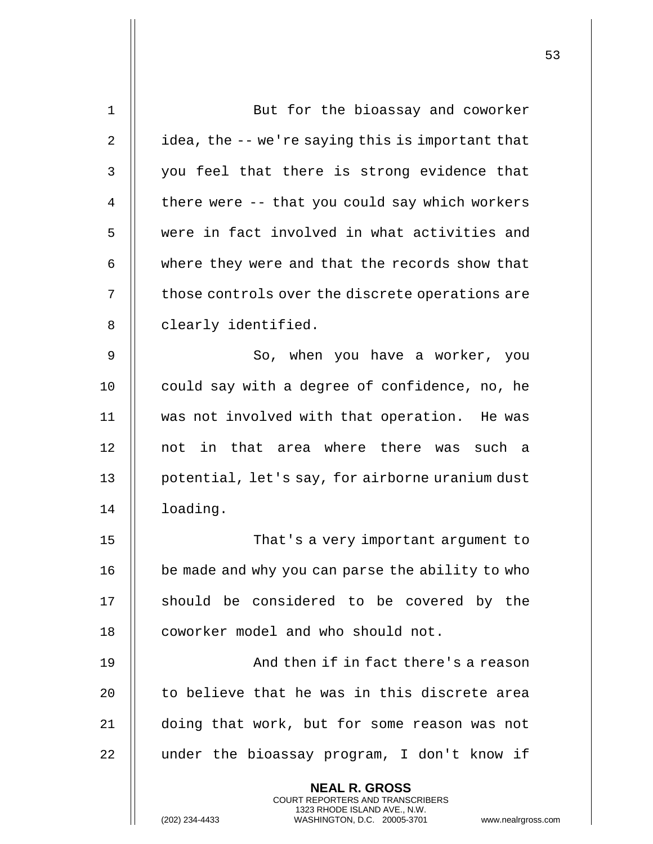| $\mathbf 1$  | But for the bioassay and coworker                                                                                                                           |
|--------------|-------------------------------------------------------------------------------------------------------------------------------------------------------------|
| 2            | idea, the -- we're saying this is important that                                                                                                            |
| $\mathbf{3}$ | you feel that there is strong evidence that                                                                                                                 |
| 4            | there were -- that you could say which workers                                                                                                              |
| 5            | were in fact involved in what activities and                                                                                                                |
| 6            | where they were and that the records show that                                                                                                              |
| 7            | those controls over the discrete operations are                                                                                                             |
| 8            | clearly identified.                                                                                                                                         |
| 9            | So, when you have a worker, you                                                                                                                             |
| 10           | could say with a degree of confidence, no, he                                                                                                               |
| 11           | was not involved with that operation. He was                                                                                                                |
| 12           | not in that area where there was such a                                                                                                                     |
| 13           | potential, let's say, for airborne uranium dust                                                                                                             |
| 14           | loading.                                                                                                                                                    |
| 15           | That's a very important argument to                                                                                                                         |
| 16           | be made and why you can parse the ability to who                                                                                                            |
| 17           | should be considered to be covered by the                                                                                                                   |
| 18           | coworker model and who should not.                                                                                                                          |
| 19           | And then if in fact there's a reason                                                                                                                        |
| 20           | to believe that he was in this discrete area                                                                                                                |
| 21           | doing that work, but for some reason was not                                                                                                                |
| 22           | under the bioassay program, I don't know if                                                                                                                 |
|              | <b>NEAL R. GROSS</b><br>COURT REPORTERS AND TRANSCRIBERS<br>1323 RHODE ISLAND AVE., N.W.<br>(202) 234-4433<br>WASHINGTON, D.C. 20005-3701<br>www.nealrgross |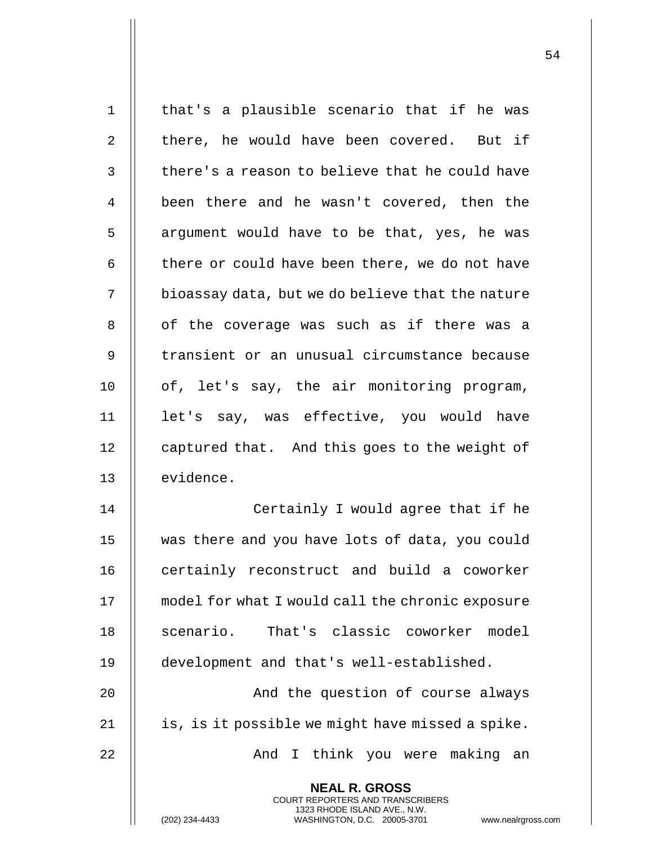| $\mathbf 1$    | that's a plausible scenario that if he was                                                                                                                        |
|----------------|-------------------------------------------------------------------------------------------------------------------------------------------------------------------|
| 2              | there, he would have been covered. But if                                                                                                                         |
| 3              | there's a reason to believe that he could have                                                                                                                    |
| $\overline{4}$ | been there and he wasn't covered, then the                                                                                                                        |
| 5              | argument would have to be that, yes, he was                                                                                                                       |
| 6              | there or could have been there, we do not have                                                                                                                    |
| 7              | bioassay data, but we do believe that the nature                                                                                                                  |
| 8              | of the coverage was such as if there was a                                                                                                                        |
| 9              | transient or an unusual circumstance because                                                                                                                      |
| 10             | of, let's say, the air monitoring program,                                                                                                                        |
| 11             | let's say, was effective, you would have                                                                                                                          |
| 12             | captured that. And this goes to the weight of                                                                                                                     |
| 13             | evidence.                                                                                                                                                         |
| 14             | Certainly I would agree that if he                                                                                                                                |
| 15             | was there and you have lots of data, you could                                                                                                                    |
| 16             | certainly reconstruct and build a coworker                                                                                                                        |
| 17             | model for what I would call the chronic exposure                                                                                                                  |
| 18             | scenario. That's classic coworker model                                                                                                                           |
| 19             | development and that's well-established.                                                                                                                          |
| 20             | And the question of course always                                                                                                                                 |
| 21             | is, is it possible we might have missed a spike.                                                                                                                  |
| 22             | And I think you were making an                                                                                                                                    |
|                | <b>NEAL R. GROSS</b><br><b>COURT REPORTERS AND TRANSCRIBERS</b><br>1323 RHODE ISLAND AVE., N.W.<br>WASHINGTON, D.C. 20005-3701<br>(202) 234-4433<br>www.nealrgros |

(202) 234-4433 WASHINGTON, D.C. 20005-3701 www.nealrgross.com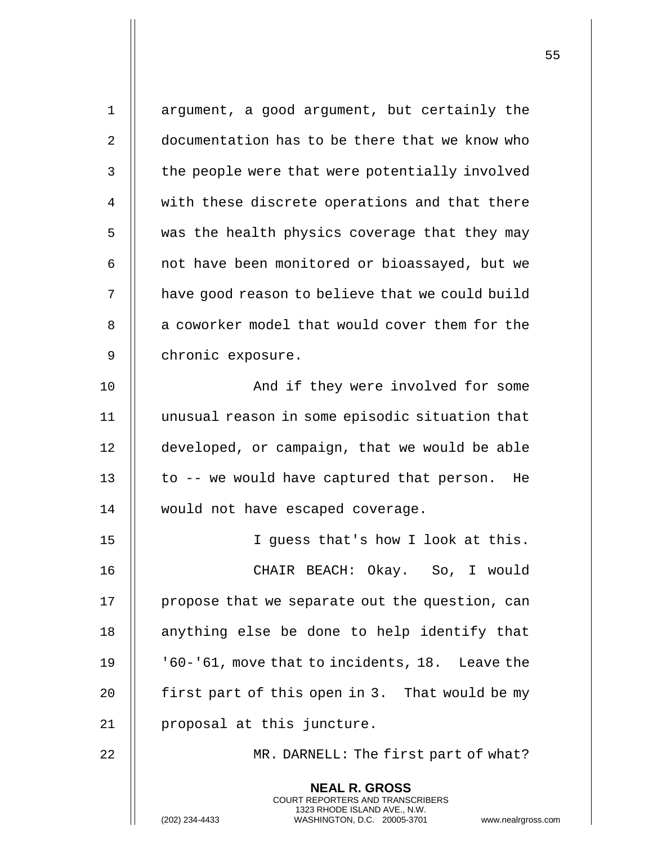| $\mathbf 1$ | argument, a good argument, but certainly the                                                                                                                      |
|-------------|-------------------------------------------------------------------------------------------------------------------------------------------------------------------|
| 2           | documentation has to be there that we know who                                                                                                                    |
| 3           | the people were that were potentially involved                                                                                                                    |
| 4           | with these discrete operations and that there                                                                                                                     |
| 5           | was the health physics coverage that they may                                                                                                                     |
| 6           | not have been monitored or bioassayed, but we                                                                                                                     |
| 7           | have good reason to believe that we could build                                                                                                                   |
| 8           | a coworker model that would cover them for the                                                                                                                    |
| 9           | chronic exposure.                                                                                                                                                 |
| 10          | And if they were involved for some                                                                                                                                |
| 11          | unusual reason in some episodic situation that                                                                                                                    |
| 12          | developed, or campaign, that we would be able                                                                                                                     |
| 13          | to -- we would have captured that person.<br>He                                                                                                                   |
| 14          | would not have escaped coverage.                                                                                                                                  |
| 15          | I guess that's how I look at this.                                                                                                                                |
| 16          | CHAIR BEACH: Okay. So, I would                                                                                                                                    |
| 17          | propose that we separate out the question, can                                                                                                                    |
| 18          | anything else be done to help identify that                                                                                                                       |
| 19          | '60-'61, move that to incidents, 18. Leave the                                                                                                                    |
| 20          | first part of this open in 3. That would be my                                                                                                                    |
| 21          | proposal at this juncture.                                                                                                                                        |
| 22          | MR. DARNELL: The first part of what?                                                                                                                              |
|             | <b>NEAL R. GROSS</b><br><b>COURT REPORTERS AND TRANSCRIBERS</b><br>1323 RHODE ISLAND AVE., N.W.<br>(202) 234-4433<br>WASHINGTON, D.C. 20005-3701<br>www.nealrgros |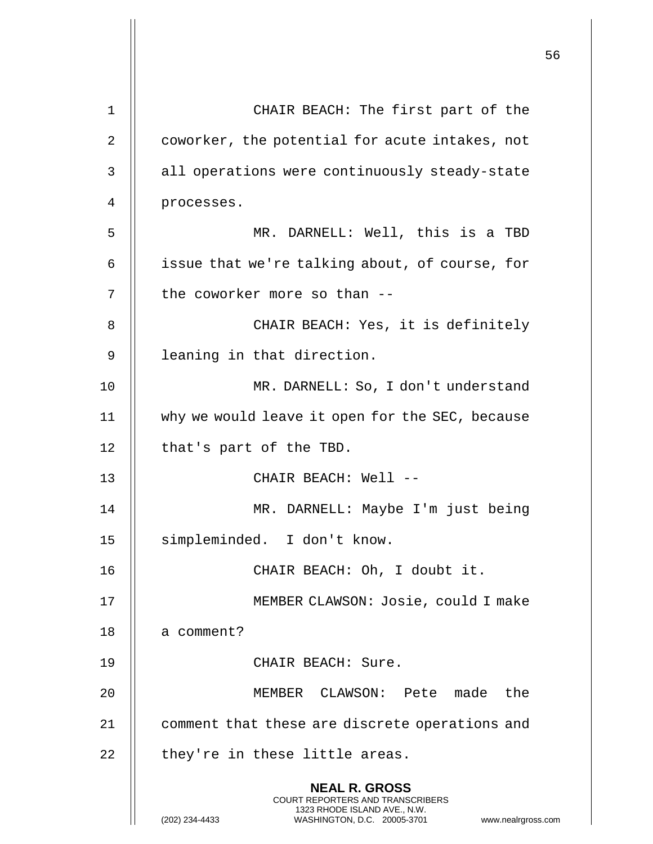|    |                                                                                                                                                                        | 56 |
|----|------------------------------------------------------------------------------------------------------------------------------------------------------------------------|----|
| 1  | CHAIR BEACH: The first part of the                                                                                                                                     |    |
| 2  | coworker, the potential for acute intakes, not                                                                                                                         |    |
| 3  | all operations were continuously steady-state                                                                                                                          |    |
| 4  | processes.                                                                                                                                                             |    |
| 5  | MR. DARNELL: Well, this is a TBD                                                                                                                                       |    |
| 6  | issue that we're talking about, of course, for                                                                                                                         |    |
| 7  | the coworker more so than --                                                                                                                                           |    |
| 8  | CHAIR BEACH: Yes, it is definitely                                                                                                                                     |    |
| 9  | leaning in that direction.                                                                                                                                             |    |
| 10 | MR. DARNELL: So, I don't understand                                                                                                                                    |    |
| 11 | why we would leave it open for the SEC, because                                                                                                                        |    |
| 12 | that's part of the TBD.                                                                                                                                                |    |
| 13 | CHAIR BEACH: Well --                                                                                                                                                   |    |
| 14 | MR. DARNELL: Maybe I'm just being                                                                                                                                      |    |
| 15 | simpleminded. I don't know.                                                                                                                                            |    |
| 16 | CHAIR BEACH: Oh, I doubt it.                                                                                                                                           |    |
| 17 | MEMBER CLAWSON: Josie, could I make                                                                                                                                    |    |
| 18 | a comment?                                                                                                                                                             |    |
| 19 | CHAIR BEACH: Sure.                                                                                                                                                     |    |
| 20 | MEMBER CLAWSON: Pete made the                                                                                                                                          |    |
| 21 | comment that these are discrete operations and                                                                                                                         |    |
| 22 | they're in these little areas.                                                                                                                                         |    |
|    | <b>NEAL R. GROSS</b><br><b>COURT REPORTERS AND TRANSCRIBERS</b><br>1323 RHODE ISLAND AVE., N.W.<br>(202) 234-4433<br>WASHINGTON, D.C. 20005-3701<br>www.nealrgross.com |    |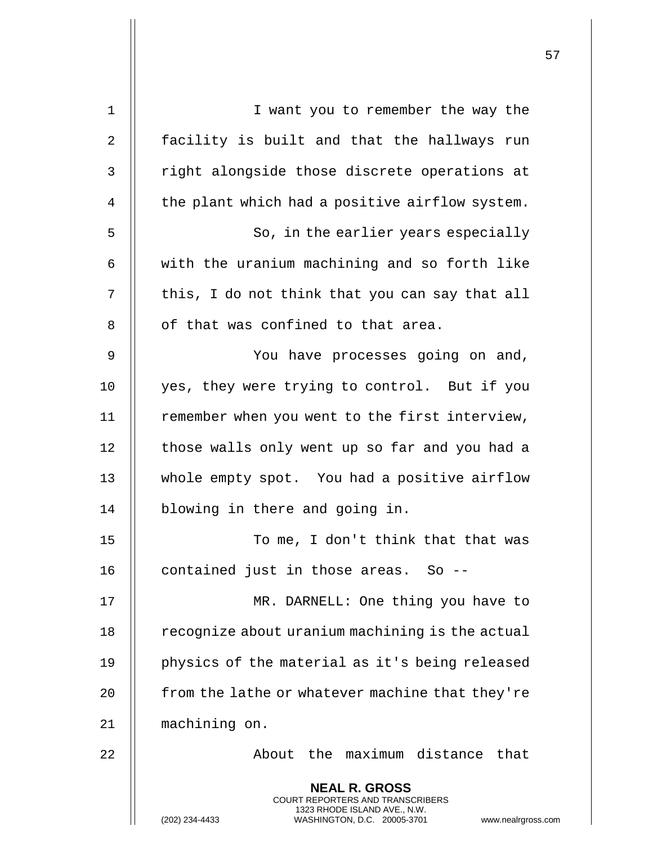| 1  | I want you to remember the way the                                                                                                                                     |
|----|------------------------------------------------------------------------------------------------------------------------------------------------------------------------|
| 2  | facility is built and that the hallways run                                                                                                                            |
| 3  | right alongside those discrete operations at                                                                                                                           |
| 4  | the plant which had a positive airflow system.                                                                                                                         |
| 5  | So, in the earlier years especially                                                                                                                                    |
| 6  | with the uranium machining and so forth like                                                                                                                           |
| 7  | this, I do not think that you can say that all                                                                                                                         |
| 8  | of that was confined to that area.                                                                                                                                     |
| 9  | You have processes going on and,                                                                                                                                       |
| 10 | yes, they were trying to control. But if you                                                                                                                           |
| 11 | remember when you went to the first interview,                                                                                                                         |
| 12 | those walls only went up so far and you had a                                                                                                                          |
| 13 | whole empty spot. You had a positive airflow                                                                                                                           |
| 14 | blowing in there and going in.                                                                                                                                         |
| 15 | To me, I don't think that that was                                                                                                                                     |
| 16 | contained just in those areas. So --                                                                                                                                   |
| 17 | MR. DARNELL: One thing you have to                                                                                                                                     |
| 18 | recognize about uranium machining is the actual                                                                                                                        |
| 19 | physics of the material as it's being released                                                                                                                         |
| 20 | from the lathe or whatever machine that they're                                                                                                                        |
| 21 | machining on.                                                                                                                                                          |
| 22 | About the maximum distance that                                                                                                                                        |
|    | <b>NEAL R. GROSS</b><br><b>COURT REPORTERS AND TRANSCRIBERS</b><br>1323 RHODE ISLAND AVE., N.W.<br>(202) 234-4433<br>WASHINGTON, D.C. 20005-3701<br>www.nealrgross.com |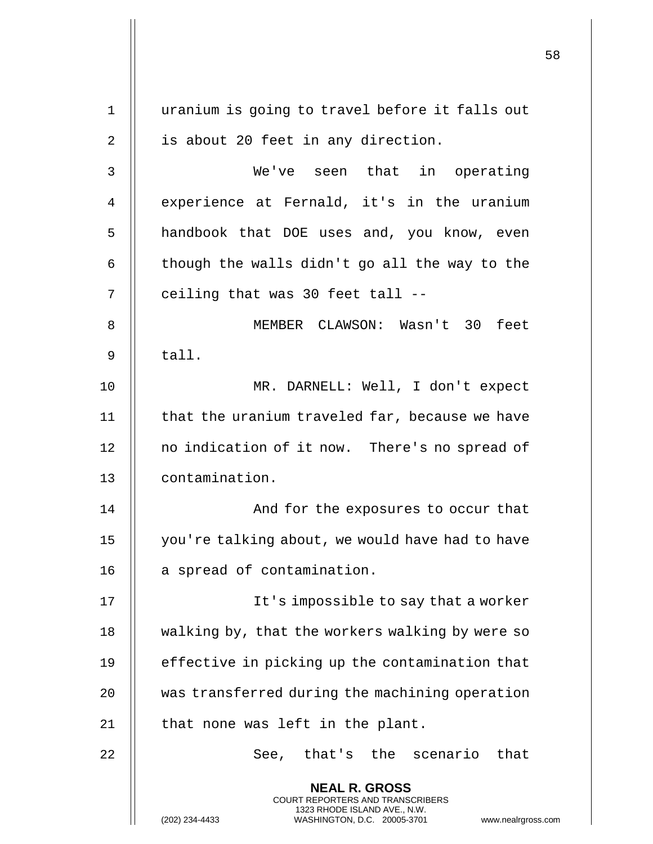|             |                                                                                                                                                                 | 58 |
|-------------|-----------------------------------------------------------------------------------------------------------------------------------------------------------------|----|
| $\mathbf 1$ | uranium is going to travel before it falls out                                                                                                                  |    |
| 2           | is about 20 feet in any direction.                                                                                                                              |    |
| 3           | We've seen that in operating                                                                                                                                    |    |
| 4           | experience at Fernald, it's in the uranium                                                                                                                      |    |
| 5           | handbook that DOE uses and, you know, even                                                                                                                      |    |
| 6           | though the walls didn't go all the way to the                                                                                                                   |    |
| 7           | ceiling that was 30 feet tall --                                                                                                                                |    |
| 8           | MEMBER CLAWSON: Wasn't 30 feet                                                                                                                                  |    |
| 9           | tall.                                                                                                                                                           |    |
| 10          | MR. DARNELL: Well, I don't expect                                                                                                                               |    |
| 11          | that the uranium traveled far, because we have                                                                                                                  |    |
| 12          | no indication of it now. There's no spread of                                                                                                                   |    |
| 13          | contamination.                                                                                                                                                  |    |
| 14          | And for the exposures to occur that                                                                                                                             |    |
| 15          | you're talking about, we would have had to have                                                                                                                 |    |
| 16          | a spread of contamination.                                                                                                                                      |    |
| 17          | It's impossible to say that a worker                                                                                                                            |    |
| 18          | walking by, that the workers walking by were so                                                                                                                 |    |
| 19          | effective in picking up the contamination that                                                                                                                  |    |
| 20          | was transferred during the machining operation                                                                                                                  |    |
| 21          | that none was left in the plant.                                                                                                                                |    |
| 22          | See, that's the scenario that                                                                                                                                   |    |
|             | <b>NEAL R. GROSS</b><br>COURT REPORTERS AND TRANSCRIBERS<br>1323 RHODE ISLAND AVE., N.W.<br>(202) 234-4433<br>WASHINGTON, D.C. 20005-3701<br>www.nealrgross.com |    |

 $\overline{1}$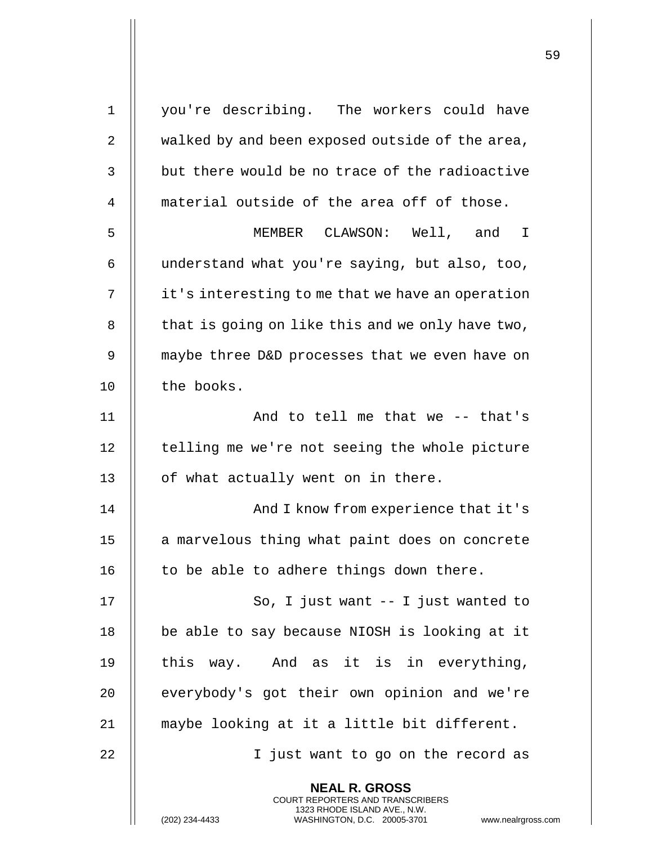| $\mathbf 1$ | you're describing. The workers could have                                                                                                                              |
|-------------|------------------------------------------------------------------------------------------------------------------------------------------------------------------------|
| 2           | walked by and been exposed outside of the area,                                                                                                                        |
| 3           | but there would be no trace of the radioactive                                                                                                                         |
| 4           | material outside of the area off of those.                                                                                                                             |
| 5           | MEMBER CLAWSON: Well, and I                                                                                                                                            |
| 6           | understand what you're saying, but also, too,                                                                                                                          |
| 7           | it's interesting to me that we have an operation                                                                                                                       |
| 8           | that is going on like this and we only have two,                                                                                                                       |
| 9           | maybe three D&D processes that we even have on                                                                                                                         |
| 10          | the books.                                                                                                                                                             |
| 11          | And to tell me that we -- that's                                                                                                                                       |
| 12          | telling me we're not seeing the whole picture                                                                                                                          |
| 13          | of what actually went on in there.                                                                                                                                     |
| 14          | And I know from experience that it's                                                                                                                                   |
| 15          | a marvelous thing what paint does on concrete                                                                                                                          |
| 16          | to be able to adhere things down there.                                                                                                                                |
| 17          | So, I just want $-$ - I just wanted to                                                                                                                                 |
| 18          | be able to say because NIOSH is looking at it                                                                                                                          |
| 19          | this way. And as it is in everything,                                                                                                                                  |
| 20          | everybody's got their own opinion and we're                                                                                                                            |
| 21          | maybe looking at it a little bit different.                                                                                                                            |
| 22          | I just want to go on the record as                                                                                                                                     |
|             | <b>NEAL R. GROSS</b><br><b>COURT REPORTERS AND TRANSCRIBERS</b><br>1323 RHODE ISLAND AVE., N.W.<br>WASHINGTON, D.C. 20005-3701<br>(202) 234-4433<br>www.nealrgross.com |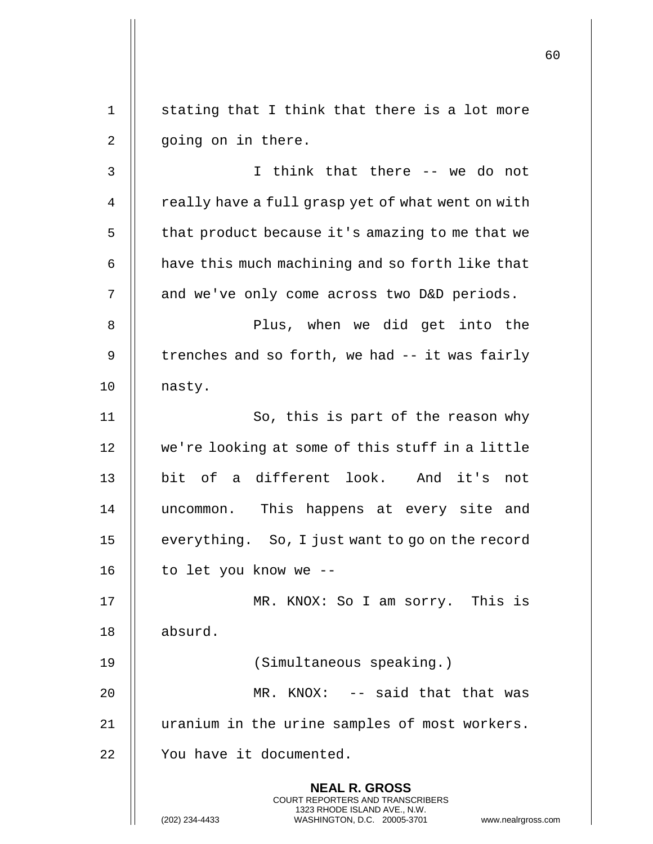**NEAL R. GROSS** COURT REPORTERS AND TRANSCRIBERS 1323 RHODE ISLAND AVE., N.W. (202) 234-4433 WASHINGTON, D.C. 20005-3701 www.nealrgross.com  $1 \parallel$  stating that I think that there is a lot more 2 || going on in there. 3 I think that there -- we do not 4 | really have a full grasp yet of what went on with  $5$  | that product because it's amazing to me that we  $6$  | have this much machining and so forth like that 7 | and we've only come across two D&D periods. 8 Plus, when we did get into the 9  $\parallel$  trenches and so forth, we had -- it was fairly 10 | nasty. 11 || So, this is part of the reason why 12 we're looking at some of this stuff in a little 13 bit of a different look. And it's not 14 || uncommon. This happens at every site and 15 | everything. So, I just want to go on the record 16  $\parallel$  to let you know we --17 MR. KNOX: So I am sorry. This is 18 absurd. 19 (Simultaneous speaking.) 20 MR. KNOX: -- said that that was 21 || uranium in the urine samples of most workers. 22 | You have it documented.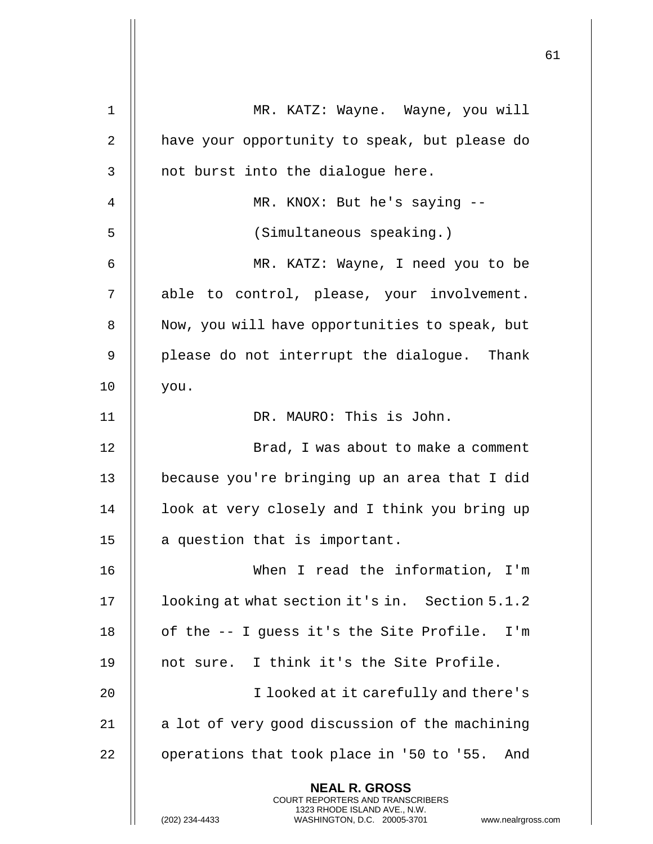|    |                                                                                                                                                                        | 61 |
|----|------------------------------------------------------------------------------------------------------------------------------------------------------------------------|----|
| 1  | MR. KATZ: Wayne. Wayne, you will                                                                                                                                       |    |
| 2  | have your opportunity to speak, but please do                                                                                                                          |    |
| 3  | not burst into the dialogue here.                                                                                                                                      |    |
| 4  | MR. KNOX: But he's saying --                                                                                                                                           |    |
| 5  | (Simultaneous speaking.)                                                                                                                                               |    |
| 6  | MR. KATZ: Wayne, I need you to be                                                                                                                                      |    |
| 7  | able to control, please, your involvement.                                                                                                                             |    |
| 8  | Now, you will have opportunities to speak, but                                                                                                                         |    |
| 9  | please do not interrupt the dialogue. Thank                                                                                                                            |    |
| 10 | you.                                                                                                                                                                   |    |
| 11 | DR. MAURO: This is John.                                                                                                                                               |    |
| 12 | Brad, I was about to make a comment                                                                                                                                    |    |
| 13 | because you're bringing up an area that I did                                                                                                                          |    |
| 14 | look at very closely and I think you bring up                                                                                                                          |    |
| 15 | a question that is important.                                                                                                                                          |    |
| 16 | When I read the information, I'm                                                                                                                                       |    |
| 17 | looking at what section it's in. Section 5.1.2                                                                                                                         |    |
| 18 | of the -- I guess it's the Site Profile. I'm                                                                                                                           |    |
| 19 | not sure. I think it's the Site Profile.                                                                                                                               |    |
| 20 | I looked at it carefully and there's                                                                                                                                   |    |
| 21 | a lot of very good discussion of the machining                                                                                                                         |    |
| 22 | operations that took place in '50 to '55.<br>And                                                                                                                       |    |
|    | <b>NEAL R. GROSS</b><br><b>COURT REPORTERS AND TRANSCRIBERS</b><br>1323 RHODE ISLAND AVE., N.W.<br>(202) 234-4433<br>WASHINGTON, D.C. 20005-3701<br>www.nealrgross.com |    |

 $\mathop{||}$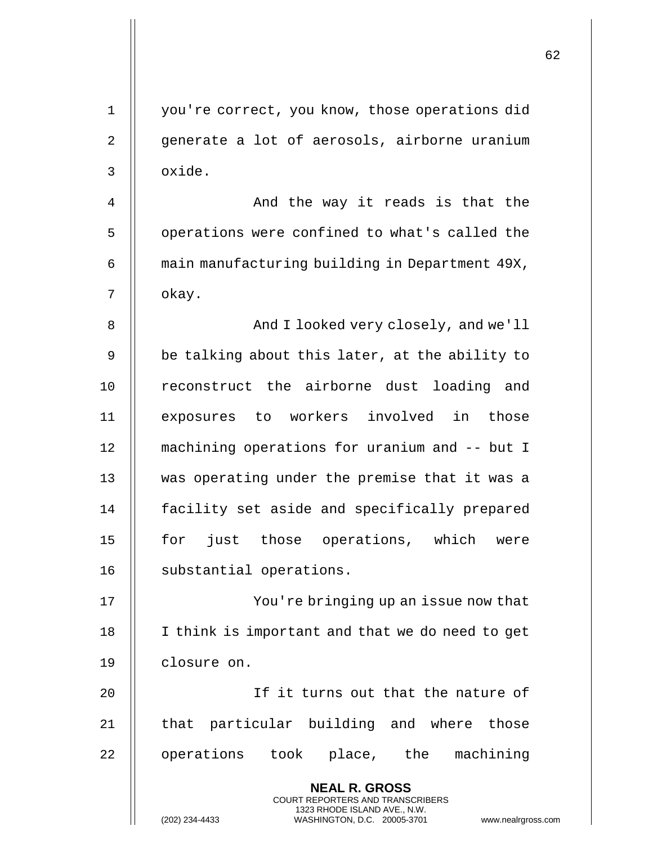| $\mathbf{1}$ | you're correct, you know, those operations did                                                                                                                  |
|--------------|-----------------------------------------------------------------------------------------------------------------------------------------------------------------|
| 2            | generate a lot of aerosols, airborne uranium                                                                                                                    |
| 3            | oxide.                                                                                                                                                          |
| 4            | And the way it reads is that the                                                                                                                                |
| 5            | operations were confined to what's called the                                                                                                                   |
| 6            | main manufacturing building in Department 49X,                                                                                                                  |
| 7            | okay.                                                                                                                                                           |
| 8            | And I looked very closely, and we'll                                                                                                                            |
| 9            | be talking about this later, at the ability to                                                                                                                  |
| 10           | reconstruct the airborne dust loading and                                                                                                                       |
| 11           | exposures to workers involved in those                                                                                                                          |
| 12           | machining operations for uranium and -- but I                                                                                                                   |
| 13           | was operating under the premise that it was a                                                                                                                   |
| 14           | facility set aside and specifically prepared                                                                                                                    |
| 15           | for just those operations, which were                                                                                                                           |
| 16           | substantial operations.                                                                                                                                         |
| 17           | You're bringing up an issue now that                                                                                                                            |
| 18           | I think is important and that we do need to get                                                                                                                 |
| 19           | closure on.                                                                                                                                                     |
| 20           | If it turns out that the nature of                                                                                                                              |
| 21           | that particular building and where those                                                                                                                        |
| 22           | operations took place, the machining                                                                                                                            |
|              | <b>NEAL R. GROSS</b><br>COURT REPORTERS AND TRANSCRIBERS<br>1323 RHODE ISLAND AVE., N.W.<br>(202) 234-4433<br>WASHINGTON, D.C. 20005-3701<br>www.nealrgross.com |

 $\mathsf{I}$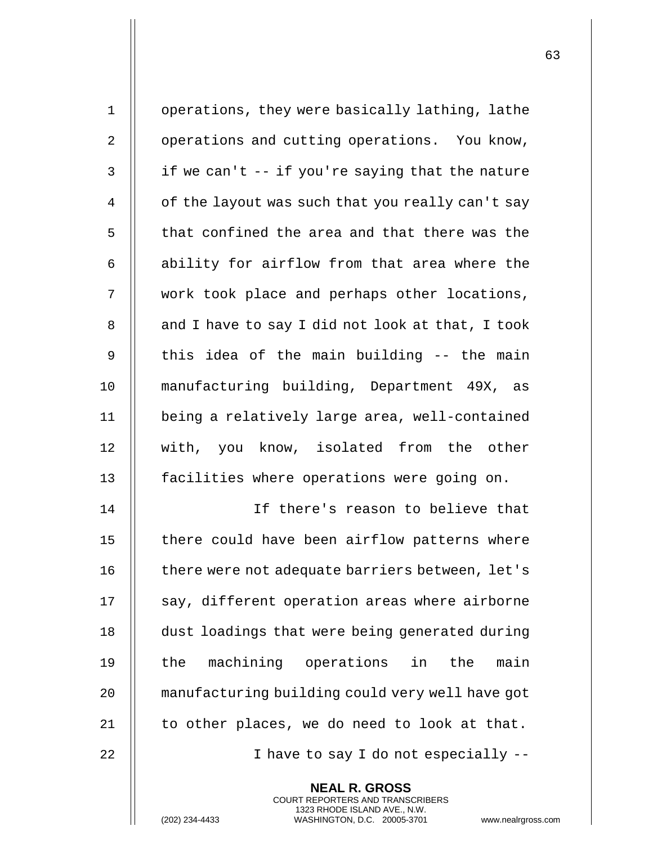| $\mathbf 1$    | operations, they were basically lathing, lathe   |
|----------------|--------------------------------------------------|
| $\overline{2}$ | operations and cutting operations. You know,     |
| 3              | if we can't -- if you're saying that the nature  |
| 4              | of the layout was such that you really can't say |
| 5              | that confined the area and that there was the    |
| 6              | ability for airflow from that area where the     |
| 7              | work took place and perhaps other locations,     |
| 8              | and I have to say I did not look at that, I took |
| 9              | this idea of the main building -- the main       |
| 10             | manufacturing building, Department 49X, as       |
| 11             | being a relatively large area, well-contained    |
| 12             | with, you know, isolated from the other          |
| 13             | facilities where operations were going on.       |
| 14             | If there's reason to believe that                |
| 15             | there could have been airflow patterns where     |
| 16             | there were not adequate barriers between, let's  |
| 17             | say, different operation areas where airborne    |
| 18             | dust loadings that were being generated during   |
| 19             | machining operations in<br>the<br>main<br>the    |
| 20             | manufacturing building could very well have got  |
| 21             | to other places, we do need to look at that.     |
| 22             | I have to say I do not especially --             |
|                | <b>NEAL R. GROSS</b>                             |

COURT REPORTERS AND TRANSCRIBERS 1323 RHODE ISLAND AVE., N.W.

(202) 234-4433 WASHINGTON, D.C. 20005-3701 www.nealrgross.com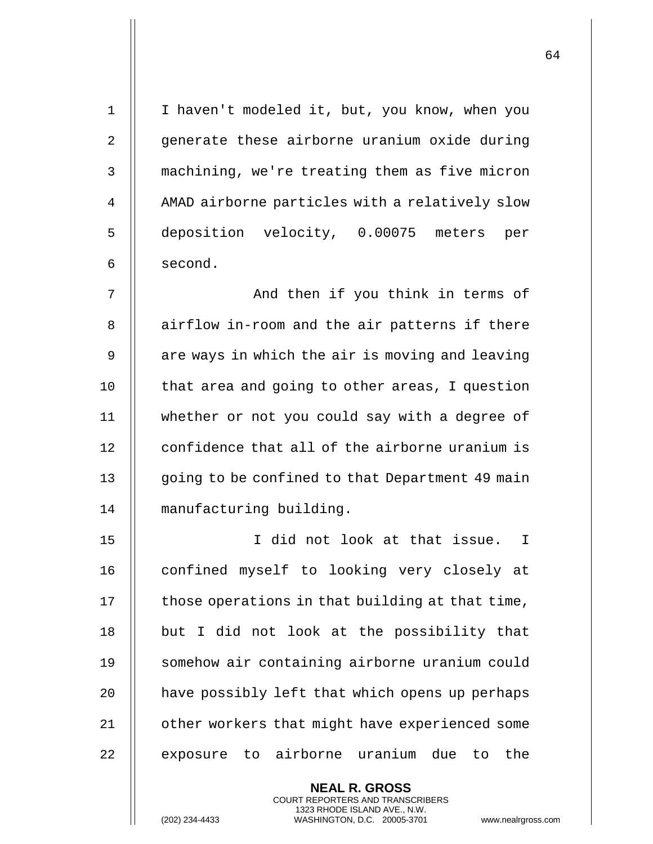1 || I haven't modeled it, but, you know, when you 2 || generate these airborne uranium oxide during 3 | machining, we're treating them as five micron 4 | AMAD airborne particles with a relatively slow 5 deposition velocity, 0.00075 meters per  $6 \parallel$  second. 7 || And then if you think in terms of 8 || airflow in-room and the air patterns if there  $9$  | are ways in which the air is moving and leaving 10 || that area and going to other areas, I question 11 whether or not you could say with a degree of 12 | confidence that all of the airborne uranium is 13 | going to be confined to that Department 49 main 14 manufacturing building. 15 I did not look at that issue. I 16 || confined myself to looking very closely at  $17$   $\parallel$  those operations in that building at that time, 18 || but I did not look at the possibility that 19 || somehow air containing airborne uranium could 20  $\parallel$  have possibly left that which opens up perhaps 21 | other workers that might have experienced some 22 || exposure to airborne uranium due to the

> **NEAL R. GROSS** COURT REPORTERS AND TRANSCRIBERS 1323 RHODE ISLAND AVE., N.W.

(202) 234-4433 WASHINGTON, D.C. 20005-3701 www.nealrgross.com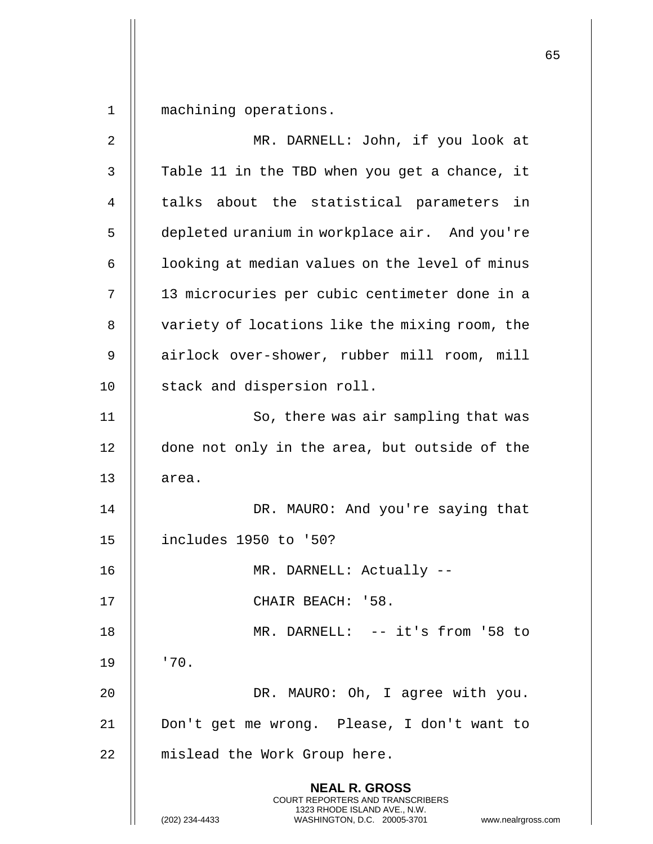1 machining operations.

| $\overline{c}$ | MR. DARNELL: John, if you look at                                                                                                                               |
|----------------|-----------------------------------------------------------------------------------------------------------------------------------------------------------------|
| 3              | Table 11 in the TBD when you get a chance, it                                                                                                                   |
| 4              | talks about the statistical parameters in                                                                                                                       |
| 5              | depleted uranium in workplace air. And you're                                                                                                                   |
| 6              | looking at median values on the level of minus                                                                                                                  |
| 7              | 13 microcuries per cubic centimeter done in a                                                                                                                   |
| 8              | variety of locations like the mixing room, the                                                                                                                  |
| 9              | airlock over-shower, rubber mill room, mill                                                                                                                     |
| 10             | stack and dispersion roll.                                                                                                                                      |
| 11             | So, there was air sampling that was                                                                                                                             |
| 12             | done not only in the area, but outside of the                                                                                                                   |
| 13             | area.                                                                                                                                                           |
| 14             | DR. MAURO: And you're saying that                                                                                                                               |
| 15             | includes 1950 to '50?                                                                                                                                           |
| 16             | MR. DARNELL: Actually --                                                                                                                                        |
| 17             | CHAIR BEACH: '58.                                                                                                                                               |
| 18             | MR. DARNELL: -- it's from '58 to                                                                                                                                |
| 19             | '70.                                                                                                                                                            |
| 20             | DR. MAURO: Oh, I agree with you.                                                                                                                                |
| 21             | Don't get me wrong. Please, I don't want to                                                                                                                     |
| 22             | mislead the Work Group here.                                                                                                                                    |
|                | <b>NEAL R. GROSS</b><br>COURT REPORTERS AND TRANSCRIBERS<br>1323 RHODE ISLAND AVE., N.W.<br>(202) 234-4433<br>WASHINGTON, D.C. 20005-3701<br>www.nealrgross.com |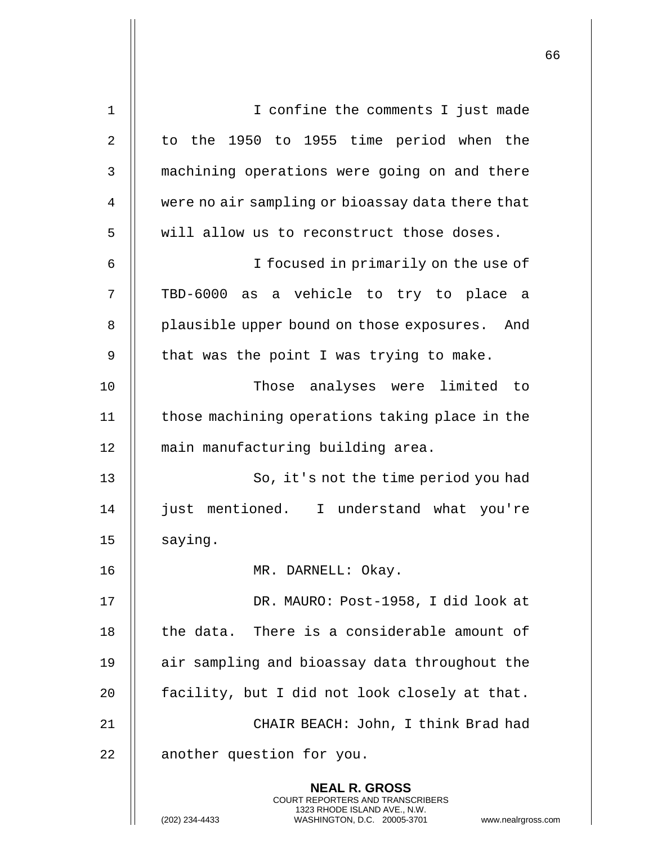| $\mathbf 1$ | I confine the comments I just made                                                                                                                                 |
|-------------|--------------------------------------------------------------------------------------------------------------------------------------------------------------------|
| 2           | to the 1950 to 1955 time period when the                                                                                                                           |
| 3           | machining operations were going on and there                                                                                                                       |
| 4           | were no air sampling or bioassay data there that                                                                                                                   |
| 5           | will allow us to reconstruct those doses.                                                                                                                          |
| 6           | I focused in primarily on the use of                                                                                                                               |
| 7           | a vehicle to try to place a<br>TBD-6000 as                                                                                                                         |
| 8           | plausible upper bound on those exposures.<br>And                                                                                                                   |
| 9           | that was the point I was trying to make.                                                                                                                           |
| 10          | Those analyses were limited<br>- to                                                                                                                                |
| 11          | those machining operations taking place in the                                                                                                                     |
| 12          | main manufacturing building area.                                                                                                                                  |
| 13          | So, it's not the time period you had                                                                                                                               |
| 14          | just mentioned. I understand what you're                                                                                                                           |
| 15          | saying.                                                                                                                                                            |
| 16          | MR. DARNELL: Okay.                                                                                                                                                 |
| 17          | DR. MAURO: Post-1958, I did look at                                                                                                                                |
| 18          | the data.<br>There is a considerable amount of                                                                                                                     |
| 19          | air sampling and bioassay data throughout the                                                                                                                      |
| 20          | facility, but I did not look closely at that.                                                                                                                      |
| 21          | CHAIR BEACH: John, I think Brad had                                                                                                                                |
| 22          | another question for you.                                                                                                                                          |
|             | <b>NEAL R. GROSS</b><br><b>COURT REPORTERS AND TRANSCRIBERS</b><br>1323 RHODE ISLAND AVE., N.W.<br>(202) 234-4433<br>WASHINGTON, D.C. 20005-3701<br>www.nealrgross |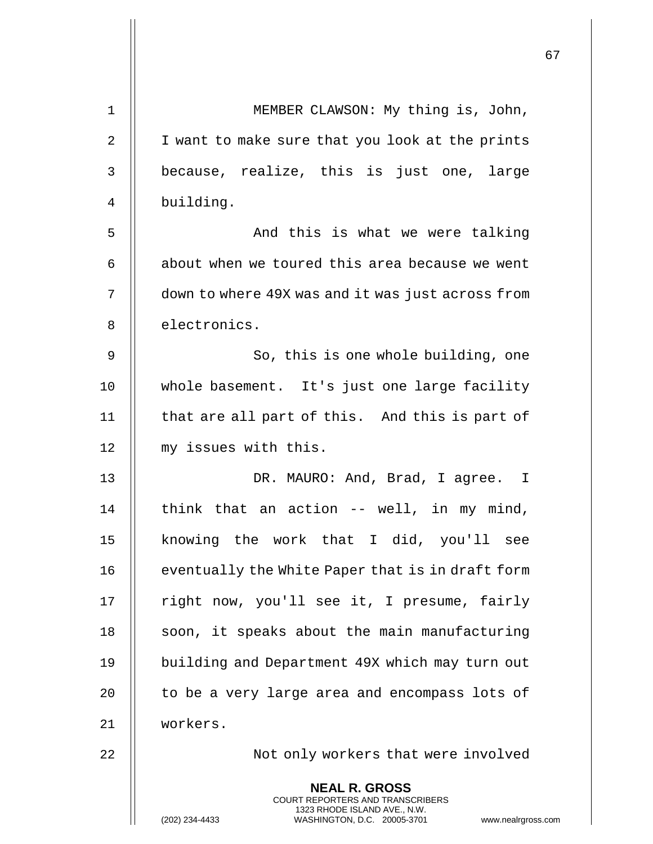|                |                                                                                                                                                              | 67 |
|----------------|--------------------------------------------------------------------------------------------------------------------------------------------------------------|----|
| 1              | MEMBER CLAWSON: My thing is, John,                                                                                                                           |    |
| $\overline{2}$ | I want to make sure that you look at the prints                                                                                                              |    |
| 3              | because, realize, this is just one, large                                                                                                                    |    |
| 4              | building.                                                                                                                                                    |    |
| 5              | And this is what we were talking                                                                                                                             |    |
| 6              | about when we toured this area because we went                                                                                                               |    |
| 7              | down to where 49X was and it was just across from                                                                                                            |    |
| 8              | electronics.                                                                                                                                                 |    |
|                |                                                                                                                                                              |    |
| 9              | So, this is one whole building, one                                                                                                                          |    |
| 10             | whole basement. It's just one large facility                                                                                                                 |    |
| 11             | that are all part of this. And this is part of                                                                                                               |    |
| 12             | my issues with this.                                                                                                                                         |    |
| 13             | DR. MAURO: And, Brad, I agree. I                                                                                                                             |    |
| 14             | think that an action -- well, in my mind,                                                                                                                    |    |
| 15             | knowing the work that I did, you'll see                                                                                                                      |    |
| 16             | eventually the White Paper that is in draft form                                                                                                             |    |
| 17             | right now, you'll see it, I presume, fairly                                                                                                                  |    |
| 18             | soon, it speaks about the main manufacturing                                                                                                                 |    |
| 19             | building and Department 49X which may turn out                                                                                                               |    |
| 20             | to be a very large area and encompass lots of                                                                                                                |    |
| 21             | workers.                                                                                                                                                     |    |
| 22             | Not only workers that were involved                                                                                                                          |    |
|                | <b>NEAL R. GROSS</b><br>COURT REPORTERS AND TRANSCRIBERS<br>1323 RHODE ISLAND AVE., N.W.<br>(202) 234-4433<br>WASHINGTON, D.C. 20005-3701 www.nealrgross.com |    |

 $\mathbf{I}$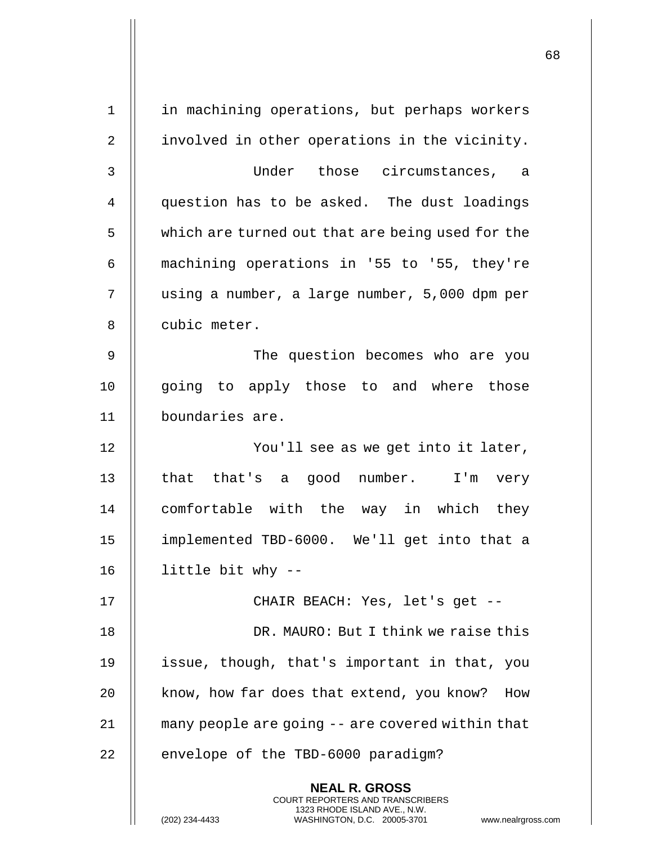| $\mathbf 1$    | in machining operations, but perhaps workers                                                                                                                 |
|----------------|--------------------------------------------------------------------------------------------------------------------------------------------------------------|
| $\overline{2}$ | involved in other operations in the vicinity.                                                                                                                |
| 3              | Under those circumstances, a                                                                                                                                 |
| $\overline{4}$ | question has to be asked. The dust loadings                                                                                                                  |
| 5              | which are turned out that are being used for the                                                                                                             |
| 6              | machining operations in '55 to '55, they're                                                                                                                  |
| 7              | using a number, a large number, 5,000 dpm per                                                                                                                |
| 8              | cubic meter.                                                                                                                                                 |
| 9              | The question becomes who are you                                                                                                                             |
| 10             | going to apply those to and where those                                                                                                                      |
| 11             | boundaries are.                                                                                                                                              |
| 12             | You'll see as we get into it later,                                                                                                                          |
| 13             | that that's a good number. I'm very                                                                                                                          |
| 14             | comfortable with the way in which they                                                                                                                       |
| 15             | implemented TBD-6000. We'll get into that a                                                                                                                  |
| 16             | little bit why --                                                                                                                                            |
| 17             | CHAIR BEACH: Yes, let's get --                                                                                                                               |
| 18             | DR. MAURO: But I think we raise this                                                                                                                         |
| 19             | issue, though, that's important in that, you                                                                                                                 |
| 20             | know, how far does that extend, you know?<br>How                                                                                                             |
| 21             | many people are going -- are covered within that                                                                                                             |
| 22             | envelope of the TBD-6000 paradigm?                                                                                                                           |
|                | <b>NEAL R. GROSS</b><br>COURT REPORTERS AND TRANSCRIBERS<br>1323 RHODE ISLAND AVE., N.W.<br>(202) 234-4433<br>WASHINGTON, D.C. 20005-3701<br>www.nealrgross. |

 $\mathsf{l}$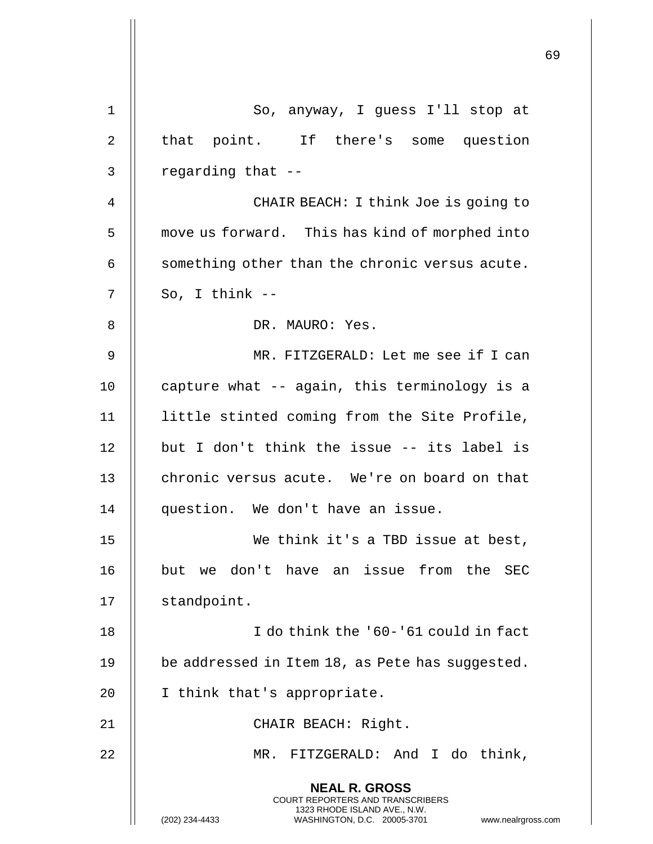|    |                                                                                                                                                                        | 69 |
|----|------------------------------------------------------------------------------------------------------------------------------------------------------------------------|----|
| 1  | So, anyway, I guess I'll stop at                                                                                                                                       |    |
| 2  | that point. If there's some question                                                                                                                                   |    |
| 3  | regarding that --                                                                                                                                                      |    |
| 4  | CHAIR BEACH: I think Joe is going to                                                                                                                                   |    |
| 5  | move us forward. This has kind of morphed into                                                                                                                         |    |
| 6  | something other than the chronic versus acute.                                                                                                                         |    |
| 7  | So, I think $--$                                                                                                                                                       |    |
| 8  | DR. MAURO: Yes.                                                                                                                                                        |    |
| 9  | MR. FITZGERALD: Let me see if I can                                                                                                                                    |    |
| 10 | capture what -- again, this terminology is a                                                                                                                           |    |
| 11 | little stinted coming from the Site Profile,                                                                                                                           |    |
| 12 | but I don't think the issue -- its label is                                                                                                                            |    |
| 13 | chronic versus acute. We're on board on that                                                                                                                           |    |
| 14 | question. We don't have an issue.                                                                                                                                      |    |
| 15 | We think it's a TBD issue at best,                                                                                                                                     |    |
| 16 | but we don't have an issue from the SEC                                                                                                                                |    |
| 17 | standpoint.                                                                                                                                                            |    |
| 18 | I do think the '60-'61 could in fact                                                                                                                                   |    |
| 19 | be addressed in Item 18, as Pete has suggested.                                                                                                                        |    |
| 20 | I think that's appropriate.                                                                                                                                            |    |
| 21 | CHAIR BEACH: Right.                                                                                                                                                    |    |
| 22 | FITZGERALD: And I do think,<br>MR.                                                                                                                                     |    |
|    | <b>NEAL R. GROSS</b><br><b>COURT REPORTERS AND TRANSCRIBERS</b><br>1323 RHODE ISLAND AVE., N.W.<br>(202) 234-4433<br>WASHINGTON, D.C. 20005-3701<br>www.nealrgross.com |    |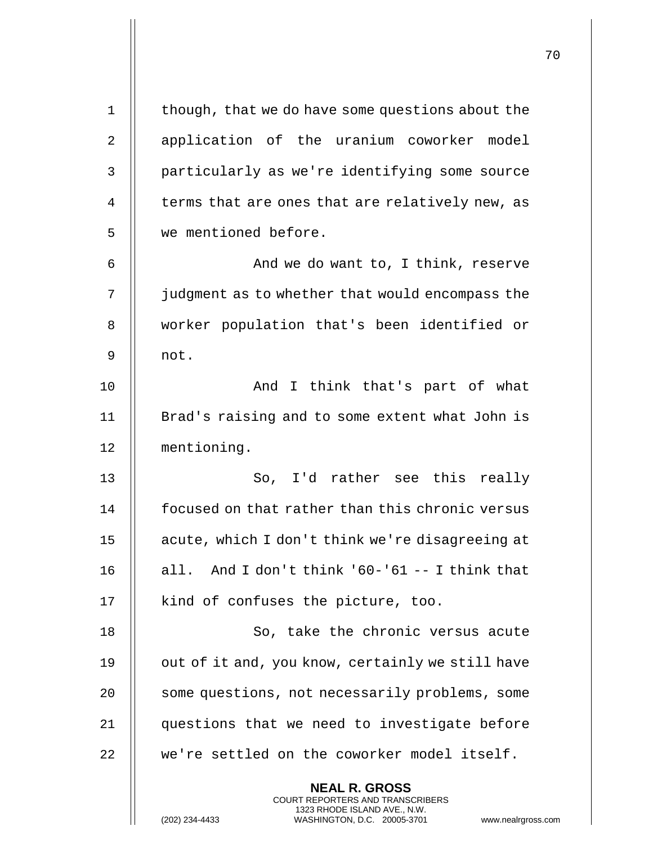| $\mathbf 1$ | though, that we do have some questions about the                                                                                                                   |
|-------------|--------------------------------------------------------------------------------------------------------------------------------------------------------------------|
| 2           | application of the uranium coworker model                                                                                                                          |
| 3           | particularly as we're identifying some source                                                                                                                      |
| 4           | terms that are ones that are relatively new, as                                                                                                                    |
| 5           | we mentioned before.                                                                                                                                               |
| 6           | And we do want to, I think, reserve                                                                                                                                |
| 7           | judgment as to whether that would encompass the                                                                                                                    |
| 8           | worker population that's been identified or                                                                                                                        |
| 9           | not.                                                                                                                                                               |
| 10          | And I think that's part of what                                                                                                                                    |
| 11          | Brad's raising and to some extent what John is                                                                                                                     |
| 12          | mentioning.                                                                                                                                                        |
| 13          | So, I'd rather see this really                                                                                                                                     |
| 14          | focused on that rather than this chronic versus                                                                                                                    |
| 15          | acute, which I don't think we're disagreeing at                                                                                                                    |
| 16          | all. And I don't think $160 - 61 - 1$ think that                                                                                                                   |
| 17          | kind of confuses the picture, too.                                                                                                                                 |
| 18          | So, take the chronic versus acute                                                                                                                                  |
| 19          | out of it and, you know, certainly we still have                                                                                                                   |
| 20          | some questions, not necessarily problems, some                                                                                                                     |
| 21          | questions that we need to investigate before                                                                                                                       |
| 22          | we're settled on the coworker model itself.                                                                                                                        |
|             | <b>NEAL R. GROSS</b><br><b>COURT REPORTERS AND TRANSCRIBERS</b><br>1323 RHODE ISLAND AVE., N.W.<br>(202) 234-4433<br>WASHINGTON, D.C. 20005-3701<br>www.nealrgross |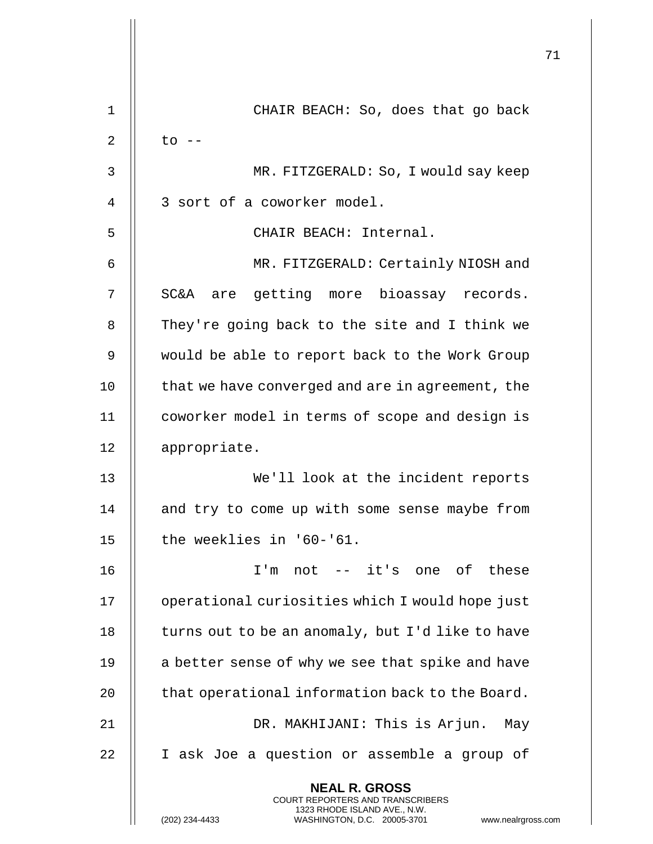|             |                                                                                                                                                                        | 71 |
|-------------|------------------------------------------------------------------------------------------------------------------------------------------------------------------------|----|
| $\mathbf 1$ | CHAIR BEACH: So, does that go back                                                                                                                                     |    |
| 2           | $to$ $--$                                                                                                                                                              |    |
| 3           | MR. FITZGERALD: So, I would say keep                                                                                                                                   |    |
| 4           | 3 sort of a coworker model.                                                                                                                                            |    |
| 5           | CHAIR BEACH: Internal.                                                                                                                                                 |    |
| 6           | MR. FITZGERALD: Certainly NIOSH and                                                                                                                                    |    |
| 7           | SC&A are getting more bioassay records.                                                                                                                                |    |
| 8           | They're going back to the site and I think we                                                                                                                          |    |
| 9           | would be able to report back to the Work Group                                                                                                                         |    |
| 10          | that we have converged and are in agreement, the                                                                                                                       |    |
| 11          | coworker model in terms of scope and design is                                                                                                                         |    |
| 12          | appropriate.                                                                                                                                                           |    |
| 13          | We'll look at the incident reports                                                                                                                                     |    |
| 14          | and try to come up with some sense maybe from                                                                                                                          |    |
| 15          | the weeklies in '60-'61.                                                                                                                                               |    |
| 16          | I'm not -- it's one of these                                                                                                                                           |    |
| 17          | operational curiosities which I would hope just                                                                                                                        |    |
| 18          | turns out to be an anomaly, but I'd like to have                                                                                                                       |    |
| 19          | a better sense of why we see that spike and have                                                                                                                       |    |
| 20          | that operational information back to the Board.                                                                                                                        |    |
| 21          | DR. MAKHIJANI: This is Arjun. May                                                                                                                                      |    |
| 22          | I ask Joe a question or assemble a group of                                                                                                                            |    |
|             | <b>NEAL R. GROSS</b><br><b>COURT REPORTERS AND TRANSCRIBERS</b><br>1323 RHODE ISLAND AVE., N.W.<br>(202) 234-4433<br>WASHINGTON, D.C. 20005-3701<br>www.nealrgross.com |    |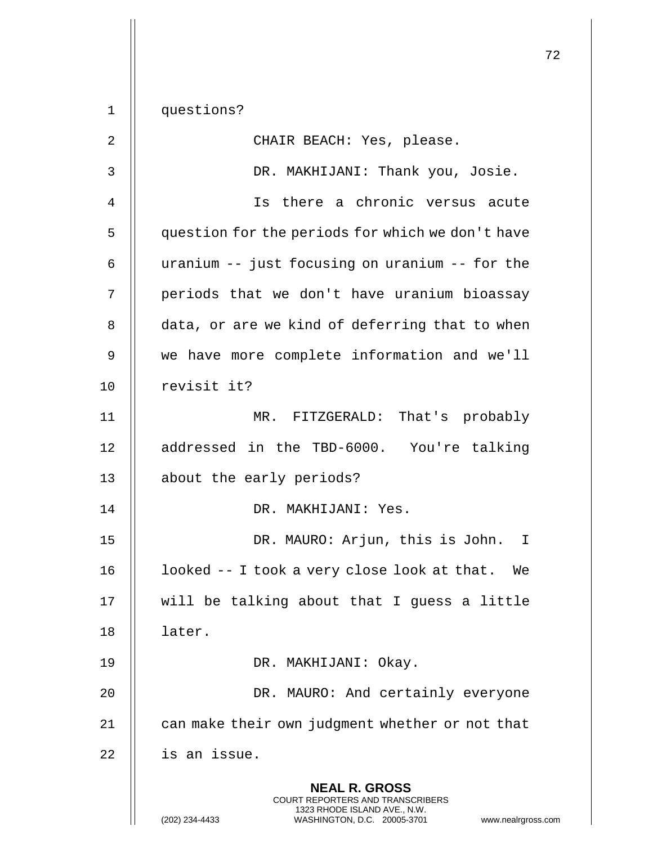**NEAL R. GROSS** COURT REPORTERS AND TRANSCRIBERS 1323 RHODE ISLAND AVE., N.W. 1 questions? 2 || CHAIR BEACH: Yes, please. 3 DR. MAKHIJANI: Thank you, Josie. 4 Is there a chronic versus acute 5 | question for the periods for which we don't have 6 | uranium -- just focusing on uranium -- for the 7 || periods that we don't have uranium bioassay 8 || data, or are we kind of deferring that to when 9 || we have more complete information and we'll 10 || revisit it? 11 MR. FITZGERALD: That's probably 12 addressed in the TBD-6000. You're talking 13 || about the early periods? 14 DR. MAKHIJANI: Yes. 15 DR. MAURO: Arjun, this is John. I 16  $\parallel$  1 ooked -- I took a very close look at that. We 17 || will be talking about that I guess a little 18 | later. 19 DR. MAKHIJANI: Okay. 20 || DR. MAURO: And certainly everyone 21 | can make their own judgment whether or not that  $22$  | is an issue.

(202) 234-4433 WASHINGTON, D.C. 20005-3701 www.nealrgross.com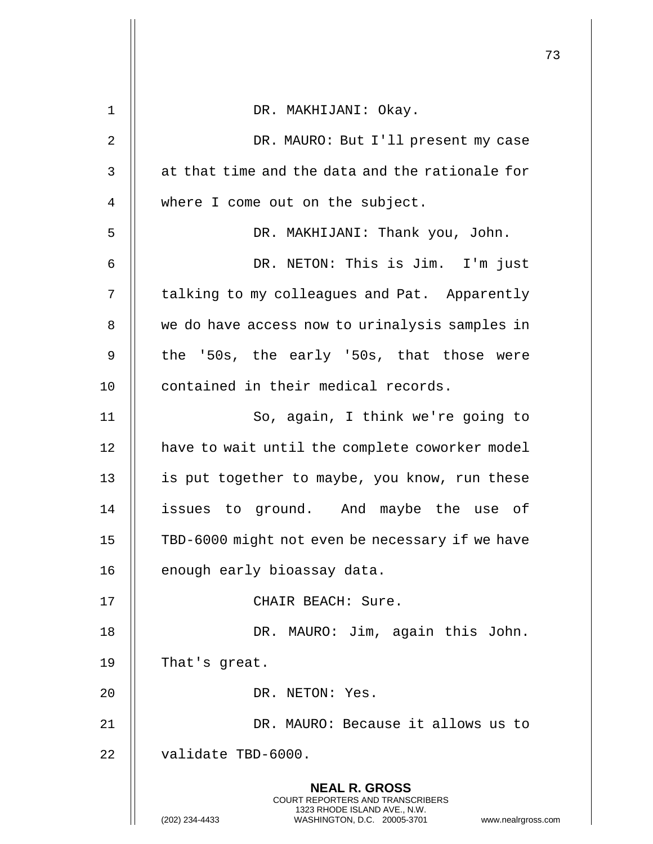|    |                                                                                                                                                                 | 73 |
|----|-----------------------------------------------------------------------------------------------------------------------------------------------------------------|----|
| 1  | DR. MAKHIJANI: Okay.                                                                                                                                            |    |
|    |                                                                                                                                                                 |    |
| 2  | DR. MAURO: But I'll present my case                                                                                                                             |    |
| 3  | at that time and the data and the rationale for                                                                                                                 |    |
| 4  | where I come out on the subject.                                                                                                                                |    |
| 5  | DR. MAKHIJANI: Thank you, John.                                                                                                                                 |    |
| 6  | DR. NETON: This is Jim. I'm just                                                                                                                                |    |
| 7  | talking to my colleagues and Pat. Apparently                                                                                                                    |    |
| 8  | we do have access now to urinalysis samples in                                                                                                                  |    |
| 9  | the '50s, the early '50s, that those were                                                                                                                       |    |
| 10 | contained in their medical records.                                                                                                                             |    |
| 11 | So, again, I think we're going to                                                                                                                               |    |
| 12 | have to wait until the complete coworker model                                                                                                                  |    |
| 13 | is put together to maybe, you know, run these                                                                                                                   |    |
| 14 | issues to ground. And maybe the use of                                                                                                                          |    |
| 15 | TBD-6000 might not even be necessary if we have                                                                                                                 |    |
| 16 | enough early bioassay data.                                                                                                                                     |    |
| 17 | CHAIR BEACH: Sure.                                                                                                                                              |    |
| 18 | DR. MAURO: Jim, again this John.                                                                                                                                |    |
| 19 | That's great.                                                                                                                                                   |    |
| 20 | DR. NETON: Yes.                                                                                                                                                 |    |
| 21 | DR. MAURO: Because it allows us to                                                                                                                              |    |
| 22 | validate TBD-6000.                                                                                                                                              |    |
|    | <b>NEAL R. GROSS</b><br>COURT REPORTERS AND TRANSCRIBERS<br>1323 RHODE ISLAND AVE., N.W.<br>(202) 234-4433<br>WASHINGTON, D.C. 20005-3701<br>www.nealrgross.com |    |

 $\mathsf{l}$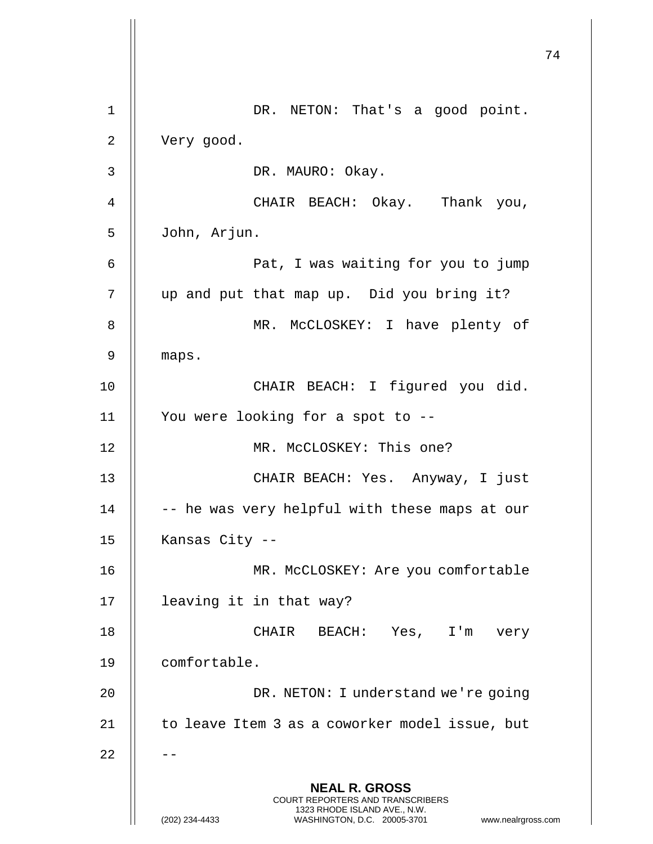**NEAL R. GROSS** COURT REPORTERS AND TRANSCRIBERS 1323 RHODE ISLAND AVE., N.W. (202) 234-4433 WASHINGTON, D.C. 20005-3701 www.nealrgross.com 1 || DR. NETON: That's a good point. 2 | Very good. 3 DR. MAURO: Okay. 4 CHAIR BEACH: Okay. Thank you, 5 John, Arjun. 6 Pat, I was waiting for you to jump 7 || up and put that map up. Did you bring it? 8 || MR. McCLOSKEY: I have plenty of 9 || maps. 10 || CHAIR BEACH: I figured you did. 11 You were looking for a spot to -- 12 MR. McCLOSKEY: This one? 13 CHAIR BEACH: Yes. Anyway, I just  $14$   $\parallel$  -- he was very helpful with these maps at our 15 | Kansas City --16 || MR. McCLOSKEY: Are you comfortable 17 leaving it in that way? 18 CHAIR BEACH: Yes, I'm very 19 comfortable. 20 || DR. NETON: I understand we're going  $21$  | to leave Item 3 as a coworker model issue, but  $22$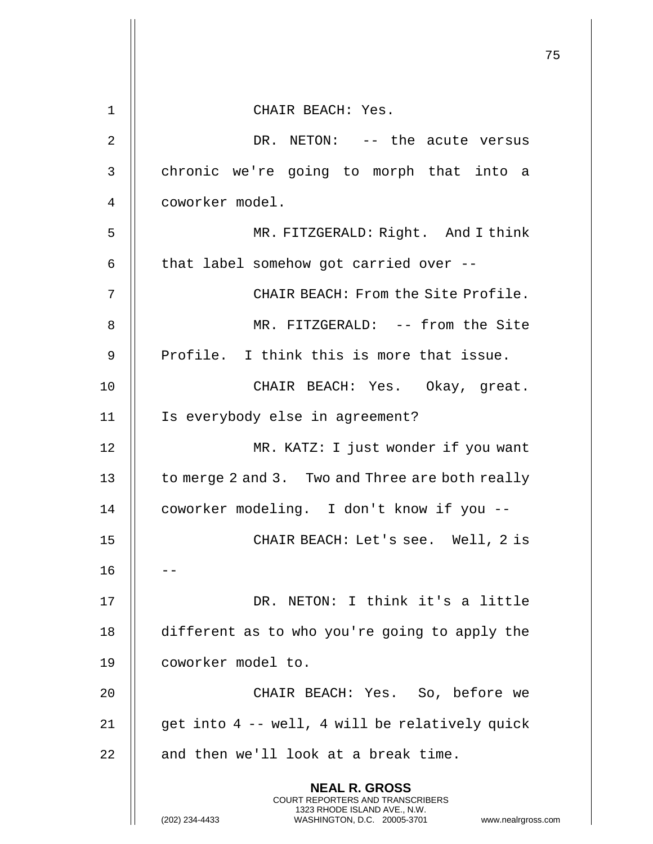|             |                                                                                                                                                                        | 75 |
|-------------|------------------------------------------------------------------------------------------------------------------------------------------------------------------------|----|
| $\mathbf 1$ | CHAIR BEACH: Yes.                                                                                                                                                      |    |
| 2           | DR. NETON: -- the acute versus                                                                                                                                         |    |
| 3           | chronic we're going to morph that into a                                                                                                                               |    |
| 4           | coworker model.                                                                                                                                                        |    |
|             |                                                                                                                                                                        |    |
| 5           | MR. FITZGERALD: Right. And I think                                                                                                                                     |    |
| 6           | that label somehow got carried over --                                                                                                                                 |    |
| 7           | CHAIR BEACH: From the Site Profile.                                                                                                                                    |    |
| 8           | MR. FITZGERALD: -- from the Site                                                                                                                                       |    |
| 9           | Profile. I think this is more that issue.                                                                                                                              |    |
| 10          | CHAIR BEACH: Yes. Okay, great.                                                                                                                                         |    |
| 11          | Is everybody else in agreement?                                                                                                                                        |    |
| 12          | MR. KATZ: I just wonder if you want                                                                                                                                    |    |
| 13          | to merge 2 and 3. Two and Three are both really                                                                                                                        |    |
| 14          | coworker modeling. I don't know if you --                                                                                                                              |    |
| 15          | CHAIR BEACH: Let's see. Well, 2 is                                                                                                                                     |    |
| 16          |                                                                                                                                                                        |    |
| 17          | DR. NETON: I think it's a little                                                                                                                                       |    |
| 18          | different as to who you're going to apply the                                                                                                                          |    |
| 19          | coworker model to.                                                                                                                                                     |    |
| 20          | CHAIR BEACH: Yes. So, before we                                                                                                                                        |    |
| 21          | get into 4 -- well, 4 will be relatively quick                                                                                                                         |    |
| 22          | and then we'll look at a break time.                                                                                                                                   |    |
|             | <b>NEAL R. GROSS</b><br><b>COURT REPORTERS AND TRANSCRIBERS</b><br>1323 RHODE ISLAND AVE., N.W.<br>(202) 234-4433<br>WASHINGTON, D.C. 20005-3701<br>www.nealrgross.com |    |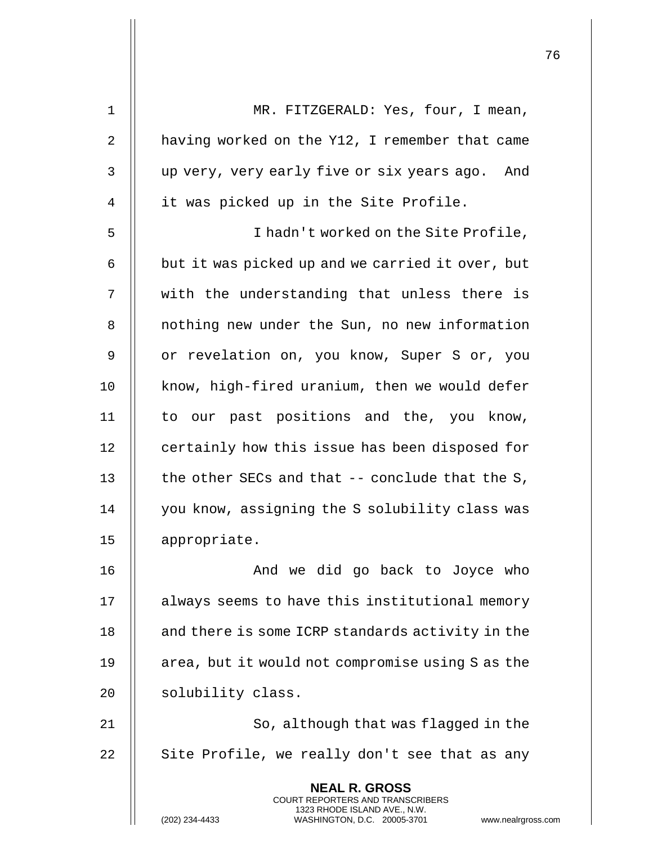| $\mathbf 1$ | MR. FITZGERALD: Yes, four, I mean,                                                                                                                                     |
|-------------|------------------------------------------------------------------------------------------------------------------------------------------------------------------------|
| 2           | having worked on the Y12, I remember that came                                                                                                                         |
| 3           | up very, very early five or six years ago. And                                                                                                                         |
| 4           | it was picked up in the Site Profile.                                                                                                                                  |
| 5           | I hadn't worked on the Site Profile,                                                                                                                                   |
| 6           | but it was picked up and we carried it over, but                                                                                                                       |
| 7           | with the understanding that unless there is                                                                                                                            |
| 8           | nothing new under the Sun, no new information                                                                                                                          |
| 9           | or revelation on, you know, Super S or, you                                                                                                                            |
| 10          | know, high-fired uranium, then we would defer                                                                                                                          |
| 11          | to our past positions and the, you know,                                                                                                                               |
| 12          | certainly how this issue has been disposed for                                                                                                                         |
| 13          | the other SECs and that $-$ - conclude that the S,                                                                                                                     |
| 14          | you know, assigning the S solubility class was                                                                                                                         |
| 15          | appropriate.                                                                                                                                                           |
| 16          | And we did go back to Joyce who                                                                                                                                        |
| 17          | always seems to have this institutional memory                                                                                                                         |
| 18          | and there is some ICRP standards activity in the                                                                                                                       |
| 19          | area, but it would not compromise using S as the                                                                                                                       |
| 20          | solubility class.                                                                                                                                                      |
| 21          | So, although that was flagged in the                                                                                                                                   |
| 22          | Site Profile, we really don't see that as any                                                                                                                          |
|             | <b>NEAL R. GROSS</b><br><b>COURT REPORTERS AND TRANSCRIBERS</b><br>1323 RHODE ISLAND AVE., N.W.<br>(202) 234-4433<br>WASHINGTON, D.C. 20005-3701<br>www.nealrgross.com |

Ħ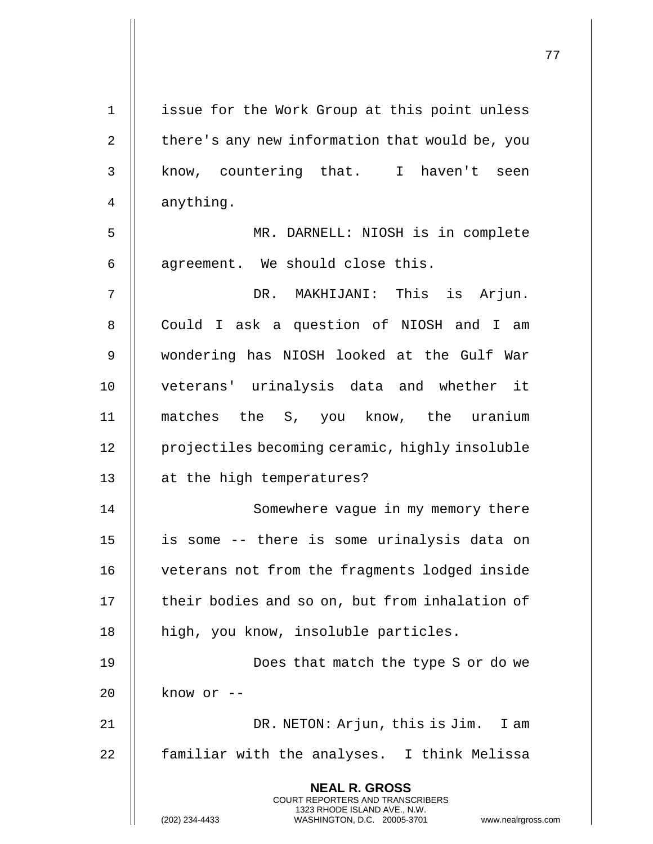| $\mathbf 1$    | issue for the Work Group at this point unless                                                                                                                   |
|----------------|-----------------------------------------------------------------------------------------------------------------------------------------------------------------|
| $\overline{2}$ | there's any new information that would be, you                                                                                                                  |
| 3              | know, countering that. I haven't seen                                                                                                                           |
| 4              | anything.                                                                                                                                                       |
| 5              | MR. DARNELL: NIOSH is in complete                                                                                                                               |
| 6              | agreement. We should close this.                                                                                                                                |
| 7              | DR. MAKHIJANI: This is Arjun.                                                                                                                                   |
| 8              | Could I ask a question of NIOSH and I am                                                                                                                        |
| $\mathsf 9$    | wondering has NIOSH looked at the Gulf War                                                                                                                      |
| 10             | veterans' urinalysis data and whether it                                                                                                                        |
| 11             | matches the S, you know, the uranium                                                                                                                            |
| 12             | projectiles becoming ceramic, highly insoluble                                                                                                                  |
| 13             | at the high temperatures?                                                                                                                                       |
| 14             | Somewhere vague in my memory there                                                                                                                              |
| 15             | is some -- there is some urinalysis data on                                                                                                                     |
| 16             | veterans not from the fragments lodged inside                                                                                                                   |
| 17             | their bodies and so on, but from inhalation of                                                                                                                  |
| 18             | high, you know, insoluble particles.                                                                                                                            |
| 19             | Does that match the type S or do we                                                                                                                             |
| 20             | know or --                                                                                                                                                      |
| 21             | DR. NETON: Arjun, this is Jim.<br>I am                                                                                                                          |
| 22             | familiar with the analyses. I think Melissa                                                                                                                     |
|                | <b>NEAL R. GROSS</b><br>COURT REPORTERS AND TRANSCRIBERS<br>1323 RHODE ISLAND AVE., N.W.<br>(202) 234-4433<br>WASHINGTON, D.C. 20005-3701<br>www.nealrgross.com |

 $\mathsf{I}$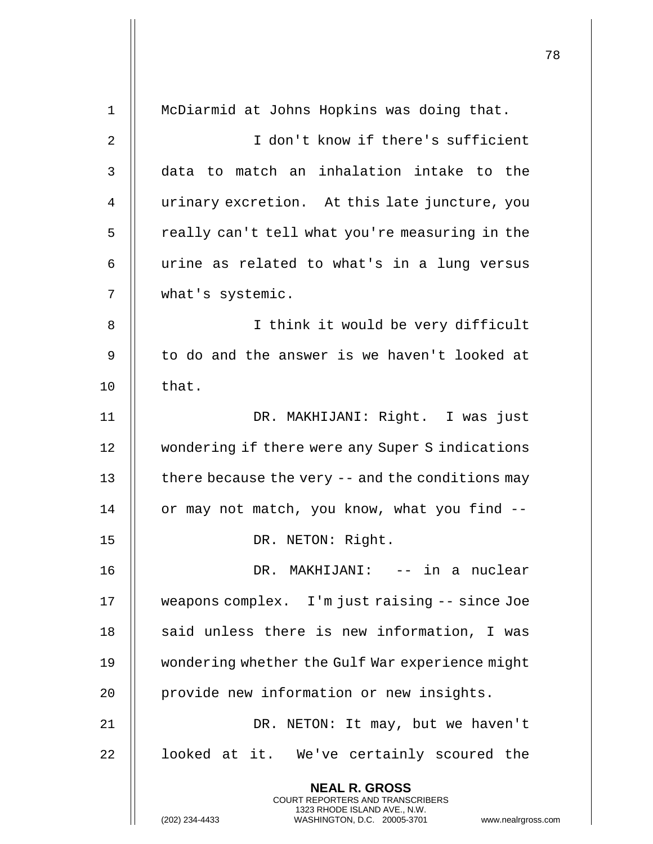| 1              | McDiarmid at Johns Hopkins was doing that.                                                                                                                         |
|----------------|--------------------------------------------------------------------------------------------------------------------------------------------------------------------|
| $\overline{2}$ | I don't know if there's sufficient                                                                                                                                 |
| 3              | data to match an inhalation intake to the                                                                                                                          |
| 4              | urinary excretion. At this late juncture, you                                                                                                                      |
| 5              | really can't tell what you're measuring in the                                                                                                                     |
| 6              | urine as related to what's in a lung versus                                                                                                                        |
| 7              | what's systemic.                                                                                                                                                   |
| 8              | I think it would be very difficult                                                                                                                                 |
| 9              | to do and the answer is we haven't looked at                                                                                                                       |
| 10             | that.                                                                                                                                                              |
| 11             | DR. MAKHIJANI: Right. I was just                                                                                                                                   |
| 12             | wondering if there were any Super S indications                                                                                                                    |
| 13             | there because the very -- and the conditions may                                                                                                                   |
| 14             | or may not match, you know, what you find --                                                                                                                       |
| 15             | DR. NETON: Right.                                                                                                                                                  |
| 16             | DR. MAKHIJANI: -- in a nuclear                                                                                                                                     |
| 17             | weapons complex. I'm just raising -- since Joe                                                                                                                     |
| 18             | said unless there is new information, I was                                                                                                                        |
| 19             | wondering whether the Gulf War experience might                                                                                                                    |
| 20             | provide new information or new insights.                                                                                                                           |
| 21             | DR. NETON: It may, but we haven't                                                                                                                                  |
| 22             | looked at it. We've certainly scoured the                                                                                                                          |
|                | <b>NEAL R. GROSS</b><br><b>COURT REPORTERS AND TRANSCRIBERS</b><br>1323 RHODE ISLAND AVE., N.W.<br>(202) 234-4433<br>WASHINGTON, D.C. 20005-3701<br>www.nealrgross |

 $\mathop{||}$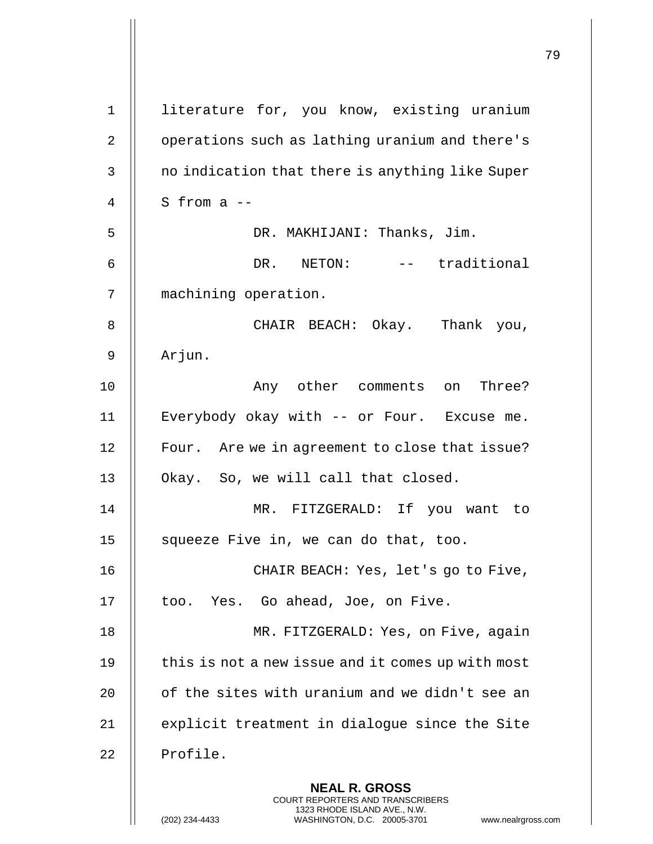|                |                                                                                                                                                                 | 79 |
|----------------|-----------------------------------------------------------------------------------------------------------------------------------------------------------------|----|
| $\mathbf 1$    | literature for, you know, existing uranium                                                                                                                      |    |
| $\overline{2}$ | operations such as lathing uranium and there's                                                                                                                  |    |
| 3              | no indication that there is anything like Super                                                                                                                 |    |
| 4              | S from $a$ --                                                                                                                                                   |    |
| 5              | DR. MAKHIJANI: Thanks, Jim.                                                                                                                                     |    |
| 6              | DR. NETON: -- traditional                                                                                                                                       |    |
| 7              | machining operation.                                                                                                                                            |    |
| 8              | CHAIR BEACH: Okay. Thank you,                                                                                                                                   |    |
| 9              | Arjun.                                                                                                                                                          |    |
| 10             | Any other comments on Three?                                                                                                                                    |    |
| 11             | Everybody okay with -- or Four. Excuse me.                                                                                                                      |    |
| 12             | Four. Are we in agreement to close that issue?                                                                                                                  |    |
| 13             | Okay. So, we will call that closed.                                                                                                                             |    |
| 14             | MR. FITZGERALD: If you want to                                                                                                                                  |    |
| 15             | squeeze Five in, we can do that, too.                                                                                                                           |    |
| 16             | CHAIR BEACH: Yes, let's go to Five,                                                                                                                             |    |
| 17             | too. Yes. Go ahead, Joe, on Five.                                                                                                                               |    |
| 18             | MR. FITZGERALD: Yes, on Five, again                                                                                                                             |    |
| 19             | this is not a new issue and it comes up with most                                                                                                               |    |
| 20             | of the sites with uranium and we didn't see an                                                                                                                  |    |
| 21             | explicit treatment in dialogue since the Site                                                                                                                   |    |
| 22             | Profile.                                                                                                                                                        |    |
|                | <b>NEAL R. GROSS</b><br>COURT REPORTERS AND TRANSCRIBERS<br>1323 RHODE ISLAND AVE., N.W.<br>(202) 234-4433<br>WASHINGTON, D.C. 20005-3701<br>www.nealrgross.com |    |

 $\mathsf I$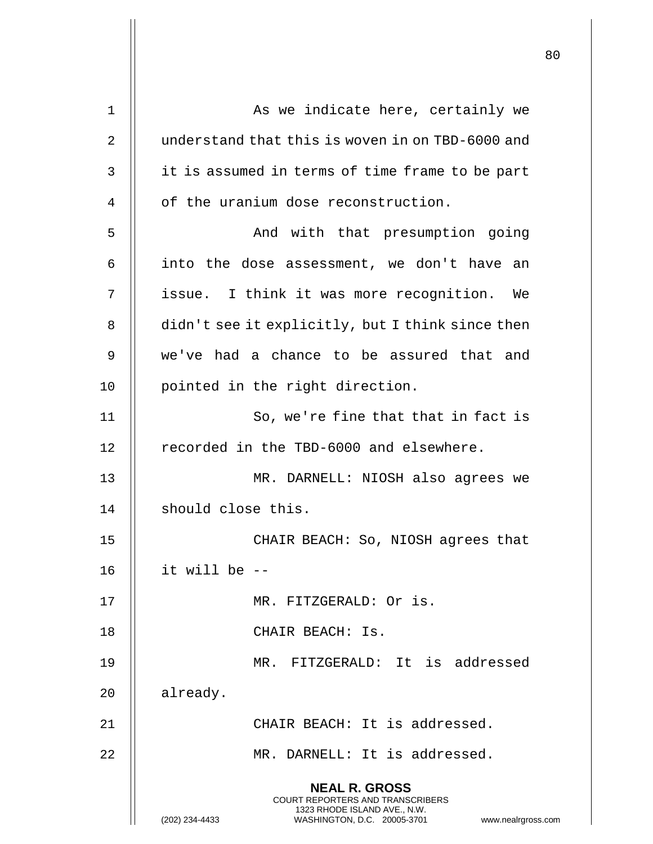| 1  | As we indicate here, certainly we                                                                                                                                      |
|----|------------------------------------------------------------------------------------------------------------------------------------------------------------------------|
| 2  | understand that this is woven in on TBD-6000 and                                                                                                                       |
| 3  | it is assumed in terms of time frame to be part                                                                                                                        |
| 4  | of the uranium dose reconstruction.                                                                                                                                    |
| 5  | And with that presumption going                                                                                                                                        |
| 6  | into the dose assessment, we don't have an                                                                                                                             |
| 7  | issue. I think it was more recognition. We                                                                                                                             |
| 8  | didn't see it explicitly, but I think since then                                                                                                                       |
| 9  | we've had a chance to be assured that and                                                                                                                              |
| 10 | pointed in the right direction.                                                                                                                                        |
| 11 | So, we're fine that that in fact is                                                                                                                                    |
| 12 | recorded in the TBD-6000 and elsewhere.                                                                                                                                |
| 13 | MR. DARNELL: NIOSH also agrees we                                                                                                                                      |
| 14 | should close this.                                                                                                                                                     |
| 15 | CHAIR BEACH: So, NIOSH agrees that                                                                                                                                     |
| 16 | it will be --                                                                                                                                                          |
| 17 | MR. FITZGERALD: Or is.                                                                                                                                                 |
| 18 | CHAIR BEACH: Is.                                                                                                                                                       |
| 19 | MR. FITZGERALD: It is addressed                                                                                                                                        |
| 20 | already.                                                                                                                                                               |
| 21 | CHAIR BEACH: It is addressed.                                                                                                                                          |
| 22 | MR. DARNELL: It is addressed.                                                                                                                                          |
|    | <b>NEAL R. GROSS</b><br><b>COURT REPORTERS AND TRANSCRIBERS</b><br>1323 RHODE ISLAND AVE., N.W.<br>(202) 234-4433<br>WASHINGTON, D.C. 20005-3701<br>www.nealrgross.com |

 $\overline{1}$ 

Η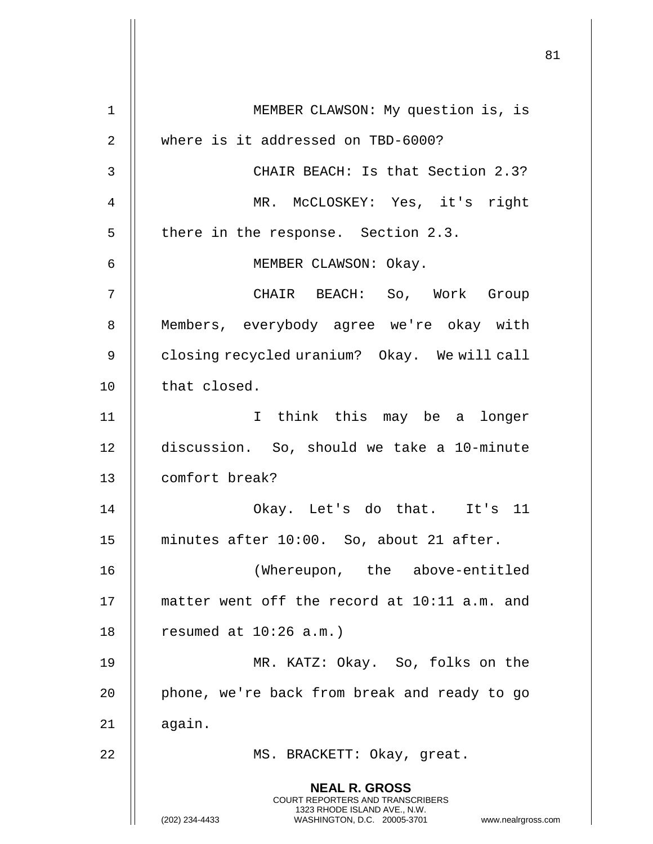**NEAL R. GROSS** COURT REPORTERS AND TRANSCRIBERS 1323 RHODE ISLAND AVE., N.W. (202) 234-4433 WASHINGTON, D.C. 20005-3701 www.nealrgross.com 1 MEMBER CLAWSON: My question is, is 2 || where is it addressed on TBD-6000? 3 CHAIR BEACH: Is that Section 2.3? 4 MR. McCLOSKEY: Yes, it's right 5 | there in the response. Section 2.3. 6 MEMBER CLAWSON: Okay. 7 CHAIR BEACH: So, Work Group 8 || Members, everybody agree we're okay with 9 | closing recycled uranium? Okay. We will call 10 | that closed. 11 I think this may be a longer 12 discussion. So, should we take a 10-minute 13 comfort break? 14 Okay. Let's do that. It's 11 15 minutes after 10:00. So, about 21 after. 16 (Whereupon, the above-entitled 17 matter went off the record at 10:11 a.m. and 18 | resumed at  $10:26$  a.m.) 19 MR. KATZ: Okay. So, folks on the  $20$  | phone, we're back from break and ready to go  $21$  || again. 22 || MS. BRACKETT: Okay, great.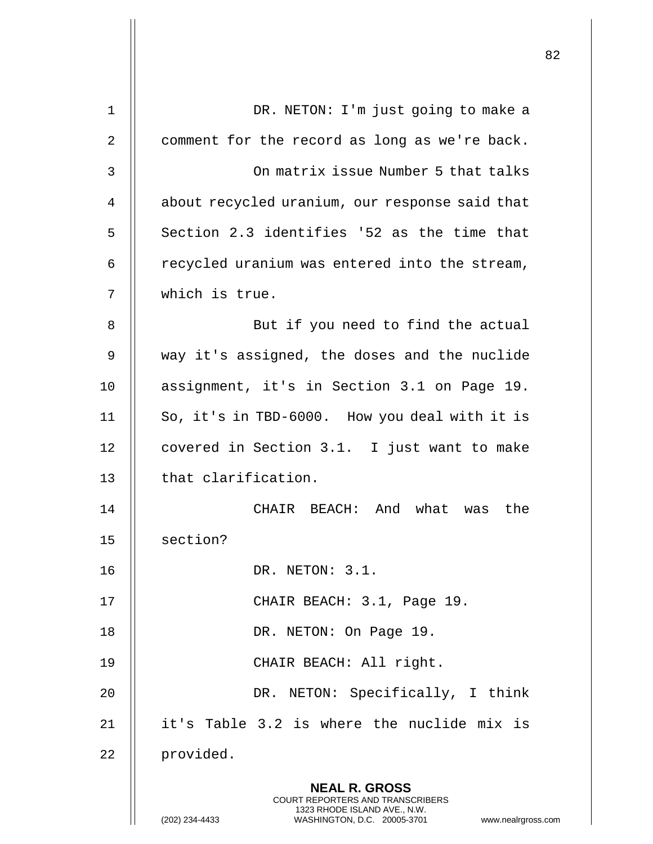|    |                                                                                                                                                                 | 82 |
|----|-----------------------------------------------------------------------------------------------------------------------------------------------------------------|----|
| 1  | DR. NETON: I'm just going to make a                                                                                                                             |    |
| 2  | comment for the record as long as we're back.                                                                                                                   |    |
|    |                                                                                                                                                                 |    |
| 3  | On matrix issue Number 5 that talks                                                                                                                             |    |
| 4  | about recycled uranium, our response said that                                                                                                                  |    |
| 5  | Section 2.3 identifies '52 as the time that                                                                                                                     |    |
| 6  | recycled uranium was entered into the stream,                                                                                                                   |    |
| 7  | which is true.                                                                                                                                                  |    |
| 8  | But if you need to find the actual                                                                                                                              |    |
| 9  | way it's assigned, the doses and the nuclide                                                                                                                    |    |
| 10 | assignment, it's in Section 3.1 on Page 19.                                                                                                                     |    |
| 11 | So, it's in TBD-6000. How you deal with it is                                                                                                                   |    |
| 12 | covered in Section 3.1. I just want to make                                                                                                                     |    |
| 13 | that clarification.                                                                                                                                             |    |
| 14 | BEACH: And what was the<br>CHAIR                                                                                                                                |    |
| 15 | section?                                                                                                                                                        |    |
| 16 | DR. NETON: 3.1.                                                                                                                                                 |    |
| 17 | CHAIR BEACH: 3.1, Page 19.                                                                                                                                      |    |
| 18 | DR. NETON: On Page 19.                                                                                                                                          |    |
| 19 | CHAIR BEACH: All right.                                                                                                                                         |    |
| 20 | DR. NETON: Specifically, I think                                                                                                                                |    |
| 21 | it's Table 3.2 is where the nuclide mix is                                                                                                                      |    |
| 22 | provided.                                                                                                                                                       |    |
|    | <b>NEAL R. GROSS</b><br>COURT REPORTERS AND TRANSCRIBERS<br>1323 RHODE ISLAND AVE., N.W.<br>(202) 234-4433<br>WASHINGTON, D.C. 20005-3701<br>www.nealrgross.com |    |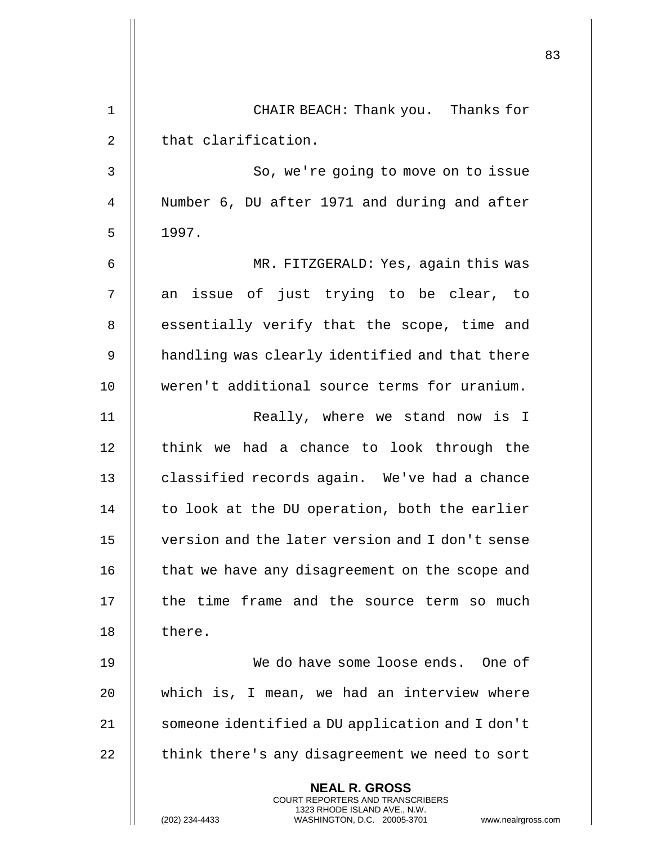|    |                                                                                                                                                                        | 83 |
|----|------------------------------------------------------------------------------------------------------------------------------------------------------------------------|----|
| 1  | CHAIR BEACH: Thank you. Thanks for                                                                                                                                     |    |
| 2  | that clarification.                                                                                                                                                    |    |
| 3  | So, we're going to move on to issue                                                                                                                                    |    |
| 4  | Number 6, DU after 1971 and during and after                                                                                                                           |    |
| 5  | 1997.                                                                                                                                                                  |    |
| 6  | MR. FITZGERALD: Yes, again this was                                                                                                                                    |    |
| 7  | an issue of just trying to be clear, to                                                                                                                                |    |
| 8  | essentially verify that the scope, time and                                                                                                                            |    |
| 9  | handling was clearly identified and that there                                                                                                                         |    |
| 10 | weren't additional source terms for uranium.                                                                                                                           |    |
| 11 | Really, where we stand now is I                                                                                                                                        |    |
| 12 | think we had a chance to look through the                                                                                                                              |    |
| 13 | classified records again. We've had a chance                                                                                                                           |    |
| 14 | to look at the DU operation, both the earlier                                                                                                                          |    |
| 15 | version and the later version and I don't sense                                                                                                                        |    |
| 16 | that we have any disagreement on the scope and                                                                                                                         |    |
| 17 | the time frame and the source term so much                                                                                                                             |    |
| 18 | there.                                                                                                                                                                 |    |
| 19 | We do have some loose ends. One of                                                                                                                                     |    |
| 20 | which is, I mean, we had an interview where                                                                                                                            |    |
| 21 | someone identified a DU application and I don't                                                                                                                        |    |
| 22 | think there's any disagreement we need to sort                                                                                                                         |    |
|    | <b>NEAL R. GROSS</b><br><b>COURT REPORTERS AND TRANSCRIBERS</b><br>1323 RHODE ISLAND AVE., N.W.<br>(202) 234-4433<br>WASHINGTON, D.C. 20005-3701<br>www.nealrgross.com |    |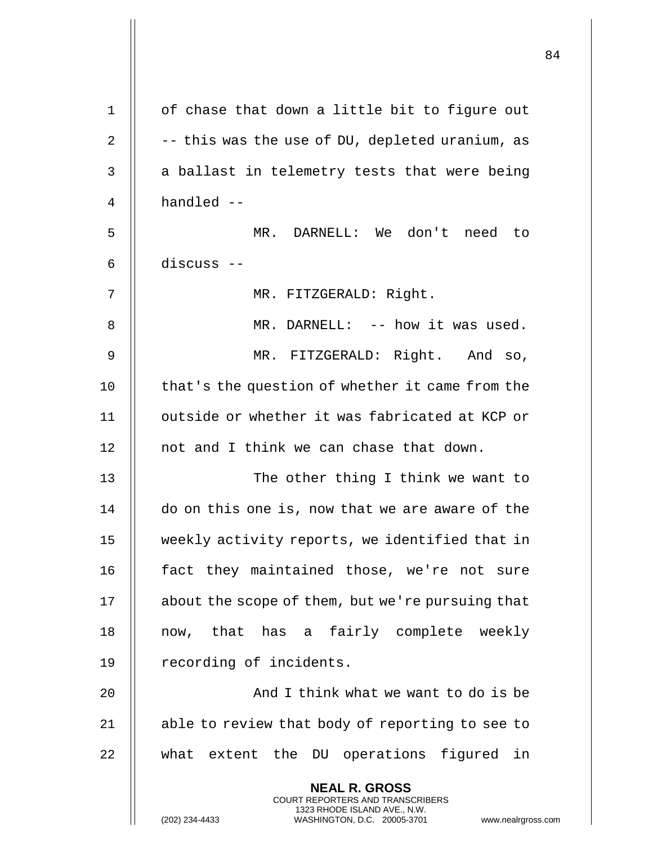| $\mathbf 1$    | of chase that down a little bit to figure out                                                                                                                      |
|----------------|--------------------------------------------------------------------------------------------------------------------------------------------------------------------|
| $\overline{2}$ | -- this was the use of DU, depleted uranium, as                                                                                                                    |
| 3              | a ballast in telemetry tests that were being                                                                                                                       |
| 4              | handled --                                                                                                                                                         |
| 5              | MR. DARNELL: We don't need to                                                                                                                                      |
| 6              | discuss --                                                                                                                                                         |
| 7              | MR. FITZGERALD: Right.                                                                                                                                             |
| 8              | MR. DARNELL: -- how it was used.                                                                                                                                   |
| 9              | MR. FITZGERALD: Right. And so,                                                                                                                                     |
| 10             | that's the question of whether it came from the                                                                                                                    |
| 11             | outside or whether it was fabricated at KCP or                                                                                                                     |
| 12             | not and I think we can chase that down.                                                                                                                            |
| 13             | The other thing I think we want to                                                                                                                                 |
| 14             | do on this one is, now that we are aware of the                                                                                                                    |
| 15             | weekly activity reports, we identified that in                                                                                                                     |
| 16             | fact they maintained those, we're not sure                                                                                                                         |
| 17             | about the scope of them, but we're pursuing that                                                                                                                   |
| 18             | now, that has a fairly complete weekly                                                                                                                             |
| 19             | recording of incidents.                                                                                                                                            |
| 20             | And I think what we want to do is be                                                                                                                               |
| 21             | able to review that body of reporting to see to                                                                                                                    |
| 22             | what extent the DU operations figured in                                                                                                                           |
|                | <b>NEAL R. GROSS</b><br><b>COURT REPORTERS AND TRANSCRIBERS</b><br>1323 RHODE ISLAND AVE., N.W.<br>(202) 234-4433<br>WASHINGTON, D.C. 20005-3701<br>www.nealrgross |

 $\mathop{||}$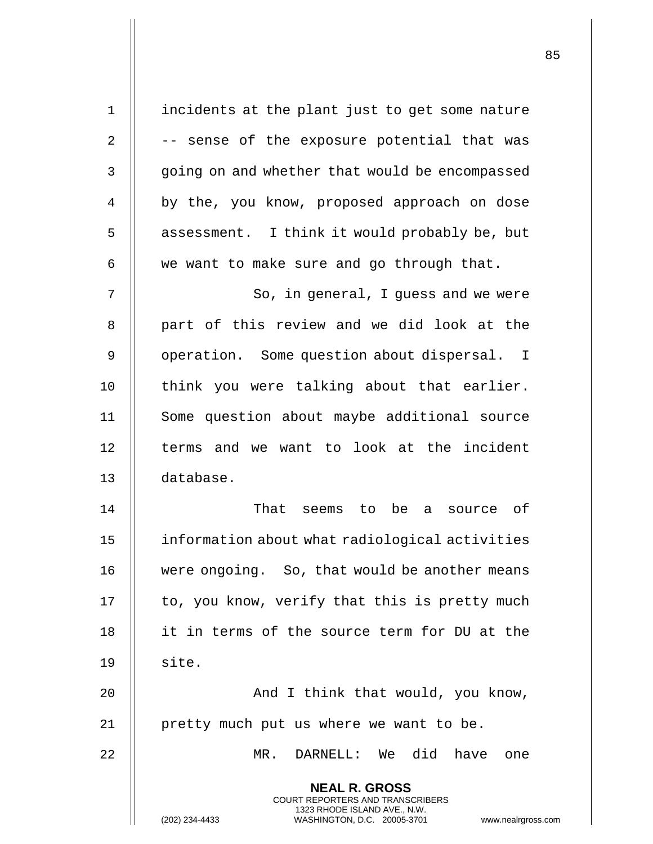| $\mathbf 1$    | incidents at the plant just to get some nature                                                                                                                  |
|----------------|-----------------------------------------------------------------------------------------------------------------------------------------------------------------|
| $\overline{2}$ | -- sense of the exposure potential that was                                                                                                                     |
| 3              | going on and whether that would be encompassed                                                                                                                  |
| 4              | by the, you know, proposed approach on dose                                                                                                                     |
| 5              | assessment. I think it would probably be, but                                                                                                                   |
| 6              | we want to make sure and go through that.                                                                                                                       |
| 7              | So, in general, I guess and we were                                                                                                                             |
| 8              | part of this review and we did look at the                                                                                                                      |
| 9              | operation. Some question about dispersal. I                                                                                                                     |
| 10             | think you were talking about that earlier.                                                                                                                      |
| 11             | Some question about maybe additional source                                                                                                                     |
| 12             | terms and we want to look at the incident                                                                                                                       |
| 13             | database.                                                                                                                                                       |
| 14             | That seems to be a source of                                                                                                                                    |
| 15             | information about what radiological activities                                                                                                                  |
| 16             | were ongoing. So, that would be another means                                                                                                                   |
| 17             | to, you know, verify that this is pretty much                                                                                                                   |
| 18             | it in terms of the source term for DU at the                                                                                                                    |
| 19             | site.                                                                                                                                                           |
| 20             | And I think that would, you know,                                                                                                                               |
| 21             | pretty much put us where we want to be.                                                                                                                         |
| 22             | DARNELL: We did have one<br>MR.                                                                                                                                 |
|                | <b>NEAL R. GROSS</b><br>COURT REPORTERS AND TRANSCRIBERS<br>1323 RHODE ISLAND AVE., N.W.<br>(202) 234-4433<br>WASHINGTON, D.C. 20005-3701<br>www.nealrgross.com |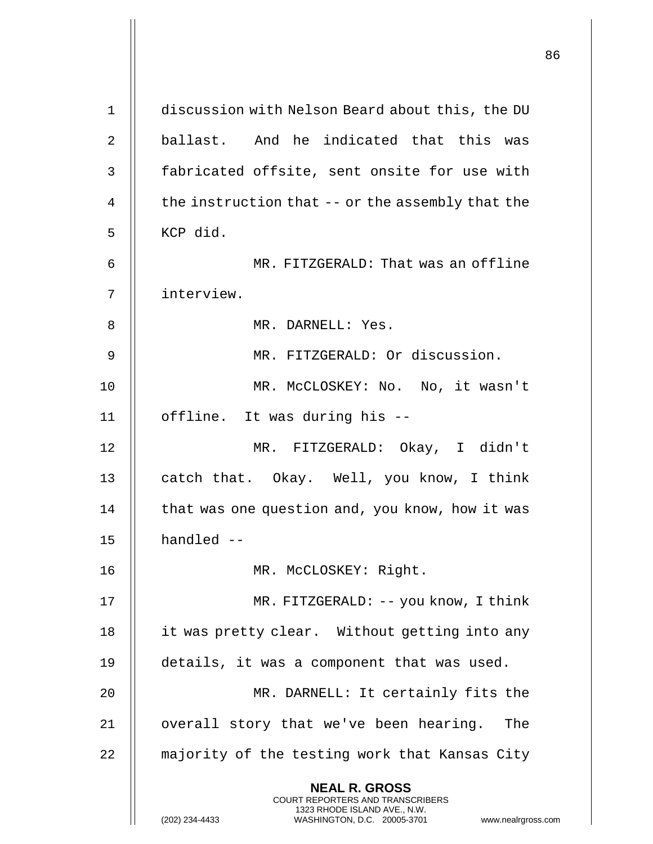|             |                                                                                                                                                                        | 86 |
|-------------|------------------------------------------------------------------------------------------------------------------------------------------------------------------------|----|
| $\mathbf 1$ | discussion with Nelson Beard about this, the DU                                                                                                                        |    |
| 2           | ballast. And he indicated that this was                                                                                                                                |    |
| 3           | fabricated offsite, sent onsite for use with                                                                                                                           |    |
| 4           | the instruction that -- or the assembly that the                                                                                                                       |    |
| 5           | KCP did.                                                                                                                                                               |    |
| 6           | MR. FITZGERALD: That was an offline                                                                                                                                    |    |
| 7           | interview.                                                                                                                                                             |    |
| 8           | MR. DARNELL: Yes.                                                                                                                                                      |    |
| 9           | MR. FITZGERALD: Or discussion.                                                                                                                                         |    |
| 10          | MR. MCCLOSKEY: No. No, it wasn't                                                                                                                                       |    |
| 11          | offline. It was during his --                                                                                                                                          |    |
| 12          | MR. FITZGERALD: Okay, I didn't                                                                                                                                         |    |
| 13          | catch that. Okay. Well, you know, I think                                                                                                                              |    |
| 14          | that was one question and, you know, how it was                                                                                                                        |    |
| 15          | handled --                                                                                                                                                             |    |
| 16          | MR. MCCLOSKEY: Right.                                                                                                                                                  |    |
| 17          | MR. FITZGERALD: -- you know, I think                                                                                                                                   |    |
| 18          | it was pretty clear. Without getting into any                                                                                                                          |    |
| 19          | details, it was a component that was used.                                                                                                                             |    |
| 20          | MR. DARNELL: It certainly fits the                                                                                                                                     |    |
| 21          | overall story that we've been hearing.<br>The                                                                                                                          |    |
| 22          | majority of the testing work that Kansas City                                                                                                                          |    |
|             | <b>NEAL R. GROSS</b><br><b>COURT REPORTERS AND TRANSCRIBERS</b><br>1323 RHODE ISLAND AVE., N.W.<br>(202) 234-4433<br>WASHINGTON, D.C. 20005-3701<br>www.nealrgross.com |    |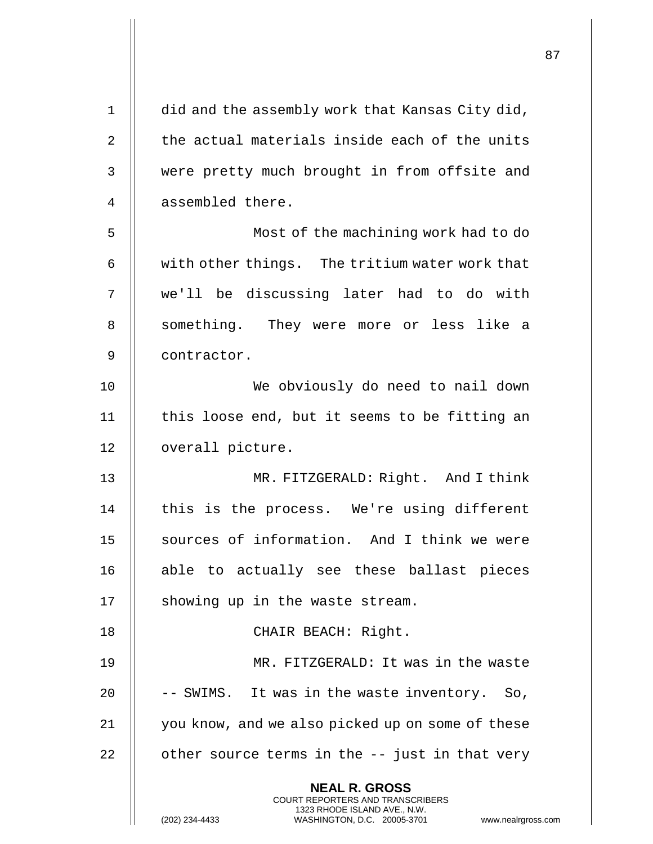| $\mathbf 1$ | did and the assembly work that Kansas City did,                                                                                                                 |
|-------------|-----------------------------------------------------------------------------------------------------------------------------------------------------------------|
| 2           | the actual materials inside each of the units                                                                                                                   |
| 3           | were pretty much brought in from offsite and                                                                                                                    |
| 4           | assembled there.                                                                                                                                                |
| 5           | Most of the machining work had to do                                                                                                                            |
| 6           | with other things. The tritium water work that                                                                                                                  |
| 7           | we'll be discussing later had to do with                                                                                                                        |
| 8           | something. They were more or less like a                                                                                                                        |
| 9           | contractor.                                                                                                                                                     |
| 10          | We obviously do need to nail down                                                                                                                               |
| 11          | this loose end, but it seems to be fitting an                                                                                                                   |
| 12          | overall picture.                                                                                                                                                |
| 13          | MR. FITZGERALD: Right. And I think                                                                                                                              |
| 14          | this is the process. We're using different                                                                                                                      |
| 15          | sources of information. And I think we were                                                                                                                     |
| 16          | able to actually see these ballast pieces                                                                                                                       |
| 17          | showing up in the waste stream.                                                                                                                                 |
| 18          | CHAIR BEACH: Right.                                                                                                                                             |
| 19          | MR. FITZGERALD: It was in the waste                                                                                                                             |
| 20          | -- SWIMS. It was in the waste inventory. So,                                                                                                                    |
| 21          | you know, and we also picked up on some of these                                                                                                                |
| 22          | other source terms in the -- just in that very                                                                                                                  |
|             | <b>NEAL R. GROSS</b><br>COURT REPORTERS AND TRANSCRIBERS<br>1323 RHODE ISLAND AVE., N.W.<br>(202) 234-4433<br>WASHINGTON, D.C. 20005-3701<br>www.nealrgross.com |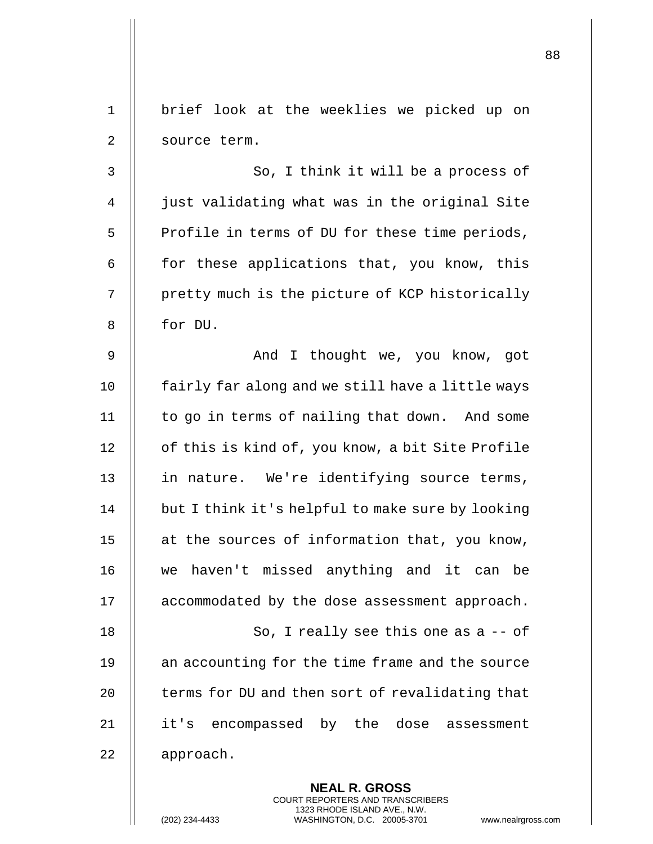|    |                                                                                                                                                                 | 88 |
|----|-----------------------------------------------------------------------------------------------------------------------------------------------------------------|----|
|    |                                                                                                                                                                 |    |
| 1  | brief look at the weeklies we picked up on                                                                                                                      |    |
| 2  | source term.                                                                                                                                                    |    |
| 3  | So, I think it will be a process of                                                                                                                             |    |
| 4  | just validating what was in the original Site                                                                                                                   |    |
| 5  | Profile in terms of DU for these time periods,                                                                                                                  |    |
| 6  | for these applications that, you know, this                                                                                                                     |    |
| 7  | pretty much is the picture of KCP historically                                                                                                                  |    |
| 8  | for DU.                                                                                                                                                         |    |
| 9  | And I thought we, you know, got                                                                                                                                 |    |
| 10 | fairly far along and we still have a little ways                                                                                                                |    |
| 11 | to go in terms of nailing that down. And some                                                                                                                   |    |
| 12 | of this is kind of, you know, a bit Site Profile                                                                                                                |    |
| 13 | in nature. We're identifying source terms,                                                                                                                      |    |
| 14 | but I think it's helpful to make sure by looking                                                                                                                |    |
| 15 | at the sources of information that, you know,                                                                                                                   |    |
| 16 | we haven't missed anything and it can be                                                                                                                        |    |
| 17 | accommodated by the dose assessment approach.                                                                                                                   |    |
| 18 | So, I really see this one as $a - of$                                                                                                                           |    |
| 19 | an accounting for the time frame and the source                                                                                                                 |    |
| 20 | terms for DU and then sort of revalidating that                                                                                                                 |    |
| 21 | it's encompassed by the dose assessment                                                                                                                         |    |
| 22 | approach.                                                                                                                                                       |    |
|    | <b>NEAL R. GROSS</b><br>COURT REPORTERS AND TRANSCRIBERS<br>1323 RHODE ISLAND AVE., N.W.<br>WASHINGTON, D.C. 20005-3701<br>(202) 234-4433<br>www.nealrgross.com |    |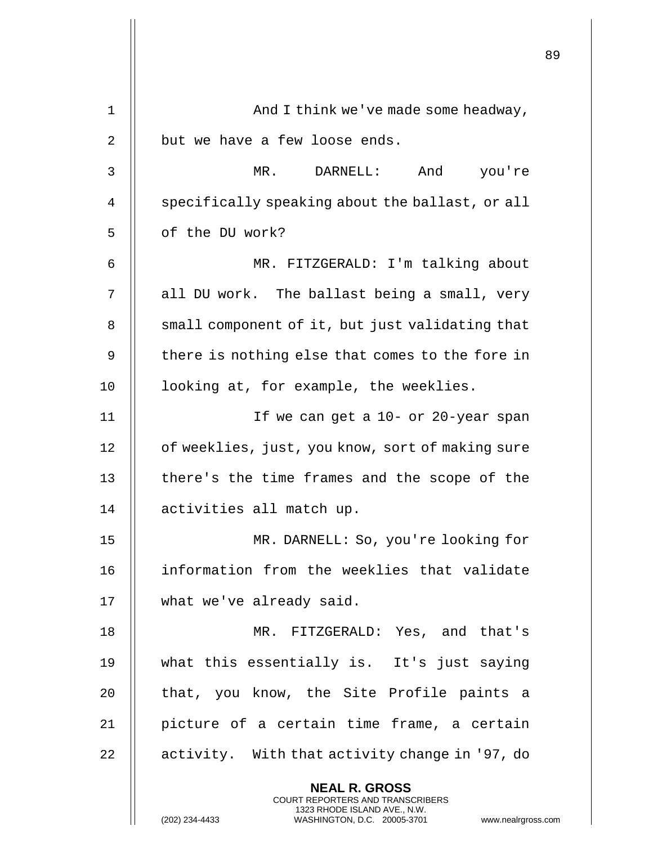|    |                                                                                                                                                                        | 89 |
|----|------------------------------------------------------------------------------------------------------------------------------------------------------------------------|----|
|    |                                                                                                                                                                        |    |
| 1  | And I think we've made some headway,                                                                                                                                   |    |
| 2  | but we have a few loose ends.                                                                                                                                          |    |
| 3  | MR.<br>DARNELL:<br>And you're                                                                                                                                          |    |
| 4  | specifically speaking about the ballast, or all                                                                                                                        |    |
| 5  | of the DU work?                                                                                                                                                        |    |
| 6  | MR. FITZGERALD: I'm talking about                                                                                                                                      |    |
| 7  | all DU work. The ballast being a small, very                                                                                                                           |    |
| 8  | small component of it, but just validating that                                                                                                                        |    |
| 9  | there is nothing else that comes to the fore in                                                                                                                        |    |
| 10 | looking at, for example, the weeklies.                                                                                                                                 |    |
| 11 | If we can get a 10- or 20-year span                                                                                                                                    |    |
| 12 | of weeklies, just, you know, sort of making sure                                                                                                                       |    |
| 13 | there's the time frames and the scope of the                                                                                                                           |    |
| 14 | activities all match up.                                                                                                                                               |    |
| 15 | MR. DARNELL: So, you're looking for                                                                                                                                    |    |
| 16 | information from the weeklies that validate                                                                                                                            |    |
| 17 | what we've already said.                                                                                                                                               |    |
| 18 | MR. FITZGERALD: Yes, and that's                                                                                                                                        |    |
| 19 | what this essentially is. It's just saying                                                                                                                             |    |
| 20 | that, you know, the Site Profile paints a                                                                                                                              |    |
| 21 | picture of a certain time frame, a certain                                                                                                                             |    |
| 22 | activity. With that activity change in '97, do                                                                                                                         |    |
|    | <b>NEAL R. GROSS</b><br><b>COURT REPORTERS AND TRANSCRIBERS</b><br>1323 RHODE ISLAND AVE., N.W.<br>(202) 234-4433<br>www.nealrgross.com<br>WASHINGTON, D.C. 20005-3701 |    |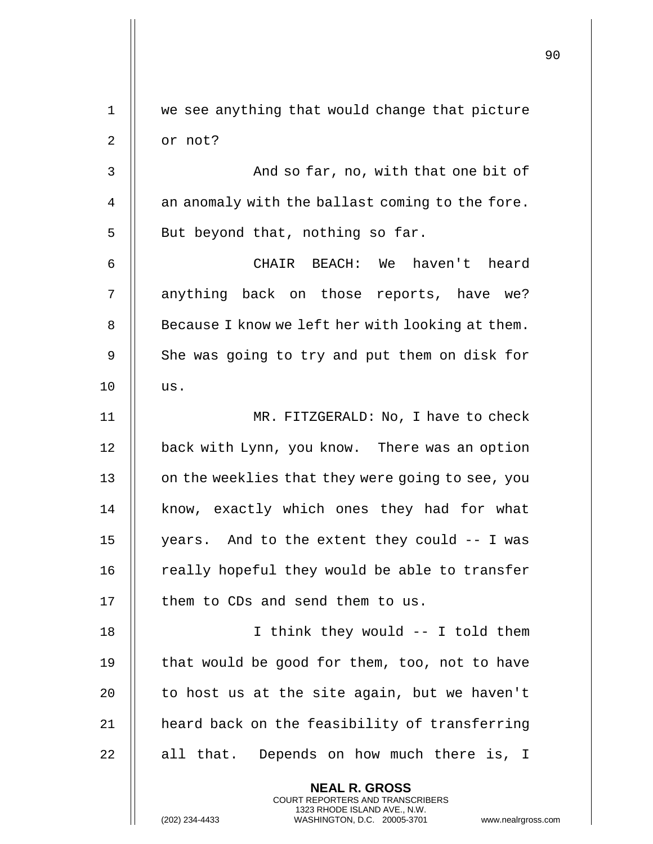| 1  | we see anything that would change that picture                                                                                                              |
|----|-------------------------------------------------------------------------------------------------------------------------------------------------------------|
| 2  | or not?                                                                                                                                                     |
| 3  | And so far, no, with that one bit of                                                                                                                        |
| 4  | an anomaly with the ballast coming to the fore.                                                                                                             |
| 5  | But beyond that, nothing so far.                                                                                                                            |
| 6  | CHAIR BEACH: We haven't heard                                                                                                                               |
| 7  | anything back on those reports, have we?                                                                                                                    |
| 8  | Because I know we left her with looking at them.                                                                                                            |
| 9  | She was going to try and put them on disk for                                                                                                               |
| 10 | us.                                                                                                                                                         |
| 11 | MR. FITZGERALD: No, I have to check                                                                                                                         |
| 12 | back with Lynn, you know. There was an option                                                                                                               |
| 13 | on the weeklies that they were going to see, you                                                                                                            |
| 14 | know, exactly which ones they had for what                                                                                                                  |
| 15 | years. And to the extent they could -- I was                                                                                                                |
| 16 | really hopeful they would be able to transfer                                                                                                               |
| 17 | them to CDs and send them to us.                                                                                                                            |
| 18 | I think they would -- I told them                                                                                                                           |
| 19 | that would be good for them, too, not to have                                                                                                               |
| 20 | to host us at the site again, but we haven't                                                                                                                |
| 21 | heard back on the feasibility of transferring                                                                                                               |
| 22 | Depends on how much there is, I<br>all that.                                                                                                                |
|    | <b>NEAL R. GROSS</b><br>COURT REPORTERS AND TRANSCRIBERS<br>1323 RHODE ISLAND AVE., N.W.<br>(202) 234-4433<br>WASHINGTON, D.C. 20005-3701<br>www.nealrgross |

 $\mathop{\textstyle\prod}$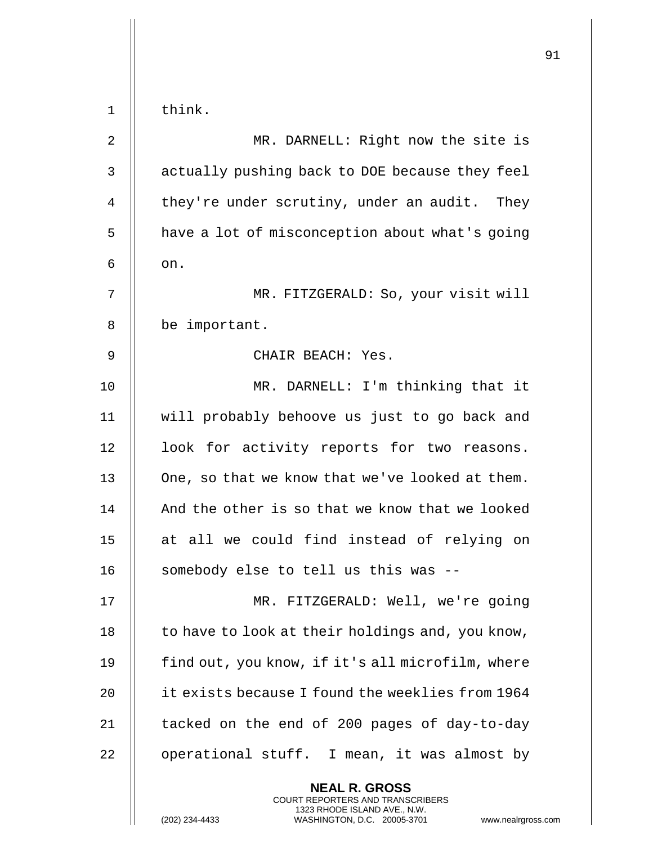|                |                                                                                                                                                                 | 91 |
|----------------|-----------------------------------------------------------------------------------------------------------------------------------------------------------------|----|
| 1              | think.                                                                                                                                                          |    |
| $\overline{2}$ | MR. DARNELL: Right now the site is                                                                                                                              |    |
| 3              | actually pushing back to DOE because they feel                                                                                                                  |    |
| 4              | they're under scrutiny, under an audit. They                                                                                                                    |    |
|                |                                                                                                                                                                 |    |
| 5              | have a lot of misconception about what's going                                                                                                                  |    |
| 6              | on.                                                                                                                                                             |    |
| 7              | MR. FITZGERALD: So, your visit will                                                                                                                             |    |
| 8              | be important.                                                                                                                                                   |    |
| 9              | CHAIR BEACH: Yes.                                                                                                                                               |    |
| 10             | MR. DARNELL: I'm thinking that it                                                                                                                               |    |
| 11             | will probably behoove us just to go back and                                                                                                                    |    |
| 12             | look for activity reports for two reasons.                                                                                                                      |    |
| 13             | One, so that we know that we've looked at them.                                                                                                                 |    |
| 14             | And the other is so that we know that we looked                                                                                                                 |    |
| 15             | at all we could find instead of relying on                                                                                                                      |    |
| 16             | somebody else to tell us this was --                                                                                                                            |    |
| 17             | MR. FITZGERALD: Well, we're going                                                                                                                               |    |
| 18             | to have to look at their holdings and, you know,                                                                                                                |    |
| 19             | find out, you know, if it's all microfilm, where                                                                                                                |    |
| 20             | it exists because I found the weeklies from 1964                                                                                                                |    |
| 21             | tacked on the end of 200 pages of day-to-day                                                                                                                    |    |
| 22             | operational stuff. I mean, it was almost by                                                                                                                     |    |
|                | <b>NEAL R. GROSS</b><br>COURT REPORTERS AND TRANSCRIBERS<br>1323 RHODE ISLAND AVE., N.W.<br>(202) 234-4433<br>WASHINGTON, D.C. 20005-3701<br>www.nealrgross.com |    |

 $\begin{array}{c} \hline \end{array}$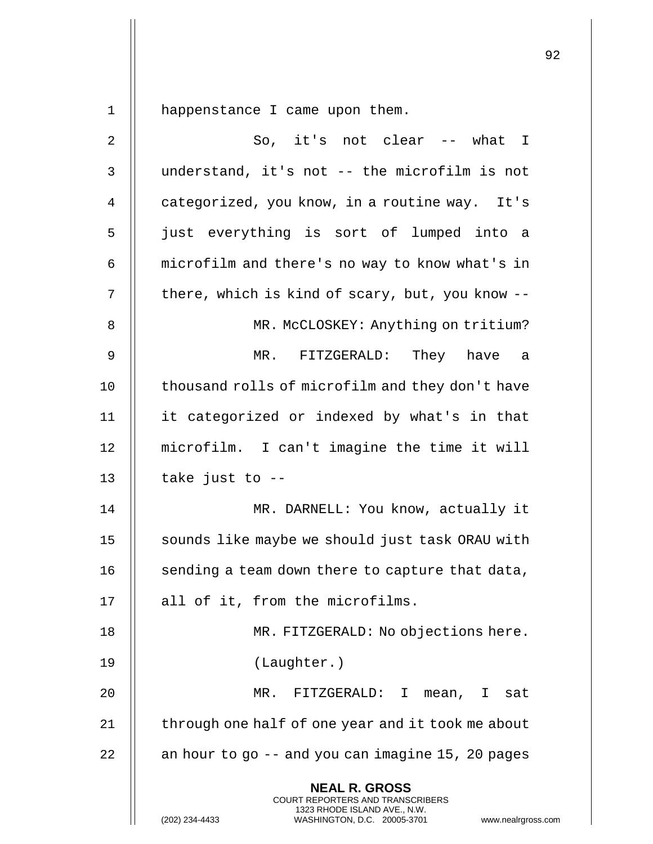1 | happenstance I came upon them.

| $\overline{c}$ | So, it's not clear -- what I                                                                                                                                    |
|----------------|-----------------------------------------------------------------------------------------------------------------------------------------------------------------|
| 3              | understand, it's not -- the microfilm is not                                                                                                                    |
| 4              | categorized, you know, in a routine way. It's                                                                                                                   |
| 5              | just everything is sort of lumped into a                                                                                                                        |
| 6              | microfilm and there's no way to know what's in                                                                                                                  |
| 7              | there, which is kind of scary, but, you know --                                                                                                                 |
| 8              | MR. McCLOSKEY: Anything on tritium?                                                                                                                             |
| 9              | They have<br>MR. FITZGERALD:<br>a                                                                                                                               |
| 10             | thousand rolls of microfilm and they don't have                                                                                                                 |
| 11             | it categorized or indexed by what's in that                                                                                                                     |
| 12             | microfilm. I can't imagine the time it will                                                                                                                     |
| 13             | take just to --                                                                                                                                                 |
| 14             | MR. DARNELL: You know, actually it                                                                                                                              |
| 15             | sounds like maybe we should just task ORAU with                                                                                                                 |
| 16             | sending a team down there to capture that data,                                                                                                                 |
| 17             | all of it, from the microfilms.                                                                                                                                 |
| 18             | MR. FITZGERALD: No objections here.                                                                                                                             |
| 19             | (Laughter.)                                                                                                                                                     |
| 20             | $MR$ .<br>FITZGERALD: I<br>mean,<br>I sat                                                                                                                       |
| 21             | through one half of one year and it took me about                                                                                                               |
| 22             | an hour to go -- and you can imagine 15, 20 pages                                                                                                               |
|                | <b>NEAL R. GROSS</b><br>COURT REPORTERS AND TRANSCRIBERS<br>1323 RHODE ISLAND AVE., N.W.<br>(202) 234-4433<br>WASHINGTON, D.C. 20005-3701<br>www.nealrgross.com |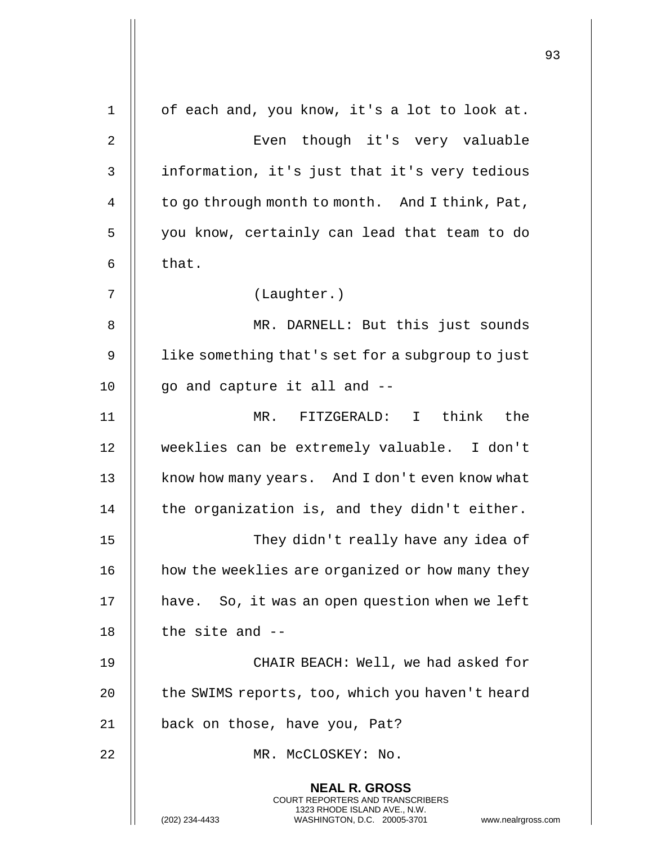|             |                                                                                                                                                                 | 93 |
|-------------|-----------------------------------------------------------------------------------------------------------------------------------------------------------------|----|
| $\mathbf 1$ | of each and, you know, it's a lot to look at.                                                                                                                   |    |
| 2           | Even though it's very valuable                                                                                                                                  |    |
|             |                                                                                                                                                                 |    |
| 3           | information, it's just that it's very tedious                                                                                                                   |    |
| 4           | to go through month to month. And I think, Pat,                                                                                                                 |    |
| 5           | you know, certainly can lead that team to do                                                                                                                    |    |
| 6           | that.                                                                                                                                                           |    |
| 7           | (Laughter.)                                                                                                                                                     |    |
| 8           | MR. DARNELL: But this just sounds                                                                                                                               |    |
| 9           | like something that's set for a subgroup to just                                                                                                                |    |
| 10          | go and capture it all and --                                                                                                                                    |    |
| 11          | think the<br>FITZGERALD: I<br>$MR$ .                                                                                                                            |    |
| 12          | weeklies can be extremely valuable. I don't                                                                                                                     |    |
| 13          | know how many years. And I don't even know what                                                                                                                 |    |
| 14          | the organization is, and they didn't either.                                                                                                                    |    |
| 15          | They didn't really have any idea of                                                                                                                             |    |
| 16          | how the weeklies are organized or how many they                                                                                                                 |    |
| 17          | have. So, it was an open question when we left                                                                                                                  |    |
| 18          | the site and $-$                                                                                                                                                |    |
| 19          | CHAIR BEACH: Well, we had asked for                                                                                                                             |    |
| 20          | the SWIMS reports, too, which you haven't heard                                                                                                                 |    |
| 21          | back on those, have you, Pat?                                                                                                                                   |    |
| 22          | MR. MCCLOSKEY: No.                                                                                                                                              |    |
|             | <b>NEAL R. GROSS</b><br>COURT REPORTERS AND TRANSCRIBERS<br>1323 RHODE ISLAND AVE., N.W.<br>(202) 234-4433<br>WASHINGTON, D.C. 20005-3701<br>www.nealrgross.com |    |

 $\overline{1}$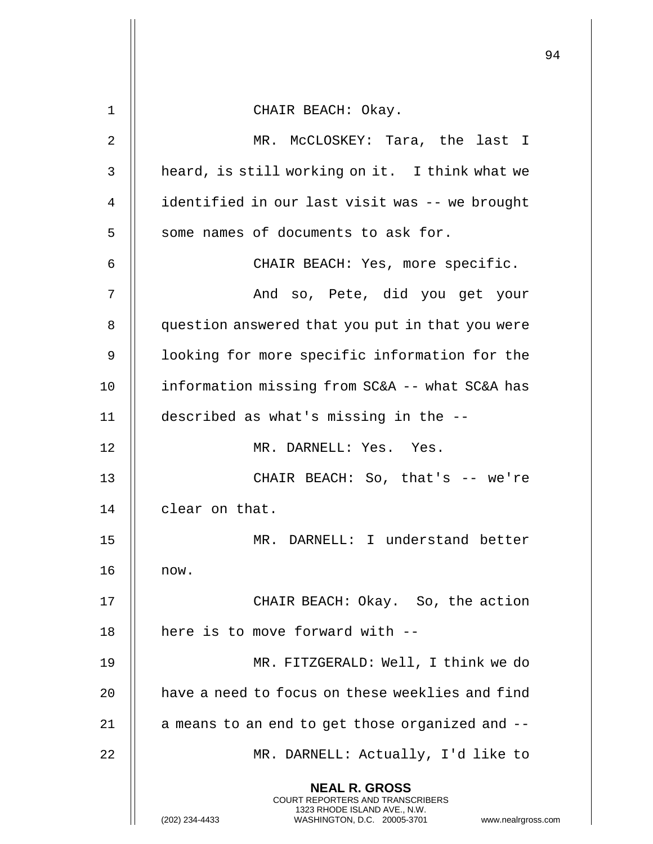|    |                                                                                                                                                              | 94 |
|----|--------------------------------------------------------------------------------------------------------------------------------------------------------------|----|
|    |                                                                                                                                                              |    |
| 1  | CHAIR BEACH: Okay.                                                                                                                                           |    |
| 2  | MR. McCLOSKEY: Tara, the last I                                                                                                                              |    |
| 3  | heard, is still working on it. I think what we                                                                                                               |    |
| 4  | identified in our last visit was -- we brought                                                                                                               |    |
| 5  | some names of documents to ask for.                                                                                                                          |    |
| 6  | CHAIR BEACH: Yes, more specific.                                                                                                                             |    |
| 7  | And so, Pete, did you get your                                                                                                                               |    |
| 8  | question answered that you put in that you were                                                                                                              |    |
| 9  | looking for more specific information for the                                                                                                                |    |
| 10 | information missing from SC&A -- what SC&A has                                                                                                               |    |
| 11 | described as what's missing in the --                                                                                                                        |    |
| 12 | MR. DARNELL: Yes. Yes.                                                                                                                                       |    |
| 13 | CHAIR BEACH: So, that's -- we're                                                                                                                             |    |
| 14 | clear on that.                                                                                                                                               |    |
| 15 | MR. DARNELL: I understand better                                                                                                                             |    |
| 16 | now.                                                                                                                                                         |    |
| 17 | CHAIR BEACH: Okay. So, the action                                                                                                                            |    |
| 18 | here is to move forward with --                                                                                                                              |    |
| 19 | MR. FITZGERALD: Well, I think we do                                                                                                                          |    |
| 20 | have a need to focus on these weeklies and find                                                                                                              |    |
| 21 | a means to an end to get those organized and --                                                                                                              |    |
| 22 | MR. DARNELL: Actually, I'd like to                                                                                                                           |    |
|    | <b>NEAL R. GROSS</b><br>COURT REPORTERS AND TRANSCRIBERS<br>1323 RHODE ISLAND AVE., N.W.<br>WASHINGTON, D.C. 20005-3701 www.nealrgross.com<br>(202) 234-4433 |    |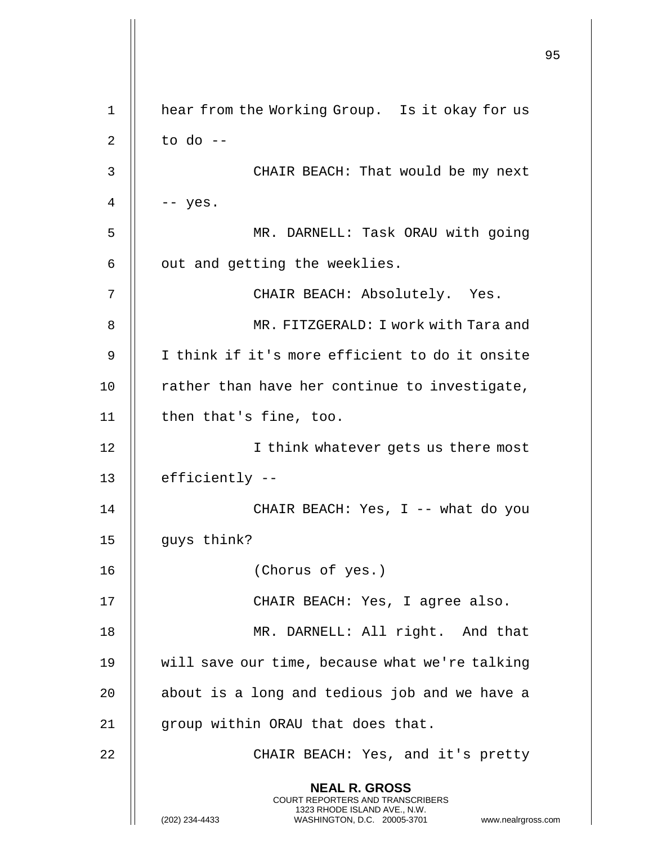|    |                                                                                                                                                                     | 95 |
|----|---------------------------------------------------------------------------------------------------------------------------------------------------------------------|----|
| 1  | hear from the Working Group. Is it okay for us                                                                                                                      |    |
| 2  | to do $-$                                                                                                                                                           |    |
| 3  | CHAIR BEACH: That would be my next                                                                                                                                  |    |
| 4  | $--$ yes.                                                                                                                                                           |    |
| 5  | MR. DARNELL: Task ORAU with going                                                                                                                                   |    |
| 6  | out and getting the weeklies.                                                                                                                                       |    |
| 7  | CHAIR BEACH: Absolutely. Yes.                                                                                                                                       |    |
| 8  | MR. FITZGERALD: I work with Tara and                                                                                                                                |    |
| 9  | I think if it's more efficient to do it onsite                                                                                                                      |    |
| 10 | rather than have her continue to investigate,                                                                                                                       |    |
| 11 | then that's fine, too.                                                                                                                                              |    |
| 12 | I think whatever gets us there most                                                                                                                                 |    |
| 13 | efficiently --                                                                                                                                                      |    |
| 14 | CHAIR BEACH: Yes, I -- what do you                                                                                                                                  |    |
| 15 | guys think?                                                                                                                                                         |    |
| 16 | (Chorus of yes.)                                                                                                                                                    |    |
| 17 | CHAIR BEACH: Yes, I agree also.                                                                                                                                     |    |
| 18 | MR. DARNELL: All right. And that                                                                                                                                    |    |
| 19 | will save our time, because what we're talking                                                                                                                      |    |
| 20 | about is a long and tedious job and we have a                                                                                                                       |    |
| 21 | group within ORAU that does that.                                                                                                                                   |    |
| 22 | CHAIR BEACH: Yes, and it's pretty                                                                                                                                   |    |
|    | <b>NEAL R. GROSS</b><br><b>COURT REPORTERS AND TRANSCRIBERS</b><br>1323 RHODE ISLAND AVE., N.W.<br>(202) 234-4433<br>WASHINGTON, D.C. 20005-3701 www.nealrgross.com |    |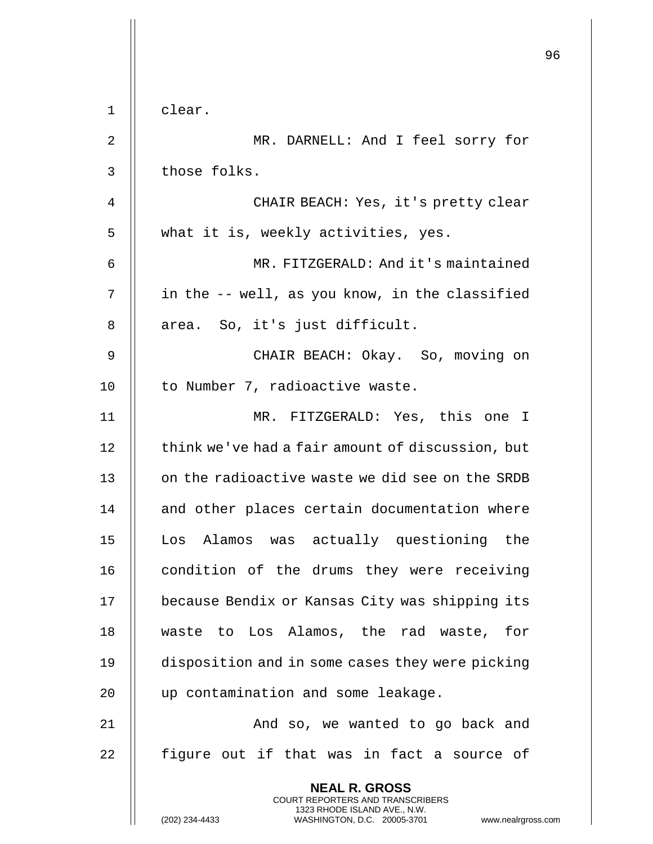|             |                                                                                                                                                | 96 |
|-------------|------------------------------------------------------------------------------------------------------------------------------------------------|----|
|             |                                                                                                                                                |    |
| $\mathbf 1$ | clear.                                                                                                                                         |    |
| 2           | MR. DARNELL: And I feel sorry for                                                                                                              |    |
| 3           | those folks.                                                                                                                                   |    |
| 4           | CHAIR BEACH: Yes, it's pretty clear                                                                                                            |    |
| 5           | what it is, weekly activities, yes.                                                                                                            |    |
| 6           | MR. FITZGERALD: And it's maintained                                                                                                            |    |
| 7           | in the -- well, as you know, in the classified                                                                                                 |    |
| 8           | area. So, it's just difficult.                                                                                                                 |    |
| 9           | CHAIR BEACH: Okay. So, moving on                                                                                                               |    |
| 10          | to Number 7, radioactive waste.                                                                                                                |    |
| 11          | MR. FITZGERALD: Yes, this one I                                                                                                                |    |
| 12          | think we've had a fair amount of discussion, but                                                                                               |    |
| 13          | on the radioactive waste we did see on the SRDB                                                                                                |    |
| 14          | and other places certain documentation where                                                                                                   |    |
| 15          | Los Alamos was actually questioning the                                                                                                        |    |
| 16          | condition of the drums they were receiving                                                                                                     |    |
| 17          | because Bendix or Kansas City was shipping its                                                                                                 |    |
| 18          | waste to Los Alamos, the rad waste, for                                                                                                        |    |
| 19          | disposition and in some cases they were picking                                                                                                |    |
| 20          | up contamination and some leakage.                                                                                                             |    |
| 21          | And so, we wanted to go back and                                                                                                               |    |
| 22          | figure out if that was in fact a source of                                                                                                     |    |
|             | <b>NEAL R. GROSS</b>                                                                                                                           |    |
|             | <b>COURT REPORTERS AND TRANSCRIBERS</b><br>1323 RHODE ISLAND AVE., N.W.<br>(202) 234-4433<br>WASHINGTON, D.C. 20005-3701<br>www.nealrgross.com |    |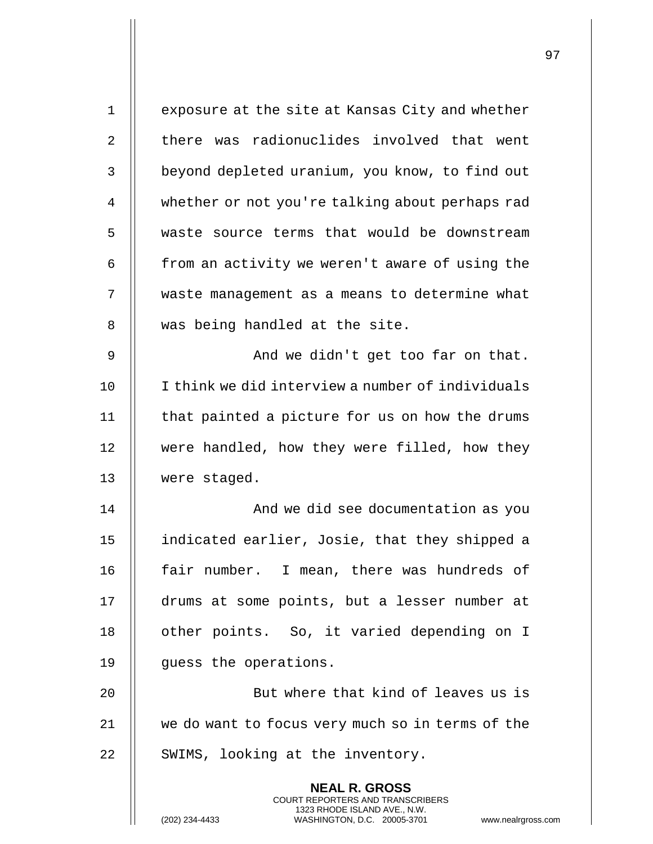| $\mathbf 1$ | exposure at the site at Kansas City and whether                                                                                                                    |
|-------------|--------------------------------------------------------------------------------------------------------------------------------------------------------------------|
| 2           | there was radionuclides involved that went                                                                                                                         |
| 3           | beyond depleted uranium, you know, to find out                                                                                                                     |
| 4           | whether or not you're talking about perhaps rad                                                                                                                    |
| 5           | waste source terms that would be downstream                                                                                                                        |
| 6           | from an activity we weren't aware of using the                                                                                                                     |
| 7           | waste management as a means to determine what                                                                                                                      |
| 8           | was being handled at the site.                                                                                                                                     |
| 9           | And we didn't get too far on that.                                                                                                                                 |
| 10          | I think we did interview a number of individuals                                                                                                                   |
| 11          | that painted a picture for us on how the drums                                                                                                                     |
| 12          | were handled, how they were filled, how they                                                                                                                       |
| 13          | were staged.                                                                                                                                                       |
| 14          | And we did see documentation as you                                                                                                                                |
| 15          | indicated earlier, Josie, that they shipped a                                                                                                                      |
| 16          | fair number. I mean, there was hundreds of                                                                                                                         |
| 17          | drums at some points, but a lesser number at                                                                                                                       |
| 18          | other points. So, it varied depending on I                                                                                                                         |
| 19          | quess the operations.                                                                                                                                              |
| 20          | But where that kind of leaves us is                                                                                                                                |
| 21          | we do want to focus very much so in terms of the                                                                                                                   |
| 22          | SWIMS, looking at the inventory.                                                                                                                                   |
|             | <b>NEAL R. GROSS</b><br><b>COURT REPORTERS AND TRANSCRIBERS</b><br>1323 RHODE ISLAND AVE., N.W.<br>(202) 234-4433<br>WASHINGTON, D.C. 20005-3701<br>www.nealrgross |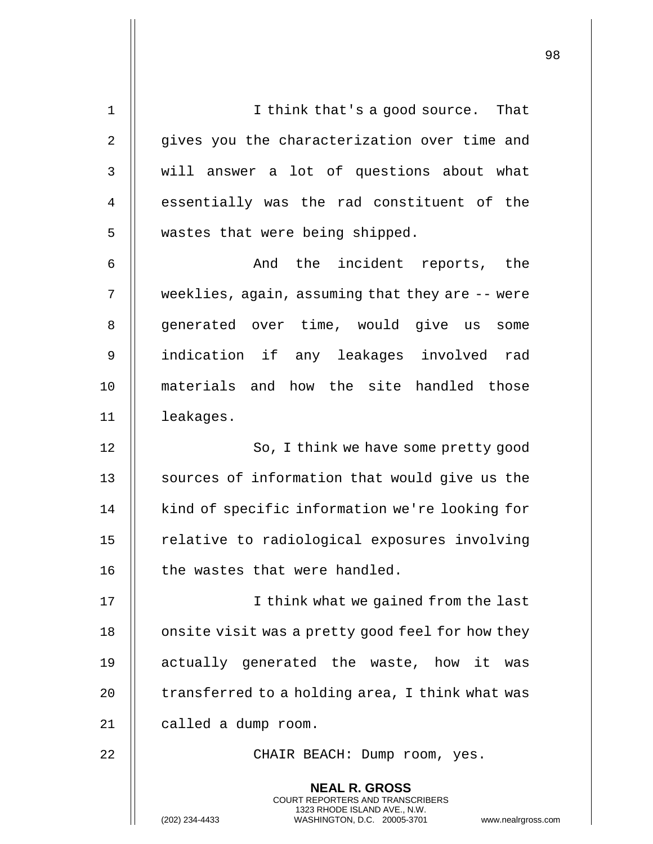| $\mathbf 1$    | I think that's a good source. That                                                       |
|----------------|------------------------------------------------------------------------------------------|
| $\overline{2}$ | gives you the characterization over time and                                             |
| 3              | will answer a lot of questions about what                                                |
| 4              | essentially was the rad constituent of the                                               |
| 5              | wastes that were being shipped.                                                          |
| 6              | And the incident reports, the                                                            |
| 7              | weeklies, again, assuming that they are $-$ - were                                       |
| 8              | generated over time, would give us some                                                  |
| 9              | indication if any leakages involved rad                                                  |
| 10             | materials and how the site handled those                                                 |
| 11             | leakages.                                                                                |
| 12             | So, I think we have some pretty good                                                     |
| 13             | sources of information that would give us the                                            |
| 14             | kind of specific information we're looking for                                           |
| 15             | relative to radiological exposures involving                                             |
| 16             | the wastes that were handled.                                                            |
| 17             | I think what we gained from the last                                                     |
| 18             | onsite visit was a pretty good feel for how they                                         |
| 19             | actually generated the waste, how it was                                                 |
| 20             | transferred to a holding area, I think what was                                          |
| 21             | called a dump room.                                                                      |
| 22             | CHAIR BEACH: Dump room, yes.                                                             |
|                | <b>NEAL R. GROSS</b><br>COURT REPORTERS AND TRANSCRIBERS<br>1323 RHODE ISLAND AVE., N.W. |
|                | (202) 234-4433<br>WASHINGTON, D.C. 20005-3701<br>www.nealrgross.com                      |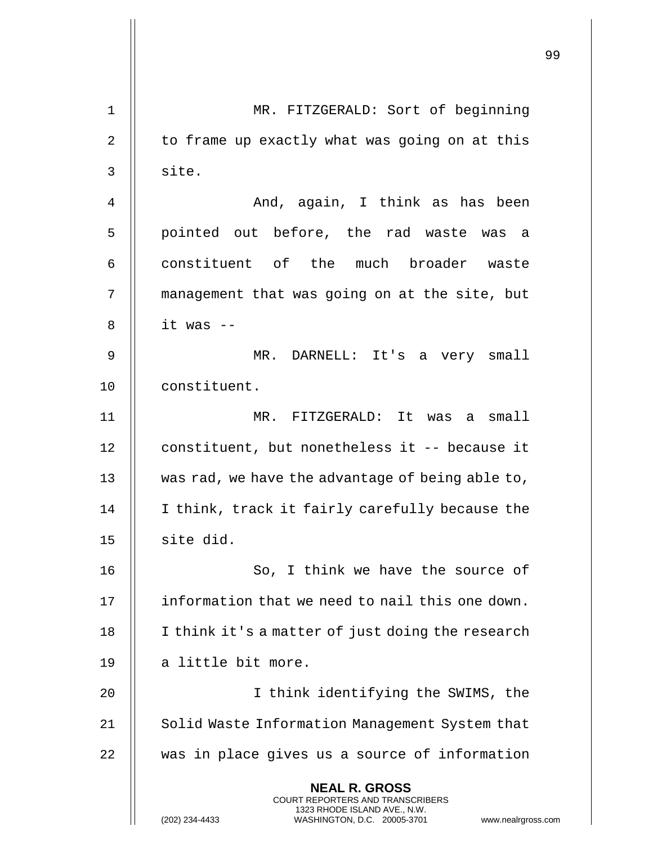|    |                                                                                                                                                                        | 99 |
|----|------------------------------------------------------------------------------------------------------------------------------------------------------------------------|----|
| 1  | MR. FITZGERALD: Sort of beginning                                                                                                                                      |    |
| 2  | to frame up exactly what was going on at this                                                                                                                          |    |
| 3  | site.                                                                                                                                                                  |    |
| 4  | And, again, I think as has been                                                                                                                                        |    |
| 5  | pointed out before, the rad waste was a                                                                                                                                |    |
| 6  | constituent of the much broader waste                                                                                                                                  |    |
| 7  | management that was going on at the site, but                                                                                                                          |    |
| 8  | it was --                                                                                                                                                              |    |
| 9  | MR. DARNELL: It's a very small                                                                                                                                         |    |
| 10 | constituent.                                                                                                                                                           |    |
| 11 | MR. FITZGERALD: It was a small                                                                                                                                         |    |
| 12 | constituent, but nonetheless it -- because it                                                                                                                          |    |
| 13 | was rad, we have the advantage of being able to,                                                                                                                       |    |
| 14 | I think, track it fairly carefully because the                                                                                                                         |    |
| 15 | site did.                                                                                                                                                              |    |
| 16 | So, I think we have the source of                                                                                                                                      |    |
| 17 | information that we need to nail this one down.                                                                                                                        |    |
| 18 | I think it's a matter of just doing the research                                                                                                                       |    |
| 19 | a little bit more.                                                                                                                                                     |    |
| 20 | I think identifying the SWIMS, the                                                                                                                                     |    |
| 21 | Solid Waste Information Management System that                                                                                                                         |    |
| 22 | was in place gives us a source of information                                                                                                                          |    |
|    | <b>NEAL R. GROSS</b><br><b>COURT REPORTERS AND TRANSCRIBERS</b><br>1323 RHODE ISLAND AVE., N.W.<br>(202) 234-4433<br>WASHINGTON, D.C. 20005-3701<br>www.nealrgross.com |    |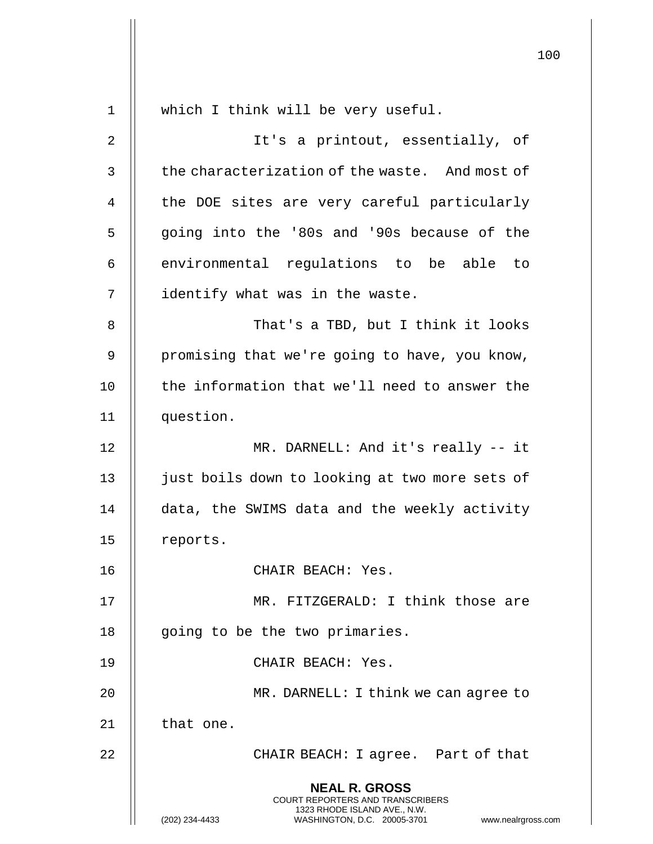|             |                                                                                                                                                                        | 100 |
|-------------|------------------------------------------------------------------------------------------------------------------------------------------------------------------------|-----|
| $\mathbf 1$ | which I think will be very useful.                                                                                                                                     |     |
| 2           | It's a printout, essentially, of                                                                                                                                       |     |
|             |                                                                                                                                                                        |     |
| 3           | the characterization of the waste. And most of                                                                                                                         |     |
| 4           | the DOE sites are very careful particularly                                                                                                                            |     |
| 5           | going into the '80s and '90s because of the                                                                                                                            |     |
| 6           | environmental regulations to be able to                                                                                                                                |     |
| 7           | identify what was in the waste.                                                                                                                                        |     |
| 8           | That's a TBD, but I think it looks                                                                                                                                     |     |
| 9           | promising that we're going to have, you know,                                                                                                                          |     |
| 10          | the information that we'll need to answer the                                                                                                                          |     |
| 11          | question.                                                                                                                                                              |     |
| 12          | MR. DARNELL: And it's really -- it                                                                                                                                     |     |
| 13          | just boils down to looking at two more sets of                                                                                                                         |     |
| 14          | data, the SWIMS data and the weekly activity                                                                                                                           |     |
| 15          | reports.                                                                                                                                                               |     |
| 16          | CHAIR BEACH: Yes.                                                                                                                                                      |     |
| 17          | MR. FITZGERALD: I think those are                                                                                                                                      |     |
| 18          | going to be the two primaries.                                                                                                                                         |     |
| 19          | CHAIR BEACH: Yes.                                                                                                                                                      |     |
| 20          | MR. DARNELL: I think we can agree to                                                                                                                                   |     |
| 21          | that one.                                                                                                                                                              |     |
| 22          | CHAIR BEACH: I agree. Part of that                                                                                                                                     |     |
|             | <b>NEAL R. GROSS</b><br><b>COURT REPORTERS AND TRANSCRIBERS</b><br>1323 RHODE ISLAND AVE., N.W.<br>(202) 234-4433<br>WASHINGTON, D.C. 20005-3701<br>www.nealrgross.com |     |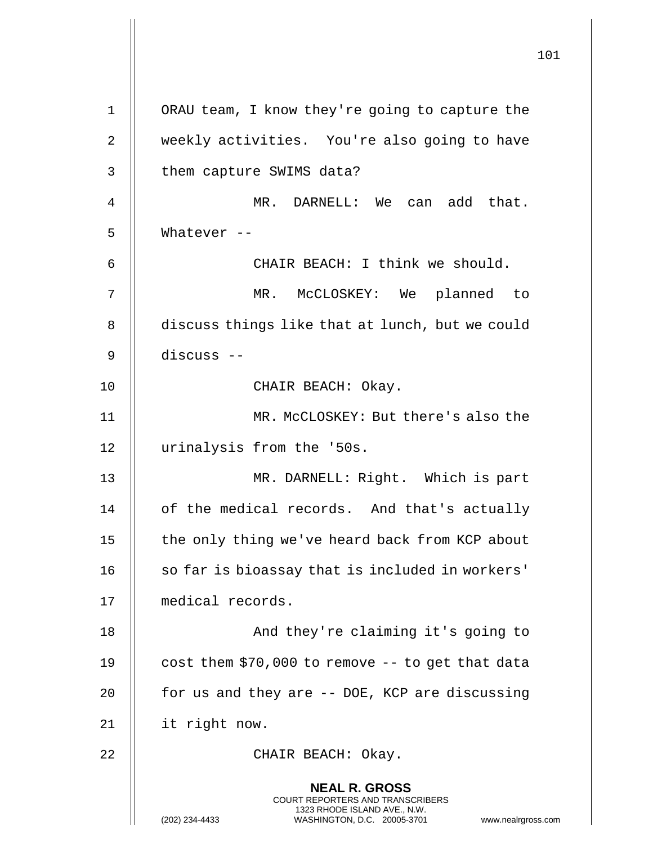**NEAL R. GROSS** COURT REPORTERS AND TRANSCRIBERS 1323 RHODE ISLAND AVE., N.W. (202) 234-4433 WASHINGTON, D.C. 20005-3701 www.nealrgross.com 1 ORAU team, I know they're going to capture the 2 | weekly activities. You're also going to have 3 || them capture SWIMS data? 4 MR. DARNELL: We can add that. 5 Whatever -- 6 CHAIR BEACH: I think we should. 7 MR. McCLOSKEY: We planned to 8 discuss things like that at lunch, but we could 9 discuss -- 10 || CHAIR BEACH: Okay. 11 MR. McCLOSKEY: But there's also the 12 urinalysis from the '50s. 13 MR. DARNELL: Right. Which is part 14 | of the medical records. And that's actually 15 | the only thing we've heard back from KCP about  $16$   $\parallel$  so far is bioassay that is included in workers' 17 medical records. 18 || And they're claiming it's going to 19  $\parallel$  cost them \$70,000 to remove -- to get that data 20  $\parallel$  for us and they are -- DOE, KCP are discussing 21 it right now. 22 || CHAIR BEACH: Okay.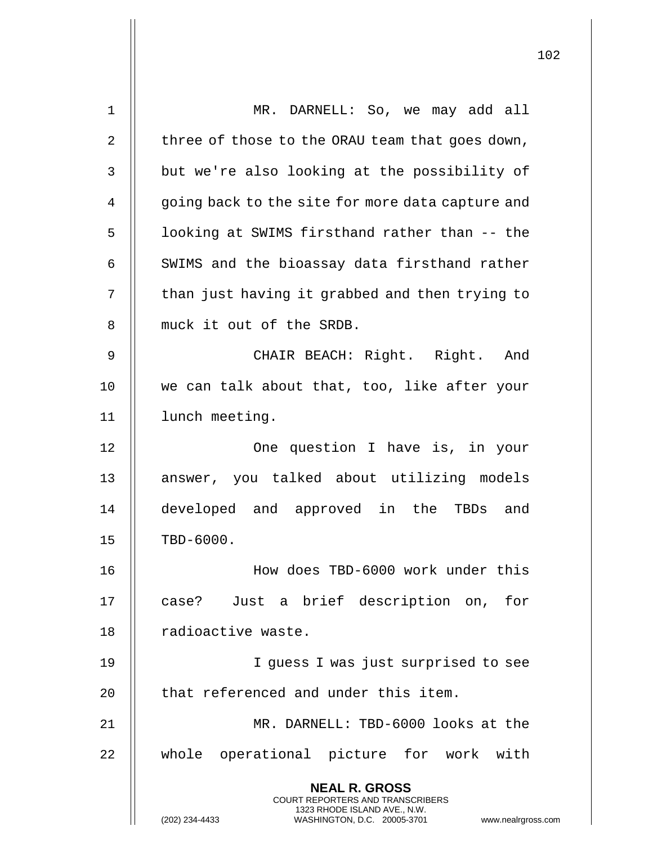| 1  | MR. DARNELL: So, we may add all                                                                                                                                        |
|----|------------------------------------------------------------------------------------------------------------------------------------------------------------------------|
| 2  | three of those to the ORAU team that goes down,                                                                                                                        |
| 3  | but we're also looking at the possibility of                                                                                                                           |
| 4  | going back to the site for more data capture and                                                                                                                       |
| 5  | looking at SWIMS firsthand rather than -- the                                                                                                                          |
| 6  | SWIMS and the bioassay data firsthand rather                                                                                                                           |
| 7  | than just having it grabbed and then trying to                                                                                                                         |
| 8  | muck it out of the SRDB.                                                                                                                                               |
| 9  | CHAIR BEACH: Right. Right. And                                                                                                                                         |
| 10 | we can talk about that, too, like after your                                                                                                                           |
| 11 | lunch meeting.                                                                                                                                                         |
| 12 | One question I have is, in your                                                                                                                                        |
| 13 | answer, you talked about utilizing models                                                                                                                              |
| 14 | developed and approved in the TBDs and                                                                                                                                 |
| 15 | TBD-6000.                                                                                                                                                              |
| 16 | How does TBD-6000 work under this                                                                                                                                      |
| 17 | case? Just a brief description on, for                                                                                                                                 |
| 18 | radioactive waste.                                                                                                                                                     |
| 19 | I quess I was just surprised to see                                                                                                                                    |
| 20 | that referenced and under this item.                                                                                                                                   |
| 21 | MR. DARNELL: TBD-6000 looks at the                                                                                                                                     |
| 22 | whole operational picture for work with                                                                                                                                |
|    | <b>NEAL R. GROSS</b><br><b>COURT REPORTERS AND TRANSCRIBERS</b><br>1323 RHODE ISLAND AVE., N.W.<br>(202) 234-4433<br>WASHINGTON, D.C. 20005-3701<br>www.nealrgross.com |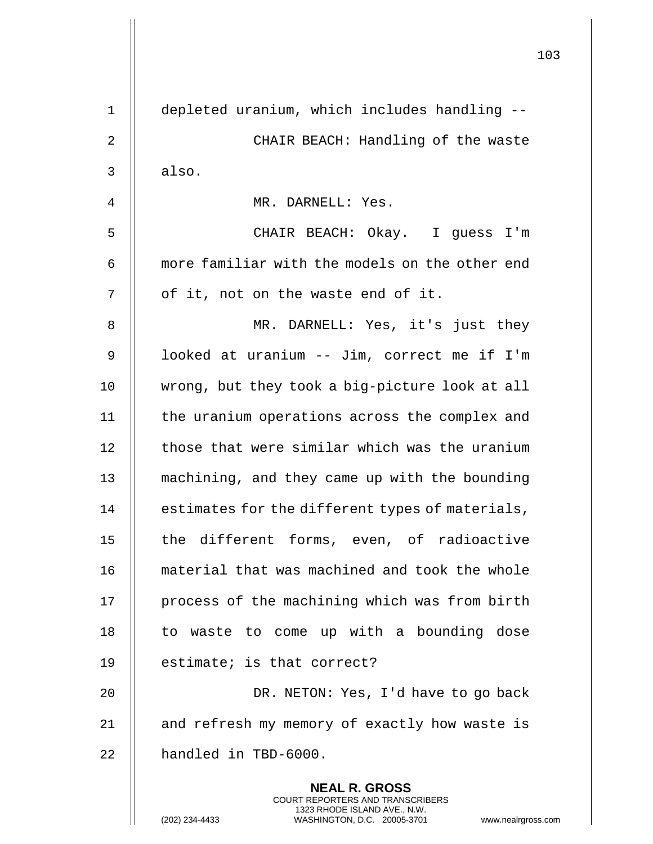|    |                                                                                                                                                                 | 103 |
|----|-----------------------------------------------------------------------------------------------------------------------------------------------------------------|-----|
| 1  | depleted uranium, which includes handling --                                                                                                                    |     |
| 2  | CHAIR BEACH: Handling of the waste                                                                                                                              |     |
| 3  | also.                                                                                                                                                           |     |
| 4  | MR. DARNELL: Yes.                                                                                                                                               |     |
| 5  | CHAIR BEACH: Okay. I guess I'm                                                                                                                                  |     |
| 6  | more familiar with the models on the other end                                                                                                                  |     |
| 7  | of it, not on the waste end of it.                                                                                                                              |     |
| 8  | MR. DARNELL: Yes, it's just they                                                                                                                                |     |
| 9  | looked at uranium -- Jim, correct me if I'm                                                                                                                     |     |
| 10 | wrong, but they took a big-picture look at all                                                                                                                  |     |
| 11 | the uranium operations across the complex and                                                                                                                   |     |
| 12 | those that were similar which was the uranium                                                                                                                   |     |
| 13 | machining, and they came up with the bounding                                                                                                                   |     |
| 14 | estimates for the different types of materials,                                                                                                                 |     |
| 15 | the different forms, even, of radioactive                                                                                                                       |     |
| 16 | material that was machined and took the whole                                                                                                                   |     |
| 17 | process of the machining which was from birth                                                                                                                   |     |
| 18 | to waste to come up with a bounding dose                                                                                                                        |     |
| 19 | estimate; is that correct?                                                                                                                                      |     |
| 20 | DR. NETON: Yes, I'd have to go back                                                                                                                             |     |
| 21 | and refresh my memory of exactly how waste is                                                                                                                   |     |
| 22 | handled in TBD-6000.                                                                                                                                            |     |
|    | <b>NEAL R. GROSS</b><br>COURT REPORTERS AND TRANSCRIBERS<br>1323 RHODE ISLAND AVE., N.W.<br>(202) 234-4433<br>WASHINGTON, D.C. 20005-3701<br>www.nealrgross.com |     |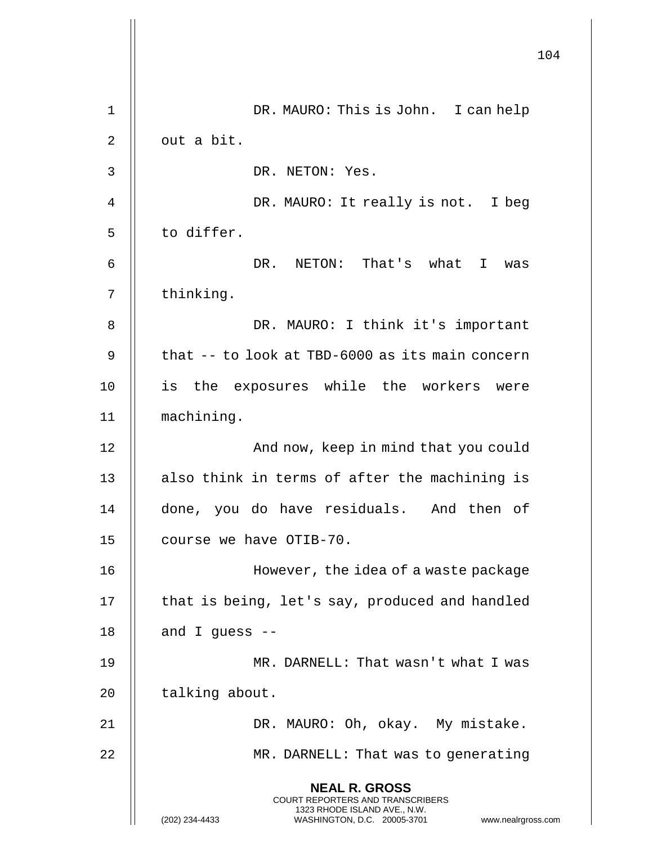|             |                                                                                                                                                                        | 104 |
|-------------|------------------------------------------------------------------------------------------------------------------------------------------------------------------------|-----|
| $\mathbf 1$ | DR. MAURO: This is John. I can help                                                                                                                                    |     |
| 2           | out a bit.                                                                                                                                                             |     |
| 3           | DR. NETON: Yes.                                                                                                                                                        |     |
| 4           | DR. MAURO: It really is not. I beg                                                                                                                                     |     |
| 5           | to differ.                                                                                                                                                             |     |
| 6           | DR. NETON: That's what I<br>was                                                                                                                                        |     |
| 7           | thinking.                                                                                                                                                              |     |
| 8           | DR. MAURO: I think it's important                                                                                                                                      |     |
| 9           | that -- to look at TBD-6000 as its main concern                                                                                                                        |     |
| 10          | is<br>the exposures while the workers<br>were                                                                                                                          |     |
| 11          | machining.                                                                                                                                                             |     |
| 12          | And now, keep in mind that you could                                                                                                                                   |     |
| 13          | also think in terms of after the machining is                                                                                                                          |     |
| 14          | done, you do have residuals. And then of                                                                                                                               |     |
| 15          | course we have OTIB-70.                                                                                                                                                |     |
| 16          | However, the idea of a waste package                                                                                                                                   |     |
| 17          | that is being, let's say, produced and handled                                                                                                                         |     |
| 18          | and I guess $-$                                                                                                                                                        |     |
| 19          | MR. DARNELL: That wasn't what I was                                                                                                                                    |     |
| 20          | talking about.                                                                                                                                                         |     |
| 21          | DR. MAURO: Oh, okay. My mistake.                                                                                                                                       |     |
| 22          | MR. DARNELL: That was to generating                                                                                                                                    |     |
|             | <b>NEAL R. GROSS</b><br><b>COURT REPORTERS AND TRANSCRIBERS</b><br>1323 RHODE ISLAND AVE., N.W.<br>(202) 234-4433<br>WASHINGTON, D.C. 20005-3701<br>www.nealrgross.com |     |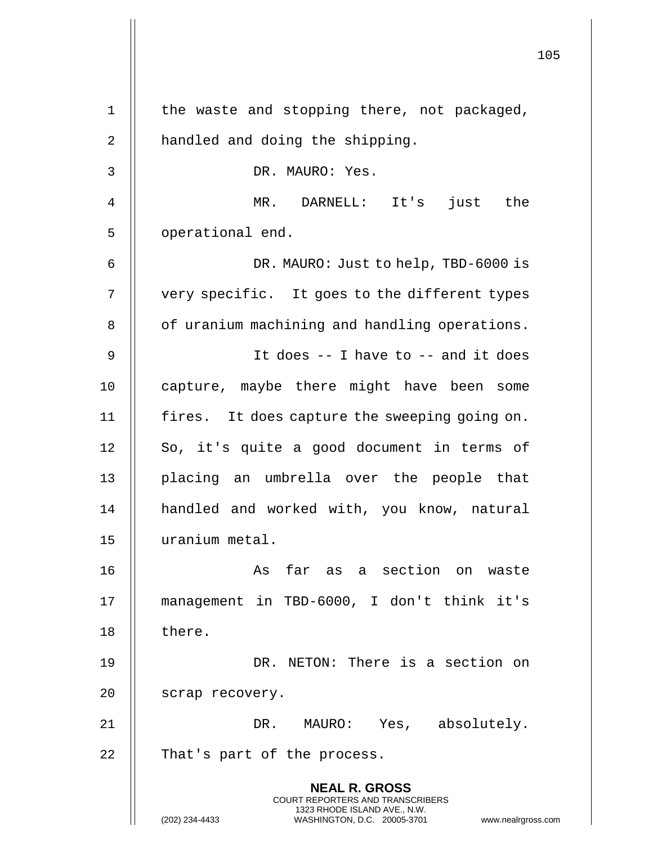|    |                                                                                                 | 105 |
|----|-------------------------------------------------------------------------------------------------|-----|
| 1  | the waste and stopping there, not packaged,                                                     |     |
| 2  | handled and doing the shipping.                                                                 |     |
| 3  | DR. MAURO: Yes.                                                                                 |     |
| 4  | MR. DARNELL: It's just the                                                                      |     |
| 5  | operational end.                                                                                |     |
| 6  | DR. MAURO: Just to help, TBD-6000 is                                                            |     |
| 7  | very specific. It goes to the different types                                                   |     |
| 8  | of uranium machining and handling operations.                                                   |     |
| 9  | It does $-$ - I have to $-$ and it does                                                         |     |
| 10 | capture, maybe there might have been some                                                       |     |
| 11 | fires. It does capture the sweeping going on.                                                   |     |
| 12 | So, it's quite a good document in terms of                                                      |     |
| 13 | placing an umbrella over the people that                                                        |     |
| 14 | handled and worked with, you know, natural                                                      |     |
| 15 | uranium metal.                                                                                  |     |
| 16 | As far as a section on waste                                                                    |     |
| 17 | management in TBD-6000, I don't think it's                                                      |     |
| 18 | there.                                                                                          |     |
| 19 | DR. NETON: There is a section on                                                                |     |
| 20 | scrap recovery.                                                                                 |     |
| 21 | DR. MAURO: Yes, absolutely.                                                                     |     |
| 22 | That's part of the process.                                                                     |     |
|    | <b>NEAL R. GROSS</b><br><b>COURT REPORTERS AND TRANSCRIBERS</b><br>1323 RHODE ISLAND AVE., N.W. |     |
|    | (202) 234-4433<br>WASHINGTON, D.C. 20005-3701<br>www.nealrgross.com                             |     |

 $\mathbf{I}$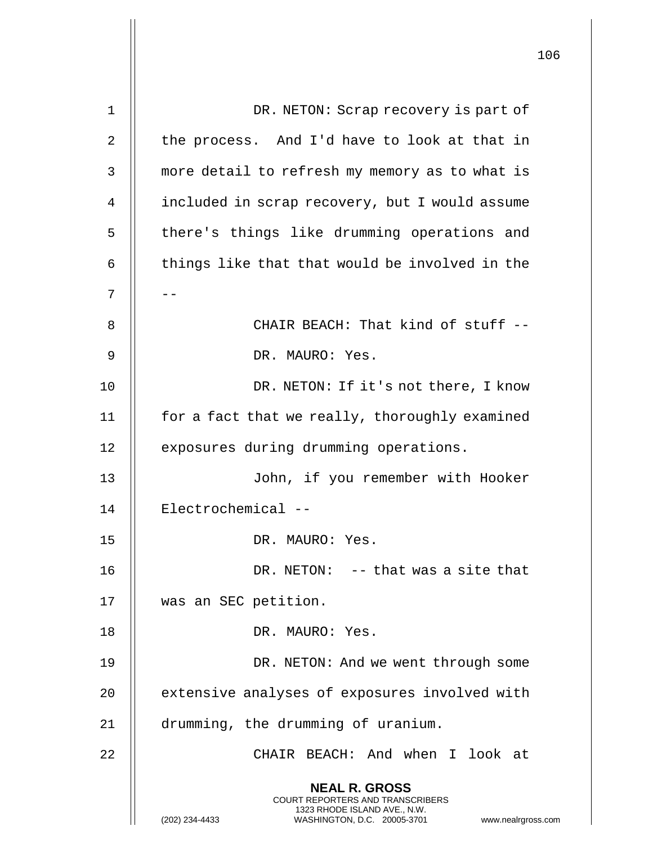|    |                                                                                                                                                                 | 106 |
|----|-----------------------------------------------------------------------------------------------------------------------------------------------------------------|-----|
| 1  | DR. NETON: Scrap recovery is part of                                                                                                                            |     |
| 2  | the process. And I'd have to look at that in                                                                                                                    |     |
|    |                                                                                                                                                                 |     |
| 3  | more detail to refresh my memory as to what is                                                                                                                  |     |
| 4  | included in scrap recovery, but I would assume                                                                                                                  |     |
| 5  | there's things like drumming operations and                                                                                                                     |     |
| 6  | things like that that would be involved in the                                                                                                                  |     |
| 7  |                                                                                                                                                                 |     |
| 8  | CHAIR BEACH: That kind of stuff --                                                                                                                              |     |
| 9  | DR. MAURO: Yes.                                                                                                                                                 |     |
| 10 | DR. NETON: If it's not there, I know                                                                                                                            |     |
| 11 | for a fact that we really, thoroughly examined                                                                                                                  |     |
| 12 | exposures during drumming operations.                                                                                                                           |     |
| 13 | John, if you remember with Hooker                                                                                                                               |     |
| 14 | Electrochemical --                                                                                                                                              |     |
| 15 | DR. MAURO: Yes.                                                                                                                                                 |     |
| 16 | DR. NETON: -- that was a site that                                                                                                                              |     |
| 17 | was an SEC petition.                                                                                                                                            |     |
| 18 | DR. MAURO: Yes.                                                                                                                                                 |     |
| 19 | DR. NETON: And we went through some                                                                                                                             |     |
| 20 | extensive analyses of exposures involved with                                                                                                                   |     |
| 21 | drumming, the drumming of uranium.                                                                                                                              |     |
| 22 | CHAIR BEACH: And when I look at                                                                                                                                 |     |
|    | <b>NEAL R. GROSS</b><br>COURT REPORTERS AND TRANSCRIBERS<br>1323 RHODE ISLAND AVE., N.W.<br>(202) 234-4433<br>WASHINGTON, D.C. 20005-3701<br>www.nealrgross.com |     |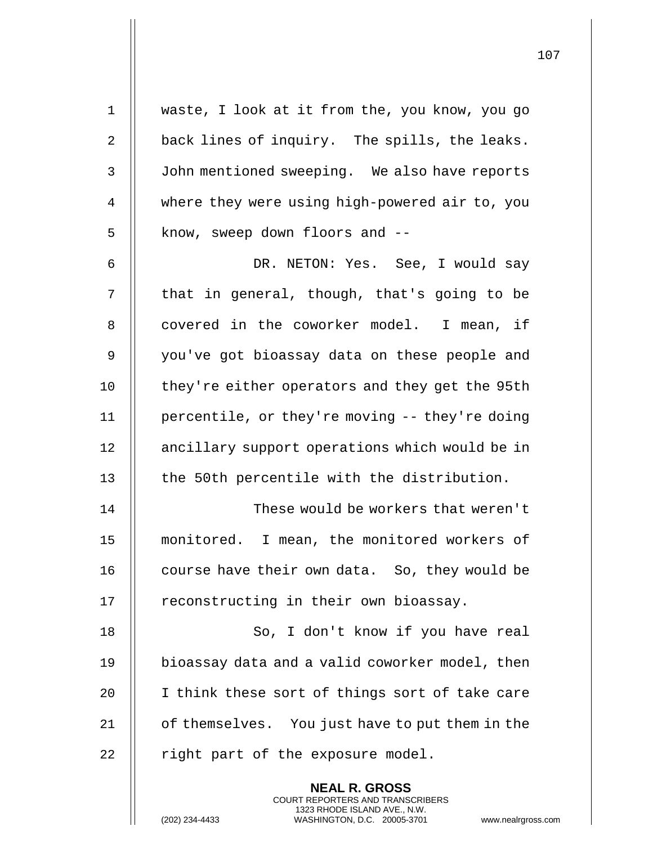| $\mathbf{1}$   | waste, I look at it from the, you know, you go                                                                                                                     |
|----------------|--------------------------------------------------------------------------------------------------------------------------------------------------------------------|
| 2              | back lines of inquiry. The spills, the leaks.                                                                                                                      |
| 3              | John mentioned sweeping. We also have reports                                                                                                                      |
| 4              | where they were using high-powered air to, you                                                                                                                     |
| 5              | know, sweep down floors and --                                                                                                                                     |
| 6              | DR. NETON: Yes. See, I would say                                                                                                                                   |
| $\overline{7}$ | that in general, though, that's going to be                                                                                                                        |
| 8              | covered in the coworker model. I mean, if                                                                                                                          |
| 9              | you've got bioassay data on these people and                                                                                                                       |
| 10             | they're either operators and they get the 95th                                                                                                                     |
| 11             | percentile, or they're moving -- they're doing                                                                                                                     |
| 12             | ancillary support operations which would be in                                                                                                                     |
| 13             | the 50th percentile with the distribution.                                                                                                                         |
| 14             | These would be workers that weren't                                                                                                                                |
| 15             | monitored. I mean, the monitored workers of                                                                                                                        |
| 16             | course have their own data. So, they would be                                                                                                                      |
| 17             | reconstructing in their own bioassay.                                                                                                                              |
| 18             | So, I don't know if you have real                                                                                                                                  |
| 19             | bioassay data and a valid coworker model, then                                                                                                                     |
| 20             | I think these sort of things sort of take care                                                                                                                     |
| 21             | of themselves. You just have to put them in the                                                                                                                    |
| 22             | right part of the exposure model.                                                                                                                                  |
|                | <b>NEAL R. GROSS</b><br><b>COURT REPORTERS AND TRANSCRIBERS</b><br>1323 RHODE ISLAND AVE., N.W.<br>(202) 234-4433<br>WASHINGTON, D.C. 20005-3701<br>www.nealrgross |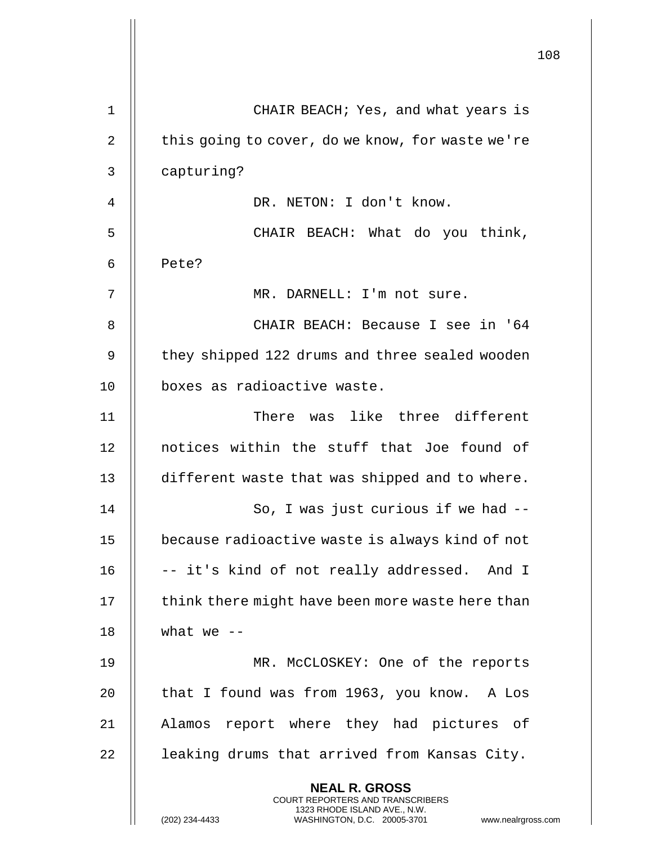|             |                                                                                                                                                                     | 108 |
|-------------|---------------------------------------------------------------------------------------------------------------------------------------------------------------------|-----|
| $\mathbf 1$ | CHAIR BEACH; Yes, and what years is                                                                                                                                 |     |
| 2           | this going to cover, do we know, for waste we're                                                                                                                    |     |
| 3           | capturing?                                                                                                                                                          |     |
| 4           | DR. NETON: I don't know.                                                                                                                                            |     |
| 5           | CHAIR BEACH: What do you think,                                                                                                                                     |     |
| 6           | Pete?                                                                                                                                                               |     |
| 7           | MR. DARNELL: I'm not sure.                                                                                                                                          |     |
| 8           | CHAIR BEACH: Because I see in '64                                                                                                                                   |     |
| 9           | they shipped 122 drums and three sealed wooden                                                                                                                      |     |
| 10          | boxes as radioactive waste.                                                                                                                                         |     |
| 11          | There was like three different                                                                                                                                      |     |
| 12          | notices within the stuff that Joe found of                                                                                                                          |     |
| 13          | different waste that was shipped and to where.                                                                                                                      |     |
| 14          | So, I was just curious if we had --                                                                                                                                 |     |
| 15          | because radioactive waste is always kind of not                                                                                                                     |     |
| 16          | -- it's kind of not really addressed. And I                                                                                                                         |     |
| 17          | think there might have been more waste here than                                                                                                                    |     |
| 18          | what we $--$                                                                                                                                                        |     |
| 19          | MR. McCLOSKEY: One of the reports                                                                                                                                   |     |
| 20          | that I found was from 1963, you know. A Los                                                                                                                         |     |
| 21          | Alamos report where they had pictures of                                                                                                                            |     |
| 22          | leaking drums that arrived from Kansas City.                                                                                                                        |     |
|             | <b>NEAL R. GROSS</b><br><b>COURT REPORTERS AND TRANSCRIBERS</b><br>1323 RHODE ISLAND AVE., N.W.<br>(202) 234-4433<br>WASHINGTON, D.C. 20005-3701 www.nealrgross.com |     |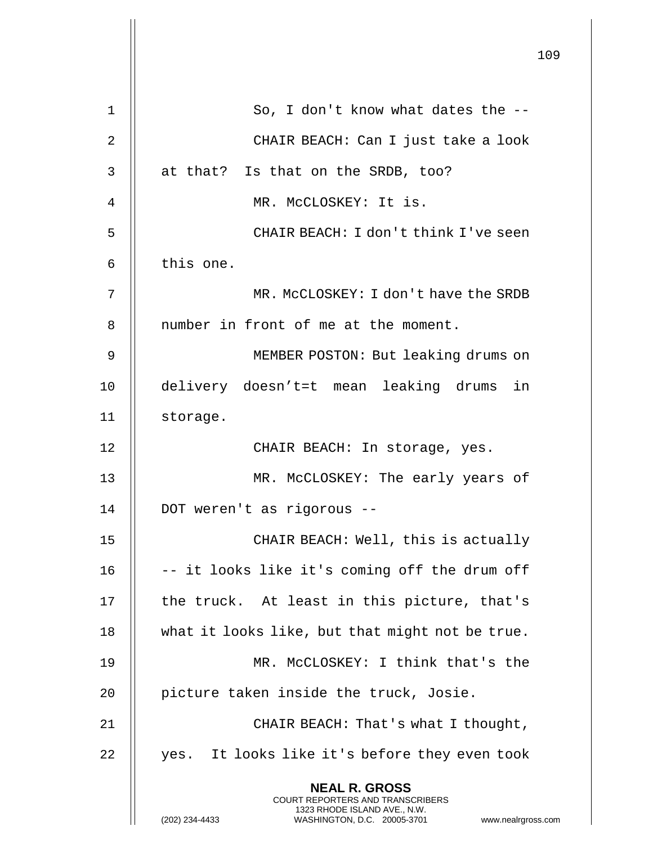|             |                                                                                                                                                                        | 109 |
|-------------|------------------------------------------------------------------------------------------------------------------------------------------------------------------------|-----|
| $\mathbf 1$ | So, I don't know what dates the --                                                                                                                                     |     |
| 2           | CHAIR BEACH: Can I just take a look                                                                                                                                    |     |
| 3           | at that? Is that on the SRDB, too?                                                                                                                                     |     |
| 4           | MR. MCCLOSKEY: It is.                                                                                                                                                  |     |
| 5           | CHAIR BEACH: I don't think I've seen                                                                                                                                   |     |
| 6           | this one.                                                                                                                                                              |     |
| 7           | MR. MCCLOSKEY: I don't have the SRDB                                                                                                                                   |     |
| 8           | number in front of me at the moment.                                                                                                                                   |     |
| 9           | MEMBER POSTON: But leaking drums on                                                                                                                                    |     |
| 10          | delivery doesn't=t mean leaking drums in                                                                                                                               |     |
| 11          | storage.                                                                                                                                                               |     |
| 12          | CHAIR BEACH: In storage, yes.                                                                                                                                          |     |
| 13          | MR. McCLOSKEY: The early years of                                                                                                                                      |     |
| 14          | DOT weren't as rigorous --                                                                                                                                             |     |
| 15          | CHAIR BEACH: Well, this is actually                                                                                                                                    |     |
| 16          | -- it looks like it's coming off the drum off                                                                                                                          |     |
| 17          | the truck. At least in this picture, that's                                                                                                                            |     |
| 18          | what it looks like, but that might not be true.                                                                                                                        |     |
| 19          | MR. MCCLOSKEY: I think that's the                                                                                                                                      |     |
| 20          | picture taken inside the truck, Josie.                                                                                                                                 |     |
| 21          | CHAIR BEACH: That's what I thought,                                                                                                                                    |     |
| 22          | yes. It looks like it's before they even took                                                                                                                          |     |
|             | <b>NEAL R. GROSS</b><br><b>COURT REPORTERS AND TRANSCRIBERS</b><br>1323 RHODE ISLAND AVE., N.W.<br>(202) 234-4433<br>WASHINGTON, D.C. 20005-3701<br>www.nealrgross.com |     |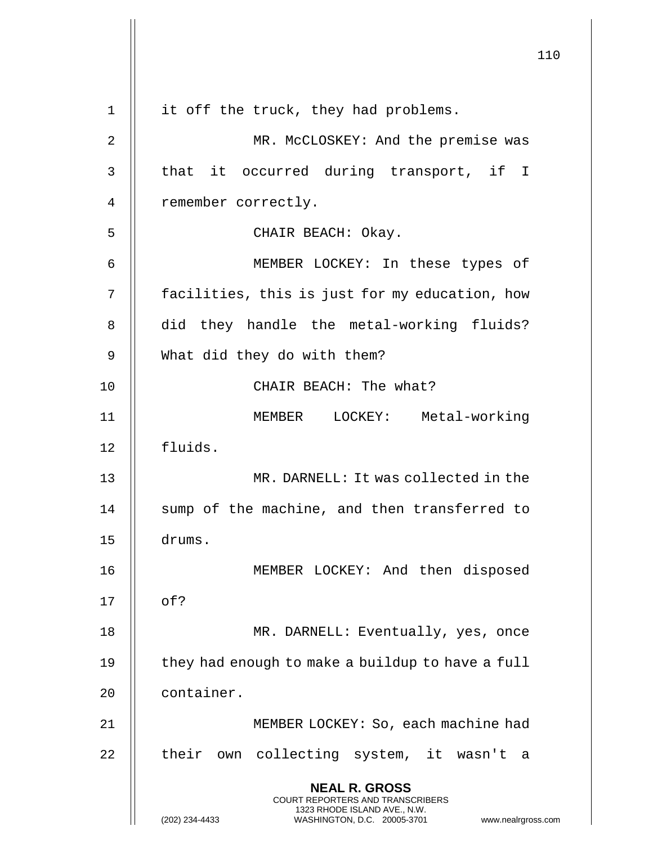110 **NEAL R. GROSS** COURT REPORTERS AND TRANSCRIBERS 1323 RHODE ISLAND AVE., N.W. (202) 234-4433 WASHINGTON, D.C. 20005-3701 www.nealrgross.com 1 || it off the truck, they had problems. 2 || MR. McCLOSKEY: And the premise was 3 || that it occurred during transport, if I 4 || remember correctly. 5 || CHAIR BEACH: Okay. 6 MEMBER LOCKEY: In these types of 7 facilities, this is just for my education, how 8 || did they handle the metal-working fluids? 9 What did they do with them? 10 || CHAIR BEACH: The what? 11 MEMBER LOCKEY: Metal-working 12 fluids. 13 MR. DARNELL: It was collected in the 14 || sump of the machine, and then transferred to 15 drums. 16 || MEMBER LOCKEY: And then disposed  $17 \parallel$  of? 18 || MR. DARNELL: Eventually, yes, once 19  $\parallel$  they had enough to make a buildup to have a full 20 | container. 21 || MEMBER LOCKEY: So, each machine had 22 || their own collecting system, it wasn't a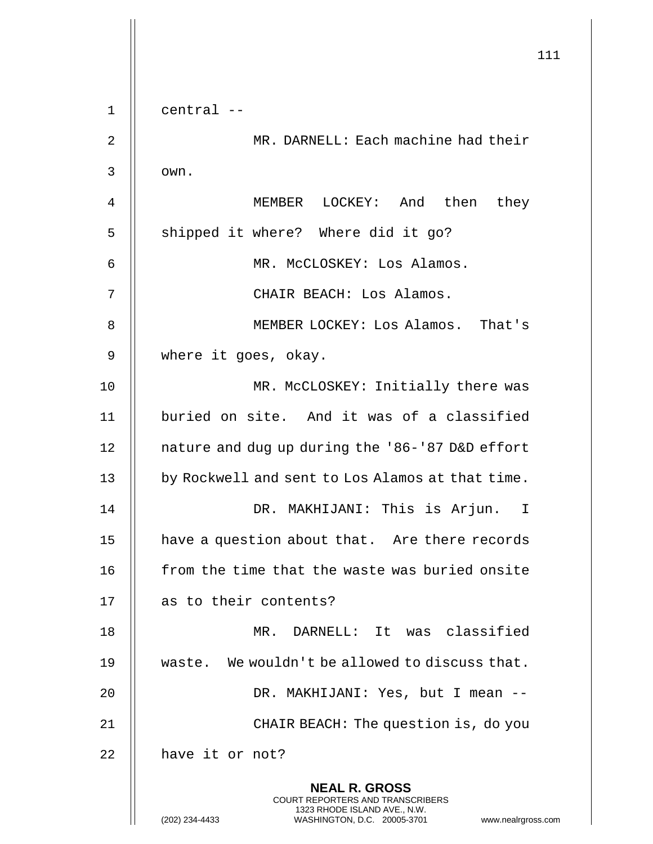111 **NEAL R. GROSS** COURT REPORTERS AND TRANSCRIBERS 1323 RHODE ISLAND AVE., N.W. 1 central -- 2 MR. DARNELL: Each machine had their  $3$   $\parallel$   $\sim$   $\sim$ 4 MEMBER LOCKEY: And then they 5 || shipped it where? Where did it go? 6 MR. McCLOSKEY: Los Alamos. 7 CHAIR BEACH: Los Alamos. 8 MEMBER LOCKEY: Los Alamos. That's 9 | where it goes, okay. 10 || MR. McCLOSKEY: Initially there was 11 | buried on site. And it was of a classified 12 | nature and dug up during the '86-'87 D&D effort 13 | by Rockwell and sent to Los Alamos at that time. 14 DR. MAKHIJANI: This is Arjun. I 15 | have a question about that. Are there records 16 | from the time that the waste was buried onsite 17 || as to their contents? 18 MR. DARNELL: It was classified 19 || waste. We wouldn't be allowed to discuss that. 20 || DR. MAKHIJANI: Yes, but I mean --21 || CHAIR BEACH: The question is, do you  $22$  || have it or not?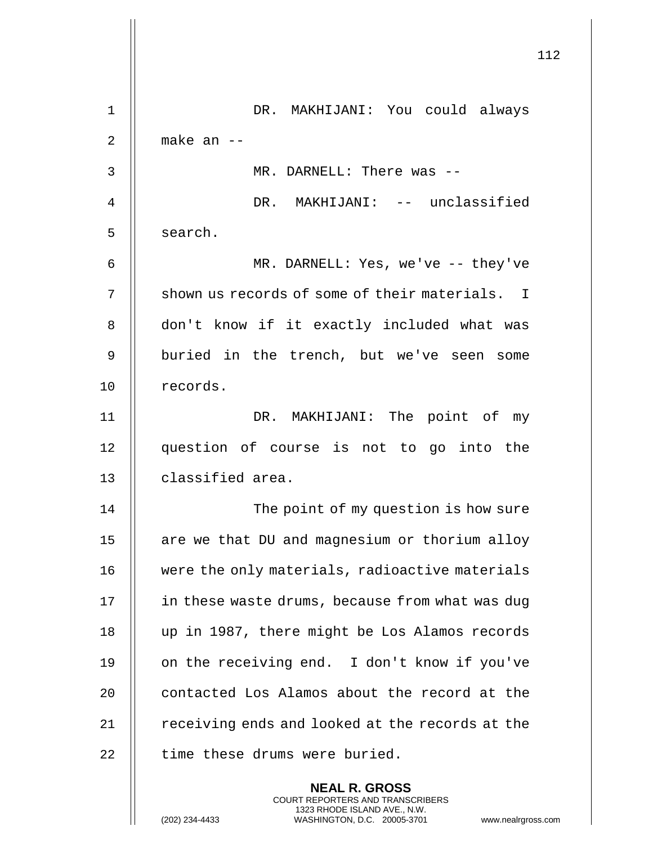|                | 112                                                                                                                                                                    |
|----------------|------------------------------------------------------------------------------------------------------------------------------------------------------------------------|
| $\mathbf 1$    | DR. MAKHIJANI: You could always                                                                                                                                        |
| $\overline{2}$ | make an $-$                                                                                                                                                            |
| 3              | MR. DARNELL: There was --                                                                                                                                              |
| 4              | DR. MAKHIJANI: -- unclassified                                                                                                                                         |
| 5              | search.                                                                                                                                                                |
| 6              | MR. DARNELL: Yes, we've -- they've                                                                                                                                     |
| 7              | shown us records of some of their materials. I                                                                                                                         |
| 8              | don't know if it exactly included what was                                                                                                                             |
| 9              | buried in the trench, but we've seen some                                                                                                                              |
| 10             | records.                                                                                                                                                               |
| 11             | DR. MAKHIJANI: The point of my                                                                                                                                         |
| 12             | question of course is not to go into the                                                                                                                               |
| 13             | classified area.                                                                                                                                                       |
| 14             | The point of my question is how sure                                                                                                                                   |
| 15             | are we that DU and magnesium or thorium alloy                                                                                                                          |
| 16             | were the only materials, radioactive materials                                                                                                                         |
| 17             | in these waste drums, because from what was dug                                                                                                                        |
| 18             | up in 1987, there might be Los Alamos records                                                                                                                          |
| 19             | on the receiving end. I don't know if you've                                                                                                                           |
| 20             | contacted Los Alamos about the record at the                                                                                                                           |
| 21             | receiving ends and looked at the records at the                                                                                                                        |
| 22             | time these drums were buried.                                                                                                                                          |
|                | <b>NEAL R. GROSS</b><br><b>COURT REPORTERS AND TRANSCRIBERS</b><br>1323 RHODE ISLAND AVE., N.W.<br>(202) 234-4433<br>WASHINGTON, D.C. 20005-3701<br>www.nealrgross.com |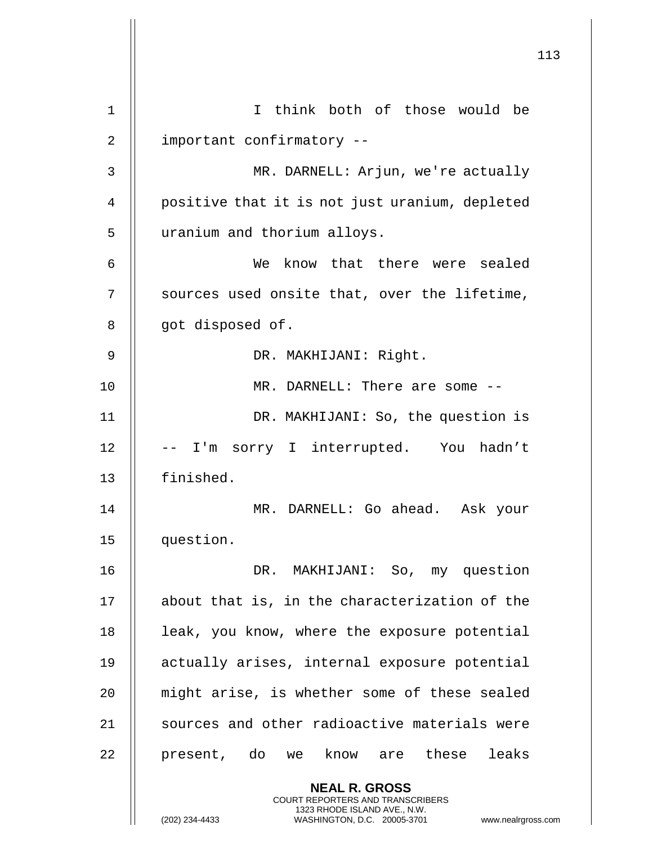|                | 113                                                                                                                                            |
|----------------|------------------------------------------------------------------------------------------------------------------------------------------------|
|                |                                                                                                                                                |
| 1              | I think both of those would be                                                                                                                 |
| $\overline{2}$ | important confirmatory --                                                                                                                      |
| $\mathsf{3}$   | MR. DARNELL: Arjun, we're actually                                                                                                             |
| 4              | positive that it is not just uranium, depleted                                                                                                 |
| 5              | uranium and thorium alloys.                                                                                                                    |
| 6              | We know that there were sealed                                                                                                                 |
| 7              | sources used onsite that, over the lifetime,                                                                                                   |
| 8              | got disposed of.                                                                                                                               |
| 9              | DR. MAKHIJANI: Right.                                                                                                                          |
| 10             | MR. DARNELL: There are some --                                                                                                                 |
| 11             | DR. MAKHIJANI: So, the question is                                                                                                             |
| 12             | -- I'm sorry I interrupted. You hadn't                                                                                                         |
| 13             | finished.                                                                                                                                      |
| 14             | DARNELL: Go ahead. Ask your<br>MR                                                                                                              |
| 15             | question.                                                                                                                                      |
| 16             | DR. MAKHIJANI: So, my question                                                                                                                 |
| 17             | about that is, in the characterization of the                                                                                                  |
| 18             | leak, you know, where the exposure potential                                                                                                   |
| 19             | actually arises, internal exposure potential                                                                                                   |
| 20             | might arise, is whether some of these sealed                                                                                                   |
| 21             | sources and other radioactive materials were                                                                                                   |
| 22             | present, do we know are these leaks                                                                                                            |
|                | <b>NEAL R. GROSS</b>                                                                                                                           |
|                | <b>COURT REPORTERS AND TRANSCRIBERS</b><br>1323 RHODE ISLAND AVE., N.W.<br>(202) 234-4433<br>WASHINGTON, D.C. 20005-3701<br>www.nealrgross.com |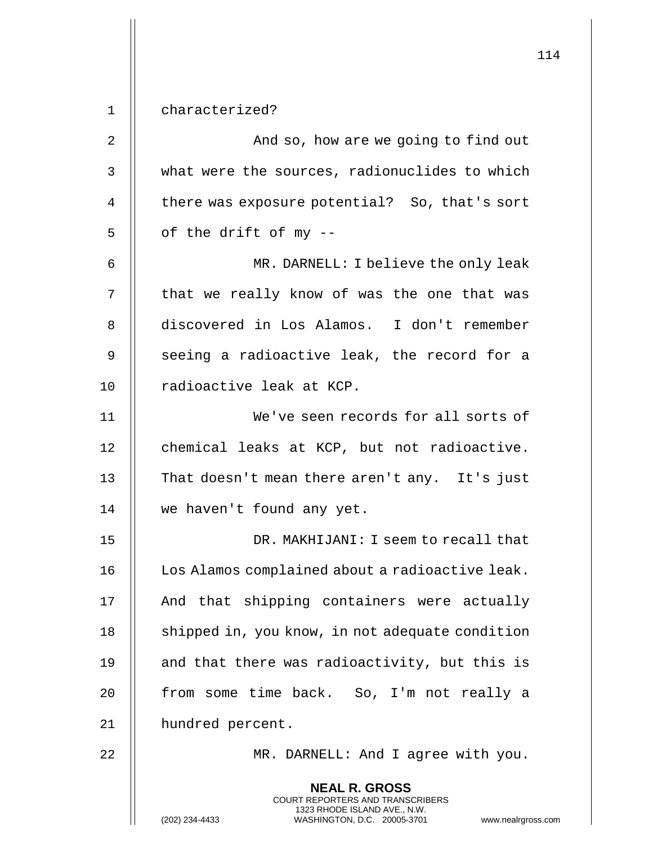**NEAL R. GROSS** COURT REPORTERS AND TRANSCRIBERS 1323 RHODE ISLAND AVE., N.W. (202) 234-4433 WASHINGTON, D.C. 20005-3701 www.nealrgross.com 1 characterized? 2 | And so, how are we going to find out 3 what were the sources, radionuclides to which 4 | there was exposure potential? So, that's sort  $5 \parallel$  of the drift of my --6 MR. DARNELL: I believe the only leak 7 || that we really know of was the one that was 8 discovered in Los Alamos. I don't remember  $9$   $\parallel$  seeing a radioactive leak, the record for a 10 | radioactive leak at KCP. 11 We've seen records for all sorts of 12 | chemical leaks at KCP, but not radioactive. 13 || That doesn't mean there aren't any. It's just 14 | we haven't found any yet. 15 DR. MAKHIJANI: I seem to recall that 16 | Los Alamos complained about a radioactive leak. 17 || And that shipping containers were actually 18 | shipped in, you know, in not adequate condition 19  $\parallel$  and that there was radioactivity, but this is 20 || from some time back. So, I'm not really a 21 | hundred percent. 22 || MR. DARNELL: And I agree with you.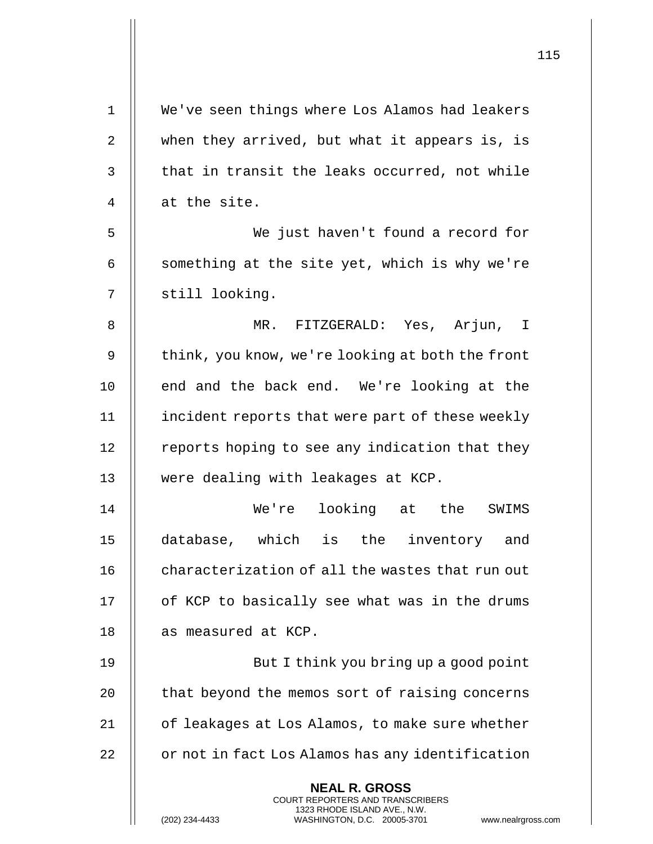| $\mathbf 1$ | We've seen things where Los Alamos had leakers                                                                                                                     |
|-------------|--------------------------------------------------------------------------------------------------------------------------------------------------------------------|
| 2           | when they arrived, but what it appears is, is                                                                                                                      |
| 3           | that in transit the leaks occurred, not while                                                                                                                      |
| 4           | at the site.                                                                                                                                                       |
| 5           | We just haven't found a record for                                                                                                                                 |
| 6           | something at the site yet, which is why we're                                                                                                                      |
| 7           | still looking.                                                                                                                                                     |
| 8           | MR. FITZGERALD: Yes, Arjun, I                                                                                                                                      |
| 9           | think, you know, we're looking at both the front                                                                                                                   |
| 10          | end and the back end. We're looking at the                                                                                                                         |
| 11          | incident reports that were part of these weekly                                                                                                                    |
| 12          | reports hoping to see any indication that they                                                                                                                     |
| 13          | were dealing with leakages at KCP.                                                                                                                                 |
| 14          | looking at the<br>We're<br>SWIMS                                                                                                                                   |
| 15          | database, which is the inventory and                                                                                                                               |
| 16          | characterization of all the wastes that run out                                                                                                                    |
| 17          | of KCP to basically see what was in the drums                                                                                                                      |
| 18          | as measured at KCP.                                                                                                                                                |
| 19          | But I think you bring up a good point                                                                                                                              |
| 20          | that beyond the memos sort of raising concerns                                                                                                                     |
| 21          | of leakages at Los Alamos, to make sure whether                                                                                                                    |
| 22          | or not in fact Los Alamos has any identification                                                                                                                   |
|             | <b>NEAL R. GROSS</b><br><b>COURT REPORTERS AND TRANSCRIBERS</b><br>1323 RHODE ISLAND AVE., N.W.<br>(202) 234-4433<br>WASHINGTON, D.C. 20005-3701<br>www.nealrgross |

 $\mathsf{I}$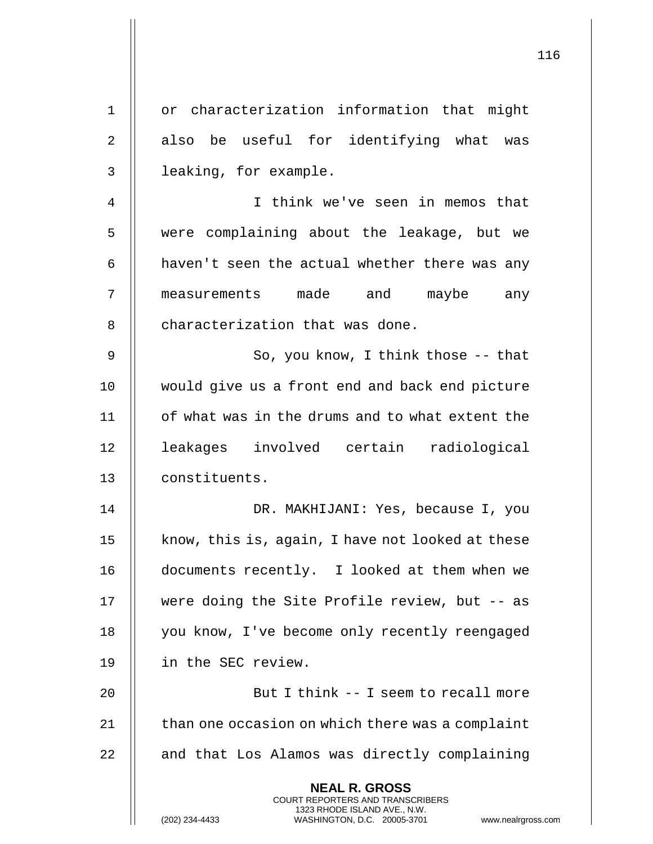| $\mathbf 1$ | or characterization information that might                                                                                                                 |
|-------------|------------------------------------------------------------------------------------------------------------------------------------------------------------|
| $\sqrt{2}$  | also be useful for identifying what was                                                                                                                    |
| 3           | leaking, for example.                                                                                                                                      |
| 4           | I think we've seen in memos that                                                                                                                           |
| 5           | were complaining about the leakage, but we                                                                                                                 |
| 6           | haven't seen the actual whether there was any                                                                                                              |
| 7           | measurements made and maybe<br>any                                                                                                                         |
| 8           | characterization that was done.                                                                                                                            |
| 9           | So, you know, I think those -- that                                                                                                                        |
| 10          | would give us a front end and back end picture                                                                                                             |
| 11          | of what was in the drums and to what extent the                                                                                                            |
| 12          | leakages involved certain radiological                                                                                                                     |
| 13          | constituents.                                                                                                                                              |
| 14          | DR. MAKHIJANI: Yes, because I, you                                                                                                                         |
| 15          | know, this is, again, I have not looked at these                                                                                                           |
| 16          | documents recently. I looked at them when we                                                                                                               |
| 17          | were doing the Site Profile review, but -- as                                                                                                              |
| 18          | you know, I've become only recently reengaged                                                                                                              |
| 19          | in the SEC review.                                                                                                                                         |
| 20          | But I think -- I seem to recall more                                                                                                                       |
| 21          | than one occasion on which there was a complaint                                                                                                           |
| 22          | and that Los Alamos was directly complaining                                                                                                               |
|             | <b>NEAL R. GROSS</b><br>COURT REPORTERS AND TRANSCRIBERS<br>1323 RHODE ISLAND AVE., N.W.<br>(202) 234-4433<br>WASHINGTON, D.C. 20005-3701<br>www.nealrgros |

Η

(202) 234-4433 WASHINGTON, D.C. 20005-3701 www.nealrgross.com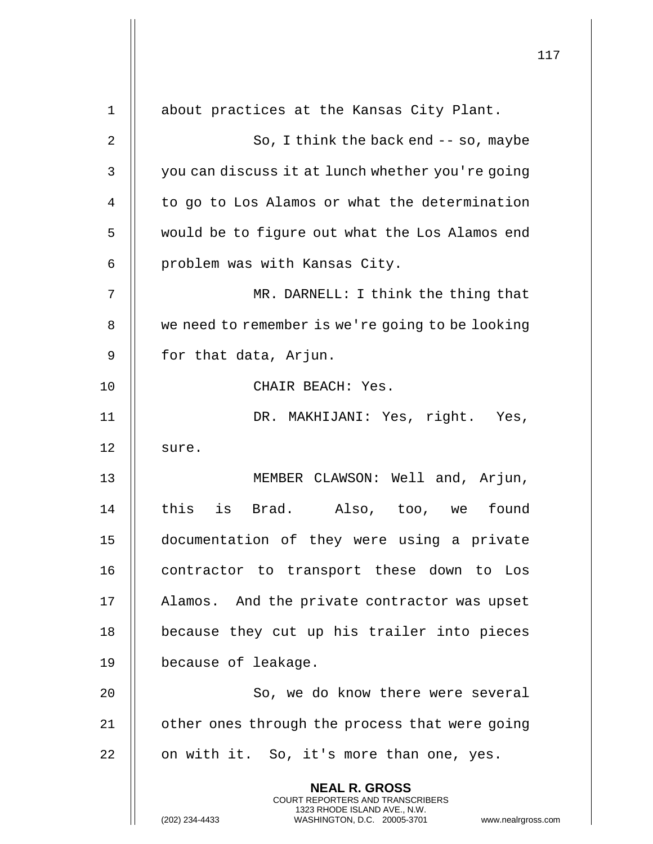|                | $\mathbf 1$                                                                                                                                                   |
|----------------|---------------------------------------------------------------------------------------------------------------------------------------------------------------|
| $\mathbf 1$    | about practices at the Kansas City Plant.                                                                                                                     |
| $\overline{2}$ | So, I think the back end $-$ so, maybe                                                                                                                        |
| 3              | you can discuss it at lunch whether you're going                                                                                                              |
| 4              | to go to Los Alamos or what the determination                                                                                                                 |
| 5              | would be to figure out what the Los Alamos end                                                                                                                |
| 6              | problem was with Kansas City.                                                                                                                                 |
| 7              | MR. DARNELL: I think the thing that                                                                                                                           |
| 8              | we need to remember is we're going to be looking                                                                                                              |
| 9              | for that data, Arjun.                                                                                                                                         |
| 10             | CHAIR BEACH: Yes.                                                                                                                                             |
| 11             | DR. MAKHIJANI: Yes, right. Yes,                                                                                                                               |
| 12             | sure.                                                                                                                                                         |
| 13             | MEMBER CLAWSON: Well and, Arjun,                                                                                                                              |
| 14             | this<br>is<br>Brad. Also, too, we<br>found                                                                                                                    |
| 15             | documentation of they were using a private                                                                                                                    |
| 16             | contractor to transport these down to Los                                                                                                                     |
| 17             | Alamos. And the private contractor was upset                                                                                                                  |
| 18             | because they cut up his trailer into pieces                                                                                                                   |
| 19             | because of leakage.                                                                                                                                           |
| 20             | So, we do know there were several                                                                                                                             |
| 21             | other ones through the process that were going                                                                                                                |
| 22             | on with it. So, it's more than one, yes.                                                                                                                      |
|                | <b>NEAL R. GROSS</b><br>COURT REPORTERS AND TRANSCRIBERS<br>1323 RHODE ISLAND AVE., N.W.<br>(202) 234-4433<br>WASHINGTON, D.C. 20005-3701<br>www.nealrgross.o |

 $\begin{array}{c} \hline \end{array}$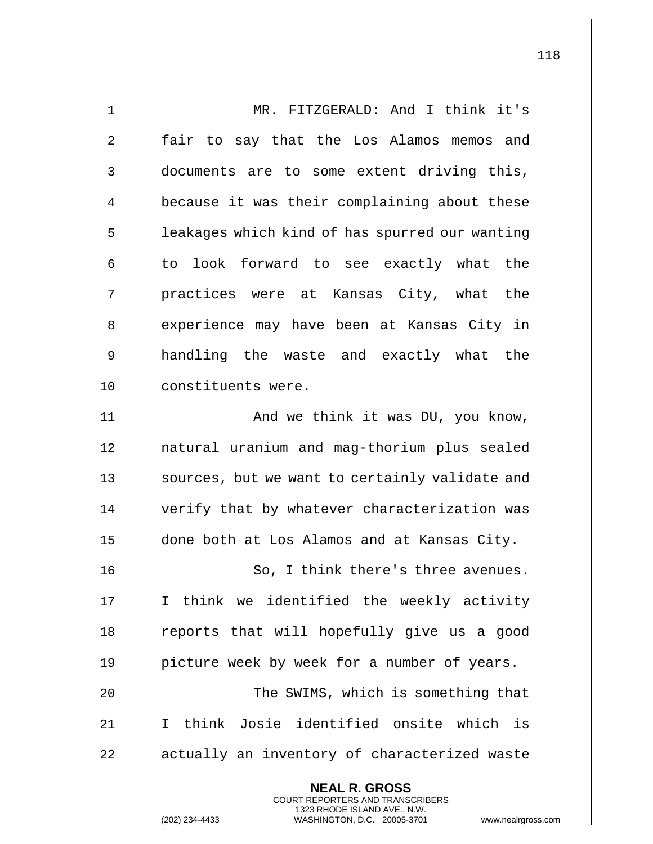| $\mathbf 1$ | MR. FITZGERALD: And I think it's                                                                                                                                   |
|-------------|--------------------------------------------------------------------------------------------------------------------------------------------------------------------|
| 2           | fair to say that the Los Alamos memos and                                                                                                                          |
| 3           | documents are to some extent driving this,                                                                                                                         |
| 4           | because it was their complaining about these                                                                                                                       |
| 5           | leakages which kind of has spurred our wanting                                                                                                                     |
| 6           | to look forward to see exactly what the                                                                                                                            |
| 7           | practices were at Kansas City, what the                                                                                                                            |
| 8           | experience may have been at Kansas City in                                                                                                                         |
| 9           | handling the waste and exactly what the                                                                                                                            |
| 10          | constituents were.                                                                                                                                                 |
| 11          | And we think it was DU, you know,                                                                                                                                  |
| 12          | natural uranium and mag-thorium plus sealed                                                                                                                        |
| 13          | sources, but we want to certainly validate and                                                                                                                     |
| 14          | verify that by whatever characterization was                                                                                                                       |
| 15          | done both at Los Alamos and at Kansas City.                                                                                                                        |
| 16          | So, I think there's three avenues.                                                                                                                                 |
| 17          | I think we identified the weekly activity                                                                                                                          |
| 18          | reports that will hopefully give us a good                                                                                                                         |
| 19          | picture week by week for a number of years.                                                                                                                        |
| 20          | The SWIMS, which is something that                                                                                                                                 |
| 21          | I think Josie identified onsite which is                                                                                                                           |
| 22          | actually an inventory of characterized waste                                                                                                                       |
|             | <b>NEAL R. GROSS</b><br><b>COURT REPORTERS AND TRANSCRIBERS</b><br>1323 RHODE ISLAND AVE., N.W.<br>(202) 234-4433<br>WASHINGTON, D.C. 20005-3701<br>www.nealrgross |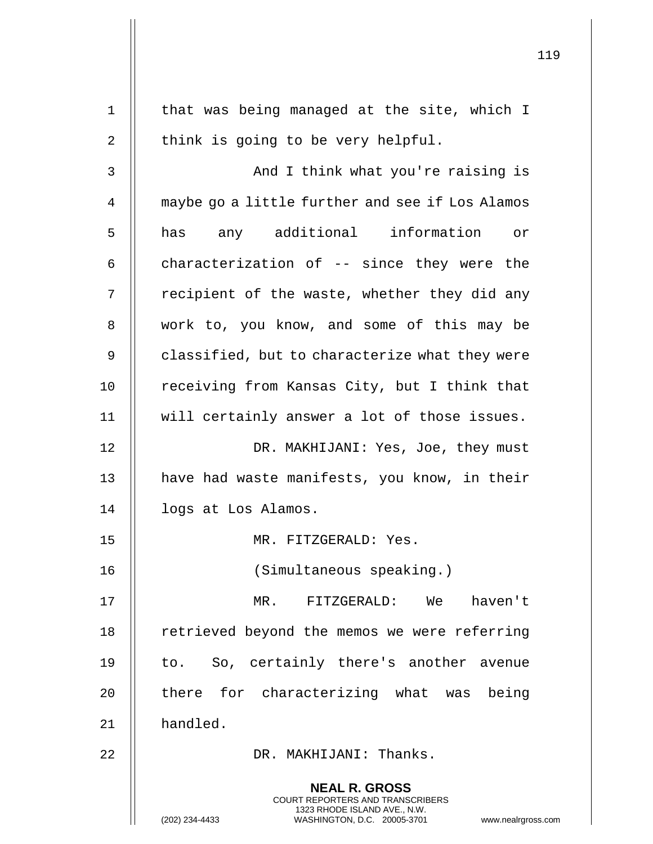| $\mathbf 1$ | that was being managed at the site, which I                                                                                                                     |
|-------------|-----------------------------------------------------------------------------------------------------------------------------------------------------------------|
| 2           | think is going to be very helpful.                                                                                                                              |
| 3           | And I think what you're raising is                                                                                                                              |
| 4           | maybe go a little further and see if Los Alamos                                                                                                                 |
| 5           | has any additional information or                                                                                                                               |
| 6           | characterization of -- since they were the                                                                                                                      |
| 7           | recipient of the waste, whether they did any                                                                                                                    |
| 8           | work to, you know, and some of this may be                                                                                                                      |
| 9           | classified, but to characterize what they were                                                                                                                  |
| 10          | receiving from Kansas City, but I think that                                                                                                                    |
| 11          | will certainly answer a lot of those issues.                                                                                                                    |
| 12          | DR. MAKHIJANI: Yes, Joe, they must                                                                                                                              |
| 13          | have had waste manifests, you know, in their                                                                                                                    |
| 14          | logs at Los Alamos.                                                                                                                                             |
| 15          | MR.<br>FITZGERALD: Yes                                                                                                                                          |
| 16          | (Simultaneous speaking.)                                                                                                                                        |
| 17          | MR. FITZGERALD: We<br>haven't                                                                                                                                   |
| 18          | retrieved beyond the memos we were referring                                                                                                                    |
| 19          | to. So, certainly there's another avenue                                                                                                                        |
| 20          | there for characterizing what was being                                                                                                                         |
| 21          | handled.                                                                                                                                                        |
| 22          | DR. MAKHIJANI: Thanks.                                                                                                                                          |
|             | <b>NEAL R. GROSS</b><br>COURT REPORTERS AND TRANSCRIBERS<br>1323 RHODE ISLAND AVE., N.W.<br>(202) 234-4433<br>WASHINGTON, D.C. 20005-3701<br>www.nealrgross.com |

 $\mathbf{I}$ 

Η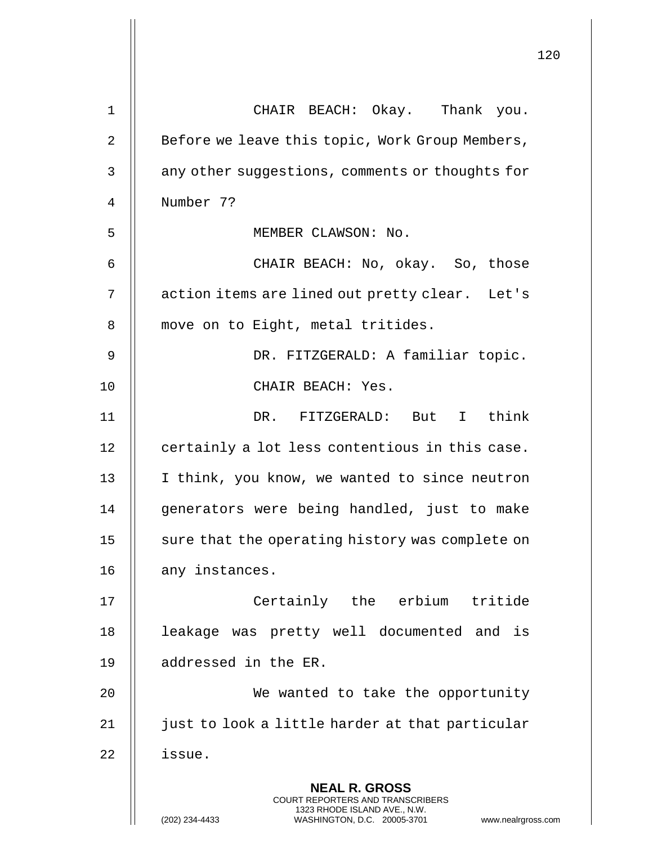|                | 120                                                                                                                                                             |
|----------------|-----------------------------------------------------------------------------------------------------------------------------------------------------------------|
| 1              | CHAIR BEACH: Okay. Thank you.                                                                                                                                   |
| $\overline{2}$ | Before we leave this topic, Work Group Members,                                                                                                                 |
| 3              | any other suggestions, comments or thoughts for                                                                                                                 |
| 4              | Number 7?                                                                                                                                                       |
| 5              | MEMBER CLAWSON: No.                                                                                                                                             |
| 6              | CHAIR BEACH: No, okay. So, those                                                                                                                                |
| 7              | action items are lined out pretty clear. Let's                                                                                                                  |
| 8              | move on to Eight, metal tritides.                                                                                                                               |
| 9              | DR. FITZGERALD: A familiar topic.                                                                                                                               |
| 10             | CHAIR BEACH: Yes.                                                                                                                                               |
| 11             | DR. FITZGERALD: But I think                                                                                                                                     |
| 12             | certainly a lot less contentious in this case.                                                                                                                  |
| 13             | I think, you know, we wanted to since neutron                                                                                                                   |
| 14             | generators were being handled, just to make                                                                                                                     |
| 15             | sure that the operating history was complete on                                                                                                                 |
| 16             | any instances.                                                                                                                                                  |
| 17             | Certainly the erbium tritide                                                                                                                                    |
| 18             | leakage was pretty well documented and is                                                                                                                       |
| 19             | addressed in the ER.                                                                                                                                            |
| 20             | We wanted to take the opportunity                                                                                                                               |
| 21             | just to look a little harder at that particular                                                                                                                 |
| 22             | issue.                                                                                                                                                          |
|                | <b>NEAL R. GROSS</b><br>COURT REPORTERS AND TRANSCRIBERS<br>1323 RHODE ISLAND AVE., N.W.<br>(202) 234-4433<br>WASHINGTON, D.C. 20005-3701<br>www.nealrgross.com |

 $\mathbf{I}$  $\parallel$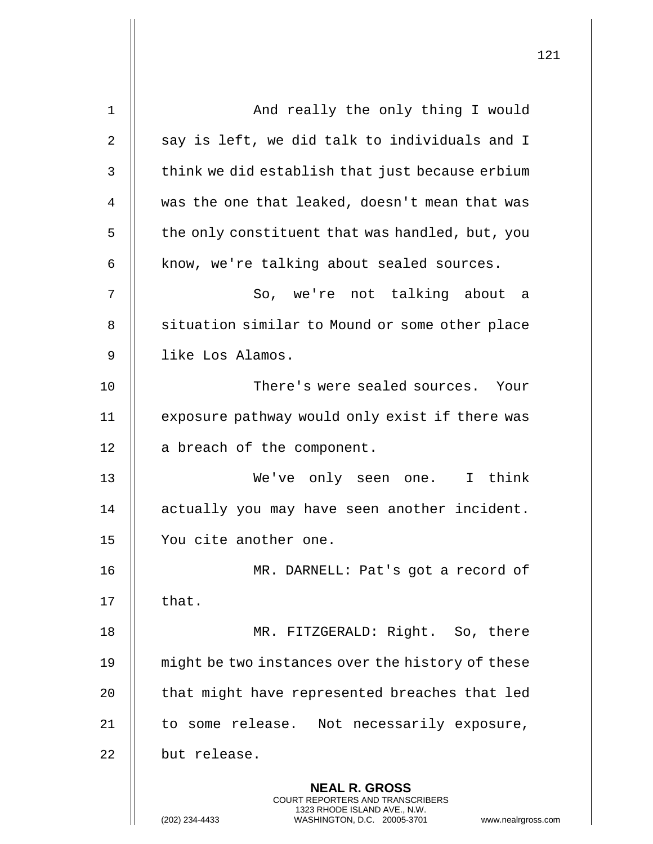| $\mathbf 1$    | And really the only thing I would                                                                                                                                  |
|----------------|--------------------------------------------------------------------------------------------------------------------------------------------------------------------|
| $\overline{2}$ | say is left, we did talk to individuals and I                                                                                                                      |
| 3              | think we did establish that just because erbium                                                                                                                    |
| 4              | was the one that leaked, doesn't mean that was                                                                                                                     |
| 5              | the only constituent that was handled, but, you                                                                                                                    |
| 6              | know, we're talking about sealed sources.                                                                                                                          |
| 7              | So, we're not talking about a                                                                                                                                      |
| 8              | situation similar to Mound or some other place                                                                                                                     |
| 9              | like Los Alamos.                                                                                                                                                   |
| 10             | There's were sealed sources. Your                                                                                                                                  |
| 11             | exposure pathway would only exist if there was                                                                                                                     |
| 12             | a breach of the component.                                                                                                                                         |
| 13             | We've only seen one. I think                                                                                                                                       |
| 14             | actually you may have seen another incident.                                                                                                                       |
| 15             | You cite another one.                                                                                                                                              |
| 16             | MR. DARNELL: Pat's got a record of                                                                                                                                 |
| 17             | that.                                                                                                                                                              |
| 18             | MR. FITZGERALD: Right. So, there                                                                                                                                   |
| 19             | might be two instances over the history of these                                                                                                                   |
| 20             | that might have represented breaches that led                                                                                                                      |
| 21             | to some release. Not necessarily exposure,                                                                                                                         |
| 22             | but release.                                                                                                                                                       |
|                | <b>NEAL R. GROSS</b><br><b>COURT REPORTERS AND TRANSCRIBERS</b><br>1323 RHODE ISLAND AVE., N.W.<br>(202) 234-4433<br>WASHINGTON, D.C. 20005-3701<br>www.nealrgross |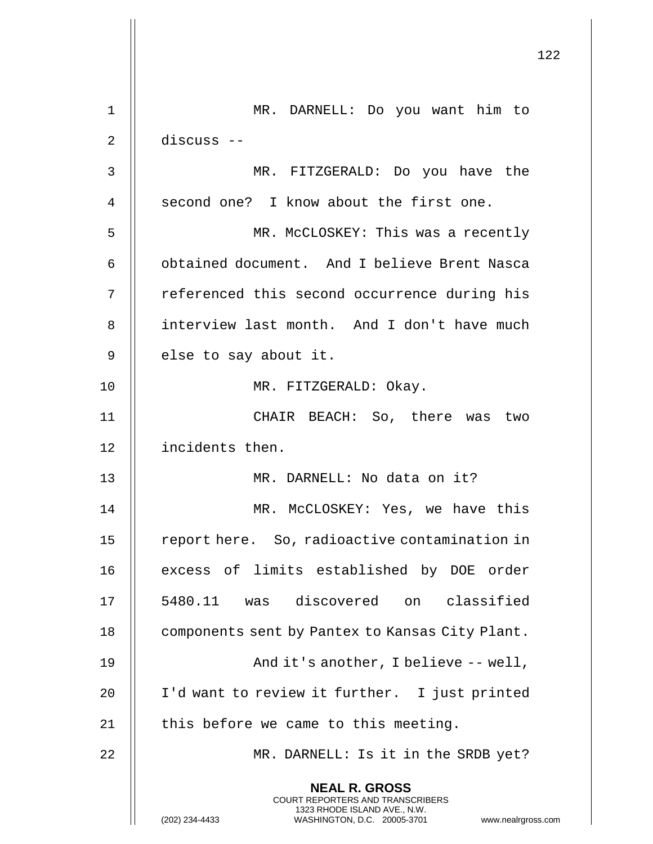|    |                                                                                                                                                                        | 122 |
|----|------------------------------------------------------------------------------------------------------------------------------------------------------------------------|-----|
| 1  | MR. DARNELL: Do you want him to                                                                                                                                        |     |
| 2  | discuss --                                                                                                                                                             |     |
| 3  | MR. FITZGERALD: Do you have the                                                                                                                                        |     |
| 4  | second one? I know about the first one.                                                                                                                                |     |
| 5  | MR. McCLOSKEY: This was a recently                                                                                                                                     |     |
| 6  | obtained document. And I believe Brent Nasca                                                                                                                           |     |
| 7  | referenced this second occurrence during his                                                                                                                           |     |
| 8  | interview last month. And I don't have much                                                                                                                            |     |
| 9  | else to say about it.                                                                                                                                                  |     |
| 10 | MR. FITZGERALD: Okay.                                                                                                                                                  |     |
| 11 | CHAIR BEACH: So, there was two                                                                                                                                         |     |
| 12 | incidents then.                                                                                                                                                        |     |
| 13 | MR. DARNELL: No data on it?                                                                                                                                            |     |
| 14 | MR. McCLOSKEY: Yes, we have this                                                                                                                                       |     |
| 15 | report here. So, radioactive contamination in                                                                                                                          |     |
| 16 | excess of limits established by DOE order                                                                                                                              |     |
| 17 | 5480.11 was discovered on classified                                                                                                                                   |     |
| 18 | components sent by Pantex to Kansas City Plant.                                                                                                                        |     |
| 19 | And it's another, I believe -- well,                                                                                                                                   |     |
| 20 | I'd want to review it further. I just printed                                                                                                                          |     |
| 21 | this before we came to this meeting.                                                                                                                                   |     |
| 22 | MR. DARNELL: Is it in the SRDB yet?                                                                                                                                    |     |
|    | <b>NEAL R. GROSS</b><br><b>COURT REPORTERS AND TRANSCRIBERS</b><br>1323 RHODE ISLAND AVE., N.W.<br>(202) 234-4433<br>WASHINGTON, D.C. 20005-3701<br>www.nealrgross.com |     |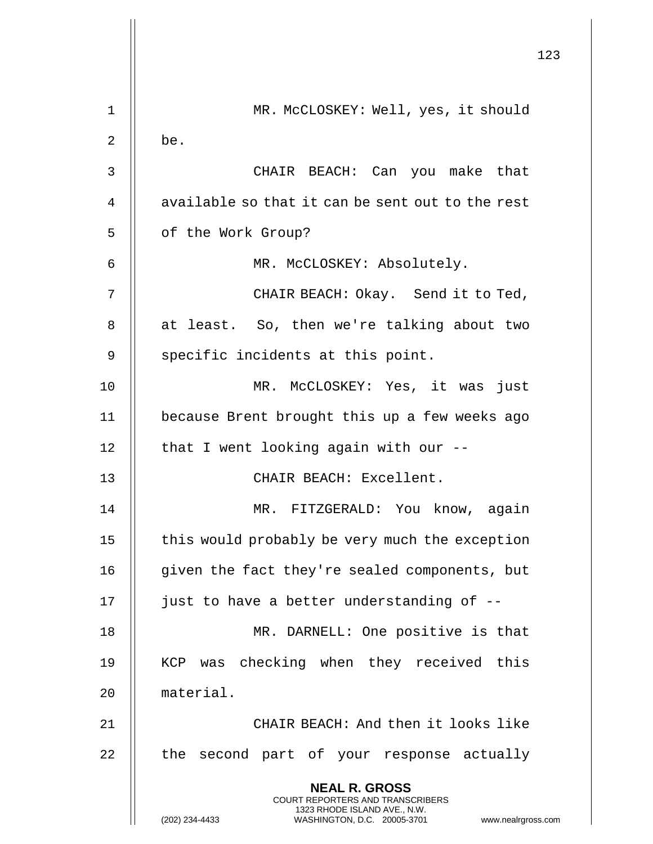|                |                                                                                                                                                                        | 123 |
|----------------|------------------------------------------------------------------------------------------------------------------------------------------------------------------------|-----|
| 1              | MR. McCLOSKEY: Well, yes, it should                                                                                                                                    |     |
| $\overline{2}$ | be.                                                                                                                                                                    |     |
| 3              | CHAIR BEACH: Can you make that                                                                                                                                         |     |
| 4              | available so that it can be sent out to the rest                                                                                                                       |     |
| 5              | of the Work Group?                                                                                                                                                     |     |
| 6              | MR. McCLOSKEY: Absolutely.                                                                                                                                             |     |
| 7              | CHAIR BEACH: Okay. Send it to Ted,                                                                                                                                     |     |
| 8              | at least. So, then we're talking about two                                                                                                                             |     |
| 9              | specific incidents at this point.                                                                                                                                      |     |
| 10             | MR. McCLOSKEY: Yes, it was just                                                                                                                                        |     |
| 11             | because Brent brought this up a few weeks ago                                                                                                                          |     |
| 12             | that I went looking again with our --                                                                                                                                  |     |
| 13             | CHAIR BEACH: Excellent.                                                                                                                                                |     |
| 14             | MR. FITZGERALD: You know, again                                                                                                                                        |     |
| 15             | this would probably be very much the exception                                                                                                                         |     |
| 16             | given the fact they're sealed components, but                                                                                                                          |     |
| 17             | just to have a better understanding of --                                                                                                                              |     |
| 18             | MR. DARNELL: One positive is that                                                                                                                                      |     |
| 19             | checking when they received this<br>KCP<br>was                                                                                                                         |     |
| 20             | material.                                                                                                                                                              |     |
| 21             | CHAIR BEACH: And then it looks like                                                                                                                                    |     |
| 22             | the second part of your response actually                                                                                                                              |     |
|                | <b>NEAL R. GROSS</b><br><b>COURT REPORTERS AND TRANSCRIBERS</b><br>1323 RHODE ISLAND AVE., N.W.<br>(202) 234-4433<br>WASHINGTON, D.C. 20005-3701<br>www.nealrgross.com |     |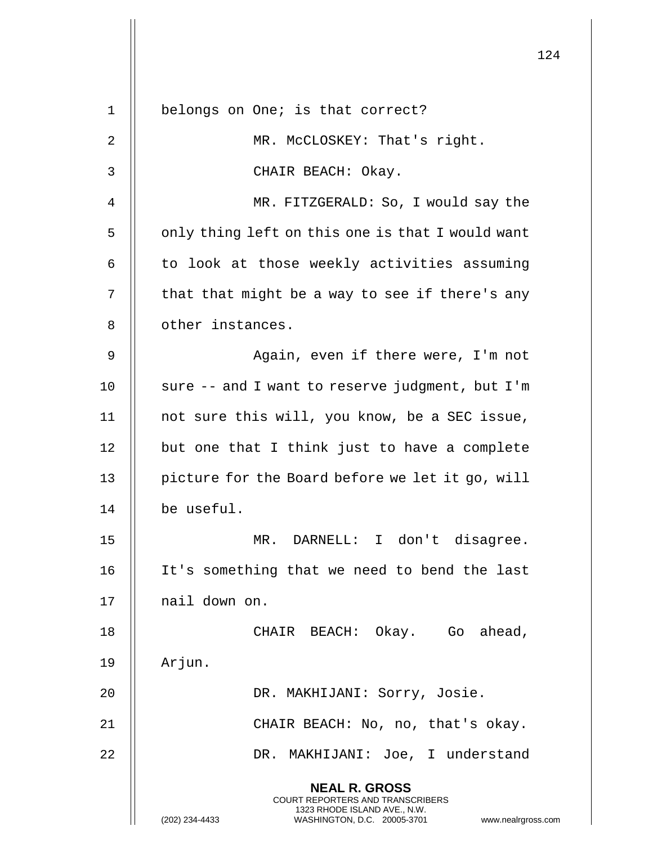|             |                                                                                                                                                                        | 124 |
|-------------|------------------------------------------------------------------------------------------------------------------------------------------------------------------------|-----|
| $\mathbf 1$ | belongs on One; is that correct?                                                                                                                                       |     |
| 2           | MR. McCLOSKEY: That's right.                                                                                                                                           |     |
| 3           | CHAIR BEACH: Okay.                                                                                                                                                     |     |
| 4           | MR. FITZGERALD: So, I would say the                                                                                                                                    |     |
| 5           | only thing left on this one is that I would want                                                                                                                       |     |
| 6           | to look at those weekly activities assuming                                                                                                                            |     |
| 7           | that that might be a way to see if there's any                                                                                                                         |     |
| 8           | other instances.                                                                                                                                                       |     |
| 9           | Again, even if there were, I'm not                                                                                                                                     |     |
| 10          | sure -- and I want to reserve judgment, but I'm                                                                                                                        |     |
| 11          | not sure this will, you know, be a SEC issue,                                                                                                                          |     |
| 12          | but one that I think just to have a complete                                                                                                                           |     |
| 13          | picture for the Board before we let it go, will                                                                                                                        |     |
| 14          | be useful.                                                                                                                                                             |     |
| 15          | MR. DARNELL: I don't disagree.                                                                                                                                         |     |
| 16          | It's something that we need to bend the last                                                                                                                           |     |
| 17          | nail down on.                                                                                                                                                          |     |
| 18          | CHAIR BEACH: Okay. Go ahead,                                                                                                                                           |     |
| 19          | Arjun.                                                                                                                                                                 |     |
| 20          | DR. MAKHIJANI: Sorry, Josie.                                                                                                                                           |     |
| 21          | CHAIR BEACH: No, no, that's okay.                                                                                                                                      |     |
| 22          | DR. MAKHIJANI: Joe, I understand                                                                                                                                       |     |
|             | <b>NEAL R. GROSS</b><br><b>COURT REPORTERS AND TRANSCRIBERS</b><br>1323 RHODE ISLAND AVE., N.W.<br>(202) 234-4433<br>WASHINGTON, D.C. 20005-3701<br>www.nealrgross.com |     |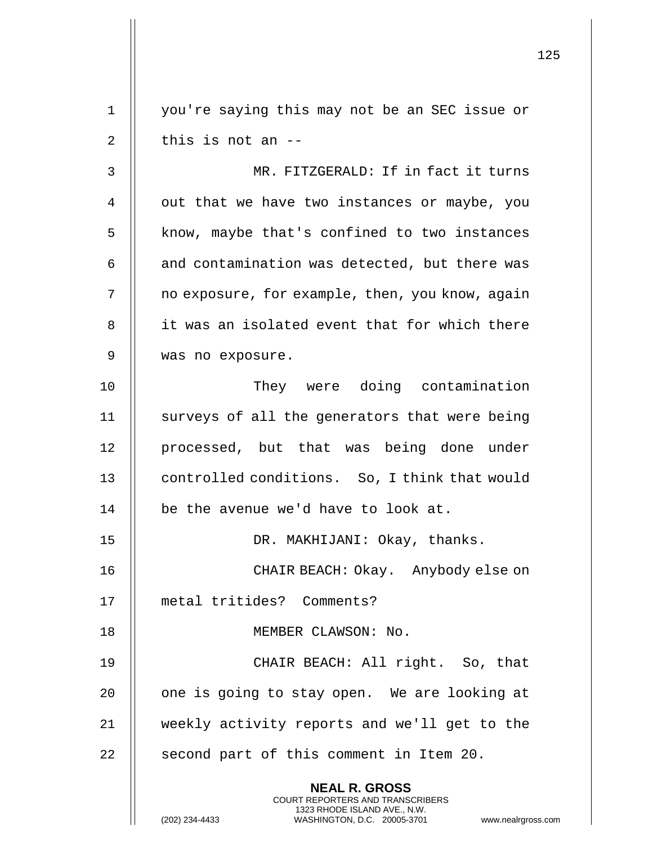1 || you're saying this may not be an SEC issue or  $2 \parallel$  this is not an  $-$ 

3 MR. FITZGERALD: If in fact it turns 4 | out that we have two instances or maybe, you 5 | know, maybe that's confined to two instances  $6$  || and contamination was detected, but there was 7 | | no exposure, for example, then, you know, again 8 || it was an isolated event that for which there 9 was no exposure.

10 || They were doing contamination 11  $\parallel$  surveys of all the generators that were being 12 || processed, but that was being done under 13 **controlled conditions.** So, I think that would 14 | be the avenue we'd have to look at.

15 || DR. MAKHIJANI: Okay, thanks.

**NEAL R. GROSS** COURT REPORTERS AND TRANSCRIBERS 1323 RHODE ISLAND AVE., N.W.

16 CHAIR BEACH: Okay. Anybody else on 17 metal tritides? Comments?

18 || MEMBER CLAWSON: No.

19 || CHAIR BEACH: All right. So, that 20 || one is going to stay open. We are looking at 21 weekly activity reports and we'll get to the  $22$  || second part of this comment in Item 20.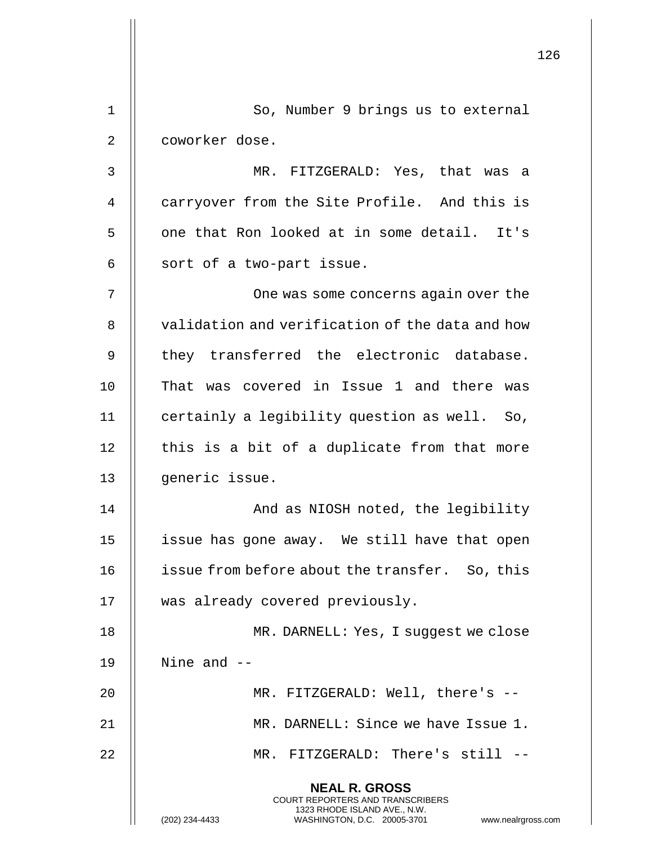|             |                                                                                                                                                                        | 126 |
|-------------|------------------------------------------------------------------------------------------------------------------------------------------------------------------------|-----|
| $\mathbf 1$ | So, Number 9 brings us to external                                                                                                                                     |     |
| 2           | coworker dose.                                                                                                                                                         |     |
| 3           | MR. FITZGERALD: Yes, that was a                                                                                                                                        |     |
| 4           | carryover from the Site Profile. And this is                                                                                                                           |     |
| 5           | one that Ron looked at in some detail. It's                                                                                                                            |     |
| 6           | sort of a two-part issue.                                                                                                                                              |     |
| 7           | One was some concerns again over the                                                                                                                                   |     |
| 8           | validation and verification of the data and how                                                                                                                        |     |
| 9           | they transferred the electronic database.                                                                                                                              |     |
| 10          | That was covered in Issue 1 and there was                                                                                                                              |     |
| 11          | certainly a legibility question as well. So,                                                                                                                           |     |
| 12          | this is a bit of a duplicate from that more                                                                                                                            |     |
| 13          | generic issue.                                                                                                                                                         |     |
| 14          | And as NIOSH noted, the legibility                                                                                                                                     |     |
| 15          | issue has gone away. We still have that open                                                                                                                           |     |
| 16          | issue from before about the transfer. So, this                                                                                                                         |     |
| 17          | was already covered previously.                                                                                                                                        |     |
| 18          | MR. DARNELL: Yes, I suggest we close                                                                                                                                   |     |
| 19          | Nine and $-$                                                                                                                                                           |     |
| 20          | MR. FITZGERALD: Well, there's --                                                                                                                                       |     |
| 21          | MR. DARNELL: Since we have Issue 1.                                                                                                                                    |     |
| 22          | MR. FITZGERALD: There's still --                                                                                                                                       |     |
|             | <b>NEAL R. GROSS</b><br><b>COURT REPORTERS AND TRANSCRIBERS</b><br>1323 RHODE ISLAND AVE., N.W.<br>(202) 234-4433<br>WASHINGTON, D.C. 20005-3701<br>www.nealrgross.com |     |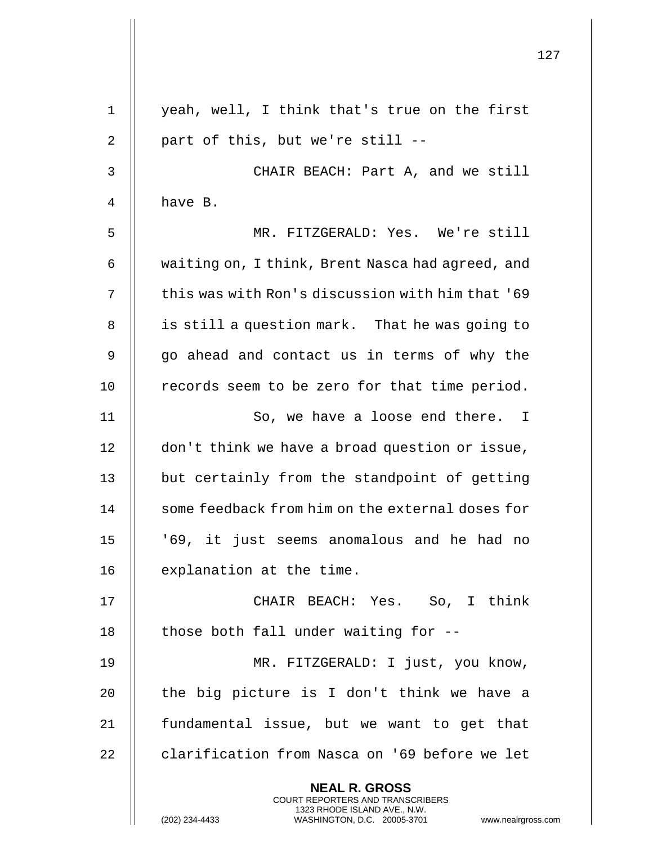|             |                                                                                                                                                                        | 127 |
|-------------|------------------------------------------------------------------------------------------------------------------------------------------------------------------------|-----|
| $\mathbf 1$ | yeah, well, I think that's true on the first                                                                                                                           |     |
| 2           | part of this, but we're still --                                                                                                                                       |     |
| 3           | CHAIR BEACH: Part A, and we still                                                                                                                                      |     |
| 4           | have B.                                                                                                                                                                |     |
| 5           | MR. FITZGERALD: Yes. We're still                                                                                                                                       |     |
| 6           | waiting on, I think, Brent Nasca had agreed, and                                                                                                                       |     |
| 7           | this was with Ron's discussion with him that '69                                                                                                                       |     |
| 8           | is still a question mark. That he was going to                                                                                                                         |     |
| 9           | go ahead and contact us in terms of why the                                                                                                                            |     |
| 10          | records seem to be zero for that time period.                                                                                                                          |     |
| 11          | So, we have a loose end there. I                                                                                                                                       |     |
| 12          | don't think we have a broad question or issue,                                                                                                                         |     |
| 13          | but certainly from the standpoint of getting                                                                                                                           |     |
| 14          | some feedback from him on the external doses for                                                                                                                       |     |
| 15          | '69, it just seems anomalous and he had no                                                                                                                             |     |
| 16          | explanation at the time.                                                                                                                                               |     |
| 17          | CHAIR BEACH: Yes. So, I think                                                                                                                                          |     |
| 18          | those both fall under waiting for --                                                                                                                                   |     |
| 19          | MR. FITZGERALD: I just, you know,                                                                                                                                      |     |
| 20          | the big picture is I don't think we have a                                                                                                                             |     |
| 21          | fundamental issue, but we want to get that                                                                                                                             |     |
| 22          | clarification from Nasca on '69 before we let                                                                                                                          |     |
|             | <b>NEAL R. GROSS</b><br><b>COURT REPORTERS AND TRANSCRIBERS</b><br>1323 RHODE ISLAND AVE., N.W.<br>(202) 234-4433<br>WASHINGTON, D.C. 20005-3701<br>www.nealrgross.com |     |

 $\overline{1}$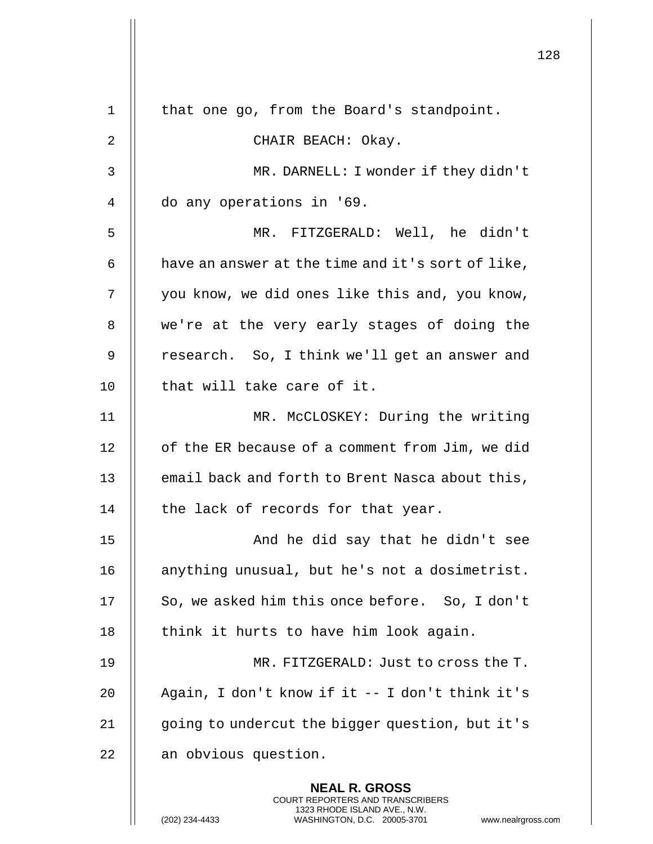|    |                                                                                                                                                                 | 128 |
|----|-----------------------------------------------------------------------------------------------------------------------------------------------------------------|-----|
| 1  | that one go, from the Board's standpoint.                                                                                                                       |     |
| 2  | CHAIR BEACH: Okay.                                                                                                                                              |     |
| 3  | MR. DARNELL: I wonder if they didn't                                                                                                                            |     |
| 4  | do any operations in '69.                                                                                                                                       |     |
| 5  | MR. FITZGERALD: Well, he didn't                                                                                                                                 |     |
| 6  | have an answer at the time and it's sort of like,                                                                                                               |     |
| 7  | you know, we did ones like this and, you know,                                                                                                                  |     |
| 8  | we're at the very early stages of doing the                                                                                                                     |     |
| 9  | research. So, I think we'll get an answer and                                                                                                                   |     |
| 10 | that will take care of it.                                                                                                                                      |     |
| 11 | MR. McCLOSKEY: During the writing                                                                                                                               |     |
| 12 | of the ER because of a comment from Jim, we did                                                                                                                 |     |
| 13 | email back and forth to Brent Nasca about this,                                                                                                                 |     |
| 14 | the lack of records for that year.                                                                                                                              |     |
| 15 | And he did say that he didn't see                                                                                                                               |     |
| 16 | anything unusual, but he's not a dosimetrist.                                                                                                                   |     |
| 17 | So, we asked him this once before. So, I don't                                                                                                                  |     |
| 18 | think it hurts to have him look again.                                                                                                                          |     |
| 19 | MR. FITZGERALD: Just to cross the T.                                                                                                                            |     |
| 20 | Again, I don't know if it -- I don't think it's                                                                                                                 |     |
| 21 | going to undercut the bigger question, but it's                                                                                                                 |     |
| 22 | an obvious question.                                                                                                                                            |     |
|    | <b>NEAL R. GROSS</b><br>COURT REPORTERS AND TRANSCRIBERS<br>1323 RHODE ISLAND AVE., N.W.<br>(202) 234-4433<br>WASHINGTON, D.C. 20005-3701<br>www.nealrgross.com |     |

 $\mathbf{1}$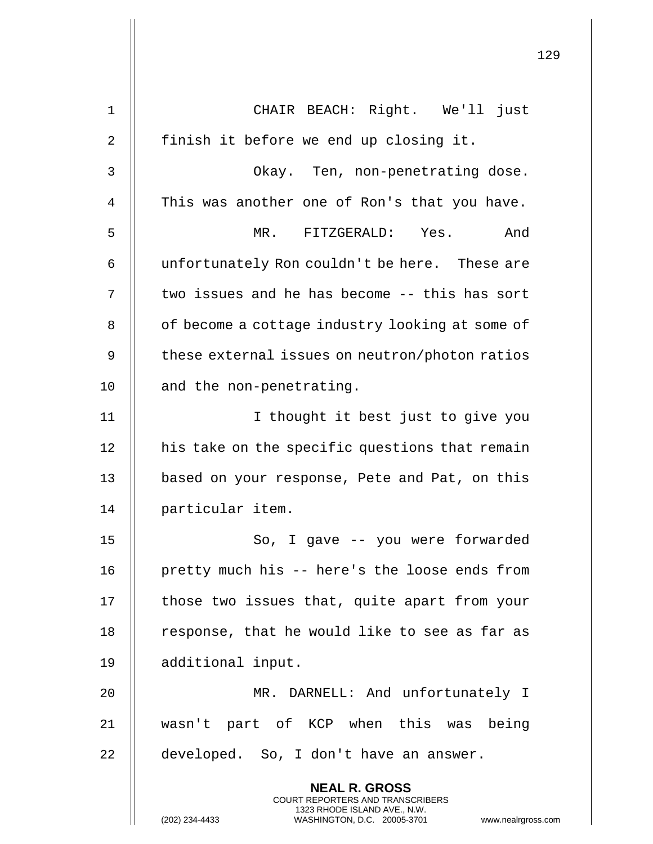|             | 129                                                                                                                                                                    |
|-------------|------------------------------------------------------------------------------------------------------------------------------------------------------------------------|
| $\mathbf 1$ | CHAIR BEACH: Right. We'll just                                                                                                                                         |
| 2           | finish it before we end up closing it.                                                                                                                                 |
| 3           | Okay. Ten, non-penetrating dose.                                                                                                                                       |
| 4           | This was another one of Ron's that you have.                                                                                                                           |
| 5           | MR. FITZGERALD: Yes.<br>And                                                                                                                                            |
| 6           | unfortunately Ron couldn't be here. These are                                                                                                                          |
| 7           | two issues and he has become -- this has sort                                                                                                                          |
| 8           | of become a cottage industry looking at some of                                                                                                                        |
| 9           | these external issues on neutron/photon ratios                                                                                                                         |
| 10          | and the non-penetrating.                                                                                                                                               |
| 11          | I thought it best just to give you                                                                                                                                     |
| 12          | his take on the specific questions that remain                                                                                                                         |
| 13          | based on your response, Pete and Pat, on this                                                                                                                          |
| 14          | particular item.                                                                                                                                                       |
| 15          | So, I gave -- you were forwarded                                                                                                                                       |
| 16          | pretty much his -- here's the loose ends from                                                                                                                          |
| 17          | those two issues that, quite apart from your                                                                                                                           |
| 18          | response, that he would like to see as far as                                                                                                                          |
| 19          | additional input.                                                                                                                                                      |
| 20          | MR. DARNELL: And unfortunately I                                                                                                                                       |
| 21          | wasn't part of KCP when this was being                                                                                                                                 |
| 22          | developed. So, I don't have an answer.                                                                                                                                 |
|             |                                                                                                                                                                        |
|             | <b>NEAL R. GROSS</b><br><b>COURT REPORTERS AND TRANSCRIBERS</b><br>1323 RHODE ISLAND AVE., N.W.<br>(202) 234-4433<br>WASHINGTON, D.C. 20005-3701<br>www.nealrgross.com |

 $\mathop{||}$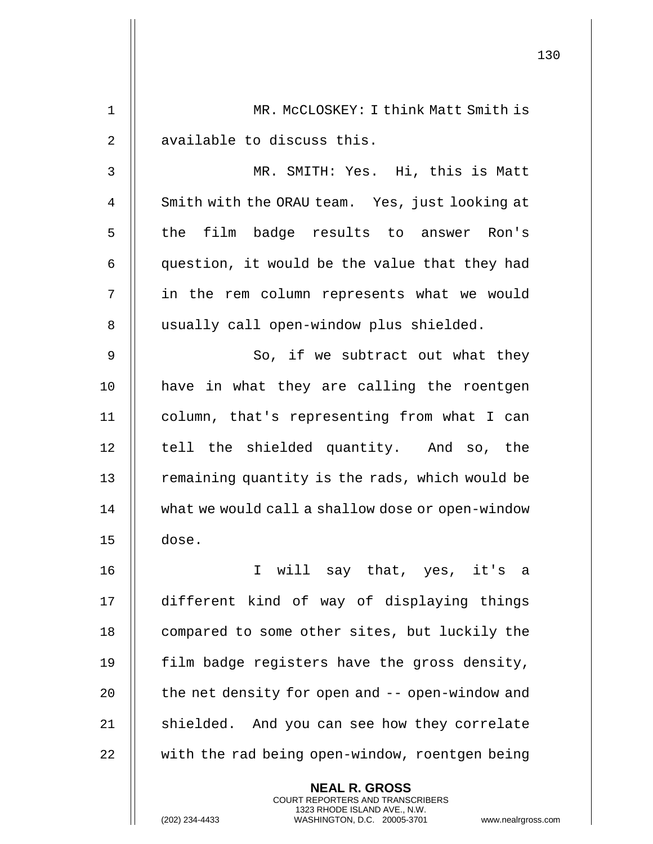|                |                                                                                                                                                                        | 130 |
|----------------|------------------------------------------------------------------------------------------------------------------------------------------------------------------------|-----|
| 1              | MR. MCCLOSKEY: I think Matt Smith is                                                                                                                                   |     |
| 2              | available to discuss this.                                                                                                                                             |     |
| 3              | MR. SMITH: Yes. Hi, this is Matt                                                                                                                                       |     |
| $\overline{4}$ | Smith with the ORAU team. Yes, just looking at                                                                                                                         |     |
| 5              | the film badge results to answer Ron's                                                                                                                                 |     |
| 6              | question, it would be the value that they had                                                                                                                          |     |
| 7              | in the rem column represents what we would                                                                                                                             |     |
| 8              | usually call open-window plus shielded.                                                                                                                                |     |
| $\mathsf 9$    | So, if we subtract out what they                                                                                                                                       |     |
| 10             | have in what they are calling the roentgen                                                                                                                             |     |
| 11             | column, that's representing from what I can                                                                                                                            |     |
| 12             | tell the shielded quantity. And so, the                                                                                                                                |     |
| 13             | remaining quantity is the rads, which would be                                                                                                                         |     |
| 14             | what we would call a shallow dose or open-window                                                                                                                       |     |
| 15             | dose.                                                                                                                                                                  |     |
| 16             | I will say that, yes, it's a                                                                                                                                           |     |
| 17             | different kind of way of displaying things                                                                                                                             |     |
| 18             | compared to some other sites, but luckily the                                                                                                                          |     |
| 19             | film badge registers have the gross density,                                                                                                                           |     |
| 20             | the net density for open and -- open-window and                                                                                                                        |     |
| 21             | shielded. And you can see how they correlate                                                                                                                           |     |
| 22             | with the rad being open-window, roentgen being                                                                                                                         |     |
|                | <b>NEAL R. GROSS</b><br><b>COURT REPORTERS AND TRANSCRIBERS</b><br>1323 RHODE ISLAND AVE., N.W.<br>(202) 234-4433<br>WASHINGTON, D.C. 20005-3701<br>www.nealrgross.com |     |

 $\mathbf{1}$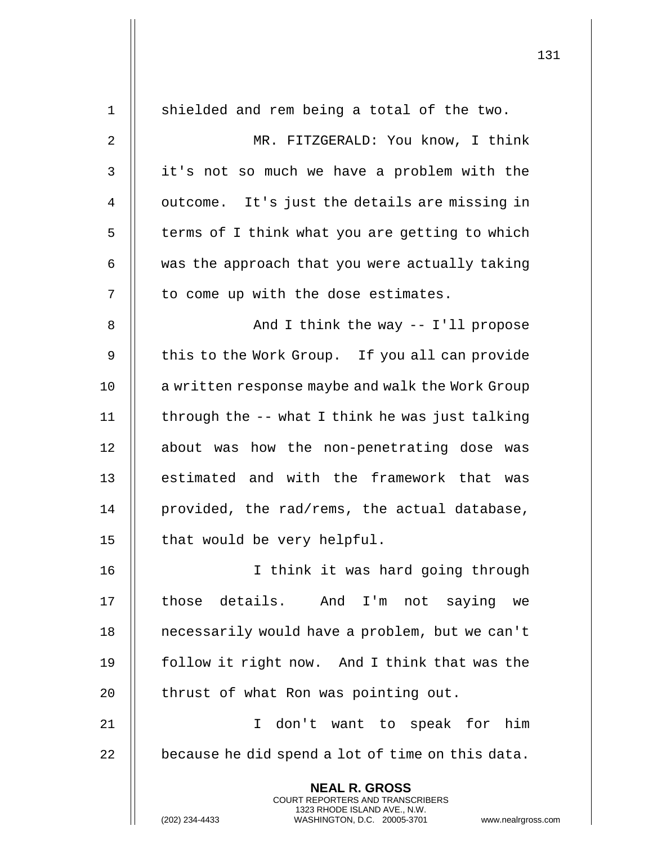| $\mathbf 1$ | shielded and rem being a total of the two.                                                                                                     |
|-------------|------------------------------------------------------------------------------------------------------------------------------------------------|
| 2           | MR. FITZGERALD: You know, I think                                                                                                              |
| 3           | it's not so much we have a problem with the                                                                                                    |
| 4           | outcome. It's just the details are missing in                                                                                                  |
| 5           | terms of I think what you are getting to which                                                                                                 |
| 6           | was the approach that you were actually taking                                                                                                 |
| 7           | to come up with the dose estimates.                                                                                                            |
| 8           | And I think the way $--$ I'll propose                                                                                                          |
| 9           | this to the Work Group. If you all can provide                                                                                                 |
| 10          | a written response maybe and walk the Work Group                                                                                               |
| 11          | through the -- what I think he was just talking                                                                                                |
| 12          | about was how the non-penetrating dose was                                                                                                     |
| 13          | estimated and with the framework that was                                                                                                      |
| 14          | provided, the rad/rems, the actual database,                                                                                                   |
| 15          | that would be very helpful.                                                                                                                    |
| 16          | I think it was hard going through                                                                                                              |
| 17          | those details. And I'm not saying we                                                                                                           |
| 18          | necessarily would have a problem, but we can't                                                                                                 |
| 19          | follow it right now. And I think that was the                                                                                                  |
| 20          | thrust of what Ron was pointing out.                                                                                                           |
| 21          | I don't want to speak for him                                                                                                                  |
| 22          | because he did spend a lot of time on this data.                                                                                               |
|             | <b>NEAL R. GROSS</b>                                                                                                                           |
|             | <b>COURT REPORTERS AND TRANSCRIBERS</b><br>1323 RHODE ISLAND AVE., N.W.<br>(202) 234-4433<br>WASHINGTON, D.C. 20005-3701<br>www.nealrgross.com |

 $\overline{1}$ 

 $\mathop{||}$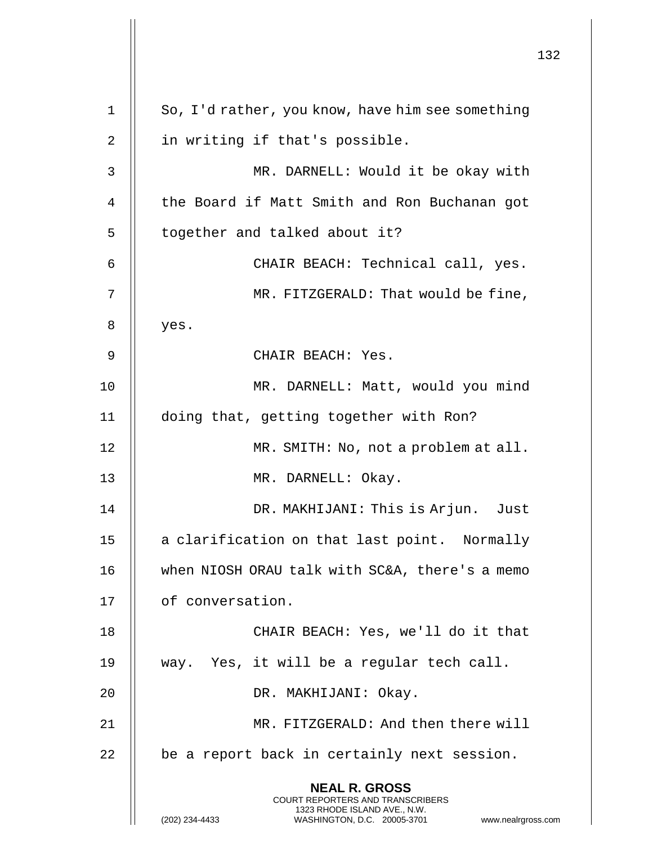**NEAL R. GROSS** COURT REPORTERS AND TRANSCRIBERS 1323 RHODE ISLAND AVE., N.W. (202) 234-4433 WASHINGTON, D.C. 20005-3701 www.nealrgross.com 1 | So, I'd rather, you know, have him see something 2 || in writing if that's possible. 3 MR. DARNELL: Would it be okay with 4 || the Board if Matt Smith and Ron Buchanan got 5 | together and talked about it? 6 CHAIR BEACH: Technical call, yes. 7 MR. FITZGERALD: That would be fine,  $8 \parallel$  yes. 9 CHAIR BEACH: Yes. 10 || MR. DARNELL: Matt, would you mind 11 doing that, getting together with Ron? 12 || MR. SMITH: No, not a problem at all. 13 || MR. DARNELL: Okay. 14 || DR. MAKHIJANI: This is Arjun. Just 15 || a clarification on that last point. Normally 16 || when NIOSH ORAU talk with SC&A, there's a memo 17 | of conversation. 18 || CHAIR BEACH: Yes, we'll do it that 19 way. Yes, it will be a regular tech call. 20 DR. MAKHIJANI: Okay. 21 MR. FITZGERALD: And then there will  $22$   $\parallel$  be a report back in certainly next session.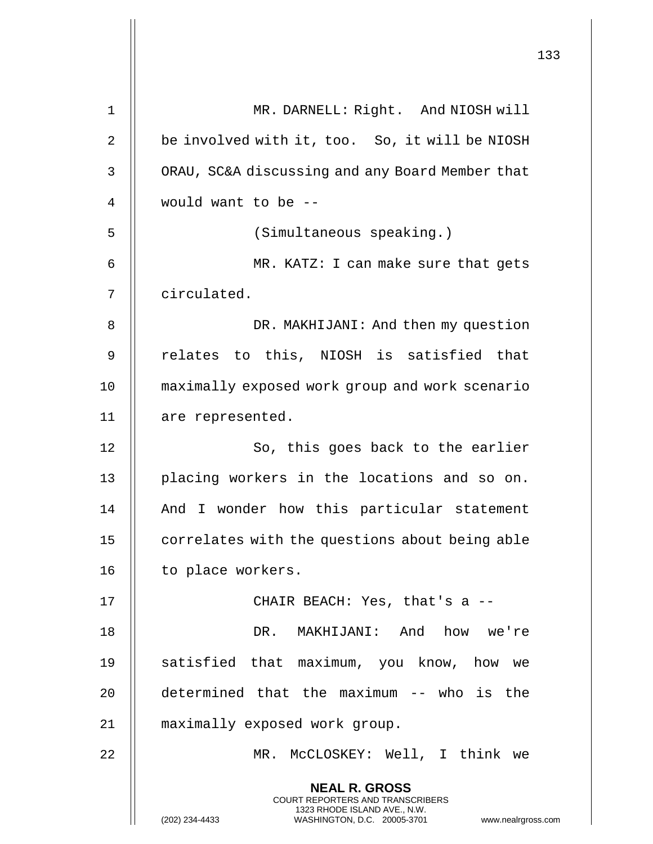|    |                                                                                                                                                                 | 133 |
|----|-----------------------------------------------------------------------------------------------------------------------------------------------------------------|-----|
| 1  | MR. DARNELL: Right. And NIOSH will                                                                                                                              |     |
| 2  | be involved with it, too. So, it will be NIOSH                                                                                                                  |     |
| 3  | ORAU, SC&A discussing and any Board Member that                                                                                                                 |     |
| 4  | would want to be --                                                                                                                                             |     |
| 5  | (Simultaneous speaking.)                                                                                                                                        |     |
| 6  | MR. KATZ: I can make sure that gets                                                                                                                             |     |
| 7  | circulated.                                                                                                                                                     |     |
| 8  | DR. MAKHIJANI: And then my question                                                                                                                             |     |
| 9  | relates to this, NIOSH is satisfied that                                                                                                                        |     |
| 10 | maximally exposed work group and work scenario                                                                                                                  |     |
| 11 | are represented.                                                                                                                                                |     |
| 12 | So, this goes back to the earlier                                                                                                                               |     |
| 13 | placing workers in the locations and so on.                                                                                                                     |     |
| 14 | And I wonder how this particular statement                                                                                                                      |     |
| 15 | correlates with the questions about being able                                                                                                                  |     |
| 16 | to place workers.                                                                                                                                               |     |
| 17 | CHAIR BEACH: Yes, that's a --                                                                                                                                   |     |
| 18 | DR. MAKHIJANI: And how we're                                                                                                                                    |     |
| 19 | satisfied that maximum, you know, how we                                                                                                                        |     |
| 20 | determined that the maximum -- who is the                                                                                                                       |     |
| 21 | maximally exposed work group.                                                                                                                                   |     |
| 22 | MR. MCCLOSKEY: Well, I think we                                                                                                                                 |     |
|    | <b>NEAL R. GROSS</b><br>COURT REPORTERS AND TRANSCRIBERS<br>1323 RHODE ISLAND AVE., N.W.<br>(202) 234-4433<br>WASHINGTON, D.C. 20005-3701<br>www.nealrgross.com |     |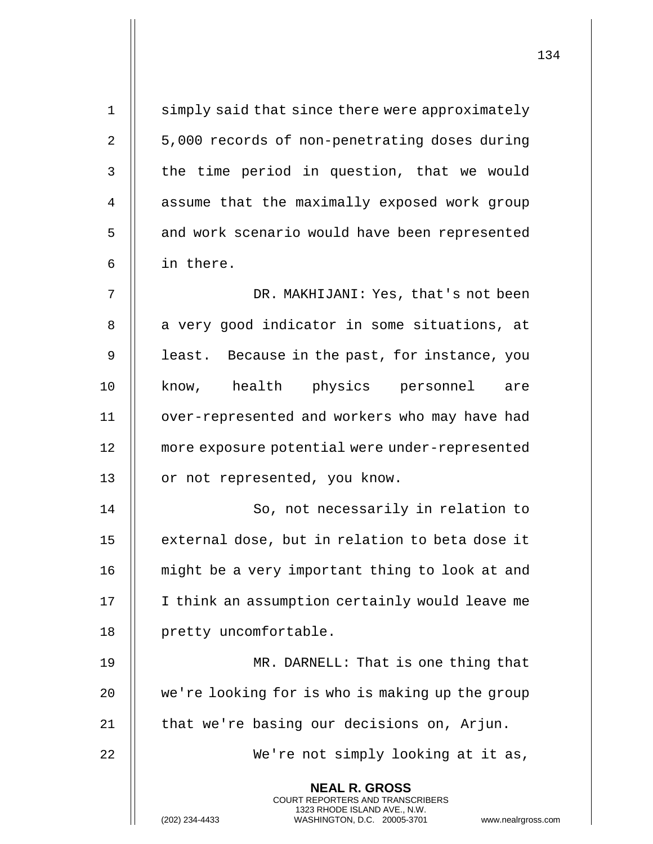| $\mathbf 1$    | simply said that since there were approximately                                                                                                                        |
|----------------|------------------------------------------------------------------------------------------------------------------------------------------------------------------------|
| $\overline{2}$ | 5,000 records of non-penetrating doses during                                                                                                                          |
| 3              | the time period in question, that we would                                                                                                                             |
| 4              | assume that the maximally exposed work group                                                                                                                           |
| 5              | and work scenario would have been represented                                                                                                                          |
| 6              | in there.                                                                                                                                                              |
| 7              | DR. MAKHIJANI: Yes, that's not been                                                                                                                                    |
| 8              | a very good indicator in some situations, at                                                                                                                           |
| 9              | least. Because in the past, for instance, you                                                                                                                          |
| 10             | know, health physics personnel<br>are                                                                                                                                  |
| 11             | over-represented and workers who may have had                                                                                                                          |
| 12             | more exposure potential were under-represented                                                                                                                         |
| 13             | or not represented, you know.                                                                                                                                          |
| 14             | So, not necessarily in relation to                                                                                                                                     |
| 15             | external dose, but in relation to beta dose it                                                                                                                         |
| 16             | might be a very important thing to look at and                                                                                                                         |
| 17             | I think an assumption certainly would leave me                                                                                                                         |
| 18             | pretty uncomfortable.                                                                                                                                                  |
| 19             | MR. DARNELL: That is one thing that                                                                                                                                    |
| 20             | we're looking for is who is making up the group                                                                                                                        |
| 21             | that we're basing our decisions on, Arjun.                                                                                                                             |
| 22             | We're not simply looking at it as,                                                                                                                                     |
|                | <b>NEAL R. GROSS</b><br><b>COURT REPORTERS AND TRANSCRIBERS</b><br>1323 RHODE ISLAND AVE., N.W.<br>(202) 234-4433<br>WASHINGTON, D.C. 20005-3701<br>www.nealrgross.com |
|                |                                                                                                                                                                        |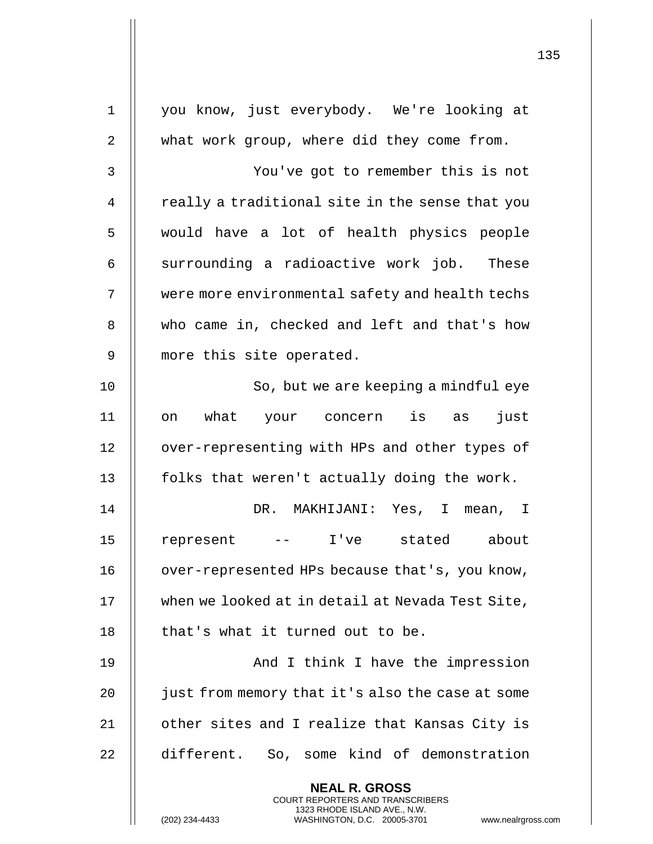| $\mathbf 1$ | you know, just everybody. We're looking at                                                                                                                             |
|-------------|------------------------------------------------------------------------------------------------------------------------------------------------------------------------|
| 2           | what work group, where did they come from.                                                                                                                             |
| 3           | You've got to remember this is not                                                                                                                                     |
| 4           | really a traditional site in the sense that you                                                                                                                        |
| 5           | would have a lot of health physics people                                                                                                                              |
| 6           | surrounding a radioactive work job. These                                                                                                                              |
| 7           | were more environmental safety and health techs                                                                                                                        |
| 8           | who came in, checked and left and that's how                                                                                                                           |
| 9           | more this site operated.                                                                                                                                               |
| 10          | So, but we are keeping a mindful eye                                                                                                                                   |
| 11          | what your concern is as<br>just<br>on                                                                                                                                  |
| 12          | over-representing with HPs and other types of                                                                                                                          |
| 13          | folks that weren't actually doing the work.                                                                                                                            |
| 14          | DR. MAKHIJANI: Yes, I mean, I                                                                                                                                          |
| 15          | - I've stated about<br>represent                                                                                                                                       |
| 16          | over-represented HPs because that's, you know,                                                                                                                         |
| 17          | when we looked at in detail at Nevada Test Site,                                                                                                                       |
| 18          | that's what it turned out to be.                                                                                                                                       |
| 19          | And I think I have the impression                                                                                                                                      |
| 20          | just from memory that it's also the case at some                                                                                                                       |
| 21          | other sites and I realize that Kansas City is                                                                                                                          |
| 22          | different. So, some kind of demonstration                                                                                                                              |
|             | <b>NEAL R. GROSS</b><br><b>COURT REPORTERS AND TRANSCRIBERS</b><br>1323 RHODE ISLAND AVE., N.W.<br>(202) 234-4433<br>WASHINGTON, D.C. 20005-3701<br>www.nealrgross.com |

 $\mathsf{I}$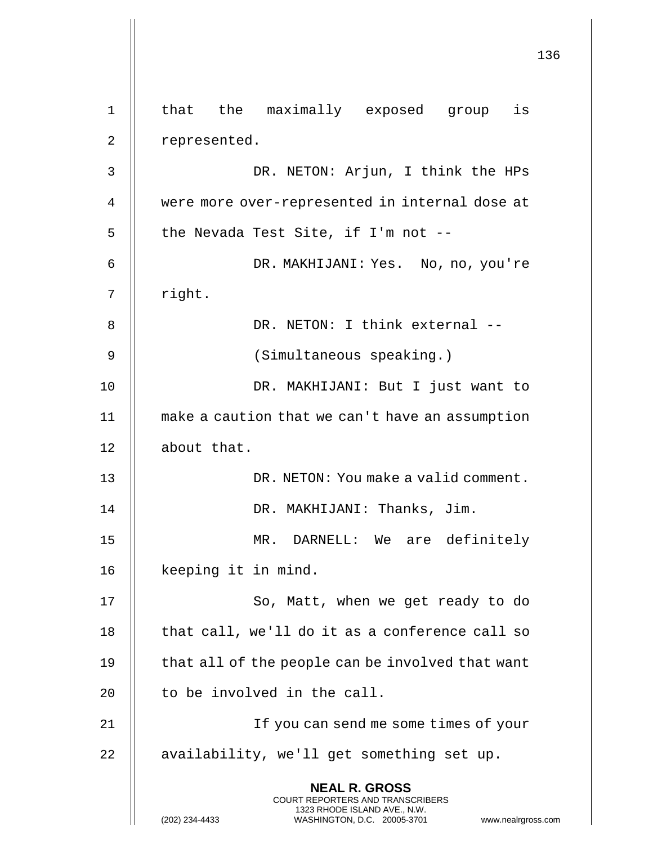**NEAL R. GROSS** COURT REPORTERS AND TRANSCRIBERS 1323 RHODE ISLAND AVE., N.W. (202) 234-4433 WASHINGTON, D.C. 20005-3701 www.nealrgross.com 1 || that the maximally exposed group is 2 || represented. 3 DR. NETON: Arjun, I think the HPs 4 were more over-represented in internal dose at  $5$  || the Nevada Test Site, if I'm not --6 DR. MAKHIJANI: Yes. No, no, you're  $7$  | right. 8 || DR. NETON: I think external --9 || (Simultaneous speaking.) 10 || DR. MAKHIJANI: But I just want to 11 make a caution that we can't have an assumption 12 | about that. 13 DR. NETON: You make a valid comment. 14 || DR. MAKHIJANI: Thanks, Jim. 15 MR. DARNELL: We are definitely 16 | keeping it in mind. 17 || So, Matt, when we get ready to do  $18$  || that call, we'll do it as a conference call so  $19$  | that all of the people can be involved that want 20  $\parallel$  to be involved in the call. 21 If you can send me some times of your 22 | availability, we'll get something set up.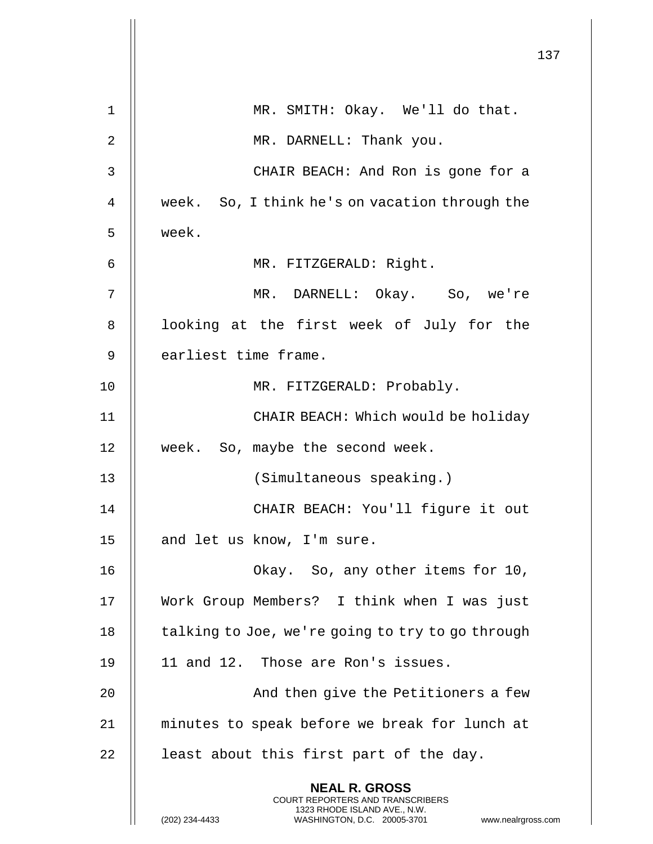|                |                                                                                                                                                                        | 137 |
|----------------|------------------------------------------------------------------------------------------------------------------------------------------------------------------------|-----|
| 1              | MR. SMITH: Okay. We'll do that.                                                                                                                                        |     |
| 2              | MR. DARNELL: Thank you.                                                                                                                                                |     |
| 3              | CHAIR BEACH: And Ron is gone for a                                                                                                                                     |     |
| $\overline{4}$ | week. So, I think he's on vacation through the                                                                                                                         |     |
| 5              | week.                                                                                                                                                                  |     |
| 6              | MR. FITZGERALD: Right.                                                                                                                                                 |     |
| 7              | MR. DARNELL: Okay. So, we're                                                                                                                                           |     |
| 8              | looking at the first week of July for the                                                                                                                              |     |
| 9              | earliest time frame.                                                                                                                                                   |     |
| 10             | MR. FITZGERALD: Probably.                                                                                                                                              |     |
| 11             | CHAIR BEACH: Which would be holiday                                                                                                                                    |     |
| 12             | week. So, maybe the second week.                                                                                                                                       |     |
| 13             | (Simultaneous speaking.)                                                                                                                                               |     |
| 14             | CHAIR BEACH: You'll figure it out                                                                                                                                      |     |
| 15             | and let us know, I'm sure.                                                                                                                                             |     |
| 16             | Okay. So, any other items for 10,                                                                                                                                      |     |
| 17             | Work Group Members? I think when I was just                                                                                                                            |     |
| 18             | talking to Joe, we're going to try to go through                                                                                                                       |     |
| 19             | 11 and 12. Those are Ron's issues.                                                                                                                                     |     |
| 20             | And then give the Petitioners a few                                                                                                                                    |     |
| 21             | minutes to speak before we break for lunch at                                                                                                                          |     |
| 22             | least about this first part of the day.                                                                                                                                |     |
|                | <b>NEAL R. GROSS</b><br><b>COURT REPORTERS AND TRANSCRIBERS</b><br>1323 RHODE ISLAND AVE., N.W.<br>WASHINGTON, D.C. 20005-3701<br>(202) 234-4433<br>www.nealrgross.com |     |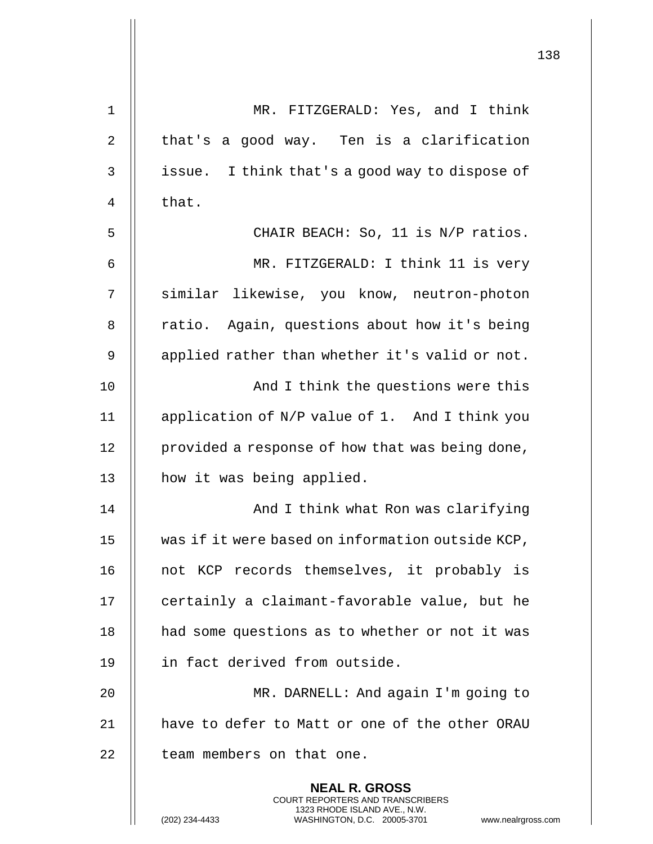|             |                                                                                                                                         | 138 |
|-------------|-----------------------------------------------------------------------------------------------------------------------------------------|-----|
| $\mathbf 1$ | MR. FITZGERALD: Yes, and I think                                                                                                        |     |
| 2           | that's a good way. Ten is a clarification                                                                                               |     |
| 3           | issue. I think that's a good way to dispose of                                                                                          |     |
| 4           | that.                                                                                                                                   |     |
| 5           | CHAIR BEACH: So, 11 is N/P ratios.                                                                                                      |     |
| 6           | MR. FITZGERALD: I think 11 is very                                                                                                      |     |
| 7           | similar likewise, you know, neutron-photon                                                                                              |     |
| 8           | ratio. Again, questions about how it's being                                                                                            |     |
| 9           | applied rather than whether it's valid or not.                                                                                          |     |
|             |                                                                                                                                         |     |
| 10          | And I think the questions were this                                                                                                     |     |
| 11          | application of N/P value of 1. And I think you                                                                                          |     |
| 12          | provided a response of how that was being done,                                                                                         |     |
| 13          | how it was being applied.                                                                                                               |     |
| 14          | And I think what Ron was clarifying                                                                                                     |     |
| 15          | was if it were based on information outside KCP,                                                                                        |     |
| 16          | not KCP records themselves, it probably is                                                                                              |     |
| 17          | certainly a claimant-favorable value, but he                                                                                            |     |
| 18          | had some questions as to whether or not it was                                                                                          |     |
| 19          | in fact derived from outside.                                                                                                           |     |
| 20          | MR. DARNELL: And again I'm going to                                                                                                     |     |
| 21          | have to defer to Matt or one of the other ORAU                                                                                          |     |
| 22          | team members on that one.                                                                                                               |     |
|             | <b>NEAL R. GROSS</b>                                                                                                                    |     |
|             | COURT REPORTERS AND TRANSCRIBERS<br>1323 RHODE ISLAND AVE., N.W.<br>(202) 234-4433<br>WASHINGTON, D.C. 20005-3701<br>www.nealrgross.com |     |

 $\mathbf{I}$  $\mathsf{l}$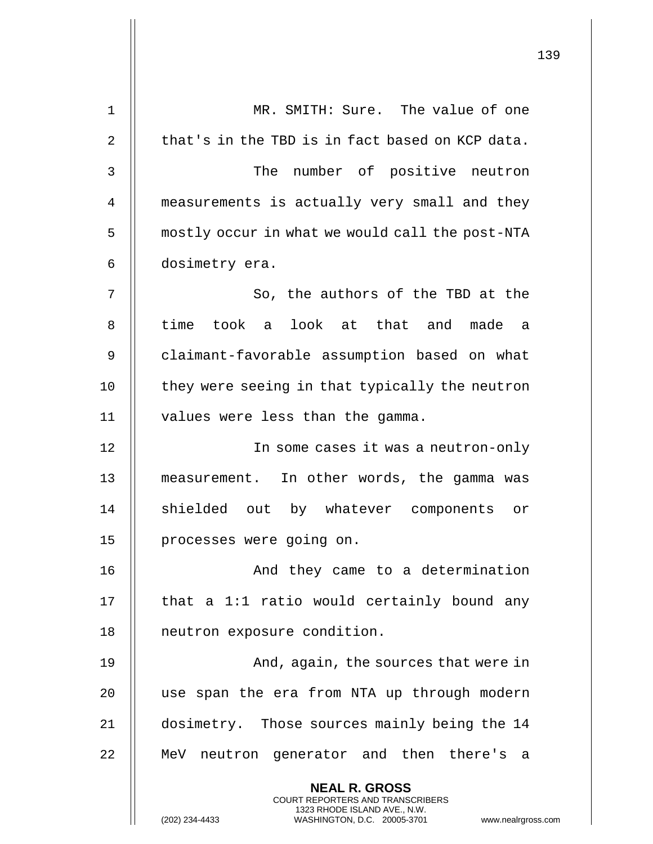|             |                                                                                                     | 139 |
|-------------|-----------------------------------------------------------------------------------------------------|-----|
| $\mathbf 1$ | MR. SMITH: Sure. The value of one                                                                   |     |
|             |                                                                                                     |     |
| 2           | that's in the TBD is in fact based on KCP data.                                                     |     |
| 3           | The number of positive neutron                                                                      |     |
| 4           | measurements is actually very small and they                                                        |     |
| 5           | mostly occur in what we would call the post-NTA                                                     |     |
| 6           | dosimetry era.                                                                                      |     |
| 7           | So, the authors of the TBD at the                                                                   |     |
| 8           | time took a look at that and made a                                                                 |     |
| 9           | claimant-favorable assumption based on what                                                         |     |
| 10          | they were seeing in that typically the neutron                                                      |     |
| 11          | values were less than the gamma.                                                                    |     |
| 12          | In some cases it was a neutron-only                                                                 |     |
| 13          | measurement. In other words, the gamma was                                                          |     |
| 14          | shielded out by whatever components or                                                              |     |
| 15          | processes were going on.                                                                            |     |
| 16          | And they came to a determination                                                                    |     |
| 17          | that a 1:1 ratio would certainly bound any                                                          |     |
| 18          | neutron exposure condition.                                                                         |     |
| 19          | And, again, the sources that were in                                                                |     |
| 20          | use span the era from NTA up through modern                                                         |     |
| 21          | dosimetry. Those sources mainly being the 14                                                        |     |
| 22          | MeV neutron generator and then there's a                                                            |     |
|             | <b>NEAL R. GROSS</b><br><b>COURT REPORTERS AND TRANSCRIBERS</b>                                     |     |
|             | 1323 RHODE ISLAND AVE., N.W.<br>(202) 234-4433<br>WASHINGTON, D.C. 20005-3701<br>www.nealrgross.com |     |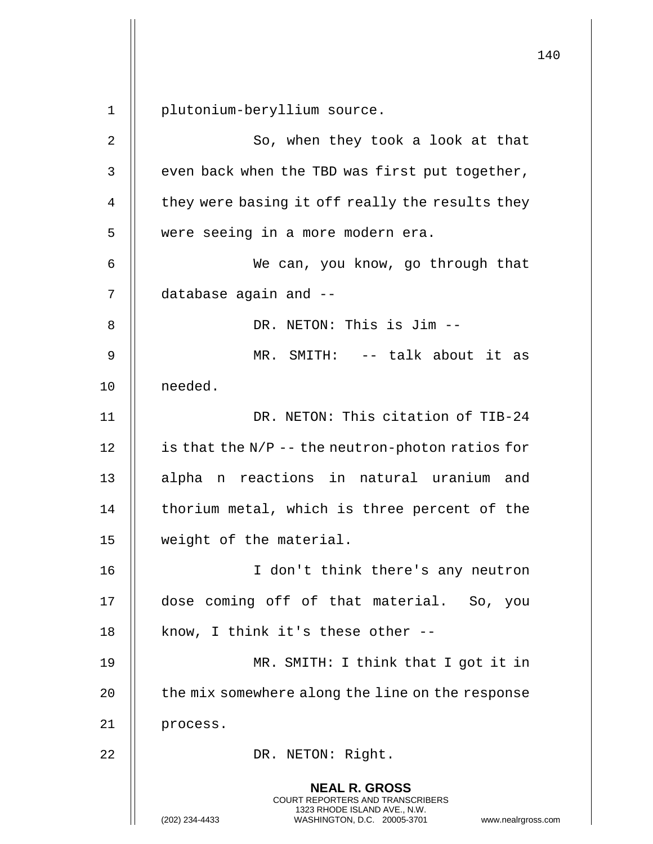**NEAL R. GROSS** COURT REPORTERS AND TRANSCRIBERS 1323 RHODE ISLAND AVE., N.W. (202) 234-4433 WASHINGTON, D.C. 20005-3701 www.nealrgross.com 1 plutonium-beryllium source. 2 || So, when they took a look at that  $3$  | even back when the TBD was first put together,  $4 \parallel$  they were basing it off really the results they 5 || were seeing in a more modern era. 6 We can, you know, go through that 7 database again and -- 8 || DR. NETON: This is Jim --9 MR. SMITH: -- talk about it as 10 || needed. 11 DR. NETON: This citation of TIB-24 12  $\parallel$  is that the N/P -- the neutron-photon ratios for 13 || alpha n reactions in natural uranium and  $14$  | thorium metal, which is three percent of the 15 weight of the material. 16 I don't think there's any neutron 17 dose coming off of that material. So, you 18  $\parallel$  know, I think it's these other --19 || MR. SMITH: I think that I got it in 20  $\parallel$  the mix somewhere along the line on the response 21 | process. 22 || DR. NETON: Right.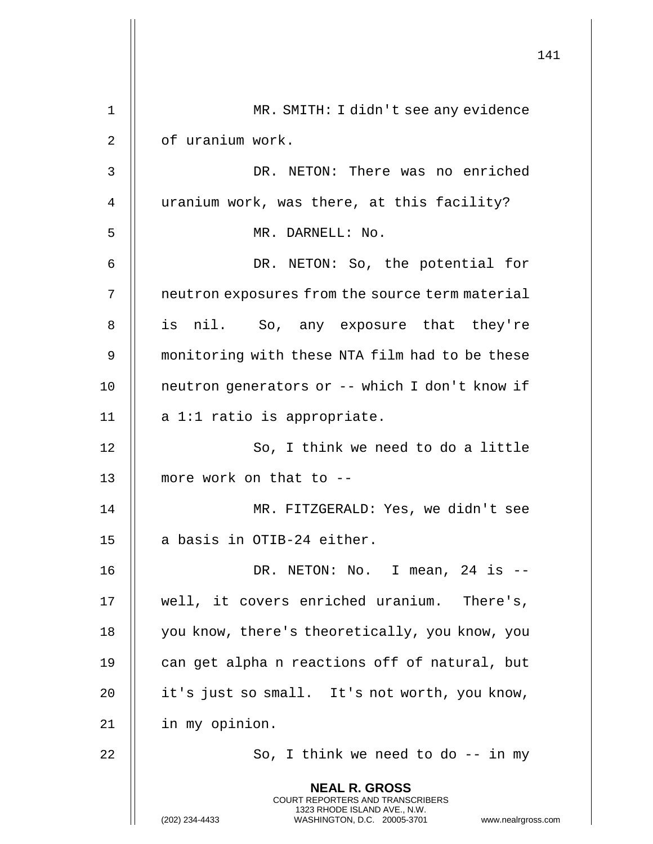|              |                                                                                                                                                                        | 141 |
|--------------|------------------------------------------------------------------------------------------------------------------------------------------------------------------------|-----|
| $\mathbf 1$  | MR. SMITH: I didn't see any evidence                                                                                                                                   |     |
| 2            | of uranium work.                                                                                                                                                       |     |
| $\mathsf{3}$ | DR. NETON: There was no enriched                                                                                                                                       |     |
| 4            | uranium work, was there, at this facility?                                                                                                                             |     |
| 5            | MR. DARNELL: No.                                                                                                                                                       |     |
| 6            | DR. NETON: So, the potential for                                                                                                                                       |     |
| 7            | neutron exposures from the source term material                                                                                                                        |     |
| 8            | is nil. So, any exposure that they're                                                                                                                                  |     |
| 9            | monitoring with these NTA film had to be these                                                                                                                         |     |
| 10           | neutron generators or -- which I don't know if                                                                                                                         |     |
| 11           | a 1:1 ratio is appropriate.                                                                                                                                            |     |
| 12           | So, I think we need to do a little                                                                                                                                     |     |
| 13           | more work on that to --                                                                                                                                                |     |
| 14           | MR. FITZGERALD: Yes, we didn't see                                                                                                                                     |     |
| 15           | a basis in OTIB-24 either.                                                                                                                                             |     |
| 16           | DR. NETON: No. I mean, 24 is $-$                                                                                                                                       |     |
| 17           | well, it covers enriched uranium. There's,                                                                                                                             |     |
| 18           | you know, there's theoretically, you know, you                                                                                                                         |     |
| 19           | can get alpha n reactions off of natural, but                                                                                                                          |     |
| 20           | it's just so small. It's not worth, you know,                                                                                                                          |     |
| 21           | in my opinion.                                                                                                                                                         |     |
| 22           | So, I think we need to do $-$ - in my                                                                                                                                  |     |
|              | <b>NEAL R. GROSS</b><br><b>COURT REPORTERS AND TRANSCRIBERS</b><br>1323 RHODE ISLAND AVE., N.W.<br>(202) 234-4433<br>WASHINGTON, D.C. 20005-3701<br>www.nealrgross.com |     |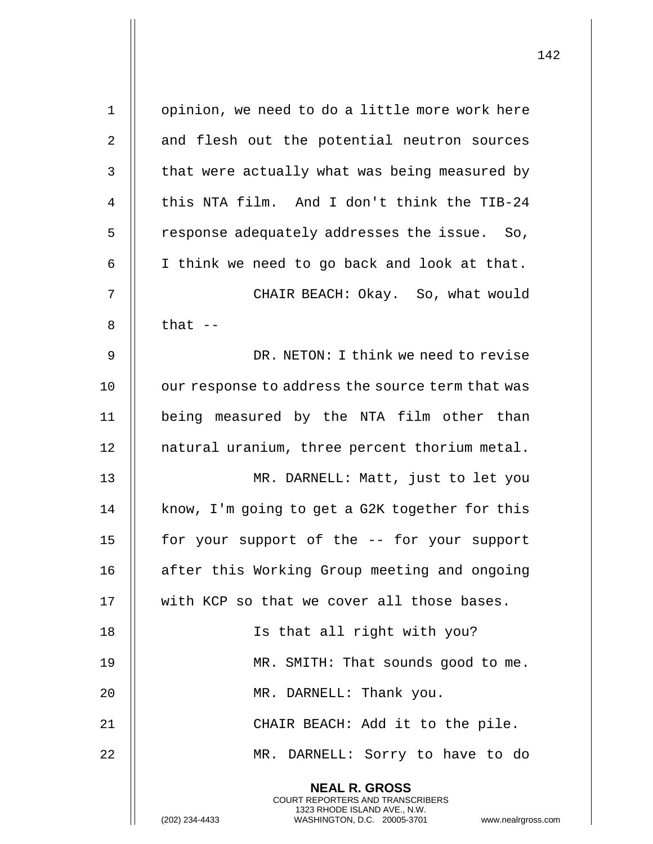| $\mathbf 1$  | opinion, we need to do a little more work here                                                                                                                     |
|--------------|--------------------------------------------------------------------------------------------------------------------------------------------------------------------|
| 2            | and flesh out the potential neutron sources                                                                                                                        |
| $\mathsf{3}$ | that were actually what was being measured by                                                                                                                      |
| 4            | this NTA film. And I don't think the TIB-24                                                                                                                        |
| 5            | response adequately addresses the issue. So,                                                                                                                       |
| 6            | I think we need to go back and look at that.                                                                                                                       |
| 7            | CHAIR BEACH: Okay. So, what would                                                                                                                                  |
| 8            | that $-$                                                                                                                                                           |
| 9            | DR. NETON: I think we need to revise                                                                                                                               |
| 10           | our response to address the source term that was                                                                                                                   |
| 11           | being measured by the NTA film other than                                                                                                                          |
| 12           | natural uranium, three percent thorium metal.                                                                                                                      |
| 13           | MR. DARNELL: Matt, just to let you                                                                                                                                 |
| 14           | know, I'm going to get a G2K together for this                                                                                                                     |
| 15           | for your support of the -- for your support                                                                                                                        |
| 16           | after this Working Group meeting and ongoing                                                                                                                       |
| 17           | with KCP so that we cover all those bases.                                                                                                                         |
| 18           | Is that all right with you?                                                                                                                                        |
| 19           | MR. SMITH: That sounds good to me.                                                                                                                                 |
| 20           | MR. DARNELL: Thank you.                                                                                                                                            |
| 21           | CHAIR BEACH: Add it to the pile.                                                                                                                                   |
| 22           | MR. DARNELL: Sorry to have to do                                                                                                                                   |
|              | <b>NEAL R. GROSS</b><br><b>COURT REPORTERS AND TRANSCRIBERS</b><br>1323 RHODE ISLAND AVE., N.W.<br>(202) 234-4433<br>WASHINGTON, D.C. 20005-3701<br>www.nealrgross |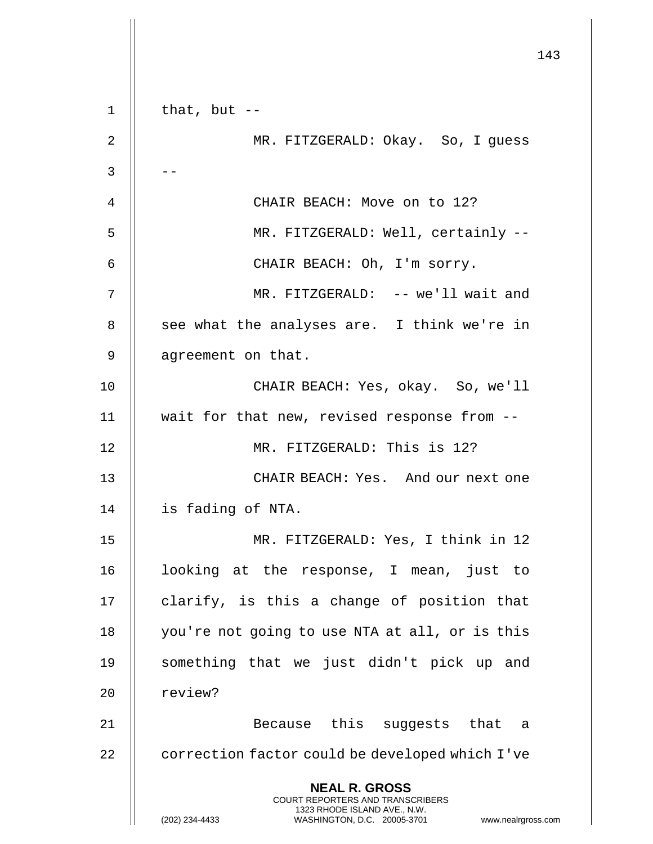|                |                                                                                                     | 143 |
|----------------|-----------------------------------------------------------------------------------------------------|-----|
|                |                                                                                                     |     |
| $1\,$          | that, but $--$                                                                                      |     |
| $\overline{2}$ | MR. FITZGERALD: Okay. So, I guess                                                                   |     |
| 3              |                                                                                                     |     |
| 4              | CHAIR BEACH: Move on to 12?                                                                         |     |
| 5              | MR. FITZGERALD: Well, certainly --                                                                  |     |
| 6              | CHAIR BEACH: Oh, I'm sorry.                                                                         |     |
| 7              | MR. FITZGERALD: -- we'll wait and                                                                   |     |
| 8              | see what the analyses are. I think we're in                                                         |     |
| 9              | agreement on that.                                                                                  |     |
| 10             | CHAIR BEACH: Yes, okay. So, we'll                                                                   |     |
| 11             | wait for that new, revised response from --                                                         |     |
| 12             | MR. FITZGERALD: This is 12?                                                                         |     |
| 13             | CHAIR BEACH: Yes. And our next one                                                                  |     |
| 14             | is fading of NTA.                                                                                   |     |
| 15             | MR. FITZGERALD: Yes, I think in 12                                                                  |     |
| 16             | looking at the response, I mean, just to                                                            |     |
| 17             | clarify, is this a change of position that                                                          |     |
| 18             | you're not going to use NTA at all, or is this                                                      |     |
| 19             | something that we just didn't pick up and                                                           |     |
| 20             | review?                                                                                             |     |
| 21             | Because this suggests that a                                                                        |     |
| 22             | correction factor could be developed which I've                                                     |     |
|                | <b>NEAL R. GROSS</b><br><b>COURT REPORTERS AND TRANSCRIBERS</b>                                     |     |
|                | 1323 RHODE ISLAND AVE., N.W.<br>(202) 234-4433<br>WASHINGTON, D.C. 20005-3701<br>www.nealrgross.com |     |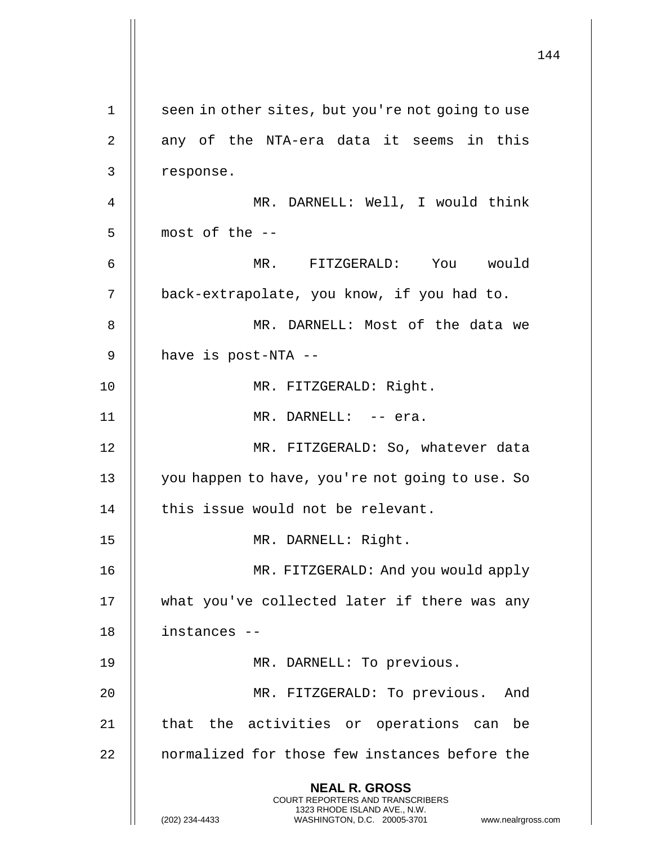144 **NEAL R. GROSS** COURT REPORTERS AND TRANSCRIBERS 1323 RHODE ISLAND AVE., N.W. (202) 234-4433 WASHINGTON, D.C. 20005-3701 www.nealrgross.com 1 || seen in other sites, but you're not going to use 2 || any of the NTA-era data it seems in this 3 response. 4 MR. DARNELL: Well, I would think  $5$  | most of the  $-$ 6 MR. FITZGERALD: You would 7 back-extrapolate, you know, if you had to. 8 MR. DARNELL: Most of the data we 9 | have is post-NTA --10 || MR. FITZGERALD: Right. 11 MR. DARNELL: -- era. 12 || MR. FITZGERALD: So, whatever data 13 || you happen to have, you're not going to use. So 14 || this issue would not be relevant. 15 MR. DARNELL: Right. 16 MR. FITZGERALD: And you would apply 17 what you've collected later if there was any 18 instances -- 19 || MR. DARNELL: To previous. 20 || MR. FITZGERALD: To previous. And 21 || that the activities or operations can be 22 | normalized for those few instances before the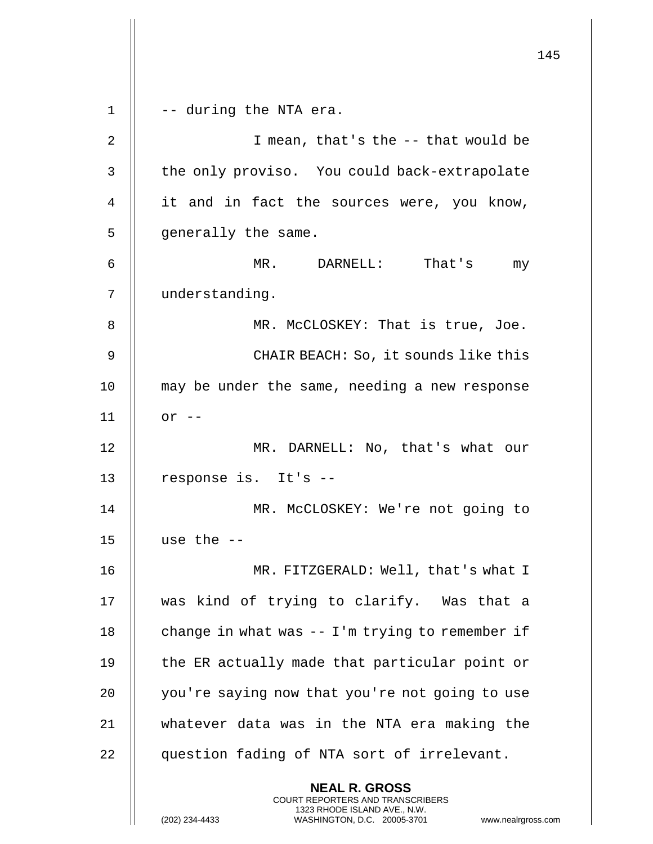145 **NEAL R. GROSS** COURT REPORTERS AND TRANSCRIBERS 1323 RHODE ISLAND AVE., N.W. (202) 234-4433 WASHINGTON, D.C. 20005-3701 www.nealrgross.com  $1 \parallel -$  -- during the NTA era. 2 || T mean, that's the -- that would be 3 || the only proviso. You could back-extrapolate 4 it and in fact the sources were, you know, 5 || generally the same. 6 MR. DARNELL: That's my 7 understanding. 8 || MR. McCLOSKEY: That is true, Joe. 9 CHAIR BEACH: So, it sounds like this 10 || may be under the same, needing a new response 11 or -- 12 || MR. DARNELL: No, that's what our 13 || response is. It's --14 || MR. McCLOSKEY: We're not going to 15  $\parallel$  use the  $-$ 16 MR. FITZGERALD: Well, that's what I 17 was kind of trying to clarify. Was that a 18  $\parallel$  change in what was -- I'm trying to remember if 19  $\parallel$  the ER actually made that particular point or 20 | you're saying now that you're not going to use 21 whatever data was in the NTA era making the 22 || question fading of NTA sort of irrelevant.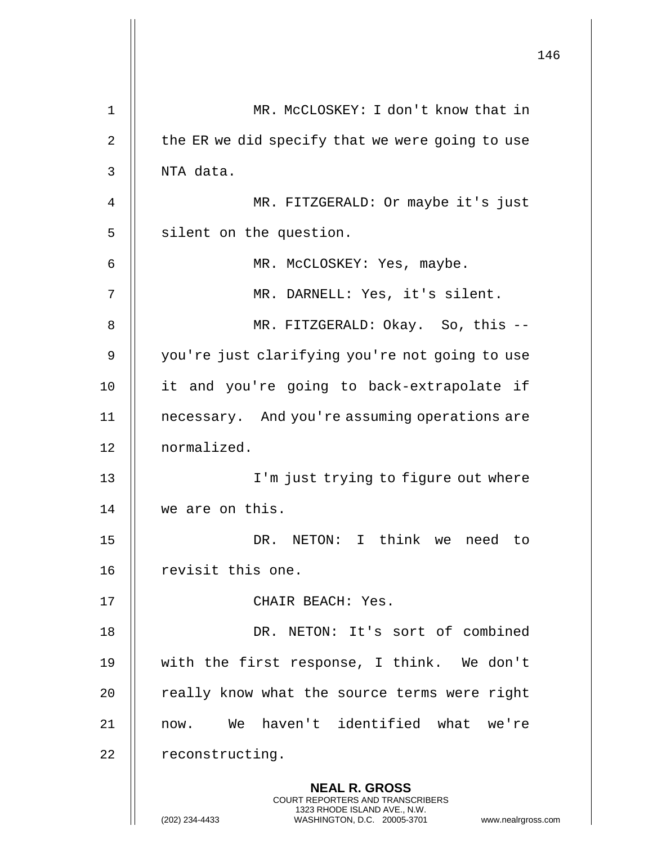|    |                                                                                                                                                                        | 146 |
|----|------------------------------------------------------------------------------------------------------------------------------------------------------------------------|-----|
| 1  | MR. MCCLOSKEY: I don't know that in                                                                                                                                    |     |
| 2  | the ER we did specify that we were going to use                                                                                                                        |     |
| 3  | NTA data.                                                                                                                                                              |     |
| 4  | MR. FITZGERALD: Or maybe it's just                                                                                                                                     |     |
| 5  | silent on the question.                                                                                                                                                |     |
| 6  | MR. McCLOSKEY: Yes, maybe.                                                                                                                                             |     |
| 7  | MR. DARNELL: Yes, it's silent.                                                                                                                                         |     |
| 8  | MR. FITZGERALD: Okay. So, this --                                                                                                                                      |     |
| 9  | you're just clarifying you're not going to use                                                                                                                         |     |
| 10 | it and you're going to back-extrapolate if                                                                                                                             |     |
| 11 | necessary. And you're assuming operations are                                                                                                                          |     |
| 12 | normalized.                                                                                                                                                            |     |
| 13 | I'm just trying to figure out where                                                                                                                                    |     |
| 14 | we are on this.                                                                                                                                                        |     |
| 15 | DR. NETON: I think we need to                                                                                                                                          |     |
| 16 | revisit this one.                                                                                                                                                      |     |
| 17 | CHAIR BEACH: Yes.                                                                                                                                                      |     |
| 18 | DR. NETON: It's sort of combined                                                                                                                                       |     |
| 19 | with the first response, I think. We don't                                                                                                                             |     |
| 20 | really know what the source terms were right                                                                                                                           |     |
| 21 | now. We haven't identified what we're                                                                                                                                  |     |
| 22 | reconstructing.                                                                                                                                                        |     |
|    | <b>NEAL R. GROSS</b><br><b>COURT REPORTERS AND TRANSCRIBERS</b><br>1323 RHODE ISLAND AVE., N.W.<br>WASHINGTON, D.C. 20005-3701<br>www.nealrgross.com<br>(202) 234-4433 |     |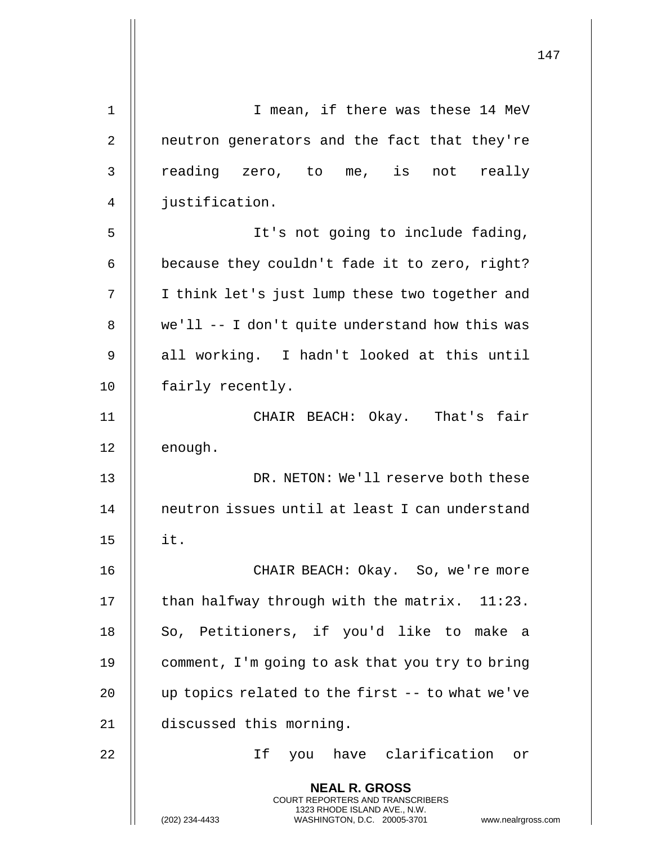|    | 147                                                                                                                                                                    |
|----|------------------------------------------------------------------------------------------------------------------------------------------------------------------------|
| 1  | I mean, if there was these 14 MeV                                                                                                                                      |
| 2  | neutron generators and the fact that they're                                                                                                                           |
|    |                                                                                                                                                                        |
| 3  | reading zero, to me, is not really                                                                                                                                     |
| 4  | justification.                                                                                                                                                         |
| 5  | It's not going to include fading,                                                                                                                                      |
| 6  | because they couldn't fade it to zero, right?                                                                                                                          |
| 7  | I think let's just lump these two together and                                                                                                                         |
| 8  | we'll -- I don't quite understand how this was                                                                                                                         |
| 9  | all working. I hadn't looked at this until                                                                                                                             |
| 10 | fairly recently.                                                                                                                                                       |
| 11 | CHAIR BEACH: Okay. That's fair                                                                                                                                         |
| 12 | enough.                                                                                                                                                                |
| 13 | DR. NETON: We'll reserve both these                                                                                                                                    |
| 14 | neutron issues until at least I can understand                                                                                                                         |
| 15 | it.                                                                                                                                                                    |
| 16 | CHAIR BEACH: Okay. So, we're more                                                                                                                                      |
| 17 | than halfway through with the matrix. $11:23$ .                                                                                                                        |
| 18 | So, Petitioners, if you'd like to make a                                                                                                                               |
| 19 | comment, I'm going to ask that you try to bring                                                                                                                        |
| 20 | up topics related to the first -- to what we've                                                                                                                        |
| 21 | discussed this morning.                                                                                                                                                |
| 22 | If you have clarification or                                                                                                                                           |
|    | <b>NEAL R. GROSS</b><br><b>COURT REPORTERS AND TRANSCRIBERS</b><br>1323 RHODE ISLAND AVE., N.W.<br>(202) 234-4433<br>WASHINGTON, D.C. 20005-3701<br>www.nealrgross.com |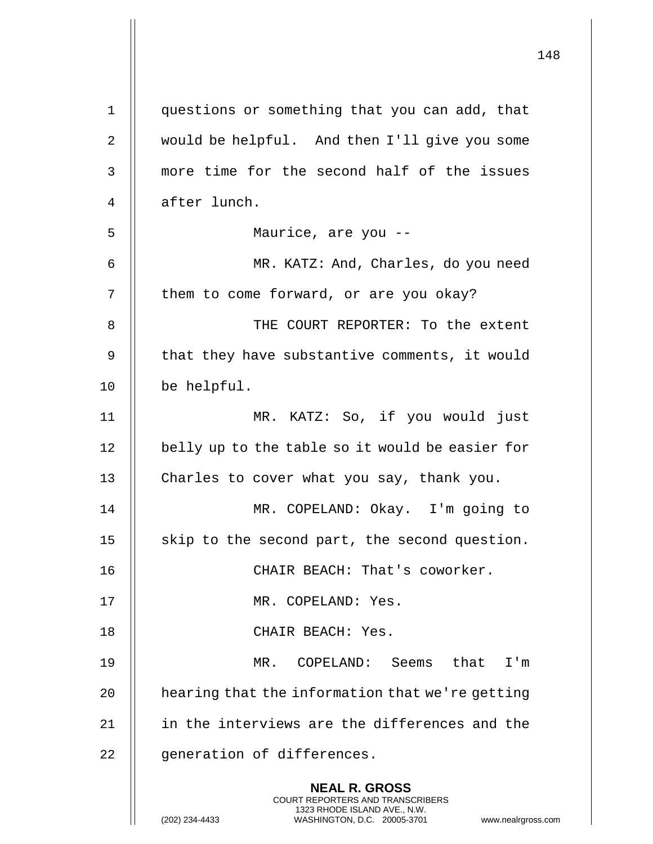|                |                                                                                                                                                                        | 148 |
|----------------|------------------------------------------------------------------------------------------------------------------------------------------------------------------------|-----|
| $\mathbf 1$    | questions or something that you can add, that                                                                                                                          |     |
| 2              | would be helpful. And then I'll give you some                                                                                                                          |     |
| 3              | more time for the second half of the issues                                                                                                                            |     |
| $\overline{4}$ | after lunch.                                                                                                                                                           |     |
| 5              | Maurice, are you --                                                                                                                                                    |     |
| 6              | MR. KATZ: And, Charles, do you need                                                                                                                                    |     |
| 7              | them to come forward, or are you okay?                                                                                                                                 |     |
| 8              | THE COURT REPORTER: To the extent                                                                                                                                      |     |
| 9              | that they have substantive comments, it would                                                                                                                          |     |
| 10             | be helpful.                                                                                                                                                            |     |
| 11             | MR. KATZ: So, if you would just                                                                                                                                        |     |
| 12             | belly up to the table so it would be easier for                                                                                                                        |     |
| 13             | Charles to cover what you say, thank you.                                                                                                                              |     |
| 14             | MR. COPELAND: Okay. I'm going to                                                                                                                                       |     |
| 15             | skip to the second part, the second question.                                                                                                                          |     |
| 16             | CHAIR BEACH: That's coworker.                                                                                                                                          |     |
| 17             | MR. COPELAND: Yes.                                                                                                                                                     |     |
| 18             | CHAIR BEACH: Yes.                                                                                                                                                      |     |
| 19             | MR. COPELAND: Seems that I'm                                                                                                                                           |     |
| 20             | hearing that the information that we're getting                                                                                                                        |     |
| 21             | in the interviews are the differences and the                                                                                                                          |     |
| 22             | generation of differences.                                                                                                                                             |     |
|                | <b>NEAL R. GROSS</b><br><b>COURT REPORTERS AND TRANSCRIBERS</b><br>1323 RHODE ISLAND AVE., N.W.<br>(202) 234-4433<br>WASHINGTON, D.C. 20005-3701<br>www.nealrgross.com |     |

 $\mathsf{I}$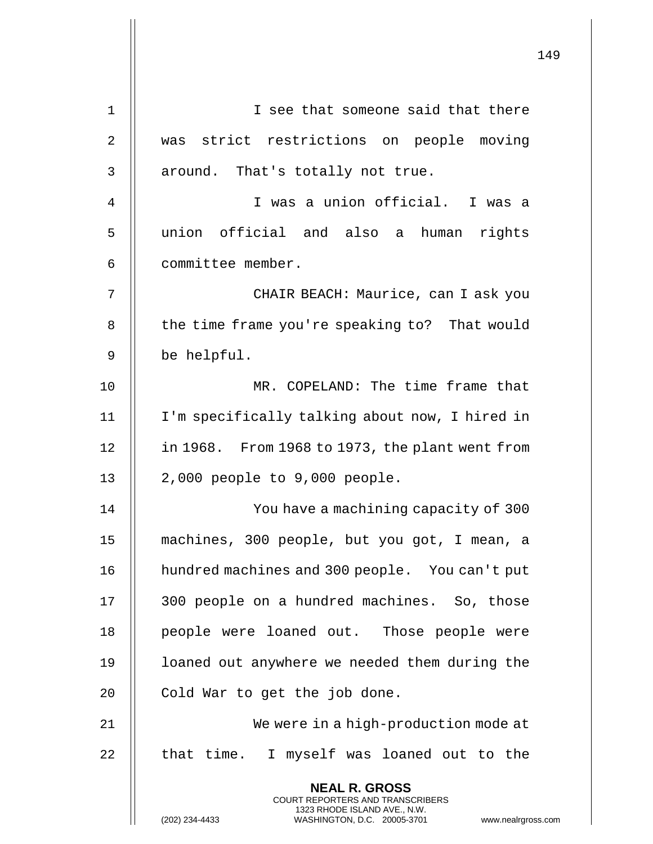|                |                                                                                          | 149 |
|----------------|------------------------------------------------------------------------------------------|-----|
| 1              | I see that someone said that there                                                       |     |
| $\overline{2}$ | was strict restrictions on people moving                                                 |     |
|                |                                                                                          |     |
| 3              | around. That's totally not true.                                                         |     |
| 4              | I was a union official. I was a                                                          |     |
| 5              | union official and also a human rights                                                   |     |
| 6              | committee member.                                                                        |     |
| 7              | CHAIR BEACH: Maurice, can I ask you                                                      |     |
| 8              | the time frame you're speaking to? That would                                            |     |
| 9              | be helpful.                                                                              |     |
| 10             | MR. COPELAND: The time frame that                                                        |     |
| 11             | I'm specifically talking about now, I hired in                                           |     |
| 12             | in 1968. From 1968 to 1973, the plant went from                                          |     |
| 13             | $2,000$ people to $9,000$ people.                                                        |     |
| 14             | You have a machining capacity of 300                                                     |     |
| 15             | machines, 300 people, but you got, I mean, a                                             |     |
| 16             | hundred machines and 300 people. You can't put                                           |     |
| 17             | 300 people on a hundred machines. So, those                                              |     |
| 18             | people were loaned out. Those people were                                                |     |
| 19             | loaned out anywhere we needed them during the                                            |     |
| 20             | Cold War to get the job done.                                                            |     |
| 21             | We were in a high-production mode at                                                     |     |
| 22             | that time. I myself was loaned out to the                                                |     |
|                | <b>NEAL R. GROSS</b><br>COURT REPORTERS AND TRANSCRIBERS<br>1323 RHODE ISLAND AVE., N.W. |     |
|                | (202) 234-4433<br>WASHINGTON, D.C. 20005-3701<br>www.nealrgross.com                      |     |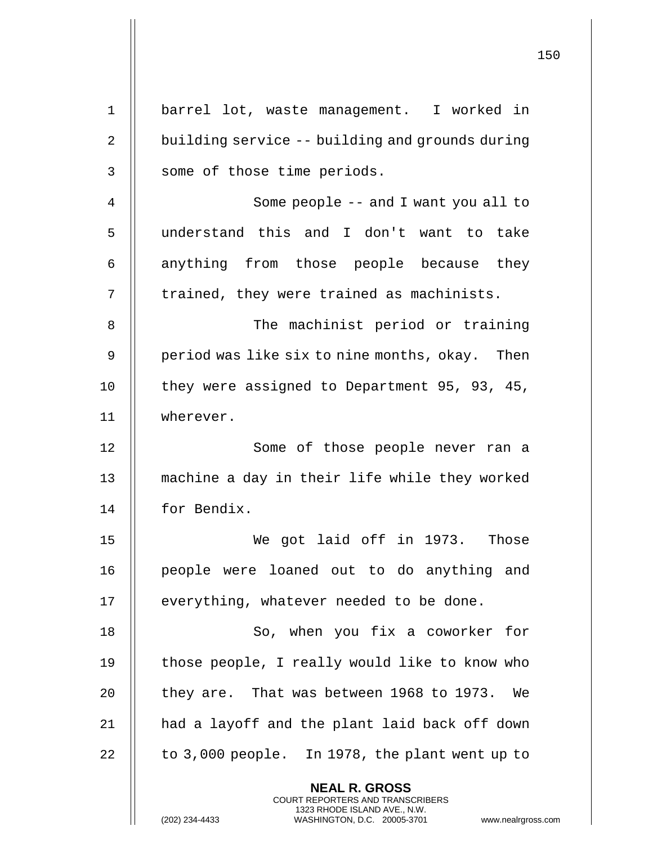|             | 150                                                                                                                                                             |
|-------------|-----------------------------------------------------------------------------------------------------------------------------------------------------------------|
|             |                                                                                                                                                                 |
| $\mathbf 1$ | barrel lot, waste management. I worked in                                                                                                                       |
| 2           | building service -- building and grounds during                                                                                                                 |
| 3           | some of those time periods.                                                                                                                                     |
| 4           | Some people $-$ and I want you all to                                                                                                                           |
| 5           | understand this and I don't want to take                                                                                                                        |
| 6           | anything from those people because they                                                                                                                         |
| 7           | trained, they were trained as machinists.                                                                                                                       |
| 8           | The machinist period or training                                                                                                                                |
| 9           | period was like six to nine months, okay. Then                                                                                                                  |
| 10          | they were assigned to Department 95, 93, 45,                                                                                                                    |
| 11          | wherever.                                                                                                                                                       |
| 12          | Some of those people never ran a                                                                                                                                |
| 13          | machine a day in their life while they worked                                                                                                                   |
| 14          | for Bendix.                                                                                                                                                     |
| 15          | We got laid off in 1973. Those                                                                                                                                  |
| 16          | people were loaned out to do anything and                                                                                                                       |
| 17          | everything, whatever needed to be done.                                                                                                                         |
| 18          | So, when you fix a coworker for                                                                                                                                 |
| 19          | those people, I really would like to know who                                                                                                                   |
| 20          | they are. That was between 1968 to 1973. We                                                                                                                     |
| 21          | had a layoff and the plant laid back off down                                                                                                                   |
| 22          | to 3,000 people. In 1978, the plant went up to                                                                                                                  |
|             | <b>NEAL R. GROSS</b><br>COURT REPORTERS AND TRANSCRIBERS<br>1323 RHODE ISLAND AVE., N.W.<br>(202) 234-4433<br>WASHINGTON, D.C. 20005-3701<br>www.nealrgross.com |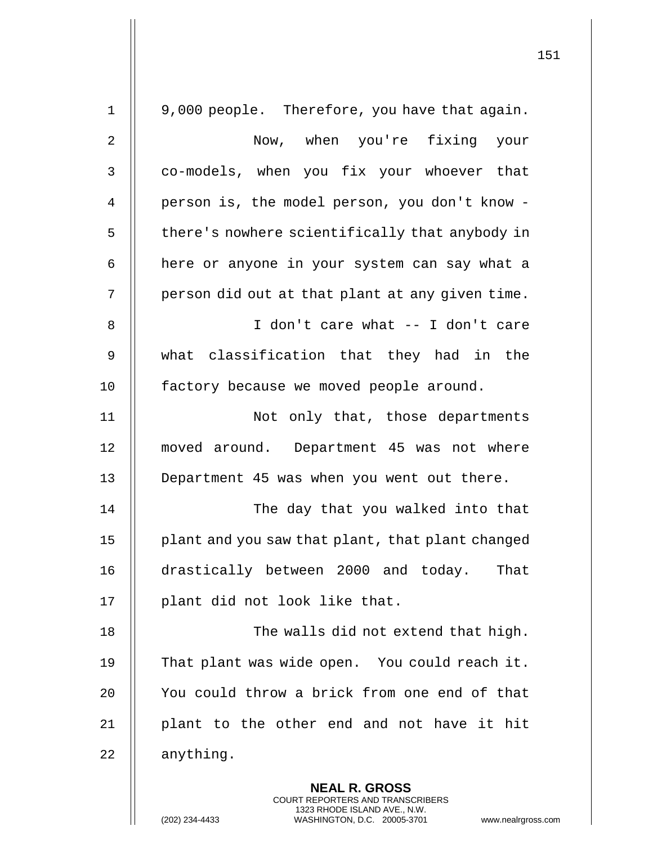|              | 151                                                                                                                                                                    |
|--------------|------------------------------------------------------------------------------------------------------------------------------------------------------------------------|
| $\mathbf{1}$ | 9,000 people. Therefore, you have that again.                                                                                                                          |
| 2            | Now, when you're fixing your                                                                                                                                           |
| 3            | co-models, when you fix your whoever that                                                                                                                              |
| 4            | person is, the model person, you don't know -                                                                                                                          |
| 5            | there's nowhere scientifically that anybody in                                                                                                                         |
| 6            | here or anyone in your system can say what a                                                                                                                           |
| 7            | person did out at that plant at any given time.                                                                                                                        |
| 8            | I don't care what -- I don't care                                                                                                                                      |
| 9            | what classification that they had in the                                                                                                                               |
| 10           | factory because we moved people around.                                                                                                                                |
| 11           | Not only that, those departments                                                                                                                                       |
| 12           | moved around. Department 45 was not where                                                                                                                              |
| 13           | Department 45 was when you went out there.                                                                                                                             |
| 14           | The day that you walked into that                                                                                                                                      |
| 15           | plant and you saw that plant, that plant changed                                                                                                                       |
| 16           | drastically between 2000 and today. That                                                                                                                               |
| 17           | plant did not look like that.                                                                                                                                          |
| 18           | The walls did not extend that high.                                                                                                                                    |
| 19           | That plant was wide open. You could reach it.                                                                                                                          |
| 20           | You could throw a brick from one end of that                                                                                                                           |
| 21           | plant to the other end and not have it hit                                                                                                                             |
| 22           | anything.                                                                                                                                                              |
|              | <b>NEAL R. GROSS</b><br><b>COURT REPORTERS AND TRANSCRIBERS</b><br>1323 RHODE ISLAND AVE., N.W.<br>(202) 234-4433<br>WASHINGTON, D.C. 20005-3701<br>www.nealrgross.com |

 $\overline{\phantom{a}}$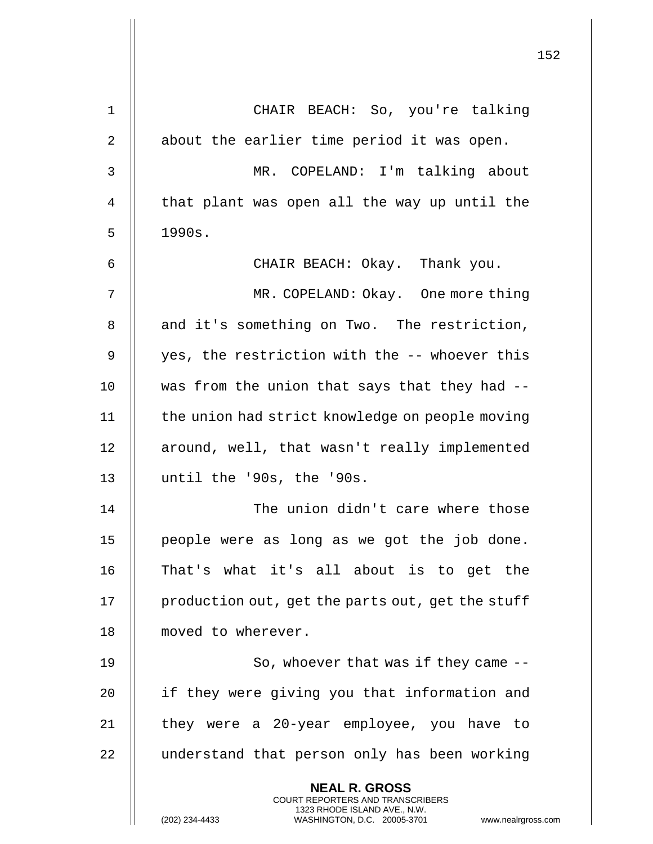|                |                                                                                          | 152 |
|----------------|------------------------------------------------------------------------------------------|-----|
|                |                                                                                          |     |
| 1              | CHAIR BEACH: So, you're talking                                                          |     |
| $\overline{2}$ | about the earlier time period it was open.                                               |     |
| 3              | MR. COPELAND: I'm talking about                                                          |     |
| 4              | that plant was open all the way up until the                                             |     |
| 5              | 1990s.                                                                                   |     |
| 6              | CHAIR BEACH: Okay. Thank you.                                                            |     |
| 7              | MR. COPELAND: Okay. One more thing                                                       |     |
| 8              | and it's something on Two. The restriction,                                              |     |
| 9              | yes, the restriction with the -- whoever this                                            |     |
| 10             | was from the union that says that they had --                                            |     |
| 11             | the union had strict knowledge on people moving                                          |     |
| 12             | around, well, that wasn't really implemented                                             |     |
| 13             | until the '90s, the '90s.                                                                |     |
| 14             | The union didn't care where those                                                        |     |
| 15             | people were as long as we got the job done.                                              |     |
| 16             | That's what it's all about is to get the                                                 |     |
| 17             | production out, get the parts out, get the stuff                                         |     |
| 18             | moved to wherever.                                                                       |     |
| 19             | So, whoever that was if they came --                                                     |     |
| 20             | if they were giving you that information and                                             |     |
| 21             | they were a 20-year employee, you have to                                                |     |
| 22             | understand that person only has been working                                             |     |
|                | <b>NEAL R. GROSS</b><br>COURT REPORTERS AND TRANSCRIBERS<br>1323 RHODE ISLAND AVE., N.W. |     |
|                | (202) 234-4433<br>WASHINGTON, D.C. 20005-3701<br>www.nealrgross.com                      |     |

 $\mathbf{I}$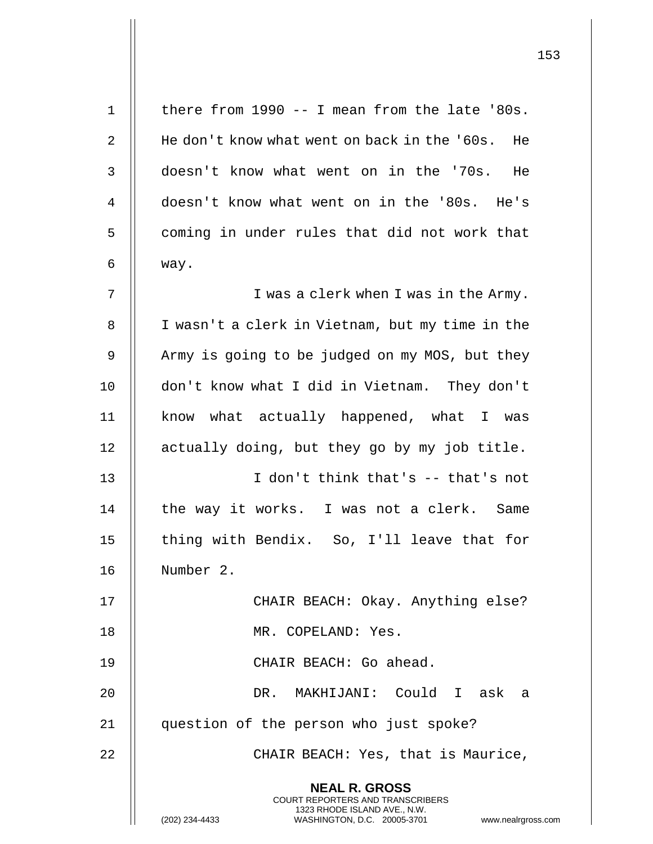| $\mathbf 1$ | there from 1990 -- I mean from the late '80s.                                                       |
|-------------|-----------------------------------------------------------------------------------------------------|
| 2           | He don't know what went on back in the '60s. He                                                     |
| 3           | doesn't know what went on in the '70s. He                                                           |
| 4           | doesn't know what went on in the '80s. He's                                                         |
| 5           | coming in under rules that did not work that                                                        |
| 6           | way.                                                                                                |
| 7           | I was a clerk when I was in the Army.                                                               |
| 8           | I wasn't a clerk in Vietnam, but my time in the                                                     |
| 9           | Army is going to be judged on my MOS, but they                                                      |
| 10          | don't know what I did in Vietnam. They don't                                                        |
| 11          | know what actually happened, what I was                                                             |
| 12          | actually doing, but they go by my job title.                                                        |
| 13          | I don't think that's -- that's not                                                                  |
| 14          | the way it works. I was not a clerk. Same                                                           |
| 15          | thing with Bendix. So, I'll leave that for                                                          |
| 16          | Number 2.                                                                                           |
| 17          | CHAIR BEACH: Okay. Anything else?                                                                   |
| 18          | MR. COPELAND: Yes.                                                                                  |
| 19          | CHAIR BEACH: Go ahead.                                                                              |
| 20          | DR. MAKHIJANI: Could I ask a                                                                        |
| 21          | question of the person who just spoke?                                                              |
| 22          | CHAIR BEACH: Yes, that is Maurice,                                                                  |
|             | <b>NEAL R. GROSS</b><br>COURT REPORTERS AND TRANSCRIBERS                                            |
|             | 1323 RHODE ISLAND AVE., N.W.<br>(202) 234-4433<br>WASHINGTON, D.C. 20005-3701<br>www.nealrgross.com |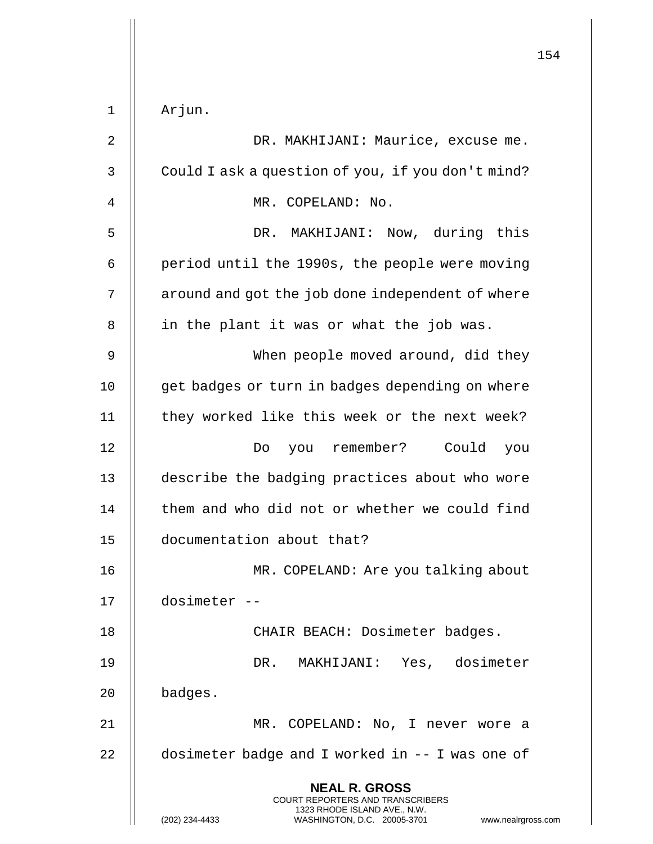|                |                                                                                                                                                                        | 154 |
|----------------|------------------------------------------------------------------------------------------------------------------------------------------------------------------------|-----|
| $\mathbf 1$    | Arjun.                                                                                                                                                                 |     |
| $\overline{2}$ | DR. MAKHIJANI: Maurice, excuse me.                                                                                                                                     |     |
| 3              | Could I ask a question of you, if you don't mind?                                                                                                                      |     |
| $\overline{4}$ | MR. COPELAND: No.                                                                                                                                                      |     |
| 5              | DR. MAKHIJANI: Now, during this                                                                                                                                        |     |
| 6              | period until the 1990s, the people were moving                                                                                                                         |     |
| 7              | around and got the job done independent of where                                                                                                                       |     |
| 8              | in the plant it was or what the job was.                                                                                                                               |     |
| 9              | When people moved around, did they                                                                                                                                     |     |
| 10             | get badges or turn in badges depending on where                                                                                                                        |     |
| 11             | they worked like this week or the next week?                                                                                                                           |     |
| 12             | you remember?<br>Could<br>Do<br>you                                                                                                                                    |     |
| 13             | describe the badging practices about who wore                                                                                                                          |     |
| 14             | them and who did not or whether we could find                                                                                                                          |     |
| 15             | documentation about that?                                                                                                                                              |     |
| 16             | MR. COPELAND: Are you talking about                                                                                                                                    |     |
| 17             | dosimeter --                                                                                                                                                           |     |
| 18             | CHAIR BEACH: Dosimeter badges.                                                                                                                                         |     |
| 19             | DR. MAKHIJANI: Yes, dosimeter                                                                                                                                          |     |
| 20             | badges.                                                                                                                                                                |     |
| 21             | MR. COPELAND: No, I never wore a                                                                                                                                       |     |
| 22             | dosimeter badge and I worked in -- I was one of                                                                                                                        |     |
|                | <b>NEAL R. GROSS</b><br><b>COURT REPORTERS AND TRANSCRIBERS</b><br>1323 RHODE ISLAND AVE., N.W.<br>WASHINGTON, D.C. 20005-3701<br>(202) 234-4433<br>www.nealrgross.com |     |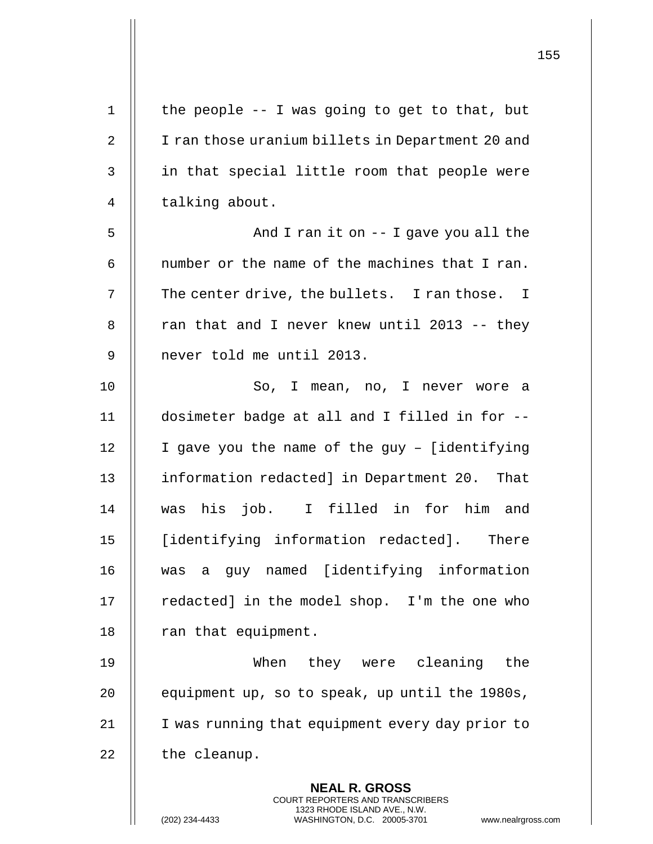| $\mathbf 1$    | the people -- I was going to get to that, but                                                                                                              |
|----------------|------------------------------------------------------------------------------------------------------------------------------------------------------------|
| 2              | I ran those uranium billets in Department 20 and                                                                                                           |
| $\mathsf{3}$   | in that special little room that people were                                                                                                               |
| $\overline{4}$ | talking about.                                                                                                                                             |
| 5              | And I ran it on $-$ I gave you all the                                                                                                                     |
| 6              | number or the name of the machines that I ran.                                                                                                             |
| 7              | The center drive, the bullets. I ran those. I                                                                                                              |
| 8              | ran that and I never knew until 2013 -- they                                                                                                               |
| 9              | never told me until 2013.                                                                                                                                  |
| 10             | So, I mean, no, I never wore a                                                                                                                             |
| 11             | dosimeter badge at all and I filled in for --                                                                                                              |
| 12             | I gave you the name of the guy - [identifying                                                                                                              |
| 13             | information redacted] in Department 20. That                                                                                                               |
| 14             | was his job. I filled in for him and                                                                                                                       |
| 15             | [identifying information redacted]. There                                                                                                                  |
| 16             | was a guy named [identifying information                                                                                                                   |
| 17             | redacted] in the model shop. I'm the one who                                                                                                               |
| 18             | ran that equipment.                                                                                                                                        |
| 19             | When they were cleaning<br>the                                                                                                                             |
| 20             | equipment up, so to speak, up until the 1980s,                                                                                                             |
| 21             | I was running that equipment every day prior to                                                                                                            |
| 22             | the cleanup.                                                                                                                                               |
|                | <b>NEAL R. GROSS</b><br>COURT REPORTERS AND TRANSCRIBERS<br>1323 RHODE ISLAND AVE., N.W.<br>(202) 234-4433<br>WASHINGTON, D.C. 20005-3701<br>www.nealrgros |

 $\mathsf{I}$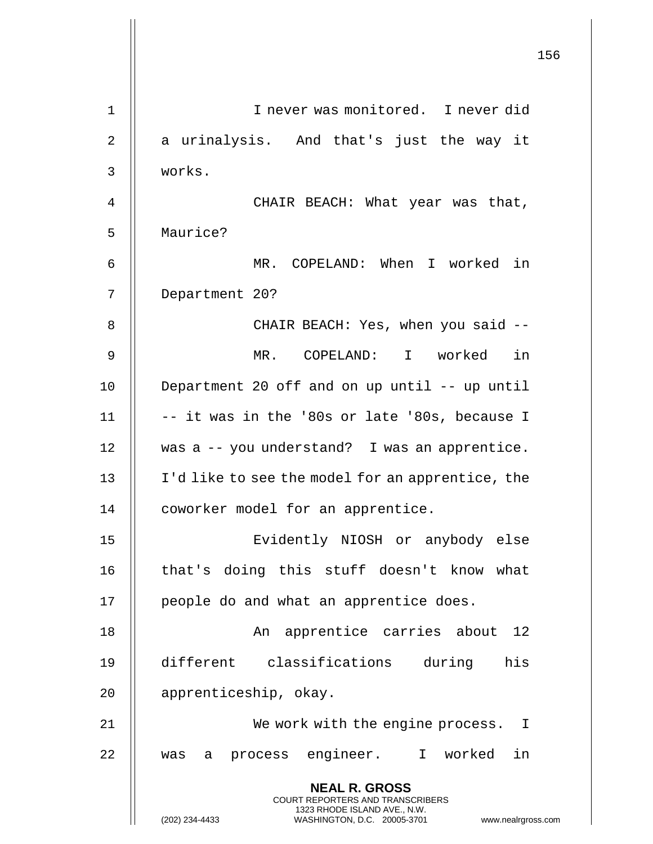|    | 156                                                                                                                                                                    |
|----|------------------------------------------------------------------------------------------------------------------------------------------------------------------------|
| 1  | I never was monitored. I never did                                                                                                                                     |
| 2  | a urinalysis. And that's just the way it                                                                                                                               |
| 3  | works.                                                                                                                                                                 |
| 4  | CHAIR BEACH: What year was that,                                                                                                                                       |
| 5  | Maurice?                                                                                                                                                               |
| 6  | MR. COPELAND: When I worked in                                                                                                                                         |
| 7  | Department 20?                                                                                                                                                         |
| 8  | CHAIR BEACH: Yes, when you said --                                                                                                                                     |
|    | in                                                                                                                                                                     |
| 9  | MR. COPELAND: I worked                                                                                                                                                 |
| 10 | Department 20 off and on up until -- up until                                                                                                                          |
| 11 | -- it was in the '80s or late '80s, because I                                                                                                                          |
| 12 | was a -- you understand? I was an apprentice.                                                                                                                          |
| 13 | I'd like to see the model for an apprentice, the                                                                                                                       |
| 14 | coworker model for an apprentice.                                                                                                                                      |
| 15 | Evidently NIOSH or anybody else                                                                                                                                        |
| 16 | that's doing this stuff doesn't know what                                                                                                                              |
| 17 | people do and what an apprentice does.                                                                                                                                 |
| 18 | An apprentice carries about 12                                                                                                                                         |
| 19 | different classifications during his                                                                                                                                   |
| 20 | apprenticeship, okay.                                                                                                                                                  |
| 21 | We work with the engine process. I                                                                                                                                     |
| 22 | process engineer. I worked in<br>was<br>a                                                                                                                              |
|    | <b>NEAL R. GROSS</b><br><b>COURT REPORTERS AND TRANSCRIBERS</b><br>1323 RHODE ISLAND AVE., N.W.<br>(202) 234-4433<br>WASHINGTON, D.C. 20005-3701<br>www.nealrgross.com |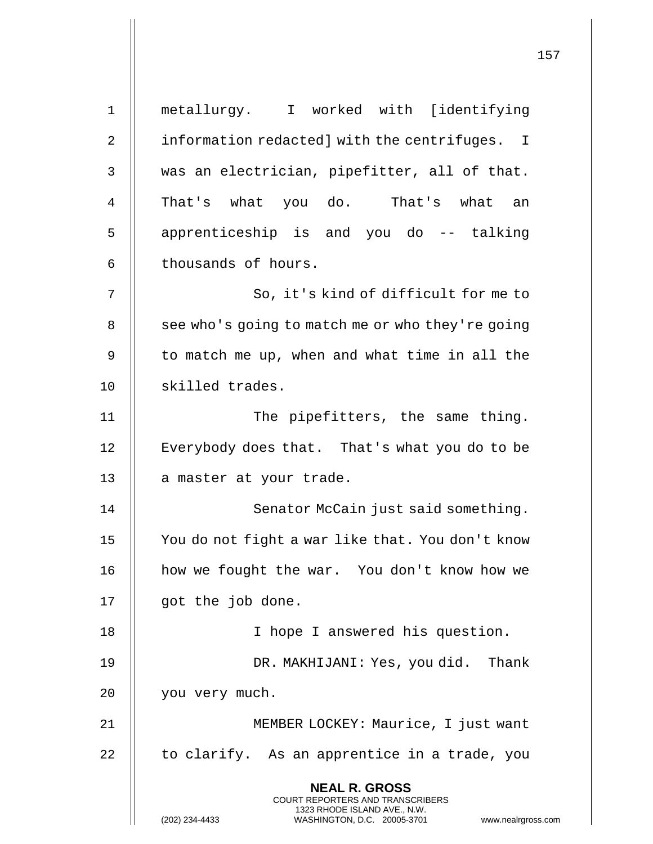**NEAL R. GROSS** COURT REPORTERS AND TRANSCRIBERS 1323 RHODE ISLAND AVE., N.W. (202) 234-4433 WASHINGTON, D.C. 20005-3701 www.nealrgross.com 1 metallurgy. I worked with [identifying 2 | information redacted] with the centrifuges. I  $3$   $\parallel$  was an electrician, pipefitter, all of that. 4 || That's what you do. That's what an 5 || apprenticeship is and you do -- talking  $6$  | thousands of hours. 7 || So, it's kind of difficult for me to 8 | see who's going to match me or who they're going  $9$   $\parallel$  to match me up, when and what time in all the 10 || skilled trades. 11 || The pipefitters, the same thing. 12 | Everybody does that. That's what you do to be 13 | a master at your trade. 14 || Senator McCain just said something. 15 You do not fight a war like that. You don't know 16 | how we fought the war. You don't know how we 17 || got the job done. 18 || I hope I answered his question. 19 || DR. MAKHIJANI: Yes, you did. Thank 20 || you very much. 21 || MEMBER LOCKEY: Maurice, I just want  $22$  || to clarify. As an apprentice in a trade, you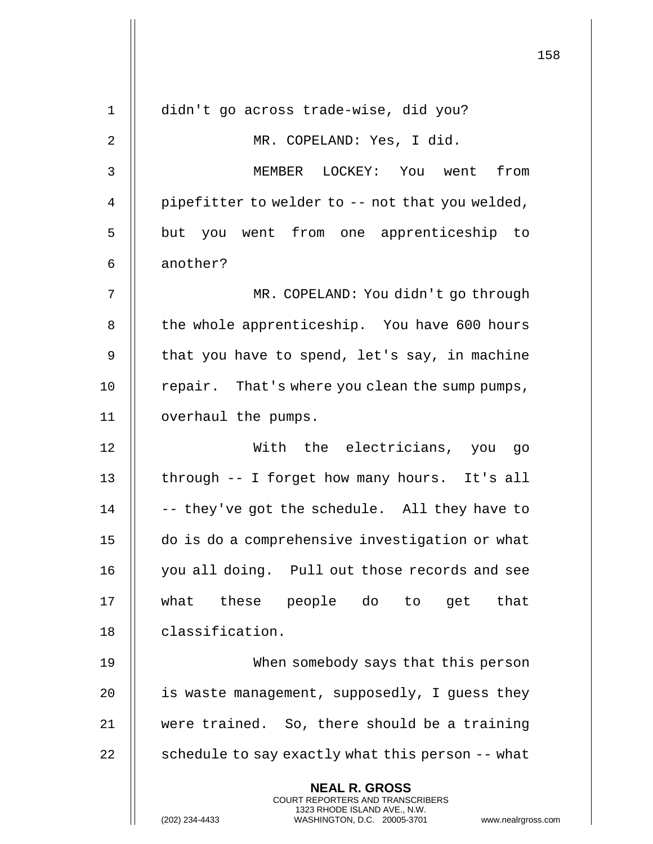|              |                                                                                                                                                              | 158 |
|--------------|--------------------------------------------------------------------------------------------------------------------------------------------------------------|-----|
| $\mathbf{1}$ | didn't go across trade-wise, did you?                                                                                                                        |     |
| 2            | MR. COPELAND: Yes, I did.                                                                                                                                    |     |
| 3            | LOCKEY: You went<br>MEMBER<br>from                                                                                                                           |     |
| 4            | pipefitter to welder to -- not that you welded,                                                                                                              |     |
|              |                                                                                                                                                              |     |
| 5            | but you went from one apprenticeship to                                                                                                                      |     |
| 6            | another?                                                                                                                                                     |     |
| 7            | MR. COPELAND: You didn't go through                                                                                                                          |     |
| 8            | the whole apprenticeship. You have 600 hours                                                                                                                 |     |
| 9            | that you have to spend, let's say, in machine                                                                                                                |     |
| 10           | repair. That's where you clean the sump pumps,                                                                                                               |     |
| 11           | overhaul the pumps.                                                                                                                                          |     |
| 12           | With the electricians, you go                                                                                                                                |     |
| 13           | through -- I forget how many hours. It's all                                                                                                                 |     |
| 14           | -- they've got the schedule. All they have to                                                                                                                |     |
| 15           | do is do a comprehensive investigation or what                                                                                                               |     |
| 16           | you all doing. Pull out those records and see                                                                                                                |     |
| 17           | what these people do to get<br>that                                                                                                                          |     |
| 18           | classification.                                                                                                                                              |     |
| 19           | When somebody says that this person                                                                                                                          |     |
| 20           | is waste management, supposedly, I guess they                                                                                                                |     |
| 21           | were trained. So, there should be a training                                                                                                                 |     |
| 22           | schedule to say exactly what this person -- what                                                                                                             |     |
|              | <b>NEAL R. GROSS</b><br>COURT REPORTERS AND TRANSCRIBERS<br>1323 RHODE ISLAND AVE., N.W.<br>(202) 234-4433<br>WASHINGTON, D.C. 20005-3701 www.nealrgross.com |     |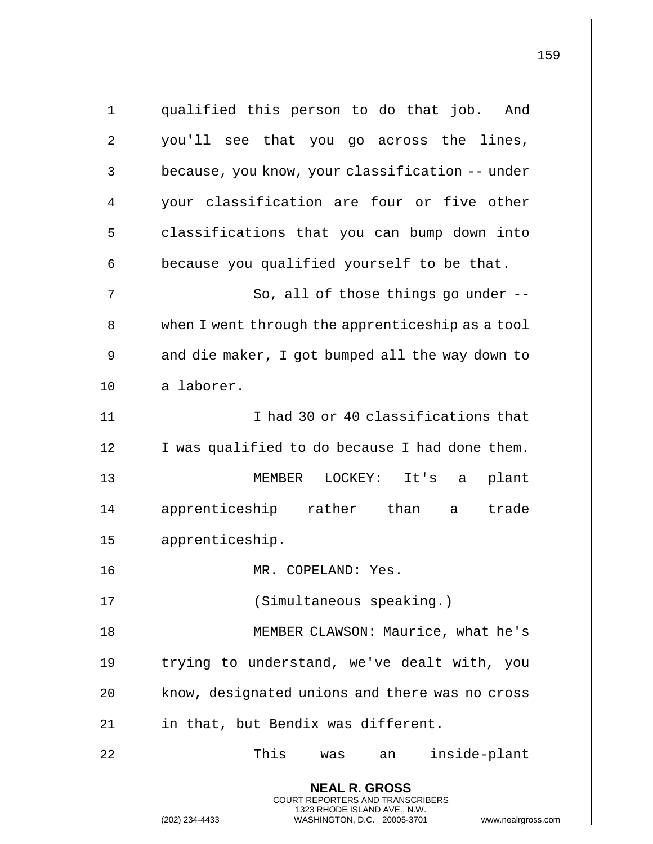**NEAL R. GROSS** COURT REPORTERS AND TRANSCRIBERS 1323 RHODE ISLAND AVE., N.W. (202) 234-4433 WASHINGTON, D.C. 20005-3701 www.nealrgross.com 1 qualified this person to do that job. And 2 || you'll see that you go across the lines, 3 | because, you know, your classification -- under 4 || your classification are four or five other 5 | classifications that you can bump down into  $6$  | because you qualified yourself to be that. 7 || So, all of those things go under --8 When I went through the apprenticeship as a tool 9  $\parallel$  and die maker, I got bumped all the way down to 10 || a laborer. 11 || I had 30 or 40 classifications that 12 | I was qualified to do because I had done them. 13 MEMBER LOCKEY: It's a plant 14 || apprenticeship rather than a trade 15 apprenticeship. 16 MR. COPELAND: Yes. 17 (Simultaneous speaking.) 18 || MEMBER CLAWSON: Maurice, what he's 19 || trying to understand, we've dealt with, you 20 | know, designated unions and there was no cross 21 | in that, but Bendix was different. 22 This was an inside-plant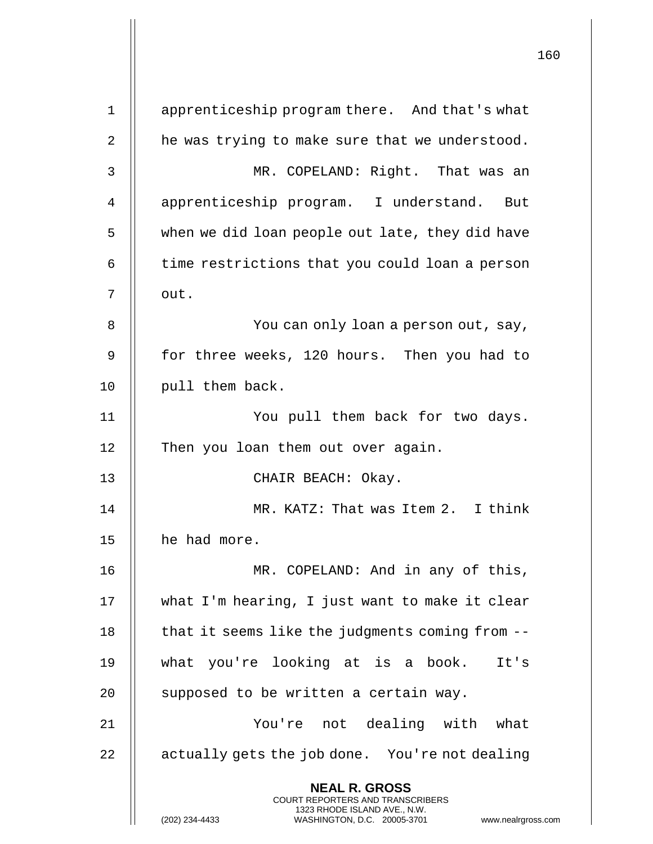|             |                                                                                                                                                                 | 160 |
|-------------|-----------------------------------------------------------------------------------------------------------------------------------------------------------------|-----|
| $\mathbf 1$ | apprenticeship program there. And that's what                                                                                                                   |     |
| 2           | he was trying to make sure that we understood.                                                                                                                  |     |
| 3           | MR. COPELAND: Right. That was an                                                                                                                                |     |
| 4           | apprenticeship program. I understand. But                                                                                                                       |     |
| 5           | when we did loan people out late, they did have                                                                                                                 |     |
| 6           | time restrictions that you could loan a person                                                                                                                  |     |
| 7           | out.                                                                                                                                                            |     |
| 8           | You can only loan a person out, say,                                                                                                                            |     |
| 9           | for three weeks, 120 hours. Then you had to                                                                                                                     |     |
| 10          | pull them back.                                                                                                                                                 |     |
| 11          | You pull them back for two days.                                                                                                                                |     |
| 12          | Then you loan them out over again.                                                                                                                              |     |
| 13          | CHAIR BEACH: Okay.                                                                                                                                              |     |
| 14          | MR. KATZ: That was Item 2. I think                                                                                                                              |     |
| 15          | he had more.                                                                                                                                                    |     |
| 16          | MR. COPELAND: And in any of this,                                                                                                                               |     |
| 17          | what I'm hearing, I just want to make it clear                                                                                                                  |     |
| 18          | that it seems like the judgments coming from --                                                                                                                 |     |
| 19          | what you're looking at is a book. It's                                                                                                                          |     |
| 20          | supposed to be written a certain way.                                                                                                                           |     |
| 21          | You're not dealing with what                                                                                                                                    |     |
| 22          | actually gets the job done. You're not dealing                                                                                                                  |     |
|             | <b>NEAL R. GROSS</b><br>COURT REPORTERS AND TRANSCRIBERS<br>1323 RHODE ISLAND AVE., N.W.<br>(202) 234-4433<br>WASHINGTON, D.C. 20005-3701<br>www.nealrgross.com |     |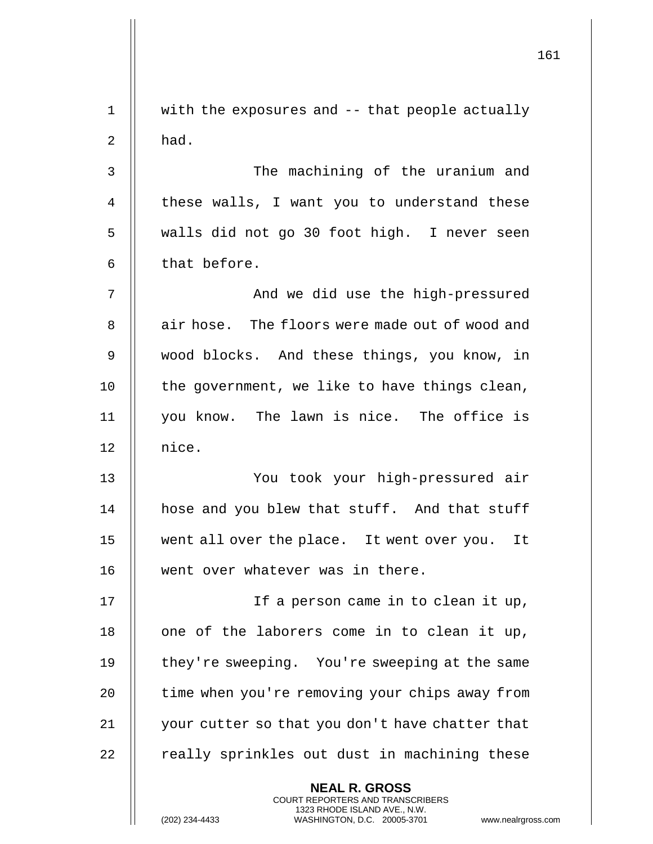|             |                                                                                                                                                | 161 |
|-------------|------------------------------------------------------------------------------------------------------------------------------------------------|-----|
| $\mathbf 1$ | with the exposures and -- that people actually                                                                                                 |     |
| 2           | had.                                                                                                                                           |     |
| 3           | The machining of the uranium and                                                                                                               |     |
| 4           | these walls, I want you to understand these                                                                                                    |     |
| 5           | walls did not go 30 foot high. I never seen                                                                                                    |     |
| 6           | that before.                                                                                                                                   |     |
| 7           | And we did use the high-pressured                                                                                                              |     |
| 8           | air hose. The floors were made out of wood and                                                                                                 |     |
| 9           | wood blocks. And these things, you know, in                                                                                                    |     |
| 10          | the government, we like to have things clean,                                                                                                  |     |
| 11          | you know. The lawn is nice. The office is                                                                                                      |     |
| 12          | nice.                                                                                                                                          |     |
| 13          | You took your high-pressured air                                                                                                               |     |
| 14          | hose and you blew that stuff. And that stuff                                                                                                   |     |
| 15          | went all over the place. It went over you. It                                                                                                  |     |
| 16          | went over whatever was in there.                                                                                                               |     |
| 17          | If a person came in to clean it up,                                                                                                            |     |
| 18          | one of the laborers come in to clean it up,                                                                                                    |     |
| 19          | they're sweeping. You're sweeping at the same                                                                                                  |     |
| 20          | time when you're removing your chips away from                                                                                                 |     |
| 21          | your cutter so that you don't have chatter that                                                                                                |     |
| 22          | really sprinkles out dust in machining these                                                                                                   |     |
|             | <b>NEAL R. GROSS</b>                                                                                                                           |     |
|             | <b>COURT REPORTERS AND TRANSCRIBERS</b><br>1323 RHODE ISLAND AVE., N.W.<br>(202) 234-4433<br>WASHINGTON, D.C. 20005-3701<br>www.nealrgross.com |     |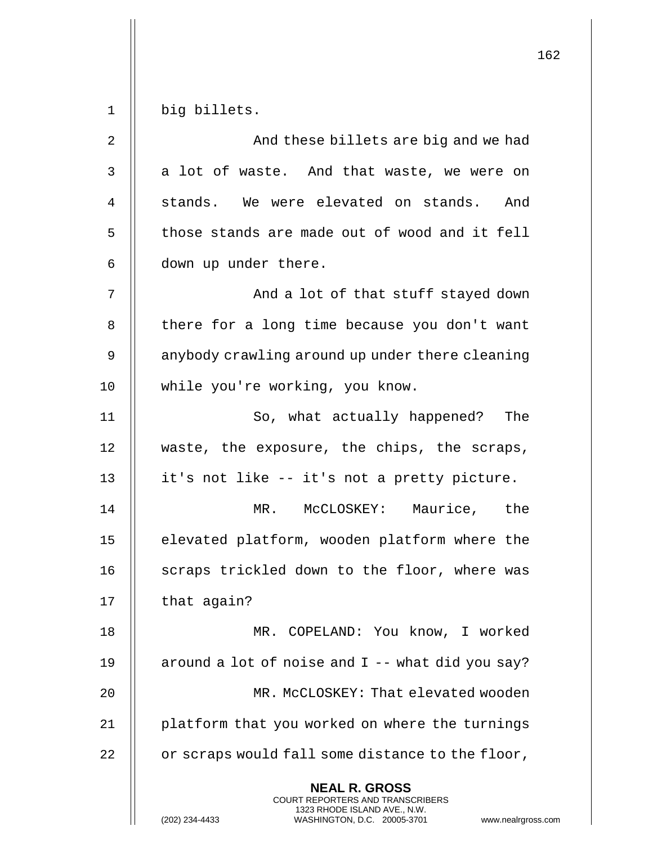162 **NEAL R. GROSS** COURT REPORTERS AND TRANSCRIBERS 1323 RHODE ISLAND AVE., N.W. 1 big billets. 2 And these billets are big and we had 3 || a lot of waste. And that waste, we were on 4 || stands. We were elevated on stands. And  $5$   $\parallel$  those stands are made out of wood and it fell 6 | down up under there. 7 And a lot of that stuff stayed down 8 | there for a long time because you don't want 9  $\parallel$  anybody crawling around up under there cleaning 10 || while you're working, you know. 11 || So, what actually happened? The 12 || waste, the exposure, the chips, the scraps, 13 || it's not like -- it's not a pretty picture. 14 MR. McCLOSKEY: Maurice, the 15 | elevated platform, wooden platform where the 16 || scraps trickled down to the floor, where was 17 || that again? 18 MR. COPELAND: You know, I worked 19  $\parallel$  around a lot of noise and I -- what did you say? 20 MR. McCLOSKEY: That elevated wooden 21 | platform that you worked on where the turnings  $22$  |  $\sigma$  scraps would fall some distance to the floor,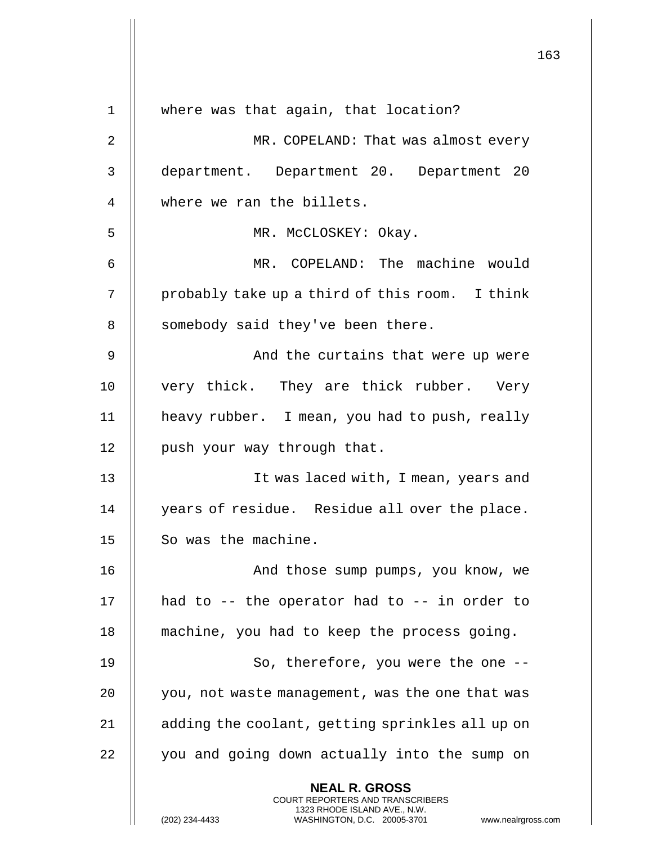|                |                                                                                          | 163 |
|----------------|------------------------------------------------------------------------------------------|-----|
| $\mathbf 1$    | where was that again, that location?                                                     |     |
|                |                                                                                          |     |
| $\overline{2}$ | MR. COPELAND: That was almost every                                                      |     |
| 3              | department. Department 20. Department 20                                                 |     |
| 4              | where we ran the billets.                                                                |     |
| 5              | MR. McCLOSKEY: Okay.                                                                     |     |
| 6              | MR. COPELAND: The machine would                                                          |     |
| 7              | probably take up a third of this room. I think                                           |     |
| 8              | somebody said they've been there.                                                        |     |
| 9              | And the curtains that were up were                                                       |     |
| 10             | very thick. They are thick rubber. Very                                                  |     |
| 11             | heavy rubber. I mean, you had to push, really                                            |     |
| 12             | push your way through that.                                                              |     |
| 13             | It was laced with, I mean, years and                                                     |     |
| 14             | years of residue. Residue all over the place.                                            |     |
| 15             | So was the machine.                                                                      |     |
| 16             | And those sump pumps, you know, we                                                       |     |
| 17             | had to $-$ - the operator had to $-$ - in order to                                       |     |
| 18             | machine, you had to keep the process going.                                              |     |
| 19             | So, therefore, you were the one --                                                       |     |
| 20             | you, not waste management, was the one that was                                          |     |
| 21             | adding the coolant, getting sprinkles all up on                                          |     |
| 22             | you and going down actually into the sump on                                             |     |
|                | <b>NEAL R. GROSS</b><br>COURT REPORTERS AND TRANSCRIBERS<br>1323 RHODE ISLAND AVE., N.W. |     |
|                | (202) 234-4433<br>WASHINGTON, D.C. 20005-3701<br>www.nealrgross.com                      |     |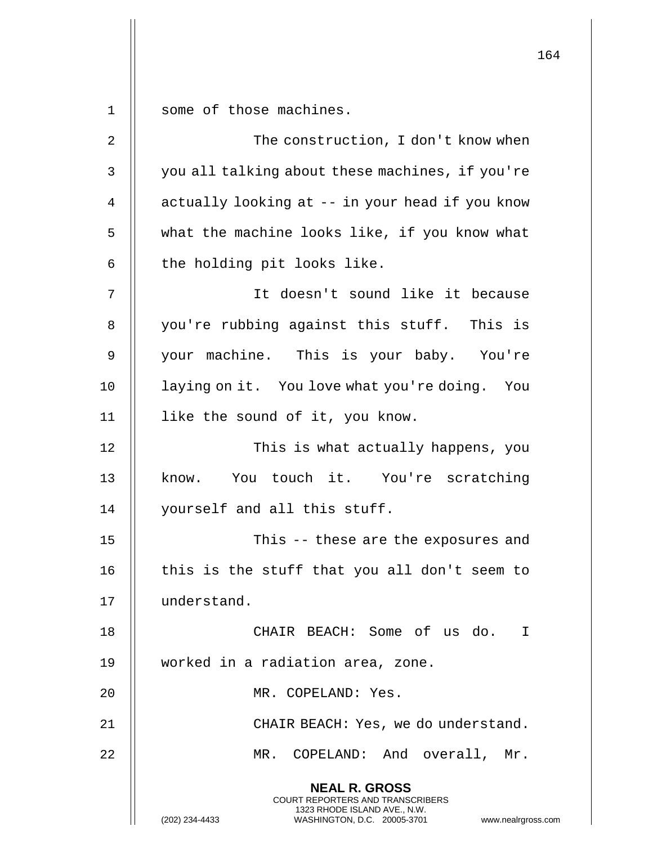1 | some of those machines.

| 2  | The construction, I don't know when                                                                                                                                    |
|----|------------------------------------------------------------------------------------------------------------------------------------------------------------------------|
| 3  | you all talking about these machines, if you're                                                                                                                        |
| 4  | actually looking at -- in your head if you know                                                                                                                        |
| 5  | what the machine looks like, if you know what                                                                                                                          |
| 6  | the holding pit looks like.                                                                                                                                            |
| 7  | It doesn't sound like it because                                                                                                                                       |
| 8  | you're rubbing against this stuff. This is                                                                                                                             |
| 9  | your machine. This is your baby. You're                                                                                                                                |
| 10 | laying on it. You love what you're doing. You                                                                                                                          |
| 11 | like the sound of it, you know.                                                                                                                                        |
| 12 | This is what actually happens, you                                                                                                                                     |
| 13 | know. You touch it. You're scratching                                                                                                                                  |
| 14 | yourself and all this stuff.                                                                                                                                           |
| 15 | This -- these are the exposures and                                                                                                                                    |
| 16 | this is the stuff that you all don't seem to                                                                                                                           |
| 17 | understand.                                                                                                                                                            |
| 18 | CHAIR BEACH: Some of us do. I                                                                                                                                          |
| 19 | worked in a radiation area, zone.                                                                                                                                      |
| 20 | MR. COPELAND: Yes.                                                                                                                                                     |
| 21 | CHAIR BEACH: Yes, we do understand.                                                                                                                                    |
| 22 | MR. COPELAND: And overall, Mr.                                                                                                                                         |
|    | <b>NEAL R. GROSS</b><br><b>COURT REPORTERS AND TRANSCRIBERS</b><br>1323 RHODE ISLAND AVE., N.W.<br>(202) 234-4433<br>WASHINGTON, D.C. 20005-3701<br>www.nealrgross.com |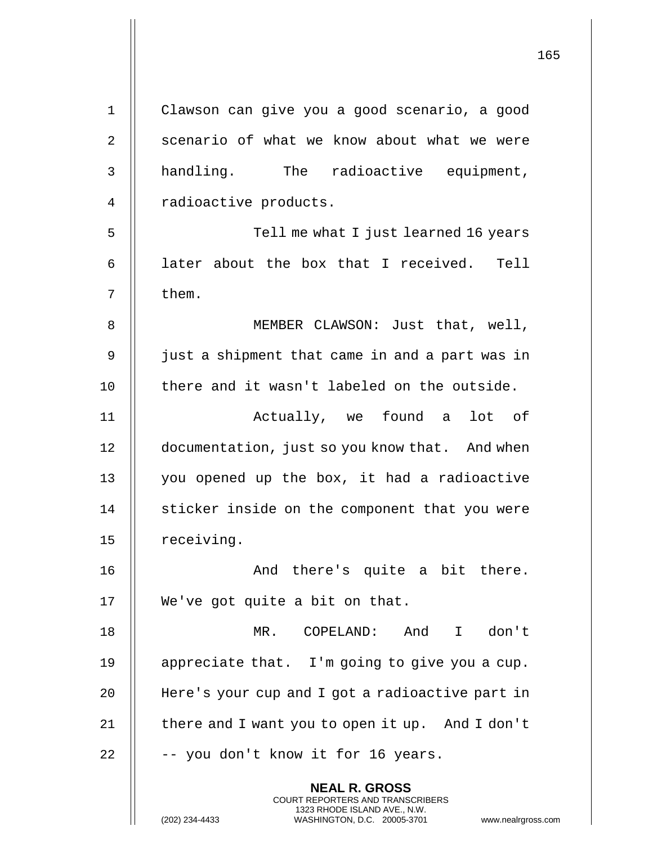| $\mathbf 1$    | Clawson can give you a good scenario, a good                                                    |
|----------------|-------------------------------------------------------------------------------------------------|
| $\overline{2}$ | scenario of what we know about what we were                                                     |
| 3              | handling. The radioactive equipment,                                                            |
| $\overline{4}$ | radioactive products.                                                                           |
| 5              | Tell me what I just learned 16 years                                                            |
| 6              | later about the box that I received. Tell                                                       |
| 7              | them.                                                                                           |
| 8              | MEMBER CLAWSON: Just that, well,                                                                |
| 9              | just a shipment that came in and a part was in                                                  |
| 10             | there and it wasn't labeled on the outside.                                                     |
| 11             | Actually, we found a lot of                                                                     |
| 12             | documentation, just so you know that. And when                                                  |
| 13             | you opened up the box, it had a radioactive                                                     |
| 14             | sticker inside on the component that you were                                                   |
| 15             | receiving.                                                                                      |
| 16             | And there's quite a bit there.                                                                  |
| 17             | We've got quite a bit on that.                                                                  |
| 18             | COPELAND:<br>And<br>don't<br>MR.<br>$\mathbf{I}$                                                |
| 19             | appreciate that. I'm going to give you a cup.                                                   |
| 20             | Here's your cup and I got a radioactive part in                                                 |
| 21             | there and I want you to open it up. And I don't                                                 |
| 22             | -- you don't know it for 16 years.                                                              |
|                | <b>NEAL R. GROSS</b><br>COURT REPORTERS AND TRANSCRIBERS                                        |
|                | 1323 RHODE ISLAND AVE., N.W.<br>(202) 234-4433<br>WASHINGTON, D.C. 20005-3701<br>www.nealrgross |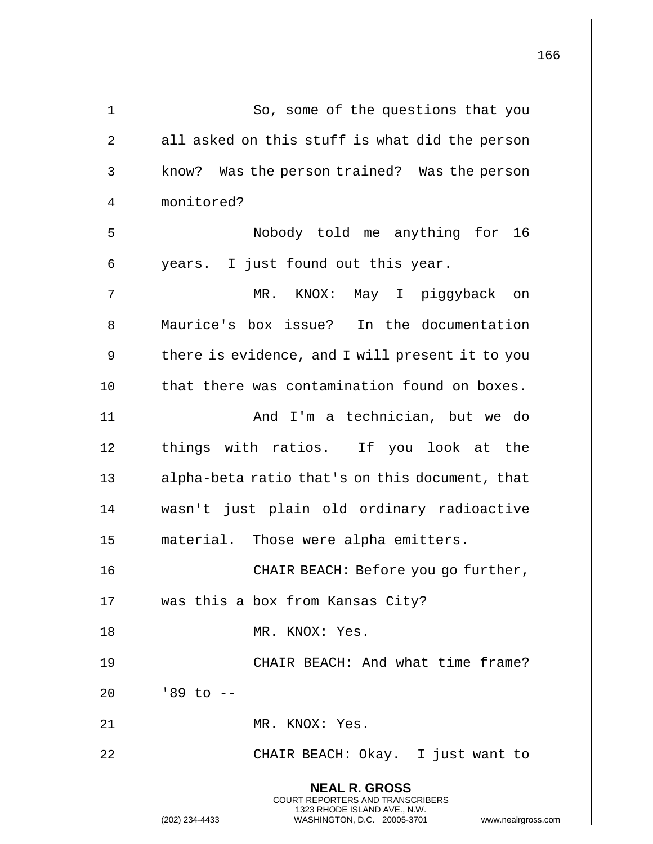|                | 166                                                                                                                                                                    |
|----------------|------------------------------------------------------------------------------------------------------------------------------------------------------------------------|
| $\mathbf{1}$   | So, some of the questions that you                                                                                                                                     |
| $\overline{2}$ | all asked on this stuff is what did the person                                                                                                                         |
|                |                                                                                                                                                                        |
| 3              | know? Was the person trained? Was the person                                                                                                                           |
| 4              | monitored?                                                                                                                                                             |
| 5              | Nobody told me anything for 16                                                                                                                                         |
| 6              | years. I just found out this year.                                                                                                                                     |
| 7              | MR.<br>KNOX: May I piggyback<br>on                                                                                                                                     |
| 8              | Maurice's box issue? In the documentation                                                                                                                              |
| 9              | there is evidence, and I will present it to you                                                                                                                        |
| 10             | that there was contamination found on boxes.                                                                                                                           |
| 11             | And I'm a technician, but we do                                                                                                                                        |
| 12             | things with ratios. If you look at the                                                                                                                                 |
| 13             | alpha-beta ratio that's on this document, that                                                                                                                         |
| 14             | wasn't just plain old ordinary radioactive                                                                                                                             |
| 15             | material. Those were alpha emitters.                                                                                                                                   |
| 16             | CHAIR BEACH: Before you go further,                                                                                                                                    |
| 17             | was this a box from Kansas City?                                                                                                                                       |
| 18             | MR. KNOX: Yes.                                                                                                                                                         |
| 19             | CHAIR BEACH: And what time frame?                                                                                                                                      |
| 20             | $'89$ to $-$                                                                                                                                                           |
| 21             | MR. KNOX: Yes.                                                                                                                                                         |
| 22             | CHAIR BEACH: Okay. I just want to                                                                                                                                      |
|                | <b>NEAL R. GROSS</b><br><b>COURT REPORTERS AND TRANSCRIBERS</b><br>1323 RHODE ISLAND AVE., N.W.<br>(202) 234-4433<br>WASHINGTON, D.C. 20005-3701<br>www.nealrgross.com |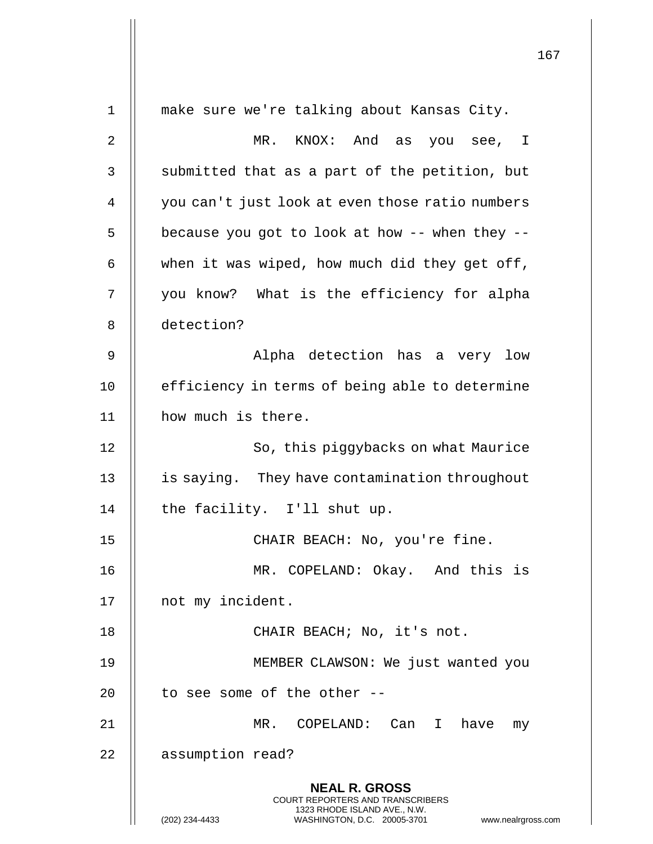167 **NEAL R. GROSS** COURT REPORTERS AND TRANSCRIBERS 1323 RHODE ISLAND AVE., N.W. (202) 234-4433 WASHINGTON, D.C. 20005-3701 www.nealrgross.com 1 make sure we're talking about Kansas City. 2 MR. KNOX: And as you see, I  $3$   $\parallel$  submitted that as a part of the petition, but 4 | you can't just look at even those ratio numbers  $5$  | because you got to look at how -- when they --6  $\parallel$  when it was wiped, how much did they get off, 7 || you know? What is the efficiency for alpha 8 detection? 9 Alpha detection has a very low 10 || efficiency in terms of being able to determine 11 || how much is there. 12 || So, this piggybacks on what Maurice 13 | is saying. They have contamination throughout 14  $\parallel$  the facility. I'll shut up. 15 || CHAIR BEACH: No, you're fine. 16 MR. COPELAND: Okay. And this is 17 || not my incident. 18 || CHAIR BEACH; No, it's not. 19 MEMBER CLAWSON: We just wanted you 20  $\parallel$  to see some of the other --21 MR. COPELAND: Can I have my 22 | assumption read?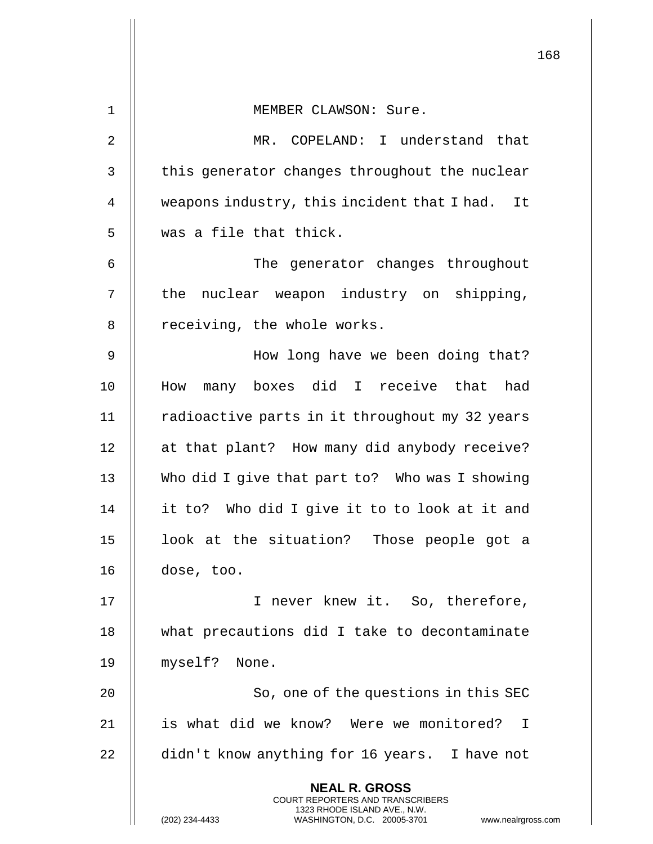|                | 168                                                                                                 |  |
|----------------|-----------------------------------------------------------------------------------------------------|--|
| 1              | MEMBER CLAWSON: Sure.                                                                               |  |
| 2              | MR. COPELAND: I understand that                                                                     |  |
| 3              |                                                                                                     |  |
|                | this generator changes throughout the nuclear                                                       |  |
| $\overline{4}$ | weapons industry, this incident that I had. It                                                      |  |
| 5              | was a file that thick.                                                                              |  |
| 6              | The generator changes throughout                                                                    |  |
| 7              | the nuclear weapon industry on shipping,                                                            |  |
| 8              | receiving, the whole works.                                                                         |  |
| 9              | How long have we been doing that?                                                                   |  |
| 10             | How many boxes did I receive that had                                                               |  |
| 11             | radioactive parts in it throughout my 32 years                                                      |  |
| 12             | at that plant? How many did anybody receive?                                                        |  |
| 13             | Who did I give that part to? Who was I showing                                                      |  |
| 14             | it to? Who did I give it to to look at it and                                                       |  |
| 15             | look at the situation? Those people got a                                                           |  |
| 16             | dose, too.                                                                                          |  |
| 17             | I never knew it. So, therefore,                                                                     |  |
| 18             | what precautions did I take to decontaminate                                                        |  |
| 19             | myself? None.                                                                                       |  |
| 20             | So, one of the questions in this SEC                                                                |  |
| 21             | is what did we know? Were we monitored? I                                                           |  |
| 22             | didn't know anything for 16 years. I have not                                                       |  |
|                | <b>NEAL R. GROSS</b><br><b>COURT REPORTERS AND TRANSCRIBERS</b>                                     |  |
|                | 1323 RHODE ISLAND AVE., N.W.<br>(202) 234-4433<br>WASHINGTON, D.C. 20005-3701<br>www.nealrgross.com |  |

 $\mathsf{l}\mathsf{l}$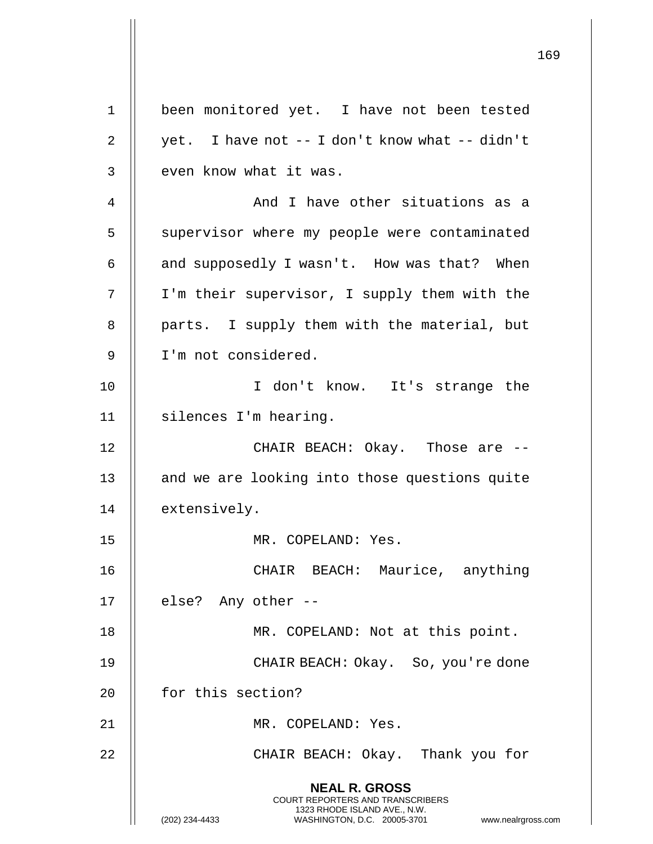|    |                                                                                                                                                                 | 169 |
|----|-----------------------------------------------------------------------------------------------------------------------------------------------------------------|-----|
| 1  | been monitored yet. I have not been tested                                                                                                                      |     |
| 2  | yet. I have not -- I don't know what -- didn't                                                                                                                  |     |
| 3  | even know what it was.                                                                                                                                          |     |
| 4  | And I have other situations as a                                                                                                                                |     |
|    |                                                                                                                                                                 |     |
| 5  | supervisor where my people were contaminated                                                                                                                    |     |
| 6  | and supposedly I wasn't. How was that? When                                                                                                                     |     |
| 7  | I'm their supervisor, I supply them with the                                                                                                                    |     |
| 8  | parts. I supply them with the material, but                                                                                                                     |     |
| 9  | I'm not considered.                                                                                                                                             |     |
| 10 | I don't know. It's strange the                                                                                                                                  |     |
| 11 | silences I'm hearing.                                                                                                                                           |     |
| 12 | CHAIR BEACH: Okay. Those are --                                                                                                                                 |     |
| 13 | and we are looking into those questions quite                                                                                                                   |     |
| 14 | extensively.                                                                                                                                                    |     |
| 15 | MR. COPELAND: Yes.                                                                                                                                              |     |
| 16 | CHAIR BEACH: Maurice, anything                                                                                                                                  |     |
| 17 | else? Any other --                                                                                                                                              |     |
| 18 | MR. COPELAND: Not at this point.                                                                                                                                |     |
| 19 | CHAIR BEACH: Okay. So, you're done                                                                                                                              |     |
| 20 | for this section?                                                                                                                                               |     |
| 21 | MR. COPELAND: Yes.                                                                                                                                              |     |
| 22 | CHAIR BEACH: Okay. Thank you for                                                                                                                                |     |
|    | <b>NEAL R. GROSS</b><br>COURT REPORTERS AND TRANSCRIBERS<br>1323 RHODE ISLAND AVE., N.W.<br>(202) 234-4433<br>WASHINGTON, D.C. 20005-3701<br>www.nealrgross.com |     |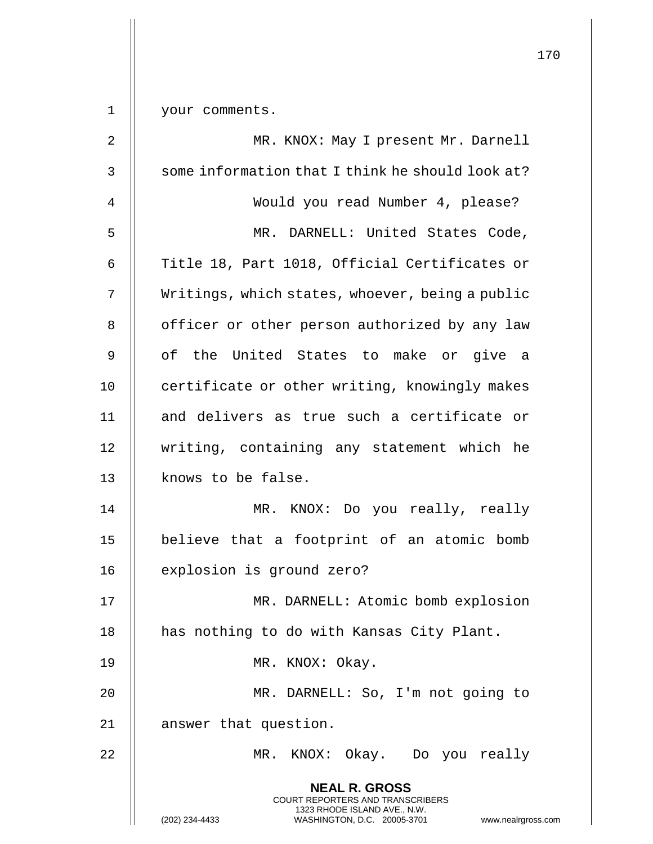|             |                                                                                                                                         | 170 |
|-------------|-----------------------------------------------------------------------------------------------------------------------------------------|-----|
| $\mathbf 1$ | your comments.                                                                                                                          |     |
| 2           | MR. KNOX: May I present Mr. Darnell                                                                                                     |     |
| 3           | some information that I think he should look at?                                                                                        |     |
| 4           | Would you read Number 4, please?                                                                                                        |     |
| 5           | MR. DARNELL: United States Code,                                                                                                        |     |
| 6           | Title 18, Part 1018, Official Certificates or                                                                                           |     |
| 7           | Writings, which states, whoever, being a public                                                                                         |     |
| 8           | officer or other person authorized by any law                                                                                           |     |
| 9           | of the United States to make or give a                                                                                                  |     |
| 10          | certificate or other writing, knowingly makes                                                                                           |     |
| 11          | and delivers as true such a certificate or                                                                                              |     |
| 12          | writing, containing any statement which he                                                                                              |     |
| 13          | knows to be false.                                                                                                                      |     |
| 14          | MR.<br>KNOX: Do you really, really                                                                                                      |     |
| 15          | believe that a footprint of an atomic bomb                                                                                              |     |
| 16          | explosion is ground zero?                                                                                                               |     |
| 17          | MR. DARNELL: Atomic bomb explosion                                                                                                      |     |
| 18          | has nothing to do with Kansas City Plant.                                                                                               |     |
| 19          | MR. KNOX: Okay.                                                                                                                         |     |
| 20          | MR. DARNELL: So, I'm not going to                                                                                                       |     |
| 21          | answer that question.                                                                                                                   |     |
| 22          | $MR$ .<br>KNOX: Okay. Do you really                                                                                                     |     |
|             | <b>NEAL R. GROSS</b>                                                                                                                    |     |
|             | COURT REPORTERS AND TRANSCRIBERS<br>1323 RHODE ISLAND AVE., N.W.<br>(202) 234-4433<br>WASHINGTON, D.C. 20005-3701<br>www.nealrgross.com |     |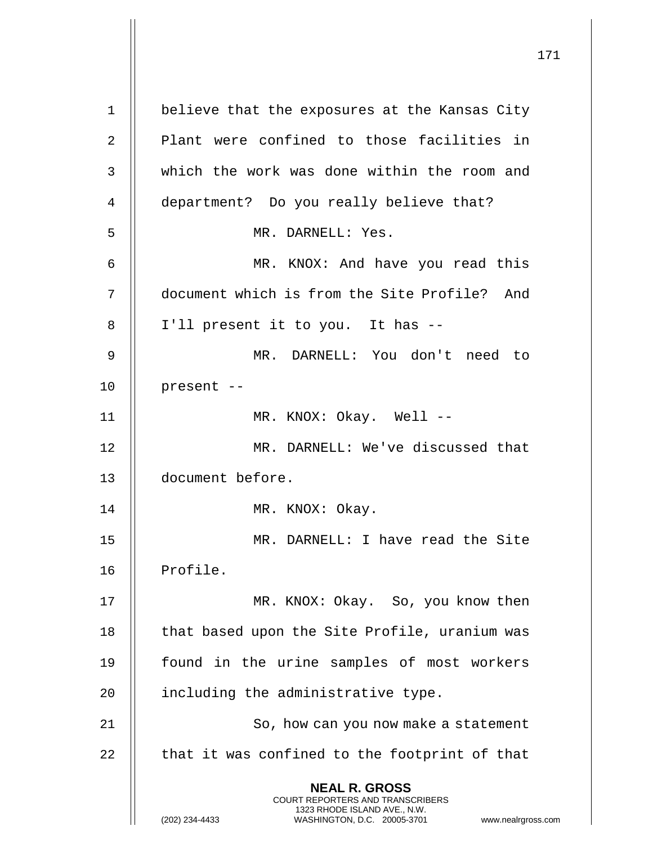**NEAL R. GROSS** COURT REPORTERS AND TRANSCRIBERS 1323 RHODE ISLAND AVE., N.W. (202) 234-4433 WASHINGTON, D.C. 20005-3701 www.nealrgross.com 1 | believe that the exposures at the Kansas City 2 || Plant were confined to those facilities in 3 || which the work was done within the room and 4 || department? Do you really believe that? 5 MR. DARNELL: Yes. 6 MR. KNOX: And have you read this 7 document which is from the Site Profile? And 8 || I'll present it to you. It has --9 MR. DARNELL: You don't need to  $10$  || present  $-$ 11 || MR. KNOX: Okay. Well --12 MR. DARNELL: We've discussed that 13 document before. 14 || MR. KNOX: Okay. 15 MR. DARNELL: I have read the Site 16 || Profile. 17 || MR. KNOX: Okay. So, you know then 18 || that based upon the Site Profile, uranium was 19 || found in the urine samples of most workers 20  $\parallel$  including the administrative type. 21 || So, how can you now make a statement  $22$   $\parallel$  that it was confined to the footprint of that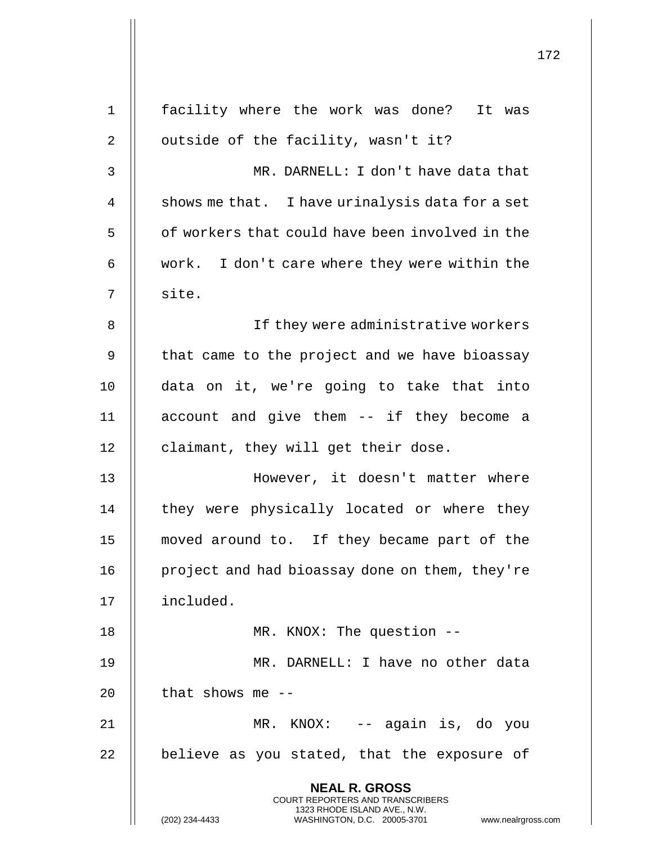|    | 172                                                                                                                                            |  |
|----|------------------------------------------------------------------------------------------------------------------------------------------------|--|
|    |                                                                                                                                                |  |
| 1  | facility where the work was done? It was                                                                                                       |  |
| 2  | outside of the facility, wasn't it?                                                                                                            |  |
| 3  | MR. DARNELL: I don't have data that                                                                                                            |  |
| 4  | shows me that. I have urinalysis data for a set                                                                                                |  |
| 5  | of workers that could have been involved in the                                                                                                |  |
| 6  | work. I don't care where they were within the                                                                                                  |  |
| 7  | site.                                                                                                                                          |  |
| 8  | If they were administrative workers                                                                                                            |  |
| 9  | that came to the project and we have bioassay                                                                                                  |  |
| 10 | data on it, we're going to take that into                                                                                                      |  |
| 11 | account and give them -- if they become a                                                                                                      |  |
| 12 | claimant, they will get their dose.                                                                                                            |  |
| 13 | However, it doesn't matter where                                                                                                               |  |
| 14 | they were physically located or where they                                                                                                     |  |
| 15 | moved around to. If they became part of the                                                                                                    |  |
| 16 | project and had bioassay done on them, they're                                                                                                 |  |
| 17 | included.                                                                                                                                      |  |
| 18 | MR. KNOX: The question --                                                                                                                      |  |
| 19 | MR. DARNELL: I have no other data                                                                                                              |  |
| 20 | that shows me $-$ -                                                                                                                            |  |
| 21 | MR. KNOX: -- again is, do you                                                                                                                  |  |
| 22 | believe as you stated, that the exposure of                                                                                                    |  |
|    | <b>NEAL R. GROSS</b>                                                                                                                           |  |
|    | <b>COURT REPORTERS AND TRANSCRIBERS</b><br>1323 RHODE ISLAND AVE., N.W.<br>WASHINGTON, D.C. 20005-3701<br>(202) 234-4433<br>www.nealrgross.com |  |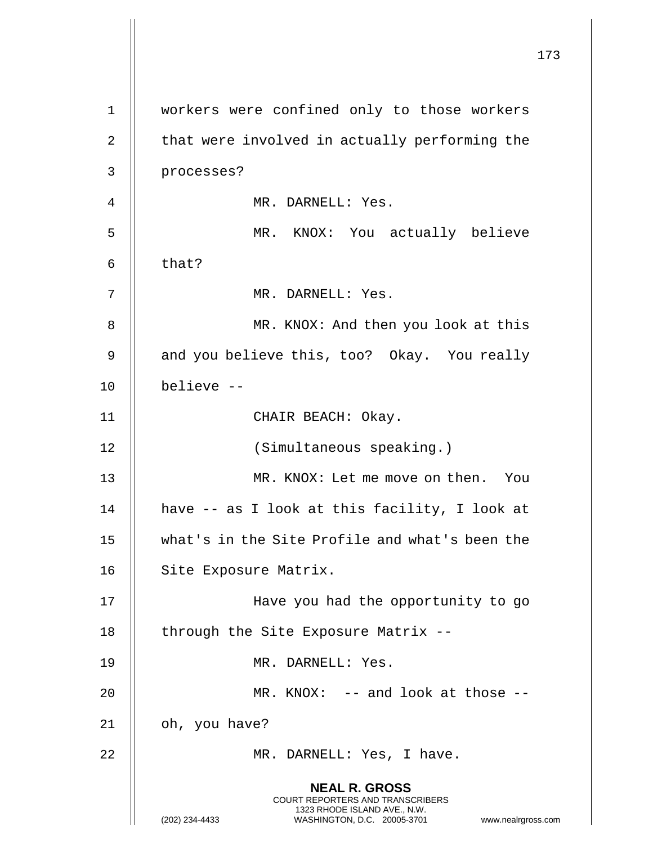|             |                                                                                                                                                                        | 173 |
|-------------|------------------------------------------------------------------------------------------------------------------------------------------------------------------------|-----|
| $\mathbf 1$ | workers were confined only to those workers                                                                                                                            |     |
| 2           | that were involved in actually performing the                                                                                                                          |     |
| 3           | processes?                                                                                                                                                             |     |
| 4           | MR. DARNELL: Yes.                                                                                                                                                      |     |
| 5           | MR. KNOX: You actually believe                                                                                                                                         |     |
| 6           | that?                                                                                                                                                                  |     |
| 7           | MR. DARNELL: Yes.                                                                                                                                                      |     |
| 8           | MR. KNOX: And then you look at this                                                                                                                                    |     |
| 9           | and you believe this, too? Okay. You really                                                                                                                            |     |
| 10          | believe --                                                                                                                                                             |     |
| 11          | CHAIR BEACH: Okay.                                                                                                                                                     |     |
| 12          | (Simultaneous speaking.)                                                                                                                                               |     |
| 13          | MR. KNOX: Let me move on then. You                                                                                                                                     |     |
| 14          | have -- as I look at this facility, I look at                                                                                                                          |     |
| 15          | what's in the Site Profile and what's been the                                                                                                                         |     |
| 16          | Site Exposure Matrix.                                                                                                                                                  |     |
| 17          | Have you had the opportunity to go                                                                                                                                     |     |
| 18          | through the Site Exposure Matrix --                                                                                                                                    |     |
| 19          | MR. DARNELL: Yes.                                                                                                                                                      |     |
| 20          | MR. KNOX: -- and look at those --                                                                                                                                      |     |
| 21          | oh, you have?                                                                                                                                                          |     |
| 22          | MR. DARNELL: Yes, I have.                                                                                                                                              |     |
|             | <b>NEAL R. GROSS</b><br><b>COURT REPORTERS AND TRANSCRIBERS</b><br>1323 RHODE ISLAND AVE., N.W.<br>(202) 234-4433<br>WASHINGTON, D.C. 20005-3701<br>www.nealrgross.com |     |

 $\mathbf{1}$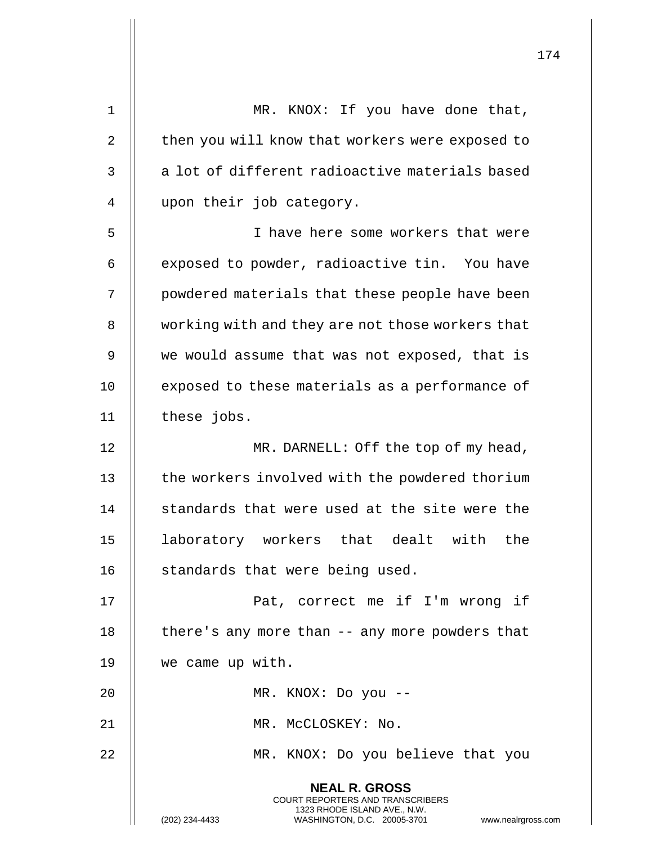| $\mathbf 1$ | MR. KNOX: If you have done that,                                                                                                                                   |
|-------------|--------------------------------------------------------------------------------------------------------------------------------------------------------------------|
| 2           | then you will know that workers were exposed to                                                                                                                    |
| 3           | a lot of different radioactive materials based                                                                                                                     |
| 4           | upon their job category.                                                                                                                                           |
| 5           | I have here some workers that were                                                                                                                                 |
| 6           | exposed to powder, radioactive tin. You have                                                                                                                       |
| 7           | powdered materials that these people have been                                                                                                                     |
| 8           | working with and they are not those workers that                                                                                                                   |
| 9           | we would assume that was not exposed, that is                                                                                                                      |
| 10          | exposed to these materials as a performance of                                                                                                                     |
| 11          | these jobs.                                                                                                                                                        |
| 12          | MR. DARNELL: Off the top of my head,                                                                                                                               |
| 13          | the workers involved with the powdered thorium                                                                                                                     |
| 14          | standards that were used at the site were the                                                                                                                      |
| 15          | the<br>laboratory workers<br>that dealt<br>with                                                                                                                    |
| 16          | standards that were being used.                                                                                                                                    |
| 17          | Pat, correct me if I'm wrong if                                                                                                                                    |
| 18          | there's any more than -- any more powders that                                                                                                                     |
| 19          | we came up with.                                                                                                                                                   |
| 20          | MR. KNOX: Do you --                                                                                                                                                |
| 21          | MR. MCCLOSKEY: No.                                                                                                                                                 |
| 22          | MR. KNOX: Do you believe that you                                                                                                                                  |
|             | <b>NEAL R. GROSS</b><br><b>COURT REPORTERS AND TRANSCRIBERS</b><br>1323 RHODE ISLAND AVE., N.W.<br>(202) 234-4433<br>WASHINGTON, D.C. 20005-3701<br>www.nealrgross |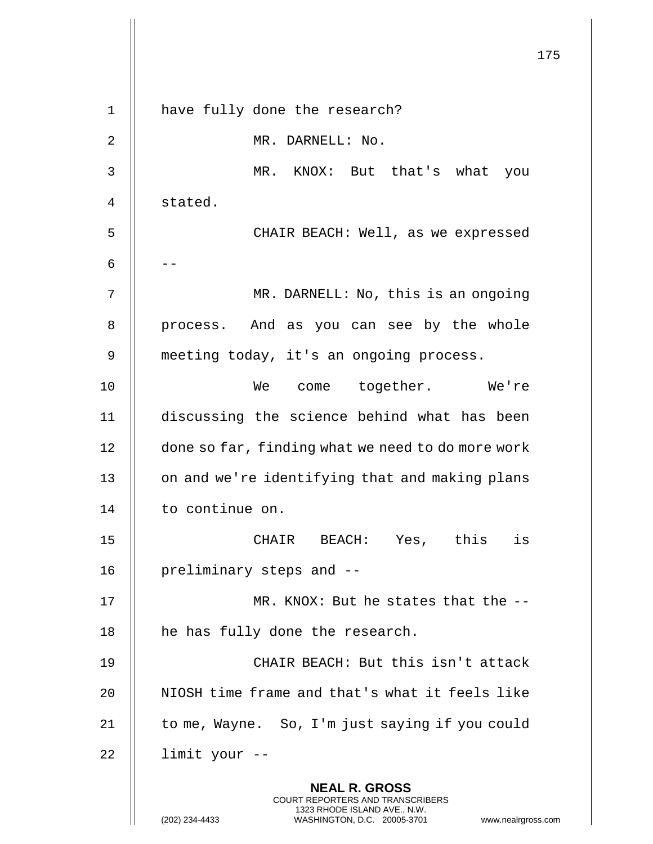|    |                                                                                                                                                                        | 175 |
|----|------------------------------------------------------------------------------------------------------------------------------------------------------------------------|-----|
| 1  | have fully done the research?                                                                                                                                          |     |
| 2  | MR. DARNELL: No.                                                                                                                                                       |     |
| 3  | MR. KNOX: But that's what<br>you                                                                                                                                       |     |
| 4  | stated.                                                                                                                                                                |     |
| 5  | CHAIR BEACH: Well, as we expressed                                                                                                                                     |     |
| 6  |                                                                                                                                                                        |     |
| 7  |                                                                                                                                                                        |     |
|    | MR. DARNELL: No, this is an ongoing                                                                                                                                    |     |
| 8  | process. And as you can see by the whole                                                                                                                               |     |
| 9  | meeting today, it's an ongoing process.                                                                                                                                |     |
| 10 | We<br>come together. We're                                                                                                                                             |     |
| 11 | discussing the science behind what has been                                                                                                                            |     |
| 12 | done so far, finding what we need to do more work                                                                                                                      |     |
| 13 | on and we're identifying that and making plans                                                                                                                         |     |
| 14 | to continue on.                                                                                                                                                        |     |
| 15 | CHAIR BEACH: Yes, this is                                                                                                                                              |     |
| 16 | preliminary steps and --                                                                                                                                               |     |
| 17 | MR. KNOX: But he states that the --                                                                                                                                    |     |
| 18 | he has fully done the research.                                                                                                                                        |     |
| 19 | CHAIR BEACH: But this isn't attack                                                                                                                                     |     |
| 20 | NIOSH time frame and that's what it feels like                                                                                                                         |     |
| 21 | to me, Wayne. So, I'm just saying if you could                                                                                                                         |     |
| 22 | limit your --                                                                                                                                                          |     |
|    | <b>NEAL R. GROSS</b><br><b>COURT REPORTERS AND TRANSCRIBERS</b><br>1323 RHODE ISLAND AVE., N.W.<br>(202) 234-4433<br>WASHINGTON, D.C. 20005-3701<br>www.nealrgross.com |     |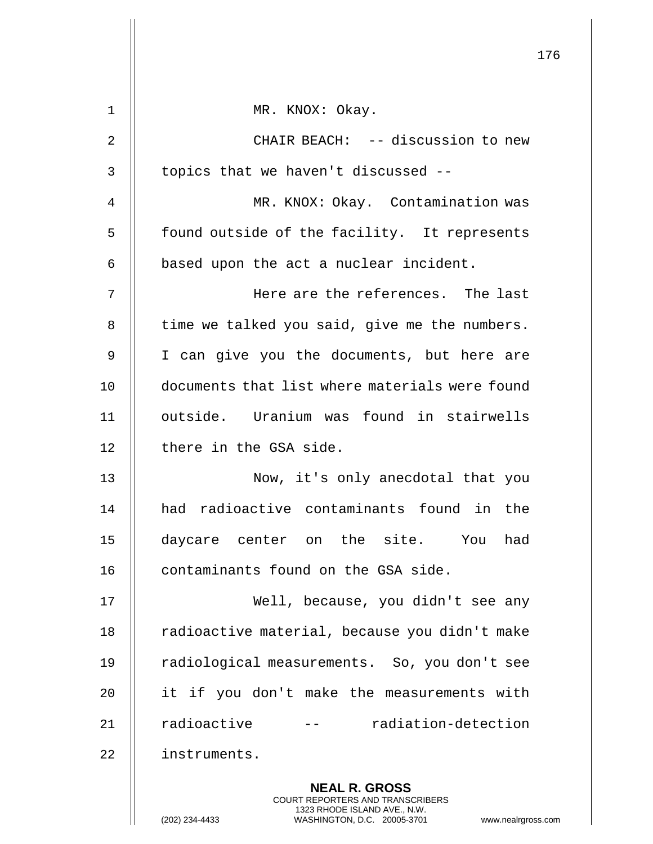|    |                                                                                                                                                                 | 176 |
|----|-----------------------------------------------------------------------------------------------------------------------------------------------------------------|-----|
| 1  | MR. KNOX: Okay.                                                                                                                                                 |     |
| 2  | CHAIR BEACH: -- discussion to new                                                                                                                               |     |
| 3  | topics that we haven't discussed --                                                                                                                             |     |
| 4  | MR. KNOX: Okay. Contamination was                                                                                                                               |     |
| 5  | found outside of the facility. It represents                                                                                                                    |     |
| 6  | based upon the act a nuclear incident.                                                                                                                          |     |
| 7  | Here are the references. The last                                                                                                                               |     |
| 8  | time we talked you said, give me the numbers.                                                                                                                   |     |
| 9  | I can give you the documents, but here are                                                                                                                      |     |
| 10 | documents that list where materials were found                                                                                                                  |     |
| 11 | outside. Uranium was found in stairwells                                                                                                                        |     |
| 12 | there in the GSA side.                                                                                                                                          |     |
| 13 | Now, it's only anecdotal that you                                                                                                                               |     |
| 14 | had radioactive contaminants found in the                                                                                                                       |     |
| 15 | daycare center on the site. You<br>had                                                                                                                          |     |
| 16 | contaminants found on the GSA side.                                                                                                                             |     |
| 17 | Well, because, you didn't see any                                                                                                                               |     |
| 18 | radioactive material, because you didn't make                                                                                                                   |     |
| 19 | radiological measurements. So, you don't see                                                                                                                    |     |
| 20 | it if you don't make the measurements with                                                                                                                      |     |
| 21 | radioactive<br>-- radiation-detection                                                                                                                           |     |
| 22 | instruments.                                                                                                                                                    |     |
|    | <b>NEAL R. GROSS</b><br>COURT REPORTERS AND TRANSCRIBERS<br>1323 RHODE ISLAND AVE., N.W.<br>(202) 234-4433<br>WASHINGTON, D.C. 20005-3701<br>www.nealrgross.com |     |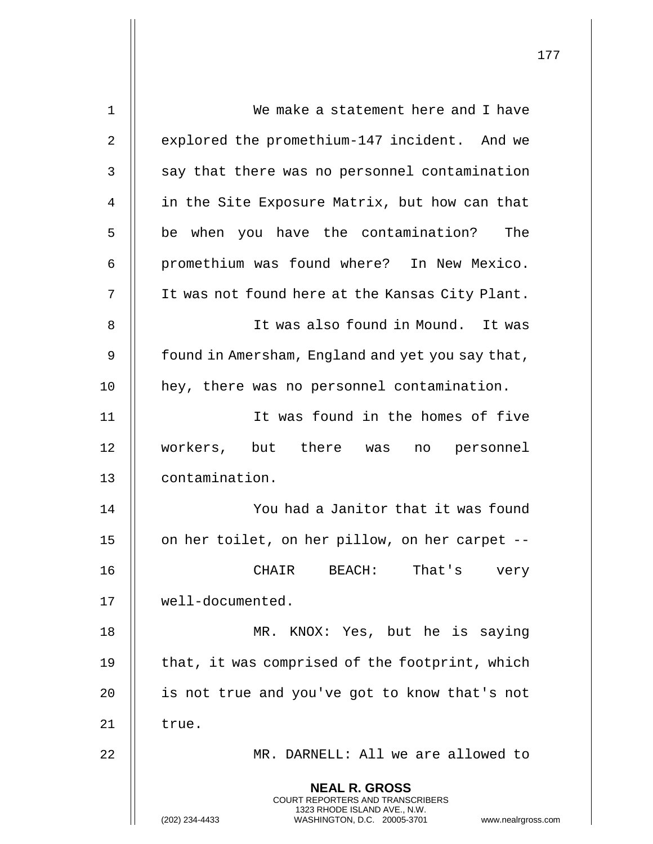| 1  | We make a statement here and I have                                                                                                                                    |
|----|------------------------------------------------------------------------------------------------------------------------------------------------------------------------|
| 2  | explored the promethium-147 incident. And we                                                                                                                           |
| 3  | say that there was no personnel contamination                                                                                                                          |
| 4  | in the Site Exposure Matrix, but how can that                                                                                                                          |
| 5  | be when you have the contamination?<br>The                                                                                                                             |
| 6  | promethium was found where? In New Mexico.                                                                                                                             |
| 7  | It was not found here at the Kansas City Plant.                                                                                                                        |
| 8  | It was also found in Mound. It was                                                                                                                                     |
| 9  | found in Amersham, England and yet you say that,                                                                                                                       |
| 10 | hey, there was no personnel contamination.                                                                                                                             |
| 11 | It was found in the homes of five                                                                                                                                      |
| 12 | workers, but there was<br>no personnel                                                                                                                                 |
| 13 | contamination.                                                                                                                                                         |
| 14 | You had a Janitor that it was found                                                                                                                                    |
| 15 | on her toilet, on her pillow, on her carpet --                                                                                                                         |
| 16 | CHAIR BEACH: That's<br>very                                                                                                                                            |
| 17 | well-documented.                                                                                                                                                       |
| 18 | MR. KNOX: Yes, but he is saying                                                                                                                                        |
| 19 | that, it was comprised of the footprint, which                                                                                                                         |
| 20 | is not true and you've got to know that's not                                                                                                                          |
| 21 | true.                                                                                                                                                                  |
| 22 | MR. DARNELL: All we are allowed to                                                                                                                                     |
|    | <b>NEAL R. GROSS</b><br><b>COURT REPORTERS AND TRANSCRIBERS</b><br>1323 RHODE ISLAND AVE., N.W.<br>(202) 234-4433<br>WASHINGTON, D.C. 20005-3701<br>www.nealrgross.com |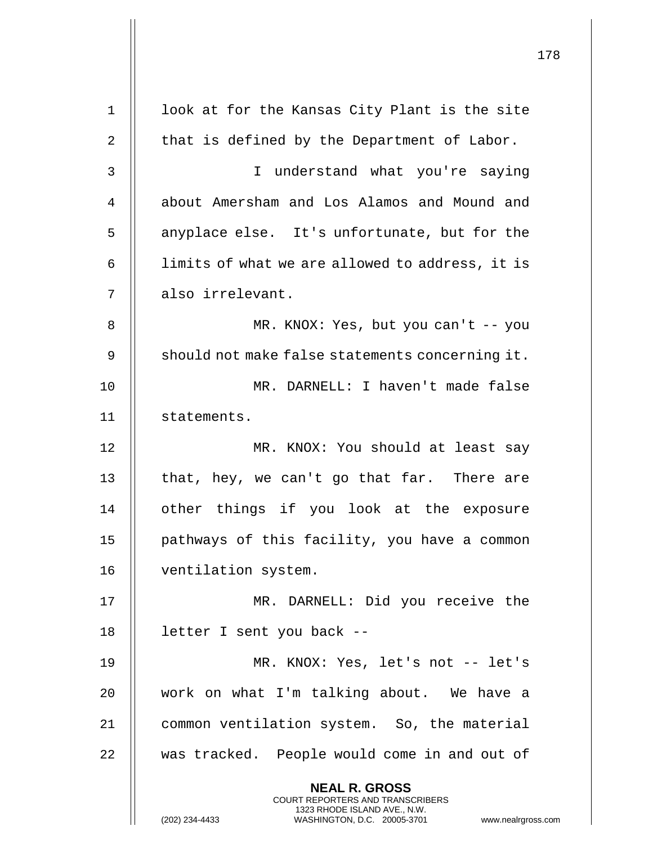|    |                                                                                                                                         | 178 |
|----|-----------------------------------------------------------------------------------------------------------------------------------------|-----|
| 1  | look at for the Kansas City Plant is the site                                                                                           |     |
| 2  | that is defined by the Department of Labor.                                                                                             |     |
| 3  | I understand what you're saying                                                                                                         |     |
| 4  | about Amersham and Los Alamos and Mound and                                                                                             |     |
| 5  | anyplace else. It's unfortunate, but for the                                                                                            |     |
| 6  | limits of what we are allowed to address, it is                                                                                         |     |
| 7  | also irrelevant.                                                                                                                        |     |
| 8  | MR. KNOX: Yes, but you can't -- you                                                                                                     |     |
| 9  | should not make false statements concerning it.                                                                                         |     |
| 10 | MR. DARNELL: I haven't made false                                                                                                       |     |
| 11 | statements.                                                                                                                             |     |
| 12 | MR. KNOX: You should at least say                                                                                                       |     |
| 13 | that, hey, we can't go that far. There are                                                                                              |     |
| 14 | other things if you look at the exposure                                                                                                |     |
| 15 | pathways of this facility, you have a common                                                                                            |     |
| 16 | ventilation system.                                                                                                                     |     |
| 17 | MR. DARNELL: Did you receive the                                                                                                        |     |
| 18 | letter I sent you back --                                                                                                               |     |
| 19 | MR. KNOX: Yes, let's not -- let's                                                                                                       |     |
| 20 | work on what I'm talking about. We have a                                                                                               |     |
| 21 | common ventilation system. So, the material                                                                                             |     |
| 22 | was tracked. People would come in and out of                                                                                            |     |
|    | <b>NEAL R. GROSS</b>                                                                                                                    |     |
|    | COURT REPORTERS AND TRANSCRIBERS<br>1323 RHODE ISLAND AVE., N.W.<br>(202) 234-4433<br>WASHINGTON, D.C. 20005-3701<br>www.nealrgross.com |     |

 $\mathbf{I}$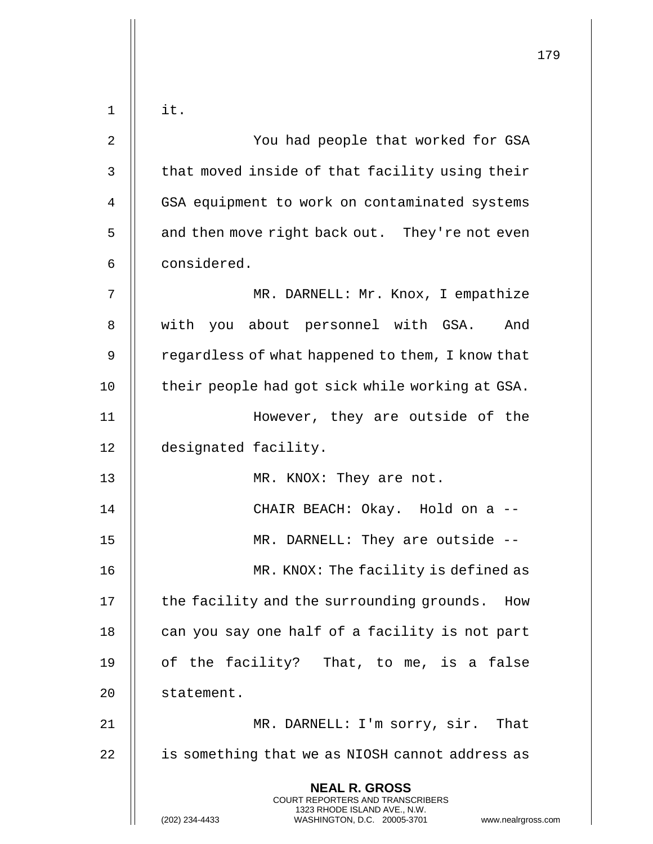|       |                                                                                                                                                                        | 179 |
|-------|------------------------------------------------------------------------------------------------------------------------------------------------------------------------|-----|
| $1\,$ | it.                                                                                                                                                                    |     |
| 2     | You had people that worked for GSA                                                                                                                                     |     |
| 3     | that moved inside of that facility using their                                                                                                                         |     |
| 4     | GSA equipment to work on contaminated systems                                                                                                                          |     |
|       |                                                                                                                                                                        |     |
| 5     | and then move right back out. They're not even                                                                                                                         |     |
| 6     | considered.                                                                                                                                                            |     |
| 7     | MR. DARNELL: Mr. Knox, I empathize                                                                                                                                     |     |
| 8     | with you about personnel with GSA. And                                                                                                                                 |     |
| 9     | regardless of what happened to them, I know that                                                                                                                       |     |
| 10    | their people had got sick while working at GSA.                                                                                                                        |     |
| 11    | However, they are outside of the                                                                                                                                       |     |
| 12    | designated facility.                                                                                                                                                   |     |
| 13    | MR. KNOX: They are not.                                                                                                                                                |     |
| 14    | CHAIR BEACH: Okay. Hold on a --                                                                                                                                        |     |
| 15    | MR. DARNELL: They are outside --                                                                                                                                       |     |
| 16    | MR. KNOX: The facility is defined as                                                                                                                                   |     |
| 17    | the facility and the surrounding grounds. How                                                                                                                          |     |
| 18    | can you say one half of a facility is not part                                                                                                                         |     |
| 19    | of the facility? That, to me, is a false                                                                                                                               |     |
| 20    | statement.                                                                                                                                                             |     |
| 21    | MR. DARNELL: I'm sorry, sir. That                                                                                                                                      |     |
| 22    | is something that we as NIOSH cannot address as                                                                                                                        |     |
|       | <b>NEAL R. GROSS</b><br><b>COURT REPORTERS AND TRANSCRIBERS</b><br>1323 RHODE ISLAND AVE., N.W.<br>(202) 234-4433<br>WASHINGTON, D.C. 20005-3701<br>www.nealrgross.com |     |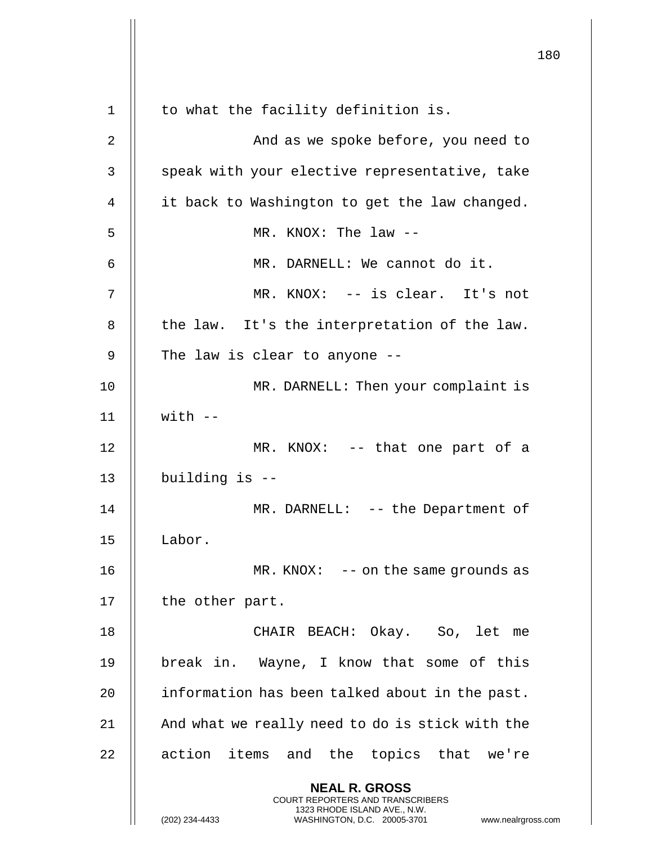|    |                                                                                                                                                                        | 180 |
|----|------------------------------------------------------------------------------------------------------------------------------------------------------------------------|-----|
| 1  | to what the facility definition is.                                                                                                                                    |     |
| 2  | And as we spoke before, you need to                                                                                                                                    |     |
| 3  | speak with your elective representative, take                                                                                                                          |     |
| 4  | it back to Washington to get the law changed.                                                                                                                          |     |
| 5  | MR. KNOX: The $law$ --                                                                                                                                                 |     |
| 6  | MR. DARNELL: We cannot do it.                                                                                                                                          |     |
| 7  | MR. KNOX: -- is clear. It's not                                                                                                                                        |     |
|    |                                                                                                                                                                        |     |
| 8  | the law. It's the interpretation of the law.                                                                                                                           |     |
| 9  | The law is clear to anyone --                                                                                                                                          |     |
| 10 | MR. DARNELL: Then your complaint is                                                                                                                                    |     |
| 11 | $with --$                                                                                                                                                              |     |
| 12 | MR. KNOX: -- that one part of a                                                                                                                                        |     |
| 13 | building is --                                                                                                                                                         |     |
| 14 | $MR.$ DARNELL: $-$ - the Department of                                                                                                                                 |     |
| 15 | Labor.                                                                                                                                                                 |     |
| 16 | $MR. KNOX: -- on the same grounds as$                                                                                                                                  |     |
| 17 | the other part.                                                                                                                                                        |     |
| 18 | CHAIR BEACH: Okay. So, let me                                                                                                                                          |     |
| 19 | break in. Wayne, I know that some of this                                                                                                                              |     |
| 20 | information has been talked about in the past.                                                                                                                         |     |
| 21 | And what we really need to do is stick with the                                                                                                                        |     |
| 22 | action items and the topics that we're                                                                                                                                 |     |
|    | <b>NEAL R. GROSS</b><br><b>COURT REPORTERS AND TRANSCRIBERS</b><br>1323 RHODE ISLAND AVE., N.W.<br>(202) 234-4433<br>WASHINGTON, D.C. 20005-3701<br>www.nealrgross.com |     |

 $\mathbf{I}$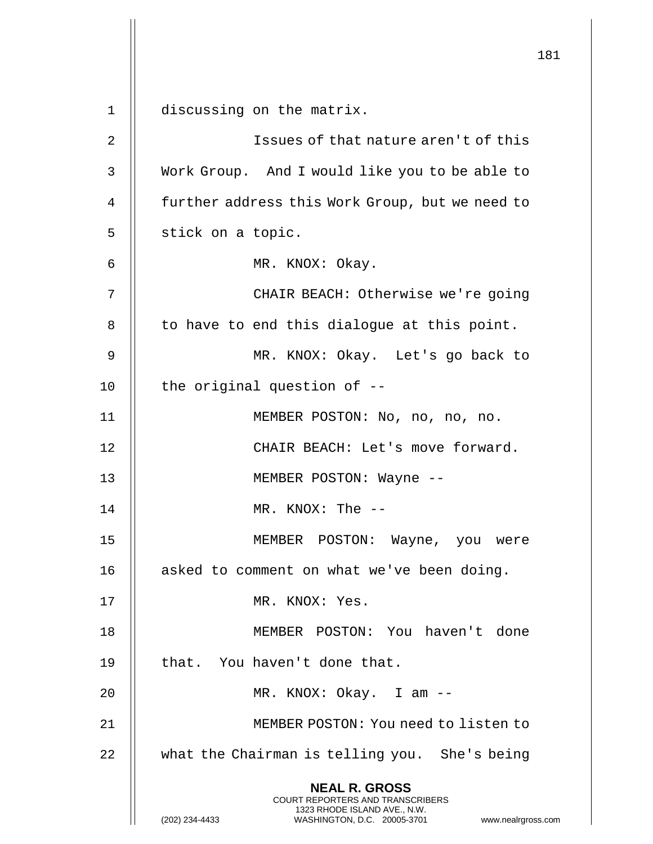181 **NEAL R. GROSS** COURT REPORTERS AND TRANSCRIBERS 1323 RHODE ISLAND AVE., N.W. (202) 234-4433 WASHINGTON, D.C. 20005-3701 www.nealrgross.com 1 discussing on the matrix. 2 Issues of that nature aren't of this 3 Work Group. And I would like you to be able to 4 **further address this Work Group, but we need to**  $5 \parallel$  stick on a topic. 6 MR. KNOX: Okay. 7 CHAIR BEACH: Otherwise we're going  $8$  || to have to end this dialogue at this point. 9 MR. KNOX: Okay. Let's go back to  $10$  || the original question of  $-$ 11 || MEMBER POSTON: No, no, no, no. 12 || CHAIR BEACH: Let's move forward. 13 || MEMBER POSTON: Wayne --14 MR. KNOX: The -- 15 MEMBER POSTON: Wayne, you were 16 | asked to comment on what we've been doing. 17 MR. KNOX: Yes. 18 MEMBER POSTON: You haven't done 19 || that. You haven't done that. 20 || MR. KNOX: Okay. I am --21 MEMBER POSTON: You need to listen to 22 | what the Chairman is telling you. She's being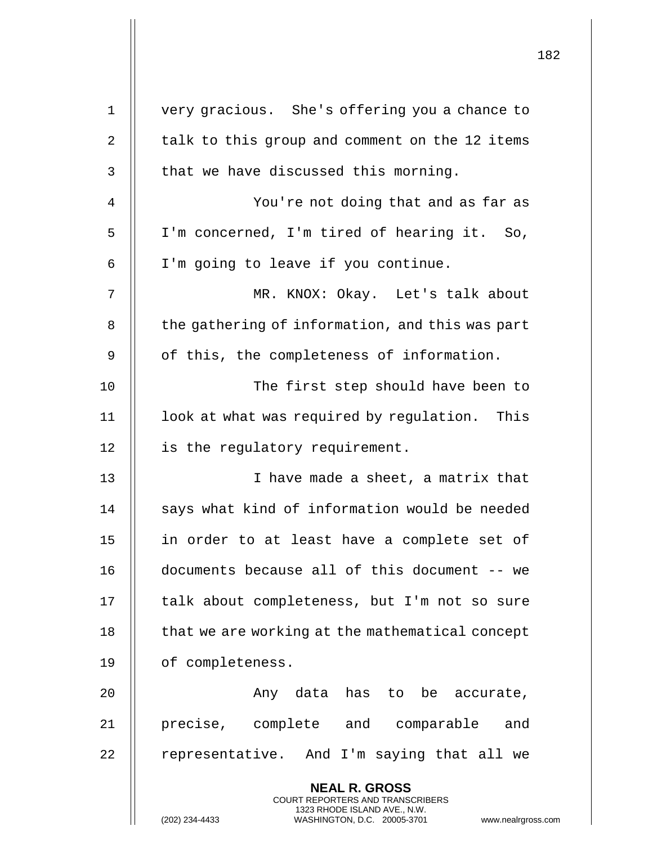|             |                                                                                                                                                              | 182 |
|-------------|--------------------------------------------------------------------------------------------------------------------------------------------------------------|-----|
| $\mathbf 1$ | very gracious. She's offering you a chance to                                                                                                                |     |
| 2           | talk to this group and comment on the 12 items                                                                                                               |     |
| 3           | that we have discussed this morning.                                                                                                                         |     |
| 4           | You're not doing that and as far as                                                                                                                          |     |
| 5           | I'm concerned, I'm tired of hearing it. So,                                                                                                                  |     |
| 6           | I'm going to leave if you continue.                                                                                                                          |     |
| 7           | MR. KNOX: Okay. Let's talk about                                                                                                                             |     |
| 8           | the gathering of information, and this was part                                                                                                              |     |
| 9           | of this, the completeness of information.                                                                                                                    |     |
| 10          | The first step should have been to                                                                                                                           |     |
| 11          | look at what was required by regulation. This                                                                                                                |     |
| 12          | is the regulatory requirement.                                                                                                                               |     |
| 13          | I have made a sheet, a matrix that                                                                                                                           |     |
| 14          | says what kind of information would be needed                                                                                                                |     |
| 15          | in order to at least have a complete set of                                                                                                                  |     |
| 16          | documents because all of this document -- we                                                                                                                 |     |
| 17          | talk about completeness, but I'm not so sure                                                                                                                 |     |
| 18          | that we are working at the mathematical concept                                                                                                              |     |
| 19          | of completeness.                                                                                                                                             |     |
| 20          | Any data has to be accurate,                                                                                                                                 |     |
| 21          | precise, complete and comparable and                                                                                                                         |     |
| 22          | representative. And I'm saying that all we                                                                                                                   |     |
|             | <b>NEAL R. GROSS</b><br>COURT REPORTERS AND TRANSCRIBERS<br>1323 RHODE ISLAND AVE., N.W.<br>WASHINGTON, D.C. 20005-3701 www.nealrgross.com<br>(202) 234-4433 |     |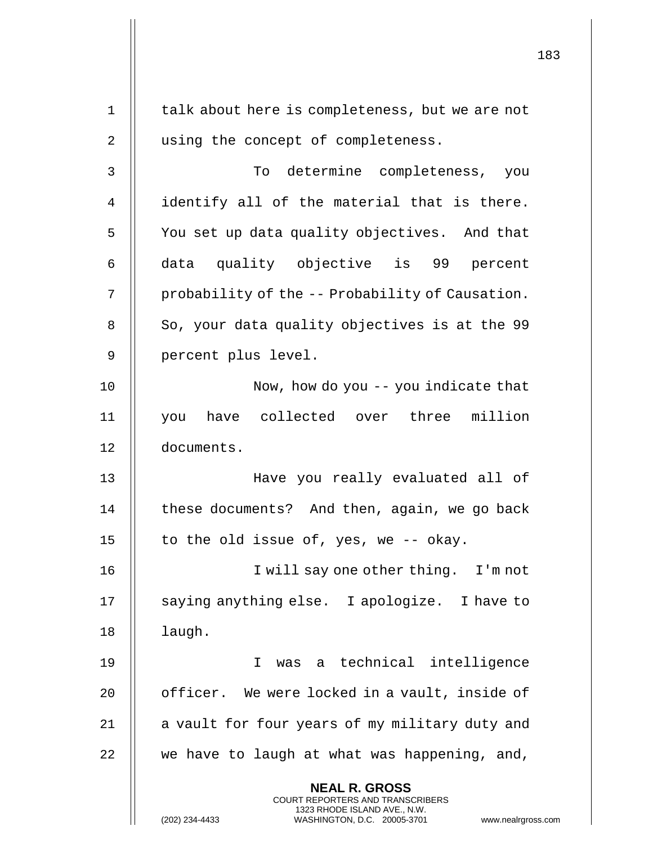183 **NEAL R. GROSS** COURT REPORTERS AND TRANSCRIBERS 1323 RHODE ISLAND AVE., N.W. (202) 234-4433 WASHINGTON, D.C. 20005-3701 www.nealrgross.com 1 || talk about here is completeness, but we are not 2 || using the concept of completeness. 3 To determine completeness, you 4 | identify all of the material that is there. 5 | You set up data quality objectives. And that 6 || data quality objective is 99 percent 7 | probability of the -- Probability of Causation. 8 | So, your data quality objectives is at the 99 9 | percent plus level. 10 || Now, how do you -- you indicate that 11 you have collected over three million 12 documents. 13 Have you really evaluated all of 14  $\parallel$  these documents? And then, again, we go back 15  $\parallel$  to the old issue of, yes, we -- okay. 16 || I will say one other thing. I'm not 17 || saying anything else. I apologize. I have to  $18$  | laugh. 19 I was a technical intelligence 20 || officer. We were locked in a vault, inside of  $21$  | a vault for four years of my military duty and  $22$  || we have to laugh at what was happening, and,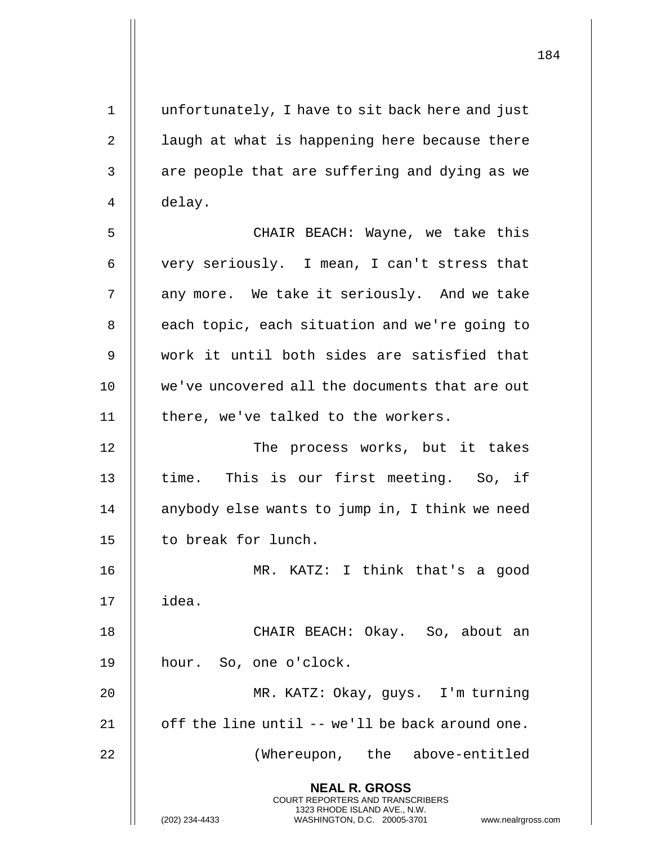| $\mathbf 1$    | unfortunately, I have to sit back here and just                                                                                                            |
|----------------|------------------------------------------------------------------------------------------------------------------------------------------------------------|
| $\sqrt{2}$     | laugh at what is happening here because there                                                                                                              |
| $\mathsf 3$    | are people that are suffering and dying as we                                                                                                              |
| $\overline{4}$ | delay.                                                                                                                                                     |
| 5              | CHAIR BEACH: Wayne, we take this                                                                                                                           |
| 6              | very seriously. I mean, I can't stress that                                                                                                                |
| 7              | any more. We take it seriously. And we take                                                                                                                |
| 8              | each topic, each situation and we're going to                                                                                                              |
| 9              | work it until both sides are satisfied that                                                                                                                |
| 10             | we've uncovered all the documents that are out                                                                                                             |
| 11             | there, we've talked to the workers.                                                                                                                        |
| 12             | The process works, but it takes                                                                                                                            |
| 13             | time. This is our first meeting. So, if                                                                                                                    |
| 14             | anybody else wants to jump in, I think we need                                                                                                             |
| 15             | to break for lunch.                                                                                                                                        |
| 16             | MR. KATZ: I think that's a good                                                                                                                            |
| 17             | idea.                                                                                                                                                      |
| 18             | CHAIR BEACH: Okay. So, about an                                                                                                                            |
| 19             | hour. So, one o'clock.                                                                                                                                     |
| 20             | MR. KATZ: Okay, guys. I'm turning                                                                                                                          |
| 21             | off the line until -- we'll be back around one.                                                                                                            |
| 22             | (Whereupon, the above-entitled                                                                                                                             |
|                | <b>NEAL R. GROSS</b><br>COURT REPORTERS AND TRANSCRIBERS<br>1323 RHODE ISLAND AVE., N.W.<br>WASHINGTON, D.C. 20005-3701<br>(202) 234-4433<br>www.nealrgros |

 $\mathsf{l}\mathsf{l}$ 

(202) 234-4433 WASHINGTON, D.C. 20005-3701 www.nealrgross.com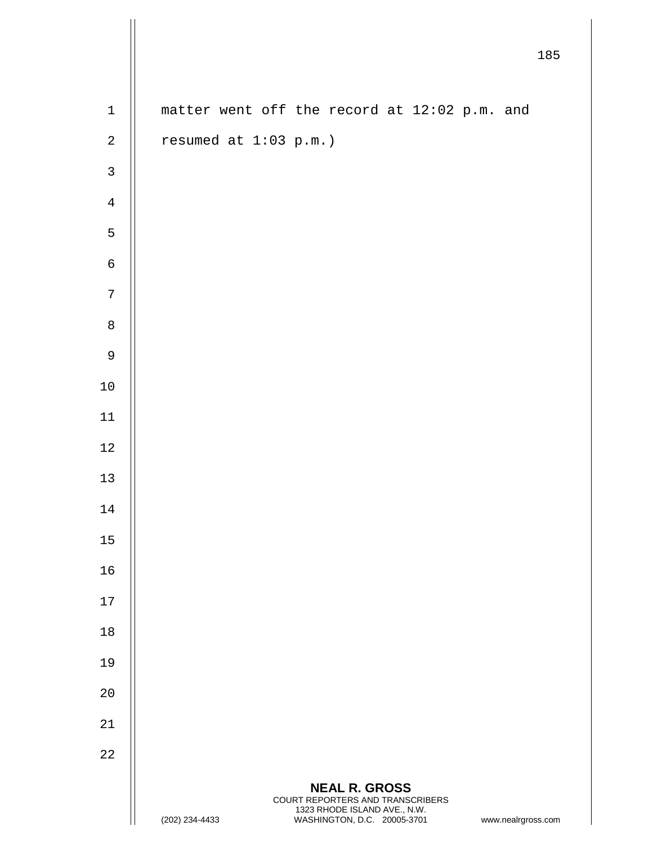|              |                                              |                                                                                                                         | 185                |
|--------------|----------------------------------------------|-------------------------------------------------------------------------------------------------------------------------|--------------------|
| $\mathbf 1$  | matter went off the record at 12:02 p.m. and |                                                                                                                         |                    |
| $\sqrt{2}$   | resumed at 1:03 p.m.)                        |                                                                                                                         |                    |
| $\mathsf{3}$ |                                              |                                                                                                                         |                    |
| $\,4$        |                                              |                                                                                                                         |                    |
| 5            |                                              |                                                                                                                         |                    |
| $\epsilon$   |                                              |                                                                                                                         |                    |
| $\sqrt{ }$   |                                              |                                                                                                                         |                    |
| $\,8\,$      |                                              |                                                                                                                         |                    |
| $\mathsf 9$  |                                              |                                                                                                                         |                    |
| $1\,0$       |                                              |                                                                                                                         |                    |
| $11\,$       |                                              |                                                                                                                         |                    |
| $1\,2$       |                                              |                                                                                                                         |                    |
| $13$         |                                              |                                                                                                                         |                    |
| 14           |                                              |                                                                                                                         |                    |
| 15           |                                              |                                                                                                                         |                    |
| 16           |                                              |                                                                                                                         |                    |
| 17           |                                              |                                                                                                                         |                    |
| 18           |                                              |                                                                                                                         |                    |
| 19           |                                              |                                                                                                                         |                    |
| 20           |                                              |                                                                                                                         |                    |
| $2\sqrt{1}$  |                                              |                                                                                                                         |                    |
| 22           |                                              |                                                                                                                         |                    |
|              | (202) 234-4433                               | <b>NEAL R. GROSS</b><br>COURT REPORTERS AND TRANSCRIBERS<br>1323 RHODE ISLAND AVE., N.W.<br>WASHINGTON, D.C. 20005-3701 | www.nealrgross.com |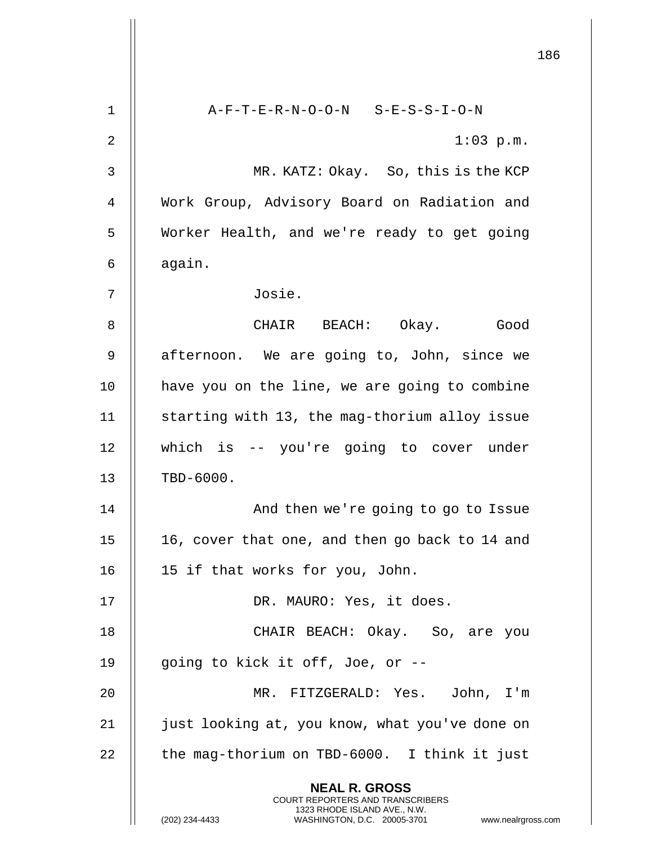186 **NEAL R. GROSS** COURT REPORTERS AND TRANSCRIBERS 1323 RHODE ISLAND AVE., N.W. (202) 234-4433 WASHINGTON, D.C. 20005-3701 www.nealrgross.com 1 A-F-T-E-R-N-O-O-N S-E-S-S-I-O-N 2  $\parallel$  1:03 p.m. 3 MR. KATZ: Okay. So, this is the KCP 4 Work Group, Advisory Board on Radiation and 5 | Worker Health, and we're ready to get going  $6 \parallel$  again. 7 Josie. 8 CHAIR BEACH: Okay. Good 9 || afternoon. We are going to, John, since we 10 || have you on the line, we are going to combine 11 || starting with 13, the mag-thorium alloy issue 12 which is -- you're going to cover under 13 || TBD-6000. 14 || And then we're going to go to Issue 15  $\parallel$  16, cover that one, and then go back to 14 and 16 15 if that works for you, John. 17 || DR. MAURO: Yes, it does. 18 CHAIR BEACH: Okay. So, are you 19 || going to kick it off, Joe, or --20 MR. FITZGERALD: Yes. John, I'm 21 | just looking at, you know, what you've done on  $22$   $\parallel$  the mag-thorium on TBD-6000. I think it just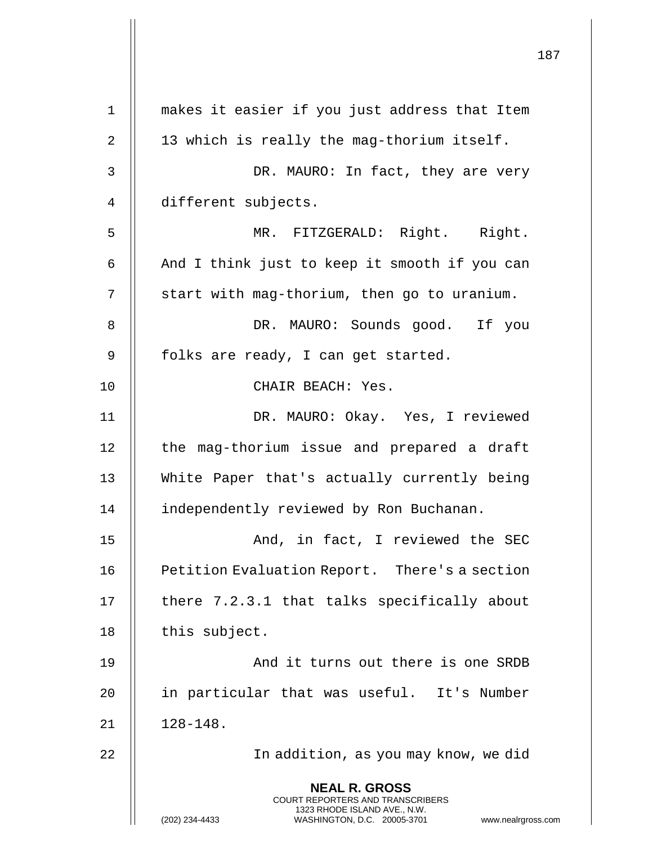**NEAL R. GROSS** COURT REPORTERS AND TRANSCRIBERS 1323 RHODE ISLAND AVE., N.W. (202) 234-4433 WASHINGTON, D.C. 20005-3701 www.nealrgross.com 1 makes it easier if you just address that Item 2 13 which is really the mag-thorium itself. 3 DR. MAURO: In fact, they are very 4 different subjects. 5 MR. FITZGERALD: Right. Right. 6  $\parallel$  And I think just to keep it smooth if you can  $7 \parallel$  start with mag-thorium, then go to uranium. 8 DR. MAURO: Sounds good. If you 9 || folks are ready, I can get started. 10 || CHAIR BEACH: Yes. 11 DR. MAURO: Okay. Yes, I reviewed 12 || the mag-thorium issue and prepared a draft 13 White Paper that's actually currently being 14 | independently reviewed by Ron Buchanan. 15 || And, in fact, I reviewed the SEC 16 **Petition Evaluation Report.** There's a section 17 || there 7.2.3.1 that talks specifically about  $18$  || this subject. 19 || And it turns out there is one SRDB 20 || in particular that was useful. It's Number  $21$   $\parallel$   $128-148$ . 22 In addition, as you may know, we did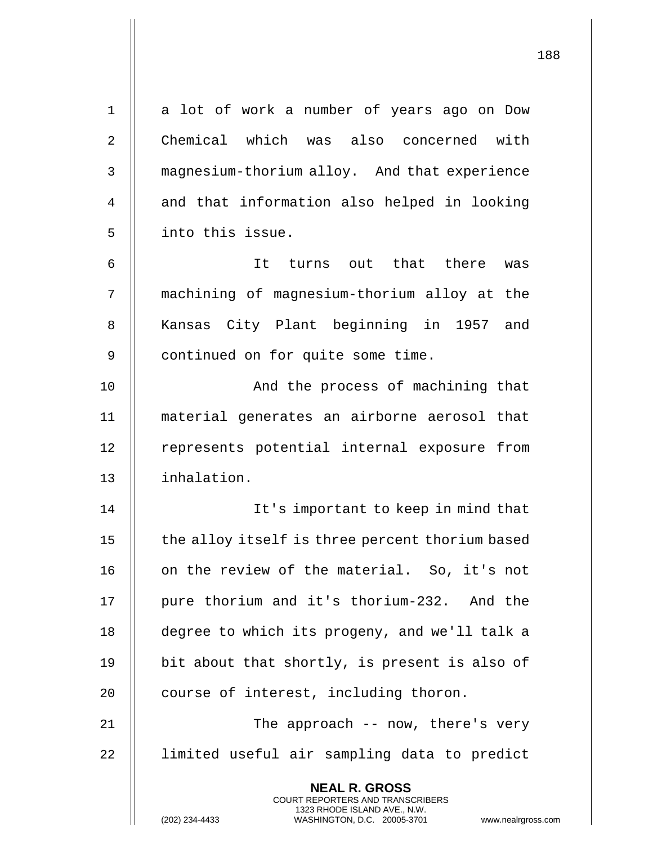| $\mathbf 1$    | a lot of work a number of years ago on Dow                                                          |  |
|----------------|-----------------------------------------------------------------------------------------------------|--|
| $\overline{2}$ | Chemical which was also concerned with                                                              |  |
| 3              | magnesium-thorium alloy. And that experience                                                        |  |
| 4              | and that information also helped in looking                                                         |  |
| 5              | into this issue.                                                                                    |  |
| 6              | It turns out that there<br>was                                                                      |  |
| 7              | machining of magnesium-thorium alloy at the                                                         |  |
| 8              | Kansas City Plant beginning in 1957 and                                                             |  |
| 9              | continued on for quite some time.                                                                   |  |
| 10             | And the process of machining that                                                                   |  |
| 11             | material generates an airborne aerosol that                                                         |  |
| 12             | represents potential internal exposure from                                                         |  |
| 13             | inhalation.                                                                                         |  |
| 14             | It's important to keep in mind that                                                                 |  |
| 15             | the alloy itself is three percent thorium based                                                     |  |
| 16             | on the review of the material. So, it's not                                                         |  |
| 17             | pure thorium and it's thorium-232. And the                                                          |  |
| 18             | degree to which its progeny, and we'll talk a                                                       |  |
| 19             | bit about that shortly, is present is also of                                                       |  |
| 20             | course of interest, including thoron.                                                               |  |
| 21             | The approach -- now, there's very                                                                   |  |
| 22             | limited useful air sampling data to predict                                                         |  |
|                | <b>NEAL R. GROSS</b><br>COURT REPORTERS AND TRANSCRIBERS                                            |  |
|                | 1323 RHODE ISLAND AVE., N.W.<br>(202) 234-4433<br>WASHINGTON, D.C. 20005-3701<br>www.nealrgross.com |  |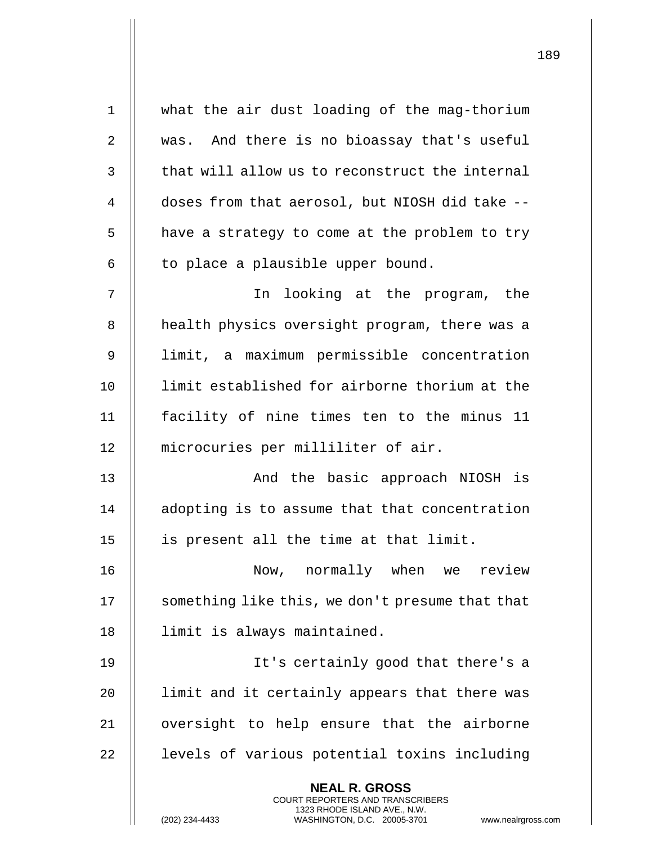| $\mathbf 1$ | what the air dust loading of the mag-thorium                                                                                              |
|-------------|-------------------------------------------------------------------------------------------------------------------------------------------|
| 2           | was. And there is no bioassay that's useful                                                                                               |
| 3           | that will allow us to reconstruct the internal                                                                                            |
| 4           | doses from that aerosol, but NIOSH did take --                                                                                            |
| 5           | have a strategy to come at the problem to try                                                                                             |
| 6           | to place a plausible upper bound.                                                                                                         |
| 7           | In looking at the program, the                                                                                                            |
| 8           | health physics oversight program, there was a                                                                                             |
| 9           | limit, a maximum permissible concentration                                                                                                |
| 10          | limit established for airborne thorium at the                                                                                             |
| 11          | facility of nine times ten to the minus 11                                                                                                |
| 12          | microcuries per milliliter of air.                                                                                                        |
| 13          | And the basic approach NIOSH is                                                                                                           |
| 14          | adopting is to assume that that concentration                                                                                             |
| 15          | is present all the time at that limit.                                                                                                    |
| 16          | Now, normally when we review                                                                                                              |
| 17          | something like this, we don't presume that that                                                                                           |
| 18          | limit is always maintained.                                                                                                               |
| 19          | It's certainly good that there's a                                                                                                        |
| 20          | limit and it certainly appears that there was                                                                                             |
| 21          | oversight to help ensure that the airborne                                                                                                |
| 22          | levels of various potential toxins including                                                                                              |
|             | <b>NEAL R. GROSS</b>                                                                                                                      |
|             | <b>COURT REPORTERS AND TRANSCRIBERS</b><br>1323 RHODE ISLAND AVE., N.W.<br>(202) 234-4433<br>WASHINGTON, D.C. 20005-3701<br>www.nealrgros |

(202) 234-4433 WASHINGTON, D.C. 20005-3701 www.nealrgross.com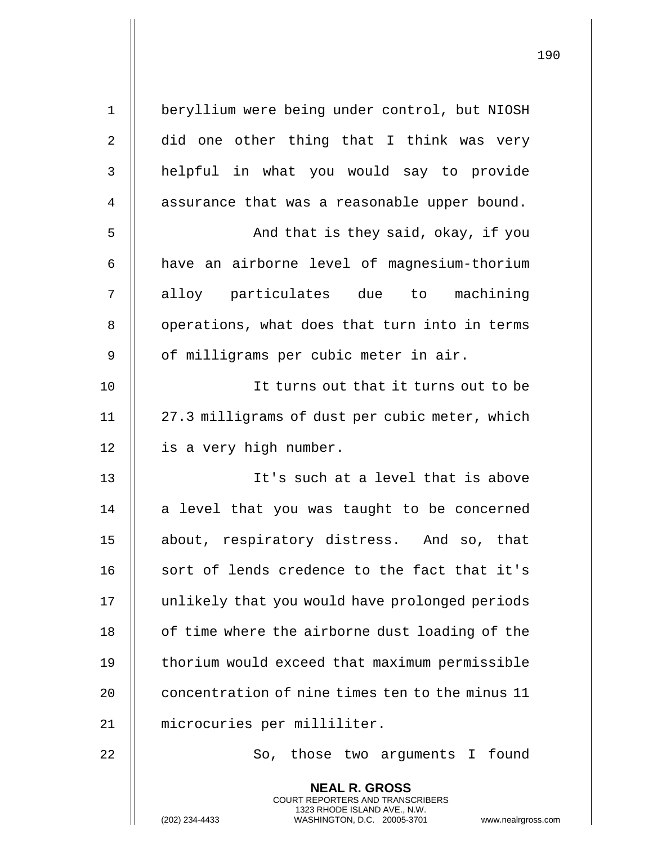| $1\,$          | beryllium were being under control, but NIOSH                                                                                                                     |
|----------------|-------------------------------------------------------------------------------------------------------------------------------------------------------------------|
| $\overline{2}$ | did one other thing that I think was very                                                                                                                         |
| 3              | helpful in what you would say to provide                                                                                                                          |
| 4              | assurance that was a reasonable upper bound.                                                                                                                      |
| 5              | And that is they said, okay, if you                                                                                                                               |
| 6              | have an airborne level of magnesium-thorium                                                                                                                       |
| 7              | alloy particulates due to machining                                                                                                                               |
| 8              | operations, what does that turn into in terms                                                                                                                     |
| 9              | of milligrams per cubic meter in air.                                                                                                                             |
| 10             | It turns out that it turns out to be                                                                                                                              |
| 11             | 27.3 milligrams of dust per cubic meter, which                                                                                                                    |
| 12             | is a very high number.                                                                                                                                            |
| 13             | It's such at a level that is above                                                                                                                                |
| 14             | a level that you was taught to be concerned                                                                                                                       |
| 15             | about, respiratory distress. And so, that                                                                                                                         |
| 16             | sort of lends credence to the fact that it's                                                                                                                      |
| 17             | unlikely that you would have prolonged periods                                                                                                                    |
| 18             | of time where the airborne dust loading of the                                                                                                                    |
| 19             | thorium would exceed that maximum permissible                                                                                                                     |
| 20             | concentration of nine times ten to the minus 11                                                                                                                   |
| 21             | microcuries per milliliter.                                                                                                                                       |
| 22             | So, those two arguments I found                                                                                                                                   |
|                | <b>NEAL R. GROSS</b><br><b>COURT REPORTERS AND TRANSCRIBERS</b><br>1323 RHODE ISLAND AVE., N.W.<br>(202) 234-4433<br>WASHINGTON, D.C. 20005-3701<br>www.nealrgros |

(202) 234-4433 WASHINGTON, D.C. 20005-3701 www.nealrgross.com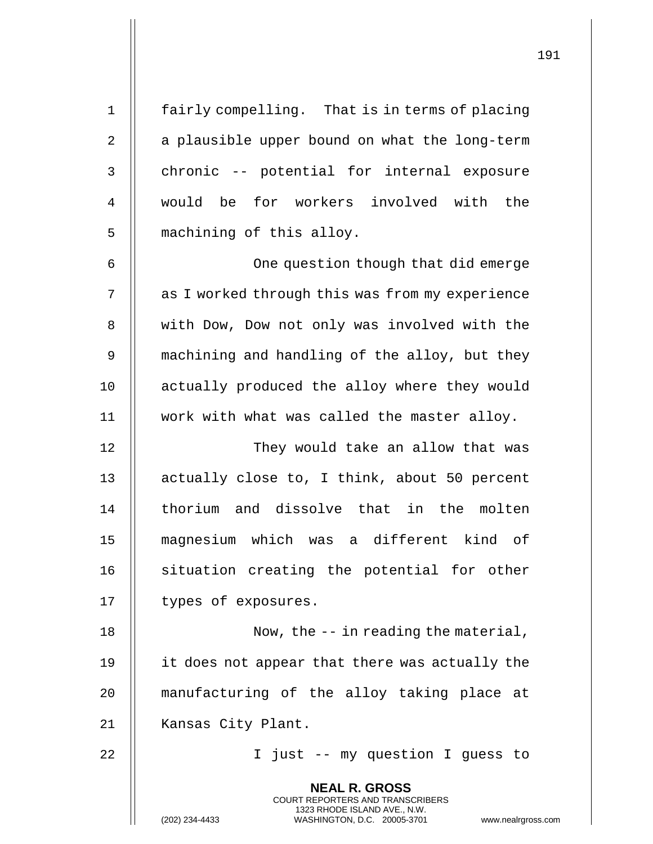| $\mathbf 1$ | fairly compelling. That is in terms of placing                                                                                                                  |
|-------------|-----------------------------------------------------------------------------------------------------------------------------------------------------------------|
| 2           | a plausible upper bound on what the long-term                                                                                                                   |
| 3           | chronic -- potential for internal exposure                                                                                                                      |
| 4           | would be for workers involved with the                                                                                                                          |
| 5           | machining of this alloy.                                                                                                                                        |
| 6           | One question though that did emerge                                                                                                                             |
| 7           | as I worked through this was from my experience                                                                                                                 |
| 8           | with Dow, Dow not only was involved with the                                                                                                                    |
| $\mathsf 9$ | machining and handling of the alloy, but they                                                                                                                   |
| 10          | actually produced the alloy where they would                                                                                                                    |
| 11          | work with what was called the master alloy.                                                                                                                     |
| 12          | They would take an allow that was                                                                                                                               |
| 13          | actually close to, I think, about 50 percent                                                                                                                    |
| 14          | thorium and dissolve that in the molten                                                                                                                         |
| 15          | magnesium which was a different kind of                                                                                                                         |
| 16          | situation creating the potential for other                                                                                                                      |
| 17          | types of exposures.                                                                                                                                             |
| 18          | Now, the $-$ - in reading the material,                                                                                                                         |
| 19          | it does not appear that there was actually the                                                                                                                  |
| 20          | manufacturing of the alloy taking place at                                                                                                                      |
| 21          | Kansas City Plant.                                                                                                                                              |
| 22          | I just -- my question I guess to                                                                                                                                |
|             | <b>NEAL R. GROSS</b><br>COURT REPORTERS AND TRANSCRIBERS<br>1323 RHODE ISLAND AVE., N.W.<br>(202) 234-4433<br>WASHINGTON, D.C. 20005-3701<br>www.nealrgross.com |

 $\mathbf{I}$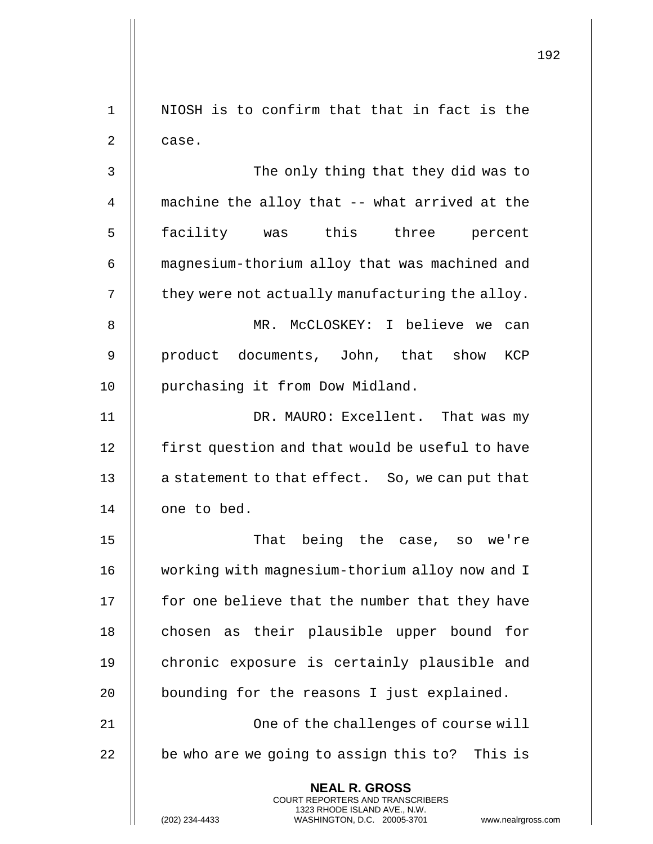|                |                                                                                                                                                                        | 192 |
|----------------|------------------------------------------------------------------------------------------------------------------------------------------------------------------------|-----|
| $\mathbf 1$    | NIOSH is to confirm that that in fact is the                                                                                                                           |     |
| $\overline{2}$ | case.                                                                                                                                                                  |     |
| 3              | The only thing that they did was to                                                                                                                                    |     |
| 4              | machine the alloy that -- what arrived at the                                                                                                                          |     |
| 5              | facility was this three<br>percent                                                                                                                                     |     |
| 6              | magnesium-thorium alloy that was machined and                                                                                                                          |     |
| 7              | they were not actually manufacturing the alloy.                                                                                                                        |     |
| 8              | MR. McCLOSKEY: I believe we can                                                                                                                                        |     |
| 9              | product documents, John, that show<br>KCP                                                                                                                              |     |
| 10             | purchasing it from Dow Midland.                                                                                                                                        |     |
| 11             | DR. MAURO: Excellent. That was my                                                                                                                                      |     |
| 12             | first question and that would be useful to have                                                                                                                        |     |
| 13             | a statement to that effect. So, we can put that                                                                                                                        |     |
| 14             | one to bed.                                                                                                                                                            |     |
| 15             | That being the case, so we're                                                                                                                                          |     |
| 16             | working with magnesium-thorium alloy now and I                                                                                                                         |     |
| 17             | for one believe that the number that they have                                                                                                                         |     |
| 18             | chosen as their plausible upper bound for                                                                                                                              |     |
| 19             | chronic exposure is certainly plausible and                                                                                                                            |     |
| 20             | bounding for the reasons I just explained.                                                                                                                             |     |
| 21             | One of the challenges of course will                                                                                                                                   |     |
| 22             | be who are we going to assign this to? This is                                                                                                                         |     |
|                | <b>NEAL R. GROSS</b><br><b>COURT REPORTERS AND TRANSCRIBERS</b><br>1323 RHODE ISLAND AVE., N.W.<br>(202) 234-4433<br>WASHINGTON, D.C. 20005-3701<br>www.nealrgross.com |     |

 $\mathop{||}$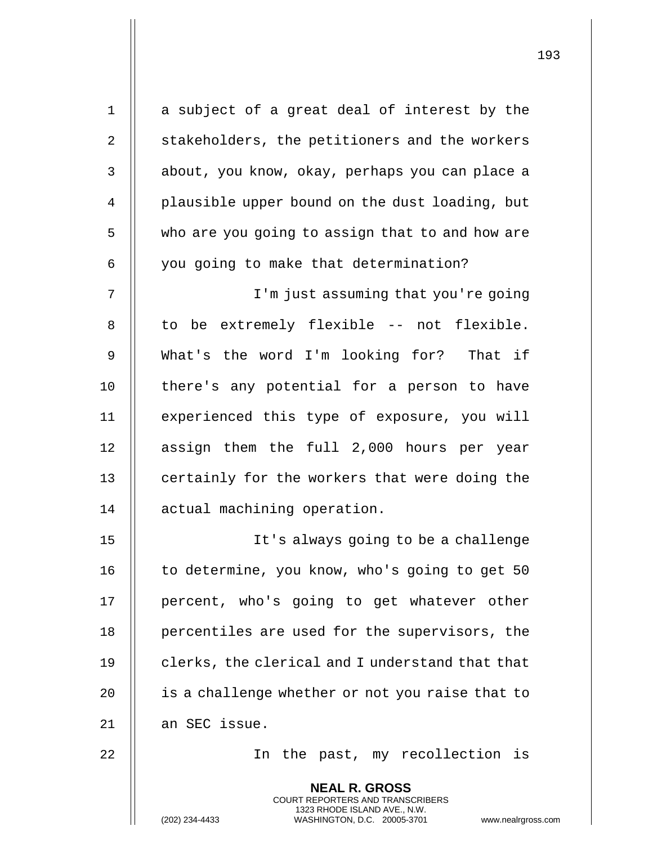| $1\,$          | a subject of a great deal of interest by the                                                                                                                      |  |
|----------------|-------------------------------------------------------------------------------------------------------------------------------------------------------------------|--|
| 2              | stakeholders, the petitioners and the workers                                                                                                                     |  |
| $\mathsf 3$    | about, you know, okay, perhaps you can place a                                                                                                                    |  |
| $\overline{4}$ | plausible upper bound on the dust loading, but                                                                                                                    |  |
| 5              | who are you going to assign that to and how are                                                                                                                   |  |
| 6              | you going to make that determination?                                                                                                                             |  |
| 7              | I'm just assuming that you're going                                                                                                                               |  |
| 8              | to be extremely flexible -- not flexible.                                                                                                                         |  |
| 9              | What's the word I'm looking for? That if                                                                                                                          |  |
| 10             | there's any potential for a person to have                                                                                                                        |  |
| 11             | experienced this type of exposure, you will                                                                                                                       |  |
| 12             | assign them the full 2,000 hours per year                                                                                                                         |  |
| 13             | certainly for the workers that were doing the                                                                                                                     |  |
| 14             | actual machining operation.                                                                                                                                       |  |
| 15             | It's always going to be a challenge                                                                                                                               |  |
| 16             | to determine, you know, who's going to get 50                                                                                                                     |  |
| 17             | percent, who's going to get whatever other                                                                                                                        |  |
| 18             | percentiles are used for the supervisors, the                                                                                                                     |  |
| 19             | clerks, the clerical and I understand that that                                                                                                                   |  |
| 20             | is a challenge whether or not you raise that to                                                                                                                   |  |
| 21             | an SEC issue.                                                                                                                                                     |  |
| 22             | the past, my recollection is<br>In                                                                                                                                |  |
|                | <b>NEAL R. GROSS</b><br><b>COURT REPORTERS AND TRANSCRIBERS</b><br>1323 RHODE ISLAND AVE., N.W.<br>(202) 234-4433<br>WASHINGTON, D.C. 20005-3701<br>www.nealrgros |  |

(202) 234-4433 WASHINGTON, D.C. 20005-3701 www.nealrgross.com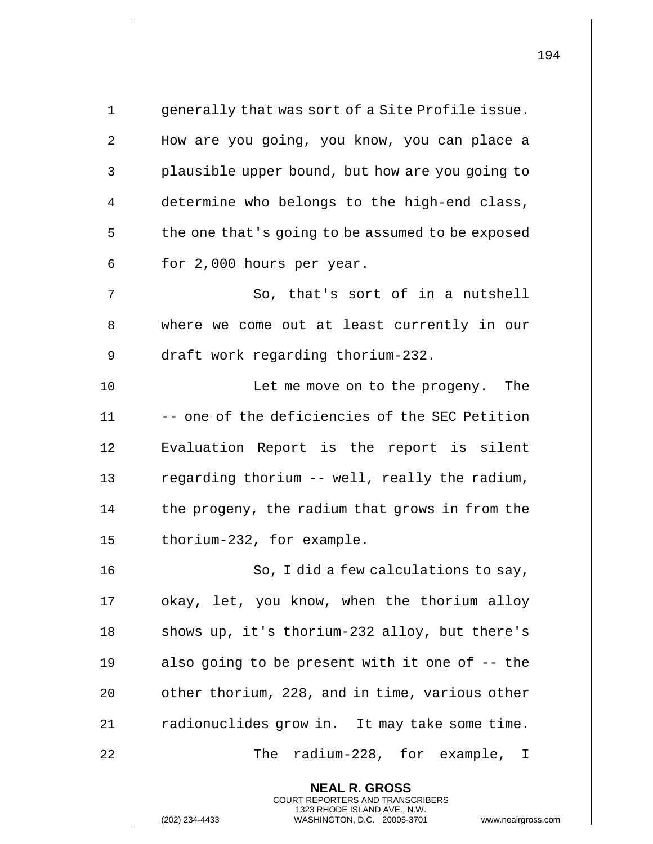| $\mathbf 1$    | generally that was sort of a Site Profile issue.                                                                                                                |
|----------------|-----------------------------------------------------------------------------------------------------------------------------------------------------------------|
| 2              | How are you going, you know, you can place a                                                                                                                    |
| 3              | plausible upper bound, but how are you going to                                                                                                                 |
| $\overline{4}$ | determine who belongs to the high-end class,                                                                                                                    |
| 5              | the one that's going to be assumed to be exposed                                                                                                                |
| 6              | for 2,000 hours per year.                                                                                                                                       |
| 7              | So, that's sort of in a nutshell                                                                                                                                |
| 8              | where we come out at least currently in our                                                                                                                     |
| 9              | draft work regarding thorium-232.                                                                                                                               |
| 10             | Let me move on to the progeny. The                                                                                                                              |
| 11             | -- one of the deficiencies of the SEC Petition                                                                                                                  |
| 12             | Evaluation Report is the report is silent                                                                                                                       |
| 13             | regarding thorium -- well, really the radium,                                                                                                                   |
| 14             | the progeny, the radium that grows in from the                                                                                                                  |
| 15             | thorium-232, for example.                                                                                                                                       |
| 16             | So, I did a few calculations to say,                                                                                                                            |
| 17             | okay, let, you know, when the thorium alloy                                                                                                                     |
| 18             | shows up, it's thorium-232 alloy, but there's                                                                                                                   |
| 19             | also going to be present with it one of -- the                                                                                                                  |
| 20             | other thorium, 228, and in time, various other                                                                                                                  |
| 21             | radionuclides grow in. It may take some time.                                                                                                                   |
| 22             | The radium-228, for example, I                                                                                                                                  |
|                | <b>NEAL R. GROSS</b><br>COURT REPORTERS AND TRANSCRIBERS<br>1323 RHODE ISLAND AVE., N.W.<br>(202) 234-4433<br>WASHINGTON, D.C. 20005-3701<br>www.nealrgross.com |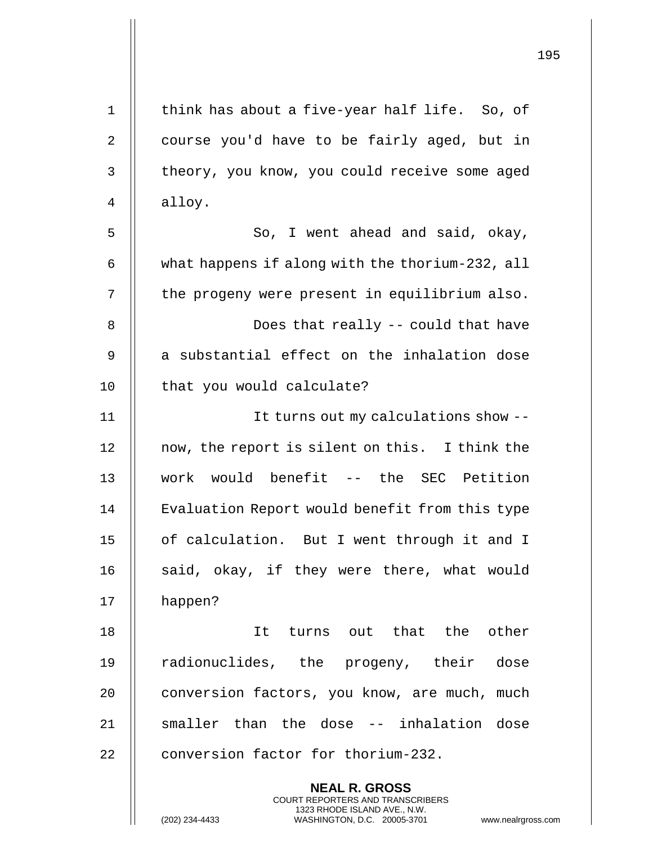| $1\,$ | think has about a five-year half life. So, of                                                                                                                     |
|-------|-------------------------------------------------------------------------------------------------------------------------------------------------------------------|
| 2     | course you'd have to be fairly aged, but in                                                                                                                       |
| 3     | theory, you know, you could receive some aged                                                                                                                     |
| 4     | alloy.                                                                                                                                                            |
| 5     | So, I went ahead and said, okay,                                                                                                                                  |
| 6     | what happens if along with the thorium-232, all                                                                                                                   |
| 7     | the progeny were present in equilibrium also.                                                                                                                     |
| 8     | Does that really -- could that have                                                                                                                               |
| 9     | a substantial effect on the inhalation dose                                                                                                                       |
| 10    | that you would calculate?                                                                                                                                         |
| 11    | It turns out my calculations show --                                                                                                                              |
| 12    | now, the report is silent on this. I think the                                                                                                                    |
| 13    | work would benefit -- the SEC Petition                                                                                                                            |
| 14    | Evaluation Report would benefit from this type                                                                                                                    |
| 15    | of calculation. But I went through it and I                                                                                                                       |
| 16    | said, okay, if they were there, what would                                                                                                                        |
| 17    | happen?                                                                                                                                                           |
| 18    | It turns out that the other                                                                                                                                       |
| 19    | radionuclides, the progeny, their dose                                                                                                                            |
| 20    | conversion factors, you know, are much, much                                                                                                                      |
| 21    | smaller than the dose -- inhalation dose                                                                                                                          |
| 22    | conversion factor for thorium-232.                                                                                                                                |
|       | <b>NEAL R. GROSS</b><br><b>COURT REPORTERS AND TRANSCRIBERS</b><br>1323 RHODE ISLAND AVE., N.W.<br>(202) 234-4433<br>WASHINGTON, D.C. 20005-3701<br>www.nealrgros |

(202) 234-4433 WASHINGTON, D.C. 20005-3701 www.nealrgross.com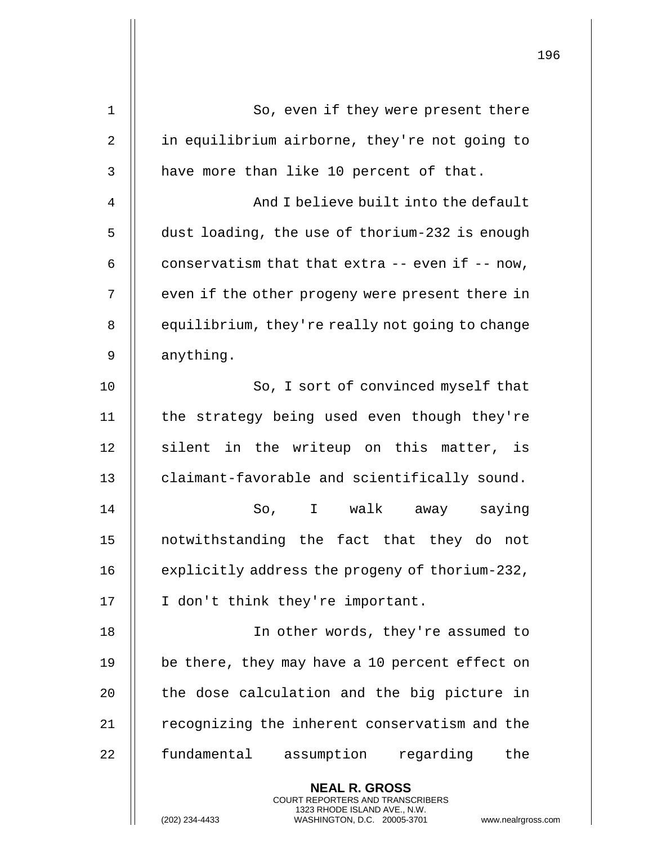| 1  | So, even if they were present there                                                                                                                             |  |  |  |
|----|-----------------------------------------------------------------------------------------------------------------------------------------------------------------|--|--|--|
| 2  | in equilibrium airborne, they're not going to                                                                                                                   |  |  |  |
| 3  | have more than like 10 percent of that.                                                                                                                         |  |  |  |
| 4  | And I believe built into the default                                                                                                                            |  |  |  |
| 5  | dust loading, the use of thorium-232 is enough                                                                                                                  |  |  |  |
| 6  | conservatism that that extra $--$ even if $--$ now,                                                                                                             |  |  |  |
| 7  | even if the other progeny were present there in                                                                                                                 |  |  |  |
| 8  | equilibrium, they're really not going to change                                                                                                                 |  |  |  |
| 9  | anything.                                                                                                                                                       |  |  |  |
| 10 | So, I sort of convinced myself that                                                                                                                             |  |  |  |
| 11 | the strategy being used even though they're                                                                                                                     |  |  |  |
| 12 | silent in the writeup on this matter, is                                                                                                                        |  |  |  |
| 13 | claimant-favorable and scientifically sound.                                                                                                                    |  |  |  |
| 14 | So, I walk away saying                                                                                                                                          |  |  |  |
| 15 | notwithstanding the fact that they do not                                                                                                                       |  |  |  |
| 16 | explicitly address the progeny of thorium-232,                                                                                                                  |  |  |  |
| 17 | I don't think they're important.                                                                                                                                |  |  |  |
| 18 | In other words, they're assumed to                                                                                                                              |  |  |  |
| 19 | be there, they may have a 10 percent effect on                                                                                                                  |  |  |  |
| 20 | the dose calculation and the big picture in                                                                                                                     |  |  |  |
| 21 | recognizing the inherent conservatism and the                                                                                                                   |  |  |  |
| 22 | fundamental<br>assumption regarding<br>the                                                                                                                      |  |  |  |
|    | <b>NEAL R. GROSS</b><br>COURT REPORTERS AND TRANSCRIBERS<br>1323 RHODE ISLAND AVE., N.W.<br>WASHINGTON, D.C. 20005-3701<br>(202) 234-4433<br>www.nealrgross.com |  |  |  |

 $\mathsf{II}$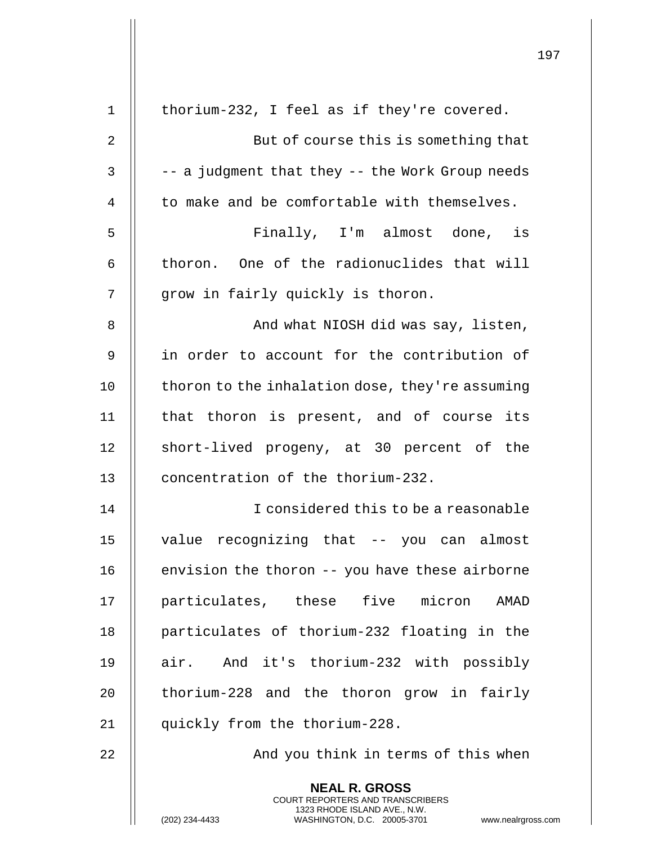|    |                                                                                                                                                                        | 197 |
|----|------------------------------------------------------------------------------------------------------------------------------------------------------------------------|-----|
|    |                                                                                                                                                                        |     |
| 1  | thorium-232, I feel as if they're covered.                                                                                                                             |     |
| 2  | But of course this is something that                                                                                                                                   |     |
| 3  | -- a judgment that they -- the Work Group needs                                                                                                                        |     |
| 4  | to make and be comfortable with themselves.                                                                                                                            |     |
| 5  | Finally, I'm almost done, is                                                                                                                                           |     |
| 6  | thoron. One of the radionuclides that will                                                                                                                             |     |
| 7  | grow in fairly quickly is thoron.                                                                                                                                      |     |
| 8  | And what NIOSH did was say, listen,                                                                                                                                    |     |
| 9  | in order to account for the contribution of                                                                                                                            |     |
| 10 | thoron to the inhalation dose, they're assuming                                                                                                                        |     |
| 11 | that thoron is present, and of course its                                                                                                                              |     |
| 12 | short-lived progeny, at 30 percent of the                                                                                                                              |     |
| 13 | concentration of the thorium-232.                                                                                                                                      |     |
| 14 | I considered this to be a reasonable                                                                                                                                   |     |
| 15 | value recognizing that -- you can almost                                                                                                                               |     |
| 16 | envision the thoron -- you have these airborne                                                                                                                         |     |
| 17 | particulates, these five micron AMAD                                                                                                                                   |     |
| 18 | particulates of thorium-232 floating in the                                                                                                                            |     |
| 19 | air. And it's thorium-232 with possibly                                                                                                                                |     |
| 20 | thorium-228 and the thoron grow in fairly                                                                                                                              |     |
| 21 | quickly from the thorium-228.                                                                                                                                          |     |
| 22 | And you think in terms of this when                                                                                                                                    |     |
|    | <b>NEAL R. GROSS</b><br><b>COURT REPORTERS AND TRANSCRIBERS</b><br>1323 RHODE ISLAND AVE., N.W.<br>(202) 234-4433<br>WASHINGTON, D.C. 20005-3701<br>www.nealrgross.com |     |

 $\mathbf{I}$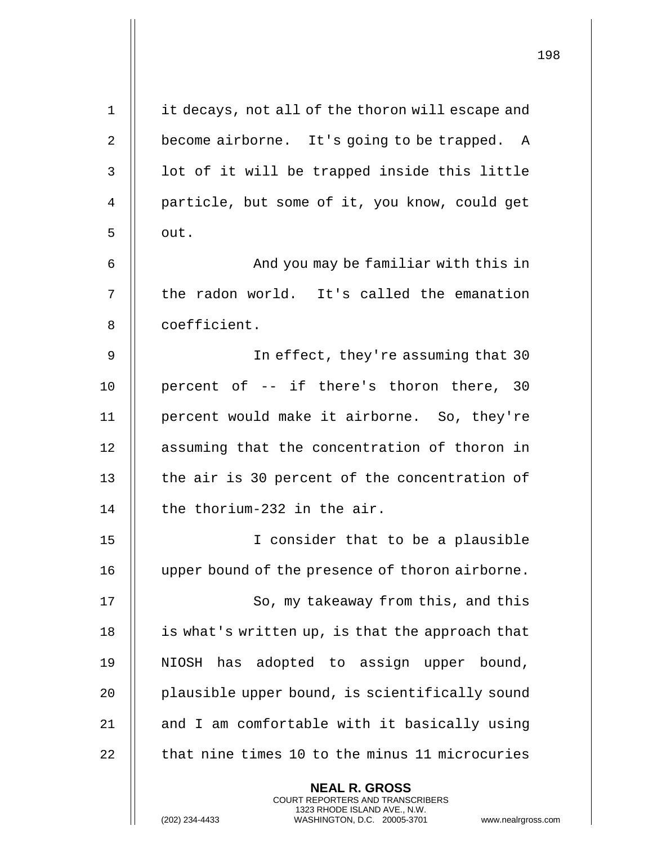| $\mathbf 1$ | it decays, not all of the thoron will escape and                                                                                                                   |
|-------------|--------------------------------------------------------------------------------------------------------------------------------------------------------------------|
| 2           | become airborne. It's going to be trapped. A                                                                                                                       |
| 3           | lot of it will be trapped inside this little                                                                                                                       |
| 4           | particle, but some of it, you know, could get                                                                                                                      |
| 5           | out.                                                                                                                                                               |
| 6           | And you may be familiar with this in                                                                                                                               |
| 7           | the radon world. It's called the emanation                                                                                                                         |
| 8           | coefficient.                                                                                                                                                       |
| 9           | In effect, they're assuming that 30                                                                                                                                |
| 10          | percent of -- if there's thoron there, 30                                                                                                                          |
| 11          | percent would make it airborne. So, they're                                                                                                                        |
| 12          | assuming that the concentration of thoron in                                                                                                                       |
| 13          | the air is 30 percent of the concentration of                                                                                                                      |
| 14          | the thorium-232 in the air.                                                                                                                                        |
| $15$        | I consider that to be a plausible                                                                                                                                  |
| 16          | upper bound of the presence of thoron airborne.                                                                                                                    |
| 17          | So, my takeaway from this, and this                                                                                                                                |
| 18          | is what's written up, is that the approach that                                                                                                                    |
| 19          | NIOSH has adopted to assign upper bound,                                                                                                                           |
| 20          | plausible upper bound, is scientifically sound                                                                                                                     |
| 21          | and I am comfortable with it basically using                                                                                                                       |
| 22          | that nine times 10 to the minus 11 microcuries                                                                                                                     |
|             | <b>NEAL R. GROSS</b><br><b>COURT REPORTERS AND TRANSCRIBERS</b><br>1323 RHODE ISLAND AVE., N.W.<br>(202) 234-4433<br>WASHINGTON, D.C. 20005-3701<br>www.nealrgross |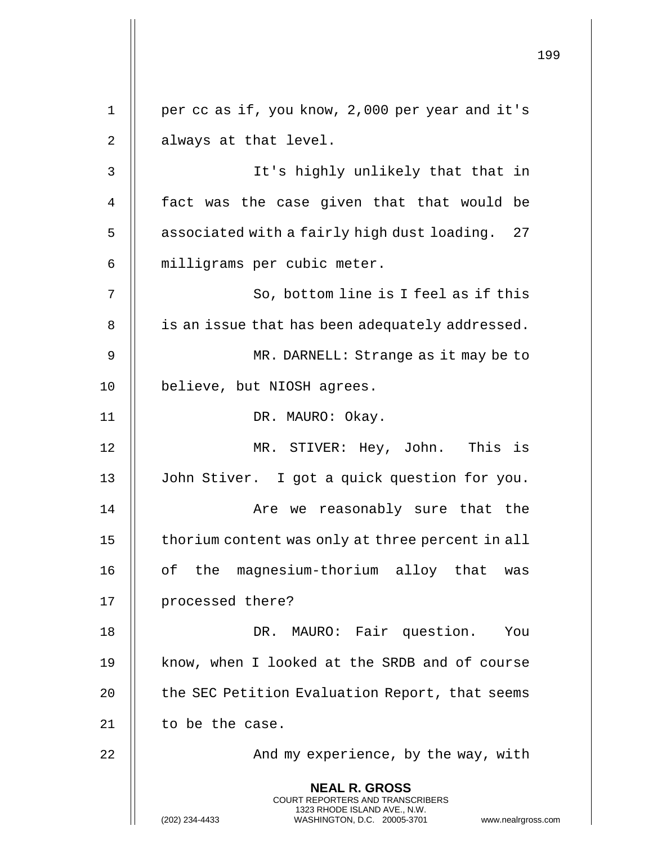**NEAL R. GROSS** COURT REPORTERS AND TRANSCRIBERS 1323 RHODE ISLAND AVE., N.W. (202) 234-4433 WASHINGTON, D.C. 20005-3701 www.nealrgross.com 1 | per cc as if, you know, 2,000 per year and it's 2 || always at that level. 3 It's highly unlikely that that in 4 || fact was the case given that that would be 5 | associated with a fairly high dust loading. 27 6 | milligrams per cubic meter. 7 || So, bottom line is I feel as if this 8 | is an issue that has been adequately addressed. 9 MR. DARNELL: Strange as it may be to 10 | believe, but NIOSH agrees. 11 || DR. MAURO: Okay. 12 MR. STIVER: Hey, John. This is 13 John Stiver. I got a quick question for you. 14 Are we reasonably sure that the 15 | thorium content was only at three percent in all 16 || of the magnesium-thorium alloy that was 17 || processed there? 18 DR. MAURO: Fair question. You 19 || know, when I looked at the SRDB and of course 20 **the SEC Petition Evaluation Report, that seems** 21  $\parallel$  to be the case. 22 And my experience, by the way, with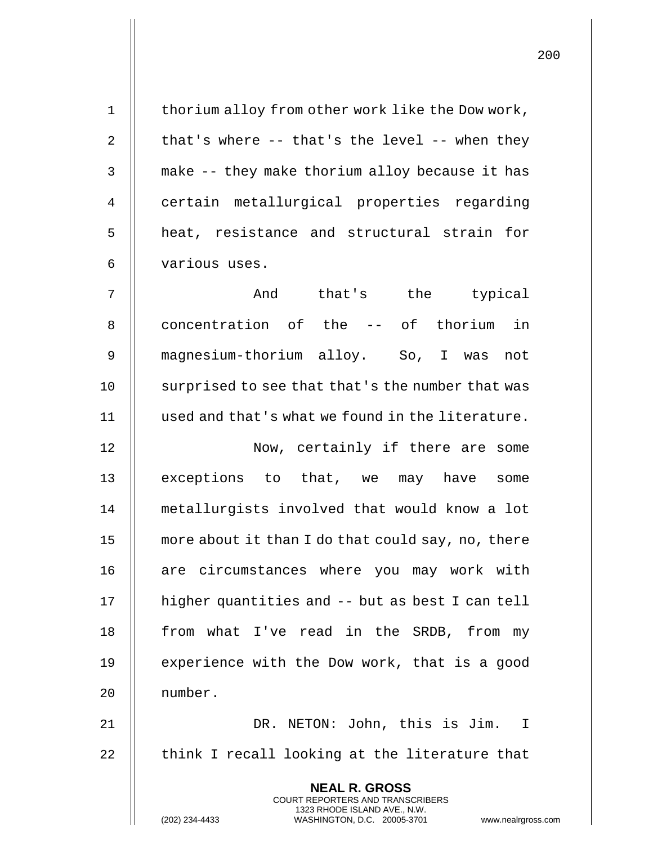| $\mathbf 1$    | thorium alloy from other work like the Dow work,                                                                                                                |
|----------------|-----------------------------------------------------------------------------------------------------------------------------------------------------------------|
| $\overline{2}$ | that's where -- that's the level -- when they                                                                                                                   |
| $\mathsf{3}$   | make -- they make thorium alloy because it has                                                                                                                  |
| 4              | certain metallurgical properties regarding                                                                                                                      |
| 5              | heat, resistance and structural strain for                                                                                                                      |
| 6              | various uses.                                                                                                                                                   |
| 7              | And that's the typical                                                                                                                                          |
| 8              | concentration of the -- of thorium in                                                                                                                           |
| 9              | magnesium-thorium alloy. So, I was<br>not                                                                                                                       |
| 10             | surprised to see that that's the number that was                                                                                                                |
| 11             | used and that's what we found in the literature.                                                                                                                |
| 12             | Now, certainly if there are some                                                                                                                                |
| 13             | exceptions to that, we may have some                                                                                                                            |
| 14             | metallurgists involved that would know a lot                                                                                                                    |
| 15             | more about it than I do that could say, no, there                                                                                                               |
| 16             | are circumstances where you may work with                                                                                                                       |
| 17             | higher quantities and -- but as best I can tell                                                                                                                 |
| 18             | from what I've read in the SRDB, from my                                                                                                                        |
| 19             | experience with the Dow work, that is a good                                                                                                                    |
| 20             | number.                                                                                                                                                         |
| 21             | DR. NETON: John, this is Jim. I                                                                                                                                 |
| 22             | think I recall looking at the literature that                                                                                                                   |
|                | <b>NEAL R. GROSS</b><br>COURT REPORTERS AND TRANSCRIBERS<br>1323 RHODE ISLAND AVE., N.W.<br>(202) 234-4433<br>WASHINGTON, D.C. 20005-3701<br>www.nealrgross.com |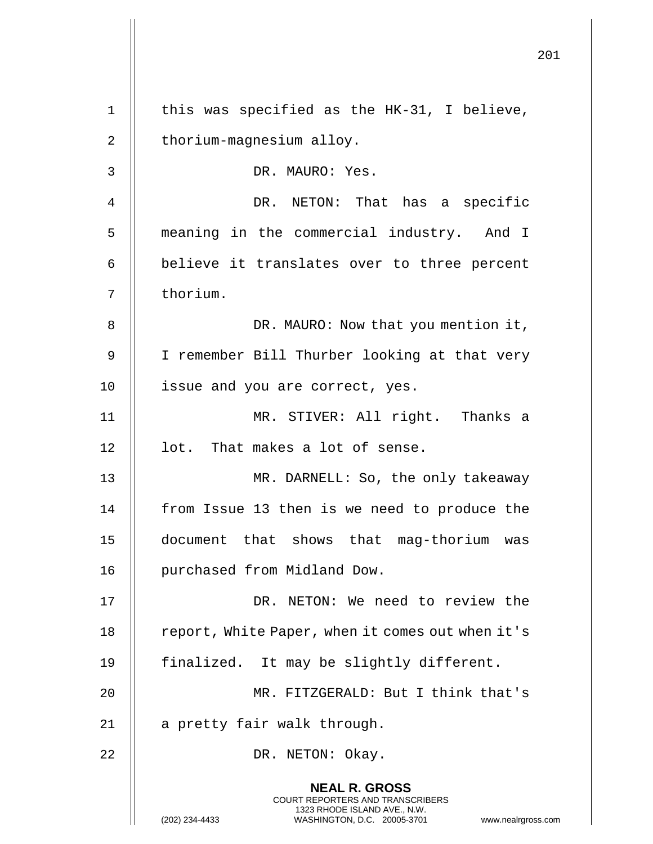|             |                                                                                                                                                                        | 201 |
|-------------|------------------------------------------------------------------------------------------------------------------------------------------------------------------------|-----|
| $\mathbf 1$ | this was specified as the HK-31, I believe,                                                                                                                            |     |
| 2           | thorium-magnesium alloy.                                                                                                                                               |     |
| 3           | DR. MAURO: Yes.                                                                                                                                                        |     |
| 4           | DR. NETON: That has a specific                                                                                                                                         |     |
| 5           | meaning in the commercial industry. And I                                                                                                                              |     |
| 6           | believe it translates over to three percent                                                                                                                            |     |
| 7           | thorium.                                                                                                                                                               |     |
| 8           | DR. MAURO: Now that you mention it,                                                                                                                                    |     |
| 9           | I remember Bill Thurber looking at that very                                                                                                                           |     |
| 10          | issue and you are correct, yes.                                                                                                                                        |     |
| 11          | MR. STIVER: All right. Thanks a                                                                                                                                        |     |
| 12          | lot. That makes a lot of sense.                                                                                                                                        |     |
| 13          | MR. DARNELL: So, the only takeaway                                                                                                                                     |     |
| 14          | from Issue 13 then is we need to produce the                                                                                                                           |     |
| 15          | document that shows that mag-thorium was                                                                                                                               |     |
| 16          | purchased from Midland Dow.                                                                                                                                            |     |
| 17          | DR. NETON: We need to review the                                                                                                                                       |     |
| 18          | report, White Paper, when it comes out when it's                                                                                                                       |     |
| 19          | finalized. It may be slightly different.                                                                                                                               |     |
| 20          | MR. FITZGERALD: But I think that's                                                                                                                                     |     |
| 21          | a pretty fair walk through.                                                                                                                                            |     |
| 22          | DR. NETON: Okay.                                                                                                                                                       |     |
|             | <b>NEAL R. GROSS</b><br><b>COURT REPORTERS AND TRANSCRIBERS</b><br>1323 RHODE ISLAND AVE., N.W.<br>(202) 234-4433<br>WASHINGTON, D.C. 20005-3701<br>www.nealrgross.com |     |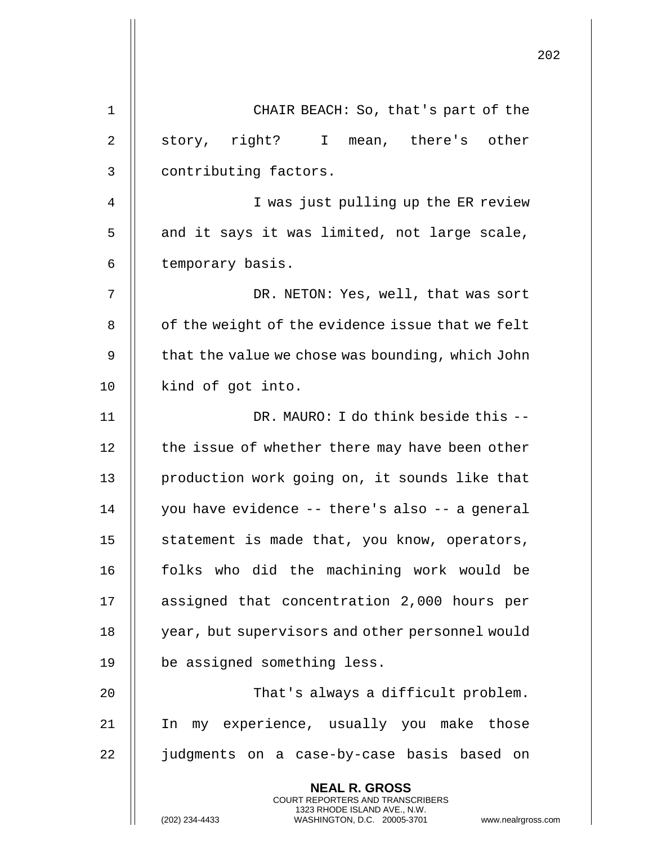|             | 2                                                                                                                                                                   |
|-------------|---------------------------------------------------------------------------------------------------------------------------------------------------------------------|
| $\mathbf 1$ | CHAIR BEACH: So, that's part of the                                                                                                                                 |
| 2           | story, right? I mean, there's other                                                                                                                                 |
| 3           | contributing factors.                                                                                                                                               |
| 4           | I was just pulling up the ER review                                                                                                                                 |
| 5           | and it says it was limited, not large scale,                                                                                                                        |
| 6           | temporary basis.                                                                                                                                                    |
| 7           | DR. NETON: Yes, well, that was sort                                                                                                                                 |
| 8           | of the weight of the evidence issue that we felt                                                                                                                    |
| 9           | that the value we chose was bounding, which John                                                                                                                    |
| 10          | kind of got into.                                                                                                                                                   |
| 11          | DR. MAURO: I do think beside this --                                                                                                                                |
| 12          | the issue of whether there may have been other                                                                                                                      |
| 13          | production work going on, it sounds like that                                                                                                                       |
| 14          | you have evidence -- there's also -- a general                                                                                                                      |
| 15          | statement is made that, you know, operators,                                                                                                                        |
| 16          | folks who did the machining work would be                                                                                                                           |
| 17          | assigned that concentration 2,000 hours per                                                                                                                         |
| 18          | year, but supervisors and other personnel would                                                                                                                     |
| 19          | be assigned something less.                                                                                                                                         |
| 20          | That's always a difficult problem.                                                                                                                                  |
| 21          | my experience, usually you make those<br>In                                                                                                                         |
| 22          | judgments on a case-by-case basis based on                                                                                                                          |
|             | <b>NEAL R. GROSS</b><br><b>COURT REPORTERS AND TRANSCRIBERS</b><br>1323 RHODE ISLAND AVE., N.W.<br>(202) 234-4433<br>WASHINGTON, D.C. 20005-3701<br>www.nealrgross. |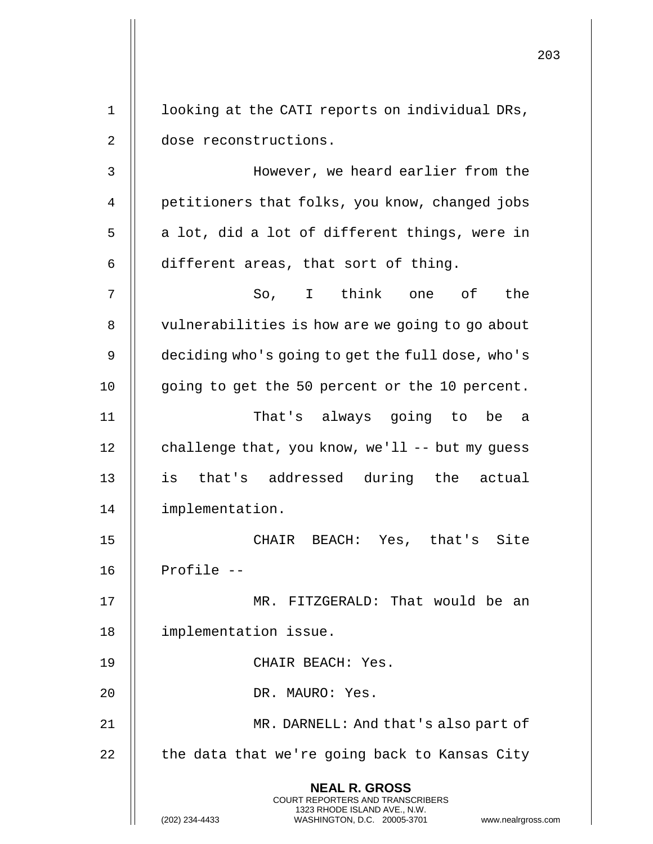|                |                                                                                                                                                                        | 203 |
|----------------|------------------------------------------------------------------------------------------------------------------------------------------------------------------------|-----|
| $\mathbf 1$    | looking at the CATI reports on individual DRs,                                                                                                                         |     |
| 2              | dose reconstructions.                                                                                                                                                  |     |
| 3              | However, we heard earlier from the                                                                                                                                     |     |
| $\overline{4}$ | petitioners that folks, you know, changed jobs                                                                                                                         |     |
| 5              | a lot, did a lot of different things, were in                                                                                                                          |     |
| 6              | different areas, that sort of thing.                                                                                                                                   |     |
|                | the                                                                                                                                                                    |     |
| 7              | I think one of<br>So,                                                                                                                                                  |     |
| 8              | vulnerabilities is how are we going to go about                                                                                                                        |     |
| 9              | deciding who's going to get the full dose, who's                                                                                                                       |     |
| 10             | going to get the 50 percent or the 10 percent.                                                                                                                         |     |
| 11             | That's always going to be a                                                                                                                                            |     |
| 12             | challenge that, you know, we'll -- but my guess                                                                                                                        |     |
| 13             | is<br>that's addressed during the actual                                                                                                                               |     |
| 14             | implementation.                                                                                                                                                        |     |
| 15             | CHAIR BEACH: Yes, that's Site                                                                                                                                          |     |
| 16             | Profile --                                                                                                                                                             |     |
| 17             | MR. FITZGERALD: That would be an                                                                                                                                       |     |
| 18             | implementation issue.                                                                                                                                                  |     |
| 19             | CHAIR BEACH: Yes.                                                                                                                                                      |     |
| 20             | DR. MAURO: Yes.                                                                                                                                                        |     |
| 21             | MR. DARNELL: And that's also part of                                                                                                                                   |     |
| 22             | the data that we're going back to Kansas City                                                                                                                          |     |
|                | <b>NEAL R. GROSS</b><br><b>COURT REPORTERS AND TRANSCRIBERS</b><br>1323 RHODE ISLAND AVE., N.W.<br>(202) 234-4433<br>WASHINGTON, D.C. 20005-3701<br>www.nealrgross.com |     |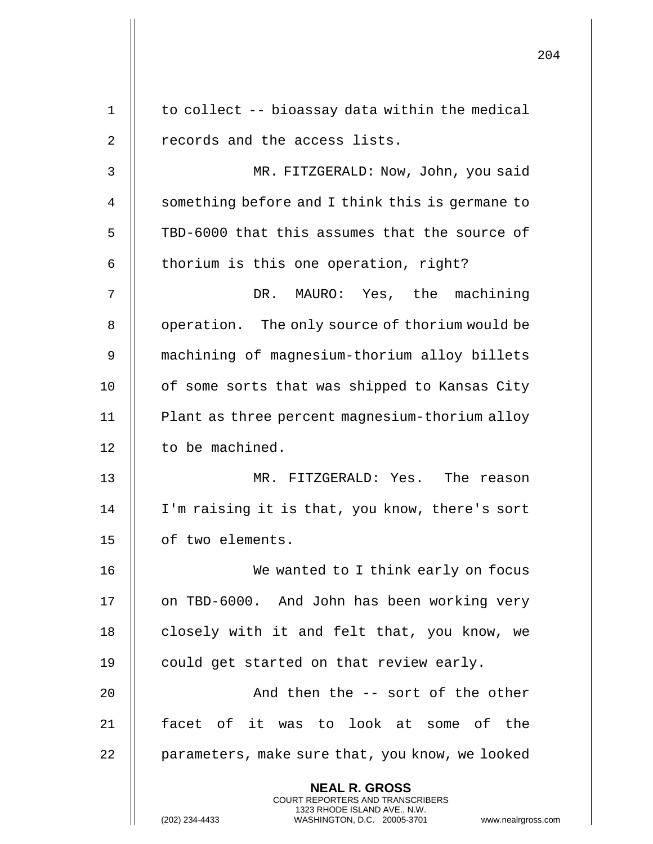|    |                                                                                                                                                                 | 204 |
|----|-----------------------------------------------------------------------------------------------------------------------------------------------------------------|-----|
| 1  | to collect -- bioassay data within the medical                                                                                                                  |     |
| 2  | records and the access lists.                                                                                                                                   |     |
| 3  | MR. FITZGERALD: Now, John, you said                                                                                                                             |     |
| 4  | something before and I think this is germane to                                                                                                                 |     |
| 5  | TBD-6000 that this assumes that the source of                                                                                                                   |     |
| 6  | thorium is this one operation, right?                                                                                                                           |     |
| 7  | MAURO: Yes, the machining<br>DR.                                                                                                                                |     |
| 8  | operation. The only source of thorium would be                                                                                                                  |     |
| 9  | machining of magnesium-thorium alloy billets                                                                                                                    |     |
| 10 | of some sorts that was shipped to Kansas City                                                                                                                   |     |
| 11 | Plant as three percent magnesium-thorium alloy                                                                                                                  |     |
| 12 | to be machined.                                                                                                                                                 |     |
| 13 | MR. FITZGERALD: Yes.<br>The reason                                                                                                                              |     |
| 14 | I'm raising it is that, you know, there's sort                                                                                                                  |     |
| 15 | of two elements.                                                                                                                                                |     |
| 16 | We wanted to I think early on focus                                                                                                                             |     |
| 17 | on TBD-6000. And John has been working very                                                                                                                     |     |
| 18 | closely with it and felt that, you know, we                                                                                                                     |     |
| 19 | could get started on that review early.                                                                                                                         |     |
| 20 | And then the -- sort of the other                                                                                                                               |     |
| 21 | facet of it was to look at some of the                                                                                                                          |     |
| 22 | parameters, make sure that, you know, we looked                                                                                                                 |     |
|    | <b>NEAL R. GROSS</b><br>COURT REPORTERS AND TRANSCRIBERS<br>1323 RHODE ISLAND AVE., N.W.<br>WASHINGTON, D.C. 20005-3701<br>(202) 234-4433<br>www.nealrgross.com |     |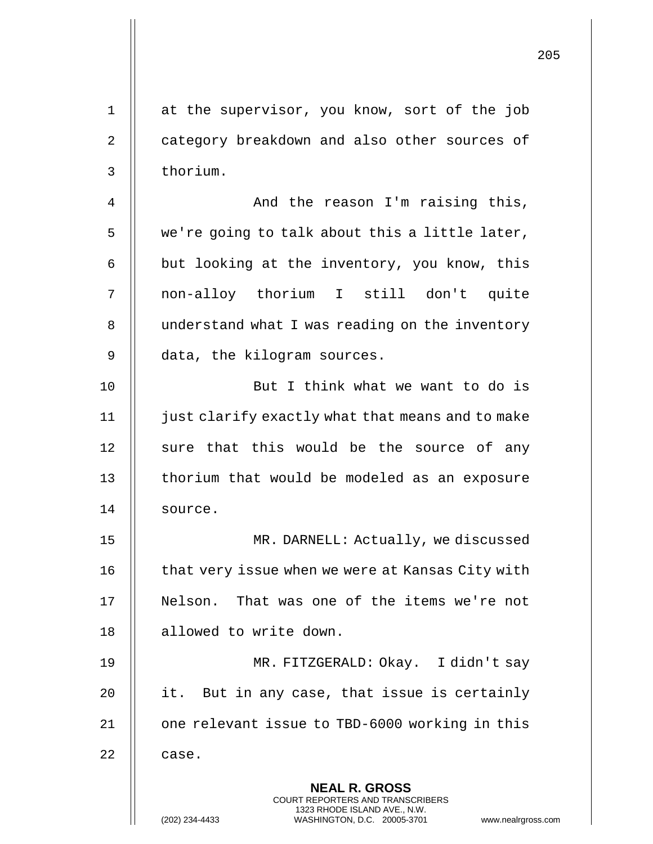| 1              | at the supervisor, you know, sort of the job                                                                                                                       |
|----------------|--------------------------------------------------------------------------------------------------------------------------------------------------------------------|
| $\overline{2}$ | category breakdown and also other sources of                                                                                                                       |
| $\mathsf{3}$   | thorium.                                                                                                                                                           |
| $\overline{4}$ | And the reason I'm raising this,                                                                                                                                   |
| 5              | we're going to talk about this a little later,                                                                                                                     |
| 6              | but looking at the inventory, you know, this                                                                                                                       |
| 7              | non-alloy thorium I still don't quite                                                                                                                              |
| 8              | understand what I was reading on the inventory                                                                                                                     |
| 9              | data, the kilogram sources.                                                                                                                                        |
| 10             | But I think what we want to do is                                                                                                                                  |
| 11             | just clarify exactly what that means and to make                                                                                                                   |
| 12             | sure that this would be the source of any                                                                                                                          |
| 13             | thorium that would be modeled as an exposure                                                                                                                       |
| 14             | source.                                                                                                                                                            |
| 15             | MR. DARNELL: Actually, we discussed                                                                                                                                |
| 16             | that very issue when we were at Kansas City with                                                                                                                   |
| 17             | Nelson. That was one of the items we're not                                                                                                                        |
| 18             | allowed to write down.                                                                                                                                             |
| 19             | MR. FITZGERALD: Okay. I didn't say                                                                                                                                 |
| 20             | it. But in any case, that issue is certainly                                                                                                                       |
| 21             | one relevant issue to TBD-6000 working in this                                                                                                                     |
| 22             | case.                                                                                                                                                              |
|                | <b>NEAL R. GROSS</b><br><b>COURT REPORTERS AND TRANSCRIBERS</b><br>1323 RHODE ISLAND AVE., N.W.<br>(202) 234-4433<br>WASHINGTON, D.C. 20005-3701<br>www.nealrgross |

 $\overline{\phantom{a}}$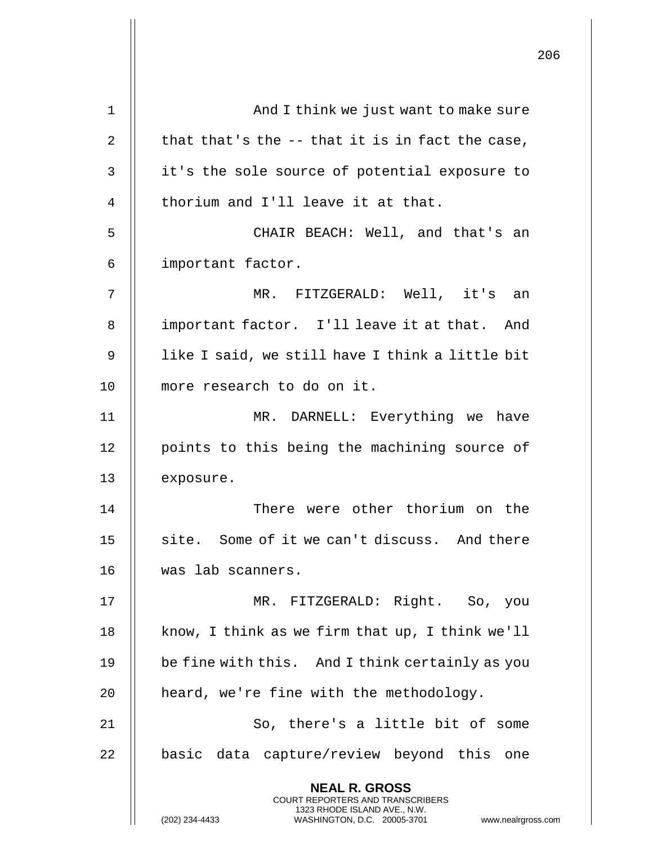|    |                                                                                                                                                                 | 206 |
|----|-----------------------------------------------------------------------------------------------------------------------------------------------------------------|-----|
|    |                                                                                                                                                                 |     |
| 1  | And I think we just want to make sure                                                                                                                           |     |
| 2  | that that's the -- that it is in fact the case,                                                                                                                 |     |
| 3  | it's the sole source of potential exposure to                                                                                                                   |     |
| 4  | thorium and I'll leave it at that.                                                                                                                              |     |
| 5  | CHAIR BEACH: Well, and that's an                                                                                                                                |     |
| 6  | important factor.                                                                                                                                               |     |
| 7  | MR. FITZGERALD: Well, it's an                                                                                                                                   |     |
| 8  | important factor. I'll leave it at that. And                                                                                                                    |     |
| 9  | like I said, we still have I think a little bit                                                                                                                 |     |
| 10 | more research to do on it.                                                                                                                                      |     |
| 11 | MR. DARNELL: Everything we have                                                                                                                                 |     |
| 12 | points to this being the machining source of                                                                                                                    |     |
| 13 | exposure.                                                                                                                                                       |     |
| 14 | There were other thorium on the                                                                                                                                 |     |
| 15 | site. Some of it we can't discuss. And there                                                                                                                    |     |
| 16 | was lab scanners.                                                                                                                                               |     |
| 17 | MR. FITZGERALD: Right. So, you                                                                                                                                  |     |
| 18 | know, I think as we firm that up, I think we'll                                                                                                                 |     |
| 19 | be fine with this. And I think certainly as you                                                                                                                 |     |
| 20 | heard, we're fine with the methodology.                                                                                                                         |     |
| 21 | So, there's a little bit of some                                                                                                                                |     |
| 22 | basic data capture/review beyond this one                                                                                                                       |     |
|    | <b>NEAL R. GROSS</b><br>COURT REPORTERS AND TRANSCRIBERS<br>1323 RHODE ISLAND AVE., N.W.<br>(202) 234-4433<br>WASHINGTON, D.C. 20005-3701<br>www.nealrgross.com |     |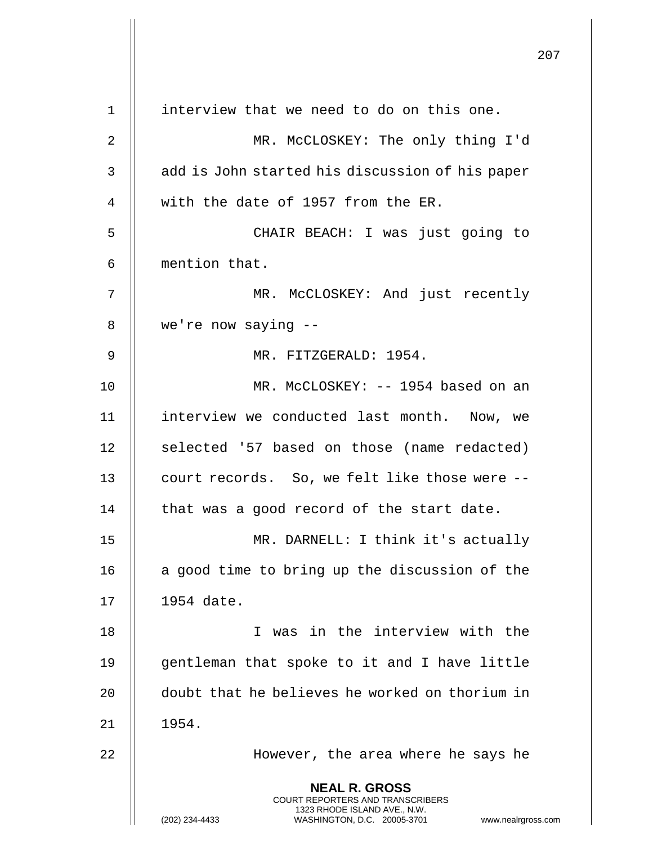**NEAL R. GROSS** COURT REPORTERS AND TRANSCRIBERS 1323 RHODE ISLAND AVE., N.W. (202) 234-4433 WASHINGTON, D.C. 20005-3701 www.nealrgross.com 1 interview that we need to do on this one. 2 MR. McCLOSKEY: The only thing I'd 3 || add is John started his discussion of his paper 4 || with the date of 1957 from the ER. 5 CHAIR BEACH: I was just going to 6 mention that. 7 || MR. McCLOSKEY: And just recently 8 we're now saying -- 9 || MR. FITZGERALD: 1954. 10 || MR. McCLOSKEY: -- 1954 based on an 11 interview we conducted last month. Now, we 12 || selected '57 based on those (name redacted) 13 | court records. So, we felt like those were -- $14$  | that was a good record of the start date. 15 MR. DARNELL: I think it's actually 16  $\parallel$  a good time to bring up the discussion of the 17 1954 date. 18 I was in the interview with the 19 || gentleman that spoke to it and I have little 20 doubt that he believes he worked on thorium in  $21$  | 1954. 22 || However, the area where he says he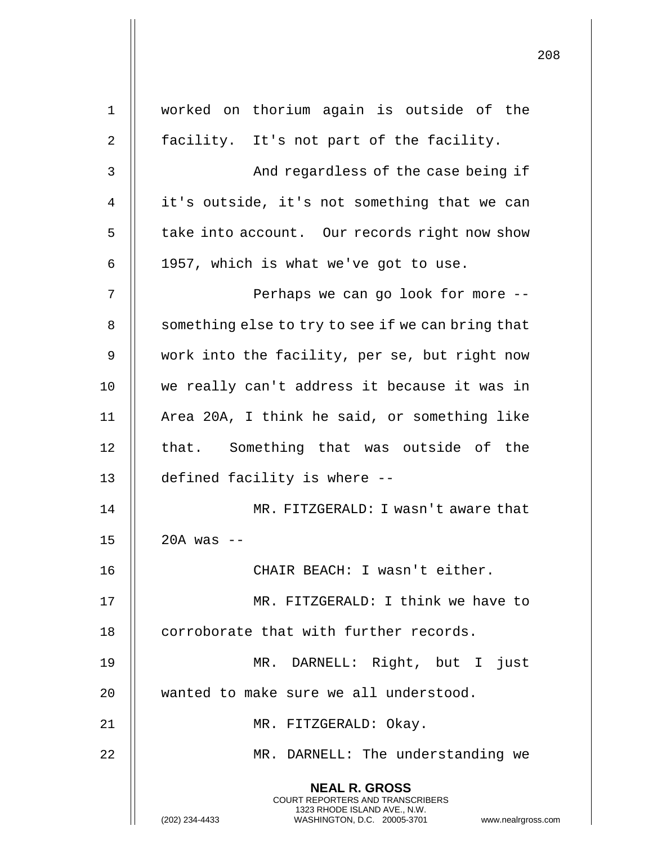| 1  | worked on thorium again is outside of the                                                                                                                              |
|----|------------------------------------------------------------------------------------------------------------------------------------------------------------------------|
| 2  | facility. It's not part of the facility.                                                                                                                               |
| 3  | And regardless of the case being if                                                                                                                                    |
| 4  | it's outside, it's not something that we can                                                                                                                           |
| 5  | take into account. Our records right now show                                                                                                                          |
| 6  | 1957, which is what we've got to use.                                                                                                                                  |
| 7  | Perhaps we can go look for more --                                                                                                                                     |
| 8  | something else to try to see if we can bring that                                                                                                                      |
| 9  | work into the facility, per se, but right now                                                                                                                          |
| 10 | we really can't address it because it was in                                                                                                                           |
| 11 | Area 20A, I think he said, or something like                                                                                                                           |
| 12 | that. Something that was outside of the                                                                                                                                |
| 13 | defined facility is where --                                                                                                                                           |
| 14 | MR. FITZGERALD: I wasn't aware that                                                                                                                                    |
| 15 | 20A was                                                                                                                                                                |
| 16 | CHAIR BEACH: I wasn't either.                                                                                                                                          |
| 17 | MR. FITZGERALD: I think we have to                                                                                                                                     |
| 18 | corroborate that with further records.                                                                                                                                 |
| 19 | MR. DARNELL: Right, but I just                                                                                                                                         |
| 20 | wanted to make sure we all understood.                                                                                                                                 |
| 21 | MR. FITZGERALD: Okay.                                                                                                                                                  |
| 22 | MR. DARNELL: The understanding we                                                                                                                                      |
|    | <b>NEAL R. GROSS</b><br><b>COURT REPORTERS AND TRANSCRIBERS</b><br>1323 RHODE ISLAND AVE., N.W.<br>(202) 234-4433<br>WASHINGTON, D.C. 20005-3701<br>www.nealrgross.com |

 $\mathsf{I}$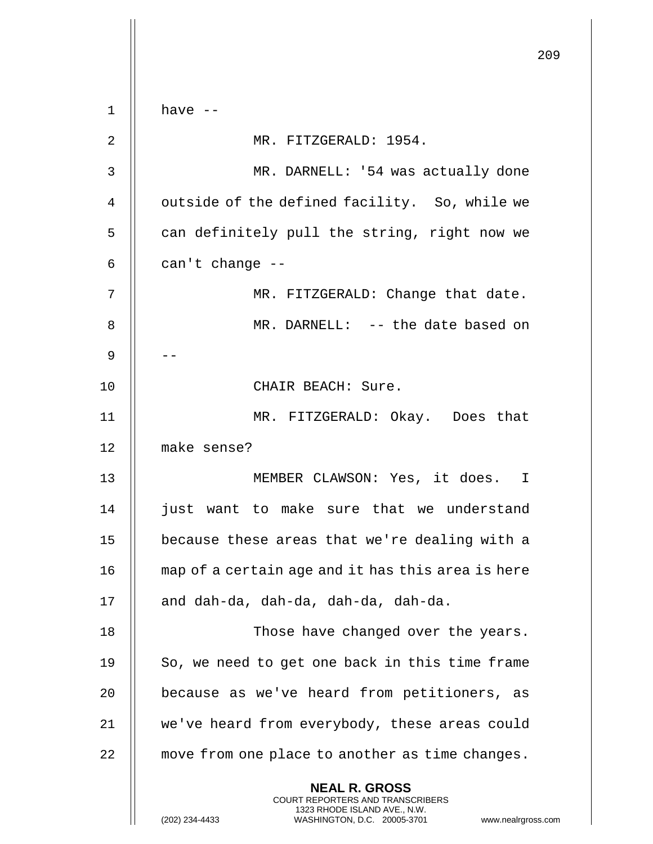209 **NEAL R. GROSS** COURT REPORTERS AND TRANSCRIBERS 1323 RHODE ISLAND AVE., N.W. (202) 234-4433 WASHINGTON, D.C. 20005-3701 www.nealrgross.com  $1$   $\parallel$  have  $-$ 2 MR. FITZGERALD: 1954. 3 MR. DARNELL: '54 was actually done 4 | outside of the defined facility. So, while we  $5$   $\parallel$  can definitely pull the string, right now we  $6 \parallel$  can't change --7 || MR. FITZGERALD: Change that date. 8 MR. DARNELL: -- the date based on 9 | --10 || CHAIR BEACH: Sure. 11 MR. FITZGERALD: Okay. Does that 12 make sense? 13 || MEMBER CLAWSON: Yes, it does. I 14 || just want to make sure that we understand 15 because these areas that we're dealing with a 16 map of a certain age and it has this area is here 17 || and dah-da, dah-da, dah-da, dah-da. 18 || Those have changed over the years. 19  $\parallel$  So, we need to get one back in this time frame 20 || because as we've heard from petitioners, as 21 | we've heard from everybody, these areas could 22 | move from one place to another as time changes.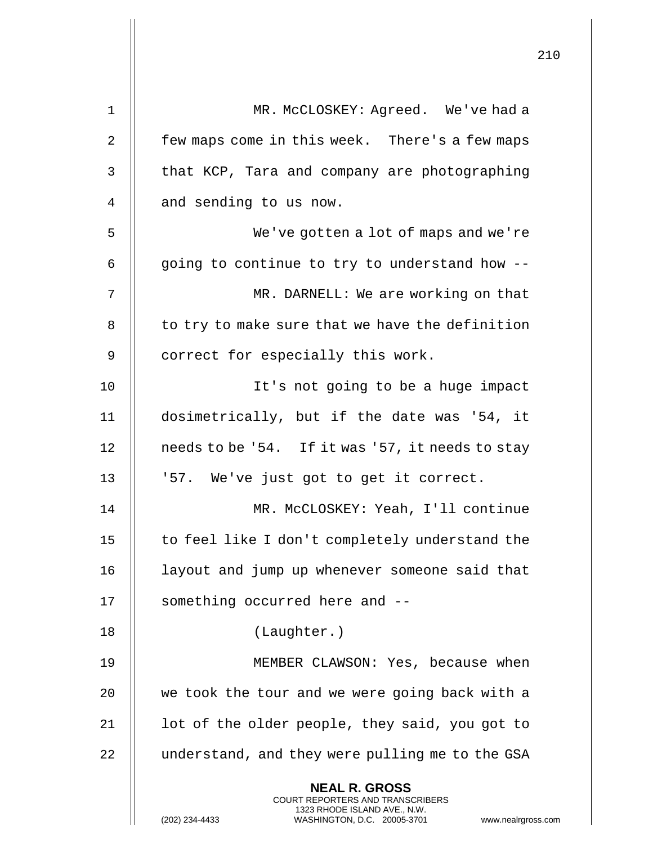|                |                                                                                                                                                                 | 210 |
|----------------|-----------------------------------------------------------------------------------------------------------------------------------------------------------------|-----|
| 1              | MR. McCLOSKEY: Agreed. We've had a                                                                                                                              |     |
| $\overline{2}$ | few maps come in this week. There's a few maps                                                                                                                  |     |
| 3              | that KCP, Tara and company are photographing                                                                                                                    |     |
| 4              | and sending to us now.                                                                                                                                          |     |
| 5              | We've gotten a lot of maps and we're                                                                                                                            |     |
| 6              | going to continue to try to understand how --                                                                                                                   |     |
|                |                                                                                                                                                                 |     |
| 7              | MR. DARNELL: We are working on that                                                                                                                             |     |
| 8              | to try to make sure that we have the definition                                                                                                                 |     |
| 9              | correct for especially this work.                                                                                                                               |     |
| 10             | It's not going to be a huge impact                                                                                                                              |     |
| 11             | dosimetrically, but if the date was '54, it                                                                                                                     |     |
| 12             | needs to be '54. If it was '57, it needs to stay                                                                                                                |     |
| 13             | '57. We've just got to get it correct.                                                                                                                          |     |
| 14             | MR. McCLOSKEY: Yeah, I'll continue                                                                                                                              |     |
| 15             | to feel like I don't completely understand the                                                                                                                  |     |
| 16             | layout and jump up whenever someone said that                                                                                                                   |     |
| 17             | something occurred here and --                                                                                                                                  |     |
| 18             | (Laughter.)                                                                                                                                                     |     |
| 19             | MEMBER CLAWSON: Yes, because when                                                                                                                               |     |
| 20             | we took the tour and we were going back with a                                                                                                                  |     |
| 21             | lot of the older people, they said, you got to                                                                                                                  |     |
| 22             | understand, and they were pulling me to the GSA                                                                                                                 |     |
|                | <b>NEAL R. GROSS</b><br>COURT REPORTERS AND TRANSCRIBERS<br>1323 RHODE ISLAND AVE., N.W.<br>(202) 234-4433<br>WASHINGTON, D.C. 20005-3701<br>www.nealrgross.com |     |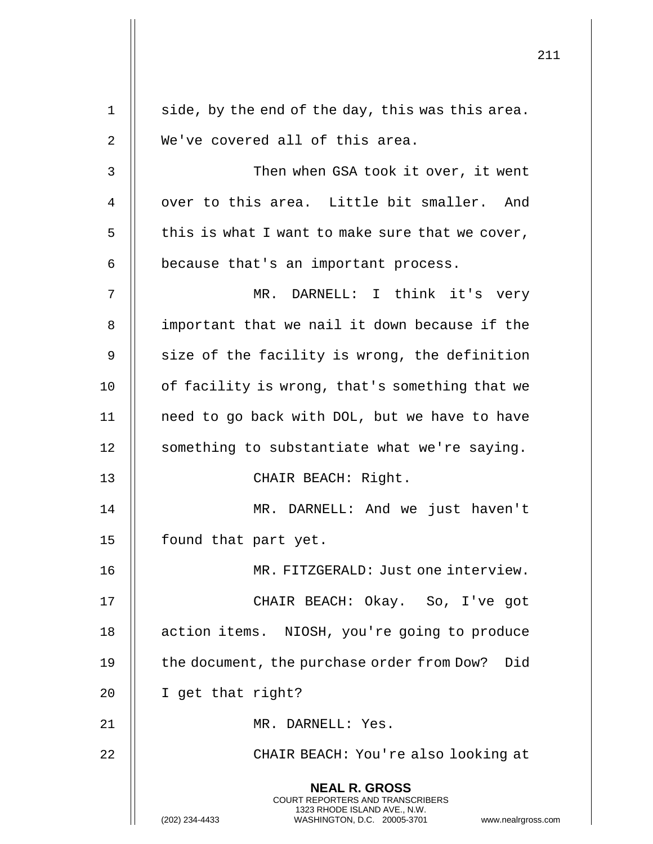|    |                                                                                                                                                                 | 211 |
|----|-----------------------------------------------------------------------------------------------------------------------------------------------------------------|-----|
| 1  | side, by the end of the day, this was this area.                                                                                                                |     |
| 2  | We've covered all of this area.                                                                                                                                 |     |
| 3  | Then when GSA took it over, it went                                                                                                                             |     |
| 4  | over to this area. Little bit smaller. And                                                                                                                      |     |
| 5  | this is what I want to make sure that we cover,                                                                                                                 |     |
| 6  | because that's an important process.                                                                                                                            |     |
| 7  | MR. DARNELL: I think it's very                                                                                                                                  |     |
| 8  | important that we nail it down because if the                                                                                                                   |     |
| 9  | size of the facility is wrong, the definition                                                                                                                   |     |
| 10 | of facility is wrong, that's something that we                                                                                                                  |     |
| 11 | need to go back with DOL, but we have to have                                                                                                                   |     |
| 12 | something to substantiate what we're saying.                                                                                                                    |     |
| 13 | CHAIR BEACH: Right.                                                                                                                                             |     |
| 14 | MR. DARNELL: And we just haven't                                                                                                                                |     |
| 15 | found that part yet.                                                                                                                                            |     |
| 16 | MR. FITZGERALD: Just one interview.                                                                                                                             |     |
| 17 | CHAIR BEACH: Okay. So, I've got                                                                                                                                 |     |
| 18 | action items. NIOSH, you're going to produce                                                                                                                    |     |
| 19 | the document, the purchase order from Dow? Did                                                                                                                  |     |
| 20 | I get that right?                                                                                                                                               |     |
| 21 | MR. DARNELL: Yes.                                                                                                                                               |     |
| 22 | CHAIR BEACH: You're also looking at                                                                                                                             |     |
|    | <b>NEAL R. GROSS</b><br>COURT REPORTERS AND TRANSCRIBERS<br>1323 RHODE ISLAND AVE., N.W.<br>(202) 234-4433<br>WASHINGTON, D.C. 20005-3701<br>www.nealrgross.com |     |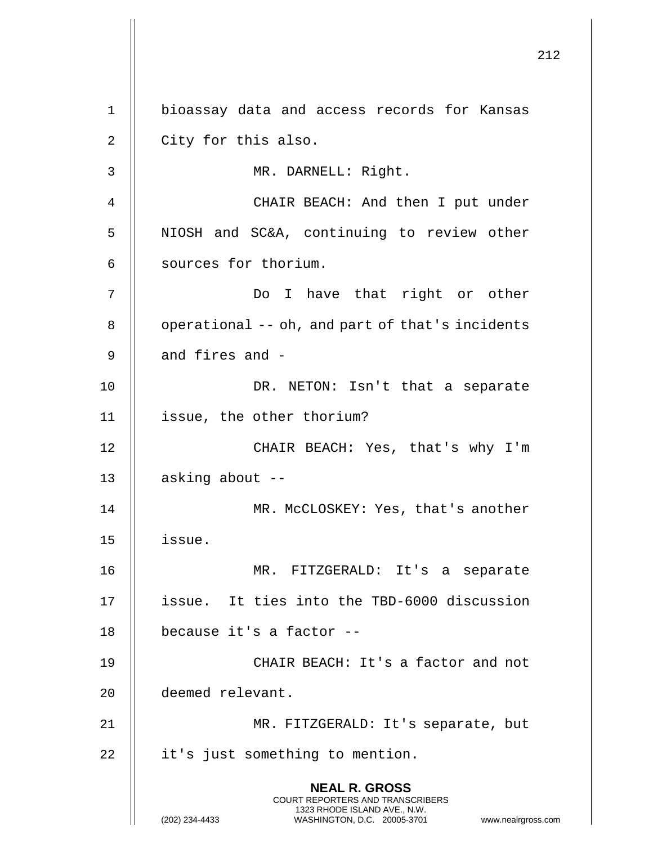**NEAL R. GROSS** COURT REPORTERS AND TRANSCRIBERS 1323 RHODE ISLAND AVE., N.W. (202) 234-4433 WASHINGTON, D.C. 20005-3701 www.nealrgross.com 1 bioassay data and access records for Kansas  $2 \parallel$  City for this also. 3 MR. DARNELL: Right. 4 || CHAIR BEACH: And then I put under 5 | NIOSH and SC&A, continuing to review other 6 | sources for thorium. 7 Do I have that right or other  $8$  | operational -- oh, and part of that's incidents  $9$   $\parallel$  and fires and -10 || DR. NETON: Isn't that a separate 11 issue, the other thorium? 12 || CHAIR BEACH: Yes, that's why I'm 13  $\parallel$  asking about --14 || MR. McCLOSKEY: Yes, that's another 15 issue. 16 MR. FITZGERALD: It's a separate 17 issue. It ties into the TBD-6000 discussion 18  $\parallel$  because it's a factor --19 || CHAIR BEACH: It's a factor and not 20 deemed relevant. 21 MR. FITZGERALD: It's separate, but 22 | it's just something to mention.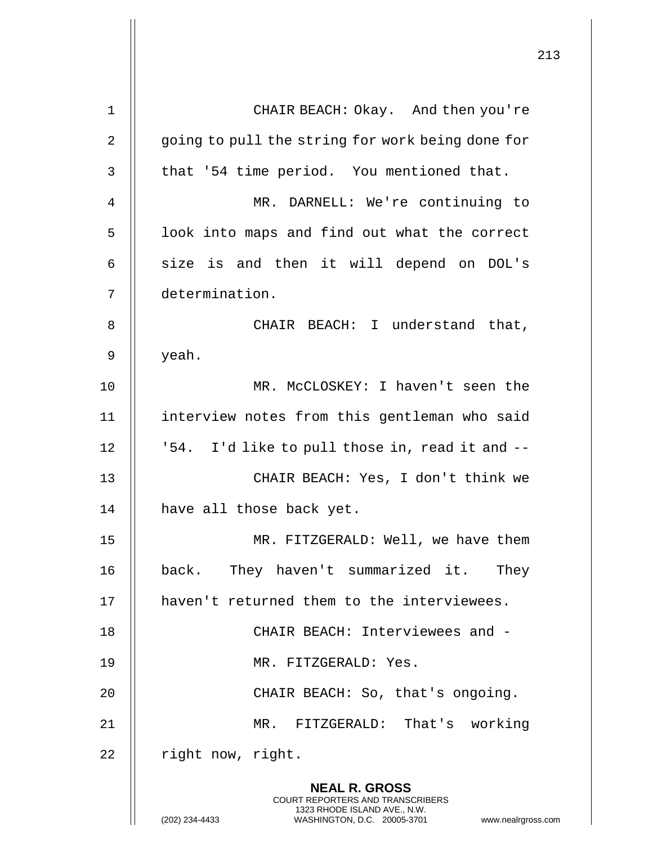|    |                                                                                                                                                              | 213 |
|----|--------------------------------------------------------------------------------------------------------------------------------------------------------------|-----|
| 1  | CHAIR BEACH: Okay. And then you're                                                                                                                           |     |
|    |                                                                                                                                                              |     |
| 2  | going to pull the string for work being done for                                                                                                             |     |
| 3  | that '54 time period. You mentioned that.                                                                                                                    |     |
| 4  | MR. DARNELL: We're continuing to                                                                                                                             |     |
| 5  | look into maps and find out what the correct                                                                                                                 |     |
| 6  | size is and then it will depend on DOL's                                                                                                                     |     |
| 7  | determination.                                                                                                                                               |     |
| 8  | CHAIR BEACH: I understand that,                                                                                                                              |     |
| 9  | yeah.                                                                                                                                                        |     |
| 10 | MR. McCLOSKEY: I haven't seen the                                                                                                                            |     |
| 11 | interview notes from this gentleman who said                                                                                                                 |     |
| 12 | '54. I'd like to pull those in, read it and --                                                                                                               |     |
| 13 | CHAIR BEACH: Yes, I don't think we                                                                                                                           |     |
| 14 | have all those back yet.                                                                                                                                     |     |
| 15 | MR. FITZGERALD: Well, we have them                                                                                                                           |     |
| 16 | back. They haven't summarized it. They                                                                                                                       |     |
| 17 | haven't returned them to the interviewees.                                                                                                                   |     |
| 18 | CHAIR BEACH: Interviewees and -                                                                                                                              |     |
| 19 | MR. FITZGERALD: Yes.                                                                                                                                         |     |
| 20 | CHAIR BEACH: So, that's ongoing.                                                                                                                             |     |
| 21 | MR. FITZGERALD: That's working                                                                                                                               |     |
| 22 | right now, right.                                                                                                                                            |     |
|    | <b>NEAL R. GROSS</b><br>COURT REPORTERS AND TRANSCRIBERS<br>1323 RHODE ISLAND AVE., N.W.<br>WASHINGTON, D.C. 20005-3701 www.nealrgross.com<br>(202) 234-4433 |     |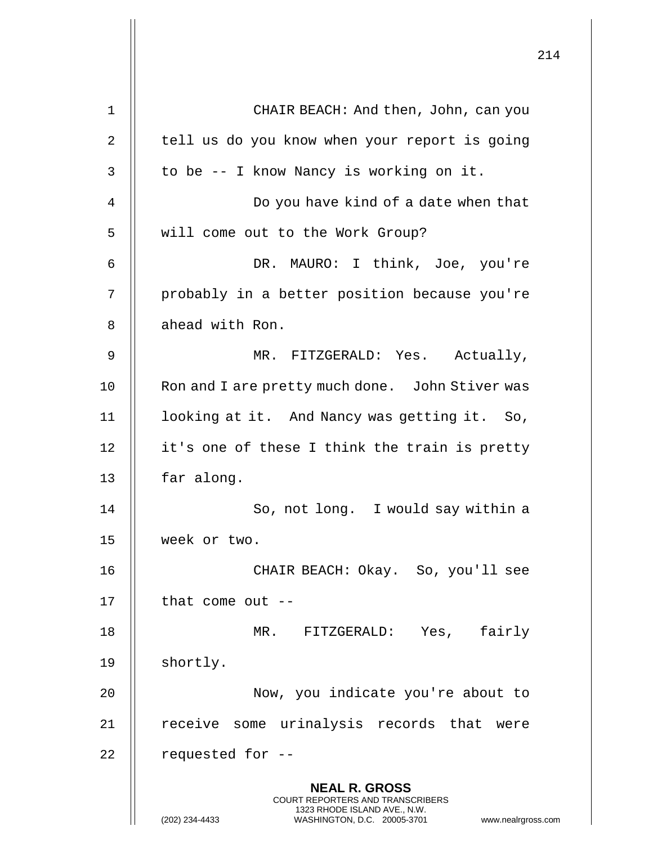|                |                                                                                                                                                                        | 214 |
|----------------|------------------------------------------------------------------------------------------------------------------------------------------------------------------------|-----|
| 1              | CHAIR BEACH: And then, John, can you                                                                                                                                   |     |
| 2              | tell us do you know when your report is going                                                                                                                          |     |
| 3              | to be -- I know Nancy is working on it.                                                                                                                                |     |
| $\overline{4}$ | Do you have kind of a date when that                                                                                                                                   |     |
| 5              | will come out to the Work Group?                                                                                                                                       |     |
| 6              | DR. MAURO: I think, Joe, you're                                                                                                                                        |     |
| 7              | probably in a better position because you're                                                                                                                           |     |
| 8              | ahead with Ron.                                                                                                                                                        |     |
| 9              | MR. FITZGERALD: Yes. Actually,                                                                                                                                         |     |
| 10             | Ron and I are pretty much done. John Stiver was                                                                                                                        |     |
| 11             | looking at it. And Nancy was getting it. So,                                                                                                                           |     |
| 12             | it's one of these I think the train is pretty                                                                                                                          |     |
| 13             | far along.                                                                                                                                                             |     |
| 14             | So, not long. I would say within a                                                                                                                                     |     |
| 15             | week or two.                                                                                                                                                           |     |
| 16             | CHAIR BEACH: Okay. So, you'll see                                                                                                                                      |     |
| 17             | that come out $-$                                                                                                                                                      |     |
| 18             | MR. FITZGERALD: Yes, fairly                                                                                                                                            |     |
| 19             | shortly.                                                                                                                                                               |     |
| 20             | Now, you indicate you're about to                                                                                                                                      |     |
| 21             | receive some urinalysis records that were                                                                                                                              |     |
| 22             | requested for --                                                                                                                                                       |     |
|                | <b>NEAL R. GROSS</b><br><b>COURT REPORTERS AND TRANSCRIBERS</b><br>1323 RHODE ISLAND AVE., N.W.<br>(202) 234-4433<br>WASHINGTON, D.C. 20005-3701<br>www.nealrgross.com |     |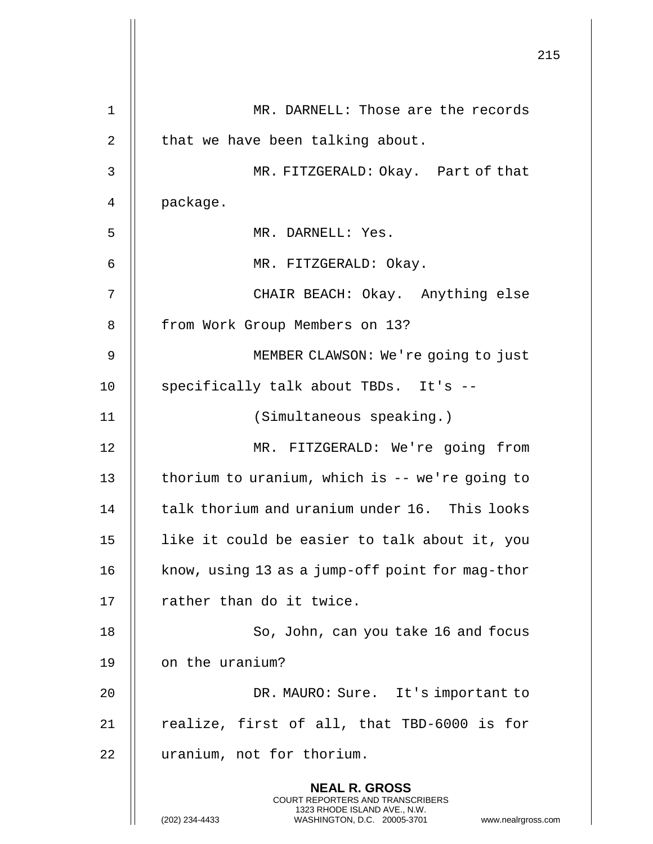|             |                                                                                                                                                                        | 215 |
|-------------|------------------------------------------------------------------------------------------------------------------------------------------------------------------------|-----|
| $\mathbf 1$ | MR. DARNELL: Those are the records                                                                                                                                     |     |
| 2           | that we have been talking about.                                                                                                                                       |     |
| 3           | MR. FITZGERALD: Okay. Part of that                                                                                                                                     |     |
| 4           | package.                                                                                                                                                               |     |
| 5           | MR. DARNELL: Yes.                                                                                                                                                      |     |
| 6           | MR. FITZGERALD: Okay.                                                                                                                                                  |     |
| 7           | CHAIR BEACH: Okay. Anything else                                                                                                                                       |     |
| 8           | from Work Group Members on 13?                                                                                                                                         |     |
| 9           | MEMBER CLAWSON: We're going to just                                                                                                                                    |     |
| 10          | specifically talk about TBDs. It's --                                                                                                                                  |     |
| 11          | (Simultaneous speaking.)                                                                                                                                               |     |
| 12          | MR. FITZGERALD: We're going from                                                                                                                                       |     |
| 13          | thorium to uranium, which is -- we're going to                                                                                                                         |     |
| 14          | talk thorium and uranium under 16. This looks                                                                                                                          |     |
| 15          | like it could be easier to talk about it, you                                                                                                                          |     |
| 16          | know, using 13 as a jump-off point for mag-thor                                                                                                                        |     |
| 17          | rather than do it twice.                                                                                                                                               |     |
| 18          | So, John, can you take 16 and focus                                                                                                                                    |     |
| 19          | on the uranium?                                                                                                                                                        |     |
| 20          | DR. MAURO: Sure. It's important to                                                                                                                                     |     |
| 21          | realize, first of all, that TBD-6000 is for                                                                                                                            |     |
| 22          | uranium, not for thorium.                                                                                                                                              |     |
|             | <b>NEAL R. GROSS</b><br><b>COURT REPORTERS AND TRANSCRIBERS</b><br>1323 RHODE ISLAND AVE., N.W.<br>(202) 234-4433<br>WASHINGTON, D.C. 20005-3701<br>www.nealrgross.com |     |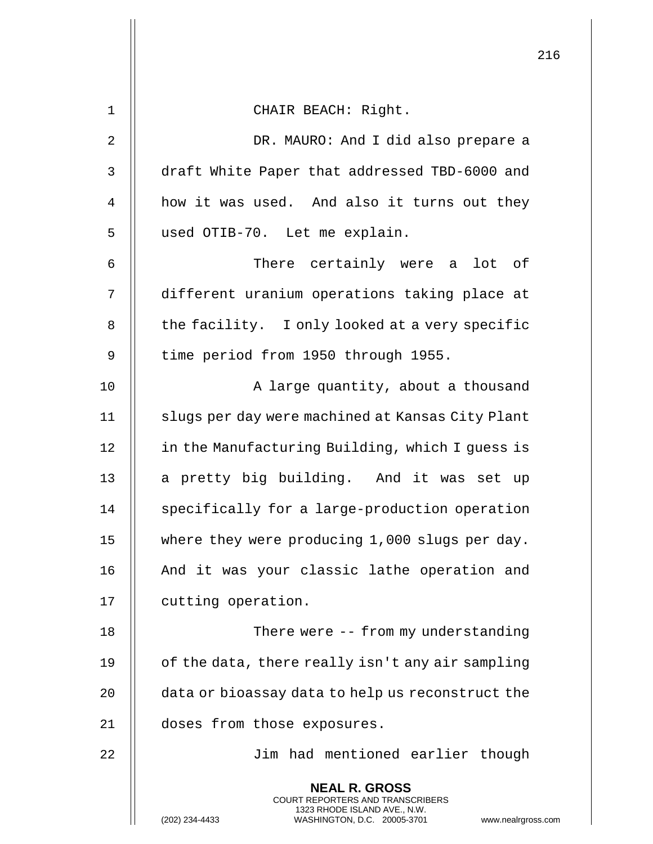|                |                                                                                                                                                                 | 216 |
|----------------|-----------------------------------------------------------------------------------------------------------------------------------------------------------------|-----|
| 1              | CHAIR BEACH: Right.                                                                                                                                             |     |
| $\overline{2}$ | DR. MAURO: And I did also prepare a                                                                                                                             |     |
| 3              | draft White Paper that addressed TBD-6000 and                                                                                                                   |     |
| 4              | how it was used. And also it turns out they                                                                                                                     |     |
| 5              | used OTIB-70. Let me explain.                                                                                                                                   |     |
| 6              | There certainly were a lot of                                                                                                                                   |     |
| 7              | different uranium operations taking place at                                                                                                                    |     |
| 8              | the facility. I only looked at a very specific                                                                                                                  |     |
| 9              | time period from 1950 through 1955.                                                                                                                             |     |
| 10             | A large quantity, about a thousand                                                                                                                              |     |
| 11             | slugs per day were machined at Kansas City Plant                                                                                                                |     |
| 12             | in the Manufacturing Building, which I guess is                                                                                                                 |     |
| 13             | a pretty big building. And it was set up                                                                                                                        |     |
| 14             | specifically for a large-production operation                                                                                                                   |     |
| 15             | where they were producing 1,000 slugs per day.                                                                                                                  |     |
| 16             | And it was your classic lathe operation and                                                                                                                     |     |
| 17             | cutting operation.                                                                                                                                              |     |
| 18             | There were -- from my understanding                                                                                                                             |     |
| 19             | of the data, there really isn't any air sampling                                                                                                                |     |
| 20             | data or bioassay data to help us reconstruct the                                                                                                                |     |
| 21             | doses from those exposures.                                                                                                                                     |     |
| 22             | Jim had mentioned earlier though                                                                                                                                |     |
|                | <b>NEAL R. GROSS</b><br>COURT REPORTERS AND TRANSCRIBERS<br>1323 RHODE ISLAND AVE., N.W.<br>(202) 234-4433<br>WASHINGTON, D.C. 20005-3701<br>www.nealrgross.com |     |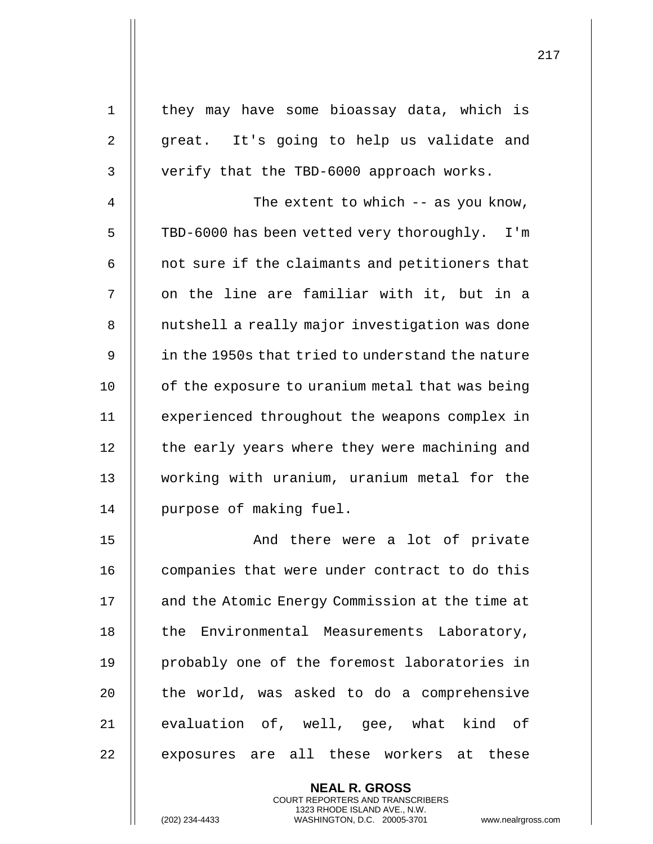| $\mathbf 1$    | they may have some bioassay data, which is       |
|----------------|--------------------------------------------------|
| $\overline{2}$ | great. It's going to help us validate and        |
| 3              | verify that the TBD-6000 approach works.         |
| 4              | The extent to which $-$ as you know,             |
| 5              | TBD-6000 has been vetted very thoroughly. I'm    |
| 6              | not sure if the claimants and petitioners that   |
| 7              | on the line are familiar with it, but in a       |
| 8              | nutshell a really major investigation was done   |
| 9              | in the 1950s that tried to understand the nature |
| 10             | of the exposure to uranium metal that was being  |
| 11             | experienced throughout the weapons complex in    |
| 12             | the early years where they were machining and    |
| 13             | working with uranium, uranium metal for the      |
| 14             | purpose of making fuel.                          |
| 15             | And there were a lot of private                  |
| 16             | companies that were under contract to do this    |
| 17             | and the Atomic Energy Commission at the time at  |
| 18             | the Environmental Measurements Laboratory,       |
| 19             | probably one of the foremost laboratories in     |
| 20             | the world, was asked to do a comprehensive       |
| 21             | evaluation of, well, gee, what kind of           |
| 22             | exposures are all these workers at these         |
|                |                                                  |

**NEAL R. GROSS** COURT REPORTERS AND TRANSCRIBERS 1323 RHODE ISLAND AVE., N.W.

(202) 234-4433 WASHINGTON, D.C. 20005-3701 www.nealrgross.com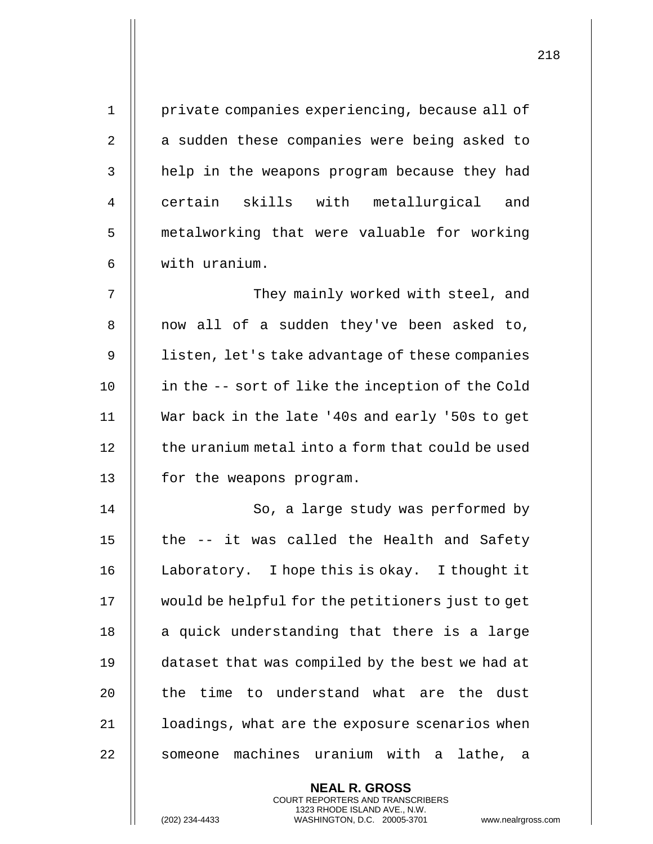| $\mathbf 1$    | private companies experiencing, because all of   |
|----------------|--------------------------------------------------|
| $\overline{2}$ | a sudden these companies were being asked to     |
| 3              | help in the weapons program because they had     |
| 4              | certain skills with metallurgical and            |
| 5              | metalworking that were valuable for working      |
| 6              | with uranium.                                    |
| 7              | They mainly worked with steel, and               |
| 8              | now all of a sudden they've been asked to,       |
| 9              | listen, let's take advantage of these companies  |
| 10             | in the -- sort of like the inception of the Cold |
| 11             | War back in the late '40s and early '50s to get  |
| 12             | the uranium metal into a form that could be used |
| 13             | for the weapons program.                         |
| 14             | So, a large study was performed by               |
| 15             | the -- it was called the Health and Safety       |
| 16             | Laboratory. I hope this is okay. I thought it    |
| 17             | would be helpful for the petitioners just to get |
| 18             | a quick understanding that there is a large      |
| 19             | dataset that was compiled by the best we had at  |
| 20             | the time to understand what are the dust         |
| 21             | loadings, what are the exposure scenarios when   |
| 22             | someone machines uranium with a lathe, a         |
|                | <b>NEAL R. GROSS</b>                             |

COURT REPORTERS AND TRANSCRIBERS 1323 RHODE ISLAND AVE., N.W.

 $\prod$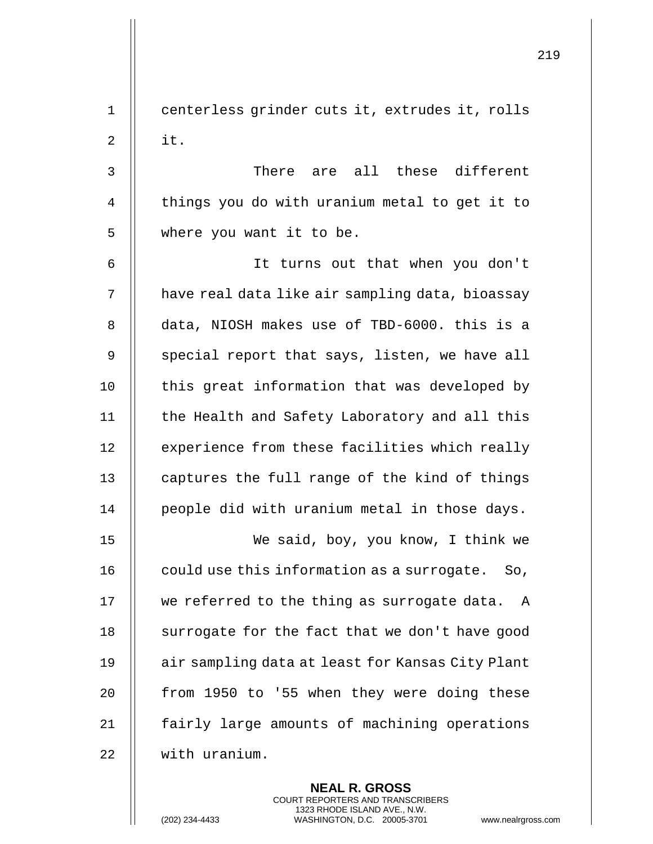219 1 || centerless grinder cuts it, extrudes it, rolls  $2 \parallel$  it. 3 There are all these different 4 || things you do with uranium metal to get it to 5 || where you want it to be. 6 It turns out that when you don't 7 | have real data like air sampling data, bioassay 8 data, NIOSH makes use of TBD-6000. this is a 9  $\parallel$  special report that says, listen, we have all 10 || this great information that was developed by 11 || the Health and Safety Laboratory and all this 12 | experience from these facilities which really 13  $\parallel$  captures the full range of the kind of things 14 || people did with uranium metal in those days. 15 We said, boy, you know, I think we 16  $\parallel$  could use this information as a surrogate. So, 17 || we referred to the thing as surrogate data. A 18 | surrogate for the fact that we don't have good 19 | air sampling data at least for Kansas City Plant 20  $\parallel$  from 1950 to '55 when they were doing these 21 || fairly large amounts of machining operations 22 with uranium.

> **NEAL R. GROSS** COURT REPORTERS AND TRANSCRIBERS 1323 RHODE ISLAND AVE., N.W.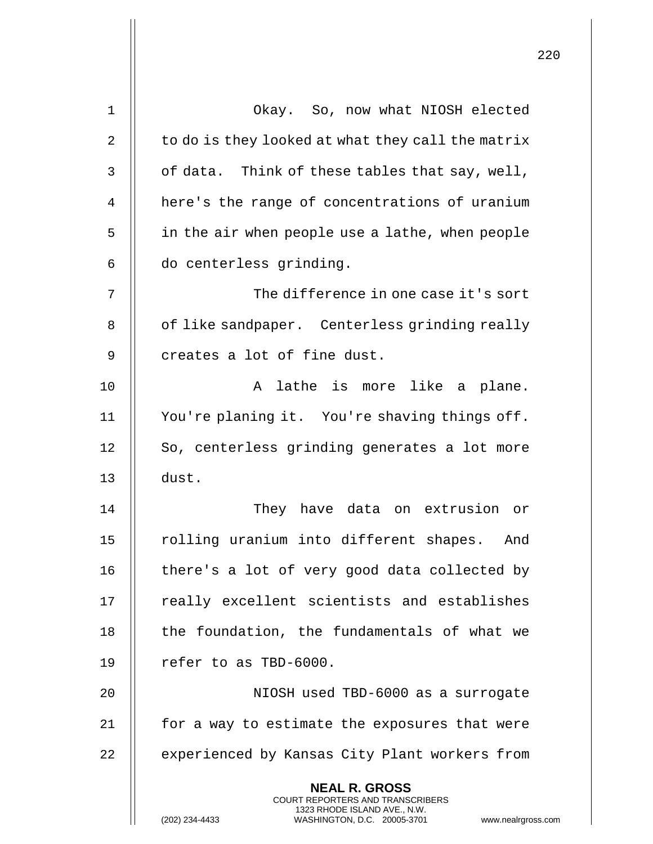| 1  | Okay. So, now what NIOSH elected                                                                    |
|----|-----------------------------------------------------------------------------------------------------|
| 2  | to do is they looked at what they call the matrix                                                   |
| 3  | of data. Think of these tables that say, well,                                                      |
| 4  | here's the range of concentrations of uranium                                                       |
| 5  | in the air when people use a lathe, when people                                                     |
| 6  | do centerless grinding.                                                                             |
| 7  | The difference in one case it's sort                                                                |
| 8  | of like sandpaper. Centerless grinding really                                                       |
| 9  | creates a lot of fine dust.                                                                         |
| 10 | A lathe is more like a plane.                                                                       |
| 11 | You're planing it. You're shaving things off.                                                       |
| 12 | So, centerless grinding generates a lot more                                                        |
| 13 | dust.                                                                                               |
| 14 | They have data on extrusion or                                                                      |
| 15 | rolling uranium into different shapes.<br>And                                                       |
| 16 | there's a lot of very good data collected by                                                        |
| 17 | really excellent scientists and establishes                                                         |
| 18 | the foundation, the fundamentals of what we                                                         |
| 19 | refer to as TBD-6000.                                                                               |
| 20 | NIOSH used TBD-6000 as a surrogate                                                                  |
| 21 | for a way to estimate the exposures that were                                                       |
| 22 | experienced by Kansas City Plant workers from                                                       |
|    | <b>NEAL R. GROSS</b><br><b>COURT REPORTERS AND TRANSCRIBERS</b>                                     |
|    | 1323 RHODE ISLAND AVE., N.W.<br>(202) 234-4433<br>WASHINGTON, D.C. 20005-3701<br>www.nealrgross.com |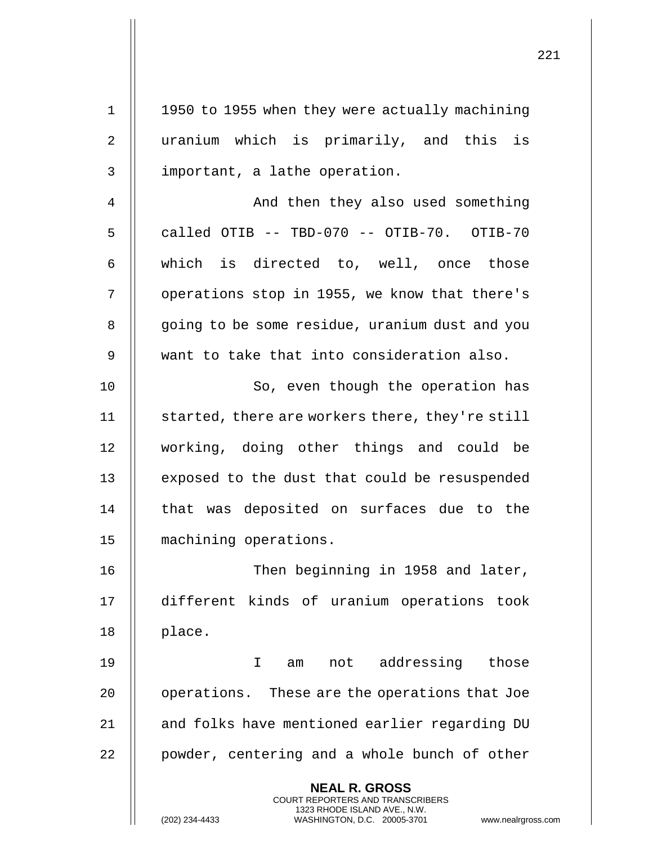| $\mathbf 1$    | 1950 to 1955 when they were actually machining                                                                                                                         |
|----------------|------------------------------------------------------------------------------------------------------------------------------------------------------------------------|
| $\overline{2}$ | uranium which is primarily, and this is                                                                                                                                |
| 3              | important, a lathe operation.                                                                                                                                          |
| 4              | And then they also used something                                                                                                                                      |
| 5              | called OTIB -- TBD-070 -- OTIB-70. OTIB-70                                                                                                                             |
| 6              | which is directed to, well, once those                                                                                                                                 |
| 7              | operations stop in 1955, we know that there's                                                                                                                          |
| 8              | going to be some residue, uranium dust and you                                                                                                                         |
| 9              | want to take that into consideration also.                                                                                                                             |
| 10             | So, even though the operation has                                                                                                                                      |
| 11             | started, there are workers there, they're still                                                                                                                        |
| 12             | working, doing other things and could be                                                                                                                               |
| 13             | exposed to the dust that could be resuspended                                                                                                                          |
| 14             | that was deposited on surfaces due to the                                                                                                                              |
| 15             | machining operations.                                                                                                                                                  |
| 16             | Then beginning in 1958 and later,                                                                                                                                      |
| 17             | different kinds of uranium operations took                                                                                                                             |
| 18             | place.                                                                                                                                                                 |
| 19             | $\mathbf I$<br>not addressing those<br>am                                                                                                                              |
| 20             | operations. These are the operations that Joe                                                                                                                          |
| 21             | and folks have mentioned earlier regarding DU                                                                                                                          |
| 22             | powder, centering and a whole bunch of other                                                                                                                           |
|                | <b>NEAL R. GROSS</b><br><b>COURT REPORTERS AND TRANSCRIBERS</b><br>1323 RHODE ISLAND AVE., N.W.<br>(202) 234-4433<br>WASHINGTON, D.C. 20005-3701<br>www.nealrgross.com |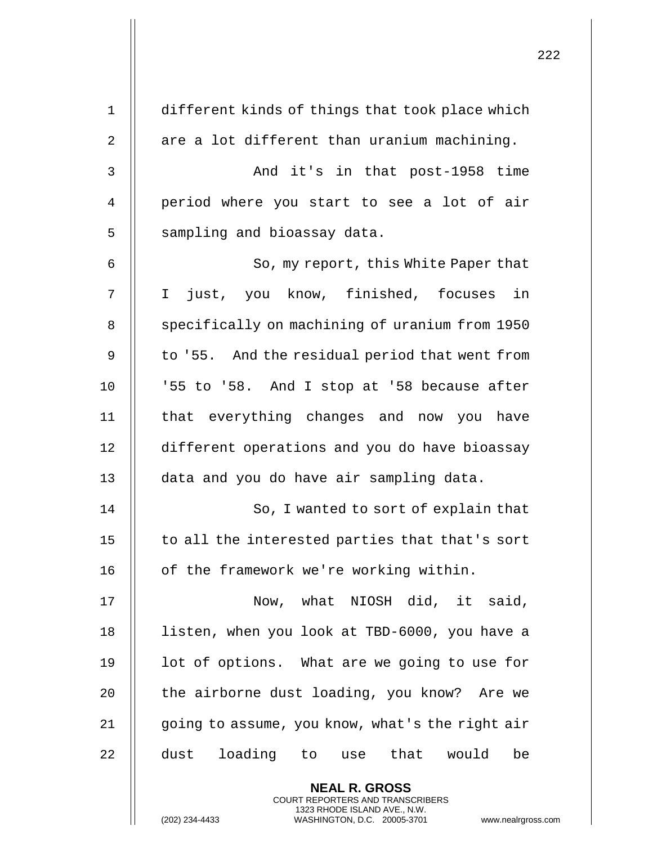| $\mathbf 1$ | different kinds of things that took place which                                                 |
|-------------|-------------------------------------------------------------------------------------------------|
| 2           | are a lot different than uranium machining.                                                     |
| 3           | And it's in that post-1958 time                                                                 |
| 4           | period where you start to see a lot of air                                                      |
| 5           | sampling and bioassay data.                                                                     |
| 6           | So, my report, this White Paper that                                                            |
| 7           | in<br>just, you know, finished, focuses<br>$\mathbf I$                                          |
| 8           | specifically on machining of uranium from 1950                                                  |
| 9           | to '55. And the residual period that went from                                                  |
| 10          | '55 to '58. And I stop at '58 because after                                                     |
| 11          | that everything changes and now you have                                                        |
| 12          | different operations and you do have bioassay                                                   |
| 13          | data and you do have air sampling data.                                                         |
| 14          | So, I wanted to sort of explain that                                                            |
| 15          | to all the interested parties that that's sort                                                  |
| 16          | of the framework we're working within.                                                          |
| 17          | Now, what NIOSH did, it said,                                                                   |
| 18          | listen, when you look at TBD-6000, you have a                                                   |
| 19          | lot of options. What are we going to use for                                                    |
| 20          | the airborne dust loading, you know? Are we                                                     |
| 21          | going to assume, you know, what's the right air                                                 |
| 22          | loading to use that would<br>dust<br>be                                                         |
|             | <b>NEAL R. GROSS</b><br><b>COURT REPORTERS AND TRANSCRIBERS</b>                                 |
|             | 1323 RHODE ISLAND AVE., N.W.<br>(202) 234-4433<br>WASHINGTON, D.C. 20005-3701<br>www.nealrgross |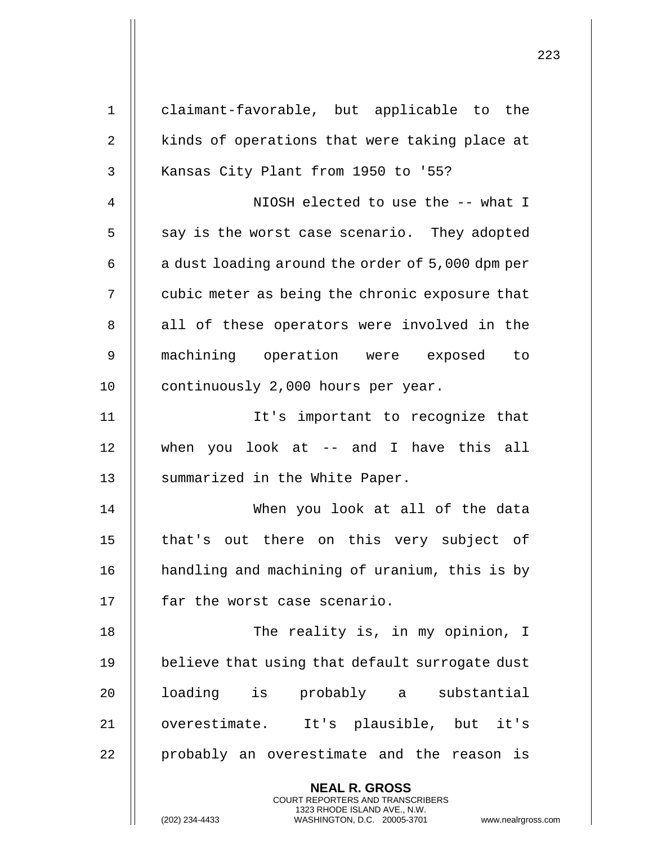| $\mathbf 1$ | claimant-favorable, but applicable to the                                                           |
|-------------|-----------------------------------------------------------------------------------------------------|
| 2           | kinds of operations that were taking place at                                                       |
| 3           | Kansas City Plant from 1950 to '55?                                                                 |
| 4           | NIOSH elected to use the -- what I                                                                  |
| 5           | say is the worst case scenario. They adopted                                                        |
| 6           | a dust loading around the order of 5,000 dpm per                                                    |
| 7           | cubic meter as being the chronic exposure that                                                      |
| 8           | all of these operators were involved in the                                                         |
| 9           | machining operation were exposed to                                                                 |
| 10          | continuously 2,000 hours per year.                                                                  |
| 11          | It's important to recognize that                                                                    |
| 12          | when you look at -- and I have this all                                                             |
| 13          | summarized in the White Paper.                                                                      |
| 14          | When you look at all of the data                                                                    |
| 15          | that's out there on this very subject of                                                            |
| 16          | handling and machining of uranium, this is by                                                       |
| 17          | far the worst case scenario.                                                                        |
| 18          | The reality is, in my opinion, I                                                                    |
| 19          | believe that using that default surrogate dust                                                      |
| 20          | loading is probably a substantial                                                                   |
| 21          | overestimate. It's plausible, but it's                                                              |
| 22          | probably an overestimate and the reason is                                                          |
|             | <b>NEAL R. GROSS</b><br><b>COURT REPORTERS AND TRANSCRIBERS</b>                                     |
|             | 1323 RHODE ISLAND AVE., N.W.<br>(202) 234-4433<br>WASHINGTON, D.C. 20005-3701<br>www.nealrgross.com |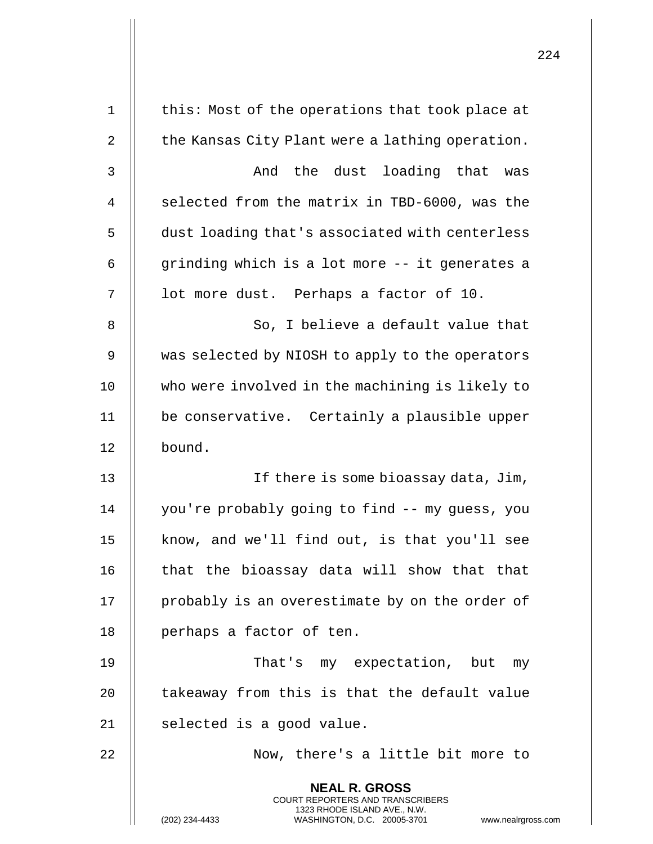|    |                                                                                                                                                              | 224 |
|----|--------------------------------------------------------------------------------------------------------------------------------------------------------------|-----|
| 1  | this: Most of the operations that took place at                                                                                                              |     |
| 2  | the Kansas City Plant were a lathing operation.                                                                                                              |     |
| 3  | the dust<br>loading that<br>And<br>was                                                                                                                       |     |
| 4  | selected from the matrix in TBD-6000, was the                                                                                                                |     |
| 5  | dust loading that's associated with centerless                                                                                                               |     |
| 6  | grinding which is a lot more -- it generates a                                                                                                               |     |
| 7  | lot more dust. Perhaps a factor of 10.                                                                                                                       |     |
| 8  | So, I believe a default value that                                                                                                                           |     |
| 9  | was selected by NIOSH to apply to the operators                                                                                                              |     |
| 10 | who were involved in the machining is likely to                                                                                                              |     |
| 11 | be conservative. Certainly a plausible upper                                                                                                                 |     |
| 12 | bound.                                                                                                                                                       |     |
| 13 | If there is some bioassay data, Jim,                                                                                                                         |     |
| 14 | you're probably going to find -- my guess, you                                                                                                               |     |
| 15 | know, and we'll find out, is that you'll see                                                                                                                 |     |
| 16 | that the bioassay data will show that that                                                                                                                   |     |
| 17 | probably is an overestimate by on the order of                                                                                                               |     |
| 18 | perhaps a factor of ten.                                                                                                                                     |     |
| 19 | That's my expectation, but my                                                                                                                                |     |
| 20 | takeaway from this is that the default value                                                                                                                 |     |
| 21 | selected is a good value.                                                                                                                                    |     |
| 22 | Now, there's a little bit more to                                                                                                                            |     |
|    | <b>NEAL R. GROSS</b><br>COURT REPORTERS AND TRANSCRIBERS<br>1323 RHODE ISLAND AVE., N.W.<br>WASHINGTON, D.C. 20005-3701 www.nealrgross.com<br>(202) 234-4433 |     |

 $\mathbf{I}$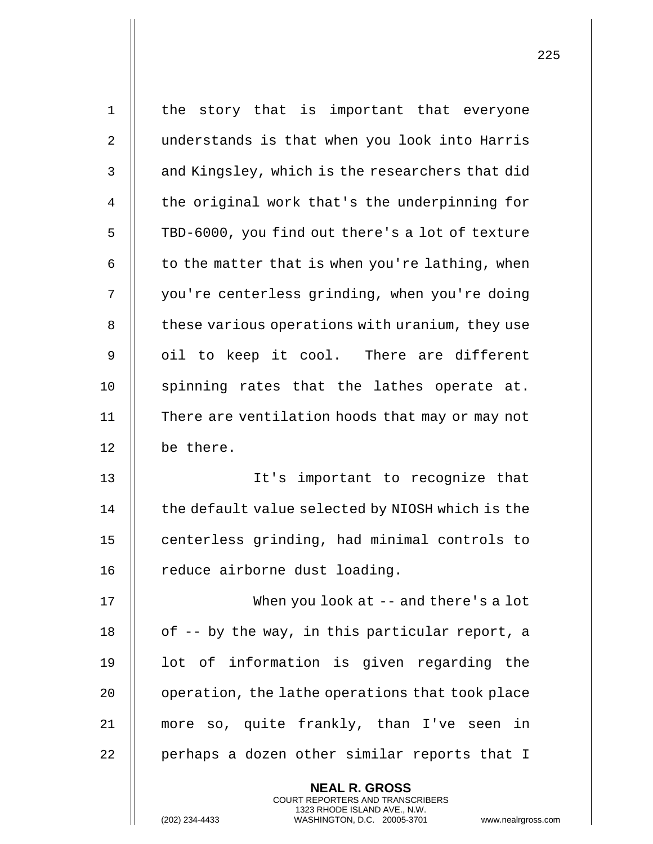| $\mathbf 1$ | the story that is important that everyone                                                                                                  |
|-------------|--------------------------------------------------------------------------------------------------------------------------------------------|
| 2           | understands is that when you look into Harris                                                                                              |
| 3           | and Kingsley, which is the researchers that did                                                                                            |
| 4           | the original work that's the underpinning for                                                                                              |
| 5           | TBD-6000, you find out there's a lot of texture                                                                                            |
| 6           | to the matter that is when you're lathing, when                                                                                            |
| 7           | you're centerless grinding, when you're doing                                                                                              |
| 8           | these various operations with uranium, they use                                                                                            |
| 9           | oil to keep it cool. There are different                                                                                                   |
| 10          | spinning rates that the lathes operate at.                                                                                                 |
| 11          | There are ventilation hoods that may or may not                                                                                            |
| 12          | be there.                                                                                                                                  |
| 13          | It's important to recognize that                                                                                                           |
| 14          | the default value selected by NIOSH which is the                                                                                           |
| 15          | centerless grinding, had minimal controls to                                                                                               |
| 16          | reduce airborne dust loading.                                                                                                              |
| 17          | When you look at -- and there's a lot                                                                                                      |
| 18          | of -- by the way, in this particular report, a                                                                                             |
| 19          | lot of information is given regarding the                                                                                                  |
| 20          | operation, the lathe operations that took place                                                                                            |
| 21          | more so, quite frankly, than I've seen in                                                                                                  |
| 22          | perhaps a dozen other similar reports that I                                                                                               |
|             | <b>NEAL R. GROSS</b>                                                                                                                       |
|             | <b>COURT REPORTERS AND TRANSCRIBERS</b><br>1323 RHODE ISLAND AVE., N.W.<br>(202) 234-4433<br>WASHINGTON, D.C. 20005-3701<br>www.nealrgross |

(202) 234-4433 WASHINGTON, D.C. 20005-3701 www.nealrgross.com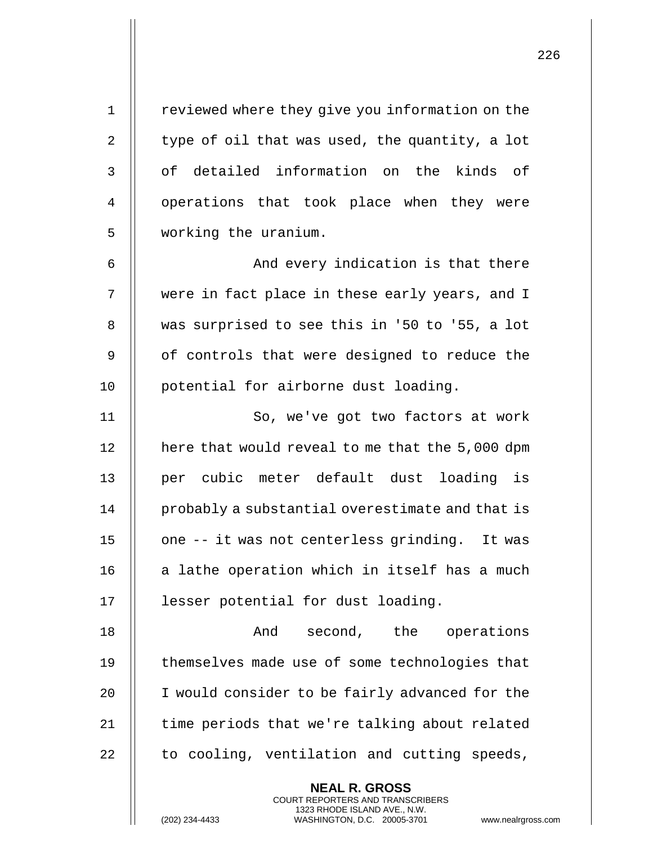| 1           | reviewed where they give you information on the |
|-------------|-------------------------------------------------|
| 2           | type of oil that was used, the quantity, a lot  |
| 3           | of detailed information on the kinds of         |
| 4           | operations that took place when they were       |
| 5           | working the uranium.                            |
| 6           | And every indication is that there              |
| 7           | were in fact place in these early years, and I  |
| 8           | was surprised to see this in '50 to '55, a lot  |
| $\mathsf 9$ | of controls that were designed to reduce the    |
| 10          | potential for airborne dust loading.            |
| 11          | So, we've got two factors at work               |
| 12          | here that would reveal to me that the 5,000 dpm |
| 13          | per cubic meter default dust loading is         |
| 14          | probably a substantial overestimate and that is |
| 15          | one -- it was not centerless grinding. It was   |
| 16          | a lathe operation which in itself has a much    |
| 17          | lesser potential for dust loading.              |
| 18          | And<br>second, the<br>operations                |
| 19          | themselves made use of some technologies that   |
| 20          | I would consider to be fairly advanced for the  |
| 21          | time periods that we're talking about related   |
| 22          | to cooling, ventilation and cutting speeds,     |
|             | <b>NEAL R. GROSS</b>                            |

COURT REPORTERS AND TRANSCRIBERS 1323 RHODE ISLAND AVE., N.W.

(202) 234-4433 WASHINGTON, D.C. 20005-3701 www.nealrgross.com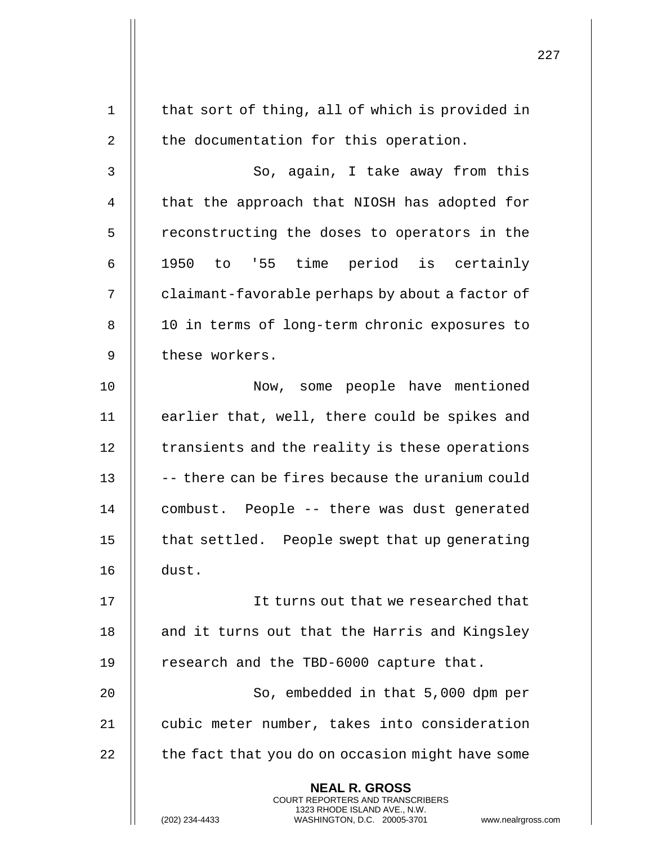| $\mathbf 1$ | that sort of thing, all of which is provided in                                                                                                                     |
|-------------|---------------------------------------------------------------------------------------------------------------------------------------------------------------------|
| 2           | the documentation for this operation.                                                                                                                               |
| 3           | So, again, I take away from this                                                                                                                                    |
| 4           | that the approach that NIOSH has adopted for                                                                                                                        |
| 5           | reconstructing the doses to operators in the                                                                                                                        |
| 6           | 1950 to '55 time period is certainly                                                                                                                                |
| 7           | claimant-favorable perhaps by about a factor of                                                                                                                     |
| 8           | 10 in terms of long-term chronic exposures to                                                                                                                       |
| 9           | these workers.                                                                                                                                                      |
| 10          | Now, some people have mentioned                                                                                                                                     |
| 11          | earlier that, well, there could be spikes and                                                                                                                       |
| 12          | transients and the reality is these operations                                                                                                                      |
| 13          | -- there can be fires because the uranium could                                                                                                                     |
| 14          | combust. People -- there was dust generated                                                                                                                         |
| 15          | that settled. People swept that up generating                                                                                                                       |
| 16          | dust.                                                                                                                                                               |
| 17          | It turns out that we researched that                                                                                                                                |
| 18          | and it turns out that the Harris and Kingsley                                                                                                                       |
| 19          | research and the TBD-6000 capture that.                                                                                                                             |
| 20          | So, embedded in that 5,000 dpm per                                                                                                                                  |
| 21          | cubic meter number, takes into consideration                                                                                                                        |
| 22          | the fact that you do on occasion might have some                                                                                                                    |
|             | <b>NEAL R. GROSS</b><br><b>COURT REPORTERS AND TRANSCRIBERS</b><br>1323 RHODE ISLAND AVE., N.W.<br>(202) 234-4433<br>WASHINGTON, D.C. 20005-3701<br>www.nealrgross. |

 $\mathsf{I}$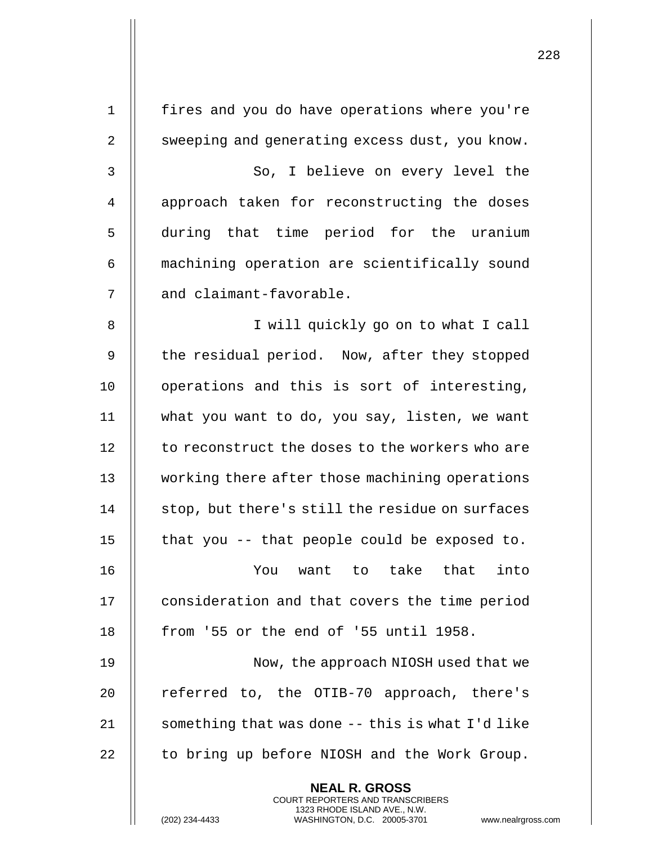| $\mathbf 1$    | fires and you do have operations where you're                                                                                                                      |
|----------------|--------------------------------------------------------------------------------------------------------------------------------------------------------------------|
| $\overline{2}$ | sweeping and generating excess dust, you know.                                                                                                                     |
| 3              | So, I believe on every level the                                                                                                                                   |
| 4              | approach taken for reconstructing the doses                                                                                                                        |
| 5              | during that time period for the uranium                                                                                                                            |
| 6              | machining operation are scientifically sound                                                                                                                       |
| 7              | and claimant-favorable.                                                                                                                                            |
| 8              | I will quickly go on to what I call                                                                                                                                |
| $\mathsf 9$    | the residual period. Now, after they stopped                                                                                                                       |
| 10             | operations and this is sort of interesting,                                                                                                                        |
| 11             | what you want to do, you say, listen, we want                                                                                                                      |
| 12             | to reconstruct the doses to the workers who are                                                                                                                    |
| 13             | working there after those machining operations                                                                                                                     |
| 14             | stop, but there's still the residue on surfaces                                                                                                                    |
| 15             | that you -- that people could be exposed to.                                                                                                                       |
| 16             | You want to take that<br>into                                                                                                                                      |
| 17             | consideration and that covers the time period                                                                                                                      |
| 18             | from '55 or the end of '55 until 1958.                                                                                                                             |
| 19             | Now, the approach NIOSH used that we                                                                                                                               |
| 20             | referred to, the OTIB-70 approach, there's                                                                                                                         |
| 21             | something that was done -- this is what I'd like                                                                                                                   |
| 22             | to bring up before NIOSH and the Work Group.                                                                                                                       |
|                | <b>NEAL R. GROSS</b><br><b>COURT REPORTERS AND TRANSCRIBERS</b><br>1323 RHODE ISLAND AVE., N.W.<br>(202) 234-4433<br>WASHINGTON, D.C. 20005-3701<br>www.nealrgross |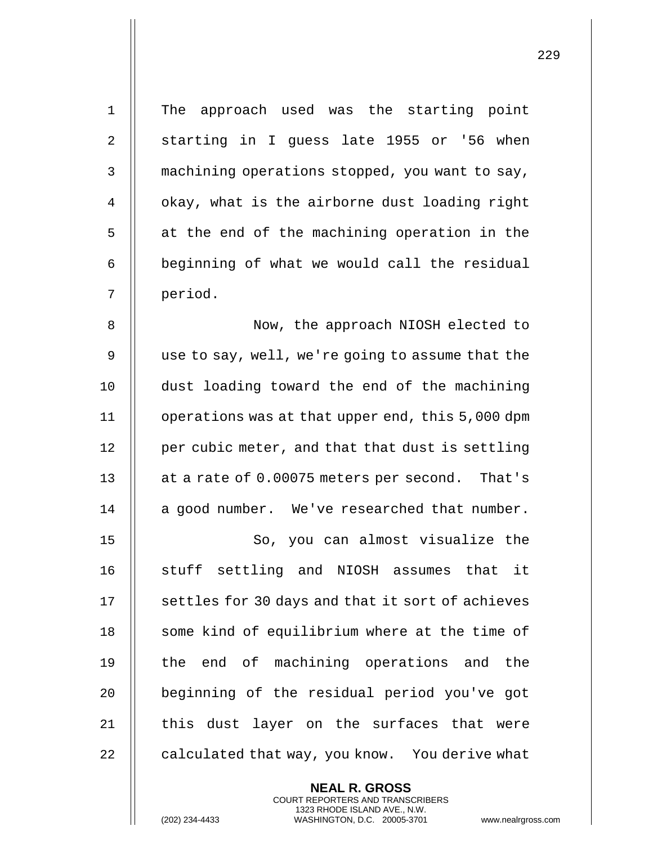| $\mathbf 1$    | The approach used was the starting point         |
|----------------|--------------------------------------------------|
| $\overline{2}$ | starting in I guess late 1955 or '56 when        |
| 3              | machining operations stopped, you want to say,   |
| 4              | okay, what is the airborne dust loading right    |
| 5              | at the end of the machining operation in the     |
| 6              | beginning of what we would call the residual     |
| 7              | period.                                          |
| 8              | Now, the approach NIOSH elected to               |
| 9              | use to say, well, we're going to assume that the |
| 10             | dust loading toward the end of the machining     |
| 11             | operations was at that upper end, this 5,000 dpm |
| 12             | per cubic meter, and that that dust is settling  |
| 13             | at a rate of 0.00075 meters per second. That's   |
| 14             | a good number. We've researched that number.     |
| 15             | So, you can almost visualize the                 |
| 16             | stuff settling and NIOSH assumes that it         |
| 17             | settles for 30 days and that it sort of achieves |
| 18             | some kind of equilibrium where at the time of    |
| 19             | the end of machining operations and the          |
| 20             | beginning of the residual period you've got      |
| 21             | this dust layer on the surfaces that were        |
| 22             | calculated that way, you know. You derive what   |
|                | <b>NEAL R. GROSS</b>                             |

COURT REPORTERS AND TRANSCRIBERS 1323 RHODE ISLAND AVE., N.W.

(202) 234-4433 WASHINGTON, D.C. 20005-3701 www.nealrgross.com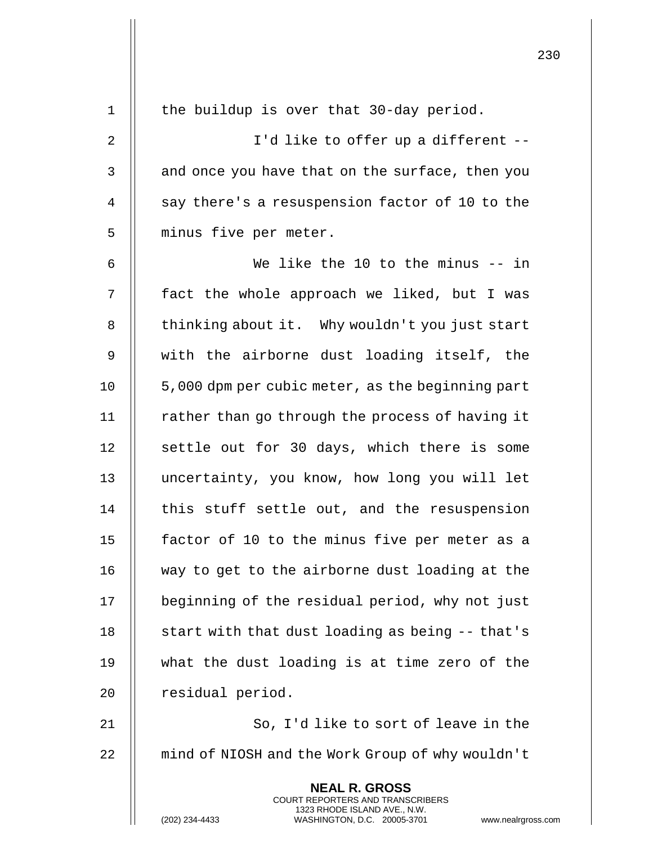| 1              | the buildup is over that 30-day period.                                                                                                                                |
|----------------|------------------------------------------------------------------------------------------------------------------------------------------------------------------------|
| $\overline{2}$ | I'd like to offer up a different --                                                                                                                                    |
| 3              | and once you have that on the surface, then you                                                                                                                        |
| $\overline{4}$ | say there's a resuspension factor of 10 to the                                                                                                                         |
| 5              | minus five per meter.                                                                                                                                                  |
| 6              | We like the 10 to the minus -- in                                                                                                                                      |
| 7              | fact the whole approach we liked, but I was                                                                                                                            |
| 8              | thinking about it. Why wouldn't you just start                                                                                                                         |
| $\mathsf 9$    | with the airborne dust loading itself, the                                                                                                                             |
| 10             | 5,000 dpm per cubic meter, as the beginning part                                                                                                                       |
| 11             | rather than go through the process of having it                                                                                                                        |
| 12             | settle out for 30 days, which there is some                                                                                                                            |
| 13             | uncertainty, you know, how long you will let                                                                                                                           |
| 14             | this stuff settle out, and the resuspension                                                                                                                            |
| 15             | factor of 10 to the minus five per meter as a                                                                                                                          |
| 16             | way to get to the airborne dust loading at the                                                                                                                         |
| 17             | beginning of the residual period, why not just                                                                                                                         |
| 18             | start with that dust loading as being -- that's                                                                                                                        |
| 19             | what the dust loading is at time zero of the                                                                                                                           |
| 20             | residual period.                                                                                                                                                       |
| 21             | So, I'd like to sort of leave in the                                                                                                                                   |
| 22             | mind of NIOSH and the Work Group of why wouldn't                                                                                                                       |
|                | <b>NEAL R. GROSS</b><br><b>COURT REPORTERS AND TRANSCRIBERS</b><br>1323 RHODE ISLAND AVE., N.W.<br>(202) 234-4433<br>WASHINGTON, D.C. 20005-3701<br>www.nealrgross.com |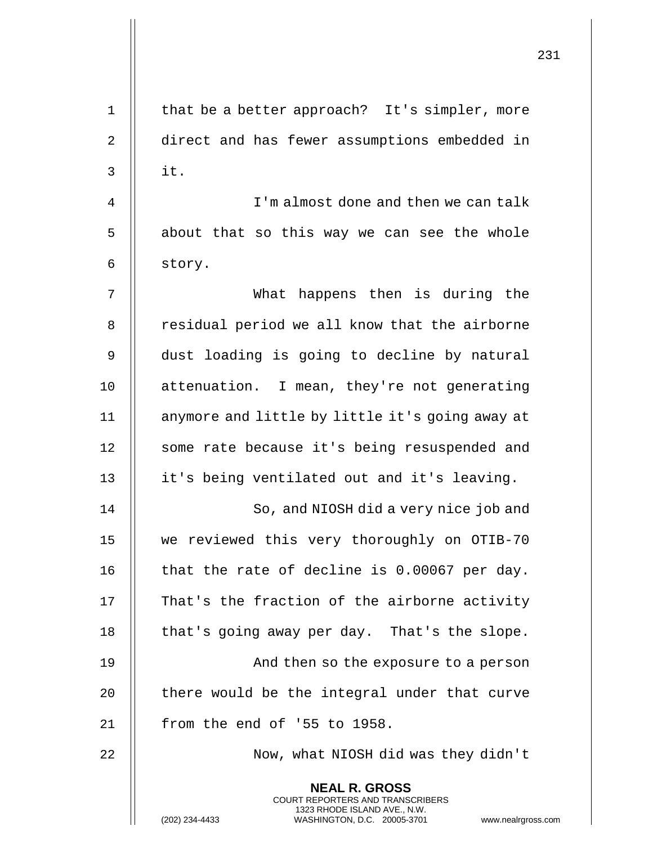|                |                                                                                                                                                              | 231 |
|----------------|--------------------------------------------------------------------------------------------------------------------------------------------------------------|-----|
| $\mathbf 1$    | that be a better approach? It's simpler, more                                                                                                                |     |
| $\overline{2}$ | direct and has fewer assumptions embedded in                                                                                                                 |     |
| $\mathsf{3}$   | it.                                                                                                                                                          |     |
| 4              | I'm almost done and then we can talk                                                                                                                         |     |
| 5              | about that so this way we can see the whole                                                                                                                  |     |
| 6              | story.                                                                                                                                                       |     |
| 7              | What happens then is during the                                                                                                                              |     |
| 8              | residual period we all know that the airborne                                                                                                                |     |
| 9              |                                                                                                                                                              |     |
|                | dust loading is going to decline by natural                                                                                                                  |     |
| 10             | attenuation. I mean, they're not generating                                                                                                                  |     |
| 11             | anymore and little by little it's going away at                                                                                                              |     |
| 12             | some rate because it's being resuspended and                                                                                                                 |     |
| 13             | it's being ventilated out and it's leaving.                                                                                                                  |     |
| 14             | So, and NIOSH did a very nice job and                                                                                                                        |     |
| 15             | we reviewed this very thoroughly on OTIB-70                                                                                                                  |     |
| 16             | that the rate of decline is 0.00067 per day.                                                                                                                 |     |
| 17             | That's the fraction of the airborne activity                                                                                                                 |     |
| 18             | that's going away per day. That's the slope.                                                                                                                 |     |
| 19             | And then so the exposure to a person                                                                                                                         |     |
| 20             | there would be the integral under that curve                                                                                                                 |     |
| 21             | from the end of '55 to 1958.                                                                                                                                 |     |
| 22             | Now, what NIOSH did was they didn't                                                                                                                          |     |
|                | <b>NEAL R. GROSS</b><br>COURT REPORTERS AND TRANSCRIBERS<br>1323 RHODE ISLAND AVE., N.W.<br>(202) 234-4433<br>WASHINGTON, D.C. 20005-3701 www.nealrgross.com |     |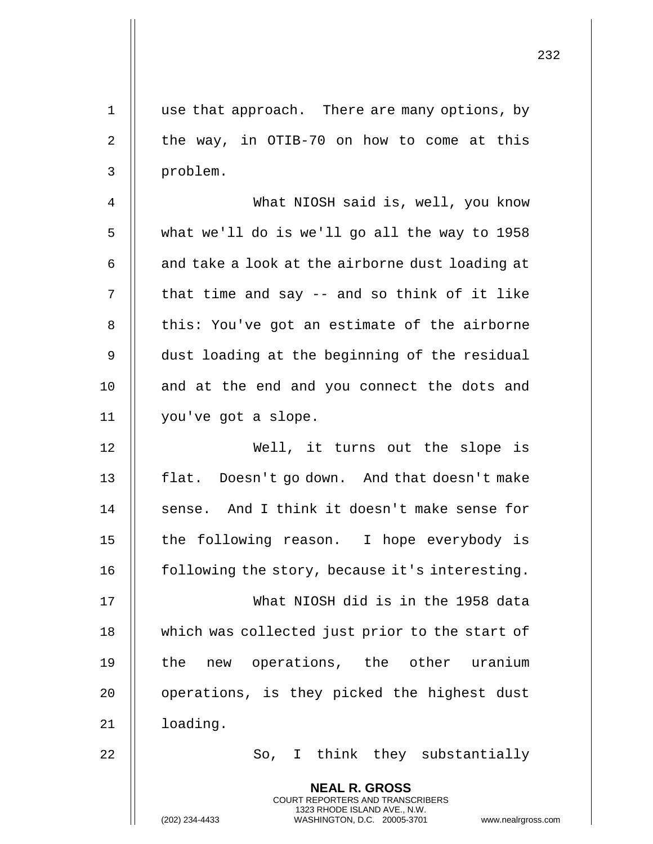| $\mathbf{1}$ | use that approach. There are many options, by                                                       |
|--------------|-----------------------------------------------------------------------------------------------------|
| 2            | the way, in OTIB-70 on how to come at this                                                          |
| 3            | problem.                                                                                            |
| 4            | What NIOSH said is, well, you know                                                                  |
| 5            | what we'll do is we'll go all the way to 1958                                                       |
| 6            | and take a look at the airborne dust loading at                                                     |
| 7            | that time and say -- and so think of it like                                                        |
| 8            | this: You've got an estimate of the airborne                                                        |
| 9            | dust loading at the beginning of the residual                                                       |
| 10           | and at the end and you connect the dots and                                                         |
| 11           | you've got a slope.                                                                                 |
| 12           | Well, it turns out the slope is                                                                     |
| 13           | flat. Doesn't go down. And that doesn't make                                                        |
| 14           | sense. And I think it doesn't make sense for                                                        |
| 15           | the following reason. I hope everybody is                                                           |
| 16           | following the story, because it's interesting.                                                      |
| 17           | What NIOSH did is in the 1958 data                                                                  |
| 18           | which was collected just prior to the start of                                                      |
| 19           | new operations, the other uranium<br>the                                                            |
| 20           | operations, is they picked the highest dust                                                         |
| 21           | loading.                                                                                            |
| 22           | So, I think they substantially                                                                      |
|              | <b>NEAL R. GROSS</b><br><b>COURT REPORTERS AND TRANSCRIBERS</b>                                     |
|              | 1323 RHODE ISLAND AVE., N.W.<br>(202) 234-4433<br>WASHINGTON, D.C. 20005-3701<br>www.nealrgross.com |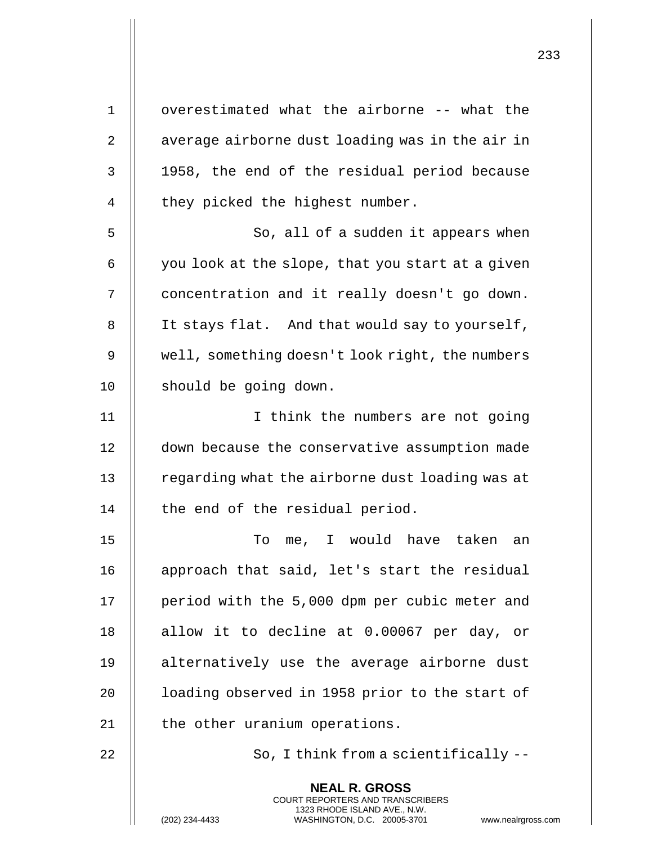| $\mathbf 1$ | overestimated what the airborne -- what the                                                                                                                       |
|-------------|-------------------------------------------------------------------------------------------------------------------------------------------------------------------|
| 2           | average airborne dust loading was in the air in                                                                                                                   |
| 3           | 1958, the end of the residual period because                                                                                                                      |
| 4           | they picked the highest number.                                                                                                                                   |
| 5           | So, all of a sudden it appears when                                                                                                                               |
| 6           | you look at the slope, that you start at a given                                                                                                                  |
| 7           | concentration and it really doesn't go down.                                                                                                                      |
| 8           | It stays flat. And that would say to yourself,                                                                                                                    |
| 9           | well, something doesn't look right, the numbers                                                                                                                   |
| 10          | should be going down.                                                                                                                                             |
| 11          | I think the numbers are not going                                                                                                                                 |
| 12          | down because the conservative assumption made                                                                                                                     |
| 13          | regarding what the airborne dust loading was at                                                                                                                   |
| 14          | the end of the residual period.                                                                                                                                   |
| 15          | To<br>me, I would have taken<br>an                                                                                                                                |
| 16          | approach that said, let's start the residual                                                                                                                      |
| 17          | period with the 5,000 dpm per cubic meter and                                                                                                                     |
| 18          | allow it to decline at 0.00067 per day, or                                                                                                                        |
| 19          | alternatively use the average airborne dust                                                                                                                       |
| 20          | loading observed in 1958 prior to the start of                                                                                                                    |
| 21          | the other uranium operations.                                                                                                                                     |
| 22          | So, I think from a scientifically --                                                                                                                              |
|             | <b>NEAL R. GROSS</b><br><b>COURT REPORTERS AND TRANSCRIBERS</b><br>1323 RHODE ISLAND AVE., N.W.<br>(202) 234-4433<br>WASHINGTON, D.C. 20005-3701<br>www.nealrgros |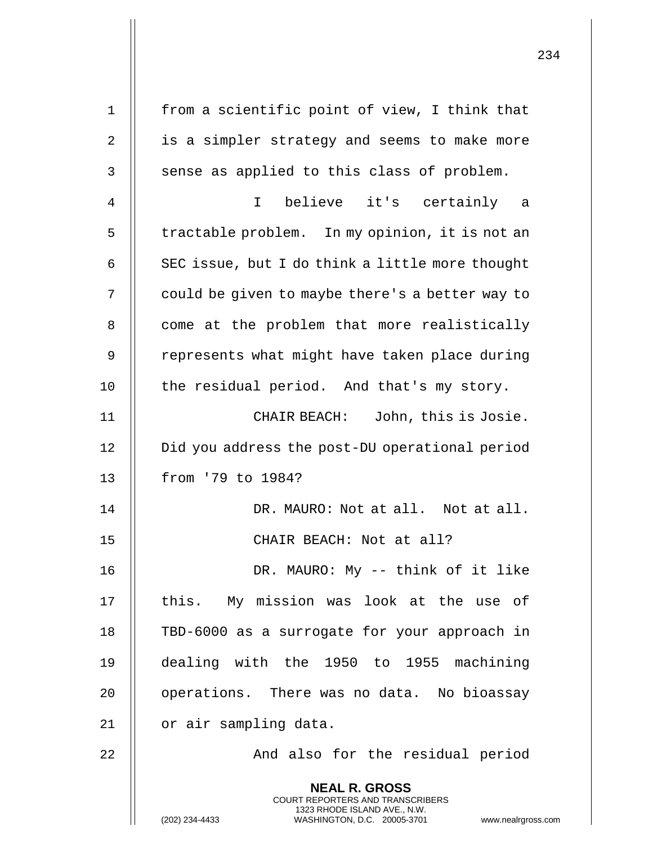| 1  | from a scientific point of view, I think that                                                                                                                |
|----|--------------------------------------------------------------------------------------------------------------------------------------------------------------|
| 2  | is a simpler strategy and seems to make more                                                                                                                 |
| 3  | sense as applied to this class of problem.                                                                                                                   |
| 4  | believe it's certainly a<br>$\mathbf{I}$                                                                                                                     |
| 5  | tractable problem. In my opinion, it is not an                                                                                                               |
| 6  | SEC issue, but I do think a little more thought                                                                                                              |
| 7  | could be given to maybe there's a better way to                                                                                                              |
| 8  | come at the problem that more realistically                                                                                                                  |
| 9  | represents what might have taken place during                                                                                                                |
| 10 | the residual period. And that's my story.                                                                                                                    |
| 11 | CHAIR BEACH: John, this is Josie.                                                                                                                            |
| 12 | Did you address the post-DU operational period                                                                                                               |
| 13 | from '79 to 1984?                                                                                                                                            |
| 14 | DR. MAURO: Not at all. Not at all.                                                                                                                           |
| 15 | CHAIR BEACH: Not at all?                                                                                                                                     |
| 16 | DR. MAURO: My -- think of it like                                                                                                                            |
| 17 | this. My mission was look at the use of                                                                                                                      |
| 18 | TBD-6000 as a surrogate for your approach in                                                                                                                 |
| 19 | dealing with the 1950 to 1955 machining                                                                                                                      |
| 20 | operations. There was no data. No bioassay                                                                                                                   |
| 21 | or air sampling data.                                                                                                                                        |
| 22 | And also for the residual period                                                                                                                             |
|    | <b>NEAL R. GROSS</b><br>COURT REPORTERS AND TRANSCRIBERS<br>1323 RHODE ISLAND AVE., N.W.<br>(202) 234-4433<br>WASHINGTON, D.C. 20005-3701 www.nealrgross.com |

 $\mathbf{I}$ 

 $\mathbf{I}$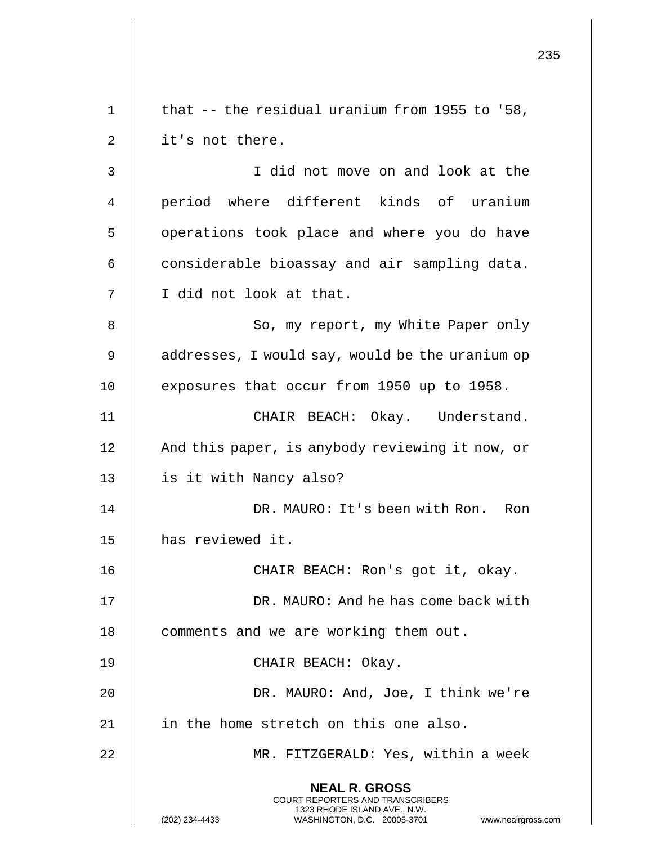235 **NEAL R. GROSS** COURT REPORTERS AND TRANSCRIBERS 1323 RHODE ISLAND AVE., N.W. (202) 234-4433 WASHINGTON, D.C. 20005-3701 www.nealrgross.com 1 | that  $-$  the residual uranium from 1955 to '58,  $2 \parallel$  it's not there. 3 I did not move on and look at the 4 || period where different kinds of uranium 5 | operations took place and where you do have  $6$   $\parallel$  considerable bioassay and air sampling data. 7 || I did not look at that. 8 || So, my report, my White Paper only 9 | addresses, I would say, would be the uranium op 10 | exposures that occur from 1950 up to 1958. 11 || CHAIR BEACH: Okay. Understand. 12 | And this paper, is anybody reviewing it now, or 13 | is it with Nancy also? 14 DR. MAURO: It's been with Ron. Ron 15 | has reviewed it. 16 CHAIR BEACH: Ron's got it, okay. 17 DR. MAURO: And he has come back with 18 | comments and we are working them out. 19 || CHAIR BEACH: Okay. 20 DR. MAURO: And, Joe, I think we're  $21$  || in the home stretch on this one also. 22 MR. FITZGERALD: Yes, within a week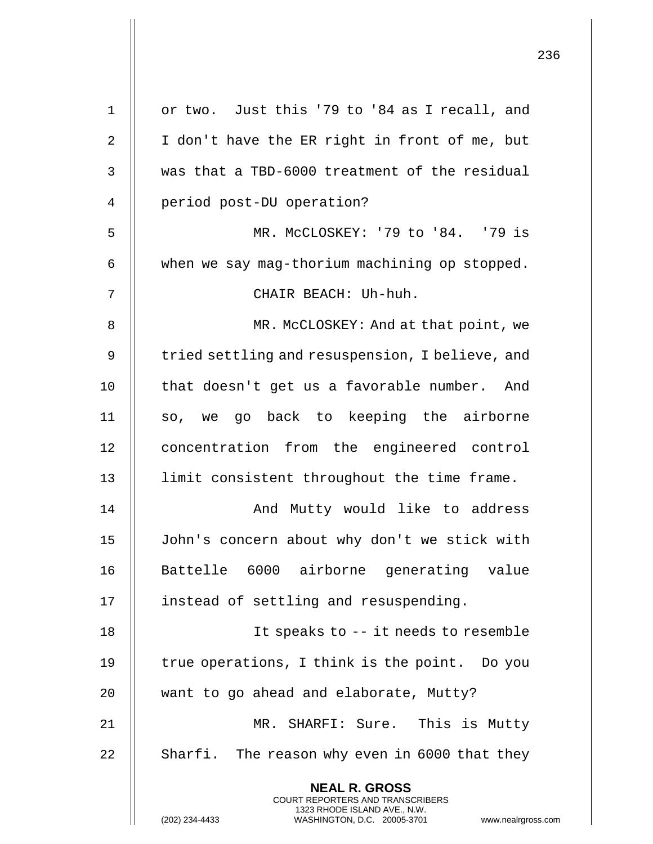| $\mathbf 1$    | or two. Just this '79 to '84 as I recall, and                                                                                                                   |
|----------------|-----------------------------------------------------------------------------------------------------------------------------------------------------------------|
| $\overline{2}$ | I don't have the ER right in front of me, but                                                                                                                   |
| 3              | was that a TBD-6000 treatment of the residual                                                                                                                   |
| 4              | period post-DU operation?                                                                                                                                       |
| 5              | MR. MCCLOSKEY: '79 to '84. '79 is                                                                                                                               |
| 6              | when we say mag-thorium machining op stopped.                                                                                                                   |
| 7              | CHAIR BEACH: Uh-huh.                                                                                                                                            |
| 8              | MR. McCLOSKEY: And at that point, we                                                                                                                            |
| 9              | tried settling and resuspension, I believe, and                                                                                                                 |
| 10             | that doesn't get us a favorable number. And                                                                                                                     |
| 11             | so, we go back to keeping the airborne                                                                                                                          |
| 12             | concentration from the engineered control                                                                                                                       |
| 13             | limit consistent throughout the time frame.                                                                                                                     |
| 14             | And Mutty would like to address                                                                                                                                 |
| 15             | John's concern about why don't we stick with                                                                                                                    |
| 16             | Battelle 6000 airborne generating value                                                                                                                         |
| 17             | instead of settling and resuspending.                                                                                                                           |
| 18             | It speaks to -- it needs to resemble                                                                                                                            |
| 19             | true operations, I think is the point. Do you                                                                                                                   |
| 20             | want to go ahead and elaborate, Mutty?                                                                                                                          |
| 21             | MR. SHARFI: Sure. This is Mutty                                                                                                                                 |
| 22             | Sharfi. The reason why even in 6000 that they                                                                                                                   |
|                | <b>NEAL R. GROSS</b><br>COURT REPORTERS AND TRANSCRIBERS<br>1323 RHODE ISLAND AVE., N.W.<br>(202) 234-4433<br>WASHINGTON, D.C. 20005-3701<br>www.nealrgross.com |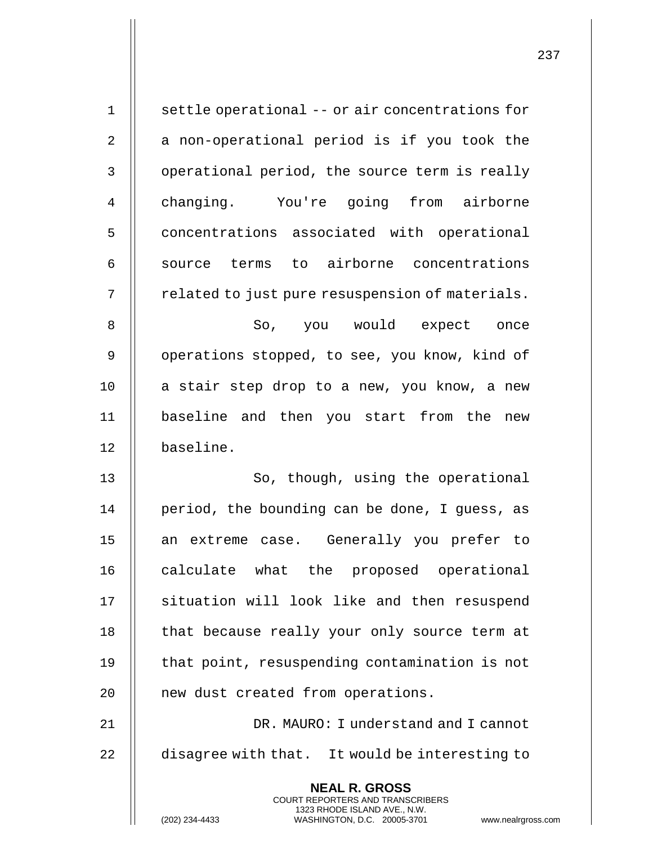| $\mathbf 1$ | settle operational -- or air concentrations for                                                                                                                        |
|-------------|------------------------------------------------------------------------------------------------------------------------------------------------------------------------|
| 2           | a non-operational period is if you took the                                                                                                                            |
| 3           | operational period, the source term is really                                                                                                                          |
| 4           | changing. You're going from airborne                                                                                                                                   |
| 5           | concentrations associated with operational                                                                                                                             |
| 6           | source terms to airborne concentrations                                                                                                                                |
| 7           | related to just pure resuspension of materials.                                                                                                                        |
| 8           | So, you would expect once                                                                                                                                              |
| 9           | operations stopped, to see, you know, kind of                                                                                                                          |
| 10          | a stair step drop to a new, you know, a new                                                                                                                            |
| 11          | baseline and then you start from the new                                                                                                                               |
| 12          | baseline.                                                                                                                                                              |
| 13          | So, though, using the operational                                                                                                                                      |
| 14          | period, the bounding can be done, I guess, as                                                                                                                          |
| 15          | an extreme case. Generally you prefer to                                                                                                                               |
| 16          | calculate what the proposed operational                                                                                                                                |
| 17          | situation will look like and then resuspend                                                                                                                            |
| 18          | that because really your only source term at                                                                                                                           |
| 19          | that point, resuspending contamination is not                                                                                                                          |
| 20          | new dust created from operations.                                                                                                                                      |
| 21          | DR. MAURO: I understand and I cannot                                                                                                                                   |
| 22          | disagree with that. It would be interesting to                                                                                                                         |
|             | <b>NEAL R. GROSS</b><br><b>COURT REPORTERS AND TRANSCRIBERS</b><br>1323 RHODE ISLAND AVE., N.W.<br>(202) 234-4433<br>WASHINGTON, D.C. 20005-3701<br>www.nealrgross.com |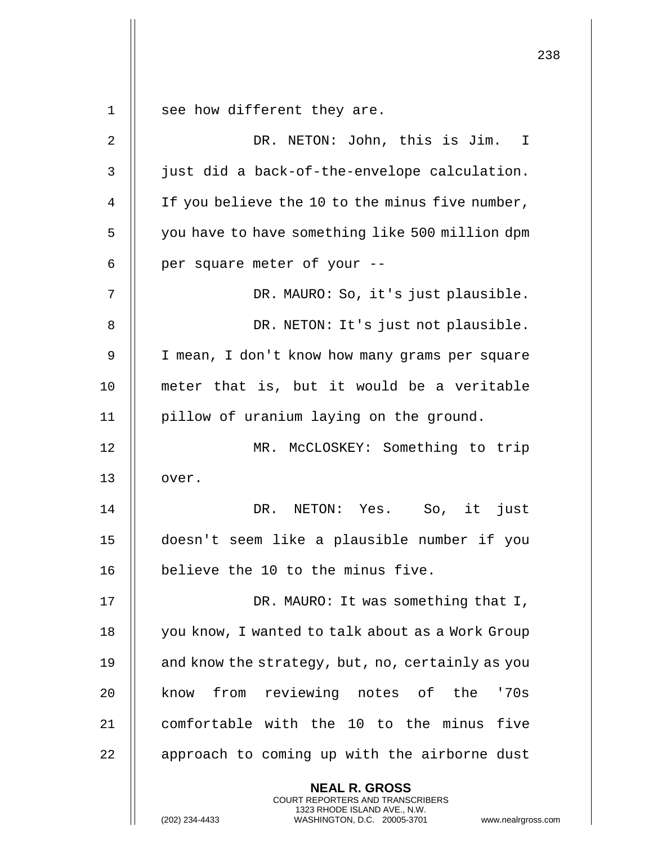| $\mathbf 1$    | see how different they are.                                                                                                                                        |
|----------------|--------------------------------------------------------------------------------------------------------------------------------------------------------------------|
| $\overline{2}$ | DR. NETON: John, this is Jim. I                                                                                                                                    |
|                | just did a back-of-the-envelope calculation.                                                                                                                       |
| 3              |                                                                                                                                                                    |
| 4              | If you believe the 10 to the minus five number,                                                                                                                    |
| 5              | you have to have something like 500 million dpm                                                                                                                    |
| 6              | per square meter of your --                                                                                                                                        |
| 7              | DR. MAURO: So, it's just plausible.                                                                                                                                |
| 8              | DR. NETON: It's just not plausible.                                                                                                                                |
| 9              | I mean, I don't know how many grams per square                                                                                                                     |
| 10             | meter that is, but it would be a veritable                                                                                                                         |
| 11             | pillow of uranium laying on the ground.                                                                                                                            |
| 12             | MR. McCLOSKEY: Something to trip                                                                                                                                   |
| 13             | over.                                                                                                                                                              |
| 14             | it<br>DR. NETON: Yes. So,<br>just                                                                                                                                  |
| 15             | doesn't seem like a plausible number if you                                                                                                                        |
| 16             | believe the 10 to the minus five.                                                                                                                                  |
| 17             | DR. MAURO: It was something that I,                                                                                                                                |
| 18             | you know, I wanted to talk about as a Work Group                                                                                                                   |
| 19             | and know the strategy, but, no, certainly as you                                                                                                                   |
| 20             | from reviewing notes of the<br>'70s<br>know                                                                                                                        |
| 21             | comfortable with the 10 to the minus five                                                                                                                          |
| 22             | approach to coming up with the airborne dust                                                                                                                       |
|                | <b>NEAL R. GROSS</b><br><b>COURT REPORTERS AND TRANSCRIBERS</b><br>1323 RHODE ISLAND AVE., N.W.<br>(202) 234-4433<br>WASHINGTON, D.C. 20005-3701<br>www.nealrgross |

 $\mathbf{I}$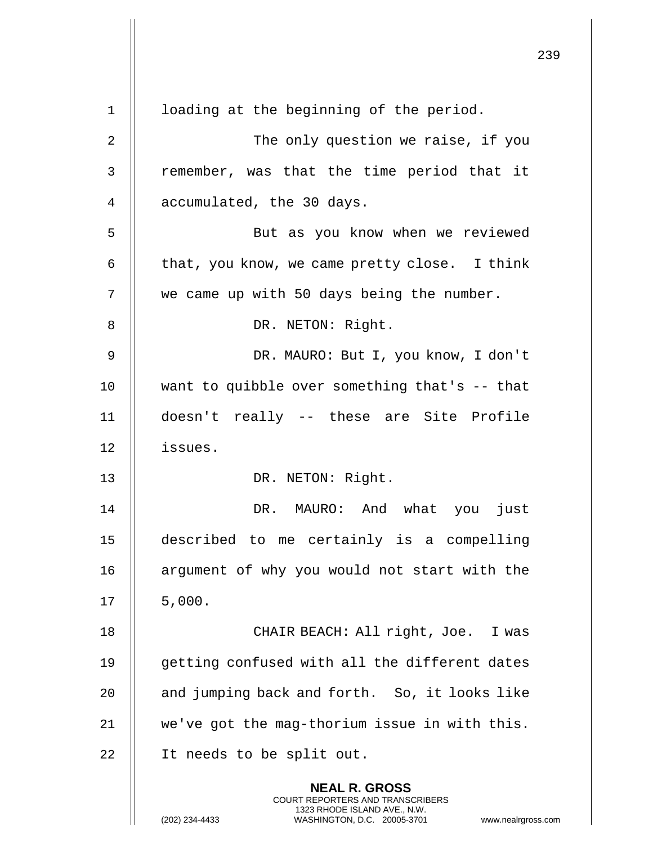|    |                                                                                                                                                                        | 239 |
|----|------------------------------------------------------------------------------------------------------------------------------------------------------------------------|-----|
| 1  | loading at the beginning of the period.                                                                                                                                |     |
| 2  | The only question we raise, if you                                                                                                                                     |     |
| 3  | remember, was that the time period that it                                                                                                                             |     |
| 4  | accumulated, the 30 days.                                                                                                                                              |     |
| 5  | But as you know when we reviewed                                                                                                                                       |     |
| 6  | that, you know, we came pretty close. I think                                                                                                                          |     |
| 7  | we came up with 50 days being the number.                                                                                                                              |     |
| 8  | DR. NETON: Right.                                                                                                                                                      |     |
| 9  | DR. MAURO: But I, you know, I don't                                                                                                                                    |     |
| 10 | want to quibble over something that's -- that                                                                                                                          |     |
| 11 | doesn't really -- these are Site Profile                                                                                                                               |     |
| 12 | issues.                                                                                                                                                                |     |
| 13 | DR. NETON: Right.                                                                                                                                                      |     |
| 14 | DR. MAURO: And what you just                                                                                                                                           |     |
| 15 | described to me certainly is a compelling                                                                                                                              |     |
| 16 | argument of why you would not start with the                                                                                                                           |     |
| 17 | 5,000.                                                                                                                                                                 |     |
| 18 | CHAIR BEACH: All right, Joe. I was                                                                                                                                     |     |
| 19 | getting confused with all the different dates                                                                                                                          |     |
| 20 | and jumping back and forth. So, it looks like                                                                                                                          |     |
| 21 | we've got the mag-thorium issue in with this.                                                                                                                          |     |
| 22 | It needs to be split out.                                                                                                                                              |     |
|    | <b>NEAL R. GROSS</b><br><b>COURT REPORTERS AND TRANSCRIBERS</b><br>1323 RHODE ISLAND AVE., N.W.<br>(202) 234-4433<br>WASHINGTON, D.C. 20005-3701<br>www.nealrgross.com |     |

 $\mathbf{I}$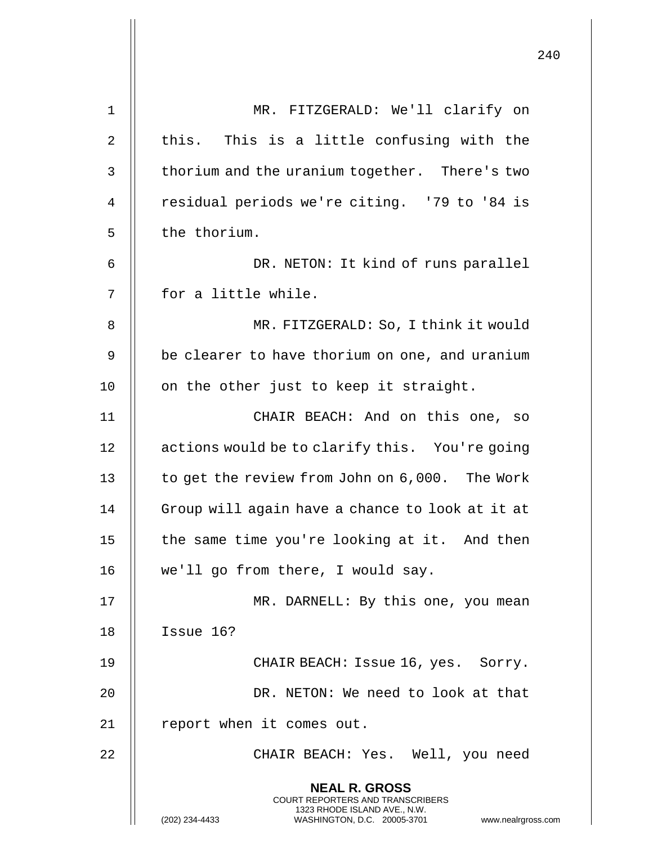|    |                                                                                                                                                                        | 240 |
|----|------------------------------------------------------------------------------------------------------------------------------------------------------------------------|-----|
| 1  | MR. FITZGERALD: We'll clarify on                                                                                                                                       |     |
| 2  | this. This is a little confusing with the                                                                                                                              |     |
| 3  | thorium and the uranium together. There's two                                                                                                                          |     |
| 4  | residual periods we're citing. '79 to '84 is                                                                                                                           |     |
| 5  | the thorium.                                                                                                                                                           |     |
| 6  | DR. NETON: It kind of runs parallel                                                                                                                                    |     |
| 7  | for a little while.                                                                                                                                                    |     |
| 8  | MR. FITZGERALD: So, I think it would                                                                                                                                   |     |
| 9  | be clearer to have thorium on one, and uranium                                                                                                                         |     |
| 10 | on the other just to keep it straight.                                                                                                                                 |     |
| 11 | CHAIR BEACH: And on this one, so                                                                                                                                       |     |
| 12 | actions would be to clarify this. You're going                                                                                                                         |     |
| 13 | to get the review from John on 6,000. The Work                                                                                                                         |     |
| 14 | Group will again have a chance to look at it at                                                                                                                        |     |
| 15 | the same time you're looking at it. And then                                                                                                                           |     |
| 16 | we'll go from there, I would say.                                                                                                                                      |     |
| 17 | MR. DARNELL: By this one, you mean                                                                                                                                     |     |
| 18 | Issue 16?                                                                                                                                                              |     |
| 19 | CHAIR BEACH: Issue 16, yes. Sorry.                                                                                                                                     |     |
| 20 | DR. NETON: We need to look at that                                                                                                                                     |     |
| 21 | report when it comes out.                                                                                                                                              |     |
| 22 | CHAIR BEACH: Yes. Well, you need                                                                                                                                       |     |
|    | <b>NEAL R. GROSS</b><br><b>COURT REPORTERS AND TRANSCRIBERS</b><br>1323 RHODE ISLAND AVE., N.W.<br>(202) 234-4433<br>WASHINGTON, D.C. 20005-3701<br>www.nealrgross.com |     |

 $\overline{1}$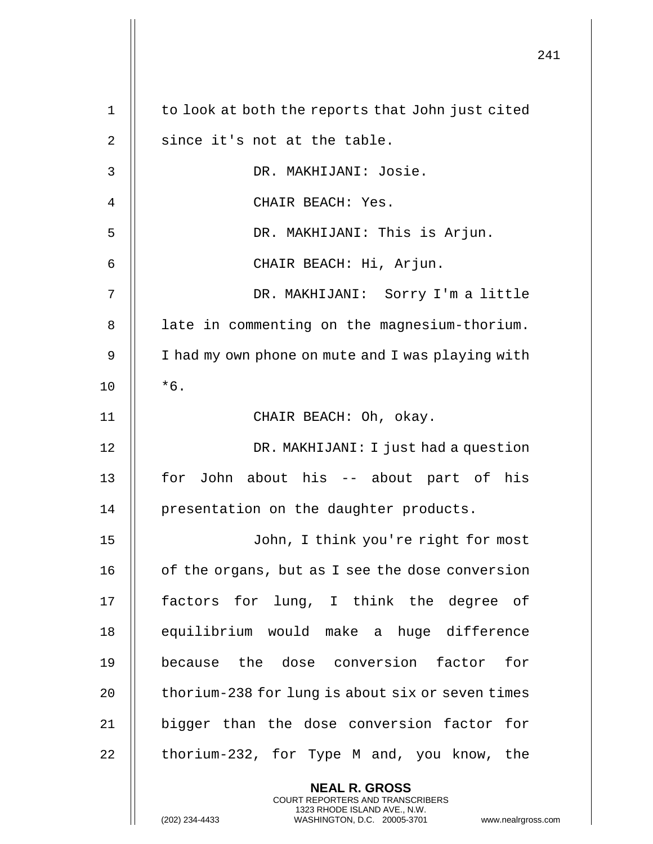|    |                                                                                                     | 241 |
|----|-----------------------------------------------------------------------------------------------------|-----|
| 1  | to look at both the reports that John just cited                                                    |     |
| 2  | since it's not at the table.                                                                        |     |
| 3  | DR. MAKHIJANI: Josie.                                                                               |     |
| 4  | CHAIR BEACH: Yes.                                                                                   |     |
| 5  | DR. MAKHIJANI: This is Arjun.                                                                       |     |
| 6  | CHAIR BEACH: Hi, Arjun.                                                                             |     |
| 7  | DR. MAKHIJANI: Sorry I'm a little                                                                   |     |
| 8  | late in commenting on the magnesium-thorium.                                                        |     |
| 9  | I had my own phone on mute and I was playing with                                                   |     |
| 10 | $*6.$                                                                                               |     |
| 11 | CHAIR BEACH: Oh, okay.                                                                              |     |
| 12 | DR. MAKHIJANI: I just had a question                                                                |     |
| 13 | for John about his -- about part of his                                                             |     |
| 14 | presentation on the daughter products.                                                              |     |
| 15 | John, I think you're right for most                                                                 |     |
| 16 | of the organs, but as I see the dose conversion                                                     |     |
| 17 | factors for lung, I think the degree of                                                             |     |
| 18 | equilibrium would make a huge difference                                                            |     |
| 19 | because the dose conversion factor for                                                              |     |
| 20 | thorium-238 for lung is about six or seven times                                                    |     |
| 21 | bigger than the dose conversion factor for                                                          |     |
| 22 | thorium-232, for Type M and, you know, the                                                          |     |
|    | <b>NEAL R. GROSS</b><br>COURT REPORTERS AND TRANSCRIBERS                                            |     |
|    | 1323 RHODE ISLAND AVE., N.W.<br>(202) 234-4433<br>WASHINGTON, D.C. 20005-3701<br>www.nealrgross.com |     |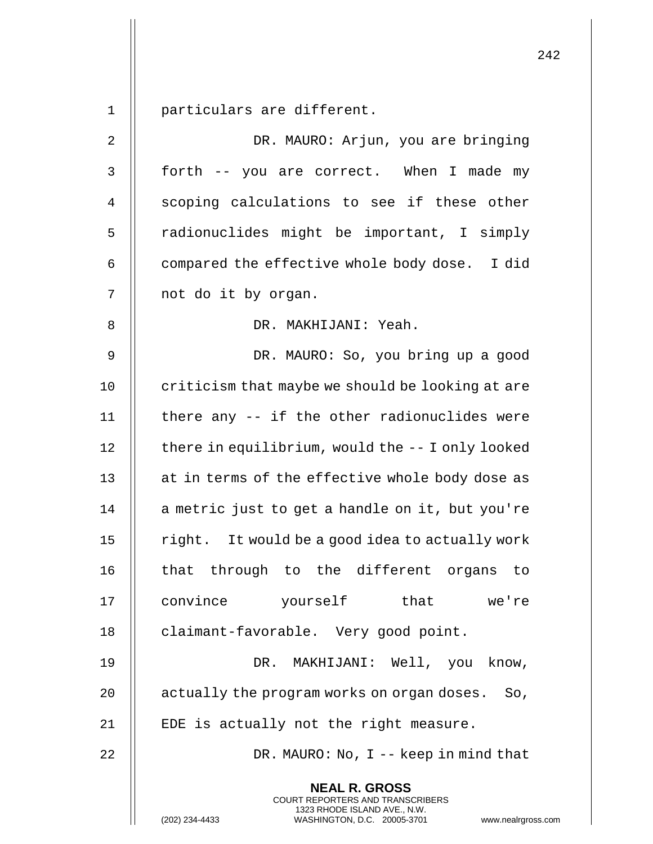1 | particulars are different.

| $\sqrt{2}$     | DR. MAURO: Arjun, you are bringing                                                                                                                                |
|----------------|-------------------------------------------------------------------------------------------------------------------------------------------------------------------|
| $\mathsf 3$    | forth -- you are correct. When I made my                                                                                                                          |
| $\overline{4}$ | scoping calculations to see if these other                                                                                                                        |
| 5              | radionuclides might be important, I simply                                                                                                                        |
| 6              | compared the effective whole body dose. I did                                                                                                                     |
| 7              | not do it by organ.                                                                                                                                               |
| 8              | DR. MAKHIJANI: Yeah.                                                                                                                                              |
| $\mathsf 9$    | DR. MAURO: So, you bring up a good                                                                                                                                |
| 10             | criticism that maybe we should be looking at are                                                                                                                  |
| 11             | there any -- if the other radionuclides were                                                                                                                      |
| 12             | there in equilibrium, would the -- I only looked                                                                                                                  |
| 13             | at in terms of the effective whole body dose as                                                                                                                   |
| 14             | a metric just to get a handle on it, but you're                                                                                                                   |
| 15             | right. It would be a good idea to actually work                                                                                                                   |
| 16             | that through to the different organs<br>to                                                                                                                        |
| 17             | convince yourself that we're                                                                                                                                      |
| 18             | claimant-favorable. Very good point.                                                                                                                              |
| 19             | DR. MAKHIJANI: Well, you know,                                                                                                                                    |
| 20             | actually the program works on organ doses. So,                                                                                                                    |
| 21             | EDE is actually not the right measure.                                                                                                                            |
| 22             | DR. MAURO: No, $I -$ keep in mind that                                                                                                                            |
|                | <b>NEAL R. GROSS</b><br><b>COURT REPORTERS AND TRANSCRIBERS</b><br>1323 RHODE ISLAND AVE., N.W.<br>(202) 234-4433<br>WASHINGTON, D.C. 20005-3701<br>www.nealrgros |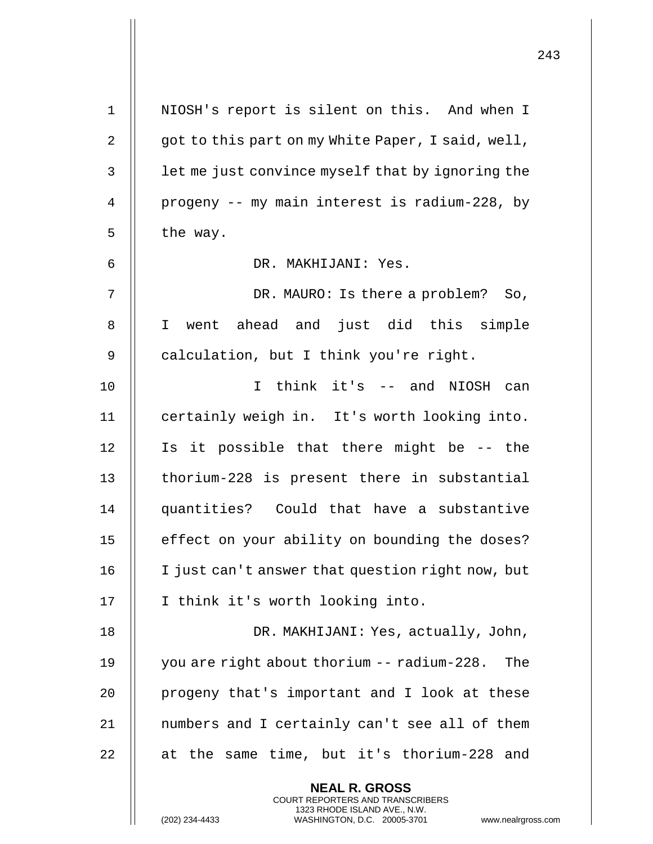| $\mathbf 1$ | NIOSH's report is silent on this. And when I                                                      |
|-------------|---------------------------------------------------------------------------------------------------|
| 2           | got to this part on my White Paper, I said, well,                                                 |
| 3           | let me just convince myself that by ignoring the                                                  |
| 4           | progeny -- my main interest is radium-228, by                                                     |
| 5           | the way.                                                                                          |
| 6           | DR. MAKHIJANI: Yes.                                                                               |
| 7           | DR. MAURO: Is there a problem? So,                                                                |
| 8           | I went ahead and just did this simple                                                             |
| 9           | calculation, but I think you're right.                                                            |
| 10          | think it's -- and NIOSH can<br>T.                                                                 |
| 11          | certainly weigh in. It's worth looking into.                                                      |
| 12          | Is it possible that there might be -- the                                                         |
| 13          | thorium-228 is present there in substantial                                                       |
| 14          | quantities? Could that have a substantive                                                         |
| 15          | effect on your ability on bounding the doses?                                                     |
| 16          | I just can't answer that question right now, but                                                  |
| 17          | I think it's worth looking into.                                                                  |
| 18          | DR. MAKHIJANI: Yes, actually, John,                                                               |
| 19          | you are right about thorium -- radium-228.<br>The                                                 |
| 20          | progeny that's important and I look at these                                                      |
| 21          | numbers and I certainly can't see all of them                                                     |
| 22          | at the same time, but it's thorium-228 and                                                        |
|             | <b>NEAL R. GROSS</b><br>COURT REPORTERS AND TRANSCRIBERS                                          |
|             | 1323 RHODE ISLAND AVE., N.W.<br>(202) 234-4433<br>WASHINGTON, D.C. 20005-3701<br>www.nealrgross.o |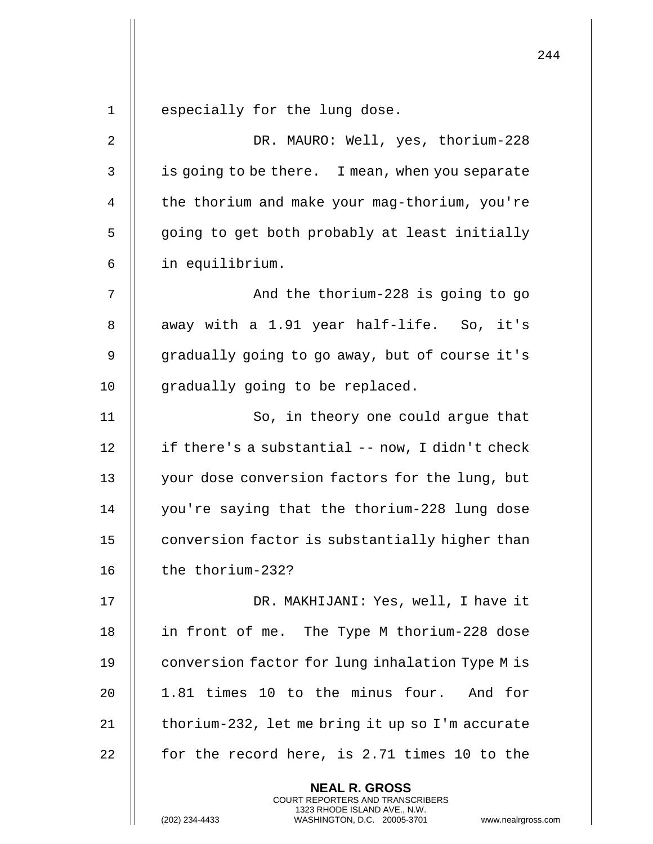|    |                                                                                                                                                                        | 2.44 |
|----|------------------------------------------------------------------------------------------------------------------------------------------------------------------------|------|
| 1  | especially for the lung dose.                                                                                                                                          |      |
| 2  | DR. MAURO: Well, yes, thorium-228                                                                                                                                      |      |
| 3  | is going to be there. I mean, when you separate                                                                                                                        |      |
| 4  | the thorium and make your mag-thorium, you're                                                                                                                          |      |
| 5  | going to get both probably at least initially                                                                                                                          |      |
| 6  | in equilibrium.                                                                                                                                                        |      |
| 7  | And the thorium-228 is going to go                                                                                                                                     |      |
| 8  | away with a 1.91 year half-life. So, it's                                                                                                                              |      |
| 9  | gradually going to go away, but of course it's                                                                                                                         |      |
| 10 | gradually going to be replaced.                                                                                                                                        |      |
| 11 | So, in theory one could argue that                                                                                                                                     |      |
| 12 | if there's a substantial -- now, I didn't check                                                                                                                        |      |
| 13 | your dose conversion factors for the lung, but                                                                                                                         |      |
| 14 | you're saying that the thorium-228 lung dose                                                                                                                           |      |
| 15 | conversion factor is substantially higher than                                                                                                                         |      |
| 16 | the thorium-232?                                                                                                                                                       |      |
| 17 | DR. MAKHIJANI: Yes, well, I have it                                                                                                                                    |      |
| 18 | in front of me. The Type M thorium-228 dose                                                                                                                            |      |
| 19 | conversion factor for lung inhalation Type M is                                                                                                                        |      |
| 20 | 1.81 times 10 to the minus four. And for                                                                                                                               |      |
| 21 | thorium-232, let me bring it up so I'm accurate                                                                                                                        |      |
| 22 | for the record here, is 2.71 times 10 to the                                                                                                                           |      |
|    | <b>NEAL R. GROSS</b><br><b>COURT REPORTERS AND TRANSCRIBERS</b><br>1323 RHODE ISLAND AVE., N.W.<br>(202) 234-4433<br>WASHINGTON, D.C. 20005-3701<br>www.nealrgross.com |      |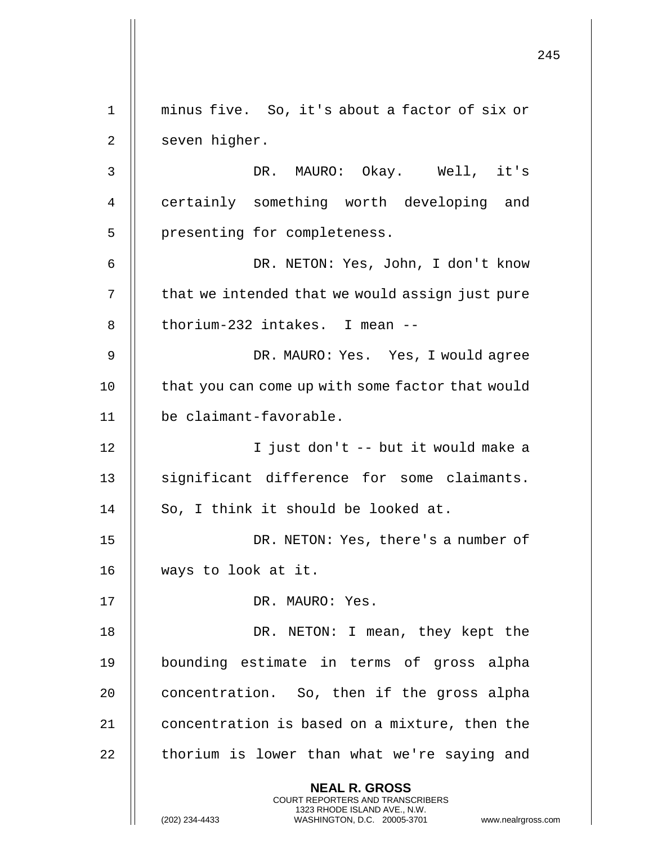|             |                                                                                                     | 245 |
|-------------|-----------------------------------------------------------------------------------------------------|-----|
| $\mathbf 1$ | minus five. So, it's about a factor of six or                                                       |     |
| 2           | seven higher.                                                                                       |     |
| 3           | DR. MAURO: Okay. Well, it's                                                                         |     |
| 4           | certainly something worth developing and                                                            |     |
| 5           | presenting for completeness.                                                                        |     |
| 6           | DR. NETON: Yes, John, I don't know                                                                  |     |
| 7           | that we intended that we would assign just pure                                                     |     |
|             |                                                                                                     |     |
| 8           | thorium-232 intakes. I mean --                                                                      |     |
| 9           | DR. MAURO: Yes. Yes, I would agree                                                                  |     |
| 10          | that you can come up with some factor that would                                                    |     |
| 11          | be claimant-favorable.                                                                              |     |
| 12          | I just don't -- but it would make a                                                                 |     |
| 13          | significant difference for some claimants.                                                          |     |
| 14          | So, I think it should be looked at.                                                                 |     |
| 15          | DR. NETON: Yes, there's a number of                                                                 |     |
| 16          | ways to look at it.                                                                                 |     |
| 17          | DR. MAURO: Yes.                                                                                     |     |
| 18          | DR. NETON: I mean, they kept the                                                                    |     |
| 19          | bounding estimate in terms of gross alpha                                                           |     |
| 20          | concentration. So, then if the gross alpha                                                          |     |
| 21          | concentration is based on a mixture, then the                                                       |     |
| 22          | thorium is lower than what we're saying and                                                         |     |
|             | <b>NEAL R. GROSS</b><br><b>COURT REPORTERS AND TRANSCRIBERS</b>                                     |     |
|             | 1323 RHODE ISLAND AVE., N.W.<br>WASHINGTON, D.C. 20005-3701<br>(202) 234-4433<br>www.nealrgross.com |     |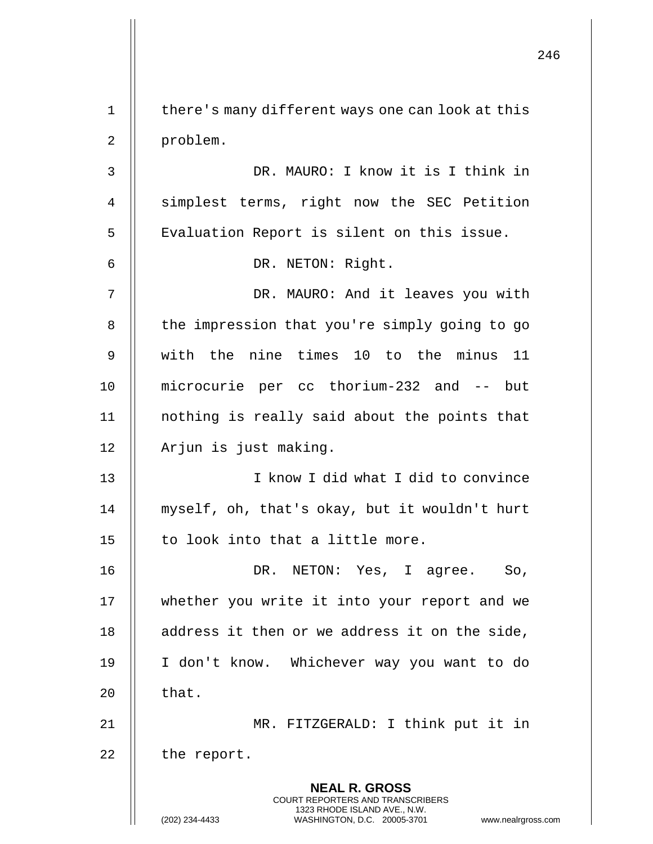**NEAL R. GROSS** COURT REPORTERS AND TRANSCRIBERS 1323 RHODE ISLAND AVE., N.W. (202) 234-4433 WASHINGTON, D.C. 20005-3701 www.nealrgross.com 1 | there's many different ways one can look at this 2 | problem. 3 DR. MAURO: I know it is I think in 4 | simplest terms, right now the SEC Petition 5 | Evaluation Report is silent on this issue. 6 DR. NETON: Right. 7 || DR. MAURO: And it leaves you with 8 | the impression that you're simply going to go 9 with the nine times 10 to the minus 11 10 microcurie per cc thorium-232 and -- but 11 nothing is really said about the points that 12 | Arjun is just making. 13 I know I did what I did to convince 14 || myself, oh, that's okay, but it wouldn't hurt 15  $\parallel$  to look into that a little more. 16 DR. NETON: Yes, I agree. So, 17 whether you write it into your report and we 18 || address it then or we address it on the side, 19 I don't know. Whichever way you want to do  $20$   $\parallel$  that. 21 || MR. FITZGERALD: I think put it in  $22$  | the report.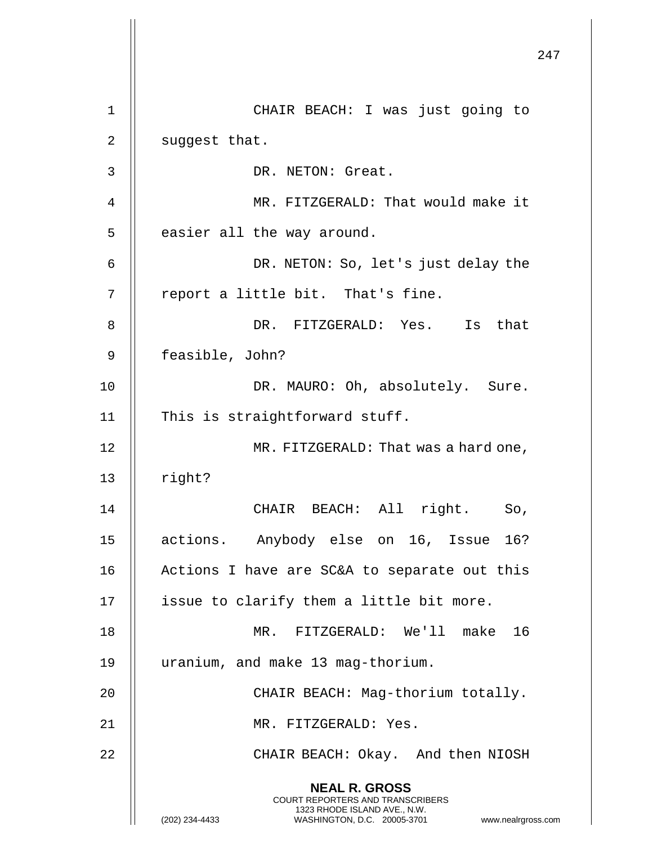|                | 247                                                                                                                                                                 |
|----------------|---------------------------------------------------------------------------------------------------------------------------------------------------------------------|
| $\mathbf 1$    | CHAIR BEACH: I was just going to                                                                                                                                    |
| $\overline{2}$ | suggest that.                                                                                                                                                       |
| 3              | DR. NETON: Great.                                                                                                                                                   |
| 4              | MR. FITZGERALD: That would make it                                                                                                                                  |
| 5              | easier all the way around.                                                                                                                                          |
| 6              | DR. NETON: So, let's just delay the                                                                                                                                 |
| 7              | report a little bit. That's fine.                                                                                                                                   |
| 8              | DR. FITZGERALD: Yes. Is that                                                                                                                                        |
| 9              | feasible, John?                                                                                                                                                     |
| 10             | DR. MAURO: Oh, absolutely. Sure.                                                                                                                                    |
| 11             | This is straightforward stuff.                                                                                                                                      |
| 12             | MR. FITZGERALD: That was a hard one,                                                                                                                                |
| 13             | right?                                                                                                                                                              |
| 14             | CHAIR BEACH: All right. So,                                                                                                                                         |
| 15             | actions. Anybody else on 16, Issue 16?                                                                                                                              |
| 16             | Actions I have are SC&A to separate out this                                                                                                                        |
| 17             | issue to clarify them a little bit more.                                                                                                                            |
| 18             | MR. FITZGERALD: We'll make 16                                                                                                                                       |
| 19             | uranium, and make 13 mag-thorium.                                                                                                                                   |
| 20             | CHAIR BEACH: Mag-thorium totally.                                                                                                                                   |
| 21             | MR. FITZGERALD: Yes.                                                                                                                                                |
| 22             | CHAIR BEACH: Okay. And then NIOSH                                                                                                                                   |
|                | <b>NEAL R. GROSS</b><br><b>COURT REPORTERS AND TRANSCRIBERS</b><br>1323 RHODE ISLAND AVE., N.W.<br>(202) 234-4433<br>WASHINGTON, D.C. 20005-3701 www.nealrgross.com |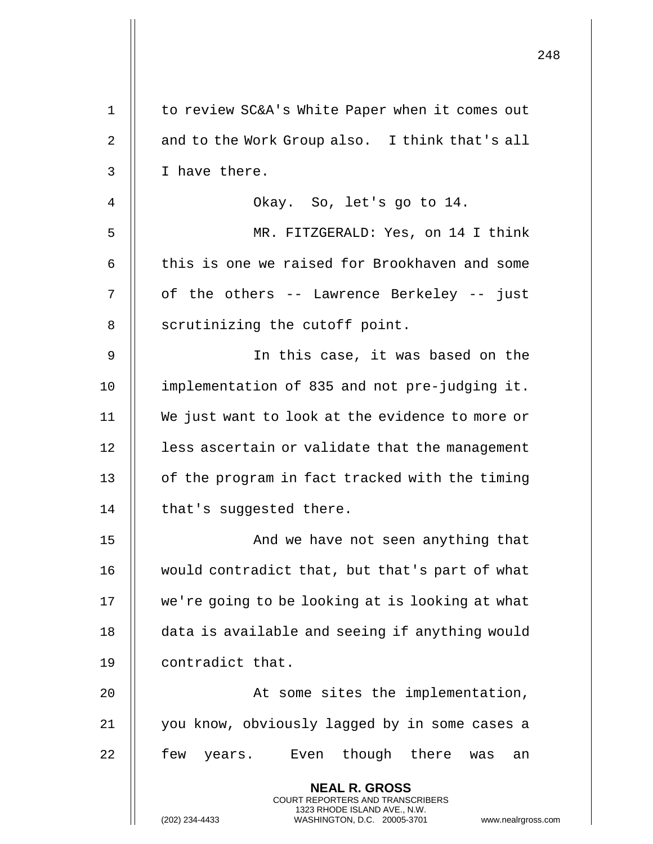|             |                                                                                                                                                                        | 248 |
|-------------|------------------------------------------------------------------------------------------------------------------------------------------------------------------------|-----|
| $\mathbf 1$ | to review SC&A's White Paper when it comes out                                                                                                                         |     |
| 2           | and to the Work Group also. I think that's all                                                                                                                         |     |
| 3           | I have there.                                                                                                                                                          |     |
| 4           | Okay. So, let's go to 14.                                                                                                                                              |     |
| 5           | MR. FITZGERALD: Yes, on 14 I think                                                                                                                                     |     |
| 6           | this is one we raised for Brookhaven and some                                                                                                                          |     |
| 7           | of the others -- Lawrence Berkeley -- just                                                                                                                             |     |
| 8           | scrutinizing the cutoff point.                                                                                                                                         |     |
| 9           | In this case, it was based on the                                                                                                                                      |     |
| 10          | implementation of 835 and not pre-judging it.                                                                                                                          |     |
| 11          | We just want to look at the evidence to more or                                                                                                                        |     |
| 12          | less ascertain or validate that the management                                                                                                                         |     |
| 13          | of the program in fact tracked with the timing                                                                                                                         |     |
| 14          | that's suggested there.                                                                                                                                                |     |
| 15          | And we have not seen anything that                                                                                                                                     |     |
| 16          | would contradict that, but that's part of what                                                                                                                         |     |
| 17          | we're going to be looking at is looking at what                                                                                                                        |     |
| 18          | data is available and seeing if anything would                                                                                                                         |     |
| 19          | contradict that.                                                                                                                                                       |     |
| 20          | At some sites the implementation,                                                                                                                                      |     |
| 21          | you know, obviously lagged by in some cases a                                                                                                                          |     |
| 22          | few<br>Even though there<br>years.<br>an<br>was                                                                                                                        |     |
|             | <b>NEAL R. GROSS</b><br><b>COURT REPORTERS AND TRANSCRIBERS</b><br>1323 RHODE ISLAND AVE., N.W.<br>(202) 234-4433<br>WASHINGTON, D.C. 20005-3701<br>www.nealrgross.com |     |

 $\mathbb{I}$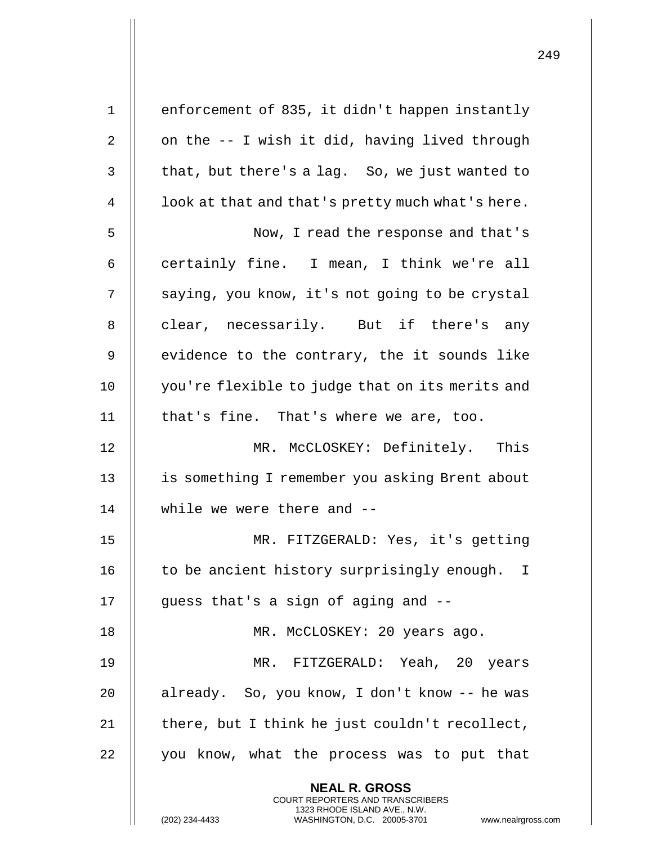| $\mathbf 1$    | enforcement of 835, it didn't happen instantly                                                                                            |
|----------------|-------------------------------------------------------------------------------------------------------------------------------------------|
| $\overline{2}$ | on the -- I wish it did, having lived through                                                                                             |
| 3              | that, but there's a lag. So, we just wanted to                                                                                            |
| 4              | look at that and that's pretty much what's here.                                                                                          |
| 5              | Now, I read the response and that's                                                                                                       |
| 6              | certainly fine. I mean, I think we're all                                                                                                 |
| 7              | saying, you know, it's not going to be crystal                                                                                            |
| 8              | clear, necessarily. But if there's any                                                                                                    |
| $\mathsf 9$    | evidence to the contrary, the it sounds like                                                                                              |
| 10             | you're flexible to judge that on its merits and                                                                                           |
| 11             | that's fine. That's where we are, too.                                                                                                    |
| 12             | MR. McCLOSKEY: Definitely. This                                                                                                           |
| 13             | is something I remember you asking Brent about                                                                                            |
| 14             | while we were there and --                                                                                                                |
| 15             | MR. FITZGERALD: Yes, it's getting                                                                                                         |
| 16             | to be ancient history surprisingly enough.<br>I.                                                                                          |
| 17             | guess that's a sign of aging and --                                                                                                       |
| 18             | MR. McCLOSKEY: 20 years ago.                                                                                                              |
| 19             | MR. FITZGERALD: Yeah, 20 years                                                                                                            |
| 20             | already. So, you know, I don't know -- he was                                                                                             |
| 21             | there, but I think he just couldn't recollect,                                                                                            |
| 22             | you know, what the process was to put that                                                                                                |
|                | <b>NEAL R. GROSS</b>                                                                                                                      |
|                | <b>COURT REPORTERS AND TRANSCRIBERS</b><br>1323 RHODE ISLAND AVE., N.W.<br>(202) 234-4433<br>WASHINGTON, D.C. 20005-3701<br>www.nealrgros |

(202) 234-4433 WASHINGTON, D.C. 20005-3701 www.nealrgross.com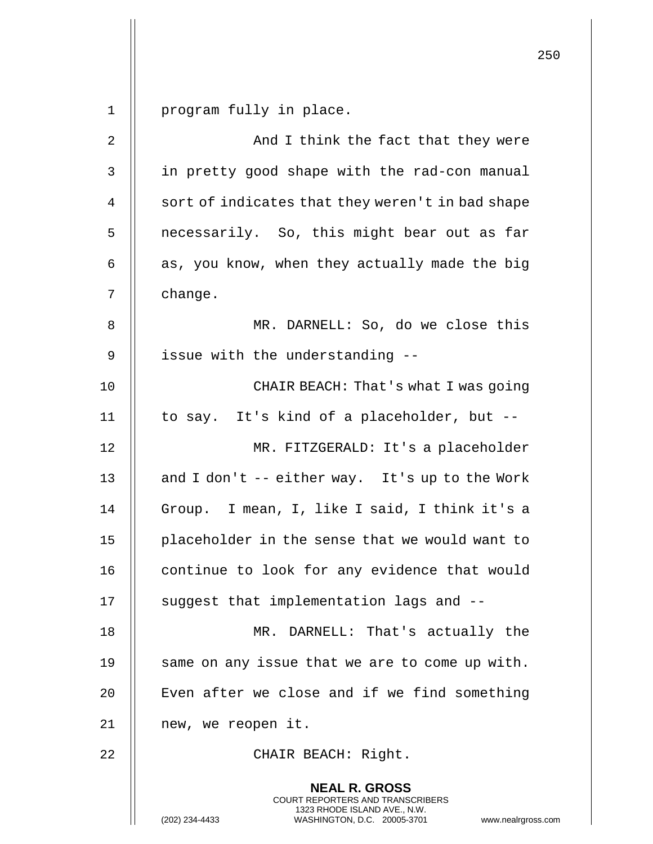1 | program fully in place.

| $\overline{2}$ | And I think the fact that they were                                                                                                                                    |
|----------------|------------------------------------------------------------------------------------------------------------------------------------------------------------------------|
| $\mathsf 3$    | in pretty good shape with the rad-con manual                                                                                                                           |
| 4              | sort of indicates that they weren't in bad shape                                                                                                                       |
| 5              | necessarily. So, this might bear out as far                                                                                                                            |
| 6              | as, you know, when they actually made the big                                                                                                                          |
| 7              | change.                                                                                                                                                                |
| 8              | MR. DARNELL: So, do we close this                                                                                                                                      |
| 9              | issue with the understanding --                                                                                                                                        |
| 10             | CHAIR BEACH: That's what I was going                                                                                                                                   |
| 11             | to say. It's kind of a placeholder, but --                                                                                                                             |
| 12             | MR. FITZGERALD: It's a placeholder                                                                                                                                     |
| 13             | and I don't -- either way. It's up to the Work                                                                                                                         |
| 14             | Group. I mean, I, like I said, I think it's a                                                                                                                          |
| 15             | placeholder in the sense that we would want to                                                                                                                         |
| 16             | continue to look for any evidence that would                                                                                                                           |
| 17             | suggest that implementation lags and --                                                                                                                                |
| 18             | MR. DARNELL: That's actually the                                                                                                                                       |
| 19             | same on any issue that we are to come up with.                                                                                                                         |
| 20             | Even after we close and if we find something                                                                                                                           |
| 21             | new, we reopen it.                                                                                                                                                     |
| 22             | CHAIR BEACH: Right.                                                                                                                                                    |
|                | <b>NEAL R. GROSS</b><br><b>COURT REPORTERS AND TRANSCRIBERS</b><br>1323 RHODE ISLAND AVE., N.W.<br>(202) 234-4433<br>WASHINGTON, D.C. 20005-3701<br>www.nealrgross.com |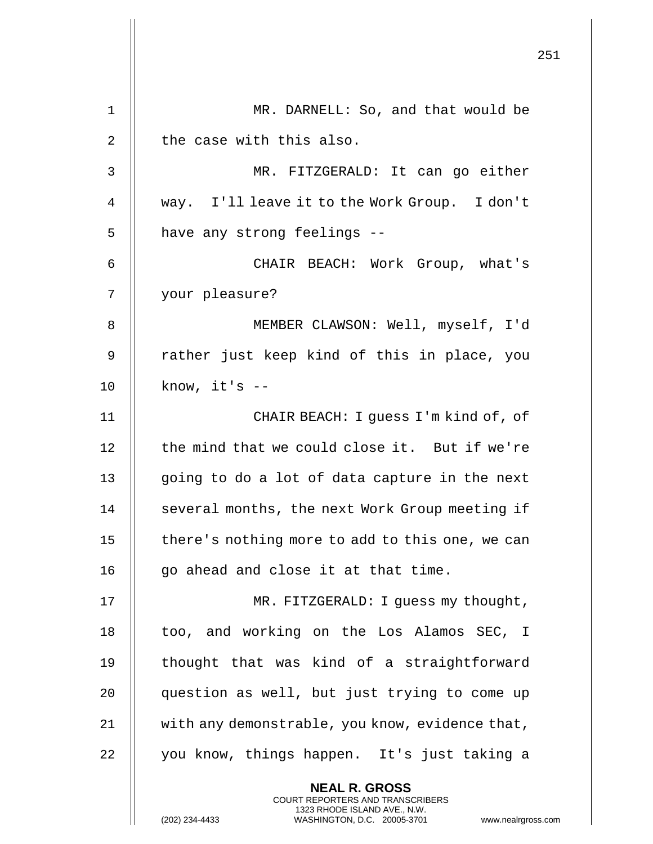|    |                                                                                                                                                                        | 251 |
|----|------------------------------------------------------------------------------------------------------------------------------------------------------------------------|-----|
|    |                                                                                                                                                                        |     |
| 1  | MR. DARNELL: So, and that would be                                                                                                                                     |     |
| 2  | the case with this also.                                                                                                                                               |     |
| 3  | MR. FITZGERALD: It can go either                                                                                                                                       |     |
| 4  | way. I'll leave it to the Work Group. I don't                                                                                                                          |     |
| 5  | have any strong feelings --                                                                                                                                            |     |
| 6  | CHAIR BEACH: Work Group, what's                                                                                                                                        |     |
| 7  | your pleasure?                                                                                                                                                         |     |
| 8  | MEMBER CLAWSON: Well, myself, I'd                                                                                                                                      |     |
| 9  | rather just keep kind of this in place, you                                                                                                                            |     |
| 10 | know, $it's$ --                                                                                                                                                        |     |
| 11 | CHAIR BEACH: I guess I'm kind of, of                                                                                                                                   |     |
| 12 | the mind that we could close it. But if we're                                                                                                                          |     |
| 13 | going to do a lot of data capture in the next                                                                                                                          |     |
| 14 | several months, the next Work Group meeting if                                                                                                                         |     |
| 15 | there's nothing more to add to this one, we can                                                                                                                        |     |
| 16 | go ahead and close it at that time.                                                                                                                                    |     |
| 17 | MR. FITZGERALD: I guess my thought,                                                                                                                                    |     |
| 18 | too, and working on the Los Alamos SEC, I                                                                                                                              |     |
| 19 | thought that was kind of a straightforward                                                                                                                             |     |
| 20 | question as well, but just trying to come up                                                                                                                           |     |
| 21 | with any demonstrable, you know, evidence that,                                                                                                                        |     |
| 22 | you know, things happen. It's just taking a                                                                                                                            |     |
|    | <b>NEAL R. GROSS</b><br><b>COURT REPORTERS AND TRANSCRIBERS</b><br>1323 RHODE ISLAND AVE., N.W.<br>(202) 234-4433<br>WASHINGTON, D.C. 20005-3701<br>www.nealrgross.com |     |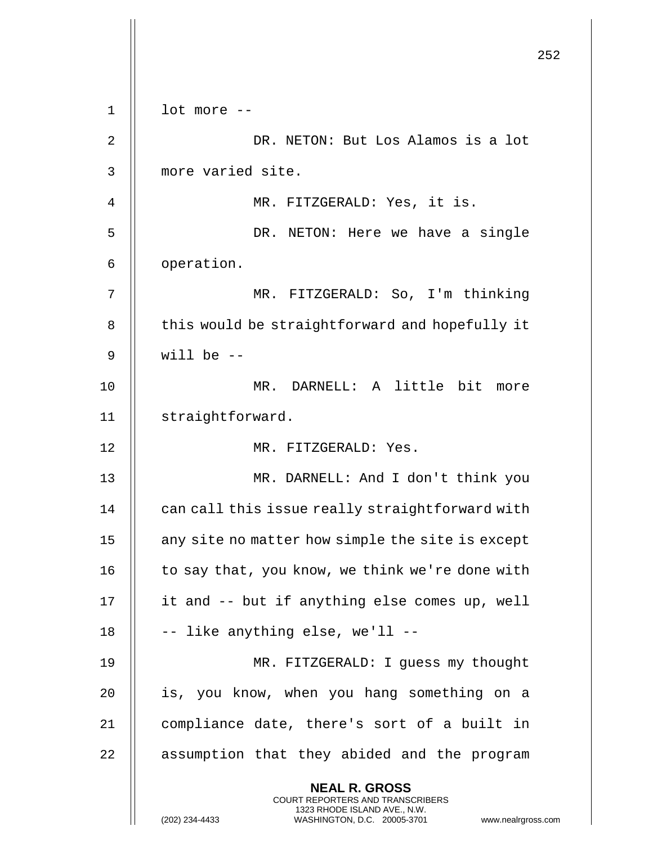|             |                                                                                                                                                                        | 252 |
|-------------|------------------------------------------------------------------------------------------------------------------------------------------------------------------------|-----|
|             |                                                                                                                                                                        |     |
| $\mathbf 1$ | lot more --                                                                                                                                                            |     |
| 2           | DR. NETON: But Los Alamos is a lot                                                                                                                                     |     |
| 3           | more varied site.                                                                                                                                                      |     |
| 4           | MR. FITZGERALD: Yes, it is.                                                                                                                                            |     |
| 5           | DR. NETON: Here we have a single                                                                                                                                       |     |
| 6           | operation.                                                                                                                                                             |     |
| 7           | MR. FITZGERALD: So, I'm thinking                                                                                                                                       |     |
| 8           | this would be straightforward and hopefully it                                                                                                                         |     |
| 9           | will be $-$                                                                                                                                                            |     |
| 10          | MR. DARNELL: A little bit more                                                                                                                                         |     |
| 11          | straightforward.                                                                                                                                                       |     |
| 12          | MR. FITZGERALD: Yes.                                                                                                                                                   |     |
| 13          | MR. DARNELL: And I don't think you                                                                                                                                     |     |
| 14          | can call this issue really straightforward with                                                                                                                        |     |
| 15          | any site no matter how simple the site is except                                                                                                                       |     |
| 16          | to say that, you know, we think we're done with                                                                                                                        |     |
| 17          | it and -- but if anything else comes up, well                                                                                                                          |     |
| 18          | -- like anything else, we'll --                                                                                                                                        |     |
| 19          | MR. FITZGERALD: I guess my thought                                                                                                                                     |     |
| 20          | is, you know, when you hang something on a                                                                                                                             |     |
| 21          | compliance date, there's sort of a built in                                                                                                                            |     |
| 22          | assumption that they abided and the program                                                                                                                            |     |
|             | <b>NEAL R. GROSS</b><br><b>COURT REPORTERS AND TRANSCRIBERS</b><br>1323 RHODE ISLAND AVE., N.W.<br>(202) 234-4433<br>WASHINGTON, D.C. 20005-3701<br>www.nealrgross.com |     |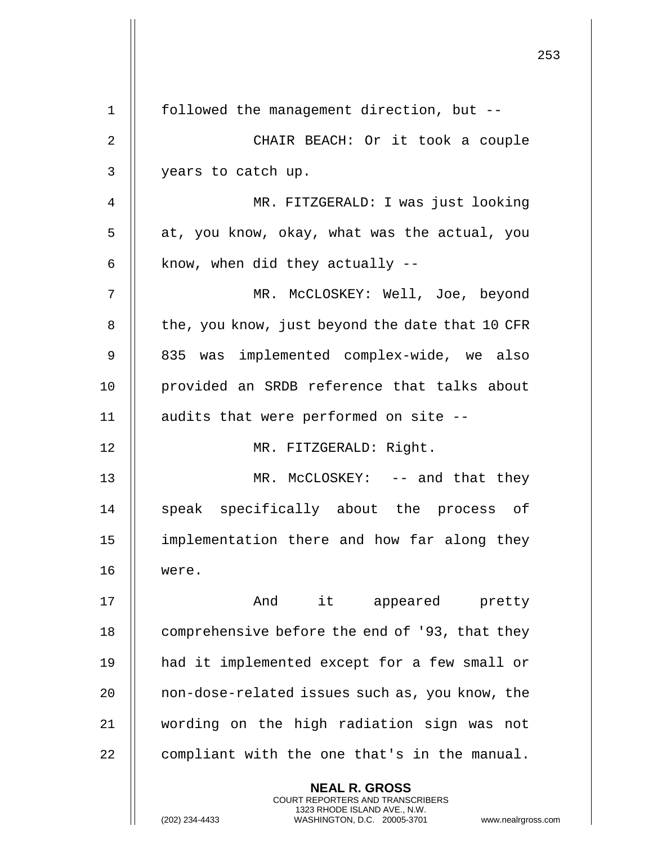|                |                                                                                                     | 253 |
|----------------|-----------------------------------------------------------------------------------------------------|-----|
| $\mathbf{1}$   | followed the management direction, but --                                                           |     |
| $\overline{2}$ | CHAIR BEACH: Or it took a couple                                                                    |     |
| 3              | years to catch up.                                                                                  |     |
| 4              | MR. FITZGERALD: I was just looking                                                                  |     |
| 5              | at, you know, okay, what was the actual, you                                                        |     |
| 6              | know, when did they actually $-$ -                                                                  |     |
|                |                                                                                                     |     |
| 7              | MR. McCLOSKEY: Well, Joe, beyond                                                                    |     |
| 8              | the, you know, just beyond the date that 10 CFR                                                     |     |
| 9              | 835 was implemented complex-wide, we also                                                           |     |
| 10             | provided an SRDB reference that talks about                                                         |     |
| 11             | audits that were performed on site --                                                               |     |
| 12             | MR. FITZGERALD: Right.                                                                              |     |
| 13             | MR. McCLOSKEY: -- and that they                                                                     |     |
| 14             | speak specifically about the process of                                                             |     |
| 15             | implementation there and how far along they                                                         |     |
| 16             | were.                                                                                               |     |
| 17             | And it appeared pretty                                                                              |     |
| 18             | comprehensive before the end of '93, that they                                                      |     |
| 19             | had it implemented except for a few small or                                                        |     |
| 20             | non-dose-related issues such as, you know, the                                                      |     |
| 21             | wording on the high radiation sign was not                                                          |     |
| 22             | compliant with the one that's in the manual.                                                        |     |
|                | <b>NEAL R. GROSS</b><br><b>COURT REPORTERS AND TRANSCRIBERS</b>                                     |     |
|                | 1323 RHODE ISLAND AVE., N.W.<br>(202) 234-4433<br>WASHINGTON, D.C. 20005-3701<br>www.nealrgross.com |     |

 $\begin{array}{c} \hline \end{array}$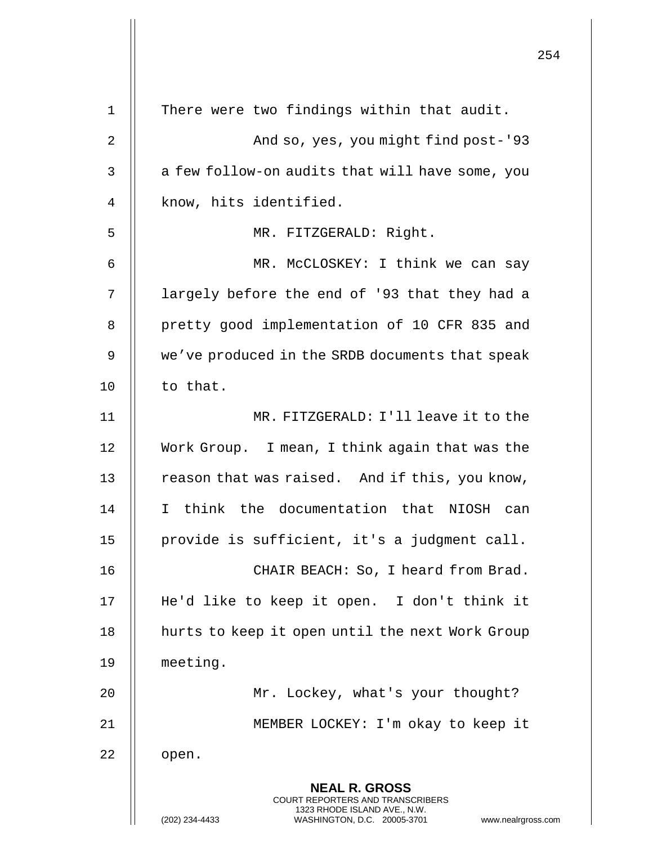|             |                                                                                                                                                                        | 254 |
|-------------|------------------------------------------------------------------------------------------------------------------------------------------------------------------------|-----|
| $\mathbf 1$ | There were two findings within that audit.                                                                                                                             |     |
| 2           | And so, yes, you might find post-'93                                                                                                                                   |     |
| 3           | a few follow-on audits that will have some, you                                                                                                                        |     |
| 4           | know, hits identified.                                                                                                                                                 |     |
| 5           | MR. FITZGERALD: Right.                                                                                                                                                 |     |
| 6           | MR. McCLOSKEY: I think we can say                                                                                                                                      |     |
| 7           | largely before the end of '93 that they had a                                                                                                                          |     |
| 8           | pretty good implementation of 10 CFR 835 and                                                                                                                           |     |
| 9           | we've produced in the SRDB documents that speak                                                                                                                        |     |
| 10          | to that.                                                                                                                                                               |     |
| 11          | MR. FITZGERALD: I'll leave it to the                                                                                                                                   |     |
| 12          | Work Group. I mean, I think again that was the                                                                                                                         |     |
| 13          | reason that was raised. And if this, you know,                                                                                                                         |     |
| 14          | I think the documentation that NIOSH can                                                                                                                               |     |
| 15          | provide is sufficient, it's a judgment call.                                                                                                                           |     |
| 16          | CHAIR BEACH: So, I heard from Brad.                                                                                                                                    |     |
| 17          | He'd like to keep it open. I don't think it                                                                                                                            |     |
| 18          | hurts to keep it open until the next Work Group                                                                                                                        |     |
| 19          | meeting.                                                                                                                                                               |     |
| 20          | Mr. Lockey, what's your thought?                                                                                                                                       |     |
| 21          | MEMBER LOCKEY: I'm okay to keep it                                                                                                                                     |     |
| 22          | open.                                                                                                                                                                  |     |
|             | <b>NEAL R. GROSS</b><br><b>COURT REPORTERS AND TRANSCRIBERS</b><br>1323 RHODE ISLAND AVE., N.W.<br>(202) 234-4433<br>WASHINGTON, D.C. 20005-3701<br>www.nealrgross.com |     |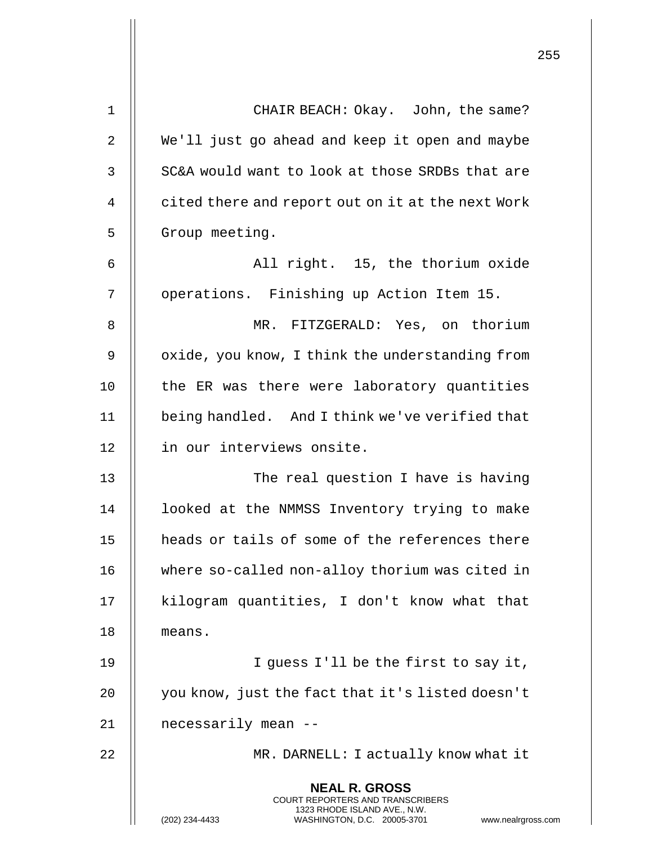| 1  | CHAIR BEACH: Okay. John, the same?                                                                                                                              |
|----|-----------------------------------------------------------------------------------------------------------------------------------------------------------------|
| 2  | We'll just go ahead and keep it open and maybe                                                                                                                  |
| 3  | SC&A would want to look at those SRDBs that are                                                                                                                 |
| 4  | cited there and report out on it at the next Work                                                                                                               |
| 5  | Group meeting.                                                                                                                                                  |
| 6  | All right. 15, the thorium oxide                                                                                                                                |
| 7  | operations. Finishing up Action Item 15.                                                                                                                        |
| 8  | MR. FITZGERALD: Yes, on thorium                                                                                                                                 |
| 9  | oxide, you know, I think the understanding from                                                                                                                 |
| 10 | the ER was there were laboratory quantities                                                                                                                     |
| 11 | being handled. And I think we've verified that                                                                                                                  |
| 12 | in our interviews onsite.                                                                                                                                       |
| 13 | The real question I have is having                                                                                                                              |
| 14 | looked at the NMMSS Inventory trying to make                                                                                                                    |
| 15 | heads or tails of some of the references there                                                                                                                  |
| 16 | where so-called non-alloy thorium was cited in                                                                                                                  |
| 17 | kilogram quantities, I don't know what that                                                                                                                     |
| 18 | means.                                                                                                                                                          |
| 19 | I guess I'll be the first to say it,                                                                                                                            |
| 20 | you know, just the fact that it's listed doesn't                                                                                                                |
| 21 | necessarily mean --                                                                                                                                             |
| 22 | MR. DARNELL: I actually know what it                                                                                                                            |
|    | <b>NEAL R. GROSS</b><br>COURT REPORTERS AND TRANSCRIBERS<br>1323 RHODE ISLAND AVE., N.W.<br>(202) 234-4433<br>WASHINGTON, D.C. 20005-3701<br>www.nealrgross.com |

 $\mathbf{I}$ 

 $\mathbf{I}$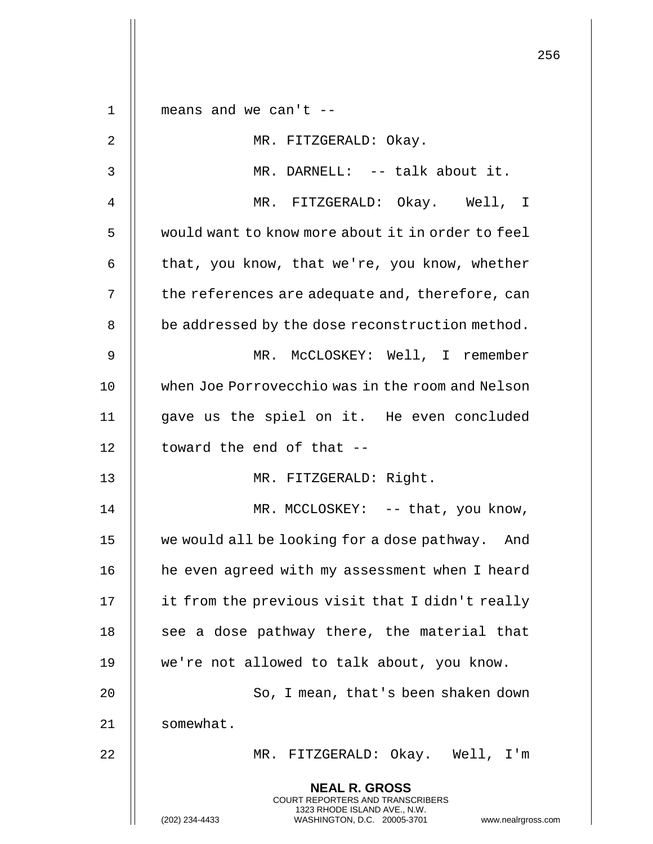|             |                                                                                                                                                                 | 256 |
|-------------|-----------------------------------------------------------------------------------------------------------------------------------------------------------------|-----|
|             |                                                                                                                                                                 |     |
| $\mathbf 1$ | means and we can't $-$                                                                                                                                          |     |
| 2           | MR. FITZGERALD: Okay.                                                                                                                                           |     |
| 3           | MR. DARNELL: -- talk about it.                                                                                                                                  |     |
| 4           | MR. FITZGERALD: Okay. Well, I                                                                                                                                   |     |
| 5           | would want to know more about it in order to feel                                                                                                               |     |
| 6           | that, you know, that we're, you know, whether                                                                                                                   |     |
| 7           | the references are adequate and, therefore, can                                                                                                                 |     |
| 8           | be addressed by the dose reconstruction method.                                                                                                                 |     |
| 9           | MR. MCCLOSKEY: Well, I remember                                                                                                                                 |     |
| 10          | when Joe Porrovecchio was in the room and Nelson                                                                                                                |     |
| 11          | gave us the spiel on it. He even concluded                                                                                                                      |     |
| 12          | toward the end of that --                                                                                                                                       |     |
| 13          | MR. FITZGERALD: Right.                                                                                                                                          |     |
| 14          | MR. MCCLOSKEY: -- that, you know,                                                                                                                               |     |
| 15          | we would all be looking for a dose pathway. And                                                                                                                 |     |
| 16          | he even agreed with my assessment when I heard                                                                                                                  |     |
| 17          | it from the previous visit that I didn't really                                                                                                                 |     |
| 18          | see a dose pathway there, the material that                                                                                                                     |     |
| 19          | we're not allowed to talk about, you know.                                                                                                                      |     |
| 20          | So, I mean, that's been shaken down                                                                                                                             |     |
| 21          | somewhat.                                                                                                                                                       |     |
| 22          | MR. FITZGERALD: Okay. Well, I'm                                                                                                                                 |     |
|             | <b>NEAL R. GROSS</b><br>COURT REPORTERS AND TRANSCRIBERS<br>1323 RHODE ISLAND AVE., N.W.<br>(202) 234-4433<br>WASHINGTON, D.C. 20005-3701<br>www.nealrgross.com |     |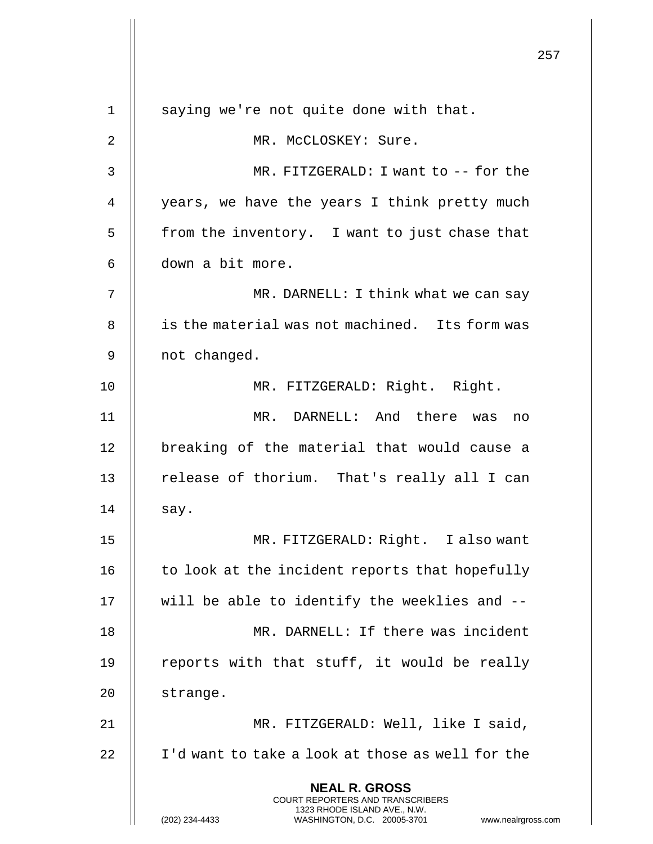**NEAL R. GROSS** COURT REPORTERS AND TRANSCRIBERS 1323 RHODE ISLAND AVE., N.W. (202) 234-4433 WASHINGTON, D.C. 20005-3701 www.nealrgross.com 1 || saying we're not quite done with that. 2 || MR. McCLOSKEY: Sure. 3 MR. FITZGERALD: I want to -- for the 4 | years, we have the years I think pretty much  $5$  || from the inventory. I want to just chase that 6 down a bit more. 7 || MR. DARNELL: I think what we can say 8 || is the material was not machined. Its form was 9 | not changed. 10 || MR. FITZGERALD: Right. Right. 11 MR. DARNELL: And there was no 12 || breaking of the material that would cause a 13 || release of thorium. That's really all I can  $14$  || say. 15 MR. FITZGERALD: Right. I also want  $16$  | to look at the incident reports that hopefully  $17$   $\parallel$  will be able to identify the weeklies and  $-$ 18 MR. DARNELL: If there was incident 19  $\parallel$  reports with that stuff, it would be really 20 | strange. 21 MR. FITZGERALD: Well, like I said, 22 | I'd want to take a look at those as well for the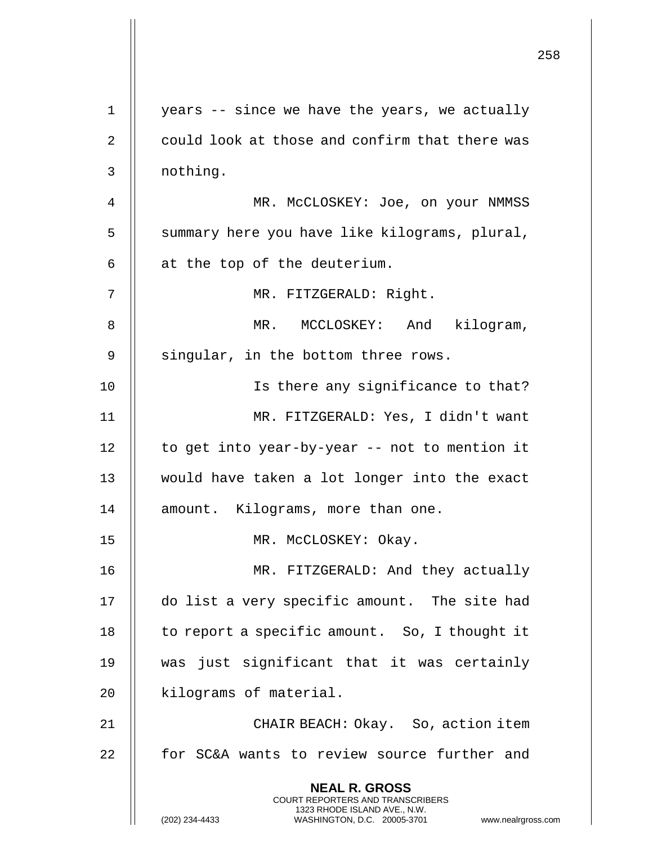|                |                                                                                                                                                                        | 258 |
|----------------|------------------------------------------------------------------------------------------------------------------------------------------------------------------------|-----|
| $\mathbf 1$    | years -- since we have the years, we actually                                                                                                                          |     |
|                |                                                                                                                                                                        |     |
| 2              | could look at those and confirm that there was                                                                                                                         |     |
| 3              | nothing.                                                                                                                                                               |     |
| $\overline{4}$ | MR. MCCLOSKEY: Joe, on your NMMSS                                                                                                                                      |     |
| 5              | summary here you have like kilograms, plural,                                                                                                                          |     |
| 6              | at the top of the deuterium.                                                                                                                                           |     |
| 7              | MR. FITZGERALD: Right.                                                                                                                                                 |     |
| 8              | MR. MCCLOSKEY: And kilogram,                                                                                                                                           |     |
| 9              | singular, in the bottom three rows.                                                                                                                                    |     |
| 10             | Is there any significance to that?                                                                                                                                     |     |
| 11             | MR. FITZGERALD: Yes, I didn't want                                                                                                                                     |     |
| 12             | to get into year-by-year -- not to mention it                                                                                                                          |     |
| 13             | would have taken a lot longer into the exact                                                                                                                           |     |
| 14             | amount. Kilograms, more than one.                                                                                                                                      |     |
| 15             | MR. McCLOSKEY: Okay.                                                                                                                                                   |     |
| 16             | MR. FITZGERALD: And they actually                                                                                                                                      |     |
| 17             | do list a very specific amount. The site had                                                                                                                           |     |
| 18             | to report a specific amount. So, I thought it                                                                                                                          |     |
| 19             | was just significant that it was certainly                                                                                                                             |     |
| 20             | kilograms of material.                                                                                                                                                 |     |
| 21             | CHAIR BEACH: Okay. So, action item                                                                                                                                     |     |
| 22             | for SC&A wants to review source further and                                                                                                                            |     |
|                | <b>NEAL R. GROSS</b><br><b>COURT REPORTERS AND TRANSCRIBERS</b><br>1323 RHODE ISLAND AVE., N.W.<br>WASHINGTON, D.C. 20005-3701<br>(202) 234-4433<br>www.nealrgross.com |     |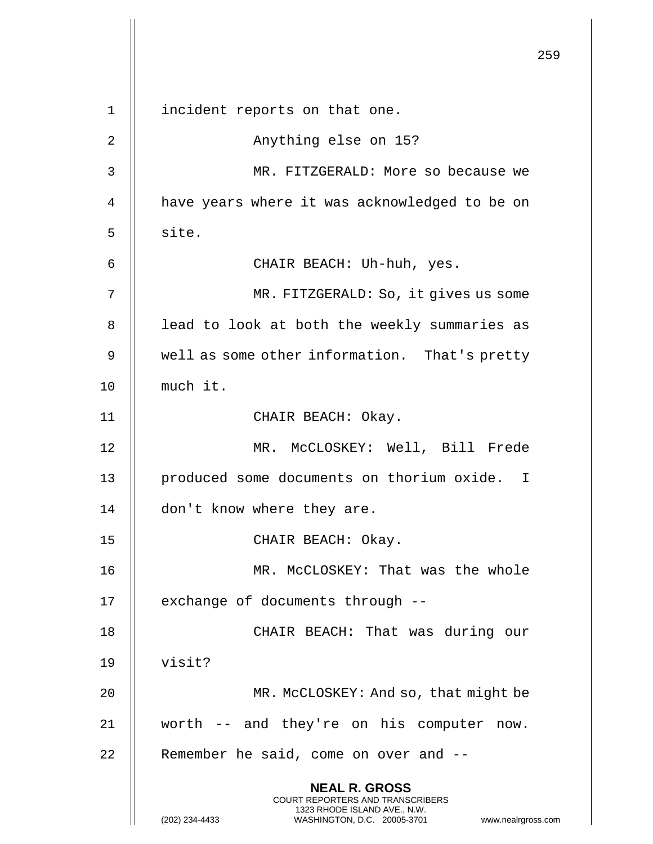259 **NEAL R. GROSS** COURT REPORTERS AND TRANSCRIBERS 1323 RHODE ISLAND AVE., N.W. (202) 234-4433 WASHINGTON, D.C. 20005-3701 www.nealrgross.com 1 || incident reports on that one. 2 Anything else on 15? 3 MR. FITZGERALD: More so because we 4 | have years where it was acknowledged to be on  $5$   $\parallel$  site. 6 CHAIR BEACH: Uh-huh, yes. 7 || MR. FITZGERALD: So, it gives us some 8 || lead to look at both the weekly summaries as 9 | well as some other information. That's pretty 10 | much it. 11 || CHAIR BEACH: Okay. 12 MR. McCLOSKEY: Well, Bill Frede 13 || produced some documents on thorium oxide. I 14 | don't know where they are. 15 || CHAIR BEACH: Okay. 16 MR. McCLOSKEY: That was the whole 17 || exchange of documents through --18 || CHAIR BEACH: That was during our 19 visit? 20 || MR. McCLOSKEY: And so, that might be 21 worth -- and they're on his computer now.  $22$  || Remember he said, come on over and  $-$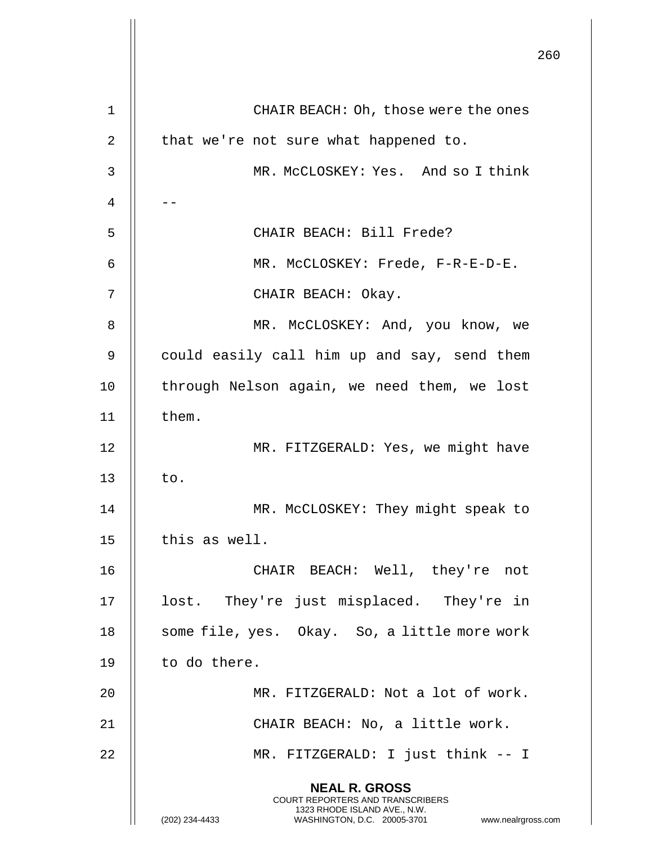|    |                                                                                                                                                                        | 260 |
|----|------------------------------------------------------------------------------------------------------------------------------------------------------------------------|-----|
| 1  | CHAIR BEACH: Oh, those were the ones                                                                                                                                   |     |
| 2  | that we're not sure what happened to.                                                                                                                                  |     |
| 3  | MR. MCCLOSKEY: Yes. And so I think                                                                                                                                     |     |
| 4  |                                                                                                                                                                        |     |
| 5  | CHAIR BEACH: Bill Frede?                                                                                                                                               |     |
| 6  | MR. MCCLOSKEY: Frede, F-R-E-D-E.                                                                                                                                       |     |
| 7  | CHAIR BEACH: Okay.                                                                                                                                                     |     |
| 8  | MR. McCLOSKEY: And, you know, we                                                                                                                                       |     |
| 9  | could easily call him up and say, send them                                                                                                                            |     |
| 10 | through Nelson again, we need them, we lost                                                                                                                            |     |
| 11 | them.                                                                                                                                                                  |     |
| 12 | MR. FITZGERALD: Yes, we might have                                                                                                                                     |     |
| 13 | to.                                                                                                                                                                    |     |
| 14 | MR. McCLOSKEY: They might speak to                                                                                                                                     |     |
| 15 | this as well.                                                                                                                                                          |     |
| 16 | CHAIR BEACH: Well, they're not                                                                                                                                         |     |
| 17 | lost. They're just misplaced. They're in                                                                                                                               |     |
| 18 | some file, yes. Okay. So, a little more work                                                                                                                           |     |
| 19 | to do there.                                                                                                                                                           |     |
| 20 | MR. FITZGERALD: Not a lot of work.                                                                                                                                     |     |
| 21 | CHAIR BEACH: No, a little work.                                                                                                                                        |     |
| 22 | MR. FITZGERALD: I just think -- I                                                                                                                                      |     |
|    | <b>NEAL R. GROSS</b><br><b>COURT REPORTERS AND TRANSCRIBERS</b><br>1323 RHODE ISLAND AVE., N.W.<br>(202) 234-4433<br>WASHINGTON, D.C. 20005-3701<br>www.nealrgross.com |     |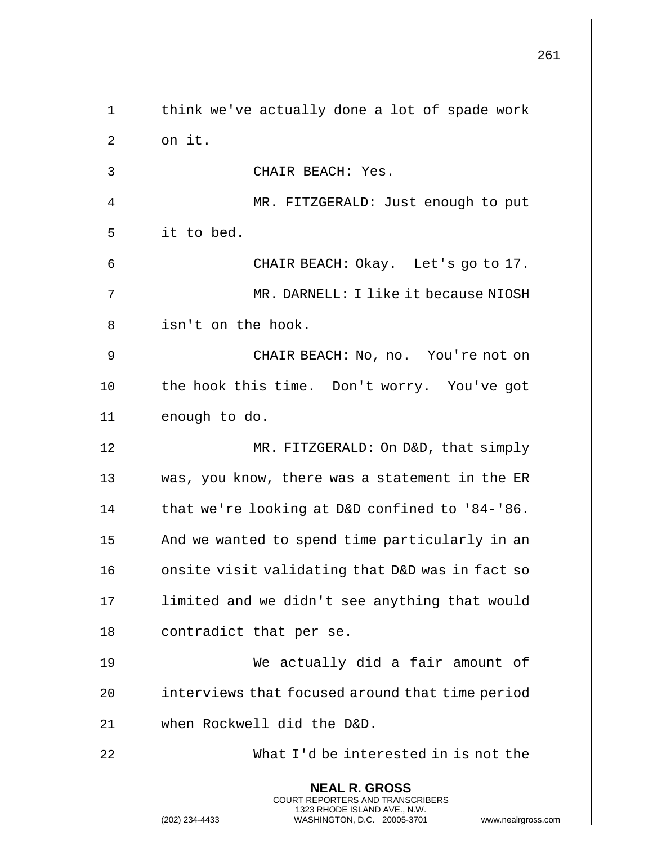|             |                                                                                                                                                                        | 261 |
|-------------|------------------------------------------------------------------------------------------------------------------------------------------------------------------------|-----|
|             |                                                                                                                                                                        |     |
| $\mathbf 1$ | think we've actually done a lot of spade work                                                                                                                          |     |
| 2           | on it.                                                                                                                                                                 |     |
| 3           | CHAIR BEACH: Yes.                                                                                                                                                      |     |
| 4           | MR. FITZGERALD: Just enough to put                                                                                                                                     |     |
| 5           | it to bed.                                                                                                                                                             |     |
| 6           | CHAIR BEACH: Okay. Let's go to 17.                                                                                                                                     |     |
| 7           | MR. DARNELL: I like it because NIOSH                                                                                                                                   |     |
| 8           | isn't on the hook.                                                                                                                                                     |     |
| 9           | CHAIR BEACH: No, no. You're not on                                                                                                                                     |     |
| 10          | the hook this time. Don't worry. You've got                                                                                                                            |     |
| 11          | enough to do.                                                                                                                                                          |     |
| 12          | MR. FITZGERALD: On D&D, that simply                                                                                                                                    |     |
| 13          | was, you know, there was a statement in the ER                                                                                                                         |     |
| 14          | that we're looking at D&D confined to '84-'86.                                                                                                                         |     |
| 15          | And we wanted to spend time particularly in an                                                                                                                         |     |
| 16          | onsite visit validating that D&D was in fact so                                                                                                                        |     |
| 17          | limited and we didn't see anything that would                                                                                                                          |     |
| 18          | contradict that per se.                                                                                                                                                |     |
| 19          | We actually did a fair amount of                                                                                                                                       |     |
| 20          | interviews that focused around that time period                                                                                                                        |     |
| 21          | when Rockwell did the D&D.                                                                                                                                             |     |
| 22          | What I'd be interested in is not the                                                                                                                                   |     |
|             | <b>NEAL R. GROSS</b><br><b>COURT REPORTERS AND TRANSCRIBERS</b><br>1323 RHODE ISLAND AVE., N.W.<br>(202) 234-4433<br>WASHINGTON, D.C. 20005-3701<br>www.nealrgross.com |     |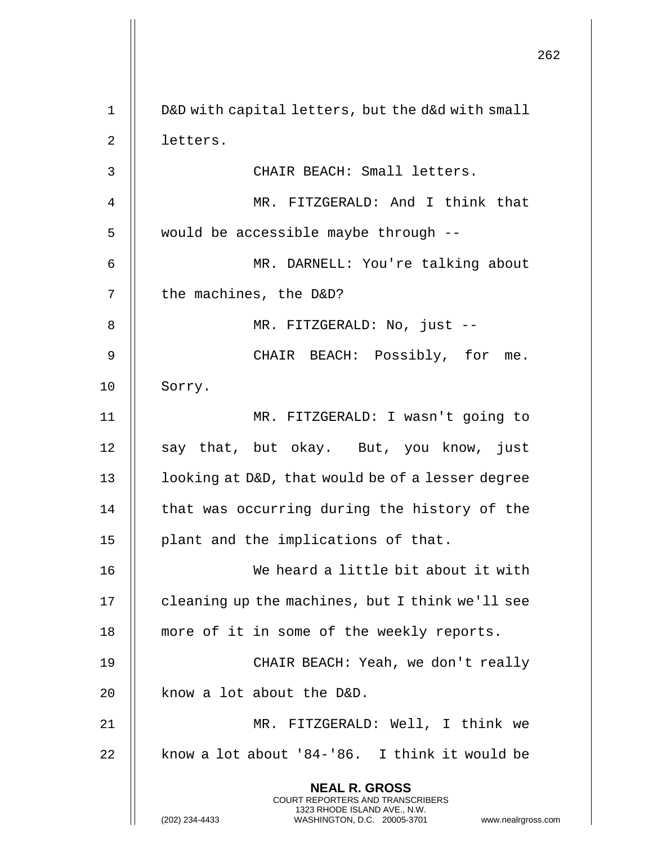|             |                                                                                                                                                                        | 262 |
|-------------|------------------------------------------------------------------------------------------------------------------------------------------------------------------------|-----|
| $\mathbf 1$ | D&D with capital letters, but the d&d with small                                                                                                                       |     |
| 2           | letters.                                                                                                                                                               |     |
| 3           | CHAIR BEACH: Small letters.                                                                                                                                            |     |
| 4           | MR. FITZGERALD: And I think that                                                                                                                                       |     |
| 5           | would be accessible maybe through --                                                                                                                                   |     |
| 6           | MR. DARNELL: You're talking about                                                                                                                                      |     |
| 7           | the machines, the D&D?                                                                                                                                                 |     |
| 8           | MR. FITZGERALD: No, just --                                                                                                                                            |     |
| 9           | CHAIR BEACH: Possibly, for<br>me.                                                                                                                                      |     |
| 10          | Sorry.                                                                                                                                                                 |     |
| 11          | MR. FITZGERALD: I wasn't going to                                                                                                                                      |     |
| 12          |                                                                                                                                                                        |     |
|             | say that, but okay. But, you know, just                                                                                                                                |     |
| 13          | looking at D&D, that would be of a lesser degree                                                                                                                       |     |
| 14          | that was occurring during the history of the                                                                                                                           |     |
| 15          | plant and the implications of that.                                                                                                                                    |     |
| 16          | We heard a little bit about it with                                                                                                                                    |     |
| 17          | cleaning up the machines, but I think we'll see                                                                                                                        |     |
| 18          | more of it in some of the weekly reports.                                                                                                                              |     |
| 19          | CHAIR BEACH: Yeah, we don't really                                                                                                                                     |     |
| 20          | know a lot about the D&D.                                                                                                                                              |     |
| 21          | MR. FITZGERALD: Well, I think we                                                                                                                                       |     |
| 22          | know a lot about '84-'86. I think it would be                                                                                                                          |     |
|             | <b>NEAL R. GROSS</b><br><b>COURT REPORTERS AND TRANSCRIBERS</b><br>1323 RHODE ISLAND AVE., N.W.<br>(202) 234-4433<br>WASHINGTON, D.C. 20005-3701<br>www.nealrgross.com |     |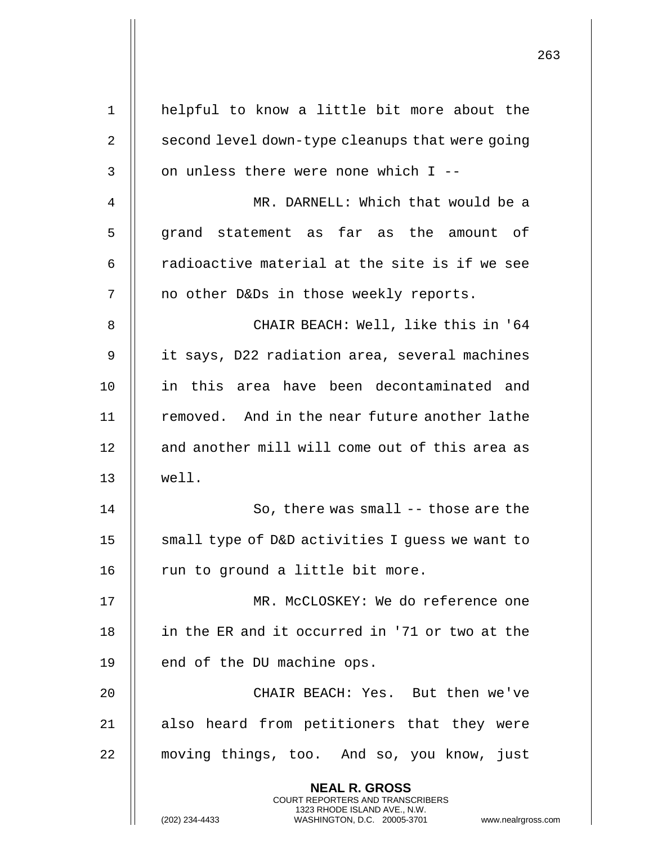| $\mathbf 1$ | helpful to know a little bit more about the                                                                                                                  |
|-------------|--------------------------------------------------------------------------------------------------------------------------------------------------------------|
| 2           | second level down-type cleanups that were going                                                                                                              |
| 3           | on unless there were none which I --                                                                                                                         |
| 4           | MR. DARNELL: Which that would be a                                                                                                                           |
| 5           | grand statement as far as the amount of                                                                                                                      |
| 6           | radioactive material at the site is if we see                                                                                                                |
| 7           | no other D&Ds in those weekly reports.                                                                                                                       |
| 8           | CHAIR BEACH: Well, like this in '64                                                                                                                          |
| 9           | it says, D22 radiation area, several machines                                                                                                                |
| 10          | in this area have been decontaminated and                                                                                                                    |
| 11          | removed. And in the near future another lathe                                                                                                                |
| 12          | and another mill will come out of this area as                                                                                                               |
| 13          | well.                                                                                                                                                        |
| 14          | So, there was small -- those are the                                                                                                                         |
| 15          | small type of D&D activities I guess we want to                                                                                                              |
| 16          | run to ground a little bit more.                                                                                                                             |
| 17          | MR. McCLOSKEY: We do reference one                                                                                                                           |
| 18          | in the ER and it occurred in '71 or two at the                                                                                                               |
| 19          | end of the DU machine ops.                                                                                                                                   |
| 20          | CHAIR BEACH: Yes. But then we've                                                                                                                             |
| 21          | also heard from petitioners that they were                                                                                                                   |
| 22          | moving things, too. And so, you know, just                                                                                                                   |
|             | <b>NEAL R. GROSS</b><br>COURT REPORTERS AND TRANSCRIBERS<br>1323 RHODE ISLAND AVE., N.W.<br>(202) 234-4433<br>WASHINGTON, D.C. 20005-3701<br>www.nealrgross. |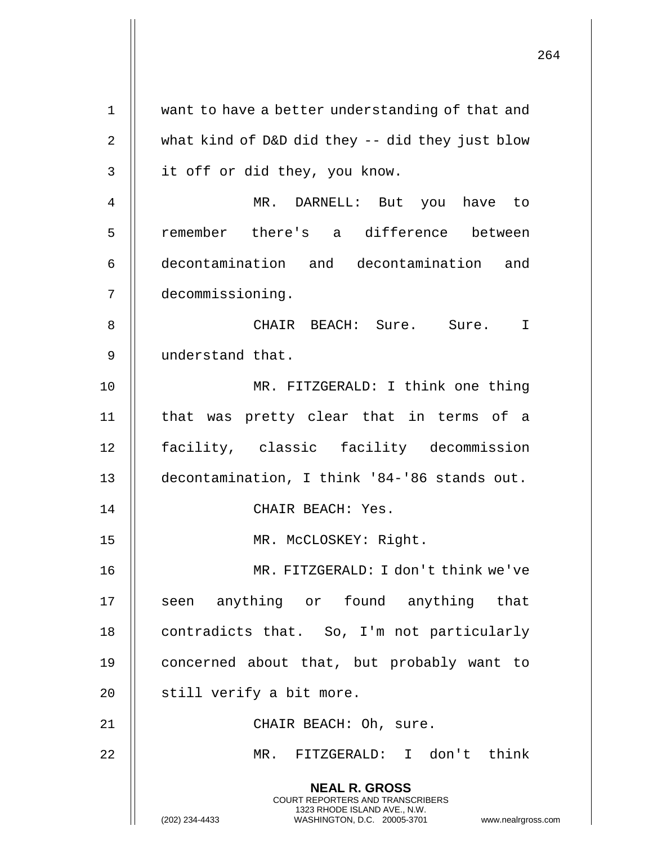|    | 264                                                                                                                                                                 |
|----|---------------------------------------------------------------------------------------------------------------------------------------------------------------------|
| 1  | want to have a better understanding of that and                                                                                                                     |
| 2  | what kind of D&D did they -- did they just blow                                                                                                                     |
| 3  | it off or did they, you know.                                                                                                                                       |
| 4  | MR. DARNELL: But you have to                                                                                                                                        |
| 5  | remember there's a difference between                                                                                                                               |
| 6  | decontamination and decontamination and                                                                                                                             |
| 7  | decommissioning.                                                                                                                                                    |
| 8  | CHAIR BEACH: Sure. Sure. I                                                                                                                                          |
| 9  | understand that.                                                                                                                                                    |
| 10 | MR. FITZGERALD: I think one thing                                                                                                                                   |
| 11 | that was pretty clear that in terms of a                                                                                                                            |
| 12 | facility, classic facility decommission                                                                                                                             |
| 13 | decontamination, I think '84-'86 stands out.                                                                                                                        |
| 14 | CHAIR BEACH: Yes.                                                                                                                                                   |
| 15 | MR. MCCLOSKEY: Right.                                                                                                                                               |
| 16 | MR. FITZGERALD: I don't think we've                                                                                                                                 |
| 17 | seen anything or found anything that                                                                                                                                |
| 18 | contradicts that. So, I'm not particularly                                                                                                                          |
| 19 | concerned about that, but probably want to                                                                                                                          |
| 20 | still verify a bit more.                                                                                                                                            |
| 21 | CHAIR BEACH: Oh, sure.                                                                                                                                              |
| 22 | MR. FITZGERALD: I don't think                                                                                                                                       |
|    | <b>NEAL R. GROSS</b><br><b>COURT REPORTERS AND TRANSCRIBERS</b><br>1323 RHODE ISLAND AVE., N.W.<br>WASHINGTON, D.C. 20005-3701 www.nealrgross.com<br>(202) 234-4433 |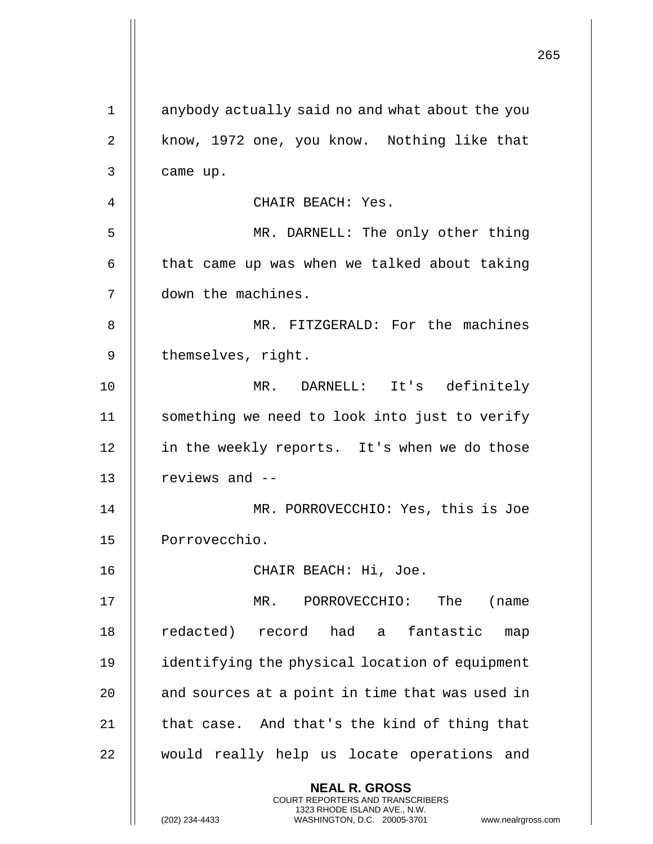|    |                                                                                                                                                                        | 265 |
|----|------------------------------------------------------------------------------------------------------------------------------------------------------------------------|-----|
| 1  | anybody actually said no and what about the you                                                                                                                        |     |
| 2  | know, 1972 one, you know. Nothing like that                                                                                                                            |     |
| 3  | came up.                                                                                                                                                               |     |
| 4  | CHAIR BEACH: Yes.                                                                                                                                                      |     |
| 5  | MR. DARNELL: The only other thing                                                                                                                                      |     |
| 6  | that came up was when we talked about taking                                                                                                                           |     |
| 7  | down the machines.                                                                                                                                                     |     |
| 8  | MR. FITZGERALD: For the machines                                                                                                                                       |     |
| 9  | themselves, right.                                                                                                                                                     |     |
| 10 | MR. DARNELL: It's definitely                                                                                                                                           |     |
| 11 | something we need to look into just to verify                                                                                                                          |     |
| 12 | in the weekly reports. It's when we do those                                                                                                                           |     |
| 13 | reviews and --                                                                                                                                                         |     |
| 14 | MR. PORROVECCHIO: Yes, this is Joe                                                                                                                                     |     |
| 15 | Porrovecchio.                                                                                                                                                          |     |
| 16 | CHAIR BEACH: Hi, Joe.                                                                                                                                                  |     |
| 17 | MR. PORROVECCHIO: The<br>(name)                                                                                                                                        |     |
| 18 | redacted) record had a fantastic<br>map                                                                                                                                |     |
| 19 | identifying the physical location of equipment                                                                                                                         |     |
| 20 | and sources at a point in time that was used in                                                                                                                        |     |
| 21 | that case. And that's the kind of thing that                                                                                                                           |     |
| 22 | would really help us locate operations and                                                                                                                             |     |
|    | <b>NEAL R. GROSS</b><br><b>COURT REPORTERS AND TRANSCRIBERS</b><br>1323 RHODE ISLAND AVE., N.W.<br>WASHINGTON, D.C. 20005-3701<br>(202) 234-4433<br>www.nealrgross.com |     |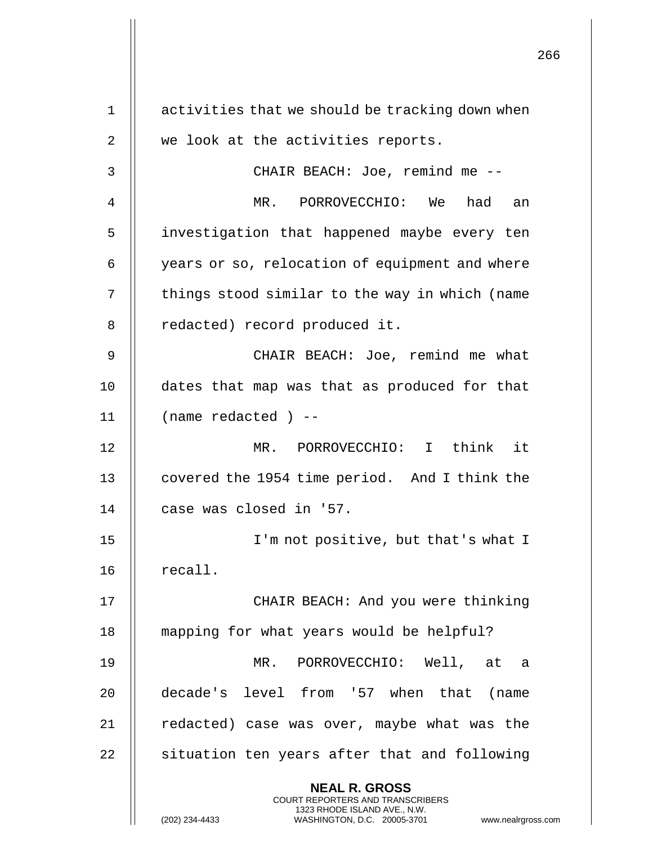|    |                                                                                                                                                                 | 266 |
|----|-----------------------------------------------------------------------------------------------------------------------------------------------------------------|-----|
| 1  | activities that we should be tracking down when                                                                                                                 |     |
| 2  | we look at the activities reports.                                                                                                                              |     |
| 3  | CHAIR BEACH: Joe, remind me --                                                                                                                                  |     |
| 4  | MR. PORROVECCHIO: We<br>had<br>an                                                                                                                               |     |
| 5  | investigation that happened maybe every ten                                                                                                                     |     |
| 6  | years or so, relocation of equipment and where                                                                                                                  |     |
| 7  | things stood similar to the way in which (name                                                                                                                  |     |
| 8  | redacted) record produced it.                                                                                                                                   |     |
| 9  | CHAIR BEACH: Joe, remind me what                                                                                                                                |     |
| 10 | dates that map was that as produced for that                                                                                                                    |     |
| 11 | $(name \ redacted) --$                                                                                                                                          |     |
| 12 | MR. PORROVECCHIO: I think it                                                                                                                                    |     |
| 13 | covered the 1954 time period. And I think the                                                                                                                   |     |
| 14 | case was closed in '57.                                                                                                                                         |     |
| 15 | I'm not positive, but that's what I                                                                                                                             |     |
| 16 | recall.                                                                                                                                                         |     |
| 17 | CHAIR BEACH: And you were thinking                                                                                                                              |     |
| 18 | mapping for what years would be helpful?                                                                                                                        |     |
| 19 | MR.<br>PORROVECCHIO: Well, at<br>a                                                                                                                              |     |
| 20 | decade's level from '57 when that (name                                                                                                                         |     |
| 21 | redacted) case was over, maybe what was the                                                                                                                     |     |
| 22 | situation ten years after that and following                                                                                                                    |     |
|    | <b>NEAL R. GROSS</b><br>COURT REPORTERS AND TRANSCRIBERS<br>1323 RHODE ISLAND AVE., N.W.<br>(202) 234-4433<br>WASHINGTON, D.C. 20005-3701<br>www.nealrgross.com |     |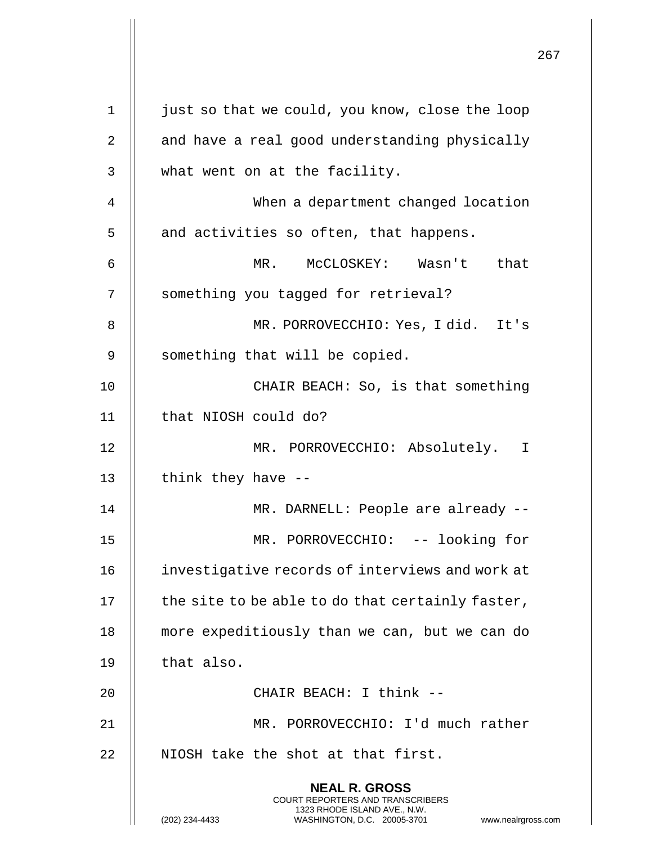|             |                                                                                                                                                                        | 267 |
|-------------|------------------------------------------------------------------------------------------------------------------------------------------------------------------------|-----|
| $\mathbf 1$ | just so that we could, you know, close the loop                                                                                                                        |     |
| 2           | and have a real good understanding physically                                                                                                                          |     |
| 3           | what went on at the facility.                                                                                                                                          |     |
| 4           | When a department changed location                                                                                                                                     |     |
| 5           | and activities so often, that happens.                                                                                                                                 |     |
| 6           | MR. McCLOSKEY: Wasn't<br>that                                                                                                                                          |     |
| 7           | something you tagged for retrieval?                                                                                                                                    |     |
| 8           | MR. PORROVECCHIO: Yes, I did. It's                                                                                                                                     |     |
| 9           | something that will be copied.                                                                                                                                         |     |
| 10          | CHAIR BEACH: So, is that something                                                                                                                                     |     |
| 11          | that NIOSH could do?                                                                                                                                                   |     |
| 12          | MR. PORROVECCHIO: Absolutely. I                                                                                                                                        |     |
| 13          | think they have --                                                                                                                                                     |     |
| 14          | MR. DARNELL: People are already --                                                                                                                                     |     |
| 15          | MR. PORROVECCHIO: -- looking for                                                                                                                                       |     |
| 16          | investigative records of interviews and work at                                                                                                                        |     |
| 17          | the site to be able to do that certainly faster,                                                                                                                       |     |
| 18          | more expeditiously than we can, but we can do                                                                                                                          |     |
| 19          | that also.                                                                                                                                                             |     |
| 20          | CHAIR BEACH: I think --                                                                                                                                                |     |
| 21          | MR. PORROVECCHIO: I'd much rather                                                                                                                                      |     |
| 22          | NIOSH take the shot at that first.                                                                                                                                     |     |
|             | <b>NEAL R. GROSS</b><br><b>COURT REPORTERS AND TRANSCRIBERS</b><br>1323 RHODE ISLAND AVE., N.W.<br>(202) 234-4433<br>WASHINGTON, D.C. 20005-3701<br>www.nealrgross.com |     |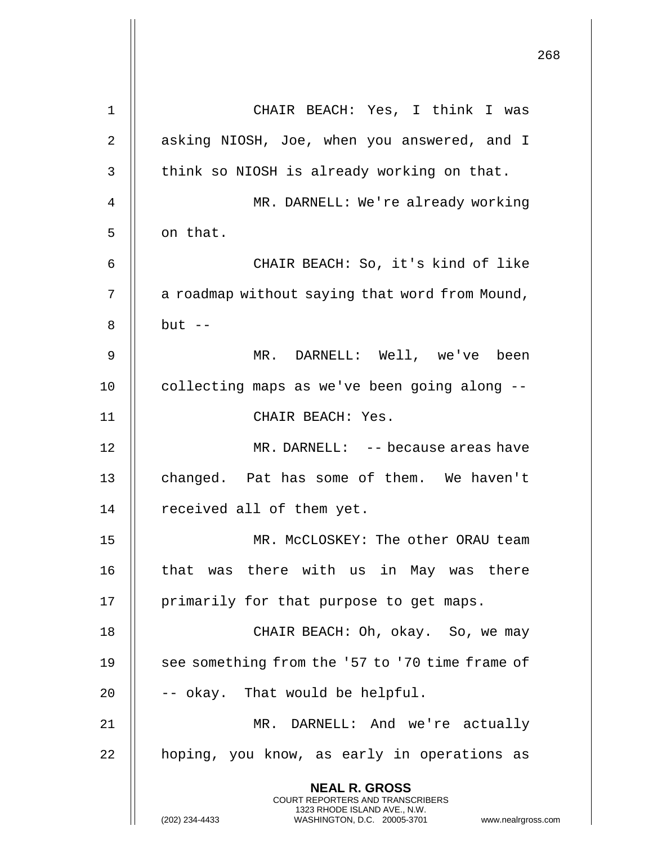|    |                                                                                                                                             | 268 |
|----|---------------------------------------------------------------------------------------------------------------------------------------------|-----|
| 1  | CHAIR BEACH: Yes, I think I was                                                                                                             |     |
| 2  | asking NIOSH, Joe, when you answered, and I                                                                                                 |     |
| 3  | think so NIOSH is already working on that.                                                                                                  |     |
| 4  | MR. DARNELL: We're already working                                                                                                          |     |
| 5  | on that.                                                                                                                                    |     |
| 6  | CHAIR BEACH: So, it's kind of like                                                                                                          |     |
| 7  | a roadmap without saying that word from Mound,                                                                                              |     |
| 8  | $but --$                                                                                                                                    |     |
| 9  | MR. DARNELL: Well, we've been                                                                                                               |     |
| 10 | collecting maps as we've been going along --                                                                                                |     |
| 11 | CHAIR BEACH: Yes.                                                                                                                           |     |
| 12 | MR. DARNELL: -- because areas have                                                                                                          |     |
| 13 | changed. Pat has some of them. We haven't                                                                                                   |     |
| 14 | received all of them yet.                                                                                                                   |     |
| 15 | MR. MCCLOSKEY: The other ORAU team                                                                                                          |     |
| 16 | that was there with us in May was there                                                                                                     |     |
| 17 | primarily for that purpose to get maps.                                                                                                     |     |
| 18 | CHAIR BEACH: Oh, okay. So, we may                                                                                                           |     |
| 19 | see something from the '57 to '70 time frame of                                                                                             |     |
| 20 | -- okay. That would be helpful.                                                                                                             |     |
| 21 | MR. DARNELL: And we're actually                                                                                                             |     |
| 22 | hoping, you know, as early in operations as                                                                                                 |     |
|    | <b>NEAL R. GROSS</b>                                                                                                                        |     |
|    | <b>COURT REPORTERS AND TRANSCRIBERS</b><br>1323 RHODE ISLAND AVE., N.W.<br>WASHINGTON, D.C. 20005-3701 www.nealrgross.com<br>(202) 234-4433 |     |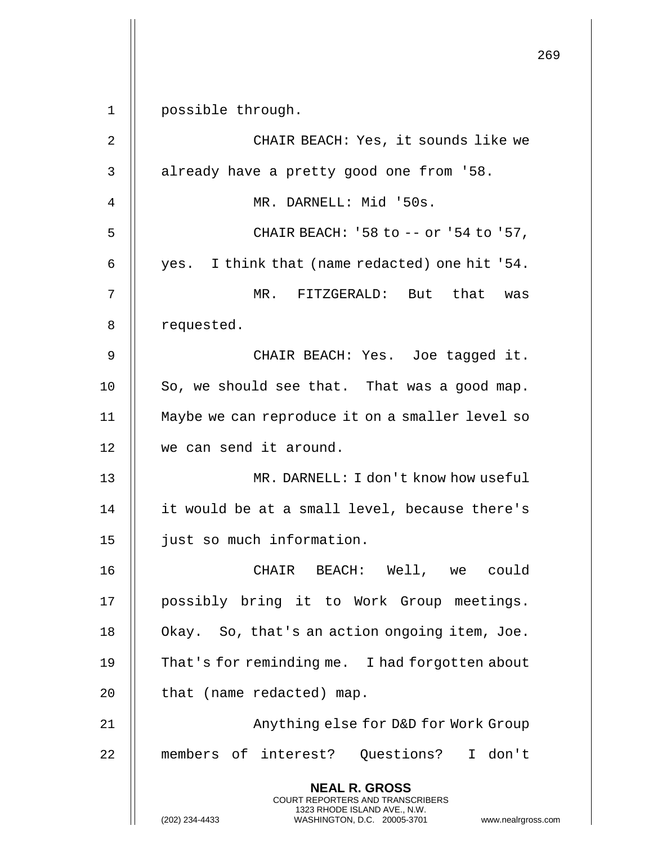|                |                                                                                                     | 269 |
|----------------|-----------------------------------------------------------------------------------------------------|-----|
| $\mathbf 1$    | possible through.                                                                                   |     |
| $\overline{2}$ | CHAIR BEACH: Yes, it sounds like we                                                                 |     |
| 3              | already have a pretty good one from '58.                                                            |     |
| 4              | MR. DARNELL: Mid '50s.                                                                              |     |
| 5              | CHAIR BEACH: '58 to -- or '54 to '57,                                                               |     |
| 6              | yes. I think that (name redacted) one hit '54.                                                      |     |
| 7              | MR.<br>FITZGERALD: But that was                                                                     |     |
| 8              | requested.                                                                                          |     |
| 9              | CHAIR BEACH: Yes. Joe tagged it.                                                                    |     |
| 10             |                                                                                                     |     |
|                | So, we should see that. That was a good map.                                                        |     |
| 11             | Maybe we can reproduce it on a smaller level so                                                     |     |
| 12             | we can send it around.                                                                              |     |
| 13             | MR. DARNELL: I don't know how useful                                                                |     |
| 14             | it would be at a small level, because there's                                                       |     |
| 15             | just so much information.                                                                           |     |
| 16             | CHAIR BEACH: Well, we could                                                                         |     |
| 17             | possibly bring it to Work Group meetings.                                                           |     |
| 18             | Okay. So, that's an action ongoing item, Joe.                                                       |     |
| 19             | That's for reminding me. I had forgotten about                                                      |     |
| 20             | that (name redacted) map.                                                                           |     |
| 21             | Anything else for D&D for Work Group                                                                |     |
| 22             | members of interest? Questions? I don't                                                             |     |
|                | <b>NEAL R. GROSS</b><br><b>COURT REPORTERS AND TRANSCRIBERS</b>                                     |     |
|                | 1323 RHODE ISLAND AVE., N.W.<br>(202) 234-4433<br>WASHINGTON, D.C. 20005-3701<br>www.nealrgross.com |     |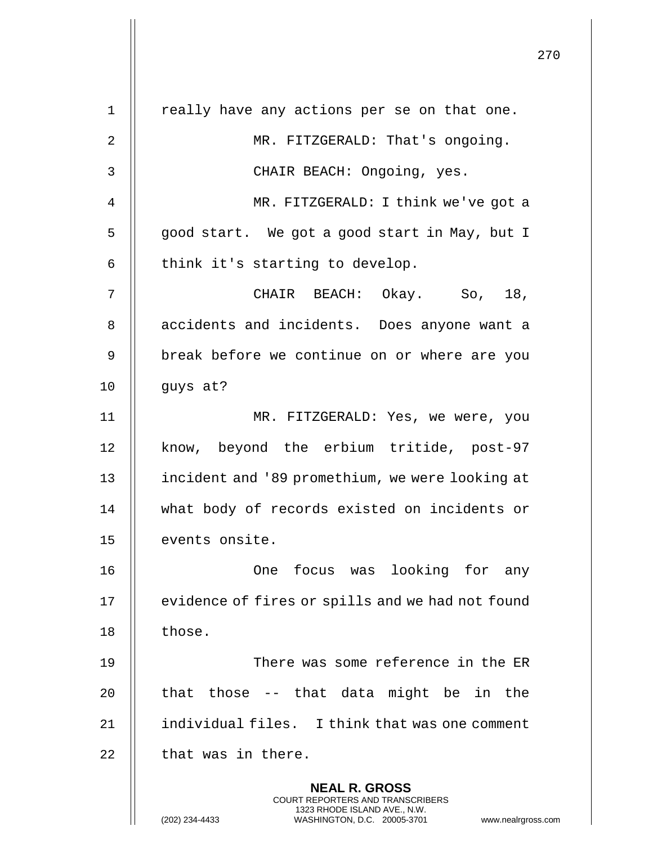|                | 270                                                                                                                                                                    |
|----------------|------------------------------------------------------------------------------------------------------------------------------------------------------------------------|
| $\mathbf 1$    | really have any actions per se on that one.                                                                                                                            |
| $\overline{2}$ | MR. FITZGERALD: That's ongoing.                                                                                                                                        |
| 3              | CHAIR BEACH: Ongoing, yes.                                                                                                                                             |
| 4              | MR. FITZGERALD: I think we've got a                                                                                                                                    |
| 5              | good start. We got a good start in May, but I                                                                                                                          |
|                |                                                                                                                                                                        |
| 6              | think it's starting to develop.                                                                                                                                        |
| 7              | CHAIR BEACH: Okay. So, 18,                                                                                                                                             |
| 8              | accidents and incidents. Does anyone want a                                                                                                                            |
| 9              | break before we continue on or where are you                                                                                                                           |
| 10             | guys at?                                                                                                                                                               |
| 11             | MR. FITZGERALD: Yes, we were, you                                                                                                                                      |
| 12             | know, beyond the erbium tritide, post-97                                                                                                                               |
| 13             | incident and '89 promethium, we were looking at                                                                                                                        |
| 14             | what body of records existed on incidents or                                                                                                                           |
| 15             | events onsite.                                                                                                                                                         |
| 16             | One focus was looking for any                                                                                                                                          |
| 17             | evidence of fires or spills and we had not found                                                                                                                       |
| 18             | those.                                                                                                                                                                 |
| 19             | There was some reference in the ER                                                                                                                                     |
| 20             | that those -- that data might be in the                                                                                                                                |
| 21             | individual files. I think that was one comment                                                                                                                         |
| 22             | that was in there.                                                                                                                                                     |
|                | <b>NEAL R. GROSS</b><br><b>COURT REPORTERS AND TRANSCRIBERS</b><br>1323 RHODE ISLAND AVE., N.W.<br>(202) 234-4433<br>WASHINGTON, D.C. 20005-3701<br>www.nealrgross.com |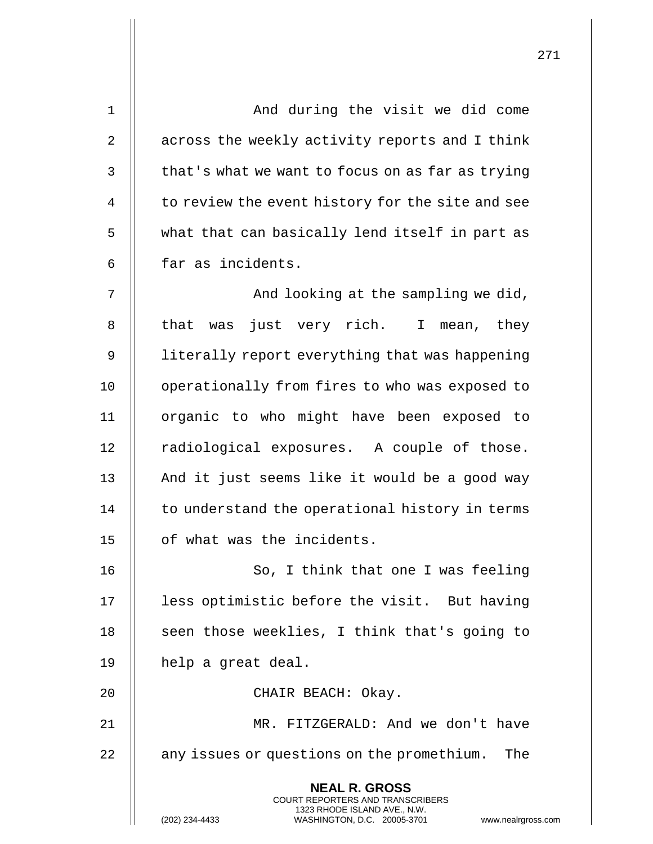| 1              | And during the visit we did come                                                                    |
|----------------|-----------------------------------------------------------------------------------------------------|
| 2              | across the weekly activity reports and I think                                                      |
| 3              | that's what we want to focus on as far as trying                                                    |
| $\overline{4}$ | to review the event history for the site and see                                                    |
| 5              | what that can basically lend itself in part as                                                      |
| 6              | far as incidents.                                                                                   |
| 7              | And looking at the sampling we did,                                                                 |
| 8              | that was just very rich. I mean, they                                                               |
| 9              | literally report everything that was happening                                                      |
| 10             | operationally from fires to who was exposed to                                                      |
| 11             | organic to who might have been exposed to                                                           |
| 12             | radiological exposures. A couple of those.                                                          |
| 13             | And it just seems like it would be a good way                                                       |
| 14             | to understand the operational history in terms                                                      |
| 15             | of what was the incidents.                                                                          |
| 16             | So, I think that one I was feeling                                                                  |
| 17             | less optimistic before the visit. But having                                                        |
| 18             | seen those weeklies, I think that's going to                                                        |
| 19             | help a great deal.                                                                                  |
| 20             | CHAIR BEACH: Okay.                                                                                  |
| 21             | MR. FITZGERALD: And we don't have                                                                   |
| 22             | any issues or questions on the promethium.<br>The                                                   |
|                | <b>NEAL R. GROSS</b><br><b>COURT REPORTERS AND TRANSCRIBERS</b>                                     |
|                | 1323 RHODE ISLAND AVE., N.W.<br>(202) 234-4433<br>WASHINGTON, D.C. 20005-3701<br>www.nealrgross.com |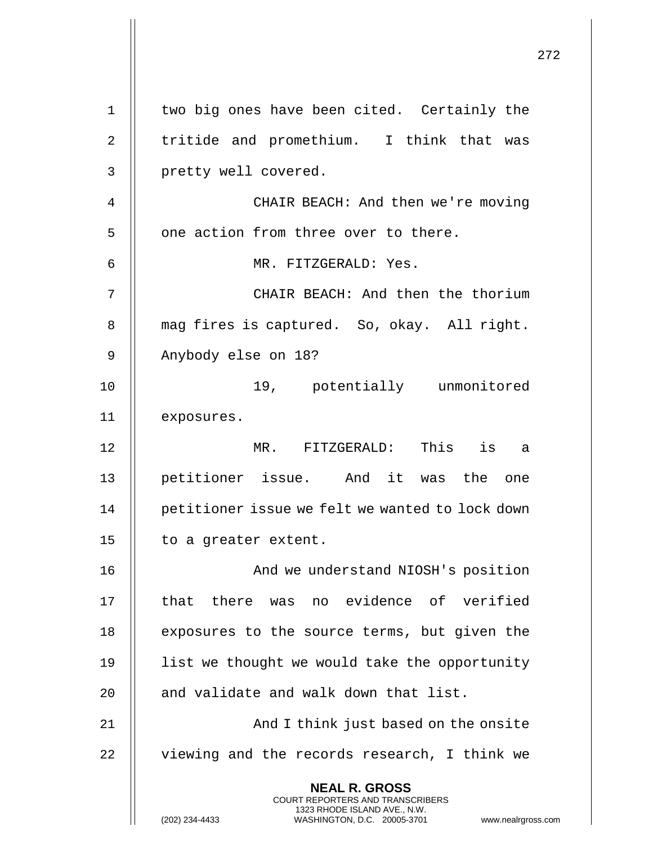|                | 272                                                                                                                                            |
|----------------|------------------------------------------------------------------------------------------------------------------------------------------------|
| $\mathbf 1$    | two big ones have been cited. Certainly the                                                                                                    |
| $\overline{2}$ | tritide and promethium. I think that was                                                                                                       |
| 3              | pretty well covered.                                                                                                                           |
| 4              | CHAIR BEACH: And then we're moving                                                                                                             |
| 5              | one action from three over to there.                                                                                                           |
| 6              | MR. FITZGERALD: Yes.                                                                                                                           |
| 7              | CHAIR BEACH: And then the thorium                                                                                                              |
| 8              | mag fires is captured. So, okay. All right.                                                                                                    |
| 9              | Anybody else on 18?                                                                                                                            |
| 10             | 19, potentially unmonitored                                                                                                                    |
| 11             | exposures.                                                                                                                                     |
| 12             | MR. FITZGERALD: This is<br>a                                                                                                                   |
| 13             | petitioner issue. And it was the<br>one                                                                                                        |
| 14             | petitioner issue we felt we wanted to lock down                                                                                                |
| 15             | to a greater extent.                                                                                                                           |
| 16             | And we understand NIOSH's position                                                                                                             |
| 17             | that there was no evidence of verified                                                                                                         |
| 18             | exposures to the source terms, but given the                                                                                                   |
| 19             | list we thought we would take the opportunity                                                                                                  |
| 20             | and validate and walk down that list.                                                                                                          |
| 21             | And I think just based on the onsite                                                                                                           |
| 22             | viewing and the records research, I think we                                                                                                   |
|                | <b>NEAL R. GROSS</b>                                                                                                                           |
|                | <b>COURT REPORTERS AND TRANSCRIBERS</b><br>1323 RHODE ISLAND AVE., N.W.<br>(202) 234-4433<br>WASHINGTON, D.C. 20005-3701<br>www.nealrgross.com |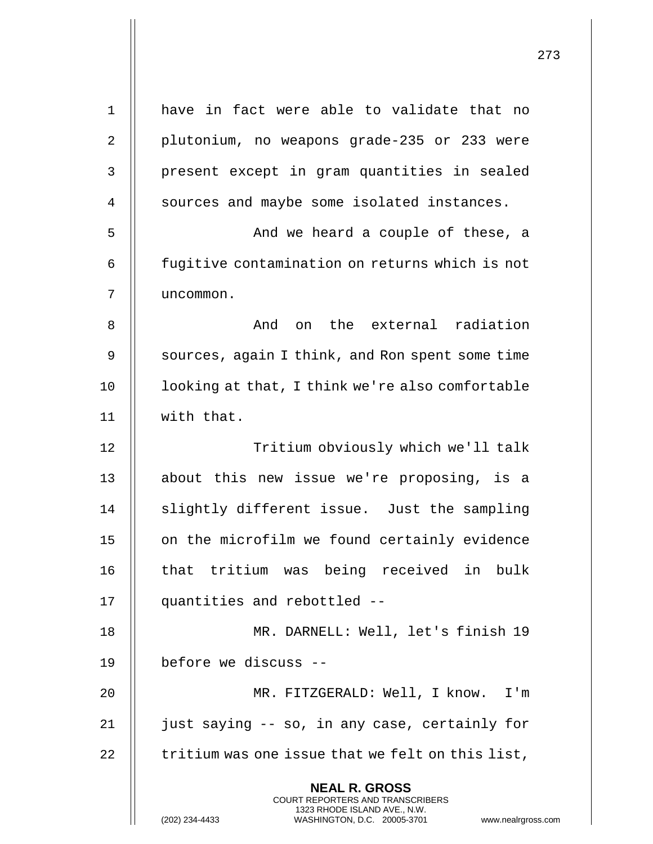| $\mathbf{1}$ | have in fact were able to validate that no                                                                                                                          |
|--------------|---------------------------------------------------------------------------------------------------------------------------------------------------------------------|
| 2            | plutonium, no weapons grade-235 or 233 were                                                                                                                         |
| 3            | present except in gram quantities in sealed                                                                                                                         |
| 4            | sources and maybe some isolated instances.                                                                                                                          |
| 5            | And we heard a couple of these, a                                                                                                                                   |
| 6            | fugitive contamination on returns which is not                                                                                                                      |
| 7            | uncommon.                                                                                                                                                           |
| 8            | And on the external radiation                                                                                                                                       |
| 9            | sources, again I think, and Ron spent some time                                                                                                                     |
| 10           | looking at that, I think we're also comfortable                                                                                                                     |
| 11           | with that.                                                                                                                                                          |
| 12           | Tritium obviously which we'll talk                                                                                                                                  |
| 13           | about this new issue we're proposing, is a                                                                                                                          |
| 14           | slightly different issue. Just the sampling                                                                                                                         |
| 15           | on the microfilm we found certainly evidence                                                                                                                        |
| 16           | that tritium was being received in bulk                                                                                                                             |
| 17           | quantities and rebottled --                                                                                                                                         |
| 18           | MR. DARNELL: Well, let's finish 19                                                                                                                                  |
| 19           | before we discuss --                                                                                                                                                |
| 20           | MR. FITZGERALD: Well, I know. I'm                                                                                                                                   |
| 21           | just saying -- so, in any case, certainly for                                                                                                                       |
| 22           | tritium was one issue that we felt on this list,                                                                                                                    |
|              | <b>NEAL R. GROSS</b><br><b>COURT REPORTERS AND TRANSCRIBERS</b><br>1323 RHODE ISLAND AVE., N.W.<br>(202) 234-4433<br>WASHINGTON, D.C. 20005-3701<br>www.nealrgross. |

 $\mathsf{I}$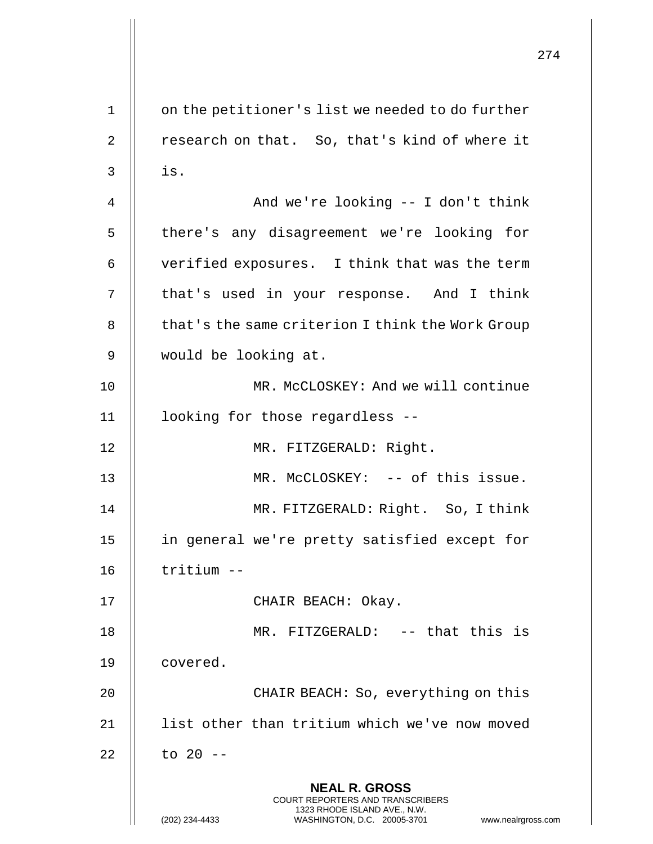274 **NEAL R. GROSS** COURT REPORTERS AND TRANSCRIBERS 1323 RHODE ISLAND AVE., N.W. (202) 234-4433 WASHINGTON, D.C. 20005-3701 www.nealrgross.com 1 | on the petitioner's list we needed to do further 2 | research on that. So, that's kind of where it  $3 \parallel$  is. 4 And we're looking -- I don't think 5 || there's any disagreement we're looking for 6  $\parallel$  verified exposures. I think that was the term 7 | that's used in your response. And I think 8 | that's the same criterion I think the Work Group 9 would be looking at. 10 || MR. McCLOSKEY: And we will continue 11 looking for those regardless -- 12 || MR. FITZGERALD: Right. 13 || MR. McCLOSKEY: -- of this issue. 14 || MR. FITZGERALD: Right. So, I think 15 in general we're pretty satisfied except for 16 tritium -- 17 || CHAIR BEACH: Okay. 18 || MR. FITZGERALD: -- that this is 19 | covered. 20 || CHAIR BEACH: So, everything on this 21 | list other than tritium which we've now moved  $22$  || to 20 --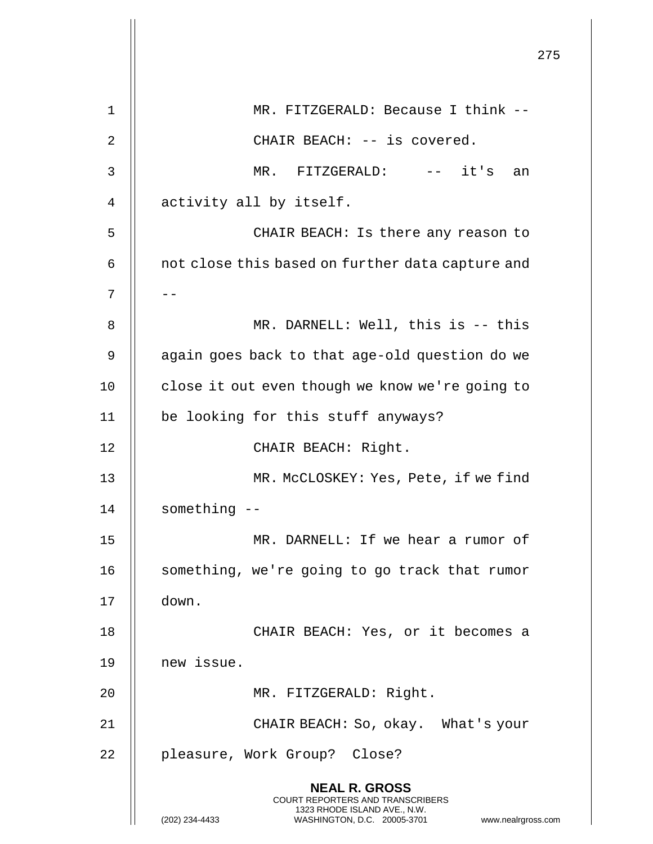|             |                                                                                                                                                                        | 275 |
|-------------|------------------------------------------------------------------------------------------------------------------------------------------------------------------------|-----|
|             |                                                                                                                                                                        |     |
| $\mathbf 1$ | MR. FITZGERALD: Because I think --                                                                                                                                     |     |
| 2           | CHAIR BEACH: -- is covered.                                                                                                                                            |     |
| 3           | MR. FITZGERALD: -- it's<br>an                                                                                                                                          |     |
| 4           | activity all by itself.                                                                                                                                                |     |
| 5           | CHAIR BEACH: Is there any reason to                                                                                                                                    |     |
| 6           | not close this based on further data capture and                                                                                                                       |     |
| 7           |                                                                                                                                                                        |     |
| 8           | MR. DARNELL: Well, this is -- this                                                                                                                                     |     |
| 9           | again goes back to that age-old question do we                                                                                                                         |     |
| 10          | close it out even though we know we're going to                                                                                                                        |     |
| 11          | be looking for this stuff anyways?                                                                                                                                     |     |
| 12          | CHAIR BEACH: Right.                                                                                                                                                    |     |
| 13          | MR. McCLOSKEY: Yes, Pete, if we find                                                                                                                                   |     |
| 14          | something --                                                                                                                                                           |     |
| 15          | MR. DARNELL: If we hear a rumor of                                                                                                                                     |     |
| 16          | something, we're going to go track that rumor                                                                                                                          |     |
| 17          | down.                                                                                                                                                                  |     |
| 18          | CHAIR BEACH: Yes, or it becomes a                                                                                                                                      |     |
| 19          | new issue.                                                                                                                                                             |     |
| 20          | MR. FITZGERALD: Right.                                                                                                                                                 |     |
| 21          | CHAIR BEACH: So, okay. What's your                                                                                                                                     |     |
| 22          | pleasure, Work Group? Close?                                                                                                                                           |     |
|             | <b>NEAL R. GROSS</b><br><b>COURT REPORTERS AND TRANSCRIBERS</b><br>1323 RHODE ISLAND AVE., N.W.<br>(202) 234-4433<br>WASHINGTON, D.C. 20005-3701<br>www.nealrgross.com |     |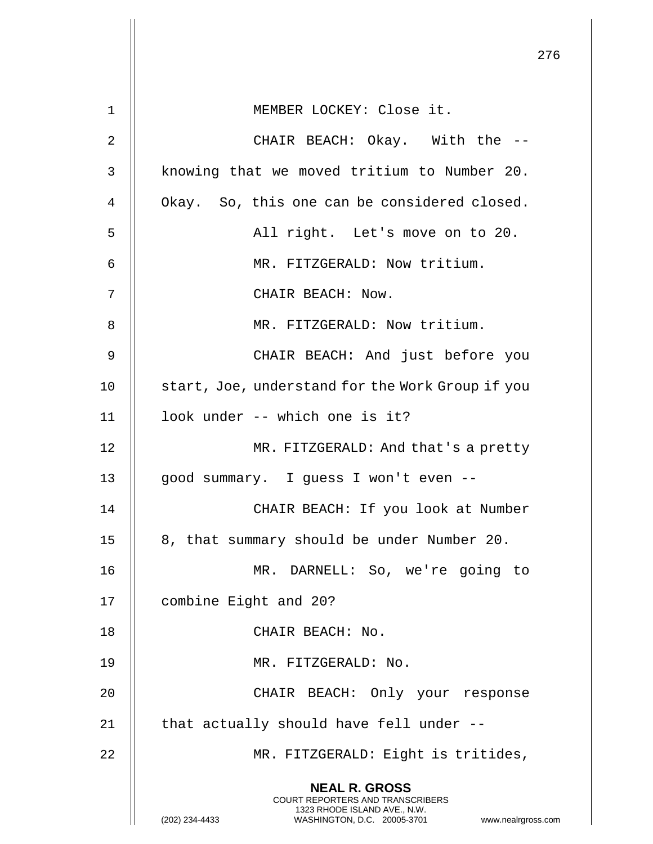|    |                                                                                                                                                              | 276 |
|----|--------------------------------------------------------------------------------------------------------------------------------------------------------------|-----|
| 1  | MEMBER LOCKEY: Close it.                                                                                                                                     |     |
| 2  | CHAIR BEACH: Okay. With the --                                                                                                                               |     |
| 3  | knowing that we moved tritium to Number 20.                                                                                                                  |     |
| 4  | Okay. So, this one can be considered closed.                                                                                                                 |     |
| 5  | All right. Let's move on to 20.                                                                                                                              |     |
| 6  | MR. FITZGERALD: Now tritium.                                                                                                                                 |     |
| 7  | CHAIR BEACH: Now.                                                                                                                                            |     |
| 8  | MR. FITZGERALD: Now tritium.                                                                                                                                 |     |
| 9  | CHAIR BEACH: And just before you                                                                                                                             |     |
| 10 | start, Joe, understand for the Work Group if you                                                                                                             |     |
| 11 | look under -- which one is it?                                                                                                                               |     |
| 12 | MR. FITZGERALD: And that's a pretty                                                                                                                          |     |
| 13 | good summary. I guess I won't even --                                                                                                                        |     |
| 14 | CHAIR BEACH: If you look at Number                                                                                                                           |     |
| 15 | 8, that summary should be under Number 20.                                                                                                                   |     |
| 16 | MR. DARNELL: So, we're going to                                                                                                                              |     |
| 17 | combine Eight and 20?                                                                                                                                        |     |
| 18 | CHAIR BEACH: No.                                                                                                                                             |     |
| 19 | MR. FITZGERALD: No.                                                                                                                                          |     |
| 20 | CHAIR BEACH: Only your response                                                                                                                              |     |
| 21 | that actually should have fell under --                                                                                                                      |     |
| 22 | MR. FITZGERALD: Eight is tritides,                                                                                                                           |     |
|    | <b>NEAL R. GROSS</b><br>COURT REPORTERS AND TRANSCRIBERS<br>1323 RHODE ISLAND AVE., N.W.<br>WASHINGTON, D.C. 20005-3701 www.nealrgross.com<br>(202) 234-4433 |     |

 $\overline{6}$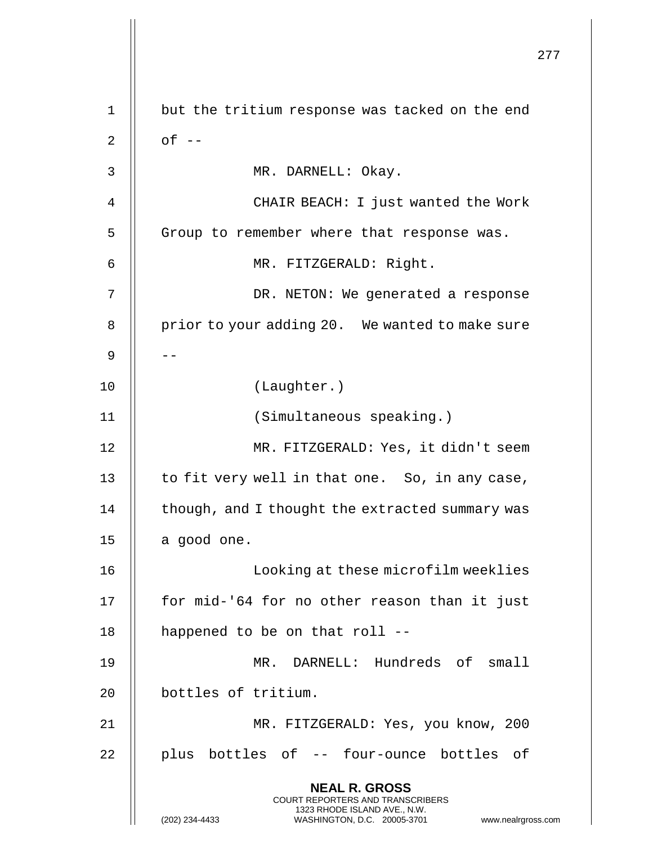277 **NEAL R. GROSS** COURT REPORTERS AND TRANSCRIBERS 1323 RHODE ISLAND AVE., N.W. (202) 234-4433 WASHINGTON, D.C. 20005-3701 www.nealrgross.com 1 || but the tritium response was tacked on the end  $2 \parallel$  of  $-$ 3 MR. DARNELL: Okay. 4 CHAIR BEACH: I just wanted the Work 5 | Group to remember where that response was. 6 MR. FITZGERALD: Right. 7 DR. NETON: We generated a response 8 | prior to your adding 20. We wanted to make sure 9 | --10 (Laughter.) 11 (Simultaneous speaking.) 12 MR. FITZGERALD: Yes, it didn't seem 13  $\parallel$  to fit very well in that one. So, in any case,  $14$  | though, and I thought the extracted summary was  $15$  || a good one. 16 Looking at these microfilm weeklies 17 || for mid-'64 for no other reason than it just 18 || happened to be on that roll --19 MR. DARNELL: Hundreds of small 20 | bottles of tritium. 21 MR. FITZGERALD: Yes, you know, 200 22 || plus bottles of -- four-ounce bottles of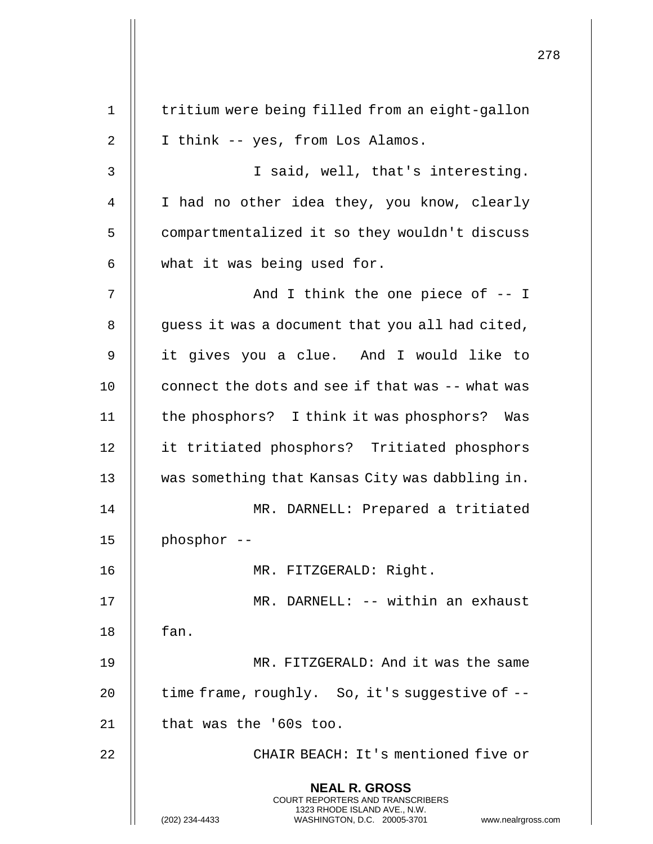|    |                                                                                                                                                                        | 278 |
|----|------------------------------------------------------------------------------------------------------------------------------------------------------------------------|-----|
| 1  | tritium were being filled from an eight-gallon                                                                                                                         |     |
| 2  | I think -- yes, from Los Alamos.                                                                                                                                       |     |
| 3  | I said, well, that's interesting.                                                                                                                                      |     |
| 4  | I had no other idea they, you know, clearly                                                                                                                            |     |
| 5  | compartmentalized it so they wouldn't discuss                                                                                                                          |     |
| 6  | what it was being used for.                                                                                                                                            |     |
| 7  | And I think the one piece of $-$ - I                                                                                                                                   |     |
| 8  | guess it was a document that you all had cited,                                                                                                                        |     |
| 9  | it gives you a clue. And I would like to                                                                                                                               |     |
| 10 | connect the dots and see if that was -- what was                                                                                                                       |     |
| 11 | the phosphors? I think it was phosphors? Was                                                                                                                           |     |
| 12 | it tritiated phosphors? Tritiated phosphors                                                                                                                            |     |
| 13 | was something that Kansas City was dabbling in.                                                                                                                        |     |
| 14 | MR. DARNELL: Prepared a tritiated                                                                                                                                      |     |
| 15 | phosphor --                                                                                                                                                            |     |
| 16 | MR. FITZGERALD: Right.                                                                                                                                                 |     |
| 17 | MR. DARNELL: -- within an exhaust                                                                                                                                      |     |
| 18 | fan.                                                                                                                                                                   |     |
| 19 | MR. FITZGERALD: And it was the same                                                                                                                                    |     |
| 20 | time frame, roughly. So, it's suggestive of --                                                                                                                         |     |
| 21 | that was the '60s too.                                                                                                                                                 |     |
| 22 | CHAIR BEACH: It's mentioned five or                                                                                                                                    |     |
|    | <b>NEAL R. GROSS</b><br><b>COURT REPORTERS AND TRANSCRIBERS</b><br>1323 RHODE ISLAND AVE., N.W.<br>(202) 234-4433<br>WASHINGTON, D.C. 20005-3701<br>www.nealrgross.com |     |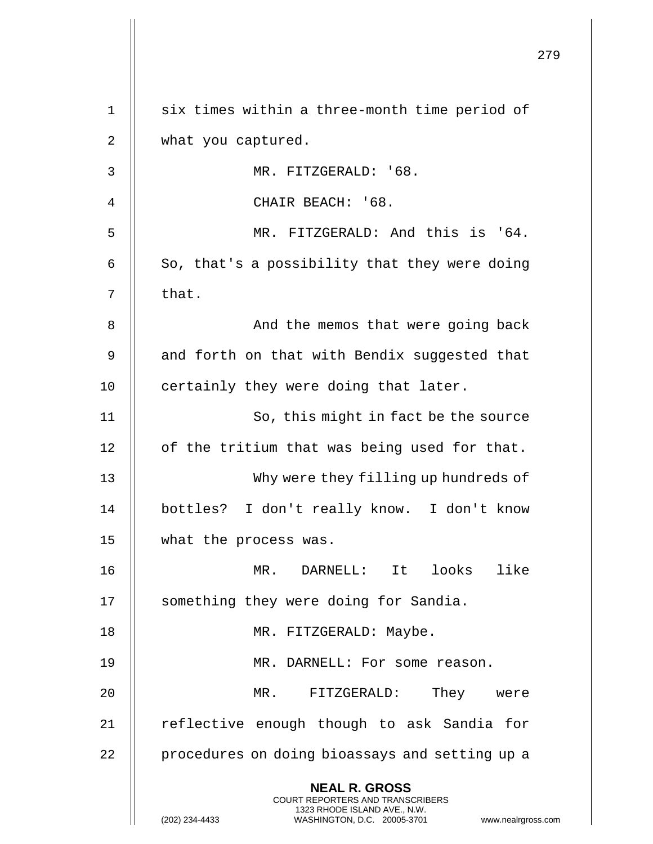|    |                                                                                                                                                                        | 279 |
|----|------------------------------------------------------------------------------------------------------------------------------------------------------------------------|-----|
| 1  | six times within a three-month time period of                                                                                                                          |     |
| 2  | what you captured.                                                                                                                                                     |     |
| 3  | MR. FITZGERALD: '68.                                                                                                                                                   |     |
| 4  | CHAIR BEACH: '68.                                                                                                                                                      |     |
| 5  | MR. FITZGERALD: And this is '64.                                                                                                                                       |     |
| 6  | So, that's a possibility that they were doing                                                                                                                          |     |
| 7  | that.                                                                                                                                                                  |     |
| 8  | And the memos that were going back                                                                                                                                     |     |
| 9  | and forth on that with Bendix suggested that                                                                                                                           |     |
| 10 | certainly they were doing that later.                                                                                                                                  |     |
| 11 | So, this might in fact be the source                                                                                                                                   |     |
| 12 | of the tritium that was being used for that.                                                                                                                           |     |
| 13 | Why were they filling up hundreds of                                                                                                                                   |     |
| 14 | bottles? I don't really know. I don't know                                                                                                                             |     |
| 15 | what the process was.                                                                                                                                                  |     |
| 16 | MR. DARNELL: It looks<br>like                                                                                                                                          |     |
| 17 | something they were doing for Sandia.                                                                                                                                  |     |
| 18 | MR. FITZGERALD: Maybe.                                                                                                                                                 |     |
| 19 | MR. DARNELL: For some reason.                                                                                                                                          |     |
| 20 | They were<br>MR. FITZGERALD:                                                                                                                                           |     |
| 21 | reflective enough though to ask Sandia for                                                                                                                             |     |
| 22 | procedures on doing bioassays and setting up a                                                                                                                         |     |
|    | <b>NEAL R. GROSS</b><br><b>COURT REPORTERS AND TRANSCRIBERS</b><br>1323 RHODE ISLAND AVE., N.W.<br>(202) 234-4433<br>WASHINGTON, D.C. 20005-3701<br>www.nealrgross.com |     |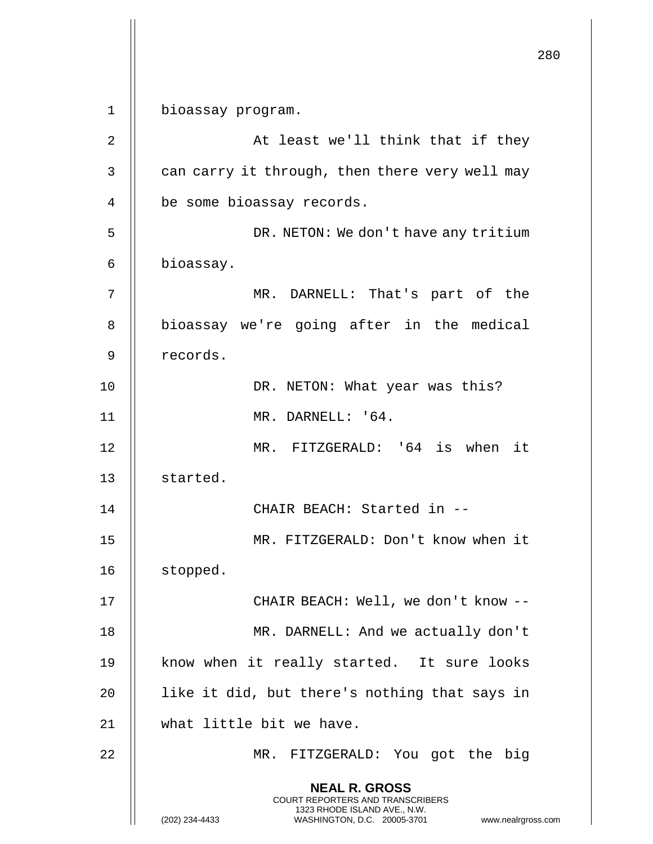**NEAL R. GROSS** COURT REPORTERS AND TRANSCRIBERS 1323 RHODE ISLAND AVE., N.W. (202) 234-4433 WASHINGTON, D.C. 20005-3701 www.nealrgross.com 1 bioassay program. 2 || At least we'll think that if they  $3$  | can carry it through, then there very well may 4 | be some bioassay records. 5 DR. NETON: We don't have any tritium 6 bioassay. 7 MR. DARNELL: That's part of the 8 | bioassay we're going after in the medical 9 records. 10 || DR. NETON: What year was this? 11 MR. DARNELL: '64. 12 MR. FITZGERALD: '64 is when it 13 | started. 14 CHAIR BEACH: Started in -- 15 MR. FITZGERALD: Don't know when it 16 | stopped. 17 || CHAIR BEACH: Well, we don't know --18 || MR. DARNELL: And we actually don't 19 || know when it really started. It sure looks 20  $\parallel$  like it did, but there's nothing that says in 21 what little bit we have. 22 MR. FITZGERALD: You got the big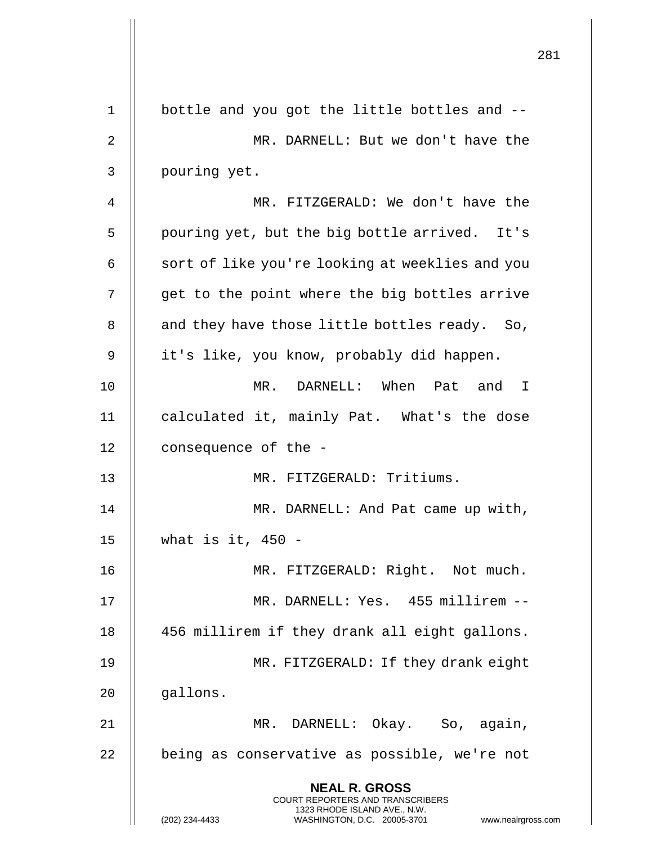|                | 281                                                                                                                                                                 |
|----------------|---------------------------------------------------------------------------------------------------------------------------------------------------------------------|
| $\mathbf 1$    | bottle and you got the little bottles and --                                                                                                                        |
| $\overline{2}$ | MR. DARNELL: But we don't have the                                                                                                                                  |
| $\mathsf{3}$   | pouring yet.                                                                                                                                                        |
| 4              | MR. FITZGERALD: We don't have the                                                                                                                                   |
| 5              | pouring yet, but the big bottle arrived. It's                                                                                                                       |
| 6              | sort of like you're looking at weeklies and you                                                                                                                     |
| 7              | get to the point where the big bottles arrive                                                                                                                       |
| 8              | and they have those little bottles ready. So,                                                                                                                       |
| 9              | it's like, you know, probably did happen.                                                                                                                           |
| 10             | DARNELL: When Pat and<br>$MR$ .<br>$\mathbf{I}$                                                                                                                     |
| 11             | calculated it, mainly Pat. What's the dose                                                                                                                          |
| 12             | consequence of the -                                                                                                                                                |
| 13             | MR. FITZGERALD: Tritiums.                                                                                                                                           |
| 14             | MR. DARNELL: And Pat came up with,                                                                                                                                  |
| 15             | what is it, $450 -$                                                                                                                                                 |
| 16             | MR. FITZGERALD: Right. Not much.                                                                                                                                    |
| 17             | MR. DARNELL: Yes. 455 millirem --                                                                                                                                   |
| 18             | 456 millirem if they drank all eight gallons.                                                                                                                       |
| 19             | MR. FITZGERALD: If they drank eight                                                                                                                                 |
| 20             | gallons.                                                                                                                                                            |
| 21             | MR. DARNELL: Okay. So, again,                                                                                                                                       |
| 22             | being as conservative as possible, we're not                                                                                                                        |
|                | <b>NEAL R. GROSS</b><br><b>COURT REPORTERS AND TRANSCRIBERS</b><br>1323 RHODE ISLAND AVE., N.W.<br>(202) 234-4433<br>WASHINGTON, D.C. 20005-3701 www.nealrgross.com |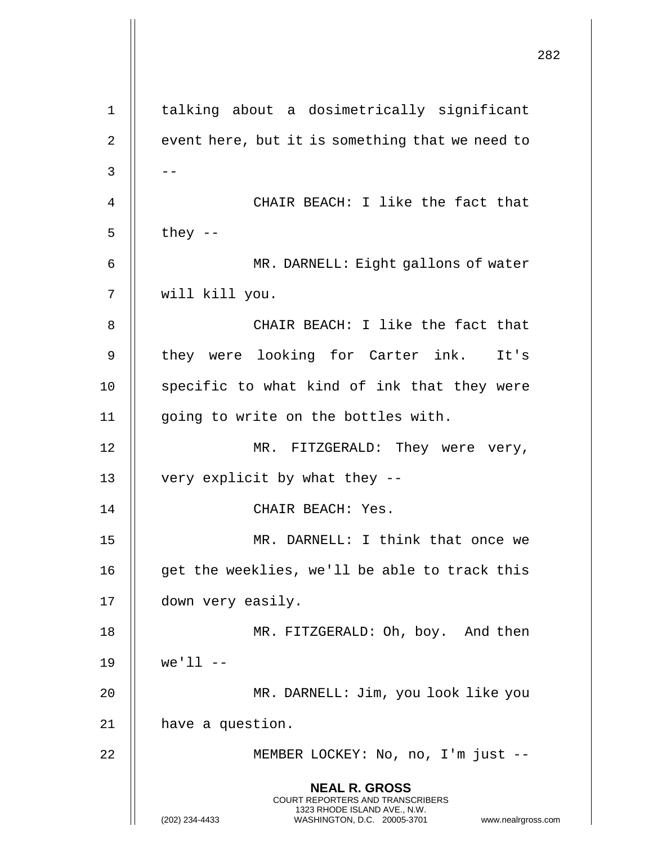|              |                                                                                                                                                                        | 282 |
|--------------|------------------------------------------------------------------------------------------------------------------------------------------------------------------------|-----|
| 1            | talking about a dosimetrically significant                                                                                                                             |     |
| 2            | event here, but it is something that we need to                                                                                                                        |     |
| $\mathsf{3}$ |                                                                                                                                                                        |     |
| 4            | CHAIR BEACH: I like the fact that                                                                                                                                      |     |
| 5            | they $--$                                                                                                                                                              |     |
| 6            | MR. DARNELL: Eight gallons of water                                                                                                                                    |     |
| 7            | will kill you.                                                                                                                                                         |     |
| 8            | CHAIR BEACH: I like the fact that                                                                                                                                      |     |
| 9            | they were looking for Carter ink. It's                                                                                                                                 |     |
| 10           | specific to what kind of ink that they were                                                                                                                            |     |
| 11           | going to write on the bottles with.                                                                                                                                    |     |
| 12           | MR. FITZGERALD: They were very,                                                                                                                                        |     |
| 13           | very explicit by what they --                                                                                                                                          |     |
| 14           | CHAIR BEACH: Yes.                                                                                                                                                      |     |
| 15           | MR. DARNELL: I think that once we                                                                                                                                      |     |
| 16           | get the weeklies, we'll be able to track this                                                                                                                          |     |
| 17           | down very easily.                                                                                                                                                      |     |
| 18           | MR. FITZGERALD: Oh, boy. And then                                                                                                                                      |     |
| 19           | $we'll - -$                                                                                                                                                            |     |
| 20           | MR. DARNELL: Jim, you look like you                                                                                                                                    |     |
| 21           | have a question.                                                                                                                                                       |     |
| 22           | MEMBER LOCKEY: No, no, I'm just --                                                                                                                                     |     |
|              | <b>NEAL R. GROSS</b><br><b>COURT REPORTERS AND TRANSCRIBERS</b><br>1323 RHODE ISLAND AVE., N.W.<br>(202) 234-4433<br>WASHINGTON, D.C. 20005-3701<br>www.nealrgross.com |     |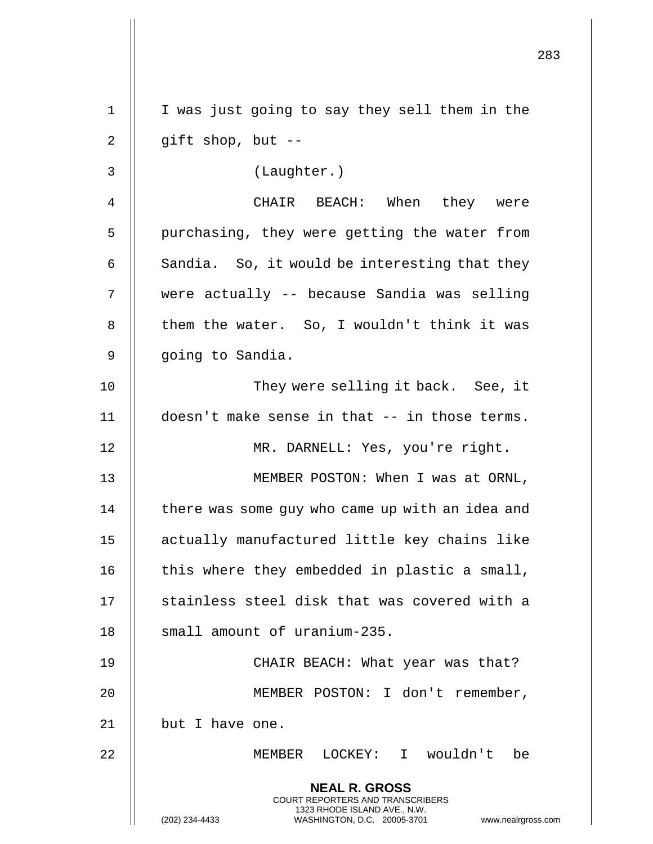|             |                                                                                                                                                                        | 283 |
|-------------|------------------------------------------------------------------------------------------------------------------------------------------------------------------------|-----|
| $\mathbf 1$ | I was just going to say they sell them in the                                                                                                                          |     |
| 2           | gift shop, but $-$                                                                                                                                                     |     |
| 3           | (Laughter.)                                                                                                                                                            |     |
| 4           | CHAIR BEACH: When they were                                                                                                                                            |     |
| 5           | purchasing, they were getting the water from                                                                                                                           |     |
| 6           | Sandia. So, it would be interesting that they                                                                                                                          |     |
| 7           | were actually -- because Sandia was selling                                                                                                                            |     |
| 8           | them the water. So, I wouldn't think it was                                                                                                                            |     |
| 9           | going to Sandia.                                                                                                                                                       |     |
| 10          | They were selling it back. See, it                                                                                                                                     |     |
| 11          | doesn't make sense in that -- in those terms.                                                                                                                          |     |
| 12          | MR. DARNELL: Yes, you're right.                                                                                                                                        |     |
| 13          | MEMBER POSTON: When I was at ORNL,                                                                                                                                     |     |
| 14          | there was some guy who came up with an idea and                                                                                                                        |     |
| 15          | actually manufactured little key chains like                                                                                                                           |     |
| 16          | this where they embedded in plastic a small,                                                                                                                           |     |
| 17          | stainless steel disk that was covered with a                                                                                                                           |     |
| 18          | small amount of uranium-235.                                                                                                                                           |     |
| 19          | CHAIR BEACH: What year was that?                                                                                                                                       |     |
| 20          | MEMBER POSTON: I don't remember,                                                                                                                                       |     |
| 21          | but I have one.                                                                                                                                                        |     |
| 22          | MEMBER LOCKEY: I wouldn't be                                                                                                                                           |     |
|             | <b>NEAL R. GROSS</b><br><b>COURT REPORTERS AND TRANSCRIBERS</b><br>1323 RHODE ISLAND AVE., N.W.<br>(202) 234-4433<br>WASHINGTON, D.C. 20005-3701<br>www.nealrgross.com |     |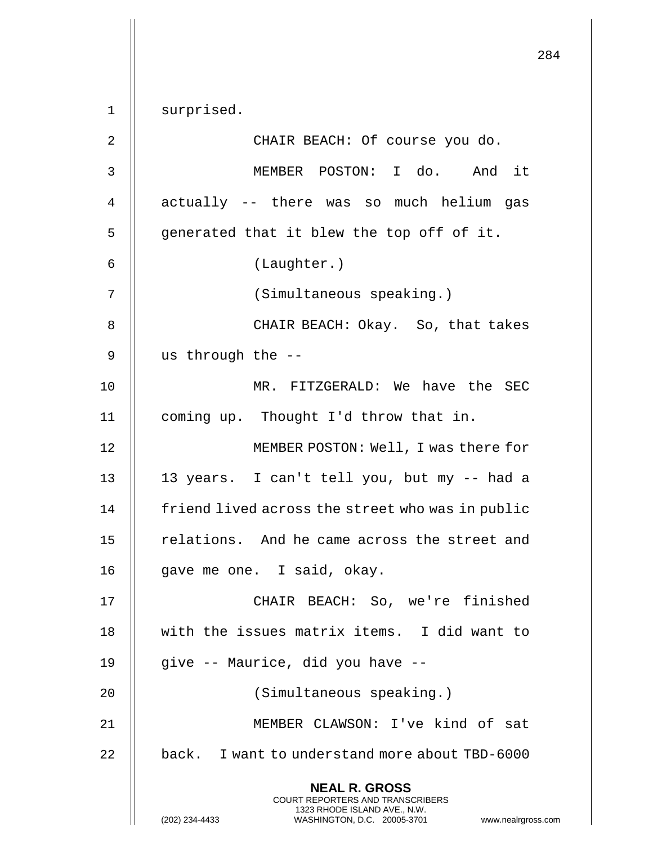284 **NEAL R. GROSS** COURT REPORTERS AND TRANSCRIBERS 1323 RHODE ISLAND AVE., N.W. (202) 234-4433 WASHINGTON, D.C. 20005-3701 www.nealrgross.com 1 | surprised. 2 || CHAIR BEACH: Of course you do. 3 MEMBER POSTON: I do. And it 4 || actually -- there was so much helium gas  $5 \parallel$  generated that it blew the top off of it. 6 (Laughter.) 7 (Simultaneous speaking.) 8 || CHAIR BEACH: Okay. So, that takes 9 us through the -- 10 || MR. FITZGERALD: We have the SEC 11 | coming up. Thought I'd throw that in. 12 MEMBER POSTON: Well, I was there for 13 13 years. I can't tell you, but my -- had a 14 | friend lived across the street who was in public 15 | relations. And he came across the street and 16 || gave me one. I said, okay. 17 CHAIR BEACH: So, we're finished 18 with the issues matrix items. I did want to 19 || give -- Maurice, did you have --20 || (Simultaneous speaking.) 21 MEMBER CLAWSON: I've kind of sat 22  $\parallel$  back. I want to understand more about TBD-6000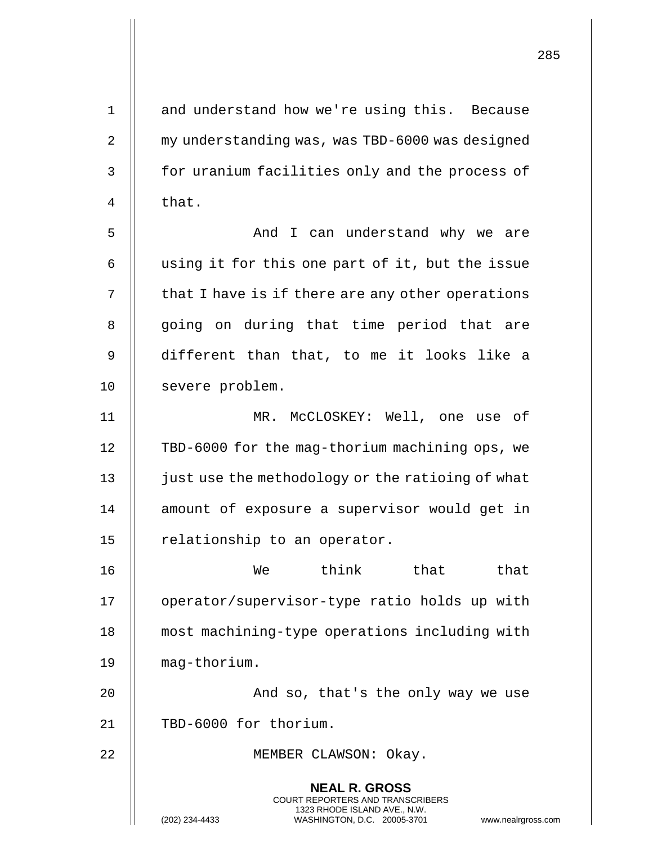| $\mathbf 1$    | and understand how we're using this. Because                                                                                                                      |
|----------------|-------------------------------------------------------------------------------------------------------------------------------------------------------------------|
| 2              | my understanding was, was TBD-6000 was designed                                                                                                                   |
| $\mathsf 3$    | for uranium facilities only and the process of                                                                                                                    |
| $\overline{4}$ | that.                                                                                                                                                             |
| 5              | And I can understand why we are                                                                                                                                   |
| 6              | using it for this one part of it, but the issue                                                                                                                   |
| 7              | that I have is if there are any other operations                                                                                                                  |
| 8              | going on during that time period that are                                                                                                                         |
| 9              | different than that, to me it looks like a                                                                                                                        |
| 10             | severe problem.                                                                                                                                                   |
| 11             | MR. McCLOSKEY: Well, one use of                                                                                                                                   |
| 12             | TBD-6000 for the mag-thorium machining ops, we                                                                                                                    |
| 13             | just use the methodology or the ratioing of what                                                                                                                  |
| 14             | amount of exposure a supervisor would get in                                                                                                                      |
| 15             | relationship to an operator.                                                                                                                                      |
| 16             | think that<br>that<br>We                                                                                                                                          |
| 17             | operator/supervisor-type ratio holds up with                                                                                                                      |
| 18             | most machining-type operations including with                                                                                                                     |
| 19             | mag-thorium.                                                                                                                                                      |
| 20             | And so, that's the only way we use                                                                                                                                |
| 21             | TBD-6000 for thorium.                                                                                                                                             |
| 22             | MEMBER CLAWSON: Okay.                                                                                                                                             |
|                | <b>NEAL R. GROSS</b><br><b>COURT REPORTERS AND TRANSCRIBERS</b><br>1323 RHODE ISLAND AVE., N.W.<br>(202) 234-4433<br>WASHINGTON, D.C. 20005-3701<br>www.nealrgros |

(202) 234-4433 WASHINGTON, D.C. 20005-3701 www.nealrgross.com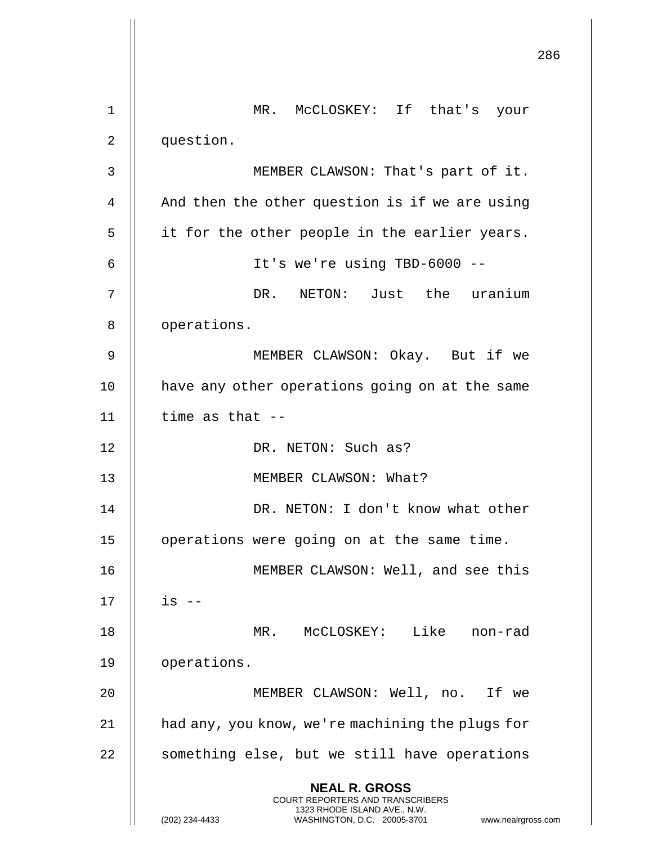|                |                                                                                                                                                | 286 |
|----------------|------------------------------------------------------------------------------------------------------------------------------------------------|-----|
| 1              | MR. MCCLOSKEY: If that's your                                                                                                                  |     |
| 2              | question.                                                                                                                                      |     |
| 3              | MEMBER CLAWSON: That's part of it.                                                                                                             |     |
| $\overline{4}$ | And then the other question is if we are using                                                                                                 |     |
| 5              | it for the other people in the earlier years.                                                                                                  |     |
| 6              | It's we're using TBD-6000 --                                                                                                                   |     |
| 7              | DR. NETON: Just the uranium                                                                                                                    |     |
| 8              | operations.                                                                                                                                    |     |
| 9              | MEMBER CLAWSON: Okay. But if we                                                                                                                |     |
| 10             | have any other operations going on at the same                                                                                                 |     |
| 11             | time as that $-$                                                                                                                               |     |
| 12             | DR. NETON: Such as?                                                                                                                            |     |
| 13             | MEMBER CLAWSON: What?                                                                                                                          |     |
| 14             | DR. NETON: I don't know what other                                                                                                             |     |
| 15             | operations were going on at the same time.                                                                                                     |     |
| 16             | MEMBER CLAWSON: Well, and see this                                                                                                             |     |
| 17             | $is$ --                                                                                                                                        |     |
| 18             | MR. MCCLOSKEY: Like non-rad                                                                                                                    |     |
| 19             | operations.                                                                                                                                    |     |
| 20             | MEMBER CLAWSON: Well, no. If we                                                                                                                |     |
| 21             | had any, you know, we're machining the plugs for                                                                                               |     |
| 22             | something else, but we still have operations                                                                                                   |     |
|                | <b>NEAL R. GROSS</b>                                                                                                                           |     |
|                | <b>COURT REPORTERS AND TRANSCRIBERS</b><br>1323 RHODE ISLAND AVE., N.W.<br>(202) 234-4433<br>WASHINGTON, D.C. 20005-3701<br>www.nealrgross.com |     |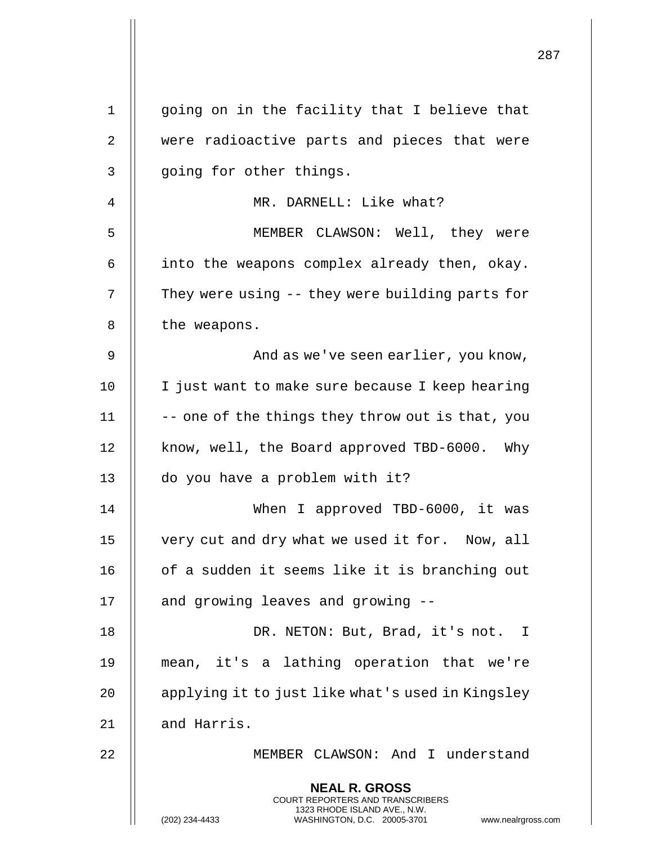|                |                                                                                                                                                                 | 287 |
|----------------|-----------------------------------------------------------------------------------------------------------------------------------------------------------------|-----|
| $\mathbf 1$    | going on in the facility that I believe that                                                                                                                    |     |
| $\overline{2}$ | were radioactive parts and pieces that were                                                                                                                     |     |
| 3              | going for other things.                                                                                                                                         |     |
| 4              | MR. DARNELL: Like what?                                                                                                                                         |     |
| 5              | MEMBER CLAWSON: Well, they were                                                                                                                                 |     |
| 6              | into the weapons complex already then, okay.                                                                                                                    |     |
| 7              | They were using -- they were building parts for                                                                                                                 |     |
| 8              | the weapons.                                                                                                                                                    |     |
| 9              |                                                                                                                                                                 |     |
|                | And as we've seen earlier, you know,                                                                                                                            |     |
| 10             | I just want to make sure because I keep hearing                                                                                                                 |     |
| 11             | -- one of the things they throw out is that, you                                                                                                                |     |
| 12             | know, well, the Board approved TBD-6000. Why                                                                                                                    |     |
| 13             | do you have a problem with it?                                                                                                                                  |     |
| 14             | When I approved TBD-6000, it was                                                                                                                                |     |
| 15             | very cut and dry what we used it for. Now, all                                                                                                                  |     |
| 16             | of a sudden it seems like it is branching out                                                                                                                   |     |
| 17             | and growing leaves and growing --                                                                                                                               |     |
| 18             | DR. NETON: But, Brad, it's not. I                                                                                                                               |     |
| 19             | mean, it's a lathing operation that we're                                                                                                                       |     |
| 20             | applying it to just like what's used in Kingsley                                                                                                                |     |
| 21             | and Harris.                                                                                                                                                     |     |
| 22             | MEMBER CLAWSON: And I understand                                                                                                                                |     |
|                | <b>NEAL R. GROSS</b><br>COURT REPORTERS AND TRANSCRIBERS<br>1323 RHODE ISLAND AVE., N.W.<br>(202) 234-4433<br>WASHINGTON, D.C. 20005-3701<br>www.nealrgross.com |     |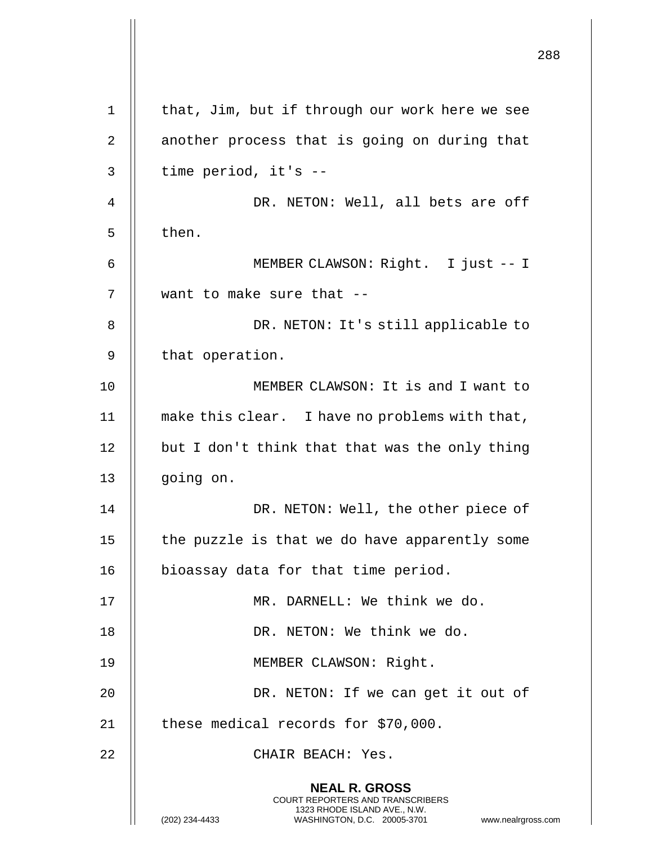|    |                                                                                                                                                                        | 288 |
|----|------------------------------------------------------------------------------------------------------------------------------------------------------------------------|-----|
| 1  | that, Jim, but if through our work here we see                                                                                                                         |     |
| 2  | another process that is going on during that                                                                                                                           |     |
| 3  | time period, it's --                                                                                                                                                   |     |
| 4  | DR. NETON: Well, all bets are off                                                                                                                                      |     |
| 5  | then.                                                                                                                                                                  |     |
| 6  | MEMBER CLAWSON: Right. I just -- I                                                                                                                                     |     |
| 7  | want to make sure that --                                                                                                                                              |     |
| 8  | DR. NETON: It's still applicable to                                                                                                                                    |     |
| 9  | that operation.                                                                                                                                                        |     |
| 10 | MEMBER CLAWSON: It is and I want to                                                                                                                                    |     |
| 11 | make this clear. I have no problems with that,                                                                                                                         |     |
| 12 | but I don't think that that was the only thing                                                                                                                         |     |
| 13 | going on.                                                                                                                                                              |     |
| 14 | DR. NETON: Well, the other piece of                                                                                                                                    |     |
| 15 | the puzzle is that we do have apparently some                                                                                                                          |     |
| 16 | bioassay data for that time period.                                                                                                                                    |     |
| 17 | MR. DARNELL: We think we do.                                                                                                                                           |     |
| 18 | DR. NETON: We think we do.                                                                                                                                             |     |
| 19 | MEMBER CLAWSON: Right.                                                                                                                                                 |     |
| 20 | DR. NETON: If we can get it out of                                                                                                                                     |     |
| 21 | these medical records for \$70,000.                                                                                                                                    |     |
| 22 | CHAIR BEACH: Yes.                                                                                                                                                      |     |
|    | <b>NEAL R. GROSS</b><br><b>COURT REPORTERS AND TRANSCRIBERS</b><br>1323 RHODE ISLAND AVE., N.W.<br>(202) 234-4433<br>WASHINGTON, D.C. 20005-3701<br>www.nealrgross.com |     |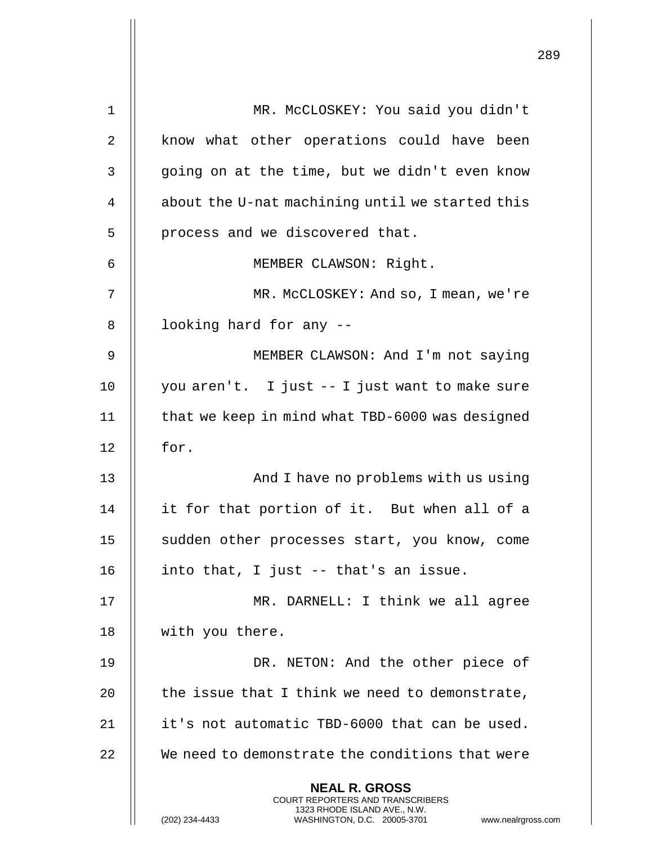| $\mathbf 1$ | MR. MCCLOSKEY: You said you didn't                                                                  |
|-------------|-----------------------------------------------------------------------------------------------------|
| 2           | know what other operations could have been                                                          |
| 3           | going on at the time, but we didn't even know                                                       |
| 4           | about the U-nat machining until we started this                                                     |
| 5           | process and we discovered that.                                                                     |
| 6           | MEMBER CLAWSON: Right.                                                                              |
| 7           | MR. McCLOSKEY: And so, I mean, we're                                                                |
| 8           | looking hard for any --                                                                             |
| 9           | MEMBER CLAWSON: And I'm not saying                                                                  |
| 10          | you aren't. I just -- I just want to make sure                                                      |
| 11          | that we keep in mind what TBD-6000 was designed                                                     |
| 12          | for.                                                                                                |
| 13          | And I have no problems with us using                                                                |
| 14          | it for that portion of it. But when all of a                                                        |
| 15          | sudden other processes start, you know, come                                                        |
| 16          | into that, I just -- that's an issue.                                                               |
| 17          | MR. DARNELL: I think we all agree                                                                   |
| 18          | with you there.                                                                                     |
| 19          | DR. NETON: And the other piece of                                                                   |
| 20          | the issue that I think we need to demonstrate,                                                      |
| 21          | it's not automatic TBD-6000 that can be used.                                                       |
| 22          | We need to demonstrate the conditions that were                                                     |
|             | <b>NEAL R. GROSS</b><br>COURT REPORTERS AND TRANSCRIBERS                                            |
|             | 1323 RHODE ISLAND AVE., N.W.<br>(202) 234-4433<br>WASHINGTON, D.C. 20005-3701<br>www.nealrgross.com |

 $\mathsf{I}$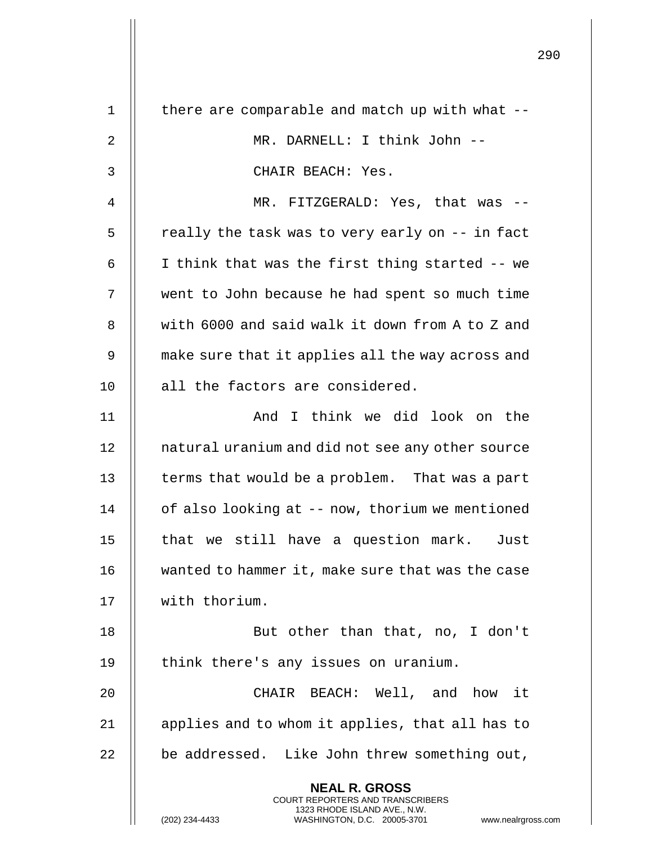| $\mathbf 1$ | there are comparable and match up with what --                                                      |
|-------------|-----------------------------------------------------------------------------------------------------|
| 2           | MR. DARNELL: I think John --                                                                        |
| 3           | CHAIR BEACH: Yes.                                                                                   |
| 4           | MR. FITZGERALD: Yes, that was --                                                                    |
| 5           | really the task was to very early on -- in fact                                                     |
| 6           | I think that was the first thing started -- we                                                      |
| 7           | went to John because he had spent so much time                                                      |
| 8           | with 6000 and said walk it down from A to Z and                                                     |
| 9           | make sure that it applies all the way across and                                                    |
| 10          | all the factors are considered.                                                                     |
| 11          | And I think we did look on the                                                                      |
| 12          | natural uranium and did not see any other source                                                    |
| 13          | terms that would be a problem. That was a part                                                      |
| 14          | of also looking at -- now, thorium we mentioned                                                     |
| 15          | that we still have a question mark.<br>Just                                                         |
| 16          | wanted to hammer it, make sure that was the case                                                    |
| 17          | with thorium.                                                                                       |
| 18          | But other than that, no, I don't                                                                    |
| 19          | think there's any issues on uranium.                                                                |
| 20          | CHAIR BEACH: Well, and how it                                                                       |
| 21          | applies and to whom it applies, that all has to                                                     |
| 22          | be addressed. Like John threw something out,                                                        |
|             | <b>NEAL R. GROSS</b><br>COURT REPORTERS AND TRANSCRIBERS                                            |
|             | 1323 RHODE ISLAND AVE., N.W.<br>(202) 234-4433<br>WASHINGTON, D.C. 20005-3701<br>www.nealrgross.com |

 $\mathop{||}$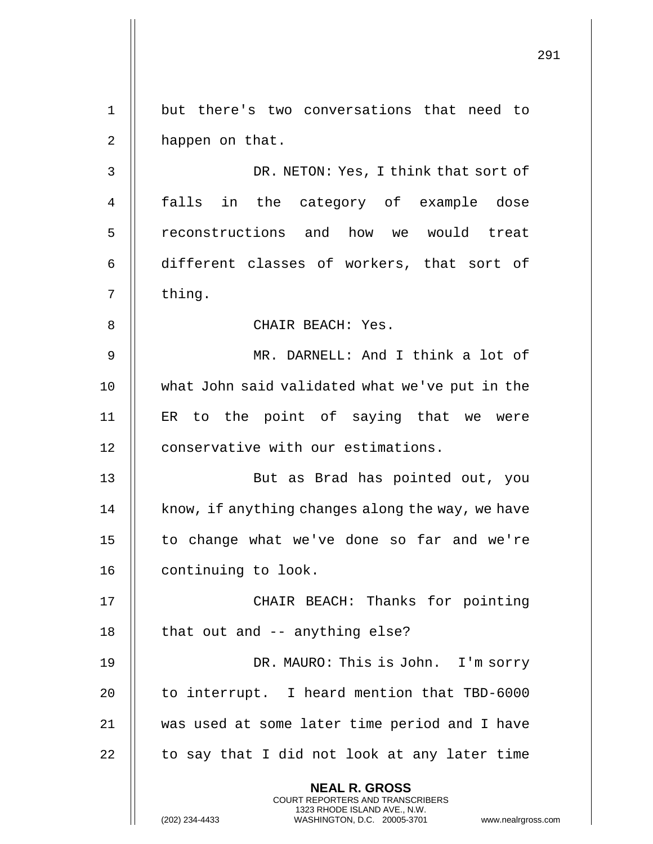291 **NEAL R. GROSS** COURT REPORTERS AND TRANSCRIBERS 1323 RHODE ISLAND AVE., N.W. 1 || but there's two conversations that need to 2 | happen on that. 3 DR. NETON: Yes, I think that sort of 4 || falls in the category of example dose 5 || reconstructions and how we would treat 6 different classes of workers, that sort of  $7 \parallel$  thing. 8 || CHAIR BEACH: Yes. 9 MR. DARNELL: And I think a lot of 10 || what John said validated what we've put in the 11 ER to the point of saying that we were 12 | conservative with our estimations. 13 || But as Brad has pointed out, you  $14$  | know, if anything changes along the way, we have 15 || to change what we've done so far and we're 16 | continuing to look. 17 CHAIR BEACH: Thanks for pointing  $18$  || that out and  $-$  anything else? 19 || DR. MAURO: This is John. I'm sorry 20  $\parallel$  to interrupt. I heard mention that TBD-6000 21 was used at some later time period and I have  $22$  || to say that I did not look at any later time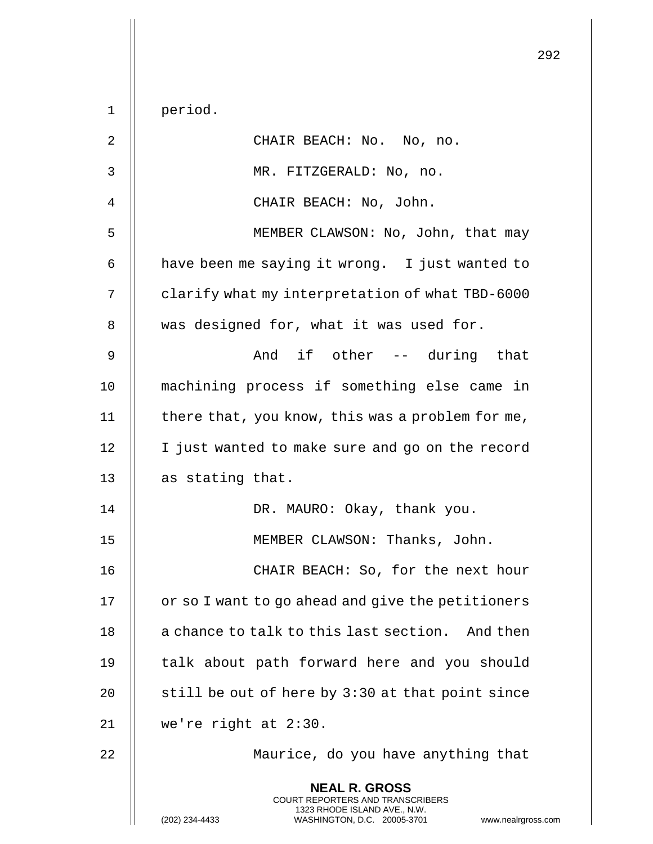|              |                                                                                                                                                                        | 292 |
|--------------|------------------------------------------------------------------------------------------------------------------------------------------------------------------------|-----|
| $\mathbf 1$  | period.                                                                                                                                                                |     |
| 2            | CHAIR BEACH: No. No, no.                                                                                                                                               |     |
| $\mathsf{3}$ | MR. FITZGERALD: No, no.                                                                                                                                                |     |
|              |                                                                                                                                                                        |     |
| 4            | CHAIR BEACH: No, John.                                                                                                                                                 |     |
| 5            | MEMBER CLAWSON: No, John, that may                                                                                                                                     |     |
| 6            | have been me saying it wrong. I just wanted to                                                                                                                         |     |
| 7            | clarify what my interpretation of what TBD-6000                                                                                                                        |     |
| 8            | was designed for, what it was used for.                                                                                                                                |     |
| 9            | And if other -- during that                                                                                                                                            |     |
| 10           | machining process if something else came in                                                                                                                            |     |
| 11           | there that, you know, this was a problem for me,                                                                                                                       |     |
| 12           | I just wanted to make sure and go on the record                                                                                                                        |     |
| 13           | as stating that.                                                                                                                                                       |     |
| 14           | DR. MAURO: Okay, thank you.                                                                                                                                            |     |
| 15           | MEMBER CLAWSON: Thanks, John.                                                                                                                                          |     |
| 16           | CHAIR BEACH: So, for the next hour                                                                                                                                     |     |
| 17           | or so I want to go ahead and give the petitioners                                                                                                                      |     |
| 18           | a chance to talk to this last section. And then                                                                                                                        |     |
| 19           | talk about path forward here and you should                                                                                                                            |     |
| 20           | still be out of here by 3:30 at that point since                                                                                                                       |     |
| 21           | we're right at 2:30.                                                                                                                                                   |     |
| 22           | Maurice, do you have anything that                                                                                                                                     |     |
|              | <b>NEAL R. GROSS</b><br><b>COURT REPORTERS AND TRANSCRIBERS</b><br>1323 RHODE ISLAND AVE., N.W.<br>(202) 234-4433<br>WASHINGTON, D.C. 20005-3701<br>www.nealrgross.com |     |

 $\overline{2}$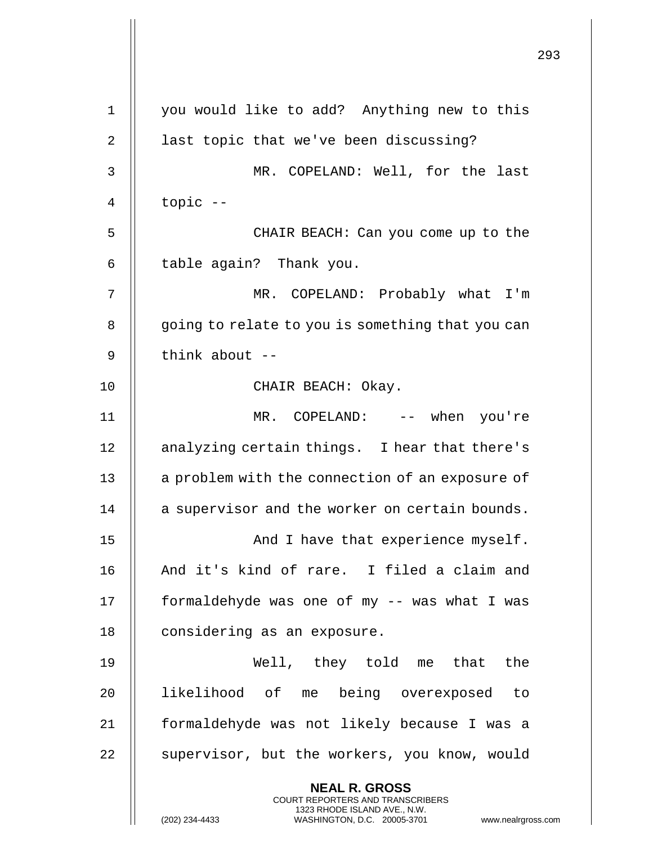|                |                                                                                                                                                | 293 |
|----------------|------------------------------------------------------------------------------------------------------------------------------------------------|-----|
| $\mathbf 1$    | you would like to add? Anything new to this                                                                                                    |     |
| $\overline{2}$ | last topic that we've been discussing?                                                                                                         |     |
| 3              | MR. COPELAND: Well, for the last                                                                                                               |     |
| 4              | topic --                                                                                                                                       |     |
| 5              | CHAIR BEACH: Can you come up to the                                                                                                            |     |
| 6              | table again? Thank you.                                                                                                                        |     |
| 7              | MR. COPELAND: Probably what I'm                                                                                                                |     |
| 8              | going to relate to you is something that you can                                                                                               |     |
| 9              | think about --                                                                                                                                 |     |
| 10             | CHAIR BEACH: Okay.                                                                                                                             |     |
| 11             | MR. COPELAND: -- when you're                                                                                                                   |     |
| 12             | analyzing certain things. I hear that there's                                                                                                  |     |
| 13             | a problem with the connection of an exposure of                                                                                                |     |
| 14             | a supervisor and the worker on certain bounds.                                                                                                 |     |
| 15             | And I have that experience myself.                                                                                                             |     |
| 16             | And it's kind of rare. I filed a claim and                                                                                                     |     |
| 17             | formaldehyde was one of my -- was what I was                                                                                                   |     |
| 18             | considering as an exposure.                                                                                                                    |     |
| 19             | Well, they told me that the                                                                                                                    |     |
| 20             | likelihood of me being overexposed to                                                                                                          |     |
| 21             | formaldehyde was not likely because I was a                                                                                                    |     |
| 22             | supervisor, but the workers, you know, would                                                                                                   |     |
|                | <b>NEAL R. GROSS</b>                                                                                                                           |     |
|                | <b>COURT REPORTERS AND TRANSCRIBERS</b><br>1323 RHODE ISLAND AVE., N.W.<br>(202) 234-4433<br>WASHINGTON, D.C. 20005-3701<br>www.nealrgross.com |     |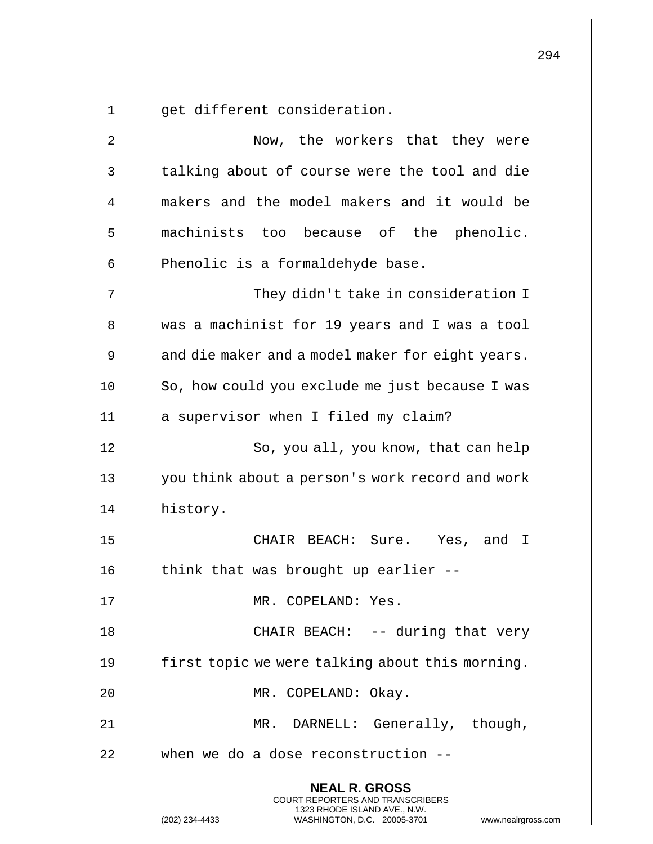294 **NEAL R. GROSS** COURT REPORTERS AND TRANSCRIBERS 1323 RHODE ISLAND AVE., N.W. 1 || qet different consideration. 2 || Wow, the workers that they were 3 | talking about of course were the tool and die 4 makers and the model makers and it would be 5 machinists too because of the phenolic.  $6$  || Phenolic is a formaldehyde base. 7 They didn't take in consideration I 8 Wext 8 a machinist for 19 years and I was a tool 9  $\parallel$  and die maker and a model maker for eight years. 10 | So, how could you exclude me just because I was 11 | a supervisor when I filed my claim? 12 || So, you all, you know, that can help 13 || you think about a person's work record and work 14 | history. 15 CHAIR BEACH: Sure. Yes, and I 16  $\parallel$  think that was brought up earlier --17 MR. COPELAND: Yes. 18 || CHAIR BEACH: -- during that very 19 | first topic we were talking about this morning. 20 MR. COPELAND: Okay. 21 MR. DARNELL: Generally, though,  $22$   $\parallel$  when we do a dose reconstruction --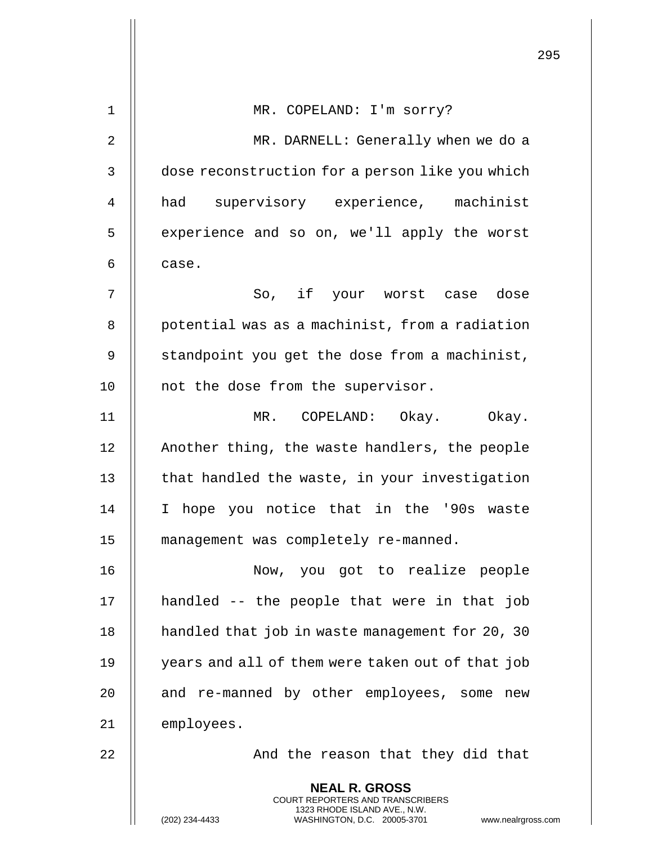|    |                                                                                                                                                                 | 295 |
|----|-----------------------------------------------------------------------------------------------------------------------------------------------------------------|-----|
| 1  | MR. COPELAND: I'm sorry?                                                                                                                                        |     |
| 2  | MR. DARNELL: Generally when we do a                                                                                                                             |     |
| 3  | dose reconstruction for a person like you which                                                                                                                 |     |
| 4  | had supervisory experience, machinist                                                                                                                           |     |
| 5  | experience and so on, we'll apply the worst                                                                                                                     |     |
| 6  | case.                                                                                                                                                           |     |
| 7  | So, if your worst case dose                                                                                                                                     |     |
| 8  | potential was as a machinist, from a radiation                                                                                                                  |     |
| 9  | standpoint you get the dose from a machinist,                                                                                                                   |     |
| 10 | not the dose from the supervisor.                                                                                                                               |     |
| 11 | MR. COPELAND: Okay. Okay.                                                                                                                                       |     |
| 12 | Another thing, the waste handlers, the people                                                                                                                   |     |
| 13 | that handled the waste, in your investigation                                                                                                                   |     |
| 14 | hope you notice that in the '90s waste<br>I.                                                                                                                    |     |
| 15 | management was completely re-manned.                                                                                                                            |     |
| 16 | Now, you got to realize people                                                                                                                                  |     |
| 17 | handled -- the people that were in that job                                                                                                                     |     |
| 18 | handled that job in waste management for 20, 30                                                                                                                 |     |
| 19 | years and all of them were taken out of that job                                                                                                                |     |
| 20 | and re-manned by other employees, some new                                                                                                                      |     |
| 21 | employees.                                                                                                                                                      |     |
| 22 | And the reason that they did that                                                                                                                               |     |
|    | <b>NEAL R. GROSS</b><br>COURT REPORTERS AND TRANSCRIBERS<br>1323 RHODE ISLAND AVE., N.W.<br>(202) 234-4433<br>WASHINGTON, D.C. 20005-3701<br>www.nealrgross.com |     |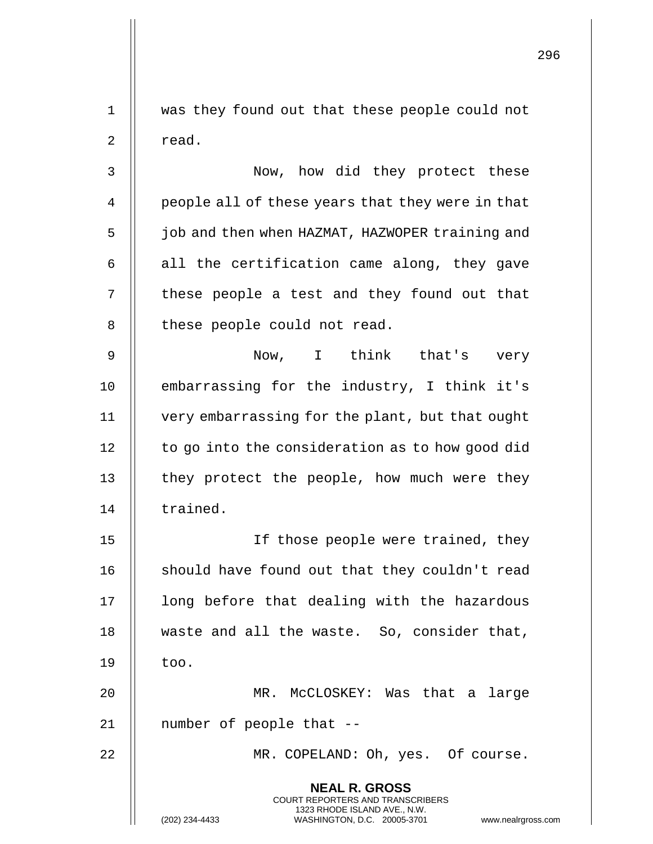**NEAL R. GROSS** COURT REPORTERS AND TRANSCRIBERS 1323 RHODE ISLAND AVE., N.W. (202) 234-4433 WASHINGTON, D.C. 20005-3701 www.nealrgross.com 1 was they found out that these people could not  $2 \parallel$  read. 3 Now, how did they protect these 4 | people all of these years that they were in that 5 | job and then when HAZMAT, HAZWOPER training and 6  $\parallel$  all the certification came along, they gave 7 || these people a test and they found out that 8 || these people could not read. 9 || Now, I think that's very 10 || embarrassing for the industry, I think it's 11 very embarrassing for the plant, but that ought  $12$  | to go into the consideration as to how good did 13 || they protect the people, how much were they 14 | trained. 15 If those people were trained, they 16 || should have found out that they couldn't read 17 || long before that dealing with the hazardous 18 waste and all the waste. So, consider that,  $19$   $\parallel$  too. 20 MR. McCLOSKEY: Was that a large 21 || number of people that --22 || MR. COPELAND: Oh, yes. Of course.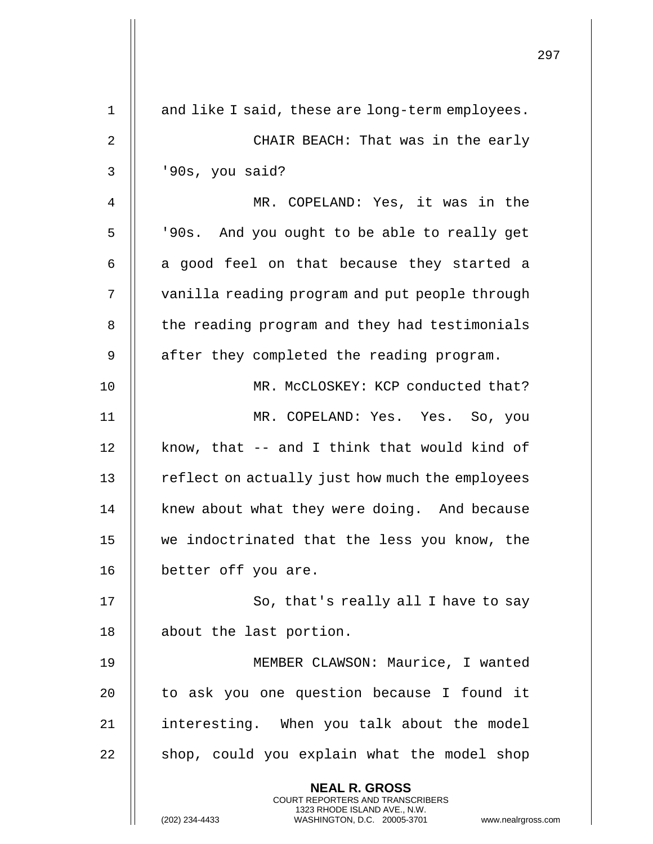|    |                                                                                                                                                                        | 297 |
|----|------------------------------------------------------------------------------------------------------------------------------------------------------------------------|-----|
| 1  | and like I said, these are long-term employees.                                                                                                                        |     |
| 2  | CHAIR BEACH: That was in the early                                                                                                                                     |     |
| 3  | '90s, you said?                                                                                                                                                        |     |
| 4  | MR. COPELAND: Yes, it was in the                                                                                                                                       |     |
| 5  | '90s. And you ought to be able to really get                                                                                                                           |     |
| 6  | a good feel on that because they started a                                                                                                                             |     |
| 7  | vanilla reading program and put people through                                                                                                                         |     |
| 8  | the reading program and they had testimonials                                                                                                                          |     |
| 9  | after they completed the reading program.                                                                                                                              |     |
| 10 | MR. McCLOSKEY: KCP conducted that?                                                                                                                                     |     |
| 11 | MR. COPELAND: Yes. Yes. So, you                                                                                                                                        |     |
| 12 | know, that -- and I think that would kind of                                                                                                                           |     |
| 13 | reflect on actually just how much the employees                                                                                                                        |     |
| 14 | knew about what they were doing. And because                                                                                                                           |     |
| 15 | we indoctrinated that the less you know, the                                                                                                                           |     |
| 16 | better off you are.                                                                                                                                                    |     |
| 17 | So, that's really all I have to say                                                                                                                                    |     |
| 18 | about the last portion.                                                                                                                                                |     |
| 19 | MEMBER CLAWSON: Maurice, I wanted                                                                                                                                      |     |
| 20 | to ask you one question because I found it                                                                                                                             |     |
| 21 | interesting. When you talk about the model                                                                                                                             |     |
| 22 | shop, could you explain what the model shop                                                                                                                            |     |
|    | <b>NEAL R. GROSS</b><br><b>COURT REPORTERS AND TRANSCRIBERS</b><br>1323 RHODE ISLAND AVE., N.W.<br>WASHINGTON, D.C. 20005-3701<br>(202) 234-4433<br>www.nealrgross.com |     |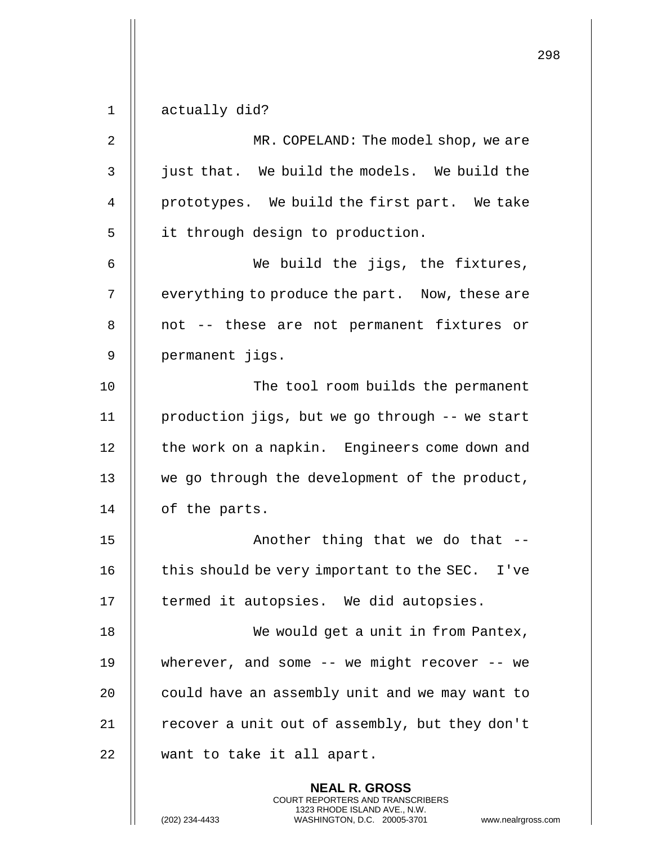$1 \parallel$  actually did?

| $\overline{2}$ | MR. COPELAND: The model shop, we are           |
|----------------|------------------------------------------------|
| 3              | just that. We build the models. We build the   |
| 4              | prototypes. We build the first part. We take   |
| 5              | it through design to production.               |
| 6              | We build the jigs, the fixtures,               |
| 7              | everything to produce the part. Now, these are |
| 8              | not -- these are not permanent fixtures or     |
| 9              | permanent jigs.                                |
| 10             | The tool room builds the permanent             |
| 11             | production jigs, but we go through -- we start |
| 12             | the work on a napkin. Engineers come down and  |
| 13             | we go through the development of the product,  |
| 14             | of the parts.                                  |
| 15             | Another thing that we do that --               |
| 16             | this should be very important to the SEC. I've |
| 17             | termed it autopsies. We did autopsies.         |
| 18             | We would get a unit in from Pantex,            |
| 19             | wherever, and some $-$ we might recover $-$ we |
| 20             | could have an assembly unit and we may want to |
| 21             | recover a unit out of assembly, but they don't |
| 22             | want to take it all apart.                     |
|                | <b>NEAL R. GROSS</b>                           |

COURT REPORTERS AND TRANSCRIBERS 1323 RHODE ISLAND AVE., N.W.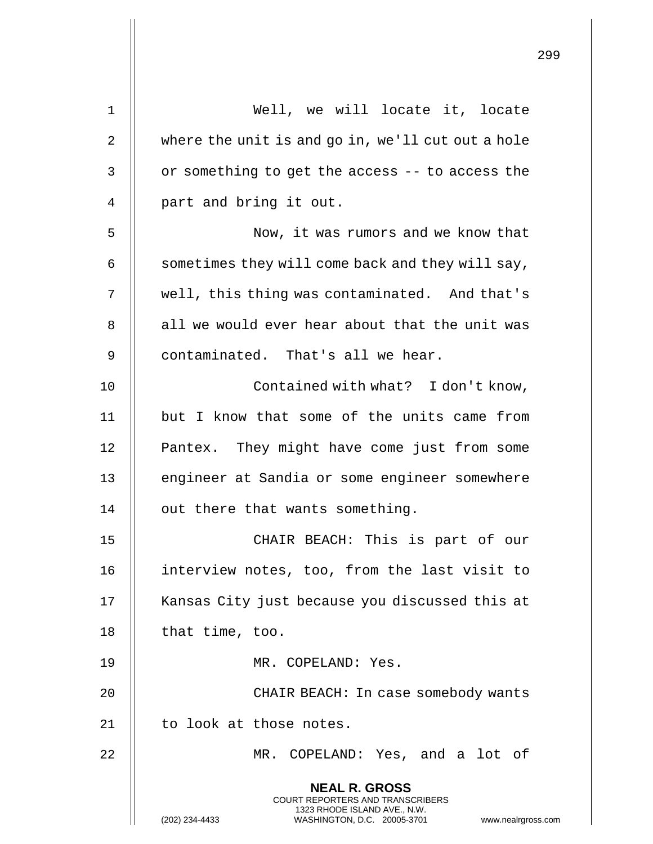| 1  | Well, we will locate it, locate                                                                                                                                 |
|----|-----------------------------------------------------------------------------------------------------------------------------------------------------------------|
| 2  | where the unit is and go in, we'll cut out a hole                                                                                                               |
| 3  | or something to get the access -- to access the                                                                                                                 |
| 4  | part and bring it out.                                                                                                                                          |
| 5  | Now, it was rumors and we know that                                                                                                                             |
| 6  | sometimes they will come back and they will say,                                                                                                                |
| 7  | well, this thing was contaminated. And that's                                                                                                                   |
| 8  | all we would ever hear about that the unit was                                                                                                                  |
| 9  | contaminated. That's all we hear.                                                                                                                               |
| 10 | Contained with what? I don't know,                                                                                                                              |
| 11 | but I know that some of the units came from                                                                                                                     |
| 12 | Pantex. They might have come just from some                                                                                                                     |
| 13 | engineer at Sandia or some engineer somewhere                                                                                                                   |
| 14 | out there that wants something.                                                                                                                                 |
| 15 | CHAIR BEACH: This is part of our                                                                                                                                |
| 16 | interview notes, too, from the last visit to                                                                                                                    |
| 17 | Kansas City just because you discussed this at                                                                                                                  |
| 18 | that time, too.                                                                                                                                                 |
| 19 | MR. COPELAND: Yes.                                                                                                                                              |
| 20 | CHAIR BEACH: In case somebody wants                                                                                                                             |
| 21 | to look at those notes.                                                                                                                                         |
| 22 | MR. COPELAND: Yes, and a lot of                                                                                                                                 |
|    | <b>NEAL R. GROSS</b><br>COURT REPORTERS AND TRANSCRIBERS<br>1323 RHODE ISLAND AVE., N.W.<br>(202) 234-4433<br>WASHINGTON, D.C. 20005-3701<br>www.nealrgross.com |

 $\mathsf{I}$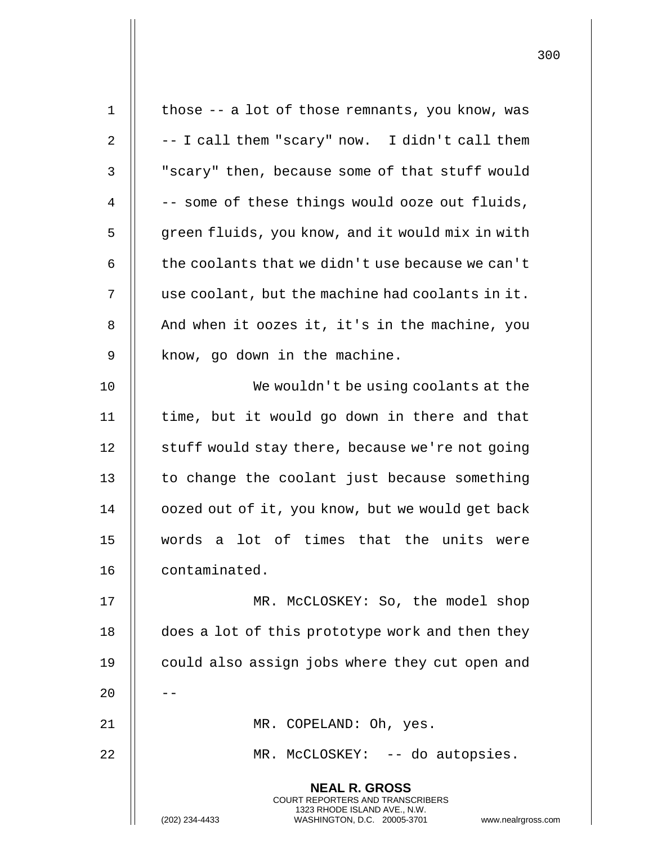| $\mathbf 1$ | those -- a lot of those remnants, you know, was                                                                                                                        |
|-------------|------------------------------------------------------------------------------------------------------------------------------------------------------------------------|
| 2           | -- I call them "scary" now. I didn't call them                                                                                                                         |
| 3           | "scary" then, because some of that stuff would                                                                                                                         |
| 4           | -- some of these things would ooze out fluids,                                                                                                                         |
| 5           | green fluids, you know, and it would mix in with                                                                                                                       |
| 6           | the coolants that we didn't use because we can't                                                                                                                       |
| 7           | use coolant, but the machine had coolants in it.                                                                                                                       |
| 8           | And when it oozes it, it's in the machine, you                                                                                                                         |
| 9           | know, go down in the machine.                                                                                                                                          |
| 10          | We wouldn't be using coolants at the                                                                                                                                   |
| 11          | time, but it would go down in there and that                                                                                                                           |
| 12          | stuff would stay there, because we're not going                                                                                                                        |
| 13          | to change the coolant just because something                                                                                                                           |
| 14          | oozed out of it, you know, but we would get back                                                                                                                       |
| 15          | words a lot of times that the units were                                                                                                                               |
| 16          | contaminated.                                                                                                                                                          |
| 17          | MR. McCLOSKEY: So, the model shop                                                                                                                                      |
| 18          | does a lot of this prototype work and then they                                                                                                                        |
| 19          | could also assign jobs where they cut open and                                                                                                                         |
| 20          |                                                                                                                                                                        |
| 21          | MR. COPELAND: Oh, yes.                                                                                                                                                 |
| 22          | MR. McCLOSKEY: -- do autopsies.                                                                                                                                        |
|             | <b>NEAL R. GROSS</b><br><b>COURT REPORTERS AND TRANSCRIBERS</b><br>1323 RHODE ISLAND AVE., N.W.<br>(202) 234-4433<br>WASHINGTON, D.C. 20005-3701<br>www.nealrgross.com |

 $\mathbf{I}$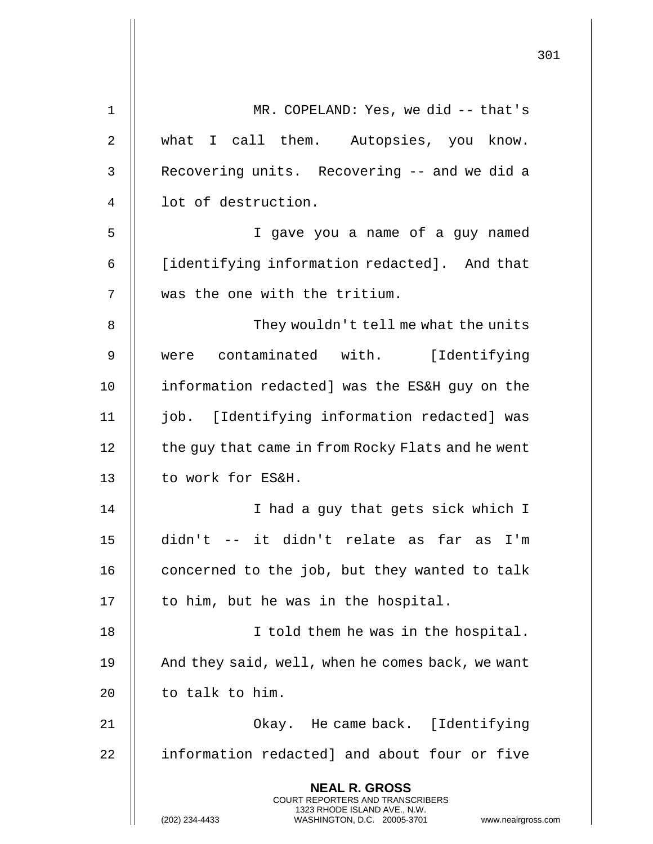|    |                                                                                                                                                                 | 301 |
|----|-----------------------------------------------------------------------------------------------------------------------------------------------------------------|-----|
| 1  | MR. COPELAND: Yes, we did -- that's                                                                                                                             |     |
| 2  | what I call them. Autopsies, you know.                                                                                                                          |     |
| 3  | Recovering units. Recovering -- and we did a                                                                                                                    |     |
| 4  | lot of destruction.                                                                                                                                             |     |
| 5  | I gave you a name of a guy named                                                                                                                                |     |
| 6  | [identifying information redacted]. And that                                                                                                                    |     |
| 7  | was the one with the tritium.                                                                                                                                   |     |
| 8  | They wouldn't tell me what the units                                                                                                                            |     |
| 9  | were contaminated with. [Identifying                                                                                                                            |     |
| 10 | information redacted] was the ES&H guy on the                                                                                                                   |     |
| 11 | job. [Identifying information redacted] was                                                                                                                     |     |
| 12 | the guy that came in from Rocky Flats and he went                                                                                                               |     |
| 13 | to work for ES&H.                                                                                                                                               |     |
| 14 | I had a guy that gets sick which I                                                                                                                              |     |
| 15 | didn't -- it didn't relate as far as I'm                                                                                                                        |     |
| 16 | concerned to the job, but they wanted to talk                                                                                                                   |     |
| 17 | to him, but he was in the hospital.                                                                                                                             |     |
| 18 | I told them he was in the hospital.                                                                                                                             |     |
| 19 | And they said, well, when he comes back, we want                                                                                                                |     |
| 20 | to talk to him.                                                                                                                                                 |     |
| 21 | Okay. He came back. [Identifying                                                                                                                                |     |
| 22 | information redacted] and about four or five                                                                                                                    |     |
|    | <b>NEAL R. GROSS</b><br>COURT REPORTERS AND TRANSCRIBERS<br>1323 RHODE ISLAND AVE., N.W.<br>(202) 234-4433<br>WASHINGTON, D.C. 20005-3701<br>www.nealrgross.com |     |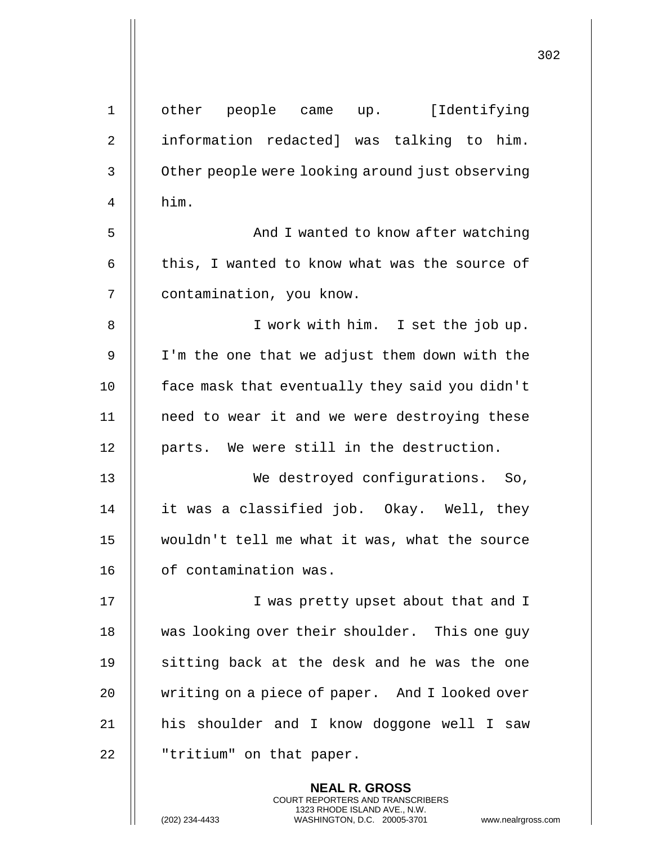| $\mathbf 1$    | other people came up. [Identifying              |
|----------------|-------------------------------------------------|
| $\overline{2}$ | information redacted] was talking to him.       |
| 3              | Other people were looking around just observing |
| 4              | him.                                            |
| 5              | And I wanted to know after watching             |
| 6              | this, I wanted to know what was the source of   |
| 7              | contamination, you know.                        |
| 8              | I work with him. I set the job up.              |
| 9              | I'm the one that we adjust them down with the   |
| 10             | face mask that eventually they said you didn't  |
| 11             | need to wear it and we were destroying these    |
| 12             | parts. We were still in the destruction.        |
| 13             | We destroyed configurations. So,                |
| 14             | it was a classified job. Okay. Well, they       |
| 15             | wouldn't tell me what it was, what the source   |
| 16             | of contamination was.                           |
| 17             | I was pretty upset about that and I             |
| 18             | was looking over their shoulder. This one guy   |
| 19             | sitting back at the desk and he was the one     |
| 20             | writing on a piece of paper. And I looked over  |
| 21             | his shoulder and I know doggone well I saw      |
| 22             | "tritium" on that paper.                        |
|                | <b>NEAL R. GROSS</b>                            |

COURT REPORTERS AND TRANSCRIBERS 1323 RHODE ISLAND AVE., N.W.

(202) 234-4433 WASHINGTON, D.C. 20005-3701 www.nealrgross.com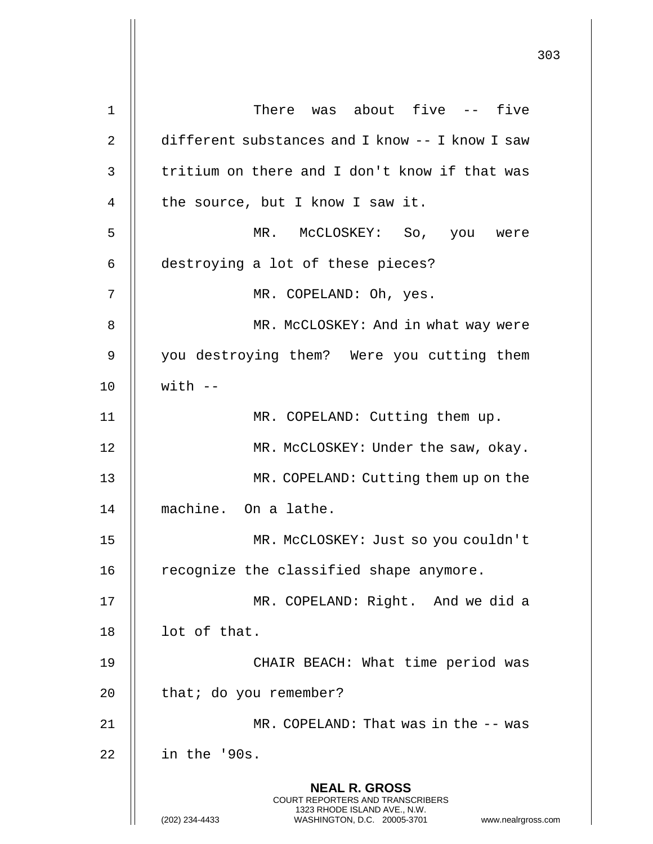| 1  | There was about five -- five                                                             |
|----|------------------------------------------------------------------------------------------|
| 2  | different substances and I know -- I know I saw                                          |
| 3  | tritium on there and I don't know if that was                                            |
| 4  | the source, but I know I saw it.                                                         |
|    |                                                                                          |
| 5  | MR. MCCLOSKEY: So, you were                                                              |
| 6  | destroying a lot of these pieces?                                                        |
| 7  | MR. COPELAND: Oh, yes.                                                                   |
| 8  | MR. McCLOSKEY: And in what way were                                                      |
| 9  | you destroying them? Were you cutting them                                               |
| 10 | $with --$                                                                                |
| 11 | MR. COPELAND: Cutting them up.                                                           |
| 12 | MR. McCLOSKEY: Under the saw, okay.                                                      |
| 13 | MR. COPELAND: Cutting them up on the                                                     |
| 14 | machine. On a lathe.                                                                     |
| 15 | MR. MCCLOSKEY: Just so you couldn't                                                      |
| 16 | recognize the classified shape anymore.                                                  |
| 17 | MR. COPELAND: Right. And we did a                                                        |
| 18 | lot of that.                                                                             |
| 19 | CHAIR BEACH: What time period was                                                        |
| 20 | that; do you remember?                                                                   |
| 21 | MR. COPELAND: That was in the -- was                                                     |
| 22 | in the '90s.                                                                             |
|    | <b>NEAL R. GROSS</b><br>COURT REPORTERS AND TRANSCRIBERS<br>1323 RHODE ISLAND AVE., N.W. |
|    | (202) 234-4433<br>WASHINGTON, D.C. 20005-3701<br>www.nealrgross.com                      |

 $\mathbf{\mathsf{H}}$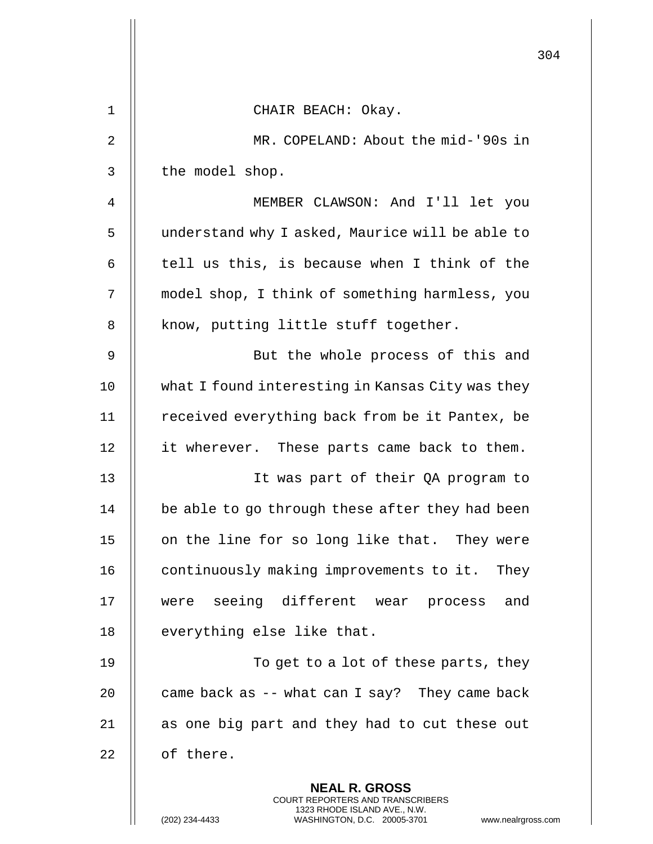|    |                                                                                                                                                                 | 304 |
|----|-----------------------------------------------------------------------------------------------------------------------------------------------------------------|-----|
| 1  | CHAIR BEACH: Okay.                                                                                                                                              |     |
| 2  | MR. COPELAND: About the mid-'90s in                                                                                                                             |     |
| 3  | the model shop.                                                                                                                                                 |     |
| 4  | MEMBER CLAWSON: And I'll let you                                                                                                                                |     |
| 5  | understand why I asked, Maurice will be able to                                                                                                                 |     |
| 6  | tell us this, is because when I think of the                                                                                                                    |     |
| 7  | model shop, I think of something harmless, you                                                                                                                  |     |
| 8  | know, putting little stuff together.                                                                                                                            |     |
| 9  | But the whole process of this and                                                                                                                               |     |
| 10 | what I found interesting in Kansas City was they                                                                                                                |     |
| 11 | received everything back from be it Pantex, be                                                                                                                  |     |
| 12 | it wherever. These parts came back to them.                                                                                                                     |     |
| 13 | It was part of their QA program to                                                                                                                              |     |
| 14 | be able to go through these after they had been                                                                                                                 |     |
| 15 | on the line for so long like that. They were                                                                                                                    |     |
| 16 | continuously making improvements to it. They                                                                                                                    |     |
| 17 | were seeing different wear process and                                                                                                                          |     |
| 18 | everything else like that.                                                                                                                                      |     |
| 19 | To get to a lot of these parts, they                                                                                                                            |     |
| 20 | came back as -- what can I say? They came back                                                                                                                  |     |
| 21 | as one big part and they had to cut these out                                                                                                                   |     |
| 22 | of there.                                                                                                                                                       |     |
|    | <b>NEAL R. GROSS</b><br>COURT REPORTERS AND TRANSCRIBERS<br>1323 RHODE ISLAND AVE., N.W.<br>(202) 234-4433<br>WASHINGTON, D.C. 20005-3701<br>www.nealrgross.com |     |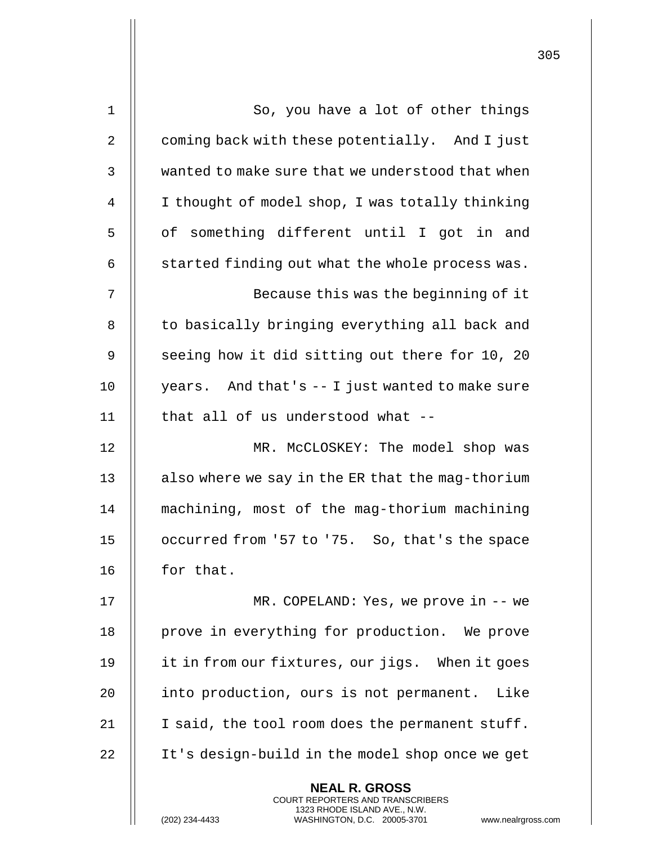| $\mathbf 1$    | So, you have a lot of other things                                                                                                                                |
|----------------|-------------------------------------------------------------------------------------------------------------------------------------------------------------------|
| 2              | coming back with these potentially. And I just                                                                                                                    |
| 3              | wanted to make sure that we understood that when                                                                                                                  |
| $\overline{4}$ | I thought of model shop, I was totally thinking                                                                                                                   |
| 5              | of something different until I got in and                                                                                                                         |
| 6              | started finding out what the whole process was.                                                                                                                   |
| 7              | Because this was the beginning of it                                                                                                                              |
| 8              | to basically bringing everything all back and                                                                                                                     |
| 9              | seeing how it did sitting out there for 10, 20                                                                                                                    |
| 10             | years. And that's -- I just wanted to make sure                                                                                                                   |
| 11             | that all of us understood what --                                                                                                                                 |
| 12             | MR. McCLOSKEY: The model shop was                                                                                                                                 |
| 13             | also where we say in the ER that the mag-thorium                                                                                                                  |
| 14             | machining, most of the mag-thorium machining                                                                                                                      |
| 15             | occurred from '57 to '75. So, that's the space                                                                                                                    |
| 16             | for that.                                                                                                                                                         |
| 17             | $MR. COPELAND: Yes, we prove in -- we$                                                                                                                            |
| 18             | prove in everything for production. We prove                                                                                                                      |
| 19             | it in from our fixtures, our jigs. When it goes                                                                                                                   |
| 20             | into production, ours is not permanent. Like                                                                                                                      |
| 21             | I said, the tool room does the permanent stuff.                                                                                                                   |
| 22             | It's design-build in the model shop once we get                                                                                                                   |
|                | <b>NEAL R. GROSS</b><br><b>COURT REPORTERS AND TRANSCRIBERS</b><br>1323 RHODE ISLAND AVE., N.W.<br>(202) 234-4433<br>WASHINGTON, D.C. 20005-3701<br>www.nealrgros |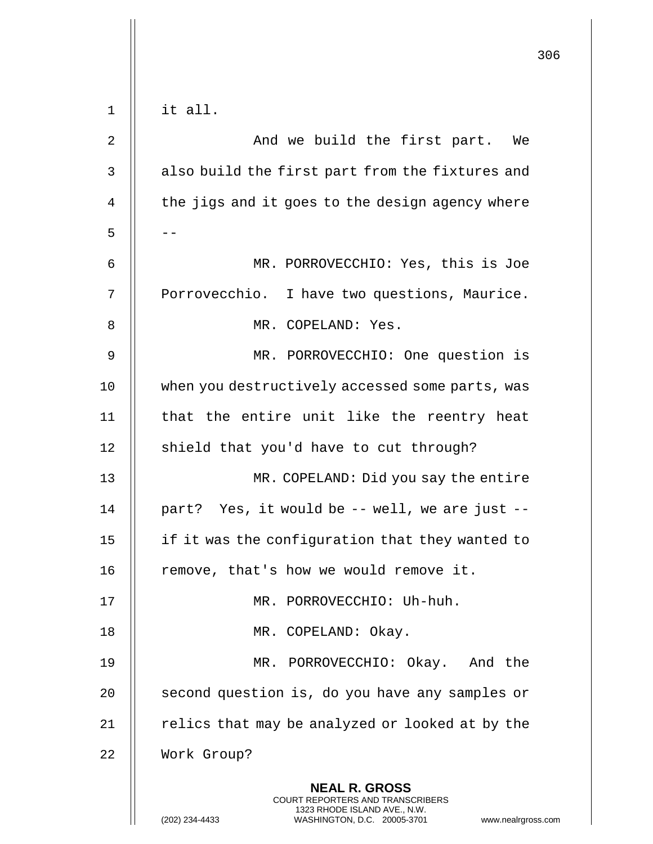|       |                                                                                          | 306 |
|-------|------------------------------------------------------------------------------------------|-----|
|       |                                                                                          |     |
| $1\,$ | it all.                                                                                  |     |
| 2     | And we build the first part. We                                                          |     |
| 3     | also build the first part from the fixtures and                                          |     |
| 4     | the jigs and it goes to the design agency where                                          |     |
| 5     |                                                                                          |     |
| 6     | MR. PORROVECCHIO: Yes, this is Joe                                                       |     |
| 7     | Porrovecchio. I have two questions, Maurice.                                             |     |
| 8     | MR. COPELAND: Yes.                                                                       |     |
| 9     | MR. PORROVECCHIO: One question is                                                        |     |
| 10    | when you destructively accessed some parts, was                                          |     |
| 11    | that the entire unit like the reentry heat                                               |     |
| 12    | shield that you'd have to cut through?                                                   |     |
| 13    | MR. COPELAND: Did you say the entire                                                     |     |
| 14    | part? Yes, it would be -- well, we are just --                                           |     |
| 15    | if it was the configuration that they wanted to                                          |     |
| 16    | remove, that's how we would remove it.                                                   |     |
| 17    | MR. PORROVECCHIO: Uh-huh.                                                                |     |
| 18    | MR. COPELAND: Okay.                                                                      |     |
| 19    | MR. PORROVECCHIO: Okay. And the                                                          |     |
| 20    | second question is, do you have any samples or                                           |     |
| 21    | relics that may be analyzed or looked at by the                                          |     |
| 22    | Work Group?                                                                              |     |
|       | <b>NEAL R. GROSS</b><br>COURT REPORTERS AND TRANSCRIBERS<br>1323 RHODE ISLAND AVE., N.W. |     |
|       | (202) 234-4433<br>WASHINGTON, D.C. 20005-3701<br>www.nealrgross.com                      |     |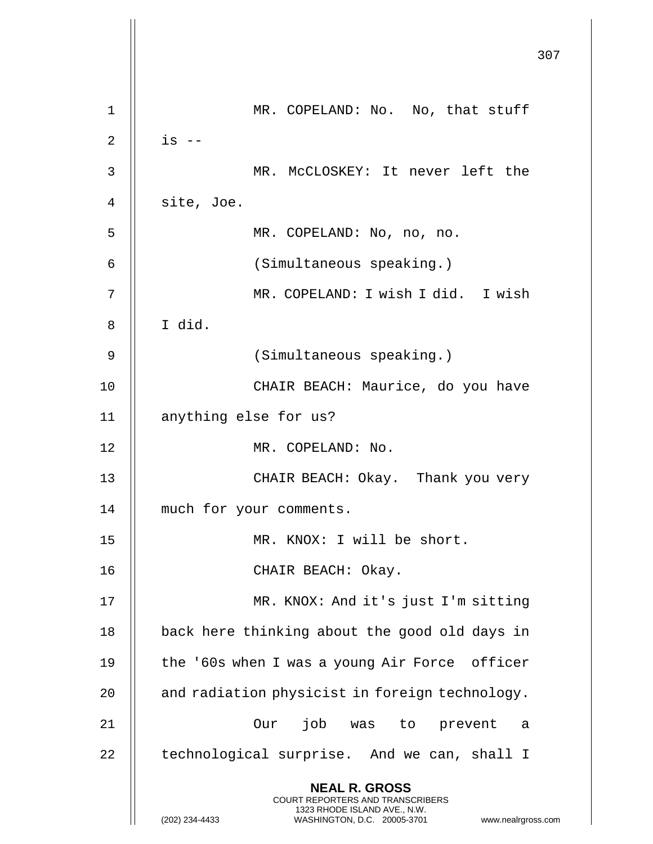|    |                                                                                                                                                                        | 307 |
|----|------------------------------------------------------------------------------------------------------------------------------------------------------------------------|-----|
| 1  | MR. COPELAND: No. No, that stuff                                                                                                                                       |     |
| 2  | $is$ --                                                                                                                                                                |     |
| 3  | MR. McCLOSKEY: It never left the                                                                                                                                       |     |
| 4  | site, Joe.                                                                                                                                                             |     |
| 5  | MR. COPELAND: No, no, no.                                                                                                                                              |     |
| 6  | (Simultaneous speaking.)                                                                                                                                               |     |
| 7  | MR. COPELAND: I wish I did. I wish                                                                                                                                     |     |
| 8  | I did.                                                                                                                                                                 |     |
| 9  | (Simultaneous speaking.)                                                                                                                                               |     |
| 10 | CHAIR BEACH: Maurice, do you have                                                                                                                                      |     |
| 11 | anything else for us?                                                                                                                                                  |     |
| 12 | MR. COPELAND: No.                                                                                                                                                      |     |
| 13 | CHAIR BEACH: Okay. Thank you very                                                                                                                                      |     |
| 14 | much for your comments.                                                                                                                                                |     |
| 15 | MR. KNOX: I will be short.                                                                                                                                             |     |
| 16 | CHAIR BEACH: Okay.                                                                                                                                                     |     |
| 17 | MR. KNOX: And it's just I'm sitting                                                                                                                                    |     |
| 18 | back here thinking about the good old days in                                                                                                                          |     |
|    |                                                                                                                                                                        |     |
| 19 | the '60s when I was a young Air Force officer                                                                                                                          |     |
| 20 | and radiation physicist in foreign technology.                                                                                                                         |     |
| 21 | Our job was to prevent<br>- a                                                                                                                                          |     |
| 22 | technological surprise. And we can, shall I                                                                                                                            |     |
|    | <b>NEAL R. GROSS</b><br><b>COURT REPORTERS AND TRANSCRIBERS</b><br>1323 RHODE ISLAND AVE., N.W.<br>(202) 234-4433<br>WASHINGTON, D.C. 20005-3701<br>www.nealrgross.com |     |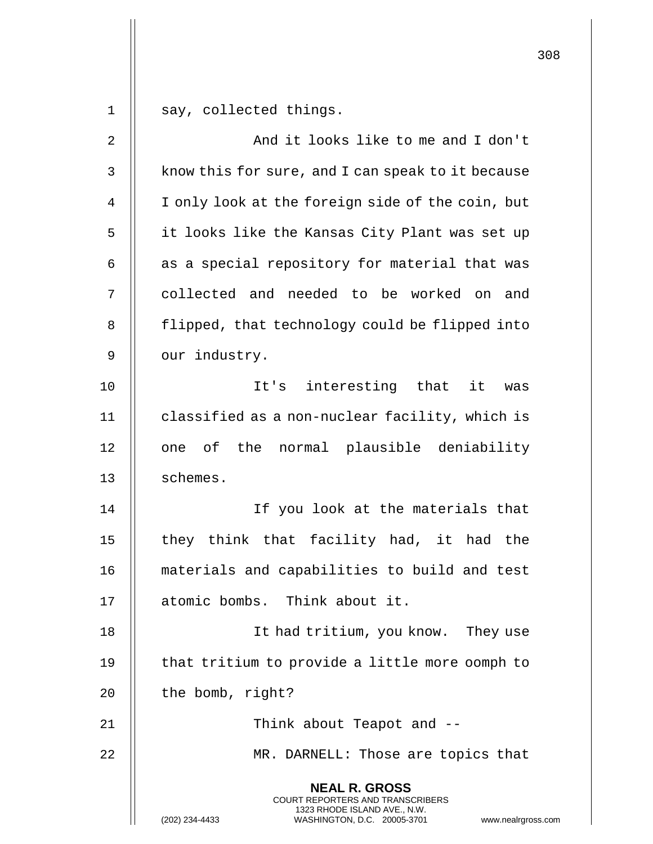|    |                                                                                                                                                                 | 308 |
|----|-----------------------------------------------------------------------------------------------------------------------------------------------------------------|-----|
| 1  | say, collected things.                                                                                                                                          |     |
| 2  | And it looks like to me and I don't                                                                                                                             |     |
| 3  | know this for sure, and I can speak to it because                                                                                                               |     |
| 4  | I only look at the foreign side of the coin, but                                                                                                                |     |
| 5  | it looks like the Kansas City Plant was set up                                                                                                                  |     |
| 6  | as a special repository for material that was                                                                                                                   |     |
| 7  | collected and needed to be worked on and                                                                                                                        |     |
| 8  | flipped, that technology could be flipped into                                                                                                                  |     |
| 9  | our industry.                                                                                                                                                   |     |
| 10 | It's interesting that<br>it<br>was                                                                                                                              |     |
| 11 | classified as a non-nuclear facility, which is                                                                                                                  |     |
| 12 | one of the normal plausible deniability                                                                                                                         |     |
| 13 | schemes.                                                                                                                                                        |     |
| 14 | If you look at the materials that                                                                                                                               |     |
| 15 | they think that facility had, it had the                                                                                                                        |     |
| 16 | materials and capabilities to build and test                                                                                                                    |     |
| 17 | atomic bombs. Think about it.                                                                                                                                   |     |
| 18 | It had tritium, you know. They use                                                                                                                              |     |
| 19 | that tritium to provide a little more oomph to                                                                                                                  |     |
| 20 | the bomb, right?                                                                                                                                                |     |
| 21 | Think about Teapot and --                                                                                                                                       |     |
| 22 | MR. DARNELL: Those are topics that                                                                                                                              |     |
|    | <b>NEAL R. GROSS</b><br>COURT REPORTERS AND TRANSCRIBERS<br>1323 RHODE ISLAND AVE., N.W.<br>(202) 234-4433<br>WASHINGTON, D.C. 20005-3701<br>www.nealrgross.com |     |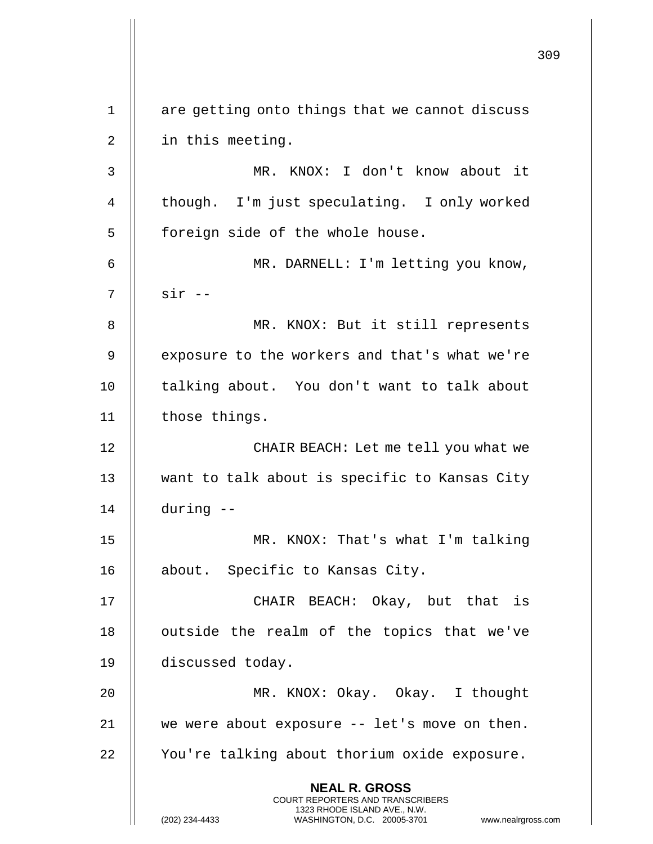**NEAL R. GROSS** COURT REPORTERS AND TRANSCRIBERS 1323 RHODE ISLAND AVE., N.W. (202) 234-4433 WASHINGTON, D.C. 20005-3701 www.nealrgross.com  $1$  | are getting onto things that we cannot discuss 2 | in this meeting. 3 MR. KNOX: I don't know about it 4 | though. I'm just speculating. I only worked 5 | foreign side of the whole house. 6 MR. DARNELL: I'm letting you know, 7 || sir --8 MR. KNOX: But it still represents 9 | exposure to the workers and that's what we're 10 || talking about. You don't want to talk about 11 | those things. 12 || CHAIR BEACH: Let me tell you what we 13 want to talk about is specific to Kansas City 14 during -- 15 MR. KNOX: That's what I'm talking 16 || about. Specific to Kansas City. 17 CHAIR BEACH: Okay, but that is 18 || outside the realm of the topics that we've 19 discussed today. 20 MR. KNOX: Okay. Okay. I thought 21  $\parallel$  we were about exposure  $-$  let's move on then. 22 | You're talking about thorium oxide exposure.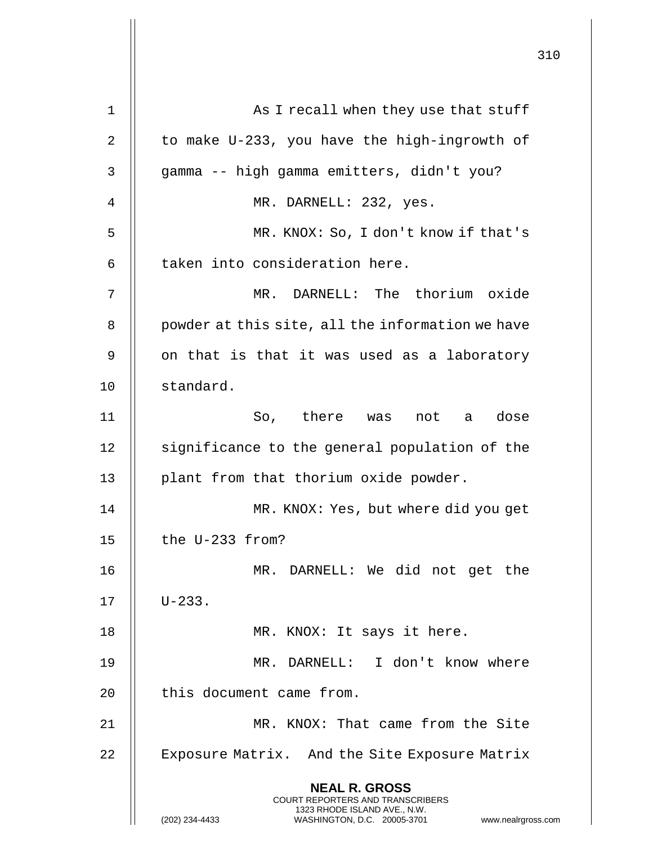|    |                                                                                                                                                                        | 310 |
|----|------------------------------------------------------------------------------------------------------------------------------------------------------------------------|-----|
| 1  | As I recall when they use that stuff                                                                                                                                   |     |
| 2  | to make U-233, you have the high-ingrowth of                                                                                                                           |     |
| 3  | gamma -- high gamma emitters, didn't you?                                                                                                                              |     |
| 4  | MR. DARNELL: 232, yes.                                                                                                                                                 |     |
| 5  | MR. KNOX: So, I don't know if that's                                                                                                                                   |     |
| 6  | taken into consideration here.                                                                                                                                         |     |
| 7  | MR. DARNELL: The thorium oxide                                                                                                                                         |     |
| 8  | powder at this site, all the information we have                                                                                                                       |     |
| 9  | on that is that it was used as a laboratory                                                                                                                            |     |
| 10 | standard.                                                                                                                                                              |     |
| 11 | So, there was not a<br>dose                                                                                                                                            |     |
| 12 | significance to the general population of the                                                                                                                          |     |
| 13 | plant from that thorium oxide powder.                                                                                                                                  |     |
| 14 | MR. KNOX: Yes, but where did you get                                                                                                                                   |     |
| 15 | the U-233 from?                                                                                                                                                        |     |
| 16 | MR. DARNELL: We did not get the                                                                                                                                        |     |
| 17 | $U - 233$ .                                                                                                                                                            |     |
| 18 | MR. KNOX: It says it here.                                                                                                                                             |     |
| 19 | MR. DARNELL: I don't know where                                                                                                                                        |     |
| 20 | this document came from.                                                                                                                                               |     |
| 21 | MR. KNOX: That came from the Site                                                                                                                                      |     |
| 22 | Exposure Matrix. And the Site Exposure Matrix                                                                                                                          |     |
|    | <b>NEAL R. GROSS</b><br><b>COURT REPORTERS AND TRANSCRIBERS</b><br>1323 RHODE ISLAND AVE., N.W.<br>(202) 234-4433<br>WASHINGTON, D.C. 20005-3701<br>www.nealrgross.com |     |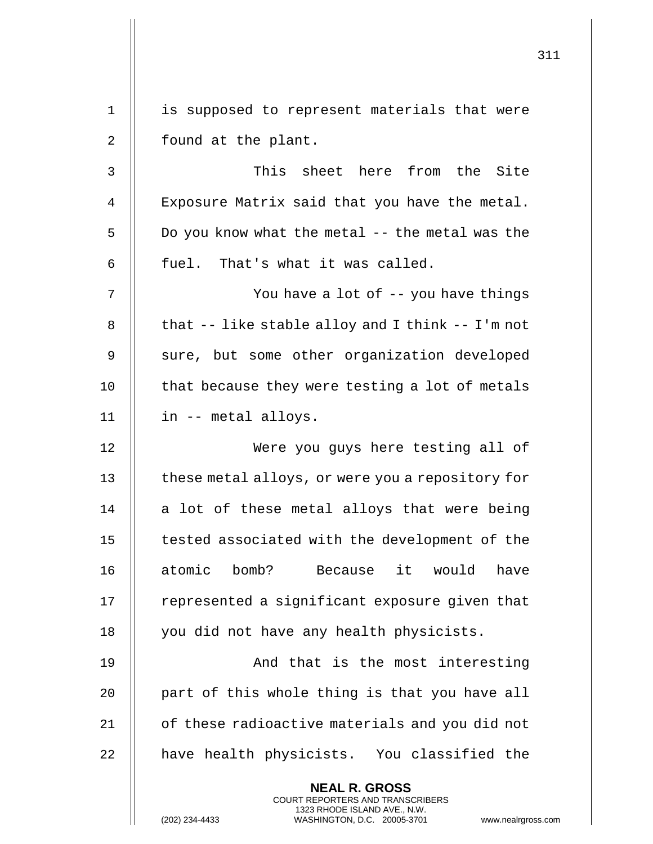311 **NEAL R. GROSS** COURT REPORTERS AND TRANSCRIBERS 1323 RHODE ISLAND AVE., N.W. 1 || is supposed to represent materials that were 2 || found at the plant. 3 This sheet here from the Site 4 || Exposure Matrix said that you have the metal. 5 | Do you know what the metal -- the metal was the  $6$  || fuel. That's what it was called. 7 || You have a lot of -- you have things 8  $\parallel$  that -- like stable alloy and I think -- I'm not 9 || sure, but some other organization developed  $10$  | that because they were testing a lot of metals 11 in -- metal alloys. 12 Were you guys here testing all of 13 | these metal alloys, or were you a repository for 14  $\parallel$  a lot of these metal alloys that were being 15 | tested associated with the development of the 16 atomic bomb? Because it would have 17 || represented a significant exposure given that 18 || you did not have any health physicists. 19 || And that is the most interesting 20  $\parallel$  part of this whole thing is that you have all 21 | of these radioactive materials and you did not 22 || have health physicists. You classified the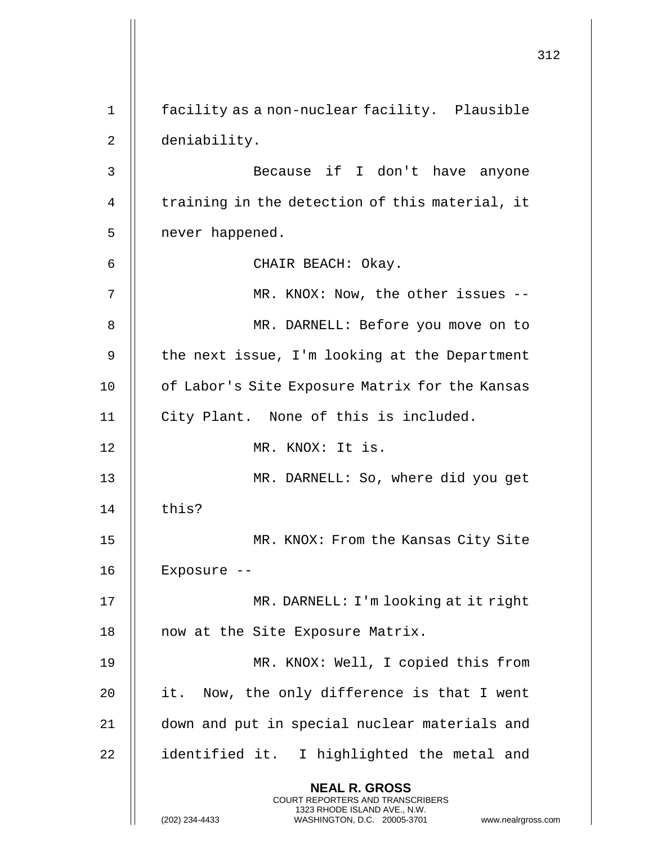|    |                                                                                                                                                                        | 312 |
|----|------------------------------------------------------------------------------------------------------------------------------------------------------------------------|-----|
| 1  | facility as a non-nuclear facility. Plausible                                                                                                                          |     |
| 2  | deniability.                                                                                                                                                           |     |
| 3  | Because if I don't have anyone                                                                                                                                         |     |
| 4  | training in the detection of this material, it                                                                                                                         |     |
| 5  | never happened.                                                                                                                                                        |     |
| 6  | CHAIR BEACH: Okay.                                                                                                                                                     |     |
| 7  | MR. KNOX: Now, the other issues --                                                                                                                                     |     |
| 8  | MR. DARNELL: Before you move on to                                                                                                                                     |     |
| 9  | the next issue, I'm looking at the Department                                                                                                                          |     |
| 10 | of Labor's Site Exposure Matrix for the Kansas                                                                                                                         |     |
| 11 | City Plant. None of this is included.                                                                                                                                  |     |
| 12 | MR. KNOX: It is.                                                                                                                                                       |     |
|    |                                                                                                                                                                        |     |
| 13 | MR. DARNELL: So, where did you get                                                                                                                                     |     |
| 14 | this?                                                                                                                                                                  |     |
| 15 | MR. KNOX: From the Kansas City Site                                                                                                                                    |     |
| 16 | Exposure --                                                                                                                                                            |     |
| 17 | MR. DARNELL: I'm looking at it right                                                                                                                                   |     |
| 18 | now at the Site Exposure Matrix.                                                                                                                                       |     |
| 19 | MR. KNOX: Well, I copied this from                                                                                                                                     |     |
| 20 | it. Now, the only difference is that I went                                                                                                                            |     |
| 21 | down and put in special nuclear materials and                                                                                                                          |     |
| 22 | identified it. I highlighted the metal and                                                                                                                             |     |
|    | <b>NEAL R. GROSS</b><br><b>COURT REPORTERS AND TRANSCRIBERS</b><br>1323 RHODE ISLAND AVE., N.W.<br>(202) 234-4433<br>WASHINGTON, D.C. 20005-3701<br>www.nealrgross.com |     |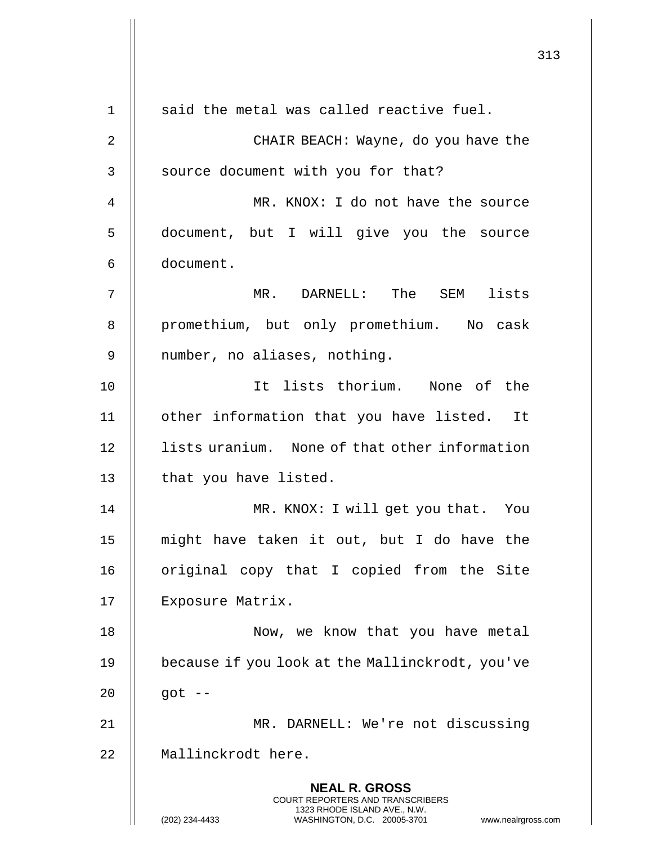|             |                                                                                                                                                                        | 313 |
|-------------|------------------------------------------------------------------------------------------------------------------------------------------------------------------------|-----|
| $\mathbf 1$ | said the metal was called reactive fuel.                                                                                                                               |     |
| 2           | CHAIR BEACH: Wayne, do you have the                                                                                                                                    |     |
| 3           | source document with you for that?                                                                                                                                     |     |
| 4           | MR. KNOX: I do not have the source                                                                                                                                     |     |
| 5           | document, but I will give you the source                                                                                                                               |     |
| 6           | document.                                                                                                                                                              |     |
| 7           | MR. DARNELL: The SEM lists                                                                                                                                             |     |
| 8           | promethium, but only promethium. No cask                                                                                                                               |     |
| 9           | number, no aliases, nothing.                                                                                                                                           |     |
| 10          | It lists thorium. None of the                                                                                                                                          |     |
| 11          | other information that you have listed. It                                                                                                                             |     |
| 12          | lists uranium. None of that other information                                                                                                                          |     |
| 13          | that you have listed.                                                                                                                                                  |     |
| 14          | MR. KNOX: I will get you that. You                                                                                                                                     |     |
| 15          | might have taken it out, but I do have the                                                                                                                             |     |
| 16          | original copy that I copied from the Site                                                                                                                              |     |
| 17          | Exposure Matrix.                                                                                                                                                       |     |
| 18          | Now, we know that you have metal                                                                                                                                       |     |
| 19          | because if you look at the Mallinckrodt, you've                                                                                                                        |     |
| 20          | $got$ --                                                                                                                                                               |     |
| 21          | MR. DARNELL: We're not discussing                                                                                                                                      |     |
| 22          | Mallinckrodt here.                                                                                                                                                     |     |
|             | <b>NEAL R. GROSS</b><br><b>COURT REPORTERS AND TRANSCRIBERS</b><br>1323 RHODE ISLAND AVE., N.W.<br>(202) 234-4433<br>WASHINGTON, D.C. 20005-3701<br>www.nealrgross.com |     |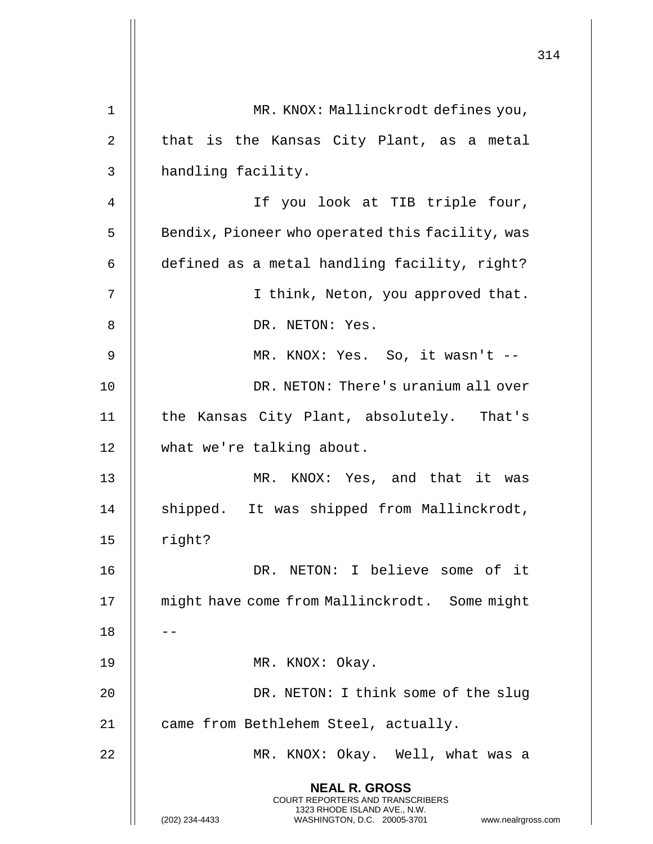|                                                                                                 | 314                                                                 |
|-------------------------------------------------------------------------------------------------|---------------------------------------------------------------------|
| MR. KNOX: Mallinckrodt defines you,                                                             |                                                                     |
| that is the Kansas City Plant, as a metal                                                       |                                                                     |
| handling facility.                                                                              |                                                                     |
| If you look at TIB triple four,                                                                 |                                                                     |
| Bendix, Pioneer who operated this facility, was                                                 |                                                                     |
| defined as a metal handling facility, right?                                                    |                                                                     |
| I think, Neton, you approved that.                                                              |                                                                     |
| DR. NETON: Yes.                                                                                 |                                                                     |
| MR. KNOX: Yes. So, it wasn't --                                                                 |                                                                     |
| DR. NETON: There's uranium all over                                                             |                                                                     |
| the Kansas City Plant, absolutely. That's                                                       |                                                                     |
| what we're talking about.                                                                       |                                                                     |
| KNOX: Yes, and that it was<br>MR.                                                               |                                                                     |
| shipped. It was shipped from Mallinckrodt,                                                      |                                                                     |
| right?                                                                                          |                                                                     |
| DR. NETON: I believe some of it                                                                 |                                                                     |
| might have come from Mallinckrodt. Some might                                                   |                                                                     |
|                                                                                                 |                                                                     |
| MR. KNOX: Okay.                                                                                 |                                                                     |
| DR. NETON: I think some of the slug                                                             |                                                                     |
| came from Bethlehem Steel, actually.                                                            |                                                                     |
| MR. KNOX: Okay. Well, what was a                                                                |                                                                     |
| <b>NEAL R. GROSS</b><br><b>COURT REPORTERS AND TRANSCRIBERS</b><br>1323 RHODE ISLAND AVE., N.W. |                                                                     |
|                                                                                                 | (202) 234-4433<br>WASHINGTON, D.C. 20005-3701<br>www.nealrgross.com |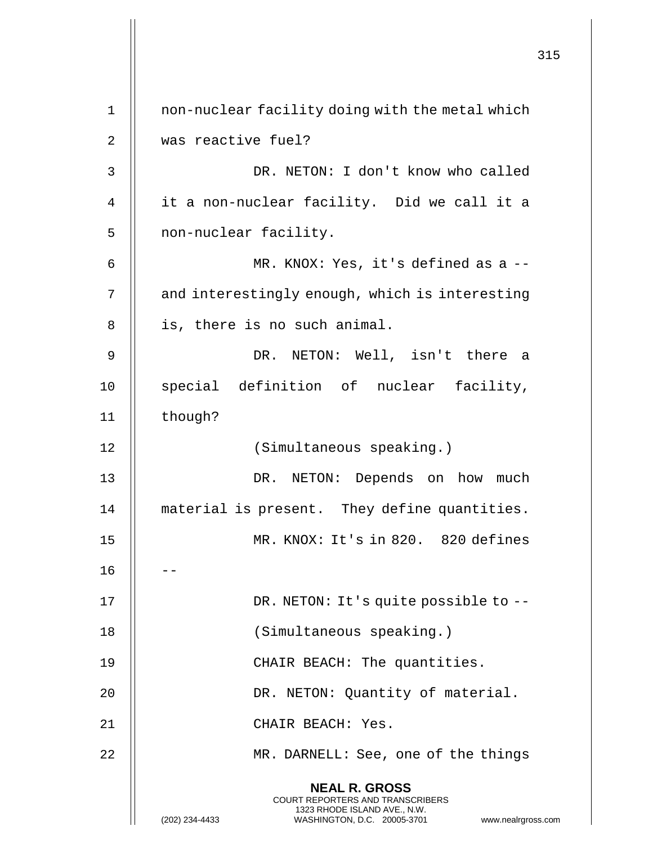|             |                                                                                                                                                                        | 315 |
|-------------|------------------------------------------------------------------------------------------------------------------------------------------------------------------------|-----|
| $\mathbf 1$ | non-nuclear facility doing with the metal which                                                                                                                        |     |
| 2           | was reactive fuel?                                                                                                                                                     |     |
| 3           | DR. NETON: I don't know who called                                                                                                                                     |     |
| 4           | it a non-nuclear facility. Did we call it a                                                                                                                            |     |
| 5           | non-nuclear facility.                                                                                                                                                  |     |
|             |                                                                                                                                                                        |     |
| 6           | MR. KNOX: Yes, it's defined as a --                                                                                                                                    |     |
| 7           | and interestingly enough, which is interesting                                                                                                                         |     |
| 8           | is, there is no such animal.                                                                                                                                           |     |
| 9           | DR. NETON: Well, isn't there a                                                                                                                                         |     |
| 10          | special definition of nuclear facility,                                                                                                                                |     |
| 11          | though?                                                                                                                                                                |     |
| 12          | (Simultaneous speaking.)                                                                                                                                               |     |
| 13          | DR. NETON: Depends on how much                                                                                                                                         |     |
| 14          | material is present. They define quantities.                                                                                                                           |     |
| 15          | MR. KNOX: It's in 820. 820 defines                                                                                                                                     |     |
| 16          |                                                                                                                                                                        |     |
| 17          | DR. NETON: It's quite possible to --                                                                                                                                   |     |
| 18          | (Simultaneous speaking.)                                                                                                                                               |     |
| 19          | CHAIR BEACH: The quantities.                                                                                                                                           |     |
| 20          | DR. NETON: Quantity of material.                                                                                                                                       |     |
| 21          | CHAIR BEACH: Yes.                                                                                                                                                      |     |
| 22          | MR. DARNELL: See, one of the things                                                                                                                                    |     |
|             | <b>NEAL R. GROSS</b><br><b>COURT REPORTERS AND TRANSCRIBERS</b><br>1323 RHODE ISLAND AVE., N.W.<br>(202) 234-4433<br>WASHINGTON, D.C. 20005-3701<br>www.nealrgross.com |     |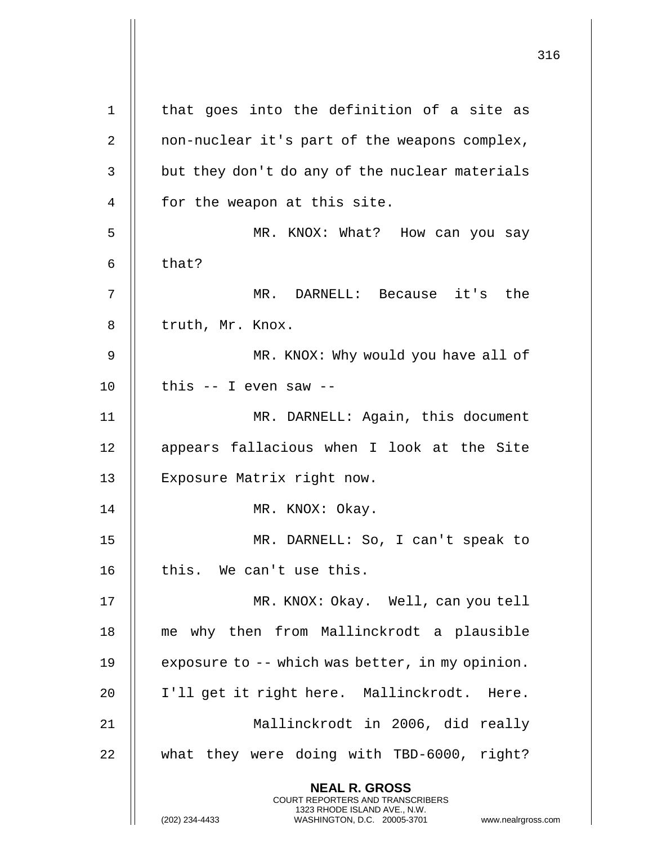316 **NEAL R. GROSS** COURT REPORTERS AND TRANSCRIBERS 1323 RHODE ISLAND AVE., N.W. 1 || that goes into the definition of a site as 2 | non-nuclear it's part of the weapons complex, 3 | but they don't do any of the nuclear materials 4 | for the weapon at this site. 5 MR. KNOX: What? How can you say 6  $\parallel$  that? 7 MR. DARNELL: Because it's the 8 | truth, Mr. Knox. 9 || MR. KNOX: Why would you have all of  $10$  || this -- I even saw --11 MR. DARNELL: Again, this document 12 || appears fallacious when I look at the Site 13 || Exposure Matrix right now. 14 || MR. KNOX: Okay. 15 MR. DARNELL: So, I can't speak to  $16$  || this. We can't use this. 17 MR. KNOX: Okay. Well, can you tell 18 me why then from Mallinckrodt a plausible 19  $\parallel$  exposure to -- which was better, in my opinion. 20 I'll get it right here. Mallinckrodt. Here. 21 Mallinckrodt in 2006, did really 22 || what they were doing with TBD-6000, right?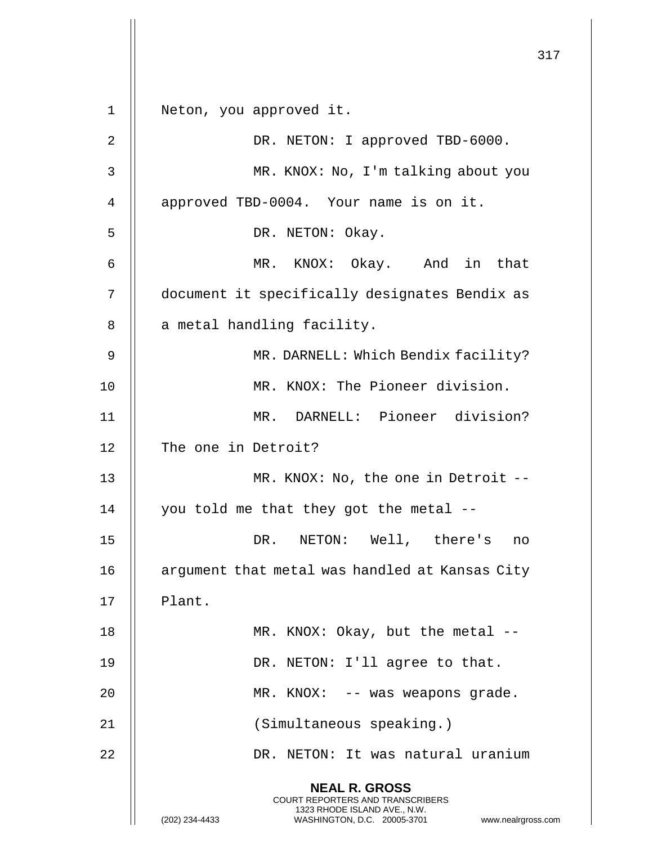**NEAL R. GROSS** COURT REPORTERS AND TRANSCRIBERS 1323 RHODE ISLAND AVE., N.W. (202) 234-4433 WASHINGTON, D.C. 20005-3701 www.nealrgross.com 1 Neton, you approved it. 2 || DR. NETON: I approved TBD-6000. 3 MR. KNOX: No, I'm talking about you 4 | approved TBD-0004. Your name is on it. 5 || DR. NETON: Okay. 6 MR. KNOX: Okay. And in that 7 document it specifically designates Bendix as  $8$  || a metal handling facility. 9 || MR. DARNELL: Which Bendix facility? 10 || MR. KNOX: The Pioneer division. 11 MR. DARNELL: Pioneer division? 12 || The one in Detroit? 13 || MR. KNOX: No, the one in Detroit --14  $\parallel$  you told me that they got the metal --15 || DR. NETON: Well, there's no 16 || argument that metal was handled at Kansas City  $17$  || Plant. 18 || MR. KNOX: Okay, but the metal --19 || DR. NETON: I'll agree to that. 20 MR. KNOX: -- was weapons grade. 21 || (Simultaneous speaking.) 22 DR. NETON: It was natural uranium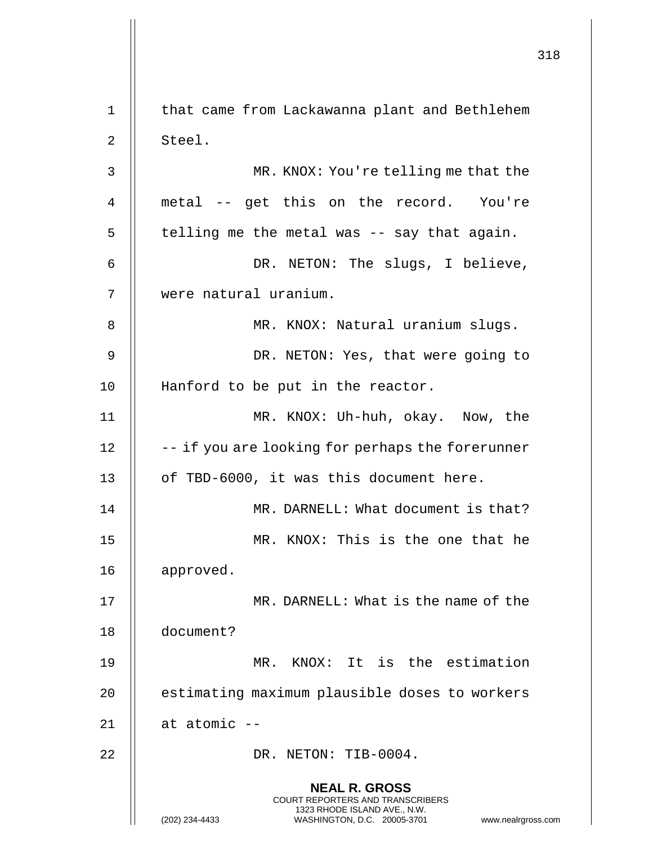**NEAL R. GROSS** COURT REPORTERS AND TRANSCRIBERS 1323 RHODE ISLAND AVE., N.W. (202) 234-4433 WASHINGTON, D.C. 20005-3701 www.nealrgross.com 1 | that came from Lackawanna plant and Bethlehem  $2 \parallel$  Steel. 3 MR. KNOX: You're telling me that the 4 metal -- get this on the record. You're  $5 \parallel$  telling me the metal was -- say that again. 6 || DR. NETON: The slugs, I believe, 7 were natural uranium. 8 || MR. KNOX: Natural uranium slugs. 9 || DR. NETON: Yes, that were going to 10 || Hanford to be put in the reactor. 11 MR. KNOX: Uh-huh, okay. Now, the  $12$   $\parallel$  -- if you are looking for perhaps the forerunner 13 || of TBD-6000, it was this document here. 14 MR. DARNELL: What document is that? 15 || MR. KNOX: This is the one that he 16 approved. 17 MR. DARNELL: What is the name of the 18 document? 19 MR. KNOX: It is the estimation 20 | estimating maximum plausible doses to workers  $21$  | at atomic --22 || DR. NETON: TIB-0004.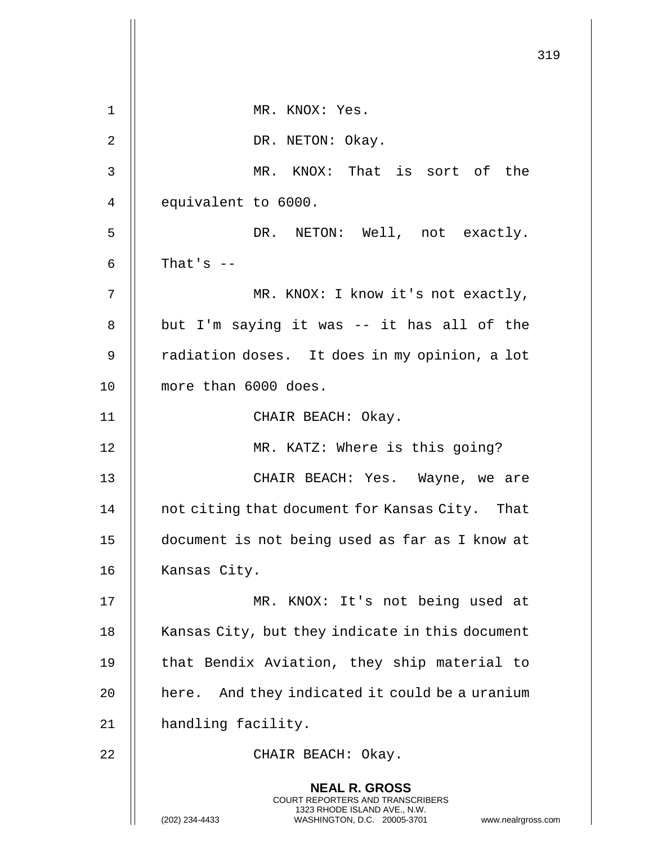|    |                                                                                                                                                                 | 319 |
|----|-----------------------------------------------------------------------------------------------------------------------------------------------------------------|-----|
| 1  | MR. KNOX: Yes.                                                                                                                                                  |     |
| 2  | DR. NETON: Okay.                                                                                                                                                |     |
| 3  | MR. KNOX: That is sort of the                                                                                                                                   |     |
| 4  | equivalent to 6000.                                                                                                                                             |     |
| 5  | NETON: Well, not exactly.<br>DR.                                                                                                                                |     |
| 6  | That's $--$                                                                                                                                                     |     |
| 7  | MR. KNOX: I know it's not exactly,                                                                                                                              |     |
| 8  | but I'm saying it was -- it has all of the                                                                                                                      |     |
| 9  | radiation doses. It does in my opinion, a lot                                                                                                                   |     |
| 10 | more than 6000 does.                                                                                                                                            |     |
| 11 | CHAIR BEACH: Okay.                                                                                                                                              |     |
| 12 | MR. KATZ: Where is this going?                                                                                                                                  |     |
| 13 | CHAIR BEACH: Yes. Wayne, we are                                                                                                                                 |     |
| 14 | not citing that document for Kansas City. That                                                                                                                  |     |
| 15 | document is not being used as far as I know at                                                                                                                  |     |
| 16 | Kansas City.                                                                                                                                                    |     |
| 17 | MR. KNOX: It's not being used at                                                                                                                                |     |
| 18 | Kansas City, but they indicate in this document                                                                                                                 |     |
| 19 | that Bendix Aviation, they ship material to                                                                                                                     |     |
| 20 | here. And they indicated it could be a uranium                                                                                                                  |     |
| 21 | handling facility.                                                                                                                                              |     |
| 22 | CHAIR BEACH: Okay.                                                                                                                                              |     |
|    | <b>NEAL R. GROSS</b><br>COURT REPORTERS AND TRANSCRIBERS<br>1323 RHODE ISLAND AVE., N.W.<br>(202) 234-4433<br>WASHINGTON, D.C. 20005-3701<br>www.nealrgross.com |     |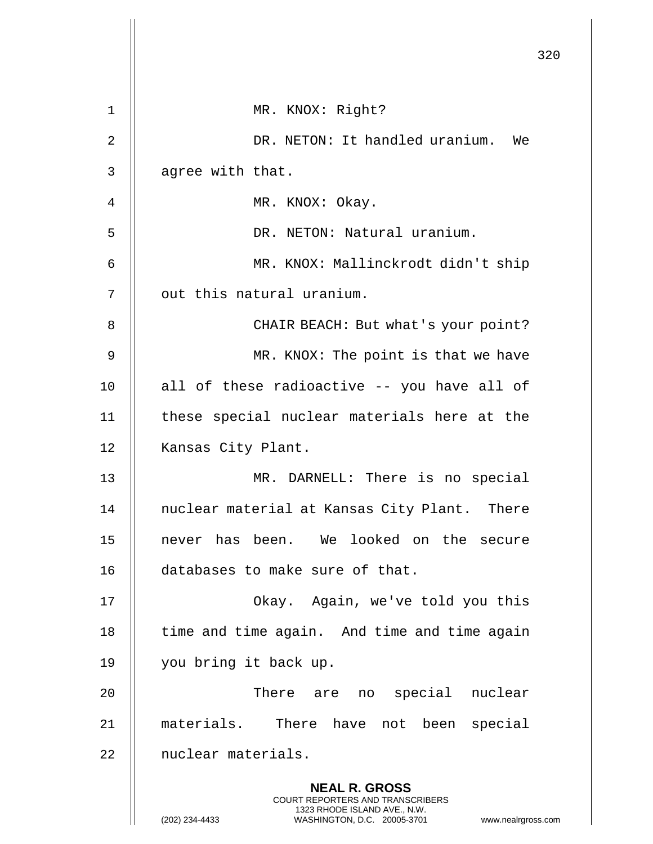|                |                                                                                                                                                                        | 320 |
|----------------|------------------------------------------------------------------------------------------------------------------------------------------------------------------------|-----|
| $\mathbf 1$    | MR. KNOX: Right?                                                                                                                                                       |     |
| $\overline{2}$ | DR. NETON: It handled uranium. We                                                                                                                                      |     |
| 3              | agree with that.                                                                                                                                                       |     |
| 4              | MR. KNOX: Okay.                                                                                                                                                        |     |
| 5              | DR. NETON: Natural uranium.                                                                                                                                            |     |
| 6              | MR. KNOX: Mallinckrodt didn't ship                                                                                                                                     |     |
| 7              | out this natural uranium.                                                                                                                                              |     |
| 8              | CHAIR BEACH: But what's your point?                                                                                                                                    |     |
| 9              | MR. KNOX: The point is that we have                                                                                                                                    |     |
| 10             | all of these radioactive -- you have all of                                                                                                                            |     |
| 11             | these special nuclear materials here at the                                                                                                                            |     |
| 12             | Kansas City Plant.                                                                                                                                                     |     |
| 13             | MR. DARNELL: There is no special                                                                                                                                       |     |
| 14             | nuclear material at Kansas City Plant. There                                                                                                                           |     |
| 15             | never has been. We looked on the secure                                                                                                                                |     |
| 16             | databases to make sure of that.                                                                                                                                        |     |
| 17             | Okay. Again, we've told you this                                                                                                                                       |     |
| 18             | time and time again. And time and time again                                                                                                                           |     |
| 19             | you bring it back up.                                                                                                                                                  |     |
| 20             | There are<br>special nuclear<br>no                                                                                                                                     |     |
| 21             | materials. There have not been special                                                                                                                                 |     |
| 22             | nuclear materials.                                                                                                                                                     |     |
|                | <b>NEAL R. GROSS</b><br><b>COURT REPORTERS AND TRANSCRIBERS</b><br>1323 RHODE ISLAND AVE., N.W.<br>(202) 234-4433<br>WASHINGTON, D.C. 20005-3701<br>www.nealrgross.com |     |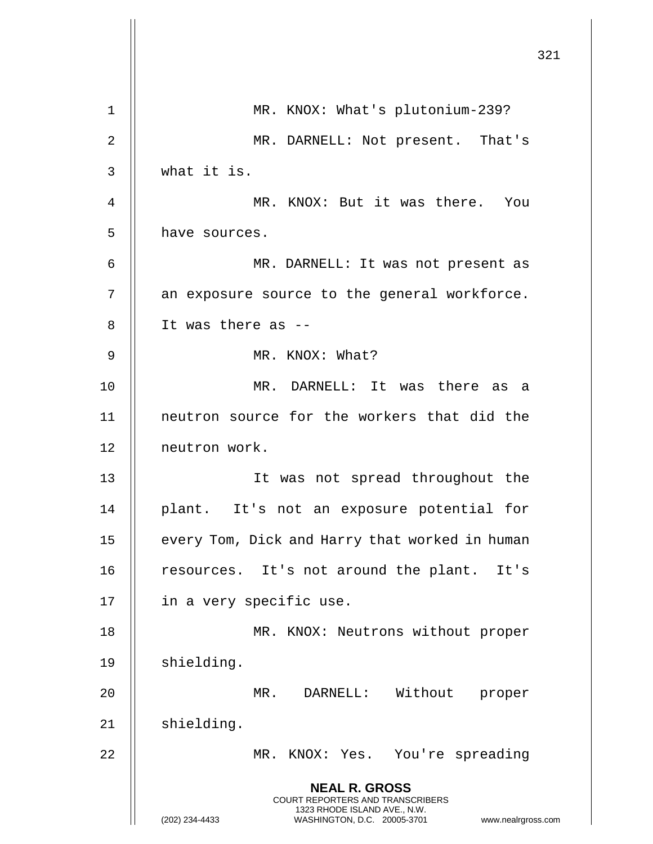|                |                                                                                                                                                                        | 321 |
|----------------|------------------------------------------------------------------------------------------------------------------------------------------------------------------------|-----|
| 1              | MR. KNOX: What's plutonium-239?                                                                                                                                        |     |
| $\overline{2}$ | MR. DARNELL: Not present. That's                                                                                                                                       |     |
| 3              | what it is.                                                                                                                                                            |     |
| 4              | MR. KNOX: But it was there. You                                                                                                                                        |     |
| 5              | have sources.                                                                                                                                                          |     |
| 6              | MR. DARNELL: It was not present as                                                                                                                                     |     |
| 7              | an exposure source to the general workforce.                                                                                                                           |     |
| 8              | It was there as --                                                                                                                                                     |     |
| 9              | MR. KNOX: What?                                                                                                                                                        |     |
| 10             | MR. DARNELL: It was there as a                                                                                                                                         |     |
| 11             | neutron source for the workers that did the                                                                                                                            |     |
| 12             | neutron work.                                                                                                                                                          |     |
| 13             | It was not spread throughout the                                                                                                                                       |     |
| 14             | plant. It's not an exposure potential for                                                                                                                              |     |
| 15             | every Tom, Dick and Harry that worked in human                                                                                                                         |     |
| 16             | resources. It's not around the plant. It's                                                                                                                             |     |
| 17             | in a very specific use.                                                                                                                                                |     |
| 18             | MR. KNOX: Neutrons without proper                                                                                                                                      |     |
| 19             | shielding.                                                                                                                                                             |     |
| 20             | MR. DARNELL: Without<br>proper                                                                                                                                         |     |
| 21             | shielding.                                                                                                                                                             |     |
| 22             | MR. KNOX: Yes. You're spreading                                                                                                                                        |     |
|                | <b>NEAL R. GROSS</b><br><b>COURT REPORTERS AND TRANSCRIBERS</b><br>1323 RHODE ISLAND AVE., N.W.<br>(202) 234-4433<br>WASHINGTON, D.C. 20005-3701<br>www.nealrgross.com |     |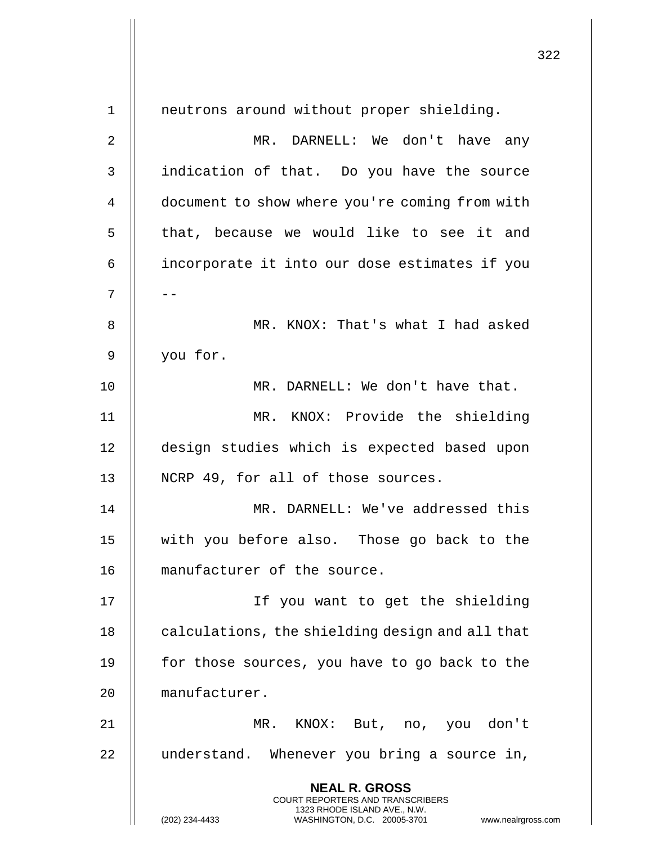**NEAL R. GROSS** COURT REPORTERS AND TRANSCRIBERS 1323 RHODE ISLAND AVE., N.W. (202) 234-4433 WASHINGTON, D.C. 20005-3701 www.nealrgross.com 1 neutrons around without proper shielding. 2 MR. DARNELL: We don't have any 3 indication of that. Do you have the source 4 | document to show where you're coming from with 5 || that, because we would like to see it and 6 incorporate it into our dose estimates if you 7 | --8 MR. KNOX: That's what I had asked 9 you for. 10 || MR. DARNELL: We don't have that. 11 MR. KNOX: Provide the shielding 12 design studies which is expected based upon 13 || NCRP 49, for all of those sources. 14 MR. DARNELL: We've addressed this 15 with you before also. Those go back to the 16 manufacturer of the source. 17 If you want to get the shielding 18 | calculations, the shielding design and all that 19  $\parallel$  for those sources, you have to go back to the 20 manufacturer. 21 MR. KNOX: But, no, you don't 22 | understand. Whenever you bring a source in,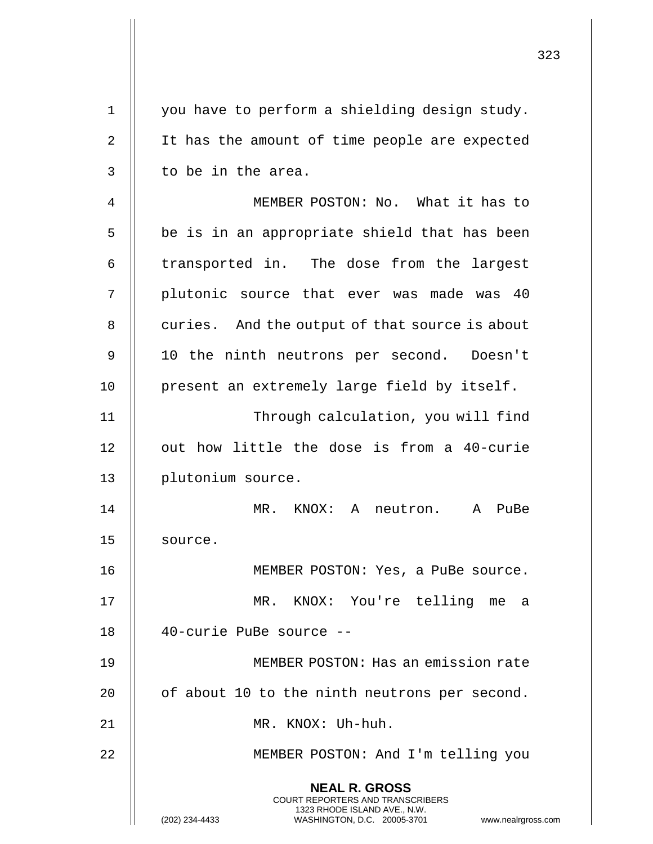| $\mathbf 1$ | you have to perform a shielding design study.                                                                                                                   |
|-------------|-----------------------------------------------------------------------------------------------------------------------------------------------------------------|
| 2           | It has the amount of time people are expected                                                                                                                   |
| 3           | to be in the area.                                                                                                                                              |
| 4           | MEMBER POSTON: No. What it has to                                                                                                                               |
| 5           | be is in an appropriate shield that has been                                                                                                                    |
| 6           | transported in. The dose from the largest                                                                                                                       |
| 7           | plutonic source that ever was made was 40                                                                                                                       |
| 8           | curies. And the output of that source is about                                                                                                                  |
| 9           | 10 the ninth neutrons per second. Doesn't                                                                                                                       |
| 10          | present an extremely large field by itself.                                                                                                                     |
| 11          | Through calculation, you will find                                                                                                                              |
| 12          | out how little the dose is from a 40-curie                                                                                                                      |
| 13          | plutonium source.                                                                                                                                               |
| 14          | MR.<br>KNOX: A neutron.<br>$\mathbf{A}$<br>PuBe                                                                                                                 |
| 15          | source.                                                                                                                                                         |
| 16          | MEMBER POSTON: Yes, a PuBe source.                                                                                                                              |
| 17          | MR. KNOX: You're telling<br>me a                                                                                                                                |
| 18          | 40-curie PuBe source --                                                                                                                                         |
| 19          | MEMBER POSTON: Has an emission rate                                                                                                                             |
| 20          | of about 10 to the ninth neutrons per second.                                                                                                                   |
| 21          | MR. KNOX: Uh-huh.                                                                                                                                               |
| 22          | MEMBER POSTON: And I'm telling you                                                                                                                              |
|             | <b>NEAL R. GROSS</b><br>COURT REPORTERS AND TRANSCRIBERS<br>1323 RHODE ISLAND AVE., N.W.<br>WASHINGTON, D.C. 20005-3701<br>(202) 234-4433<br>www.nealrgross.com |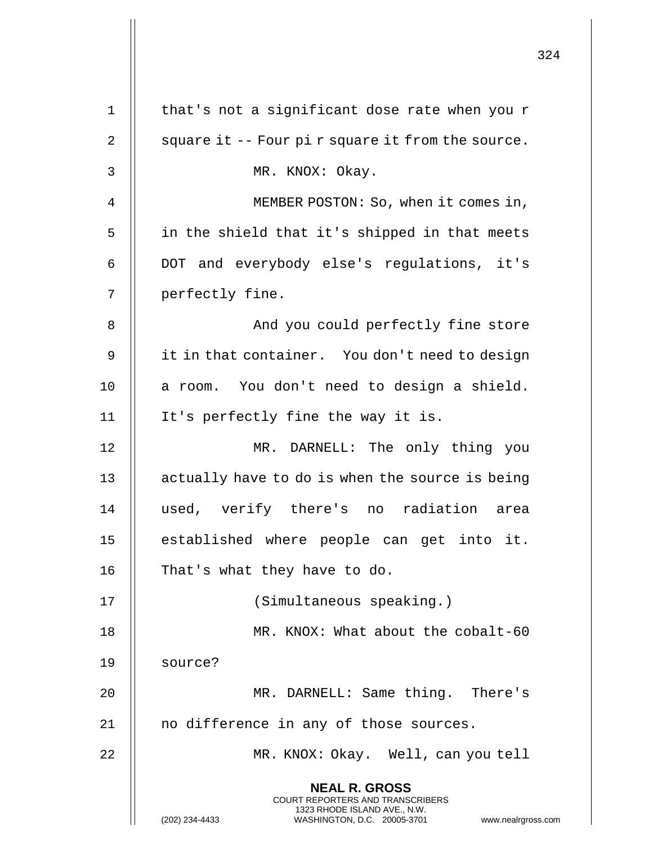|             |                                                                                                                                                                        | 324 |
|-------------|------------------------------------------------------------------------------------------------------------------------------------------------------------------------|-----|
| $\mathbf 1$ | that's not a significant dose rate when you r                                                                                                                          |     |
| 2           | square it -- Four pi r square it from the source.                                                                                                                      |     |
| 3           | MR. KNOX: Okay.                                                                                                                                                        |     |
| 4           | MEMBER POSTON: So, when it comes in,                                                                                                                                   |     |
| 5           | in the shield that it's shipped in that meets                                                                                                                          |     |
| 6           | DOT and everybody else's regulations, it's                                                                                                                             |     |
| 7           | perfectly fine.                                                                                                                                                        |     |
| 8           | And you could perfectly fine store                                                                                                                                     |     |
| 9           | it in that container. You don't need to design                                                                                                                         |     |
| 10          | a room. You don't need to design a shield.                                                                                                                             |     |
| 11          | It's perfectly fine the way it is.                                                                                                                                     |     |
| 12          | MR. DARNELL: The only thing you                                                                                                                                        |     |
| 13          | actually have to do is when the source is being                                                                                                                        |     |
| 14          | verify there's<br>radiation<br>used,<br>no<br>area                                                                                                                     |     |
| 15          | established where people can get into it.                                                                                                                              |     |
| 16          | That's what they have to do.                                                                                                                                           |     |
| 17          | (Simultaneous speaking.)                                                                                                                                               |     |
| 18          | MR. KNOX: What about the cobalt-60                                                                                                                                     |     |
| 19          | source?                                                                                                                                                                |     |
| 20          | MR. DARNELL: Same thing. There's                                                                                                                                       |     |
| 21          | no difference in any of those sources.                                                                                                                                 |     |
| 22          | MR. KNOX: Okay. Well, can you tell                                                                                                                                     |     |
|             | <b>NEAL R. GROSS</b><br><b>COURT REPORTERS AND TRANSCRIBERS</b><br>1323 RHODE ISLAND AVE., N.W.<br>(202) 234-4433<br>WASHINGTON, D.C. 20005-3701<br>www.nealrgross.com |     |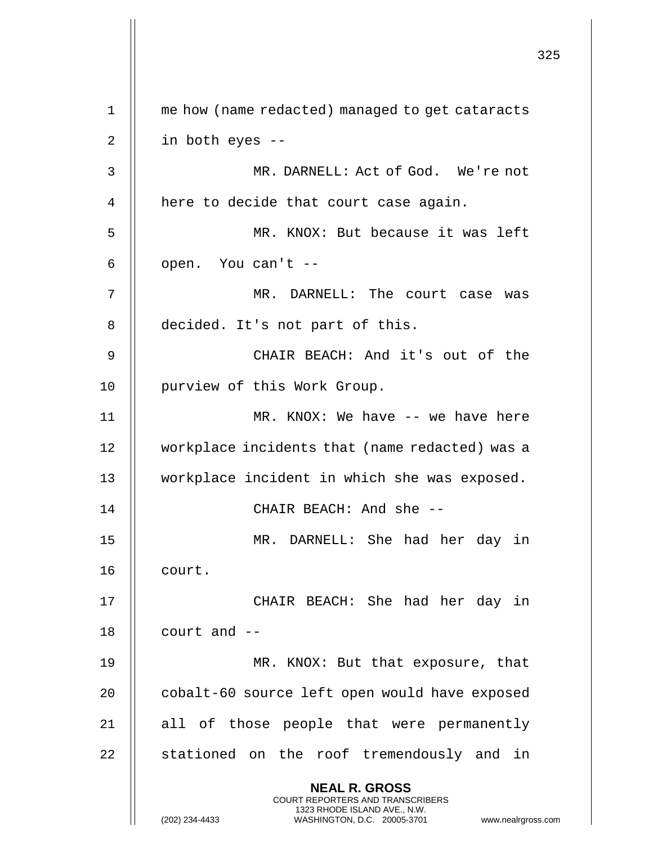|             |                                                                                                                                                                        | 325 |
|-------------|------------------------------------------------------------------------------------------------------------------------------------------------------------------------|-----|
| $\mathbf 1$ | me how (name redacted) managed to get cataracts                                                                                                                        |     |
| 2           | in both eyes --                                                                                                                                                        |     |
| 3           | MR. DARNELL: Act of God. We're not                                                                                                                                     |     |
| 4           | here to decide that court case again.                                                                                                                                  |     |
| 5           | MR. KNOX: But because it was left                                                                                                                                      |     |
| 6           | open. You can't --                                                                                                                                                     |     |
| 7           | MR. DARNELL: The court case was                                                                                                                                        |     |
| 8           | decided. It's not part of this.                                                                                                                                        |     |
| 9           | CHAIR BEACH: And it's out of the                                                                                                                                       |     |
| 10          | purview of this Work Group.                                                                                                                                            |     |
| 11          | MR. KNOX: We have -- we have here                                                                                                                                      |     |
| 12          | workplace incidents that (name redacted) was a                                                                                                                         |     |
| 13          | workplace incident in which she was exposed.                                                                                                                           |     |
| 14          | CHAIR BEACH: And she --                                                                                                                                                |     |
| 15          | MR. DARNELL: She had her day in                                                                                                                                        |     |
| 16          | court.                                                                                                                                                                 |     |
| 17          | CHAIR BEACH: She had her day in                                                                                                                                        |     |
| 18          | court and $--$                                                                                                                                                         |     |
| 19          | MR. KNOX: But that exposure, that                                                                                                                                      |     |
| 20          | cobalt-60 source left open would have exposed                                                                                                                          |     |
| 21          | all of those people that were permanently                                                                                                                              |     |
| 22          | stationed on the roof tremendously and in                                                                                                                              |     |
|             | <b>NEAL R. GROSS</b><br><b>COURT REPORTERS AND TRANSCRIBERS</b><br>1323 RHODE ISLAND AVE., N.W.<br>(202) 234-4433<br>WASHINGTON, D.C. 20005-3701<br>www.nealrgross.com |     |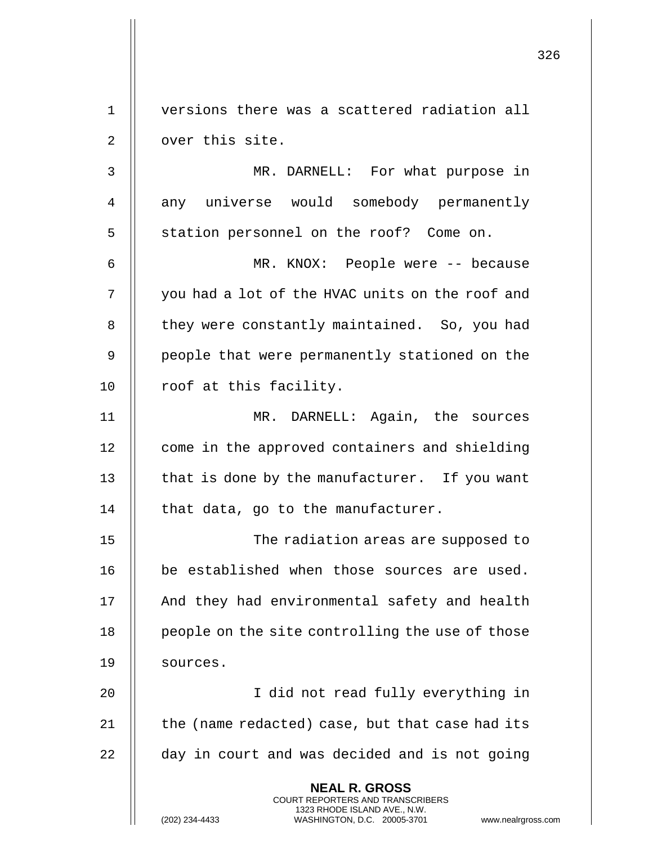326 **NEAL R. GROSS** COURT REPORTERS AND TRANSCRIBERS 1323 RHODE ISLAND AVE., N.W. 1 versions there was a scattered radiation all 2 | over this site. 3 MR. DARNELL: For what purpose in 4 || any universe would somebody permanently 5 || station personnel on the roof? Come on. 6 MR. KNOX: People were -- because 7 | you had a lot of the HVAC units on the roof and 8 | they were constantly maintained. So, you had 9 || people that were permanently stationed on the 10 | roof at this facility. 11 MR. DARNELL: Again, the sources 12 | come in the approved containers and shielding 13  $\parallel$  that is done by the manufacturer. If you want 14  $\parallel$  that data, go to the manufacturer. 15 The radiation areas are supposed to 16 || be established when those sources are used. 17 || And they had environmental safety and health 18 | people on the site controlling the use of those 19 | sources. 20 I did not read fully everything in  $21$  | the (name redacted) case, but that case had its  $22$   $\parallel$  day in court and was decided and is not going

(202) 234-4433 WASHINGTON, D.C. 20005-3701 www.nealrgross.com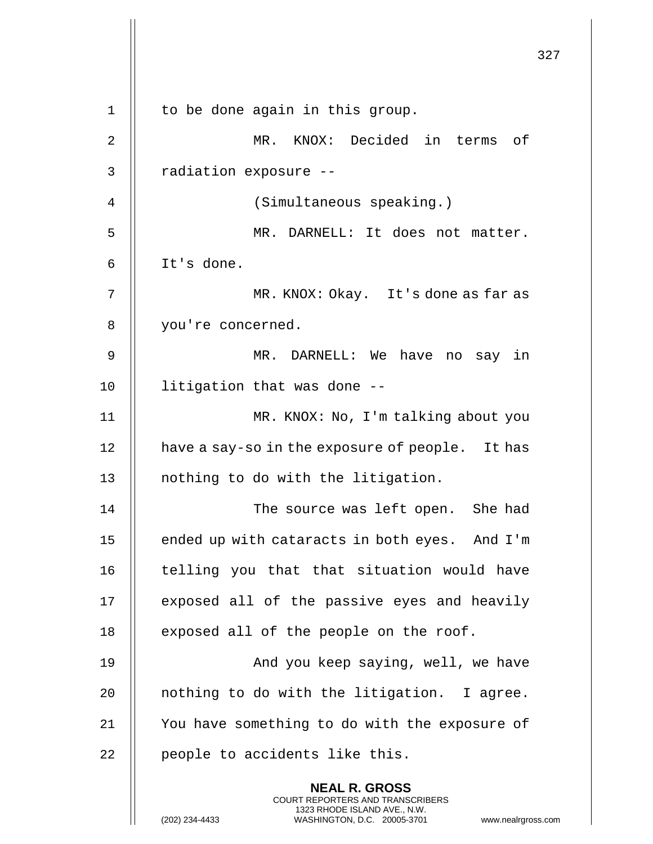|             |                                                                                                                                                                        | 327 |
|-------------|------------------------------------------------------------------------------------------------------------------------------------------------------------------------|-----|
| $\mathbf 1$ | to be done again in this group.                                                                                                                                        |     |
| 2           | MR. KNOX: Decided in terms of                                                                                                                                          |     |
| 3           | radiation exposure --                                                                                                                                                  |     |
| 4           | (Simultaneous speaking.)                                                                                                                                               |     |
| 5           | MR. DARNELL: It does not matter.                                                                                                                                       |     |
| 6           | It's done.                                                                                                                                                             |     |
| 7           | MR. KNOX: Okay. It's done as far as                                                                                                                                    |     |
| 8           | you're concerned.                                                                                                                                                      |     |
| 9           | MR. DARNELL: We have no say in                                                                                                                                         |     |
| 10          | litigation that was done --                                                                                                                                            |     |
| 11          | MR. KNOX: No, I'm talking about you                                                                                                                                    |     |
| 12          | have a say-so in the exposure of people. It has                                                                                                                        |     |
| 13          | nothing to do with the litigation.                                                                                                                                     |     |
| 14          | The source was left open. She had                                                                                                                                      |     |
| 15          | ended up with cataracts in both eyes. And I'm                                                                                                                          |     |
| 16          | telling you that that situation would have                                                                                                                             |     |
| 17          | exposed all of the passive eyes and heavily                                                                                                                            |     |
| 18          | exposed all of the people on the roof.                                                                                                                                 |     |
| 19          | And you keep saying, well, we have                                                                                                                                     |     |
| 20          | nothing to do with the litigation. I agree.                                                                                                                            |     |
| 21          | You have something to do with the exposure of                                                                                                                          |     |
| 22          | people to accidents like this.                                                                                                                                         |     |
|             | <b>NEAL R. GROSS</b><br><b>COURT REPORTERS AND TRANSCRIBERS</b><br>1323 RHODE ISLAND AVE., N.W.<br>(202) 234-4433<br>WASHINGTON, D.C. 20005-3701<br>www.nealrgross.com |     |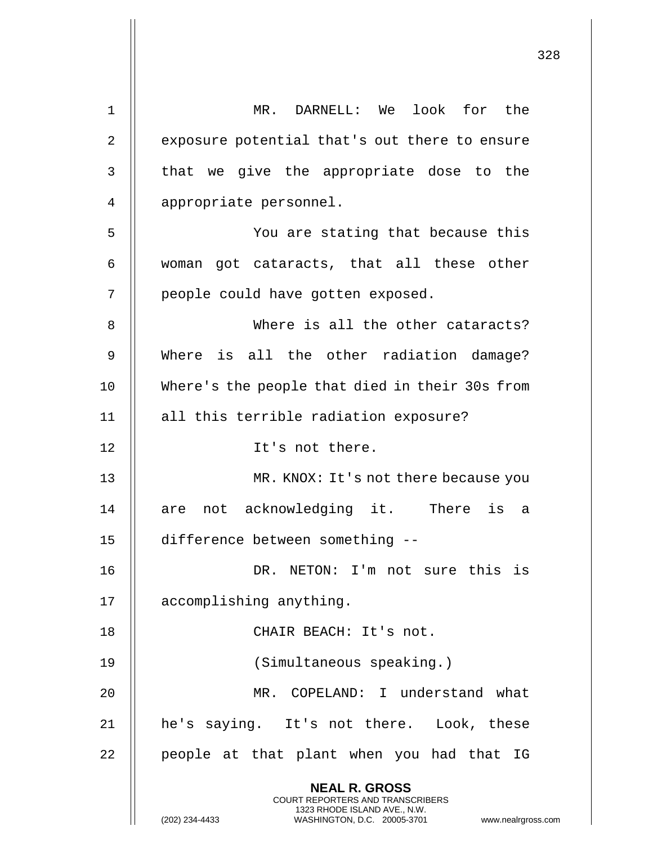| $\mathbf{1}$   | MR. DARNELL: We look for the                                                                     |
|----------------|--------------------------------------------------------------------------------------------------|
| $\overline{2}$ | exposure potential that's out there to ensure                                                    |
| 3              | that we give the appropriate dose to the                                                         |
| 4              | appropriate personnel.                                                                           |
| 5              | You are stating that because this                                                                |
| 6              | woman got cataracts, that all these other                                                        |
| 7              | people could have gotten exposed.                                                                |
| 8              | Where is all the other cataracts?                                                                |
| $\mathsf 9$    | Where is all the other radiation damage?                                                         |
| 10             | Where's the people that died in their 30s from                                                   |
| 11             | all this terrible radiation exposure?                                                            |
| 12             | It's not there.                                                                                  |
| 13             | MR. KNOX: It's not there because you                                                             |
| 14             | are not acknowledging it. There is a                                                             |
| 15             | difference between something --                                                                  |
| 16             | DR. NETON: I'm not sure this is                                                                  |
| 17             | accomplishing anything.                                                                          |
| 18             | CHAIR BEACH: It's not.                                                                           |
| 19             | (Simultaneous speaking.)                                                                         |
| 20             | MR. COPELAND: I understand what                                                                  |
| 21             | he's saying. It's not there. Look, these                                                         |
| 22             | people at that plant when you had that IG                                                        |
|                | <b>NEAL R. GROSS</b><br><b>COURT REPORTERS AND TRANSCRIBERS</b>                                  |
|                | 1323 RHODE ISLAND AVE., N.W.<br>(202) 234-4433<br>WASHINGTON, D.C. 20005-3701<br>www.nealrgross. |

 $\mathbf{I}$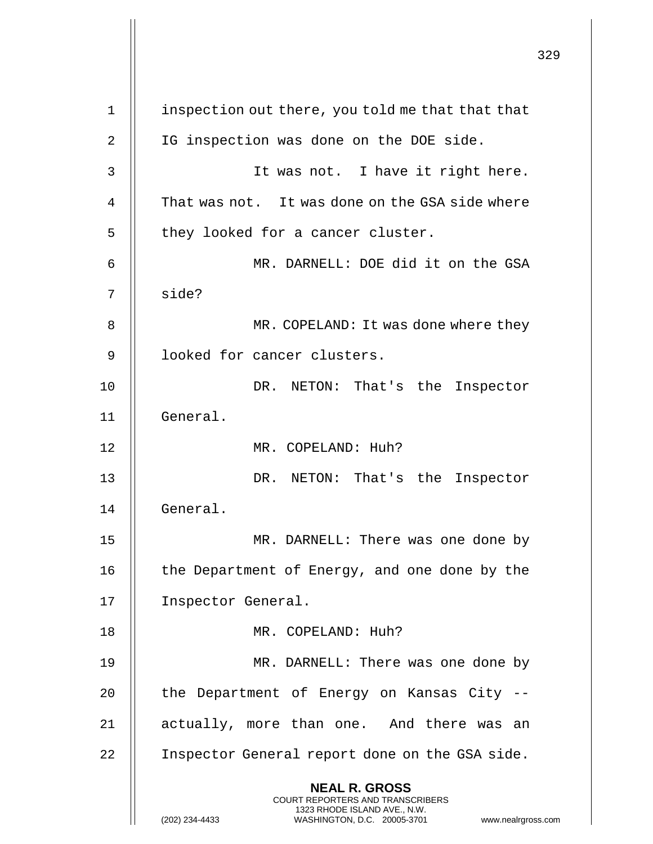**NEAL R. GROSS** COURT REPORTERS AND TRANSCRIBERS 1323 RHODE ISLAND AVE., N.W. (202) 234-4433 WASHINGTON, D.C. 20005-3701 www.nealrgross.com 1 | inspection out there, you told me that that that 2 || IG inspection was done on the DOE side. 3 It was not. I have it right here. 4  $\parallel$  That was not. It was done on the GSA side where  $5$  || they looked for a cancer cluster. 6 MR. DARNELL: DOE did it on the GSA 7 || side? 8 | MR. COPELAND: It was done where they 9 || looked for cancer clusters. 10 || DR. NETON: That's the Inspector 11 General. 12 MR. COPELAND: Huh? 13 DR. NETON: That's the Inspector 14 General. 15 || MR. DARNELL: There was one done by 16 || the Department of Energy, and one done by the 17 Inspector General. 18 || MR. COPELAND: Huh? 19 || MR. DARNELL: There was one done by 20 || the Department of Energy on Kansas City --21 || actually, more than one. And there was an 22 | Inspector General report done on the GSA side.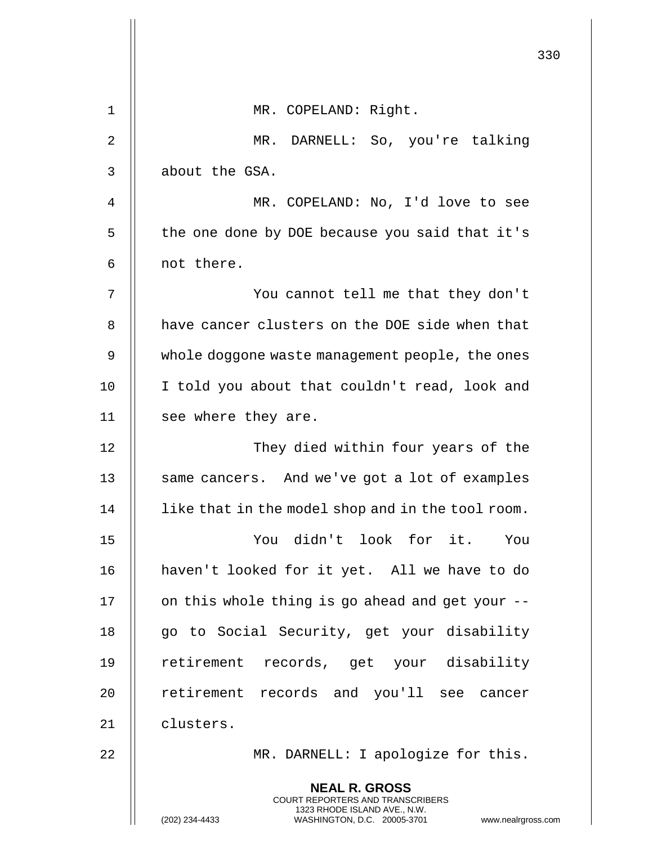|    |                                                                                                                                                                        | 330 |
|----|------------------------------------------------------------------------------------------------------------------------------------------------------------------------|-----|
| 1  | MR. COPELAND: Right.                                                                                                                                                   |     |
| 2  | MR. DARNELL: So, you're talking                                                                                                                                        |     |
| 3  | about the GSA.                                                                                                                                                         |     |
| 4  | MR. COPELAND: No, I'd love to see                                                                                                                                      |     |
| 5  | the one done by DOE because you said that it's                                                                                                                         |     |
| 6  | not there.                                                                                                                                                             |     |
| 7  | You cannot tell me that they don't                                                                                                                                     |     |
| 8  | have cancer clusters on the DOE side when that                                                                                                                         |     |
| 9  | whole doggone waste management people, the ones                                                                                                                        |     |
| 10 | I told you about that couldn't read, look and                                                                                                                          |     |
| 11 | see where they are.                                                                                                                                                    |     |
| 12 | They died within four years of the                                                                                                                                     |     |
| 13 | same cancers. And we've got a lot of examples                                                                                                                          |     |
| 14 | like that in the model shop and in the tool room.                                                                                                                      |     |
| 15 | You didn't look for it. You                                                                                                                                            |     |
| 16 | haven't looked for it yet. All we have to do                                                                                                                           |     |
| 17 | on this whole thing is go ahead and get your --                                                                                                                        |     |
| 18 | go to Social Security, get your disability                                                                                                                             |     |
| 19 | retirement records, get your disability                                                                                                                                |     |
| 20 | retirement records and you'll see cancer                                                                                                                               |     |
| 21 | clusters.                                                                                                                                                              |     |
| 22 | MR. DARNELL: I apologize for this.                                                                                                                                     |     |
|    | <b>NEAL R. GROSS</b><br><b>COURT REPORTERS AND TRANSCRIBERS</b><br>1323 RHODE ISLAND AVE., N.W.<br>(202) 234-4433<br>WASHINGTON, D.C. 20005-3701<br>www.nealrgross.com |     |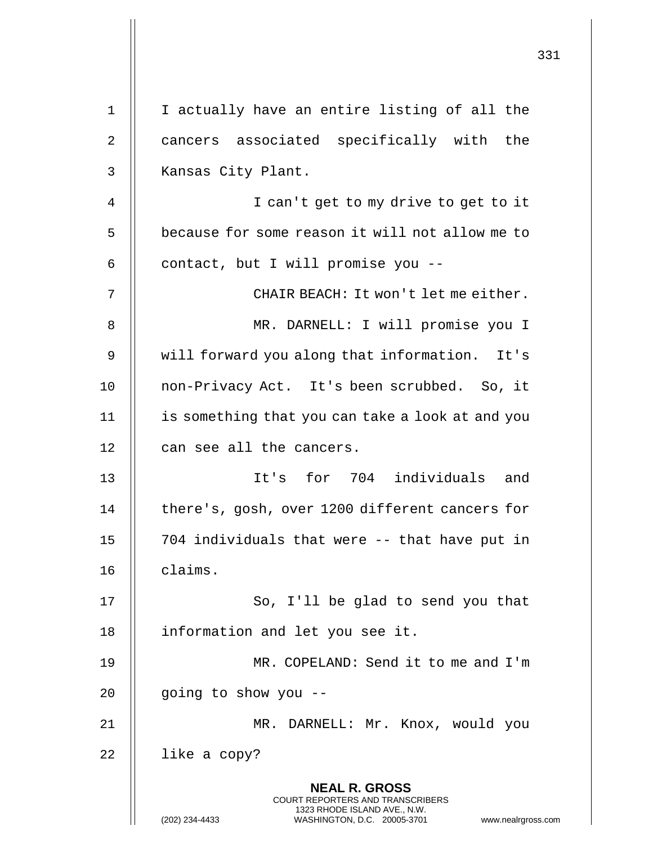|    | 331                                                                                                                                                             |
|----|-----------------------------------------------------------------------------------------------------------------------------------------------------------------|
|    |                                                                                                                                                                 |
| 1  | I actually have an entire listing of all the                                                                                                                    |
| 2  | cancers associated specifically with the                                                                                                                        |
| 3  | Kansas City Plant.                                                                                                                                              |
| 4  | I can't get to my drive to get to it                                                                                                                            |
| 5  | because for some reason it will not allow me to                                                                                                                 |
| 6  | contact, but I will promise you --                                                                                                                              |
| 7  | CHAIR BEACH: It won't let me either.                                                                                                                            |
| 8  | MR. DARNELL: I will promise you I                                                                                                                               |
| 9  | will forward you along that information. It's                                                                                                                   |
| 10 | non-Privacy Act. It's been scrubbed. So, it                                                                                                                     |
| 11 | is something that you can take a look at and you                                                                                                                |
| 12 | can see all the cancers.                                                                                                                                        |
| 13 | It's for 704 individuals and                                                                                                                                    |
| 14 | there's, gosh, over 1200 different cancers for                                                                                                                  |
| 15 | 704 individuals that were -- that have put in                                                                                                                   |
| 16 | claims.                                                                                                                                                         |
| 17 | So, I'll be glad to send you that                                                                                                                               |
| 18 | information and let you see it.                                                                                                                                 |
| 19 | MR. COPELAND: Send it to me and I'm                                                                                                                             |
| 20 | going to show you --                                                                                                                                            |
| 21 | MR. DARNELL: Mr. Knox, would you                                                                                                                                |
| 22 | like a copy?                                                                                                                                                    |
|    | <b>NEAL R. GROSS</b><br>COURT REPORTERS AND TRANSCRIBERS<br>1323 RHODE ISLAND AVE., N.W.<br>(202) 234-4433<br>WASHINGTON, D.C. 20005-3701<br>www.nealrgross.com |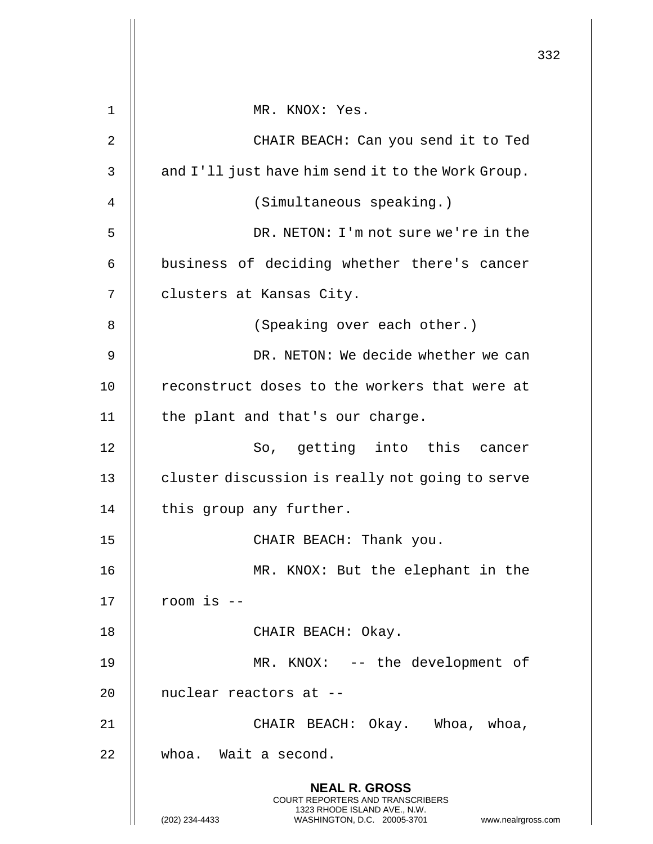|    |                                                                                                                                                                        | 332 |
|----|------------------------------------------------------------------------------------------------------------------------------------------------------------------------|-----|
| 1  | MR. KNOX: Yes.                                                                                                                                                         |     |
| 2  | CHAIR BEACH: Can you send it to Ted                                                                                                                                    |     |
| 3  | and I'll just have him send it to the Work Group.                                                                                                                      |     |
| 4  | (Simultaneous speaking.)                                                                                                                                               |     |
| 5  | DR. NETON: I'm not sure we're in the                                                                                                                                   |     |
| 6  | business of deciding whether there's cancer                                                                                                                            |     |
| 7  | clusters at Kansas City.                                                                                                                                               |     |
| 8  | (Speaking over each other.)                                                                                                                                            |     |
| 9  | DR. NETON: We decide whether we can                                                                                                                                    |     |
| 10 | reconstruct doses to the workers that were at                                                                                                                          |     |
| 11 | the plant and that's our charge.                                                                                                                                       |     |
| 12 | So, getting into this cancer                                                                                                                                           |     |
| 13 | cluster discussion is really not going to serve                                                                                                                        |     |
| 14 | this group any further.                                                                                                                                                |     |
| 15 | CHAIR BEACH: Thank you.                                                                                                                                                |     |
| 16 | MR. KNOX: But the elephant in the                                                                                                                                      |     |
| 17 | room is --                                                                                                                                                             |     |
| 18 | CHAIR BEACH: Okay.                                                                                                                                                     |     |
| 19 | MR. KNOX: -- the development of                                                                                                                                        |     |
| 20 | nuclear reactors at --                                                                                                                                                 |     |
| 21 | CHAIR BEACH: Okay. Whoa, whoa,                                                                                                                                         |     |
| 22 | whoa. Wait a second.                                                                                                                                                   |     |
|    | <b>NEAL R. GROSS</b><br><b>COURT REPORTERS AND TRANSCRIBERS</b><br>1323 RHODE ISLAND AVE., N.W.<br>(202) 234-4433<br>WASHINGTON, D.C. 20005-3701<br>www.nealrgross.com |     |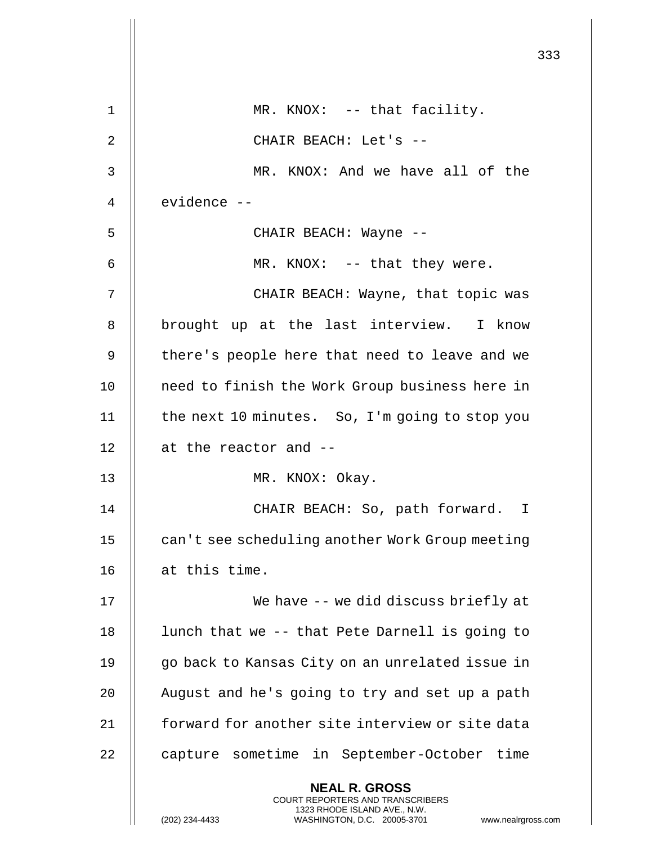|    |                                                                                                                                                                 | 333 |
|----|-----------------------------------------------------------------------------------------------------------------------------------------------------------------|-----|
| 1  | MR. KNOX: -- that facility.                                                                                                                                     |     |
| 2  | CHAIR BEACH: Let's --                                                                                                                                           |     |
| 3  | MR. KNOX: And we have all of the                                                                                                                                |     |
| 4  | evidence --                                                                                                                                                     |     |
| 5  | CHAIR BEACH: Wayne --                                                                                                                                           |     |
| 6  | MR. KNOX: -- that they were.                                                                                                                                    |     |
| 7  | CHAIR BEACH: Wayne, that topic was                                                                                                                              |     |
| 8  | brought up at the last interview. I know                                                                                                                        |     |
| 9  | there's people here that need to leave and we                                                                                                                   |     |
| 10 | need to finish the Work Group business here in                                                                                                                  |     |
| 11 | the next 10 minutes. So, I'm going to stop you                                                                                                                  |     |
| 12 | at the reactor and --                                                                                                                                           |     |
| 13 | MR. KNOX: Okay.                                                                                                                                                 |     |
| 14 | CHAIR BEACH: So, path forward. I                                                                                                                                |     |
| 15 | can't see scheduling another Work Group meeting                                                                                                                 |     |
| 16 | at this time.                                                                                                                                                   |     |
| 17 | We have -- we did discuss briefly at                                                                                                                            |     |
| 18 | lunch that we -- that Pete Darnell is going to                                                                                                                  |     |
| 19 | go back to Kansas City on an unrelated issue in                                                                                                                 |     |
| 20 | August and he's going to try and set up a path                                                                                                                  |     |
| 21 | forward for another site interview or site data                                                                                                                 |     |
| 22 | capture sometime in September-October time                                                                                                                      |     |
|    | <b>NEAL R. GROSS</b><br>COURT REPORTERS AND TRANSCRIBERS<br>1323 RHODE ISLAND AVE., N.W.<br>(202) 234-4433<br>WASHINGTON, D.C. 20005-3701<br>www.nealrgross.com |     |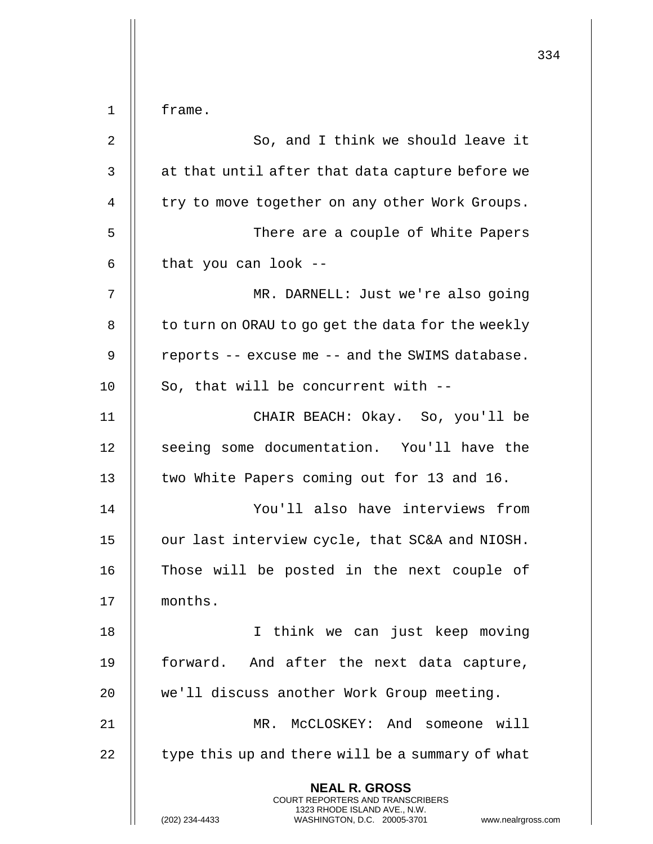|             |                                                                                                                                                                     | 334 |
|-------------|---------------------------------------------------------------------------------------------------------------------------------------------------------------------|-----|
|             |                                                                                                                                                                     |     |
| $\mathbf 1$ | frame.                                                                                                                                                              |     |
| 2           | So, and I think we should leave it                                                                                                                                  |     |
| 3           | at that until after that data capture before we                                                                                                                     |     |
| 4           | try to move together on any other Work Groups.                                                                                                                      |     |
| 5           | There are a couple of White Papers                                                                                                                                  |     |
| 6           | that you can look --                                                                                                                                                |     |
| 7           | MR. DARNELL: Just we're also going                                                                                                                                  |     |
| 8           | to turn on ORAU to go get the data for the weekly                                                                                                                   |     |
| 9           | reports -- excuse me -- and the SWIMS database.                                                                                                                     |     |
| 10          | So, that will be concurrent with --                                                                                                                                 |     |
| 11          | CHAIR BEACH: Okay. So, you'll be                                                                                                                                    |     |
| 12          | seeing some documentation. You'll have the                                                                                                                          |     |
| 13          | two White Papers coming out for 13 and 16.                                                                                                                          |     |
| 14          | You'll also have interviews from                                                                                                                                    |     |
| 15          | our last interview cycle, that SC&A and NIOSH.                                                                                                                      |     |
| 16          | Those will be posted in the next couple of                                                                                                                          |     |
| 17          | months.                                                                                                                                                             |     |
| 18          | I think we can just keep moving                                                                                                                                     |     |
| 19          | forward. And after the next data capture,                                                                                                                           |     |
| 20          | we'll discuss another Work Group meeting.                                                                                                                           |     |
| 21          | MR. McCLOSKEY: And someone will                                                                                                                                     |     |
| 22          | type this up and there will be a summary of what                                                                                                                    |     |
|             | <b>NEAL R. GROSS</b><br><b>COURT REPORTERS AND TRANSCRIBERS</b><br>1323 RHODE ISLAND AVE., N.W.<br>WASHINGTON, D.C. 20005-3701 www.nealrgross.com<br>(202) 234-4433 |     |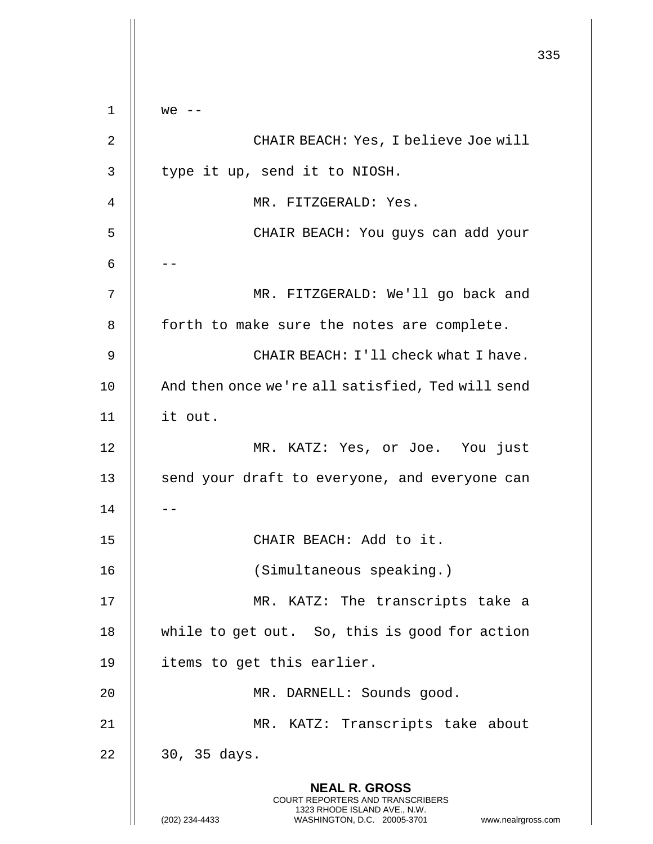**NEAL R. GROSS** COURT REPORTERS AND TRANSCRIBERS 1323 RHODE ISLAND AVE., N.W. (202) 234-4433 WASHINGTON, D.C. 20005-3701 www.nealrgross.com 1  $\parallel$  we  $\parallel$ 2 CHAIR BEACH: Yes, I believe Joe will  $3$  | type it up, send it to NIOSH. 4 MR. FITZGERALD: Yes. 5 CHAIR BEACH: You guys can add your 6 |  $-$ 7 || MR. FITZGERALD: We'll go back and 8 | forth to make sure the notes are complete. 9 CHAIR BEACH: I'll check what I have. 10 || And then once we're all satisfied, Ted will send 11 it out. 12 MR. KATZ: Yes, or Joe. You just 13 || send your draft to everyone, and everyone can  $14$   $\parallel$   $-$ 15 CHAIR BEACH: Add to it. 16 (Simultaneous speaking.) 17 MR. KATZ: The transcripts take a 18 || while to get out. So, this is good for action 19 || items to get this earlier. 20 || MR. DARNELL: Sounds good. 21 || MR. KATZ: Transcripts take about  $22 \parallel 30, 35 \text{ days}.$